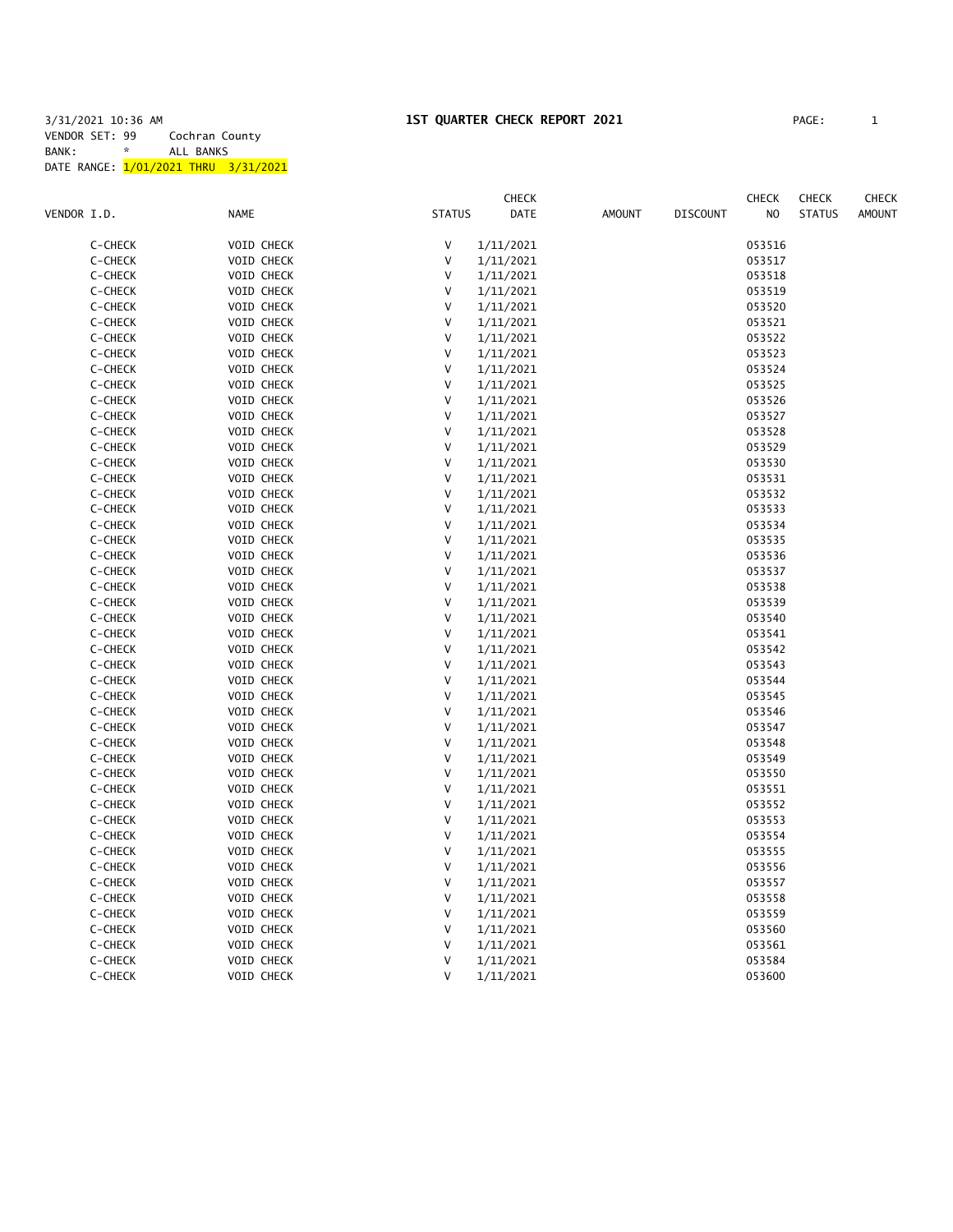## 3/31/2021 10:36 AM **1ST QUARTER CHECK REPORT 2021** PAGE: 1 VENDOR SET: 99 Cochran County BANK: \* ALL BANKS DATE RANGE: 1/01/2021 THRU 3/31/2021

|             |         |                   |               | CHECK     |               |                 | <b>CHECK</b>   | <b>CHECK</b>  | <b>CHECK</b>  |
|-------------|---------|-------------------|---------------|-----------|---------------|-----------------|----------------|---------------|---------------|
| VENDOR I.D. |         | <b>NAME</b>       | <b>STATUS</b> | DATE      | <b>AMOUNT</b> | <b>DISCOUNT</b> | N <sub>O</sub> | <b>STATUS</b> | <b>AMOUNT</b> |
|             |         |                   |               |           |               |                 |                |               |               |
|             | C-CHECK | VOID CHECK        | V             | 1/11/2021 |               |                 | 053516         |               |               |
|             | C-CHECK | VOID CHECK        | V             | 1/11/2021 |               |                 | 053517         |               |               |
|             | C-CHECK | <b>VOID CHECK</b> | V             | 1/11/2021 |               |                 | 053518         |               |               |
|             | C-CHECK | VOID CHECK        | V             | 1/11/2021 |               |                 | 053519         |               |               |
|             | C-CHECK | VOID CHECK        | $\mathsf{V}$  | 1/11/2021 |               |                 | 053520         |               |               |
|             | C-CHECK | VOID CHECK        | V             | 1/11/2021 |               |                 | 053521         |               |               |
|             | C-CHECK | VOID CHECK        | V             | 1/11/2021 |               |                 | 053522         |               |               |
|             | C-CHECK | VOID CHECK        | $\mathsf{V}$  | 1/11/2021 |               |                 | 053523         |               |               |
|             | C-CHECK | VOID CHECK        | V             | 1/11/2021 |               |                 | 053524         |               |               |
|             | C-CHECK | VOID CHECK        | $\mathsf{V}$  | 1/11/2021 |               |                 | 053525         |               |               |
|             | C-CHECK | VOID CHECK        | $\mathsf{V}$  | 1/11/2021 |               |                 | 053526         |               |               |
|             | C-CHECK | VOID CHECK        | V             | 1/11/2021 |               |                 | 053527         |               |               |
|             | C-CHECK | VOID CHECK        | V             | 1/11/2021 |               |                 | 053528         |               |               |
|             | C-CHECK | VOID CHECK        | V             | 1/11/2021 |               |                 | 053529         |               |               |
|             | C-CHECK | VOID CHECK        | V             | 1/11/2021 |               |                 | 053530         |               |               |
|             | C-CHECK | VOID CHECK        | V             | 1/11/2021 |               |                 | 053531         |               |               |
|             | C-CHECK | VOID CHECK        | V             | 1/11/2021 |               |                 | 053532         |               |               |
|             | C-CHECK | VOID CHECK        | V             | 1/11/2021 |               |                 | 053533         |               |               |
|             | C-CHECK | VOID CHECK        | V             | 1/11/2021 |               |                 | 053534         |               |               |
|             | C-CHECK | VOID CHECK        | V             | 1/11/2021 |               |                 | 053535         |               |               |
|             | C-CHECK | VOID CHECK        | V             | 1/11/2021 |               |                 | 053536         |               |               |
|             | C-CHECK | VOID CHECK        | V             | 1/11/2021 |               |                 | 053537         |               |               |
|             | C-CHECK | VOID CHECK        | V             | 1/11/2021 |               |                 | 053538         |               |               |
|             | C-CHECK | VOID CHECK        | V             | 1/11/2021 |               |                 | 053539         |               |               |
|             | C-CHECK | VOID CHECK        | V             | 1/11/2021 |               |                 | 053540         |               |               |
|             | C-CHECK | <b>VOID CHECK</b> | V             | 1/11/2021 |               |                 | 053541         |               |               |
|             | C-CHECK | VOID CHECK        | V             | 1/11/2021 |               |                 | 053542         |               |               |
|             | C-CHECK | VOID CHECK        | V             | 1/11/2021 |               |                 | 053543         |               |               |
|             | C-CHECK | <b>VOID CHECK</b> | V             | 1/11/2021 |               |                 | 053544         |               |               |
|             | C-CHECK | VOID CHECK        | V             | 1/11/2021 |               |                 | 053545         |               |               |
|             | C-CHECK | VOID CHECK        | V             | 1/11/2021 |               |                 | 053546         |               |               |
|             | C-CHECK | VOID CHECK        | V             | 1/11/2021 |               |                 | 053547         |               |               |
|             | C-CHECK | VOID CHECK        | V             | 1/11/2021 |               |                 | 053548         |               |               |
|             | C-CHECK | <b>VOID CHECK</b> | V             | 1/11/2021 |               |                 | 053549         |               |               |
|             | C-CHECK | VOID CHECK        | V             | 1/11/2021 |               |                 | 053550         |               |               |
|             | C-CHECK | VOID CHECK        | V             | 1/11/2021 |               |                 | 053551         |               |               |
|             | C-CHECK | VOID CHECK        | V             | 1/11/2021 |               |                 | 053552         |               |               |
|             | C-CHECK | <b>VOID CHECK</b> | V             | 1/11/2021 |               |                 | 053553         |               |               |
|             | C-CHECK | VOID CHECK        | $\vee$        | 1/11/2021 |               |                 | 053554         |               |               |
|             | C-CHECK | VOID CHECK        | $\vee$        | 1/11/2021 |               |                 | 053555         |               |               |
|             | C-CHECK | <b>VOID CHECK</b> | V             | 1/11/2021 |               |                 | 053556         |               |               |
|             | C-CHECK | VOID CHECK        | V             | 1/11/2021 |               |                 | 053557         |               |               |
|             | C-CHECK | VOID CHECK        | V             | 1/11/2021 |               |                 | 053558         |               |               |
|             | C-CHECK | VOID CHECK        | V             | 1/11/2021 |               |                 | 053559         |               |               |
|             | C-CHECK | VOID CHECK        | V             | 1/11/2021 |               |                 | 053560         |               |               |
|             | C-CHECK | VOID CHECK        | V             | 1/11/2021 |               |                 | 053561         |               |               |
|             | C-CHECK | VOID CHECK        | $\vee$        | 1/11/2021 |               |                 | 053584         |               |               |
|             | C-CHECK | VOID CHECK        | V             | 1/11/2021 |               |                 | 053600         |               |               |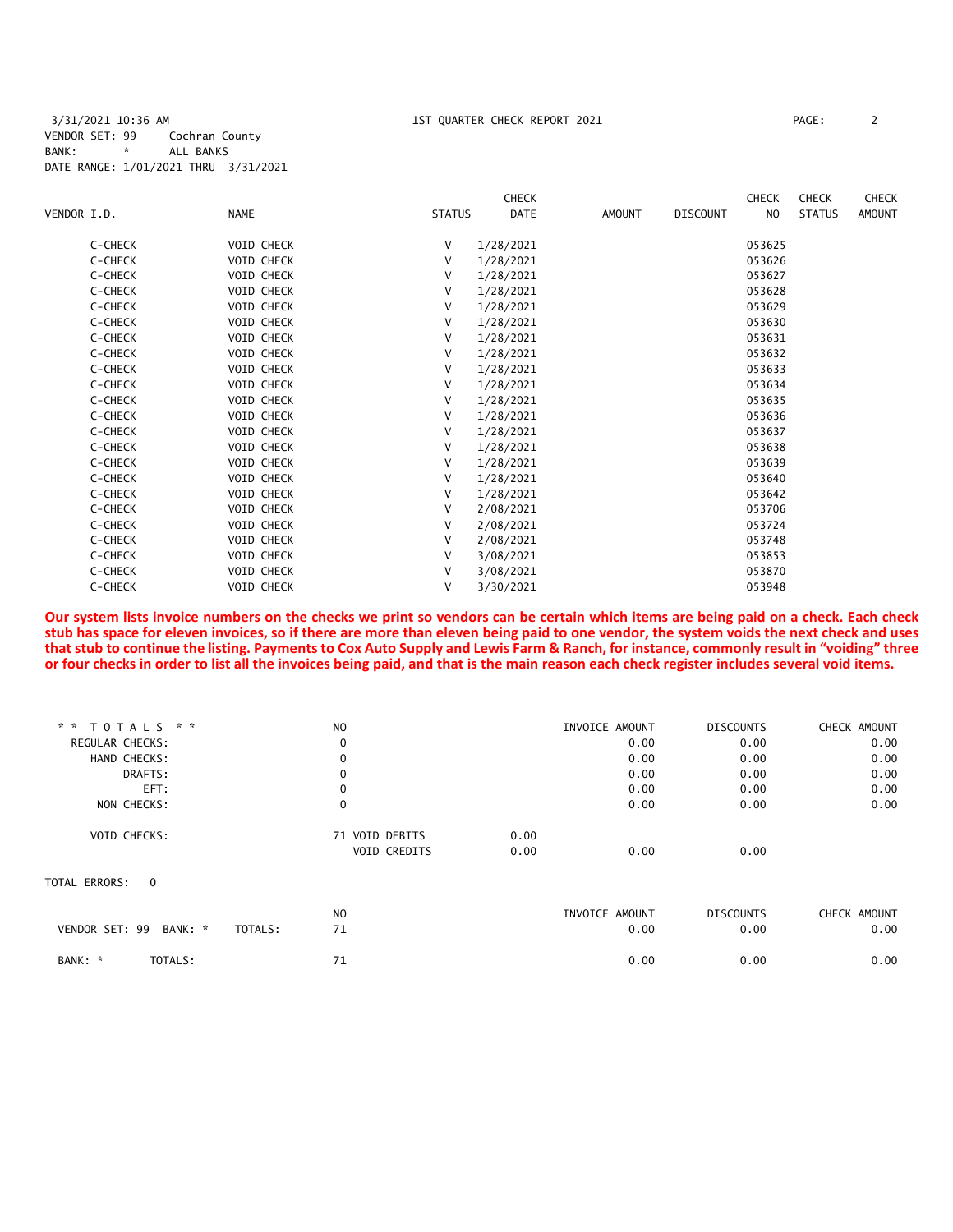3/31/2021 10:36 AM 1ST QUARTER CHECK REPORT 2021 PAGE: 2 VENDOR SET: 99 Cochran County<br>BANK: \* ALL BANKS BANK: \* ALL BANKS DATE RANGE: 1/01/2021 THRU 3/31/2021

|             |         |             |                   |               | <b>CHECK</b> |               |                 | <b>CHECK</b>   | <b>CHECK</b>  | <b>CHECK</b>  |
|-------------|---------|-------------|-------------------|---------------|--------------|---------------|-----------------|----------------|---------------|---------------|
| VENDOR I.D. |         | <b>NAME</b> |                   | <b>STATUS</b> | <b>DATE</b>  | <b>AMOUNT</b> | <b>DISCOUNT</b> | N <sub>O</sub> | <b>STATUS</b> | <b>AMOUNT</b> |
|             | C-CHECK |             | <b>VOID CHECK</b> | V             | 1/28/2021    |               |                 | 053625         |               |               |
|             | C-CHECK |             | <b>VOID CHECK</b> | V             | 1/28/2021    |               |                 | 053626         |               |               |
|             | C-CHECK |             | <b>VOID CHECK</b> | V             | 1/28/2021    |               |                 | 053627         |               |               |
|             | C-CHECK |             | <b>VOID CHECK</b> | v             | 1/28/2021    |               |                 | 053628         |               |               |
|             | C-CHECK |             | <b>VOID CHECK</b> | V             | 1/28/2021    |               |                 | 053629         |               |               |
|             | C-CHECK |             | <b>VOID CHECK</b> | V             | 1/28/2021    |               |                 | 053630         |               |               |
|             | C-CHECK |             | <b>VOID CHECK</b> | V             | 1/28/2021    |               |                 | 053631         |               |               |
|             | C-CHECK |             | <b>VOID CHECK</b> | V             | 1/28/2021    |               |                 | 053632         |               |               |
|             | C-CHECK |             | <b>VOID CHECK</b> | V             | 1/28/2021    |               |                 | 053633         |               |               |
|             | C-CHECK |             | <b>VOID CHECK</b> | V             | 1/28/2021    |               |                 | 053634         |               |               |
|             | C-CHECK |             | <b>VOID CHECK</b> | v             | 1/28/2021    |               |                 | 053635         |               |               |
|             | C-CHECK |             | VOID CHECK        | V             | 1/28/2021    |               |                 | 053636         |               |               |
|             | C-CHECK |             | VOID CHECK        | V             | 1/28/2021    |               |                 | 053637         |               |               |
|             | C-CHECK |             | <b>VOID CHECK</b> | V             | 1/28/2021    |               |                 | 053638         |               |               |
|             | C-CHECK |             | <b>VOID CHECK</b> | V             | 1/28/2021    |               |                 | 053639         |               |               |
|             | C-CHECK |             | <b>VOID CHECK</b> | V             | 1/28/2021    |               |                 | 053640         |               |               |
|             | C-CHECK |             | <b>VOID CHECK</b> | V             | 1/28/2021    |               |                 | 053642         |               |               |
|             | C-CHECK |             | <b>VOID CHECK</b> | V             | 2/08/2021    |               |                 | 053706         |               |               |
|             | C-CHECK |             | <b>VOID CHECK</b> | V             | 2/08/2021    |               |                 | 053724         |               |               |
|             | C-CHECK |             | <b>VOID CHECK</b> | V             | 2/08/2021    |               |                 | 053748         |               |               |
|             | C-CHECK |             | <b>VOID CHECK</b> | V             | 3/08/2021    |               |                 | 053853         |               |               |
|             | C-CHECK |             | <b>VOID CHECK</b> | v             | 3/08/2021    |               |                 | 053870         |               |               |
|             | C-CHECK |             | <b>VOID CHECK</b> | v             | 3/30/2021    |               |                 | 053948         |               |               |
|             |         |             |                   |               |              |               |                 |                |               |               |

**Our system lists invoice numbers on the checks we print so vendors can be certain which items are being paid on a check. Each check stub has space for eleven invoices, so if there are more than eleven being paid to one vendor, the system voids the next check and uses that stub to continue the listing. Payments to Cox Auto Supply and Lewis Farm & Ranch, for instance, commonly result in "voiding" three or four checks in order to list all the invoices being paid, and that is the main reason each check register includes several void items.**

| * * TOTALS * *                       | N <sub>O</sub> |      | INVOICE AMOUNT | <b>DISCOUNTS</b> | CHECK AMOUNT |
|--------------------------------------|----------------|------|----------------|------------------|--------------|
| <b>REGULAR CHECKS:</b>               | 0              |      | 0.00           | 0.00             | 0.00         |
| HAND CHECKS:                         | $\mathbf 0$    |      | 0.00           | 0.00             | 0.00         |
| DRAFTS:                              | 0              |      | 0.00           | 0.00             | 0.00         |
| EFT:                                 | $\mathbf 0$    |      | 0.00           | 0.00             | 0.00         |
| NON CHECKS:                          | 0              |      | 0.00           | 0.00             | 0.00         |
| VOID CHECKS:                         | 71 VOID DEBITS | 0.00 |                |                  |              |
|                                      | VOID CREDITS   | 0.00 | 0.00           | 0.00             |              |
| TOTAL ERRORS:<br>$\Omega$            |                |      |                |                  |              |
|                                      | N <sub>O</sub> |      | INVOICE AMOUNT | <b>DISCOUNTS</b> | CHECK AMOUNT |
| VENDOR SET: 99<br>BANK: *<br>TOTALS: | 71             |      | 0.00           | 0.00             | 0.00         |
| TOTALS:<br>BANK: *                   | 71             |      | 0.00           | 0.00             | 0.00         |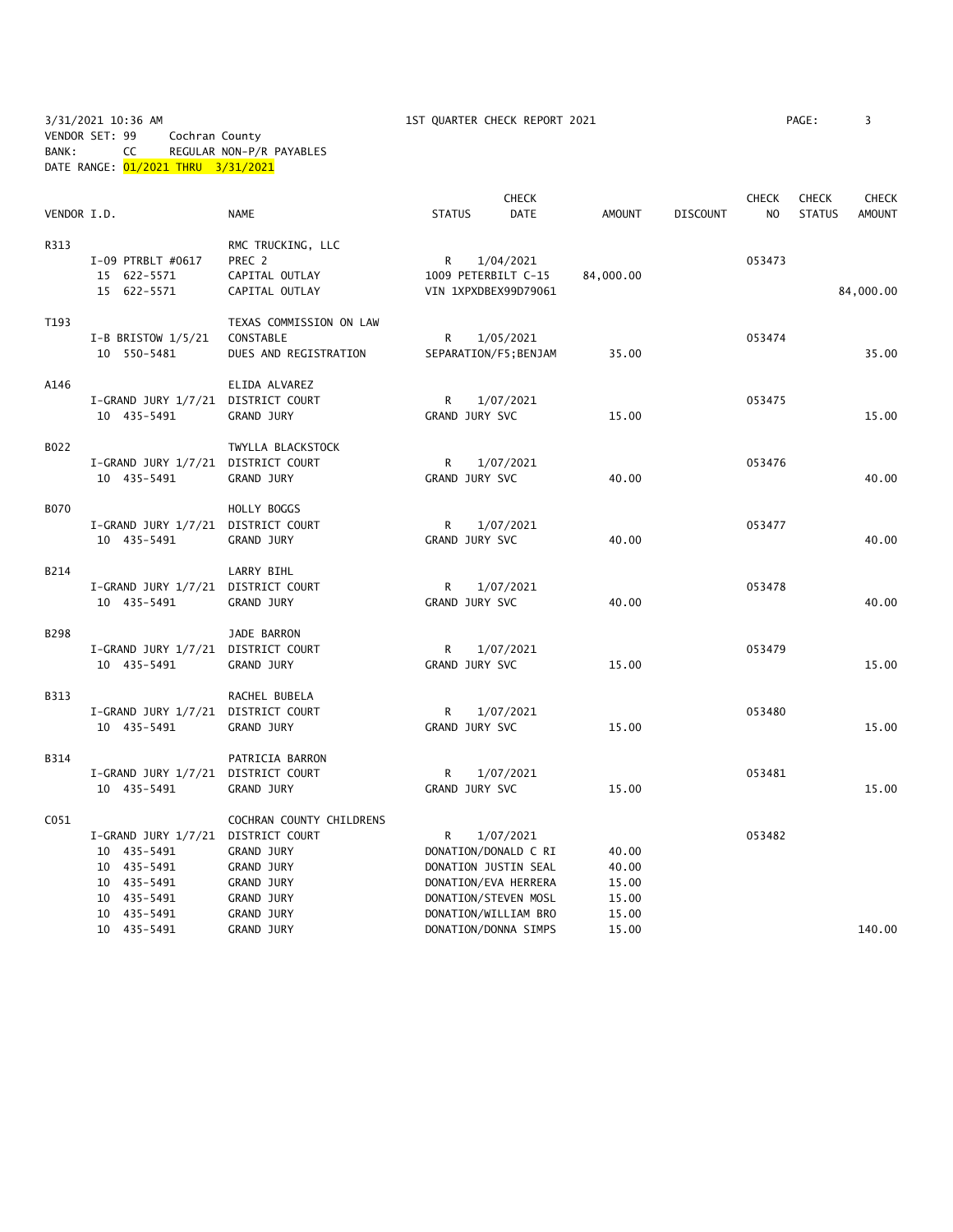3/31/2021 10:36 AM 1ST QUARTER CHECK REPORT 2021 PAGE: 3 VENDOR SET: 99 Cochran County BANK: CC REGULAR NON-P/R PAYABLES

DATE RANGE: 01/2021 THRU 3/31/2021

| VENDOR I.D.      |                                    | <b>NAME</b>                      | <b>STATUS</b>       | CHECK<br><b>DATE</b>  | <b>AMOUNT</b> | <b>DISCOUNT</b> | <b>CHECK</b><br>N <sub>O</sub> | <b>CHECK</b><br><b>STATUS</b> | CHECK<br><b>AMOUNT</b> |
|------------------|------------------------------------|----------------------------------|---------------------|-----------------------|---------------|-----------------|--------------------------------|-------------------------------|------------------------|
|                  |                                    |                                  |                     |                       |               |                 |                                |                               |                        |
| R313             |                                    | RMC TRUCKING, LLC                |                     |                       |               |                 |                                |                               |                        |
|                  | I-09 PTRBLT #0617                  | PREC 2                           | R                   | 1/04/2021             |               |                 | 053473                         |                               |                        |
|                  | 15 622-5571<br>15 622-5571         | CAPITAL OUTLAY<br>CAPITAL OUTLAY | 1009 PETERBILT C-15 | VIN 1XPXDBEX99D79061  | 84,000.00     |                 |                                |                               | 84,000.00              |
|                  |                                    |                                  |                     |                       |               |                 |                                |                               |                        |
| T193             |                                    | TEXAS COMMISSION ON LAW          |                     |                       |               |                 |                                |                               |                        |
|                  | I-B BRISTOW $1/5/21$               | CONSTABLE                        | R                   | 1/05/2021             |               |                 | 053474                         |                               |                        |
|                  | 10 550-5481                        | DUES AND REGISTRATION            |                     | SEPARATION/F5; BENJAM | 35.00         |                 |                                |                               | 35.00                  |
| A146             |                                    | ELIDA ALVAREZ                    |                     |                       |               |                 |                                |                               |                        |
|                  | I-GRAND JURY 1/7/21 DISTRICT COURT |                                  | R                   | 1/07/2021             |               |                 | 053475                         |                               |                        |
|                  | 10 435-5491                        | <b>GRAND JURY</b>                | GRAND JURY SVC      |                       | 15.00         |                 |                                |                               | 15.00                  |
| B022             |                                    | TWYLLA BLACKSTOCK                |                     |                       |               |                 |                                |                               |                        |
|                  | I-GRAND JURY 1/7/21 DISTRICT COURT |                                  | R                   | 1/07/2021             |               |                 | 053476                         |                               |                        |
|                  | 10 435-5491                        | <b>GRAND JURY</b>                | GRAND JURY SVC      |                       | 40.00         |                 |                                |                               | 40.00                  |
| <b>B070</b>      |                                    | HOLLY BOGGS                      |                     |                       |               |                 |                                |                               |                        |
|                  | I-GRAND JURY 1/7/21 DISTRICT COURT |                                  | R                   | 1/07/2021             |               |                 | 053477                         |                               |                        |
|                  | 10 435-5491                        | GRAND JURY                       | GRAND JURY SVC      |                       | 40.00         |                 |                                |                               | 40.00                  |
| B214             |                                    | LARRY BIHL                       |                     |                       |               |                 |                                |                               |                        |
|                  | I-GRAND JURY 1/7/21 DISTRICT COURT |                                  | R                   | 1/07/2021             |               |                 | 053478                         |                               |                        |
|                  | 10 435-5491                        | <b>GRAND JURY</b>                | GRAND JURY SVC      |                       | 40.00         |                 |                                |                               | 40.00                  |
|                  |                                    |                                  |                     |                       |               |                 |                                |                               |                        |
| B298             |                                    | JADE BARRON                      |                     |                       |               |                 |                                |                               |                        |
|                  | I-GRAND JURY 1/7/21 DISTRICT COURT |                                  | R                   | 1/07/2021             |               |                 | 053479                         |                               |                        |
|                  | 10 435-5491                        | GRAND JURY                       | GRAND JURY SVC      |                       | 15.00         |                 |                                |                               | 15.00                  |
| <b>B313</b>      |                                    | RACHEL BUBELA                    |                     |                       |               |                 |                                |                               |                        |
|                  | I-GRAND JURY 1/7/21 DISTRICT COURT |                                  | R                   | 1/07/2021             |               |                 | 053480                         |                               |                        |
|                  | 10 435-5491                        | GRAND JURY                       | GRAND JURY SVC      |                       | 15.00         |                 |                                |                               | 15.00                  |
| B314             |                                    | PATRICIA BARRON                  |                     |                       |               |                 |                                |                               |                        |
|                  | I-GRAND JURY 1/7/21 DISTRICT COURT |                                  | R                   | 1/07/2021             |               |                 | 053481                         |                               |                        |
|                  | 10 435-5491                        | GRAND JURY                       | GRAND JURY SVC      |                       | 15.00         |                 |                                |                               | 15.00                  |
| C <sub>051</sub> |                                    | COCHRAN COUNTY CHILDRENS         |                     |                       |               |                 |                                |                               |                        |
|                  | I-GRAND JURY 1/7/21 DISTRICT COURT |                                  | R                   | 1/07/2021             |               |                 | 053482                         |                               |                        |
|                  | 10 435-5491                        | <b>GRAND JURY</b>                |                     | DONATION/DONALD C RI  | 40.00         |                 |                                |                               |                        |
|                  | 10 435-5491                        | <b>GRAND JURY</b>                |                     | DONATION JUSTIN SEAL  | 40.00         |                 |                                |                               |                        |
|                  | 10 435-5491                        | GRAND JURY                       |                     | DONATION/EVA HERRERA  | 15.00         |                 |                                |                               |                        |
|                  | 10 435-5491                        | <b>GRAND JURY</b>                |                     | DONATION/STEVEN MOSL  | 15.00         |                 |                                |                               |                        |
|                  | 10 435-5491                        | GRAND JURY                       |                     | DONATION/WILLIAM BRO  | 15.00         |                 |                                |                               |                        |
|                  | 10 435-5491                        | <b>GRAND JURY</b>                |                     | DONATION/DONNA SIMPS  | 15.00         |                 |                                |                               | 140.00                 |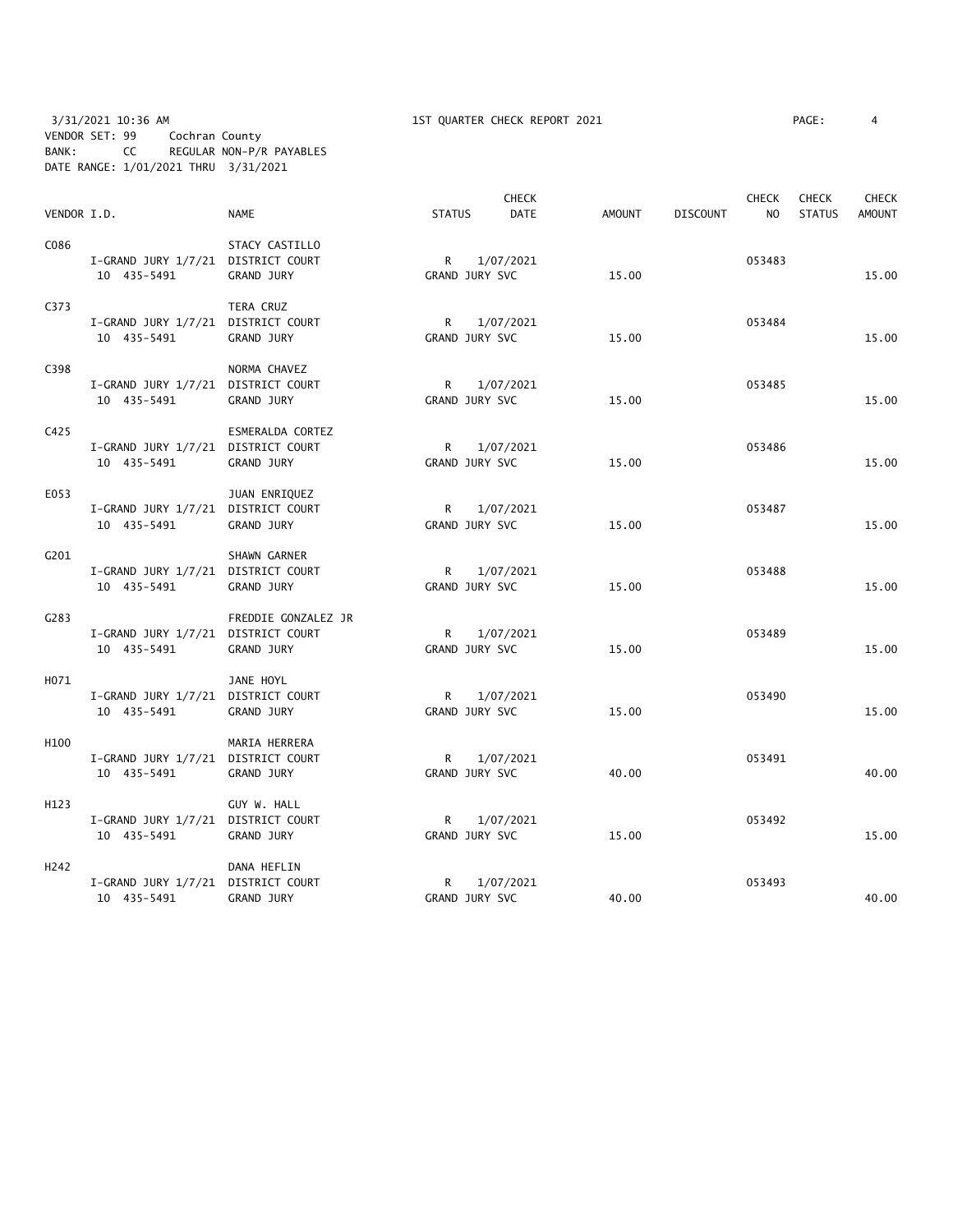3/31/2021 10:36 AM 1ST QUARTER CHECK REPORT 2021 PAGE: 4 VENDOR SET: 99 Cochran County BANK: CC REGULAR NON-P/R PAYABLES DATE RANGE: 1/01/2021 THRU 3/31/2021

|                  |                                    |                     |                | <b>CHECK</b> |               |                 | <b>CHECK</b>   | <b>CHECK</b>  | <b>CHECK</b>  |
|------------------|------------------------------------|---------------------|----------------|--------------|---------------|-----------------|----------------|---------------|---------------|
| VENDOR I.D.      |                                    | <b>NAME</b>         | <b>STATUS</b>  | <b>DATE</b>  | <b>AMOUNT</b> | <b>DISCOUNT</b> | N <sub>O</sub> | <b>STATUS</b> | <b>AMOUNT</b> |
| C086             |                                    | STACY CASTILLO      |                |              |               |                 |                |               |               |
|                  | I-GRAND JURY 1/7/21 DISTRICT COURT |                     | $\mathsf{R}$   | 1/07/2021    |               |                 | 053483         |               |               |
|                  | 10 435-5491                        | <b>GRAND JURY</b>   | GRAND JURY SVC |              | 15.00         |                 |                |               | 15.00         |
| C373             |                                    | TERA CRUZ           |                |              |               |                 |                |               |               |
|                  | I-GRAND JURY 1/7/21 DISTRICT COURT |                     |                | R 1/07/2021  |               |                 | 053484         |               |               |
|                  | 10 435-5491                        | GRAND JURY          | GRAND JURY SVC |              | 15.00         |                 |                |               | 15.00         |
| C398             |                                    | NORMA CHAVEZ        |                |              |               |                 |                |               |               |
|                  | I-GRAND JURY 1/7/21 DISTRICT COURT |                     | R              | 1/07/2021    |               |                 | 053485         |               |               |
|                  | 10 435-5491                        | GRAND JURY          | GRAND JURY SVC |              | 15.00         |                 |                |               | 15.00         |
| C425             |                                    | ESMERALDA CORTEZ    |                |              |               |                 |                |               |               |
|                  | I-GRAND JURY 1/7/21 DISTRICT COURT |                     |                | R 1/07/2021  |               |                 | 053486         |               |               |
|                  | 10 435-5491                        | GRAND JURY          | GRAND JURY SVC |              | 15.00         |                 |                |               | 15.00         |
| E053             |                                    | JUAN ENRIQUEZ       |                |              |               |                 |                |               |               |
|                  | I-GRAND JURY 1/7/21 DISTRICT COURT |                     | R              | 1/07/2021    |               |                 | 053487         |               |               |
|                  | 10 435-5491                        | GRAND JURY          | GRAND JURY SVC |              | 15.00         |                 |                |               | 15.00         |
| G201             |                                    | SHAWN GARNER        |                |              |               |                 |                |               |               |
|                  | I-GRAND JURY 1/7/21 DISTRICT COURT |                     | R.             | 1/07/2021    |               |                 | 053488         |               |               |
|                  | 10 435-5491                        | GRAND JURY          | GRAND JURY SVC |              | 15.00         |                 |                |               | 15.00         |
| G283             |                                    | FREDDIE GONZALEZ JR |                |              |               |                 |                |               |               |
|                  | I-GRAND JURY 1/7/21 DISTRICT COURT |                     | $\mathsf{R}$   | 1/07/2021    |               |                 | 053489         |               |               |
|                  | 10 435-5491                        | GRAND JURY          | GRAND JURY SVC |              | 15.00         |                 |                |               | 15.00         |
| H071             |                                    | JANE HOYL           |                |              |               |                 |                |               |               |
|                  | I-GRAND JURY 1/7/21 DISTRICT COURT |                     | $\mathsf{R}$   | 1/07/2021    |               |                 | 053490         |               |               |
|                  | 10 435-5491                        | GRAND JURY          | GRAND JURY SVC |              | 15.00         |                 |                |               | 15.00         |
| H100             |                                    | MARIA HERRERA       |                |              |               |                 |                |               |               |
|                  | I-GRAND JURY 1/7/21 DISTRICT COURT |                     | $\mathsf{R}$   | 1/07/2021    |               |                 | 053491         |               |               |
|                  | 10 435-5491                        | GRAND JURY          | GRAND JURY SVC |              | 40.00         |                 |                |               | 40.00         |
| H123             |                                    | GUY W. HALL         |                |              |               |                 |                |               |               |
|                  | I-GRAND JURY 1/7/21 DISTRICT COURT |                     | $R \sim$       | 1/07/2021    |               |                 | 053492         |               |               |
|                  | 10 435-5491                        | GRAND JURY          | GRAND JURY SVC |              | 15.00         |                 |                |               | 15.00         |
| H <sub>242</sub> |                                    | DANA HEFLIN         |                |              |               |                 |                |               |               |
|                  | I-GRAND JURY 1/7/21 DISTRICT COURT |                     | $\mathsf{R}$   | 1/07/2021    |               |                 | 053493         |               |               |
|                  | 10 435-5491                        | <b>GRAND JURY</b>   | GRAND JURY SVC |              | 40.00         |                 |                |               | 40.00         |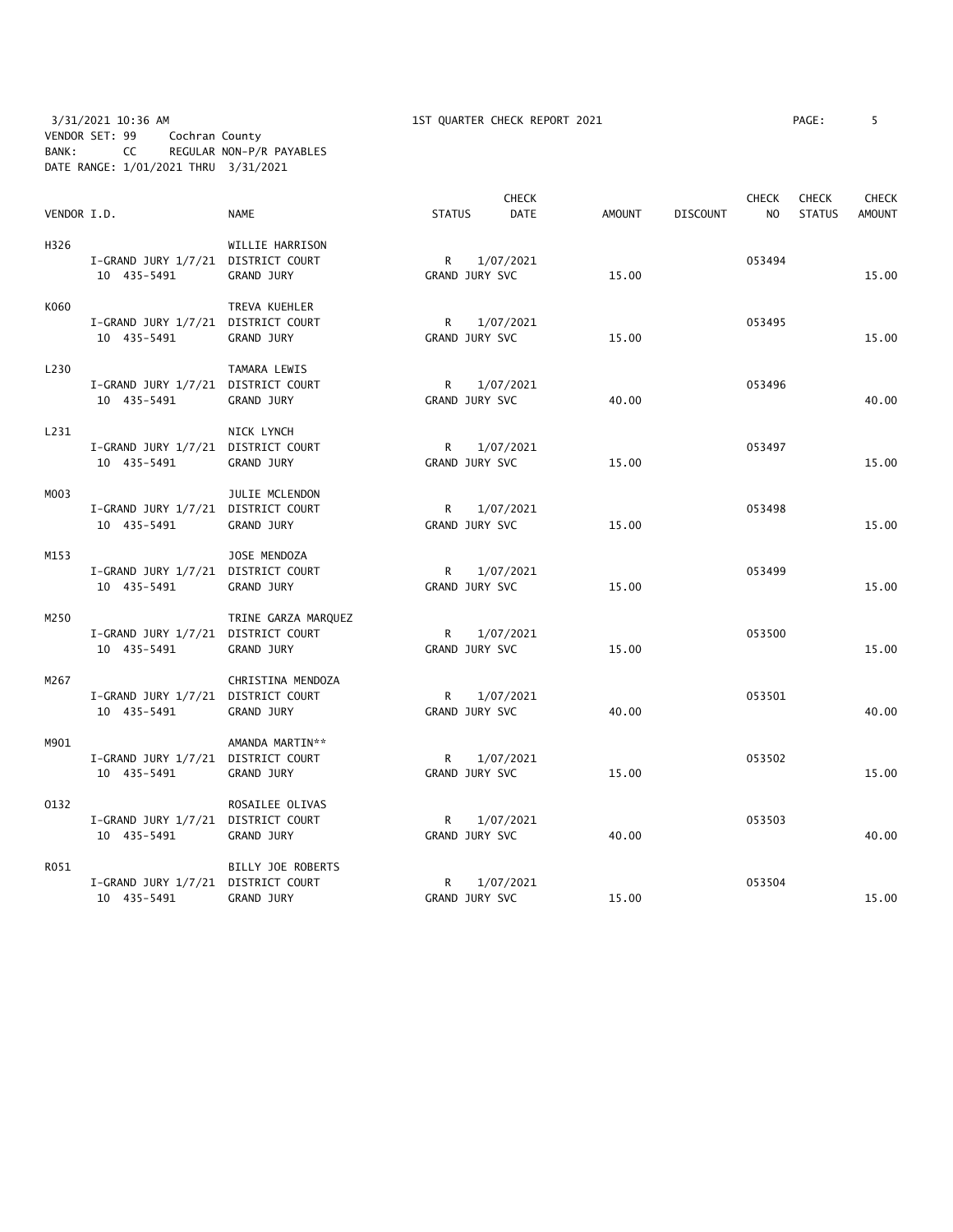# 3/31/2021 10:36 AM 1ST QUARTER CHECK REPORT 2021 PAGE: 5 VENDOR SET: 99 Cochran County BANK: CC REGULAR NON-P/R PAYABLES DATE RANGE: 1/01/2021 THRU 3/31/2021

| VENDOR I.D. |                                                   | <b>NAME</b>                              | <b>STATUS</b>                  | <b>CHECK</b><br><b>DATE</b> | <b>AMOUNT</b> | <b>DISCOUNT</b> | <b>CHECK</b><br>N <sub>O</sub> | <b>CHECK</b><br><b>STATUS</b> | <b>CHECK</b><br><b>AMOUNT</b> |
|-------------|---------------------------------------------------|------------------------------------------|--------------------------------|-----------------------------|---------------|-----------------|--------------------------------|-------------------------------|-------------------------------|
| H326        | I-GRAND JURY 1/7/21 DISTRICT COURT<br>10 435-5491 | WILLIE HARRISON<br><b>GRAND JURY</b>     | $\mathsf{R}$<br>GRAND JURY SVC | 1/07/2021                   | 15.00         |                 | 053494                         |                               | 15.00                         |
| K060        | I-GRAND JURY 1/7/21 DISTRICT COURT<br>10 435-5491 | TREVA KUEHLER<br>GRAND JURY              | R<br>GRAND JURY SVC            | 1/07/2021                   | 15.00         |                 | 053495                         |                               | 15.00                         |
| L230        | I-GRAND JURY 1/7/21 DISTRICT COURT<br>10 435-5491 | TAMARA LEWIS<br><b>GRAND JURY</b>        | R<br>GRAND JURY SVC            | 1/07/2021                   | 40.00         |                 | 053496                         |                               | 40.00                         |
| L231        | I-GRAND JURY 1/7/21 DISTRICT COURT<br>10 435-5491 | NICK LYNCH<br><b>GRAND JURY</b>          | $\mathsf{R}$<br>GRAND JURY SVC | 1/07/2021                   | 15.00         |                 | 053497                         |                               | 15.00                         |
| MO03        | I-GRAND JURY 1/7/21 DISTRICT COURT<br>10 435-5491 | JULIE MCLENDON<br>GRAND JURY             | $\mathsf{R}$<br>GRAND JURY SVC | 1/07/2021                   | 15.00         |                 | 053498                         |                               | 15.00                         |
| M153        | I-GRAND JURY 1/7/21 DISTRICT COURT<br>10 435-5491 | JOSE MENDOZA<br>GRAND JURY               | R<br>GRAND JURY SVC            | 1/07/2021                   | 15.00         |                 | 053499                         |                               | 15.00                         |
| M250        | I-GRAND JURY 1/7/21 DISTRICT COURT<br>10 435-5491 | TRINE GARZA MARQUEZ<br><b>GRAND JURY</b> | R<br>GRAND JURY SVC            | 1/07/2021                   | 15.00         |                 | 053500                         |                               | 15.00                         |
| M267        | I-GRAND JURY 1/7/21 DISTRICT COURT<br>10 435-5491 | CHRISTINA MENDOZA<br>GRAND JURY          | $\mathsf{R}$<br>GRAND JURY SVC | 1/07/2021                   | 40.00         |                 | 053501                         |                               | 40.00                         |
| M901        | I-GRAND JURY 1/7/21 DISTRICT COURT<br>10 435-5491 | AMANDA MARTIN**<br>GRAND JURY            | $\mathsf{R}$<br>GRAND JURY SVC | 1/07/2021                   | 15.00         |                 | 053502                         |                               | 15.00                         |
| 0132        | I-GRAND JURY 1/7/21 DISTRICT COURT<br>10 435-5491 | ROSAILEE OLIVAS<br>GRAND JURY            | R<br>GRAND JURY SVC            | 1/07/2021                   | 40.00         |                 | 053503                         |                               | 40.00                         |
| R051        | I-GRAND JURY 1/7/21 DISTRICT COURT<br>10 435-5491 | BILLY JOE ROBERTS<br>GRAND JURY          | $\mathsf{R}$<br>GRAND JURY SVC | 1/07/2021                   | 15.00         |                 | 053504                         |                               | 15.00                         |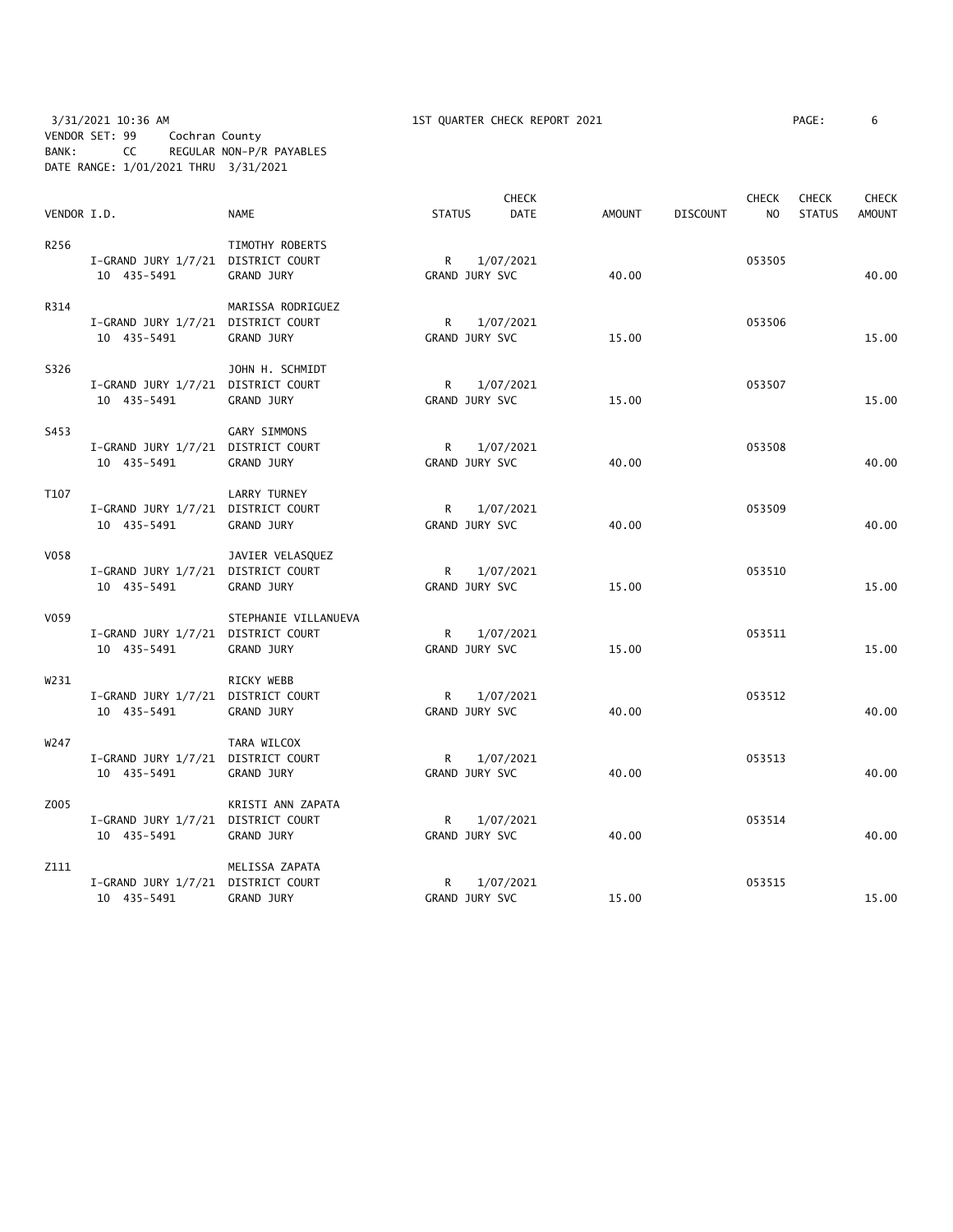3/31/2021 10:36 AM 1ST QUARTER CHECK REPORT 2021 PAGE: 6 VENDOR SET: 99 Cochran County BANK: CC REGULAR NON-P/R PAYABLES DATE RANGE: 1/01/2021 THRU 3/31/2021

| VENDOR I.D. |                                    | <b>NAME</b>          | <b>STATUS</b>  | <b>CHECK</b><br><b>DATE</b> | <b>AMOUNT</b> | <b>DISCOUNT</b> | <b>CHECK</b><br>N <sub>O</sub> | <b>CHECK</b><br><b>STATUS</b> | <b>CHECK</b><br><b>AMOUNT</b> |
|-------------|------------------------------------|----------------------|----------------|-----------------------------|---------------|-----------------|--------------------------------|-------------------------------|-------------------------------|
|             |                                    |                      |                |                             |               |                 |                                |                               |                               |
| R256        |                                    | TIMOTHY ROBERTS      |                |                             |               |                 |                                |                               |                               |
|             | I-GRAND JURY 1/7/21 DISTRICT COURT |                      | $\mathsf{R}$   | 1/07/2021                   |               |                 | 053505                         |                               |                               |
|             | 10 435-5491                        | GRAND JURY           | GRAND JURY SVC |                             | 40.00         |                 |                                |                               | 40.00                         |
| R314        |                                    | MARISSA RODRIGUEZ    |                |                             |               |                 |                                |                               |                               |
|             | I-GRAND JURY 1/7/21 DISTRICT COURT |                      | $\mathsf{R}$   | 1/07/2021                   |               |                 | 053506                         |                               |                               |
|             | 10 435-5491                        | GRAND JURY           | GRAND JURY SVC |                             | 15.00         |                 |                                |                               | 15.00                         |
| S326        |                                    | JOHN H. SCHMIDT      |                |                             |               |                 |                                |                               |                               |
|             | I-GRAND JURY 1/7/21 DISTRICT COURT |                      | $\mathsf{R}$   | 1/07/2021                   |               |                 | 053507                         |                               |                               |
|             | 10 435-5491                        | GRAND JURY           | GRAND JURY SVC |                             | 15.00         |                 |                                |                               | 15.00                         |
| S453        |                                    | <b>GARY SIMMONS</b>  |                |                             |               |                 |                                |                               |                               |
|             | I-GRAND JURY 1/7/21 DISTRICT COURT |                      | R 1/07/2021    |                             |               |                 | 053508                         |                               |                               |
|             | 10 435-5491                        | GRAND JURY           | GRAND JURY SVC |                             | 40.00         |                 |                                |                               | 40.00                         |
| T107        |                                    | <b>LARRY TURNEY</b>  |                |                             |               |                 |                                |                               |                               |
|             | I-GRAND JURY 1/7/21 DISTRICT COURT |                      | R              | 1/07/2021                   |               |                 | 053509                         |                               |                               |
|             | 10 435-5491                        | GRAND JURY           | GRAND JURY SVC |                             | 40.00         |                 |                                |                               | 40.00                         |
| V058        |                                    | JAVIER VELASQUEZ     |                |                             |               |                 |                                |                               |                               |
|             | I-GRAND JURY 1/7/21 DISTRICT COURT |                      | R              | 1/07/2021                   |               |                 | 053510                         |                               |                               |
|             | 10 435-5491                        | GRAND JURY           | GRAND JURY SVC |                             | 15.00         |                 |                                |                               | 15.00                         |
| V059        |                                    | STEPHANIE VILLANUEVA |                |                             |               |                 |                                |                               |                               |
|             | I-GRAND JURY 1/7/21 DISTRICT COURT |                      | $\mathsf{R}$   | 1/07/2021                   |               |                 | 053511                         |                               |                               |
|             | 10 435-5491                        | GRAND JURY           | GRAND JURY SVC |                             | 15.00         |                 |                                |                               | 15.00                         |
| W231        |                                    | RICKY WEBB           |                |                             |               |                 |                                |                               |                               |
|             | I-GRAND JURY 1/7/21 DISTRICT COURT |                      | R              | 1/07/2021                   |               |                 | 053512                         |                               |                               |
|             | 10 435-5491                        | GRAND JURY           | GRAND JURY SVC |                             | 40.00         |                 |                                |                               | 40.00                         |
| W247        |                                    | TARA WILCOX          |                |                             |               |                 |                                |                               |                               |
|             | I-GRAND JURY 1/7/21 DISTRICT COURT |                      | R              | 1/07/2021                   |               |                 | 053513                         |                               |                               |
|             | 10 435-5491                        | GRAND JURY           | GRAND JURY SVC |                             | 40.00         |                 |                                |                               | 40.00                         |
| Z005        |                                    | KRISTI ANN ZAPATA    |                |                             |               |                 |                                |                               |                               |
|             | I-GRAND JURY 1/7/21 DISTRICT COURT |                      | R.             | 1/07/2021                   |               |                 | 053514                         |                               |                               |
|             | 10 435-5491                        | GRAND JURY           | GRAND JURY SVC |                             | 40.00         |                 |                                |                               | 40.00                         |
| Z111        |                                    | MELISSA ZAPATA       |                |                             |               |                 |                                |                               |                               |
|             | I-GRAND JURY 1/7/21 DISTRICT COURT |                      | R              | 1/07/2021                   |               |                 | 053515                         |                               |                               |
|             | 10 435-5491                        | <b>GRAND JURY</b>    | GRAND JURY SVC |                             | 15.00         |                 |                                |                               | 15.00                         |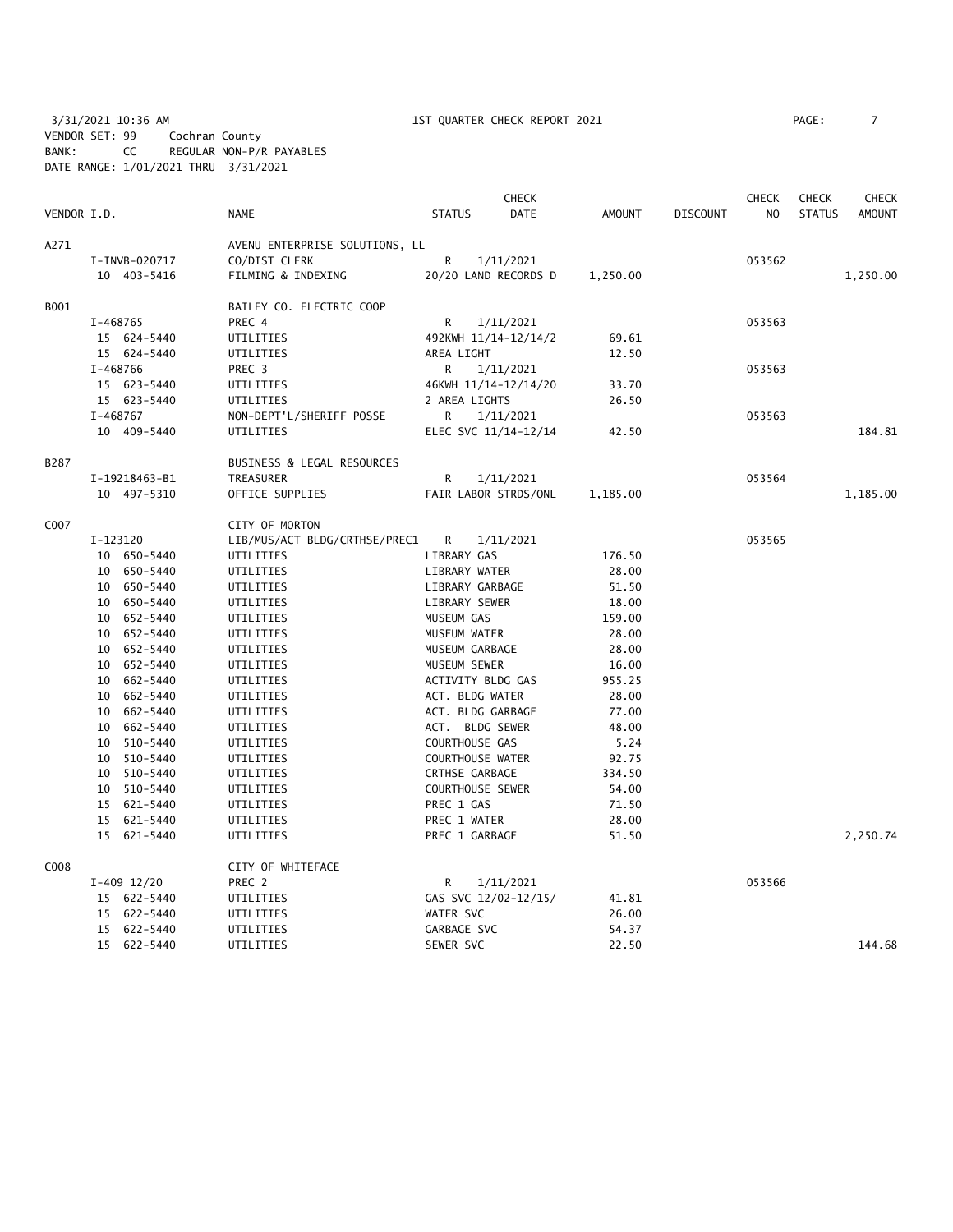3/31/2021 10:36 AM 1ST QUARTER CHECK REPORT 2021 PAGE: 7 VENDOR SET: 99 Cochran County BANK: CC REGULAR NON-P/R PAYABLES DATE RANGE: 1/01/2021 THRU 3/31/2021

|             |          |               |                                |                         | <b>CHECK</b>           |               |                 | <b>CHECK</b>   | <b>CHECK</b>  | <b>CHECK</b>  |
|-------------|----------|---------------|--------------------------------|-------------------------|------------------------|---------------|-----------------|----------------|---------------|---------------|
| VENDOR I.D. |          |               | <b>NAME</b>                    | <b>STATUS</b>           | <b>DATE</b>            | <b>AMOUNT</b> | <b>DISCOUNT</b> | N <sub>O</sub> | <b>STATUS</b> | <b>AMOUNT</b> |
| A271        |          |               | AVENU ENTERPRISE SOLUTIONS, LL |                         |                        |               |                 |                |               |               |
|             |          | I-INVB-020717 | CO/DIST CLERK                  | R                       | 1/11/2021              |               |                 | 053562         |               |               |
|             |          | 10 403-5416   | FILMING & INDEXING             | 20/20 LAND RECORDS D    |                        | 1,250.00      |                 |                |               | 1,250.00      |
| B001        |          |               | BAILEY CO. ELECTRIC COOP       |                         |                        |               |                 |                |               |               |
|             | I-468765 |               | PREC 4                         | R                       | 1/11/2021              |               |                 | 053563         |               |               |
|             |          | 15 624-5440   | UTILITIES                      | 492KWH 11/14-12/14/2    |                        | 69.61         |                 |                |               |               |
|             |          | 15 624-5440   | UTILITIES                      | AREA LIGHT              |                        | 12.50         |                 |                |               |               |
|             | I-468766 |               | PREC 3                         | R                       | 1/11/2021              |               |                 | 053563         |               |               |
|             |          | 15 623-5440   | UTILITIES                      | 46KWH 11/14-12/14/20    |                        | 33.70         |                 |                |               |               |
|             |          | 15 623-5440   | UTILITIES                      | 2 AREA LIGHTS           |                        | 26.50         |                 |                |               |               |
|             | I-468767 |               | NON-DEPT'L/SHERIFF POSSE       | R                       | 1/11/2021              |               |                 | 053563         |               |               |
|             |          | 10 409-5440   | UTILITIES                      | ELEC SVC 11/14-12/14    |                        | 42.50         |                 |                |               | 184.81        |
| B287        |          |               | BUSINESS & LEGAL RESOURCES     |                         |                        |               |                 |                |               |               |
|             |          | I-19218463-B1 | TREASURER                      | R                       | 1/11/2021              |               |                 | 053564         |               |               |
|             |          | 10 497-5310   | OFFICE SUPPLIES                | FAIR LABOR STRDS/ONL    |                        | 1,185.00      |                 |                |               | 1,185.00      |
| C007        |          |               | CITY OF MORTON                 |                         |                        |               |                 |                |               |               |
|             | I-123120 |               | LIB/MUS/ACT BLDG/CRTHSE/PREC1  | R                       | 1/11/2021              |               |                 | 053565         |               |               |
|             |          | 10 650-5440   | UTILITIES                      |                         | LIBRARY GAS            |               |                 |                |               |               |
|             |          | 10 650-5440   | UTILITIES                      |                         | LIBRARY WATER<br>28.00 |               |                 |                |               |               |
|             |          | 10 650-5440   | UTILITIES                      | LIBRARY GARBAGE         |                        | 51.50         |                 |                |               |               |
|             |          | 10 650-5440   | UTILITIES                      | LIBRARY SEWER           |                        | 18.00         |                 |                |               |               |
|             |          | 10 652-5440   | UTILITIES                      | MUSEUM GAS              |                        | 159.00        |                 |                |               |               |
|             |          | 10 652-5440   | UTILITIES                      | MUSEUM WATER            |                        | 28.00         |                 |                |               |               |
|             |          | 10 652-5440   | UTILITIES                      | MUSEUM GARBAGE          |                        | 28.00         |                 |                |               |               |
|             |          | 10 652-5440   | UTILITIES                      | MUSEUM SEWER            |                        | 16.00         |                 |                |               |               |
|             |          | 10 662-5440   | UTILITIES                      | ACTIVITY BLDG GAS       |                        | 955.25        |                 |                |               |               |
|             |          | 10 662-5440   | UTILITIES                      | ACT. BLDG WATER         |                        | 28.00         |                 |                |               |               |
|             |          | 10 662-5440   | UTILITIES                      | ACT. BLDG GARBAGE       |                        | 77.00         |                 |                |               |               |
|             |          | 10 662-5440   | UTILITIES                      | ACT. BLDG SEWER         |                        | 48.00         |                 |                |               |               |
|             |          | 10 510-5440   | UTILITIES                      | COURTHOUSE GAS          |                        | 5.24          |                 |                |               |               |
|             | 10       | 510-5440      | UTILITIES                      | COURTHOUSE WATER        |                        | 92.75         |                 |                |               |               |
|             |          | 10 510-5440   | UTILITIES                      | CRTHSE GARBAGE          |                        | 334.50        |                 |                |               |               |
|             |          | 10 510-5440   | UTILITIES                      | <b>COURTHOUSE SEWER</b> |                        | 54.00         |                 |                |               |               |
|             |          | 15 621-5440   | UTILITIES                      | PREC 1 GAS              |                        | 71.50         |                 |                |               |               |
|             |          | 15 621-5440   | UTILITIES                      | PREC 1 WATER            |                        | 28.00         |                 |                |               |               |
|             |          | 15 621-5440   | UTILITIES                      | PREC 1 GARBAGE          |                        | 51.50         |                 |                |               | 2,250.74      |
| C008        |          |               | CITY OF WHITEFACE              |                         |                        |               |                 |                |               |               |
|             |          | $I-409$ 12/20 | PREC 2                         | R                       | 1/11/2021              |               |                 | 053566         |               |               |
|             |          | 15 622-5440   | UTILITIES                      | GAS SVC 12/02-12/15/    |                        | 41.81         |                 |                |               |               |
|             |          | 15 622-5440   | UTILITIES                      | WATER SVC               |                        | 26.00         |                 |                |               |               |
|             |          | 15 622-5440   | UTILITIES                      | GARBAGE SVC             |                        | 54.37         |                 |                |               |               |
|             |          | 15 622-5440   | UTILITIES                      | SEWER SVC               |                        | 22.50         |                 |                |               | 144.68        |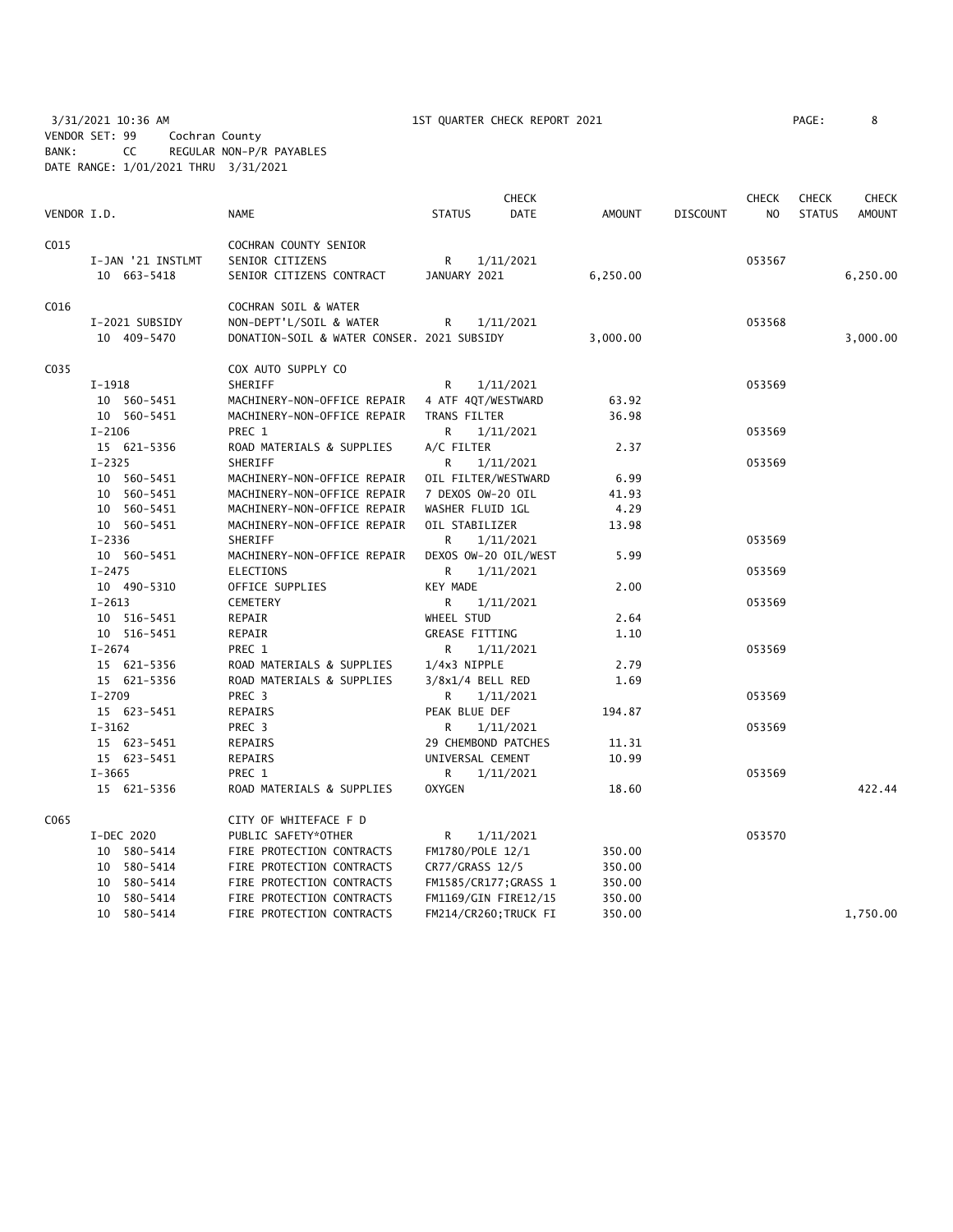3/31/2021 10:36 AM 1ST QUARTER CHECK REPORT 2021 PAGE: 8 VENDOR SET: 99 Cochran County BANK: CC REGULAR NON-P/R PAYABLES DATE RANGE: 1/01/2021 THRU 3/31/2021

|             |                   |                                            |                       | CHECK                |               |                 | <b>CHECK</b> | <b>CHECK</b>  | <b>CHECK</b>  |
|-------------|-------------------|--------------------------------------------|-----------------------|----------------------|---------------|-----------------|--------------|---------------|---------------|
| VENDOR I.D. |                   | <b>NAME</b>                                | <b>STATUS</b>         | <b>DATE</b>          | <b>AMOUNT</b> | <b>DISCOUNT</b> | NO           | <b>STATUS</b> | <b>AMOUNT</b> |
| C015        |                   | COCHRAN COUNTY SENIOR                      |                       |                      |               |                 |              |               |               |
|             | I-JAN '21 INSTLMT | SENIOR CITIZENS                            | R                     | 1/11/2021            |               |                 | 053567       |               |               |
|             | 10 663-5418       | SENIOR CITIZENS CONTRACT                   | JANUARY 2021          |                      | 6,250.00      |                 |              |               | 6,250.00      |
|             |                   |                                            |                       |                      |               |                 |              |               |               |
| C016        |                   | COCHRAN SOIL & WATER                       |                       |                      |               |                 |              |               |               |
|             | I-2021 SUBSIDY    | NON-DEPT'L/SOIL & WATER                    | R                     | 1/11/2021            |               |                 | 053568       |               |               |
|             | 10 409-5470       | DONATION-SOIL & WATER CONSER. 2021 SUBSIDY |                       |                      | 3,000.00      |                 |              |               | 3,000.00      |
| C035        |                   |                                            |                       |                      |               |                 |              |               |               |
|             |                   | COX AUTO SUPPLY CO                         |                       |                      |               |                 |              |               |               |
|             | $I-1918$          | SHERIFF                                    | R                     | 1/11/2021            |               |                 | 053569       |               |               |
|             | 10 560-5451       | MACHINERY-NON-OFFICE REPAIR                | 4 ATF 4QT/WESTWARD    |                      | 63.92         |                 |              |               |               |
|             | 10 560-5451       | MACHINERY-NON-OFFICE REPAIR                | TRANS FILTER          |                      | 36.98         |                 |              |               |               |
|             | $I - 2106$        | PREC 1                                     | R                     | 1/11/2021            |               |                 | 053569       |               |               |
|             | 15 621-5356       | ROAD MATERIALS & SUPPLIES                  | A/C FILTER            |                      | 2.37          |                 |              |               |               |
|             | $I - 2325$        | SHERIFF                                    | R                     | 1/11/2021            |               |                 | 053569       |               |               |
|             | 10 560-5451       | MACHINERY-NON-OFFICE REPAIR                |                       | OIL FILTER/WESTWARD  | 6.99          |                 |              |               |               |
|             | 10 560-5451       | MACHINERY-NON-OFFICE REPAIR                | 7 DEXOS OW-20 OIL     |                      | 41.93         |                 |              |               |               |
|             | 10 560-5451       | MACHINERY-NON-OFFICE REPAIR                | WASHER FLUID 1GL      |                      | 4.29          |                 |              |               |               |
|             | 10 560-5451       | MACHINERY-NON-OFFICE REPAIR                | OIL STABILIZER        |                      | 13.98         |                 |              |               |               |
|             | $I - 2336$        | SHERIFF                                    | R                     | 1/11/2021            |               |                 | 053569       |               |               |
|             | 10 560-5451       | MACHINERY-NON-OFFICE REPAIR                |                       | DEXOS OW-20 OIL/WEST | 5.99          |                 |              |               |               |
|             | $I - 2475$        | <b>ELECTIONS</b>                           | R                     | 1/11/2021            |               |                 | 053569       |               |               |
|             | 10 490-5310       | OFFICE SUPPLIES                            | KEY MADE              |                      | 2.00          |                 |              |               |               |
|             | $I-2613$          | CEMETERY                                   | R                     | 1/11/2021            |               |                 | 053569       |               |               |
|             | 10 516-5451       | REPAIR                                     | WHEEL STUD            |                      | 2.64          |                 |              |               |               |
|             | 10 516-5451       | REPAIR                                     | <b>GREASE FITTING</b> |                      | 1.10          |                 |              |               |               |
|             | $I - 2674$        | PREC 1                                     | R.                    | 1/11/2021            |               |                 | 053569       |               |               |
|             | 15 621-5356       | ROAD MATERIALS & SUPPLIES                  | 1/4x3 NIPPLE          |                      | 2.79          |                 |              |               |               |
|             | 15 621-5356       | ROAD MATERIALS & SUPPLIES                  | $3/8x1/4$ BELL RED    |                      | 1.69          |                 |              |               |               |
|             | $I - 2709$        | PREC 3                                     | R                     | 1/11/2021            |               |                 | 053569       |               |               |
|             | 15 623-5451       | REPAIRS                                    | PEAK BLUE DEF         |                      | 194.87        |                 |              |               |               |
|             | $I - 3162$        | PREC 3                                     | R                     | 1/11/2021            |               |                 | 053569       |               |               |
|             | 15 623-5451       | REPAIRS                                    |                       | 29 CHEMBOND PATCHES  | 11.31         |                 |              |               |               |
|             | 15 623-5451       | <b>REPAIRS</b>                             | UNIVERSAL CEMENT      |                      | 10.99         |                 |              |               |               |
|             | $I - 3665$        | PREC 1                                     | R.                    | 1/11/2021            |               |                 | 053569       |               |               |
|             | 15 621-5356       | ROAD MATERIALS & SUPPLIES                  | <b>OXYGEN</b>         |                      | 18.60         |                 |              |               | 422.44        |
| C065        |                   | CITY OF WHITEFACE F D                      |                       |                      |               |                 |              |               |               |
|             | I-DEC 2020        | PUBLIC SAFETY*OTHER                        | R                     | 1/11/2021            |               |                 | 053570       |               |               |
|             | 10 580-5414       | FIRE PROTECTION CONTRACTS                  | FM1780/POLE 12/1      |                      | 350.00        |                 |              |               |               |
|             | 10 580-5414       | FIRE PROTECTION CONTRACTS                  | CR77/GRASS 12/5       |                      | 350.00        |                 |              |               |               |
|             | 10 580-5414       | FIRE PROTECTION CONTRACTS                  |                       | FM1585/CR177;GRASS 1 | 350.00        |                 |              |               |               |
|             | 10 580-5414       | FIRE PROTECTION CONTRACTS                  |                       | FM1169/GIN FIRE12/15 | 350.00        |                 |              |               |               |
|             | 10 580-5414       | FIRE PROTECTION CONTRACTS                  |                       | FM214/CR260;TRUCK FI | 350.00        |                 |              |               | 1,750.00      |
|             |                   |                                            |                       |                      |               |                 |              |               |               |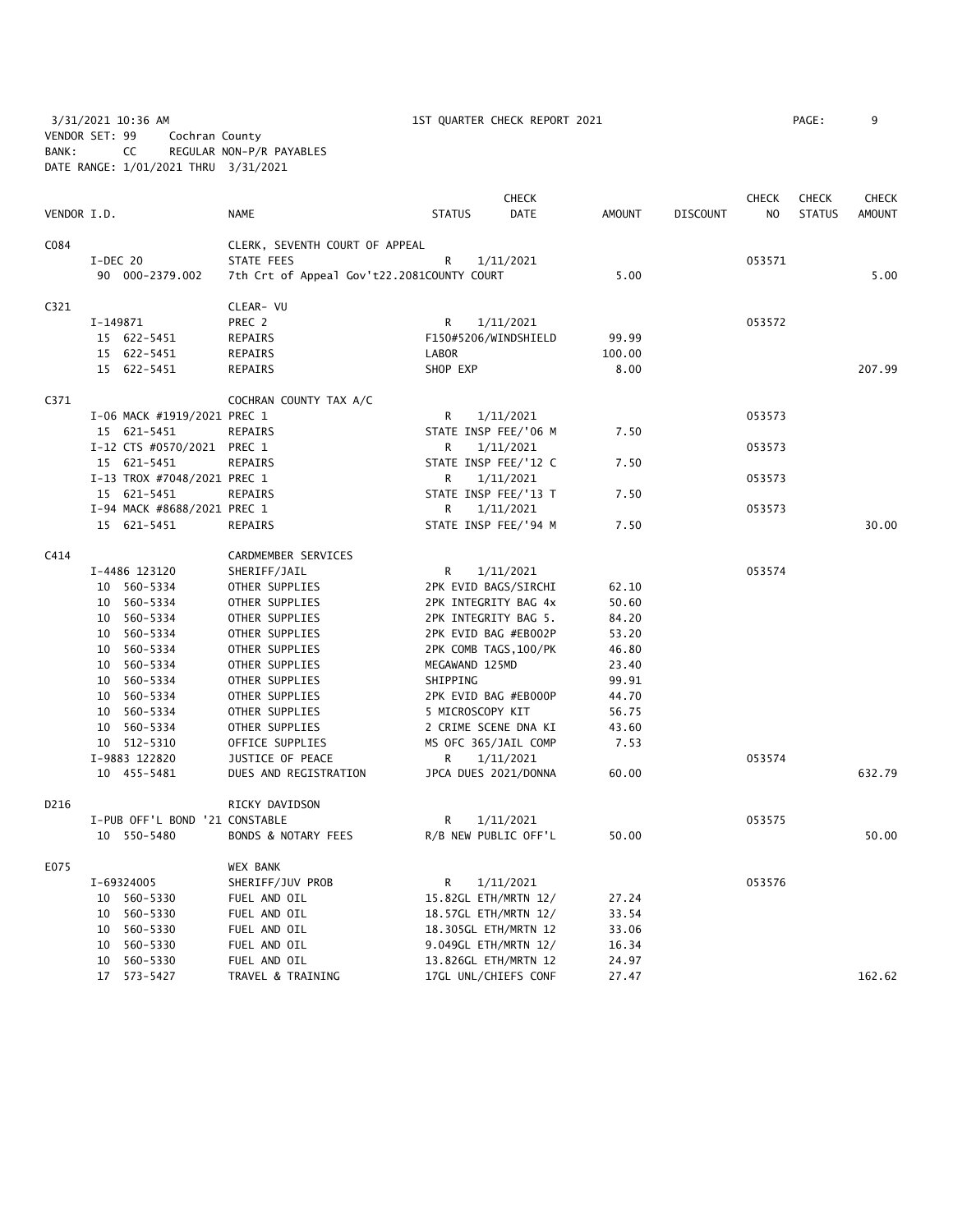3/31/2021 10:36 AM 1ST QUARTER CHECK REPORT 2021 PAGE: 9 VENDOR SET: 99 Cochran County BANK: CC REGULAR NON-P/R PAYABLES DATE RANGE: 1/01/2021 THRU 3/31/2021

|             |                                |                                            |                      | <b>CHECK</b>          |               |                 | <b>CHECK</b> | <b>CHECK</b>  | <b>CHECK</b>  |
|-------------|--------------------------------|--------------------------------------------|----------------------|-----------------------|---------------|-----------------|--------------|---------------|---------------|
| VENDOR I.D. |                                | <b>NAME</b>                                | <b>STATUS</b>        | DATE                  | <b>AMOUNT</b> | <b>DISCOUNT</b> | NO.          | <b>STATUS</b> | <b>AMOUNT</b> |
| C084        |                                | CLERK, SEVENTH COURT OF APPEAL             |                      |                       |               |                 |              |               |               |
|             | I-DEC 20                       | STATE FEES                                 | R                    | 1/11/2021             |               |                 | 053571       |               |               |
|             | 90 000-2379.002                | 7th Crt of Appeal Gov't22.2081COUNTY COURT |                      |                       | 5.00          |                 |              |               | 5.00          |
|             |                                |                                            |                      |                       |               |                 |              |               |               |
| C321        |                                | CLEAR- VU                                  |                      |                       |               |                 |              |               |               |
|             | I-149871                       | PREC 2                                     | R                    | 1/11/2021             |               |                 | 053572       |               |               |
|             | 15 622-5451                    | REPAIRS                                    |                      | F150#5206/WINDSHIELD  | 99.99         |                 |              |               |               |
|             | 15 622-5451                    | REPAIRS                                    | LABOR                |                       | 100.00        |                 |              |               |               |
|             | 15 622-5451                    | REPAIRS                                    | SHOP EXP             |                       | 8.00          |                 |              |               | 207.99        |
| C371        |                                | COCHRAN COUNTY TAX A/C                     |                      |                       |               |                 |              |               |               |
|             | I-06 MACK #1919/2021 PREC 1    |                                            | R                    | 1/11/2021             |               |                 | 053573       |               |               |
|             | 15 621-5451                    | <b>REPAIRS</b>                             | STATE INSP FEE/'06 M |                       | 7.50          |                 |              |               |               |
|             | I-12 CTS #0570/2021 PREC 1     |                                            | R                    | 1/11/2021             |               |                 | 053573       |               |               |
|             | 15 621-5451                    | REPAIRS                                    |                      | STATE INSP FEE/'12 C  | 7.50          |                 |              |               |               |
|             | I-13 TROX #7048/2021 PREC 1    |                                            | R                    | 1/11/2021             |               |                 | 053573       |               |               |
|             | 15 621-5451                    | REPAIRS                                    |                      | STATE INSP FEE/'13 T  | 7.50          |                 |              |               |               |
|             | I-94 MACK #8688/2021 PREC 1    |                                            | R                    | 1/11/2021             |               |                 | 053573       |               |               |
|             | 15 621-5451                    | REPAIRS                                    |                      | STATE INSP FEE/'94 M  | 7.50          |                 |              |               | 30.00         |
| C414        |                                | CARDMEMBER SERVICES                        |                      |                       |               |                 |              |               |               |
|             | I-4486 123120                  | SHERIFF/JAIL                               | R                    | 1/11/2021             |               |                 | 053574       |               |               |
|             | 10 560-5334                    | OTHER SUPPLIES                             |                      | 2PK EVID BAGS/SIRCHI  | 62.10         |                 |              |               |               |
|             | 10 560-5334                    | OTHER SUPPLIES                             |                      | 2PK INTEGRITY BAG 4x  | 50.60         |                 |              |               |               |
|             | 10 560-5334                    | OTHER SUPPLIES                             | 2PK INTEGRITY BAG 5. |                       | 84.20         |                 |              |               |               |
|             | 10 560-5334                    | OTHER SUPPLIES                             |                      | 2PK EVID BAG #EB002P  | 53.20         |                 |              |               |               |
|             | 10 560-5334                    | OTHER SUPPLIES                             |                      | 2PK COMB TAGS, 100/PK | 46.80         |                 |              |               |               |
|             | 10 560-5334                    | OTHER SUPPLIES                             | MEGAWAND 125MD       |                       | 23.40         |                 |              |               |               |
|             | 10 560-5334                    | OTHER SUPPLIES                             | SHIPPING             |                       | 99.91         |                 |              |               |               |
|             | 10 560-5334                    | OTHER SUPPLIES                             |                      | 2PK EVID BAG #EB000P  | 44.70         |                 |              |               |               |
|             | 10 560-5334                    | OTHER SUPPLIES                             | 5 MICROSCOPY KIT     |                       | 56.75         |                 |              |               |               |
|             | 10 560-5334                    | OTHER SUPPLIES                             | 2 CRIME SCENE DNA KI |                       | 43.60         |                 |              |               |               |
|             | 10 512-5310                    | OFFICE SUPPLIES                            | MS OFC 365/JAIL COMP |                       | 7.53          |                 |              |               |               |
|             | I-9883 122820                  | JUSTICE OF PEACE                           | R                    | 1/11/2021             |               |                 | 053574       |               |               |
|             | 10 455-5481                    | DUES AND REGISTRATION                      |                      | JPCA DUES 2021/DONNA  | 60.00         |                 |              |               | 632.79        |
| D216        |                                | RICKY DAVIDSON                             |                      |                       |               |                 |              |               |               |
|             | I-PUB OFF'L BOND '21 CONSTABLE |                                            | R                    | 1/11/2021             |               |                 | 053575       |               |               |
|             | 10 550-5480                    | BONDS & NOTARY FEES                        |                      | R/B NEW PUBLIC OFF'L  | 50.00         |                 |              |               | 50.00         |
| E075        |                                | WEX BANK                                   |                      |                       |               |                 |              |               |               |
|             | I-69324005                     | SHERIFF/JUV PROB                           | R                    | 1/11/2021             |               |                 | 053576       |               |               |
|             | 10 560-5330                    | FUEL AND OIL                               |                      | 15.82GL ETH/MRTN 12/  | 27.24         |                 |              |               |               |
|             | 10 560-5330                    | FUEL AND OIL                               |                      | 18.57GL ETH/MRTN 12/  | 33.54         |                 |              |               |               |
|             | 10 560-5330                    | FUEL AND OIL                               |                      | 18.305GL ETH/MRTN 12  | 33.06         |                 |              |               |               |
|             | 10 560-5330                    | FUEL AND OIL                               |                      | 9.049GL ETH/MRTN 12/  | 16.34         |                 |              |               |               |
|             | 10 560-5330                    | FUEL AND OIL                               |                      | 13.826GL ETH/MRTN 12  | 24.97         |                 |              |               |               |
|             | 17 573-5427                    | TRAVEL & TRAINING                          |                      | 17GL UNL/CHIEFS CONF  | 27.47         |                 |              |               | 162.62        |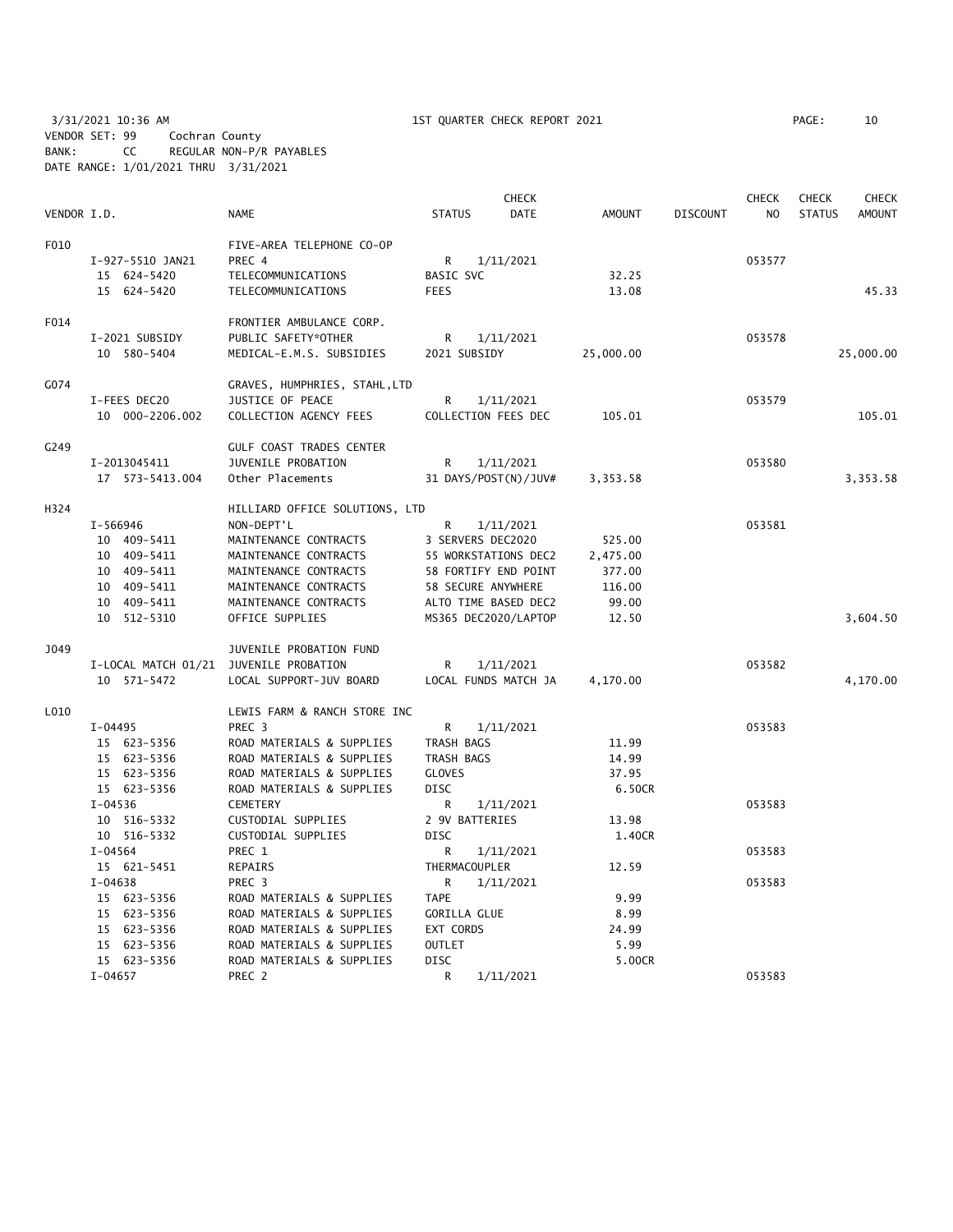3/31/2021 10:36 AM 1ST QUARTER CHECK REPORT 2021 PAGE: 10 VENDOR SET: 99 Cochran County BANK: CC REGULAR NON-P/R PAYABLES DATE RANGE: 1/01/2021 THRU 3/31/2021

|             |                                        |                                |                | <b>CHECK</b>         |               |                 | <b>CHECK</b>   | <b>CHECK</b>  | <b>CHECK</b>  |
|-------------|----------------------------------------|--------------------------------|----------------|----------------------|---------------|-----------------|----------------|---------------|---------------|
| VENDOR I.D. |                                        | <b>NAME</b>                    | <b>STATUS</b>  | <b>DATE</b>          | <b>AMOUNT</b> | <b>DISCOUNT</b> | N <sub>O</sub> | <b>STATUS</b> | <b>AMOUNT</b> |
| F010        |                                        | FIVE-AREA TELEPHONE CO-OP      |                |                      |               |                 |                |               |               |
|             | I-927-5510 JAN21                       | PREC 4                         | R              | 1/11/2021            |               |                 | 053577         |               |               |
|             | 15 624-5420                            | TELECOMMUNICATIONS             | BASIC SVC      |                      | 32.25         |                 |                |               |               |
|             | 15 624-5420                            | TELECOMMUNICATIONS             | <b>FEES</b>    |                      | 13.08         |                 |                |               | 45.33         |
| F014        |                                        | FRONTIER AMBULANCE CORP.       |                |                      |               |                 |                |               |               |
|             | I-2021 SUBSIDY                         | PUBLIC SAFETY*OTHER            | R              | 1/11/2021            |               |                 | 053578         |               |               |
|             | 10 580-5404                            | MEDICAL-E.M.S. SUBSIDIES       | 2021 SUBSIDY   |                      | 25,000.00     |                 |                |               | 25,000.00     |
| G074        |                                        | GRAVES, HUMPHRIES, STAHL,LTD   |                |                      |               |                 |                |               |               |
|             | I-FEES DEC20                           | JUSTICE OF PEACE               | R              | 1/11/2021            |               |                 | 053579         |               |               |
|             | 10 000-2206.002                        | COLLECTION AGENCY FEES         |                | COLLECTION FEES DEC  | 105.01        |                 |                |               | 105.01        |
| G249        |                                        | GULF COAST TRADES CENTER       |                |                      |               |                 |                |               |               |
|             | I-2013045411                           | JUVENILE PROBATION             | R              | 1/11/2021            |               |                 | 053580         |               |               |
|             | 17  573-5413.004                       | Other Placements               |                | 31 DAYS/POST(N)/JUV# | 3,353.58      |                 |                |               | 3,353.58      |
| H324        |                                        | HILLIARD OFFICE SOLUTIONS, LTD |                |                      |               |                 |                |               |               |
|             | I-566946                               | NON-DEPT'L                     | R              | 1/11/2021            |               |                 | 053581         |               |               |
|             | 10 409-5411                            | MAINTENANCE CONTRACTS          |                | 3 SERVERS DEC2020    | 525.00        |                 |                |               |               |
|             | 10 409-5411                            | MAINTENANCE CONTRACTS          |                | 55 WORKSTATIONS DEC2 | 2,475.00      |                 |                |               |               |
|             | 10 409-5411                            | MAINTENANCE CONTRACTS          |                | 58 FORTIFY END POINT | 377.00        |                 |                |               |               |
|             | 10 409-5411                            | MAINTENANCE CONTRACTS          |                | 58 SECURE ANYWHERE   | 116.00        |                 |                |               |               |
|             | 10 409-5411                            | MAINTENANCE CONTRACTS          |                | ALTO TIME BASED DEC2 | 99.00         |                 |                |               |               |
|             | 10 512-5310                            | OFFICE SUPPLIES                |                | MS365 DEC2020/LAPTOP | 12.50         |                 |                |               | 3,604.50      |
| J049        |                                        | JUVENILE PROBATION FUND        |                |                      |               |                 |                |               |               |
|             | I-LOCAL MATCH 01/21 JUVENILE PROBATION |                                | R              | 1/11/2021            |               |                 | 053582         |               |               |
|             | 10 571-5472                            | LOCAL SUPPORT-JUV BOARD        |                | LOCAL FUNDS MATCH JA | 4,170.00      |                 |                |               | 4,170.00      |
| L010        |                                        | LEWIS FARM & RANCH STORE INC   |                |                      |               |                 |                |               |               |
|             | $I-04495$                              | PREC 3                         | R              | 1/11/2021            |               |                 | 053583         |               |               |
|             | 15 623-5356                            | ROAD MATERIALS & SUPPLIES      | TRASH BAGS     |                      | 11.99         |                 |                |               |               |
|             | 15 623-5356                            | ROAD MATERIALS & SUPPLIES      | TRASH BAGS     |                      | 14.99         |                 |                |               |               |
|             | 15 623-5356                            | ROAD MATERIALS & SUPPLIES      | <b>GLOVES</b>  |                      | 37.95         |                 |                |               |               |
|             | 15 623-5356                            | ROAD MATERIALS & SUPPLIES      | <b>DISC</b>    |                      | 6.50CR        |                 |                |               |               |
|             | $I - 04536$                            | CEMETERY                       | R              | 1/11/2021            |               |                 | 053583         |               |               |
|             | 10 516-5332                            | CUSTODIAL SUPPLIES             | 2 9V BATTERIES |                      | 13.98         |                 |                |               |               |
|             | 10 516-5332                            | CUSTODIAL SUPPLIES             | <b>DISC</b>    |                      | 1.40CR        |                 |                |               |               |
|             | $I - 04564$                            | PREC 1                         | R              | 1/11/2021            |               |                 | 053583         |               |               |
|             | 15 621-5451                            | <b>REPAIRS</b>                 | THERMACOUPLER  |                      | 12.59         |                 |                |               |               |
|             | $I - 04638$                            | PREC 3                         | R              | 1/11/2021            |               |                 | 053583         |               |               |
|             | 15 623-5356                            | ROAD MATERIALS & SUPPLIES      | <b>TAPE</b>    |                      | 9.99          |                 |                |               |               |
|             | 15 623-5356                            | ROAD MATERIALS & SUPPLIES      | GORILLA GLUE   |                      | 8.99          |                 |                |               |               |
|             | 15 623-5356                            | ROAD MATERIALS & SUPPLIES      | EXT CORDS      |                      | 24.99         |                 |                |               |               |
|             | 15 623-5356                            | ROAD MATERIALS & SUPPLIES      | <b>OUTLET</b>  |                      | 5.99          |                 |                |               |               |
|             | 15 623-5356                            | ROAD MATERIALS & SUPPLIES      | <b>DISC</b>    |                      | 5.00CR        |                 |                |               |               |
|             | $I - 04657$                            | PREC 2                         | R              | 1/11/2021            |               |                 | 053583         |               |               |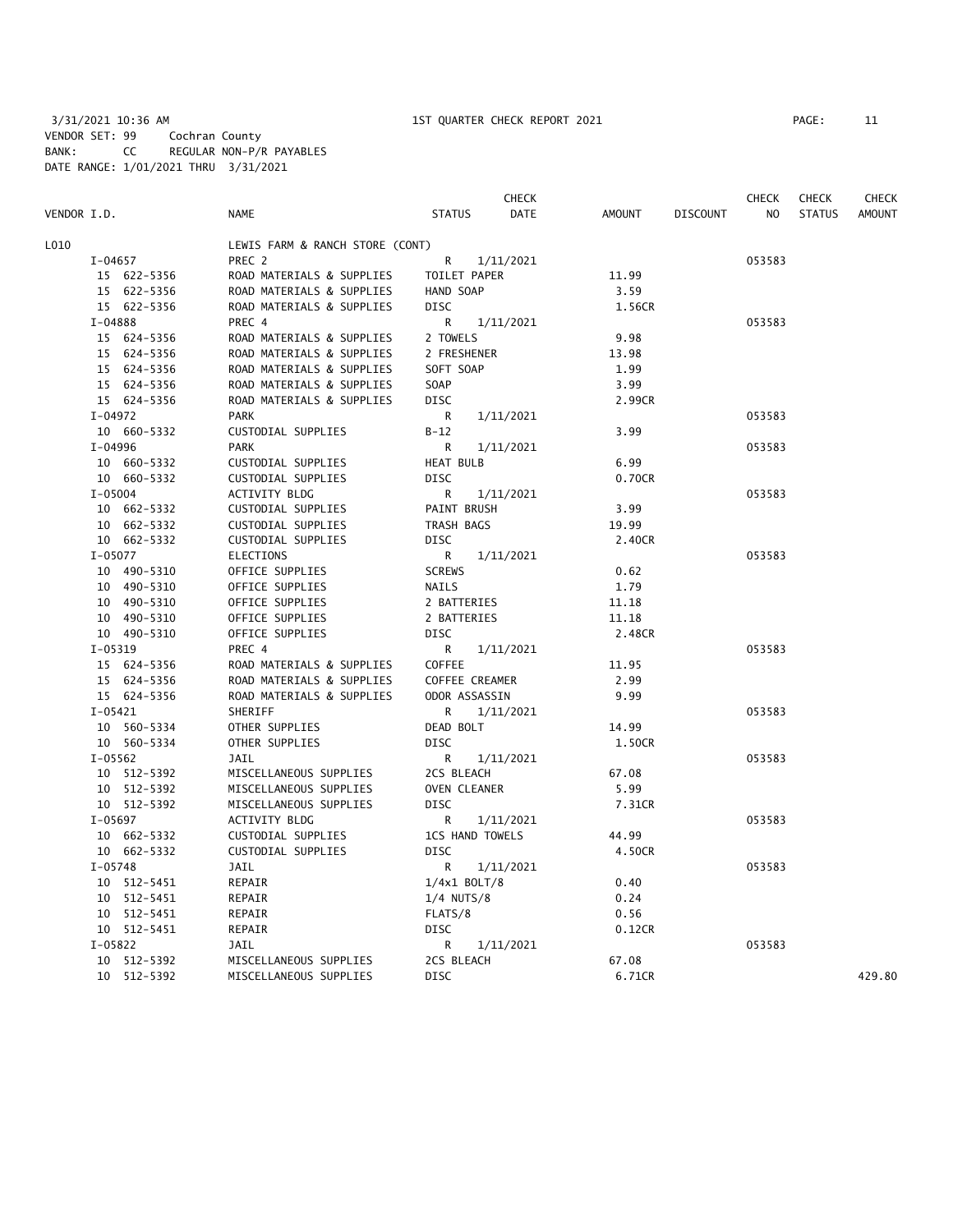|             |             |                                 |                        | <b>CHECK</b> |        |                 | <b>CHECK</b> | <b>CHECK</b>  | <b>CHECK</b>  |
|-------------|-------------|---------------------------------|------------------------|--------------|--------|-----------------|--------------|---------------|---------------|
| VENDOR I.D. |             | <b>NAME</b>                     | <b>STATUS</b>          | <b>DATE</b>  | AMOUNT | <b>DISCOUNT</b> | NO           | <b>STATUS</b> | <b>AMOUNT</b> |
| L010        |             | LEWIS FARM & RANCH STORE (CONT) |                        |              |        |                 |              |               |               |
| I-04657     |             | PREC 2                          | R                      | 1/11/2021    |        |                 | 053583       |               |               |
|             | 15 622-5356 | ROAD MATERIALS & SUPPLIES       | TOILET PAPER           |              | 11.99  |                 |              |               |               |
|             | 15 622-5356 | ROAD MATERIALS & SUPPLIES       | HAND SOAP              |              | 3.59   |                 |              |               |               |
|             | 15 622-5356 | ROAD MATERIALS & SUPPLIES       | DISC                   |              | 1.56CR |                 |              |               |               |
| I-04888     |             | PREC 4                          | R                      | 1/11/2021    |        |                 | 053583       |               |               |
|             | 15 624-5356 | ROAD MATERIALS & SUPPLIES       | 2 TOWELS               |              | 9.98   |                 |              |               |               |
|             | 15 624-5356 | ROAD MATERIALS & SUPPLIES       | 2 FRESHENER            |              | 13.98  |                 |              |               |               |
|             | 15 624-5356 | ROAD MATERIALS & SUPPLIES       | SOFT SOAP              |              | 1.99   |                 |              |               |               |
|             | 15 624-5356 | ROAD MATERIALS & SUPPLIES       | SOAP                   |              | 3.99   |                 |              |               |               |
|             | 15 624-5356 | ROAD MATERIALS & SUPPLIES       | <b>DISC</b>            |              | 2.99CR |                 |              |               |               |
| I-04972     |             | <b>PARK</b>                     | R                      | 1/11/2021    |        |                 | 053583       |               |               |
|             | 10 660-5332 | CUSTODIAL SUPPLIES              | $B-12$                 |              | 3.99   |                 |              |               |               |
| I-04996     |             | <b>PARK</b>                     | R                      | 1/11/2021    |        |                 | 053583       |               |               |
|             | 10 660-5332 | CUSTODIAL SUPPLIES              | <b>HEAT BULB</b>       |              | 6.99   |                 |              |               |               |
|             | 10 660-5332 | CUSTODIAL SUPPLIES              | <b>DISC</b>            |              | 0.70CR |                 |              |               |               |
| $I - 05004$ |             | ACTIVITY BLDG                   | R                      | 1/11/2021    |        |                 | 053583       |               |               |
|             | 10 662-5332 | CUSTODIAL SUPPLIES              | PAINT BRUSH            |              | 3.99   |                 |              |               |               |
|             | 10 662-5332 | CUSTODIAL SUPPLIES              | TRASH BAGS             |              | 19.99  |                 |              |               |               |
|             | 10 662-5332 | CUSTODIAL SUPPLIES              | <b>DISC</b>            |              | 2.40CR |                 |              |               |               |
| I-05077     |             | ELECTIONS                       | R                      | 1/11/2021    |        |                 | 053583       |               |               |
|             | 10 490-5310 | OFFICE SUPPLIES                 | <b>SCREWS</b>          |              | 0.62   |                 |              |               |               |
|             | 10 490-5310 | OFFICE SUPPLIES                 | NAILS                  |              | 1.79   |                 |              |               |               |
|             | 10 490-5310 | OFFICE SUPPLIES                 | 2 BATTERIES            |              | 11.18  |                 |              |               |               |
|             | 10 490-5310 | OFFICE SUPPLIES                 | 2 BATTERIES            |              | 11.18  |                 |              |               |               |
|             | 10 490-5310 | OFFICE SUPPLIES                 | DISC                   |              | 2.48CR |                 |              |               |               |
| I-05319     |             | PREC 4                          | R                      | 1/11/2021    |        |                 | 053583       |               |               |
|             | 15 624-5356 | ROAD MATERIALS & SUPPLIES       | COFFEE                 |              | 11.95  |                 |              |               |               |
|             | 15 624-5356 | ROAD MATERIALS & SUPPLIES       | COFFEE CREAMER         |              | 2.99   |                 |              |               |               |
|             | 15 624-5356 | ROAD MATERIALS & SUPPLIES       | ODOR ASSASSIN          |              | 9.99   |                 |              |               |               |
| $I-05421$   |             | SHERIFF                         | R                      | 1/11/2021    |        |                 | 053583       |               |               |
|             | 10 560-5334 | OTHER SUPPLIES                  | DEAD BOLT              |              | 14.99  |                 |              |               |               |
|             | 10 560-5334 | OTHER SUPPLIES                  | DISC                   |              | 1.50CR |                 |              |               |               |
| $I-05562$   |             | JAIL                            | R                      | 1/11/2021    |        |                 | 053583       |               |               |
|             | 10 512-5392 | MISCELLANEOUS SUPPLIES          | 2CS BLEACH             |              | 67.08  |                 |              |               |               |
|             | 10 512-5392 | MISCELLANEOUS SUPPLIES          | OVEN CLEANER           |              | 5.99   |                 |              |               |               |
|             | 10 512-5392 | MISCELLANEOUS SUPPLIES          | <b>DISC</b>            |              | 7.31CR |                 |              |               |               |
| $I-05697$   |             | <b>ACTIVITY BLDG</b>            | R                      | 1/11/2021    |        |                 | 053583       |               |               |
|             | 10 662-5332 | CUSTODIAL SUPPLIES              | <b>1CS HAND TOWELS</b> |              | 44.99  |                 |              |               |               |
|             | 10 662-5332 | CUSTODIAL SUPPLIES              | <b>DISC</b>            |              | 4.50CR |                 |              |               |               |
| I-05748     |             | JAIL                            | R                      | 1/11/2021    |        |                 | 053583       |               |               |
|             | 10 512-5451 | REPAIR                          | $1/4x1$ BOLT/8         |              | 0.40   |                 |              |               |               |
|             | 10 512-5451 | REPAIR                          | $1/4$ NUTS/8           |              | 0.24   |                 |              |               |               |
|             | 10 512-5451 | REPAIR                          | FLATS/8                |              | 0.56   |                 |              |               |               |
|             | 10 512-5451 | REPAIR                          | DISC                   |              | 0.12CR |                 |              |               |               |
| I-05822     |             | JAIL                            | R                      | 1/11/2021    |        |                 | 053583       |               |               |
|             | 10 512-5392 | MISCELLANEOUS SUPPLIES          | 2CS BLEACH             |              | 67.08  |                 |              |               |               |
|             | 10 512-5392 | MISCELLANEOUS SUPPLIES          | <b>DISC</b>            |              | 6.71CR |                 |              |               | 429.80        |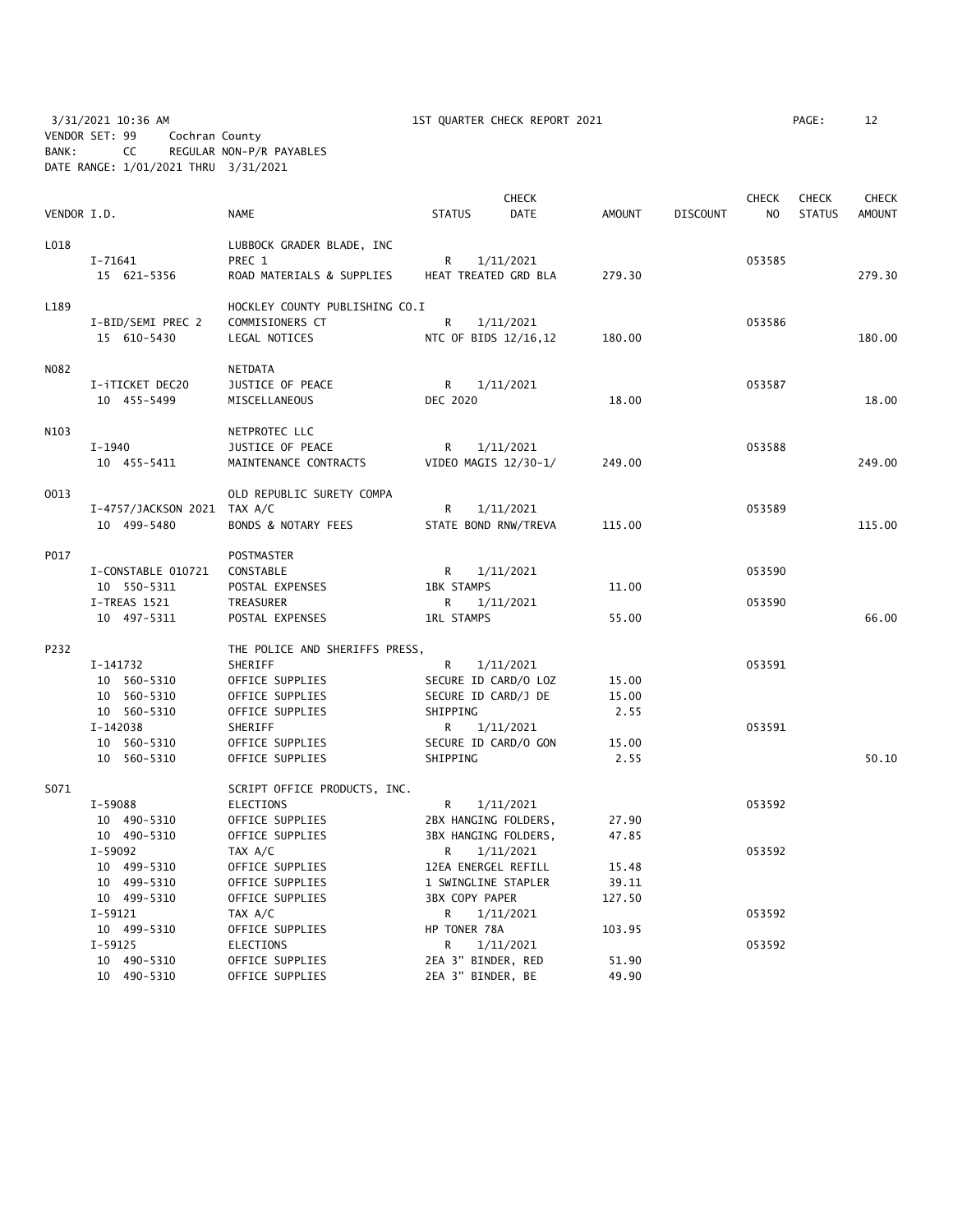3/31/2021 10:36 AM 1ST QUARTER CHECK REPORT 2021 PAGE: 12 VENDOR SET: 99 Cochran County BANK: CC REGULAR NON-P/R PAYABLES DATE RANGE: 1/01/2021 THRU 3/31/2021

|             |                             | <b>CHECK</b><br><b>CHECK</b>   |                       |             |               |                 | <b>CHECK</b>   | <b>CHECK</b>  |               |
|-------------|-----------------------------|--------------------------------|-----------------------|-------------|---------------|-----------------|----------------|---------------|---------------|
| VENDOR I.D. |                             | <b>NAME</b>                    | <b>STATUS</b>         | <b>DATE</b> | <b>AMOUNT</b> | <b>DISCOUNT</b> | N <sub>O</sub> | <b>STATUS</b> | <b>AMOUNT</b> |
| L018        |                             | LUBBOCK GRADER BLADE, INC      |                       |             |               |                 |                |               |               |
|             | $I - 71641$                 | PREC 1                         | R                     | 1/11/2021   |               |                 | 053585         |               |               |
|             | 15 621-5356                 | ROAD MATERIALS & SUPPLIES      | HEAT TREATED GRD BLA  |             | 279.30        |                 |                |               | 279.30        |
| L189        |                             | HOCKLEY COUNTY PUBLISHING CO.I |                       |             |               |                 |                |               |               |
|             | I-BID/SEMI PREC 2           | COMMISIONERS CT                | $\mathsf{R}$          | 1/11/2021   |               |                 | 053586         |               |               |
|             | 15 610-5430                 | LEGAL NOTICES                  | NTC OF BIDS 12/16,12  |             | 180.00        |                 |                |               | 180.00        |
| N082        |                             | <b>NETDATA</b>                 |                       |             |               |                 |                |               |               |
|             | I-iTICKET DEC20             | JUSTICE OF PEACE               | R                     | 1/11/2021   |               |                 | 053587         |               |               |
|             | 10 455-5499                 | MISCELLANEOUS                  | DEC 2020              |             | 18.00         |                 |                |               | 18.00         |
| N103        |                             | NETPROTEC LLC                  |                       |             |               |                 |                |               |               |
|             | $I-1940$                    | JUSTICE OF PEACE               | R                     | 1/11/2021   |               |                 | 053588         |               |               |
|             | 10 455-5411                 | MAINTENANCE CONTRACTS          | VIDEO MAGIS 12/30-1/  |             | 249.00        |                 |                |               | 249.00        |
| 0013        |                             | OLD REPUBLIC SURETY COMPA      |                       |             |               |                 |                |               |               |
|             | I-4757/JACKSON 2021 TAX A/C |                                | R                     | 1/11/2021   |               |                 | 053589         |               |               |
|             | 10 499-5480                 | <b>BONDS &amp; NOTARY FEES</b> | STATE BOND RNW/TREVA  |             | 115.00        |                 |                |               | 115.00        |
| P017        |                             | <b>POSTMASTER</b>              |                       |             |               |                 |                |               |               |
|             | I-CONSTABLE 010721          | CONSTABLE                      | R                     | 1/11/2021   |               |                 | 053590         |               |               |
|             | 10 550-5311                 | POSTAL EXPENSES                | <b>1BK STAMPS</b>     |             | 11.00         |                 |                |               |               |
|             | I-TREAS 1521                | TREASURER                      | R                     | 1/11/2021   |               |                 | 053590         |               |               |
|             | 10 497-5311                 | POSTAL EXPENSES                | <b>1RL STAMPS</b>     |             | 55.00         |                 |                |               | 66.00         |
| P232        |                             | THE POLICE AND SHERIFFS PRESS, |                       |             |               |                 |                |               |               |
|             | I-141732                    | SHERIFF                        | R                     | 1/11/2021   |               |                 | 053591         |               |               |
|             | 10 560-5310                 | OFFICE SUPPLIES                | SECURE ID CARD/O LOZ  |             | 15.00         |                 |                |               |               |
|             | 10 560-5310                 | OFFICE SUPPLIES                | SECURE ID CARD/J DE   |             | 15.00         |                 |                |               |               |
|             | 10 560-5310                 | OFFICE SUPPLIES                | SHIPPING              |             | 2.55          |                 |                |               |               |
|             | I-142038                    | SHERIFF                        | R                     | 1/11/2021   |               |                 | 053591         |               |               |
|             | 10 560-5310                 | OFFICE SUPPLIES                | SECURE ID CARD/O GON  |             | 15.00         |                 |                |               |               |
|             | 10 560-5310                 | OFFICE SUPPLIES                | SHIPPING              |             | 2.55          |                 |                |               | 50.10         |
| S071        |                             | SCRIPT OFFICE PRODUCTS, INC.   |                       |             |               |                 |                |               |               |
|             | I-59088                     | <b>ELECTIONS</b>               | R                     | 1/11/2021   |               |                 | 053592         |               |               |
|             | 10 490-5310                 | OFFICE SUPPLIES                | 2BX HANGING FOLDERS,  |             | 27.90         |                 |                |               |               |
|             | 10 490-5310                 | OFFICE SUPPLIES                | 3BX HANGING FOLDERS,  |             | 47.85         |                 |                |               |               |
|             | $I-59092$                   | TAX A/C                        | R                     | 1/11/2021   |               |                 | 053592         |               |               |
|             | 10 499-5310                 | OFFICE SUPPLIES                | 12EA ENERGEL REFILL   |             | 15.48         |                 |                |               |               |
|             | 10 499-5310                 | OFFICE SUPPLIES                | 1 SWINGLINE STAPLER   |             | 39.11         |                 |                |               |               |
|             | 10 499-5310                 | OFFICE SUPPLIES                | <b>3BX COPY PAPER</b> |             | 127.50        |                 |                |               |               |
|             | $I-59121$                   | TAX A/C                        | R                     | 1/11/2021   |               |                 | 053592         |               |               |
|             | 10 499-5310                 | OFFICE SUPPLIES                | HP TONER 78A          |             | 103.95        |                 |                |               |               |
|             | $I - 59125$                 | ELECTIONS                      | R                     | 1/11/2021   |               |                 | 053592         |               |               |
|             | 10 490-5310                 | OFFICE SUPPLIES                | 2EA 3" BINDER, RED    |             | 51.90         |                 |                |               |               |
|             | 10 490-5310                 | OFFICE SUPPLIES                | 2EA 3" BINDER, BE     |             | 49.90         |                 |                |               |               |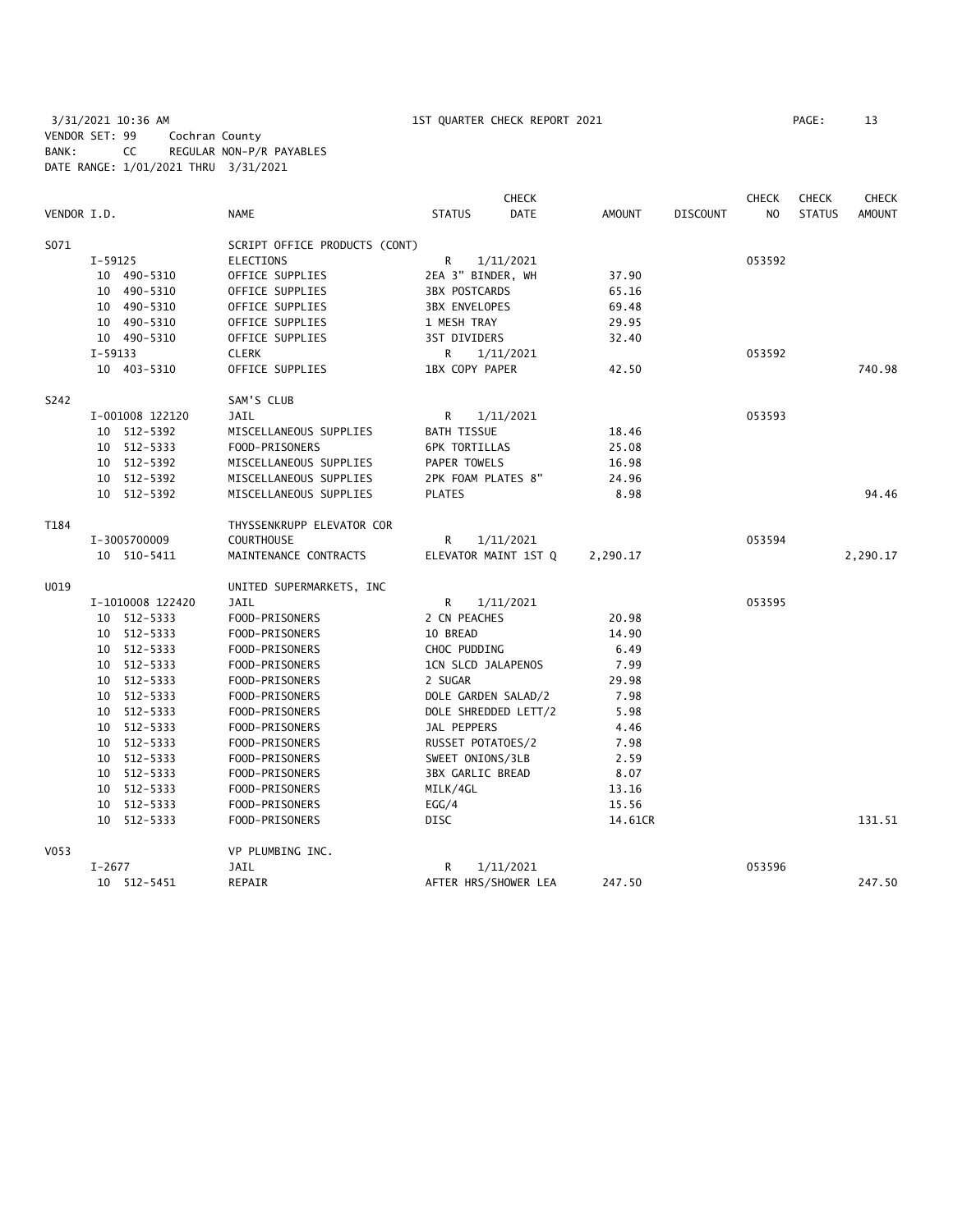3/31/2021 10:36 AM 1ST QUARTER CHECK REPORT 2021 PAGE: 13 VENDOR SET: 99 Cochran County BANK: CC REGULAR NON-P/R PAYABLES DATE RANGE: 1/01/2021 THRU 3/31/2021

| VENDOR I.D. |           |                  | <b>NAME</b>                   | <b>STATUS</b>           | <b>CHECK</b><br><b>DATE</b> | <b>AMOUNT</b> | <b>DISCOUNT</b> | <b>CHECK</b><br>N <sub>O</sub> | <b>CHECK</b><br><b>STATUS</b> | <b>CHECK</b><br><b>AMOUNT</b> |
|-------------|-----------|------------------|-------------------------------|-------------------------|-----------------------------|---------------|-----------------|--------------------------------|-------------------------------|-------------------------------|
| S071        |           |                  | SCRIPT OFFICE PRODUCTS (CONT) |                         |                             |               |                 |                                |                               |                               |
|             | $I-59125$ |                  | <b>ELECTIONS</b>              | R                       | 1/11/2021                   |               |                 | 053592                         |                               |                               |
|             |           | 10 490-5310      | OFFICE SUPPLIES               | 2EA 3" BINDER, WH       |                             | 37.90         |                 |                                |                               |                               |
|             |           | 10 490-5310      | OFFICE SUPPLIES               | <b>3BX POSTCARDS</b>    |                             | 65.16         |                 |                                |                               |                               |
|             |           | 10 490-5310      | OFFICE SUPPLIES               | <b>3BX ENVELOPES</b>    |                             | 69.48         |                 |                                |                               |                               |
|             |           | 10 490-5310      | OFFICE SUPPLIES               | 1 MESH TRAY             |                             | 29.95         |                 |                                |                               |                               |
|             |           | 10 490-5310      | OFFICE SUPPLIES               | 3ST DIVIDERS            |                             | 32.40         |                 |                                |                               |                               |
|             | $I-59133$ |                  | <b>CLERK</b>                  | R                       | 1/11/2021                   |               |                 | 053592                         |                               |                               |
|             |           | 10 403-5310      | OFFICE SUPPLIES               | 1BX COPY PAPER          |                             | 42.50         |                 |                                |                               | 740.98                        |
| S242        |           |                  | SAM'S CLUB                    |                         |                             |               |                 |                                |                               |                               |
|             |           | I-001008 122120  | <b>JAIL</b>                   | R                       | 1/11/2021                   |               |                 | 053593                         |                               |                               |
|             |           | 10 512-5392      | MISCELLANEOUS SUPPLIES        | <b>BATH TISSUE</b>      |                             | 18.46         |                 |                                |                               |                               |
|             |           | 10 512-5333      | FOOD-PRISONERS                | <b>6PK TORTILLAS</b>    |                             | 25.08         |                 |                                |                               |                               |
|             |           | 10 512-5392      | MISCELLANEOUS SUPPLIES        | PAPER TOWELS            |                             | 16.98         |                 |                                |                               |                               |
|             |           | 10 512-5392      | MISCELLANEOUS SUPPLIES        | 2PK FOAM PLATES 8"      |                             | 24.96         |                 |                                |                               |                               |
|             |           | 10 512-5392      | MISCELLANEOUS SUPPLIES        | <b>PLATES</b>           |                             | 8.98          |                 |                                |                               | 94.46                         |
| T184        |           |                  | THYSSENKRUPP ELEVATOR COR     |                         |                             |               |                 |                                |                               |                               |
|             |           | I-3005700009     | <b>COURTHOUSE</b>             | R                       | 1/11/2021                   |               |                 | 053594                         |                               |                               |
|             |           | 10 510-5411      | MAINTENANCE CONTRACTS         |                         | ELEVATOR MAINT 1ST Q        | 2,290.17      |                 |                                |                               | 2,290.17                      |
| U019        |           |                  | UNITED SUPERMARKETS, INC      |                         |                             |               |                 |                                |                               |                               |
|             |           | I-1010008 122420 | <b>JAIL</b>                   | R                       | 1/11/2021                   |               |                 | 053595                         |                               |                               |
|             |           | 10 512-5333      | FOOD-PRISONERS                | 2 CN PEACHES            |                             | 20.98         |                 |                                |                               |                               |
|             |           | 10 512-5333      | FOOD-PRISONERS                | 10 BREAD                |                             | 14.90         |                 |                                |                               |                               |
|             |           | 10 512-5333      | FOOD-PRISONERS                | CHOC PUDDING            |                             | 6.49          |                 |                                |                               |                               |
|             |           | 10 512-5333      | FOOD-PRISONERS                | 1CN SLCD JALAPENOS      |                             | 7.99          |                 |                                |                               |                               |
|             |           | 10 512-5333      | FOOD-PRISONERS                | 2 SUGAR                 |                             | 29.98         |                 |                                |                               |                               |
|             |           | 10 512-5333      | FOOD-PRISONERS                | DOLE GARDEN SALAD/2     |                             | 7.98          |                 |                                |                               |                               |
|             |           | 10 512-5333      | FOOD-PRISONERS                | DOLE SHREDDED LETT/2    |                             | 5.98          |                 |                                |                               |                               |
|             |           | 10 512-5333      | FOOD-PRISONERS                | JAL PEPPERS             |                             | 4.46          |                 |                                |                               |                               |
|             |           | 10 512-5333      | FOOD-PRISONERS                | RUSSET POTATOES/2       |                             | 7.98          |                 |                                |                               |                               |
|             |           | 10 512-5333      | FOOD-PRISONERS                | SWEET ONIONS/3LB        |                             | 2.59          |                 |                                |                               |                               |
|             |           | 10 512-5333      | FOOD-PRISONERS                | <b>3BX GARLIC BREAD</b> |                             | 8.07          |                 |                                |                               |                               |
|             |           | 10 512-5333      | FOOD-PRISONERS                | MILK/4GL                |                             | 13.16         |                 |                                |                               |                               |
|             |           | 10 512-5333      | FOOD-PRISONERS                | EGG/4                   |                             | 15.56         |                 |                                |                               |                               |
|             |           | 10 512-5333      | FOOD-PRISONERS                | <b>DISC</b>             |                             | 14.61CR       |                 |                                |                               | 131.51                        |
| V053        |           |                  | VP PLUMBING INC.              |                         |                             |               |                 |                                |                               |                               |
|             | $I-2677$  |                  | <b>JAIL</b>                   | R                       | 1/11/2021                   |               |                 | 053596                         |                               |                               |
|             |           | 10 512-5451      | REPAIR                        | AFTER HRS/SHOWER LEA    |                             | 247.50        |                 |                                |                               | 247.50                        |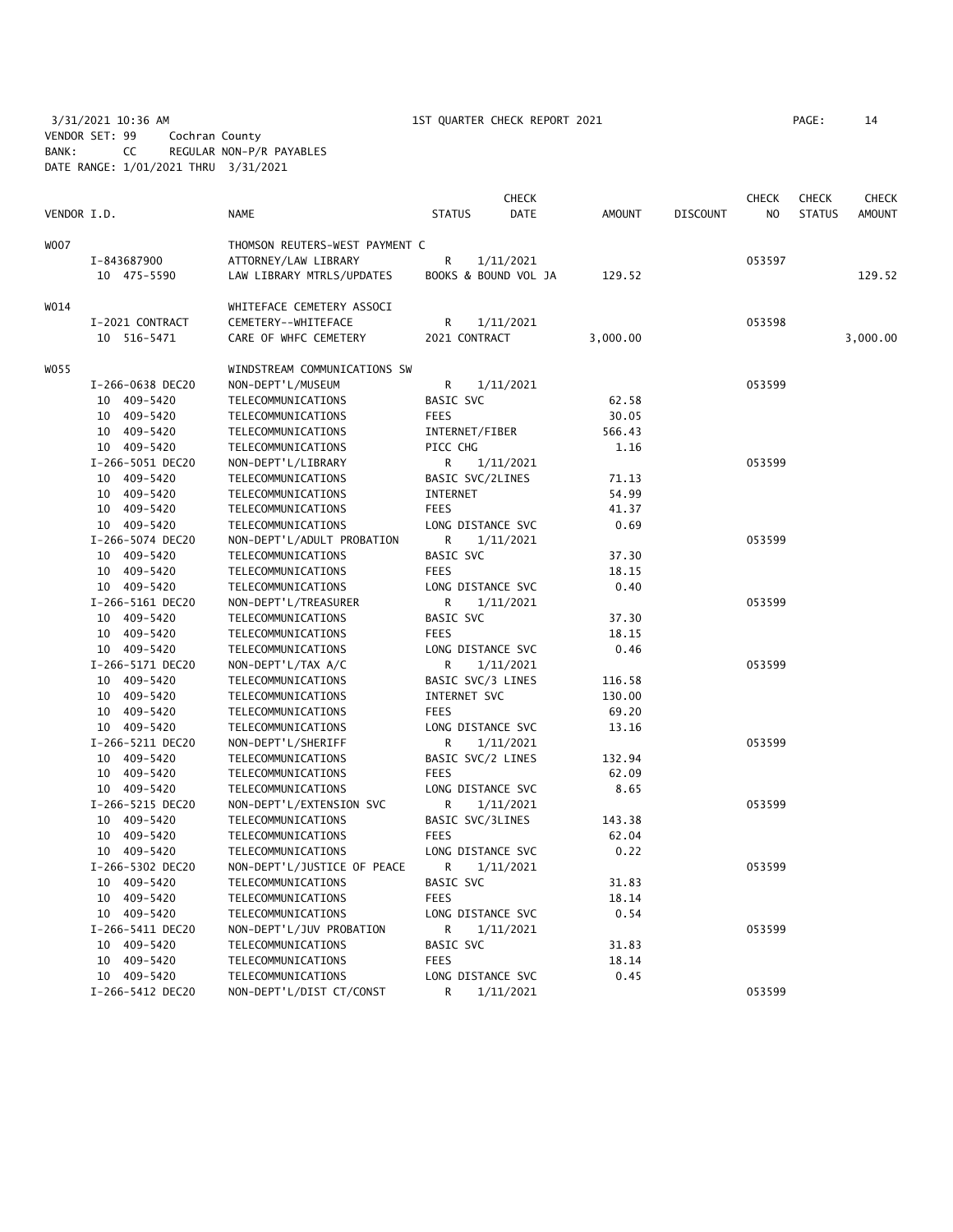3/31/2021 10:36 AM 1ST QUARTER CHECK REPORT 2021 PAGE: 14 VENDOR SET: 99 Cochran County BANK: CC REGULAR NON-P/R PAYABLES DATE RANGE: 1/01/2021 THRU 3/31/2021

| VENDOR I.D. |                  | <b>NAME</b>                    | <b>STATUS</b>        | CHECK<br>DATE | <b>AMOUNT</b> | <b>DISCOUNT</b> | CHECK<br>N <sub>O</sub> | <b>CHECK</b><br><b>STATUS</b> | <b>CHECK</b><br><b>AMOUNT</b> |
|-------------|------------------|--------------------------------|----------------------|---------------|---------------|-----------------|-------------------------|-------------------------------|-------------------------------|
|             |                  |                                |                      |               |               |                 |                         |                               |                               |
| WO07        |                  | THOMSON REUTERS-WEST PAYMENT C |                      |               |               |                 |                         |                               |                               |
|             | I-843687900      | ATTORNEY/LAW LIBRARY           | R                    | 1/11/2021     |               |                 | 053597                  |                               |                               |
|             | 10 475-5590      | LAW LIBRARY MTRLS/UPDATES      | BOOKS & BOUND VOL JA |               | 129.52        |                 |                         |                               | 129.52                        |
| WO14        |                  | WHITEFACE CEMETERY ASSOCI      |                      |               |               |                 |                         |                               |                               |
|             | I-2021 CONTRACT  | CEMETERY--WHITEFACE            | R                    | 1/11/2021     |               |                 | 053598                  |                               |                               |
|             | 10 516-5471      | CARE OF WHFC CEMETERY          | 2021 CONTRACT        |               | 3,000.00      |                 |                         |                               | 3,000.00                      |
| WO55        |                  | WINDSTREAM COMMUNICATIONS SW   |                      |               |               |                 |                         |                               |                               |
|             | I-266-0638 DEC20 | NON-DEPT'L/MUSEUM              | R                    | 1/11/2021     |               |                 | 053599                  |                               |                               |
|             | 10 409-5420      | TELECOMMUNICATIONS             | BASIC SVC            |               | 62.58         |                 |                         |                               |                               |
|             | 409-5420<br>10   | TELECOMMUNICATIONS             | <b>FEES</b>          |               | 30.05         |                 |                         |                               |                               |
|             | 10 409-5420      | TELECOMMUNICATIONS             | INTERNET/FIBER       |               | 566.43        |                 |                         |                               |                               |
|             | 10 409-5420      | TELECOMMUNICATIONS             | PICC CHG             |               | 1.16          |                 |                         |                               |                               |
|             | I-266-5051 DEC20 | NON-DEPT'L/LIBRARY             | R                    | 1/11/2021     |               |                 | 053599                  |                               |                               |
|             | 10 409-5420      | TELECOMMUNICATIONS             | BASIC SVC/2LINES     |               | 71.13         |                 |                         |                               |                               |
|             | 10 409-5420      | TELECOMMUNICATIONS             | INTERNET             |               | 54.99         |                 |                         |                               |                               |
|             | 10 409-5420      | TELECOMMUNICATIONS             | <b>FEES</b>          |               | 41.37         |                 |                         |                               |                               |
|             | 10 409-5420      | TELECOMMUNICATIONS             | LONG DISTANCE SVC    |               | 0.69          |                 |                         |                               |                               |
|             | I-266-5074 DEC20 | NON-DEPT'L/ADULT PROBATION     | R                    | 1/11/2021     |               |                 | 053599                  |                               |                               |
|             | 10<br>409-5420   | TELECOMMUNICATIONS             | <b>BASIC SVC</b>     |               | 37.30         |                 |                         |                               |                               |
|             | 10 409-5420      | TELECOMMUNICATIONS             | <b>FEES</b>          |               | 18.15         |                 |                         |                               |                               |
|             | 10 409-5420      | TELECOMMUNICATIONS             | LONG DISTANCE SVC    |               | 0.40          |                 |                         |                               |                               |
|             | I-266-5161 DEC20 | NON-DEPT'L/TREASURER           | R                    | 1/11/2021     |               |                 | 053599                  |                               |                               |
|             | 10 409-5420      | TELECOMMUNICATIONS             | BASIC SVC            |               | 37.30         |                 |                         |                               |                               |
|             | 10 409-5420      | TELECOMMUNICATIONS             | <b>FEES</b>          |               | 18.15         |                 |                         |                               |                               |
|             | 10 409-5420      | TELECOMMUNICATIONS             | LONG DISTANCE SVC    |               | 0.46          |                 |                         |                               |                               |
|             | I-266-5171 DEC20 | NON-DEPT'L/TAX A/C             | R                    | 1/11/2021     |               |                 | 053599                  |                               |                               |
|             | 10 409-5420      | TELECOMMUNICATIONS             | BASIC SVC/3 LINES    |               | 116.58        |                 |                         |                               |                               |
|             | 10 409-5420      | TELECOMMUNICATIONS             | INTERNET SVC         |               | 130.00        |                 |                         |                               |                               |
|             | 10 409-5420      | TELECOMMUNICATIONS             | <b>FEES</b>          |               | 69.20         |                 |                         |                               |                               |
|             | 10 409-5420      | TELECOMMUNICATIONS             | LONG DISTANCE SVC    |               | 13.16         |                 |                         |                               |                               |
|             | I-266-5211 DEC20 | NON-DEPT'L/SHERIFF             | R                    | 1/11/2021     |               |                 | 053599                  |                               |                               |
|             | 10 409-5420      | TELECOMMUNICATIONS             | BASIC SVC/2 LINES    |               | 132.94        |                 |                         |                               |                               |
|             | 10 409-5420      | TELECOMMUNICATIONS             | <b>FEES</b>          |               | 62.09         |                 |                         |                               |                               |
|             | 10 409-5420      | TELECOMMUNICATIONS             | LONG DISTANCE SVC    |               | 8.65          |                 |                         |                               |                               |
|             | I-266-5215 DEC20 | NON-DEPT'L/EXTENSION SVC       | R                    | 1/11/2021     |               |                 | 053599                  |                               |                               |
|             | 10 409-5420      | TELECOMMUNICATIONS             | BASIC SVC/3LINES     |               | 143.38        |                 |                         |                               |                               |
|             | 10 409-5420      | TELECOMMUNICATIONS             | <b>FEES</b>          |               | 62.04         |                 |                         |                               |                               |
|             | 10 409-5420      | TELECOMMUNICATIONS             | LONG DISTANCE SVC    |               | 0.22          |                 |                         |                               |                               |
|             | I-266-5302 DEC20 | NON-DEPT'L/JUSTICE OF PEACE    | R                    | 1/11/2021     |               |                 | 053599                  |                               |                               |
|             | 10 409-5420      | TELECOMMUNICATIONS             | BASIC SVC            |               | 31.83         |                 |                         |                               |                               |
|             | 10 409-5420      | TELECOMMUNICATIONS             | <b>FEES</b>          |               | 18.14         |                 |                         |                               |                               |
|             | 10 409-5420      | TELECOMMUNICATIONS             | LONG DISTANCE SVC    |               | 0.54          |                 |                         |                               |                               |
|             | I-266-5411 DEC20 | NON-DEPT'L/JUV PROBATION       | R                    | 1/11/2021     |               |                 | 053599                  |                               |                               |
|             | 10 409-5420      | TELECOMMUNICATIONS             | BASIC SVC            |               | 31.83         |                 |                         |                               |                               |
|             | 10 409-5420      | TELECOMMUNICATIONS             | <b>FEES</b>          |               | 18.14         |                 |                         |                               |                               |
|             | 10 409-5420      | TELECOMMUNICATIONS             | LONG DISTANCE SVC    |               | 0.45          |                 |                         |                               |                               |
|             | I-266-5412 DEC20 | NON-DEPT'L/DIST CT/CONST       | R                    | 1/11/2021     |               |                 | 053599                  |                               |                               |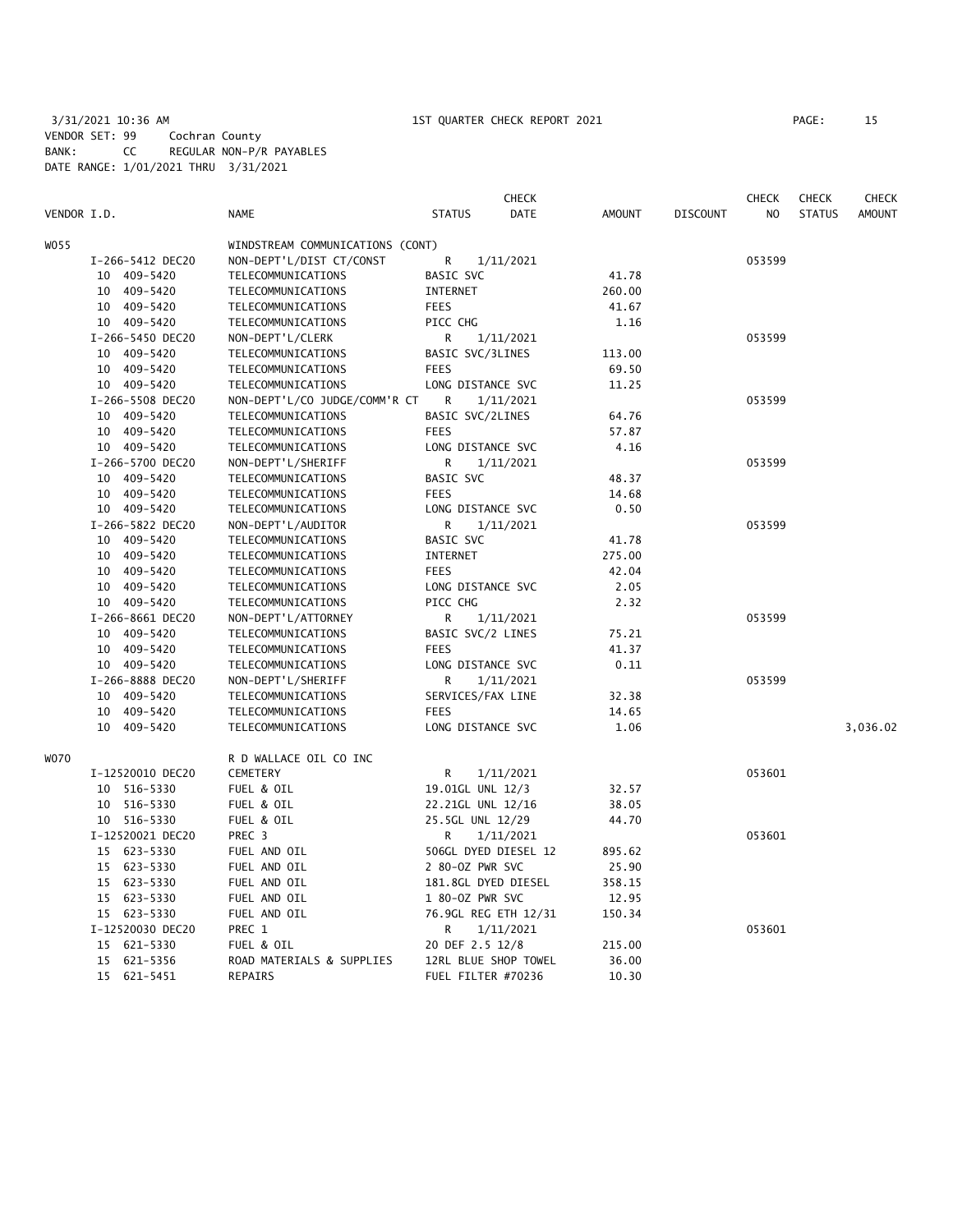3/31/2021 10:36 AM 1ST QUARTER CHECK REPORT 2021 VENDOR SET: 99 Cochran County BANK: CC REGULAR NON-P/R PAYABLES DATE RANGE: 1/01/2021 THRU 3/31/2021

| PAGE : |  |  |
|--------|--|--|
|        |  |  |

|             |                  |                                  | <b>CHECK</b>                 |               |                 | <b>CHECK</b>   | <b>CHECK</b>  | <b>CHECK</b>  |
|-------------|------------------|----------------------------------|------------------------------|---------------|-----------------|----------------|---------------|---------------|
| VENDOR I.D. |                  | <b>NAME</b>                      | <b>STATUS</b><br><b>DATE</b> | <b>AMOUNT</b> | <b>DISCOUNT</b> | N <sub>O</sub> | <b>STATUS</b> | <b>AMOUNT</b> |
| WO 55       |                  | WINDSTREAM COMMUNICATIONS (CONT) |                              |               |                 |                |               |               |
|             | I-266-5412 DEC20 | NON-DEPT'L/DIST CT/CONST         | R<br>1/11/2021               |               |                 | 053599         |               |               |
|             | 10 409-5420      | TELECOMMUNICATIONS               | <b>BASIC SVC</b>             | 41.78         |                 |                |               |               |
|             | 10 409-5420      | TELECOMMUNICATIONS               | INTERNET                     | 260.00        |                 |                |               |               |
|             | 10 409-5420      | TELECOMMUNICATIONS               | <b>FEES</b>                  | 41.67         |                 |                |               |               |
|             | 10 409-5420      | TELECOMMUNICATIONS               | PICC CHG                     | 1.16          |                 |                |               |               |
|             | I-266-5450 DEC20 | NON-DEPT'L/CLERK                 | R<br>1/11/2021               |               |                 | 053599         |               |               |
|             | 10 409-5420      | TELECOMMUNICATIONS               | BASIC SVC/3LINES             | 113.00        |                 |                |               |               |
|             | 10 409-5420      | TELECOMMUNICATIONS               | <b>FEES</b>                  | 69.50         |                 |                |               |               |
|             | 10 409-5420      | TELECOMMUNICATIONS               | LONG DISTANCE SVC            | 11.25         |                 |                |               |               |
|             | I-266-5508 DEC20 | NON-DEPT'L/CO JUDGE/COMM'R CT    | R<br>1/11/2021               |               |                 | 053599         |               |               |
|             | 10 409-5420      | TELECOMMUNICATIONS               | BASIC SVC/2LINES             | 64.76         |                 |                |               |               |
|             | 10 409-5420      | TELECOMMUNICATIONS               | <b>FEES</b>                  | 57.87         |                 |                |               |               |
|             | 10 409-5420      | TELECOMMUNICATIONS               | LONG DISTANCE SVC            | 4.16          |                 |                |               |               |
|             | I-266-5700 DEC20 |                                  |                              |               |                 |                |               |               |
|             |                  | NON-DEPT'L/SHERIFF               | R<br>1/11/2021               |               |                 | 053599         |               |               |
|             | 10 409-5420      | TELECOMMUNICATIONS               | <b>BASIC SVC</b>             | 48.37         |                 |                |               |               |
|             | 10 409-5420      | TELECOMMUNICATIONS               | <b>FEES</b>                  | 14.68         |                 |                |               |               |
|             | 10 409-5420      | TELECOMMUNICATIONS               | LONG DISTANCE SVC            | 0.50          |                 |                |               |               |
|             | I-266-5822 DEC20 | NON-DEPT'L/AUDITOR               | R<br>1/11/2021               |               |                 | 053599         |               |               |
|             | 10 409-5420      | TELECOMMUNICATIONS               | BASIC SVC                    | 41.78         |                 |                |               |               |
|             | 10 409-5420      | TELECOMMUNICATIONS               | INTERNET                     | 275.00        |                 |                |               |               |
|             | 10 409-5420      | TELECOMMUNICATIONS               | <b>FEES</b>                  | 42.04         |                 |                |               |               |
|             | 10 409-5420      | TELECOMMUNICATIONS               | LONG DISTANCE SVC            | 2.05          |                 |                |               |               |
|             | 10 409-5420      | TELECOMMUNICATIONS               | PICC CHG                     | 2.32          |                 |                |               |               |
|             | I-266-8661 DEC20 | NON-DEPT'L/ATTORNEY              | R<br>1/11/2021               |               |                 | 053599         |               |               |
|             | 10 409-5420      | TELECOMMUNICATIONS               | BASIC SVC/2 LINES            | 75.21         |                 |                |               |               |
|             | 10 409-5420      | TELECOMMUNICATIONS               | <b>FEES</b>                  | 41.37         |                 |                |               |               |
|             | 10 409-5420      | TELECOMMUNICATIONS               | LONG DISTANCE SVC            | 0.11          |                 |                |               |               |
|             | I-266-8888 DEC20 | NON-DEPT'L/SHERIFF               | R<br>1/11/2021               |               |                 | 053599         |               |               |
|             | 10 409-5420      | TELECOMMUNICATIONS               | SERVICES/FAX LINE            | 32.38         |                 |                |               |               |
|             | 10 409-5420      | TELECOMMUNICATIONS               | <b>FEES</b>                  | 14.65         |                 |                |               |               |
|             | 10 409-5420      | TELECOMMUNICATIONS               | LONG DISTANCE SVC            | 1.06          |                 |                |               | 3,036.02      |
| WO70        |                  | R D WALLACE OIL CO INC           |                              |               |                 |                |               |               |
|             | I-12520010 DEC20 | <b>CEMETERY</b>                  | R<br>1/11/2021               |               |                 | 053601         |               |               |
|             | 10 516-5330      | FUEL & OIL                       | 19.01GL UNL 12/3             | 32.57         |                 |                |               |               |
|             | 10 516-5330      | FUEL & OIL                       | 22.21GL UNL 12/16            | 38.05         |                 |                |               |               |
|             | 10 516-5330      | FUEL & OIL                       | 25.5GL UNL 12/29             | 44.70         |                 |                |               |               |
|             | I-12520021 DEC20 | PREC 3                           | R<br>1/11/2021               |               |                 | 053601         |               |               |
|             | 15 623-5330      | FUEL AND OIL                     | 506GL DYED DIESEL 12         | 895.62        |                 |                |               |               |
|             | 15 623-5330      | FUEL AND OIL                     | 2 80-0Z PWR SVC              | 25.90         |                 |                |               |               |
|             | 15 623-5330      | FUEL AND OIL                     | 181.8GL DYED DIESEL          | 358.15        |                 |                |               |               |
|             | 15 623-5330      | FUEL AND OIL                     | 1 80-0Z PWR SVC              | 12.95         |                 |                |               |               |
|             | 15 623-5330      | FUEL AND OIL                     | 76.9GL REG ETH 12/31         | 150.34        |                 |                |               |               |
|             | I-12520030 DEC20 | PREC 1                           | 1/11/2021<br>R               |               |                 | 053601         |               |               |
|             | 15 621-5330      | FUEL & OIL                       | 20 DEF 2.5 12/8              | 215.00        |                 |                |               |               |
|             | 15 621-5356      | ROAD MATERIALS & SUPPLIES        | 12RL BLUE SHOP TOWEL         | 36.00         |                 |                |               |               |
|             | 15 621-5451      | REPAIRS                          | FUEL FILTER #70236           | 10.30         |                 |                |               |               |
|             |                  |                                  |                              |               |                 |                |               |               |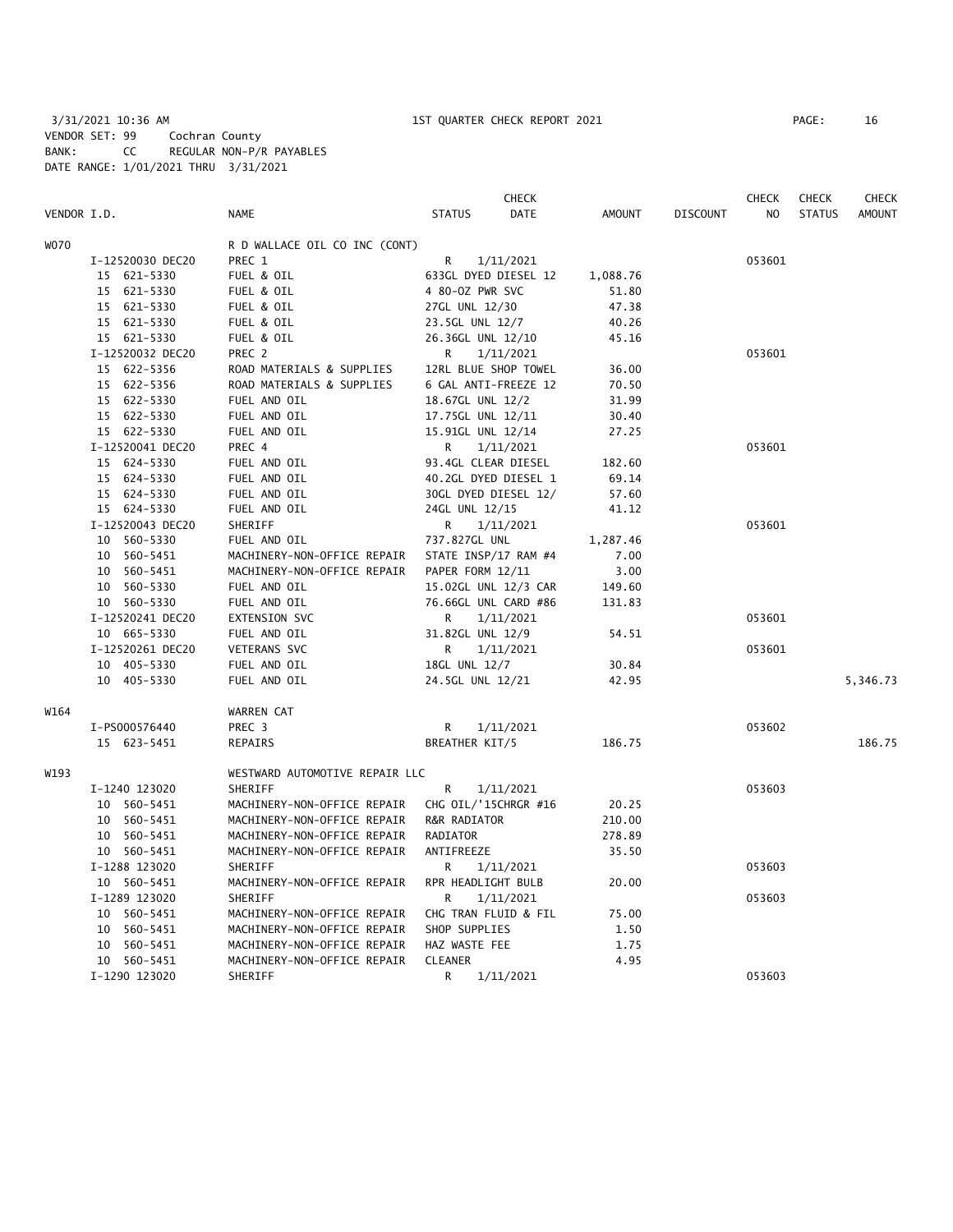3/31/2021 10:36 AM 1ST QUARTER CHECK REPORT 2021 PAGE: 16 VENDOR SET: 99 Cochran County BANK: CC REGULAR NON-P/R PAYABLES DATE RANGE: 1/01/2021 THRU 3/31/2021

|      |                  |                                | <b>CHECK</b>                 |               |                 | <b>CHECK</b> | <b>CHECK</b>  | <b>CHECK</b> |
|------|------------------|--------------------------------|------------------------------|---------------|-----------------|--------------|---------------|--------------|
|      | VENDOR I.D.      | NAME                           | <b>STATUS</b><br><b>DATE</b> | <b>AMOUNT</b> | <b>DISCOUNT</b> | NO           | <b>STATUS</b> | AMOUNT       |
| W070 |                  | R D WALLACE OIL CO INC (CONT)  |                              |               |                 |              |               |              |
|      | I-12520030 DEC20 | PREC 1                         | R<br>1/11/2021               |               |                 | 053601       |               |              |
|      | 15 621-5330      | FUEL & OIL                     | 633GL DYED DIESEL 12         | 1,088.76      |                 |              |               |              |
|      | 15 621-5330      | FUEL & OIL                     | 4 80-0Z PWR SVC              | 51.80         |                 |              |               |              |
|      | 15 621-5330      | FUEL & OIL                     | 27GL UNL 12/30               | 47.38         |                 |              |               |              |
|      | 15 621-5330      | FUEL & OIL                     | 23.5GL UNL 12/7              | 40.26         |                 |              |               |              |
|      | 15 621-5330      | FUEL & OIL                     | 26.36GL UNL 12/10            | 45.16         |                 |              |               |              |
|      | I-12520032 DEC20 | PREC 2                         | 1/11/2021<br>R               |               |                 | 053601       |               |              |
|      | 15 622-5356      | ROAD MATERIALS & SUPPLIES      | 12RL BLUE SHOP TOWEL         | 36.00         |                 |              |               |              |
|      | 15 622-5356      | ROAD MATERIALS & SUPPLIES      | 6 GAL ANTI-FREEZE 12         | 70.50         |                 |              |               |              |
|      | 15 622-5330      | FUEL AND OIL                   | 18.67GL UNL 12/2             | 31.99         |                 |              |               |              |
|      |                  |                                |                              |               |                 |              |               |              |
|      | 15 622-5330      | FUEL AND OIL                   | 17.75GL UNL 12/11            | 30.40         |                 |              |               |              |
|      | 15 622-5330      | FUEL AND OIL                   | 15.91GL UNL 12/14            | 27.25         |                 |              |               |              |
|      | I-12520041 DEC20 | PREC 4                         | R<br>1/11/2021               |               |                 | 053601       |               |              |
|      | 15 624-5330      | FUEL AND OIL                   | 93.4GL CLEAR DIESEL          | 182.60        |                 |              |               |              |
|      | 15 624-5330      | FUEL AND OIL                   | 40.2GL DYED DIESEL 1         | 69.14         |                 |              |               |              |
|      | 15 624-5330      | FUEL AND OIL                   | 30GL DYED DIESEL 12/         | 57.60         |                 |              |               |              |
|      | 15 624-5330      | FUEL AND OIL                   | 24GL UNL 12/15               | 41.12         |                 |              |               |              |
|      | I-12520043 DEC20 | SHERIFF                        | 1/11/2021<br>R               |               |                 | 053601       |               |              |
|      | 10 560-5330      | FUEL AND OIL                   | 737.827GL UNL                | 1,287.46      |                 |              |               |              |
|      | 10 560-5451      | MACHINERY-NON-OFFICE REPAIR    | STATE INSP/17 RAM #4         | 7.00          |                 |              |               |              |
|      | 10 560-5451      | MACHINERY-NON-OFFICE REPAIR    | PAPER FORM 12/11             | 3.00          |                 |              |               |              |
|      | 10 560-5330      | FUEL AND OIL                   | 15.02GL UNL 12/3 CAR         | 149.60        |                 |              |               |              |
|      | 10 560-5330      | FUEL AND OIL                   | 76.66GL UNL CARD #86         | 131.83        |                 |              |               |              |
|      | I-12520241 DEC20 | <b>EXTENSION SVC</b>           | R<br>1/11/2021               |               |                 | 053601       |               |              |
|      | 10 665-5330      | FUEL AND OIL                   | 31.82GL UNL 12/9             | 54.51         |                 |              |               |              |
|      | I-12520261 DEC20 | <b>VETERANS SVC</b>            | 1/11/2021<br>R               |               |                 | 053601       |               |              |
|      | 10 405-5330      | FUEL AND OIL                   | 18GL UNL 12/7                | 30.84         |                 |              |               |              |
|      | 10 405-5330      | FUEL AND OIL                   | 24.5GL UNL 12/21             | 42.95         |                 |              |               | 5,346.73     |
| W164 |                  | WARREN CAT                     |                              |               |                 |              |               |              |
|      | I-PS000576440    | PREC 3                         | 1/11/2021<br>R               |               |                 | 053602       |               |              |
|      | 15 623-5451      | REPAIRS                        | BREATHER KIT/5               | 186.75        |                 |              |               | 186.75       |
| W193 |                  | WESTWARD AUTOMOTIVE REPAIR LLC |                              |               |                 |              |               |              |
|      | I-1240 123020    | SHERIFF                        | R<br>1/11/2021               |               |                 | 053603       |               |              |
|      | 10 560-5451      | MACHINERY-NON-OFFICE REPAIR    | CHG OIL/'15CHRGR #16         | 20.25         |                 |              |               |              |
|      | 10 560-5451      | MACHINERY-NON-OFFICE REPAIR    | R&R RADIATOR                 | 210.00        |                 |              |               |              |
|      | 10 560-5451      | MACHINERY-NON-OFFICE REPAIR    | RADIATOR                     | 278.89        |                 |              |               |              |
|      | 10 560-5451      | MACHINERY-NON-OFFICE REPAIR    | ANTIFREEZE                   | 35.50         |                 |              |               |              |
|      | I-1288 123020    | SHERIFF                        | R<br>1/11/2021               |               |                 | 053603       |               |              |
|      | 10 560-5451      | MACHINERY-NON-OFFICE REPAIR    | RPR HEADLIGHT BULB           | 20.00         |                 |              |               |              |
|      | I-1289 123020    | SHERIFF                        | R<br>1/11/2021               |               |                 | 053603       |               |              |
|      | 10 560-5451      | MACHINERY-NON-OFFICE REPAIR    | CHG TRAN FLUID & FIL         | 75.00         |                 |              |               |              |
|      | 10 560-5451      | MACHINERY-NON-OFFICE REPAIR    | SHOP SUPPLIES                | 1.50          |                 |              |               |              |
|      | 10 560-5451      | MACHINERY-NON-OFFICE REPAIR    | HAZ WASTE FEE                | 1.75          |                 |              |               |              |
|      | 10 560-5451      | MACHINERY-NON-OFFICE REPAIR    | <b>CLEANER</b>               | 4.95          |                 |              |               |              |
|      | I-1290 123020    | SHERIFF                        | R<br>1/11/2021               |               |                 | 053603       |               |              |
|      |                  |                                |                              |               |                 |              |               |              |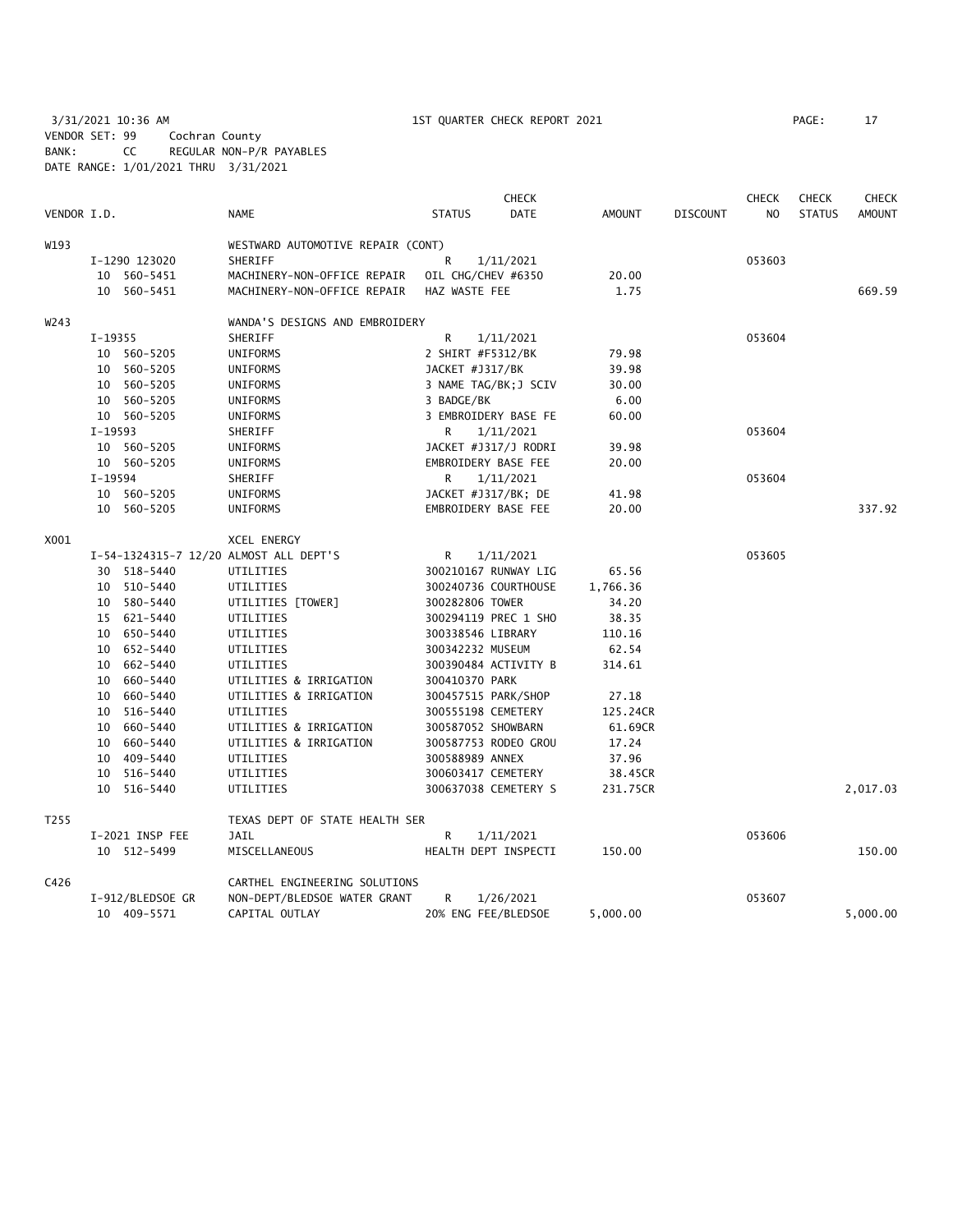3/31/2021 10:36 AM 1ST QUARTER CHECK REPORT 2021 PAGE: 17 VENDOR SET: 99 Cochran County BANK: CC REGULAR NON-P/R PAYABLES DATE RANGE: 1/01/2021 THRU 3/31/2021

|                  |           |                  |                                        |                     | <b>CHECK</b>          |               |                 | <b>CHECK</b> | <b>CHECK</b>  | <b>CHECK</b>  |
|------------------|-----------|------------------|----------------------------------------|---------------------|-----------------------|---------------|-----------------|--------------|---------------|---------------|
| VENDOR I.D.      |           |                  | NAME                                   | <b>STATUS</b>       | <b>DATE</b>           | <b>AMOUNT</b> | <b>DISCOUNT</b> | NO.          | <b>STATUS</b> | <b>AMOUNT</b> |
| W193             |           |                  | WESTWARD AUTOMOTIVE REPAIR (CONT)      |                     |                       |               |                 |              |               |               |
|                  |           | I-1290 123020    | SHERIFF                                | R                   | 1/11/2021             |               |                 | 053603       |               |               |
|                  |           | 10 560-5451      | MACHINERY-NON-OFFICE REPAIR            | OIL CHG/CHEV #6350  |                       | 20.00         |                 |              |               |               |
|                  |           | 10 560-5451      | MACHINERY-NON-OFFICE REPAIR            | HAZ WASTE FEE       |                       | 1.75          |                 |              |               | 669.59        |
| W243             |           |                  | WANDA'S DESIGNS AND EMBROIDERY         |                     |                       |               |                 |              |               |               |
|                  | $I-19355$ |                  | SHERIFF                                | R                   | 1/11/2021             |               |                 | 053604       |               |               |
|                  |           | 10 560-5205      | UNIFORMS                               | 2 SHIRT #F5312/BK   |                       | 79.98         |                 |              |               |               |
|                  |           | 10 560-5205      | UNIFORMS                               | JACKET #J317/BK     |                       | 39.98         |                 |              |               |               |
|                  |           | 10 560-5205      | UNIFORMS                               |                     | 3 NAME TAG/BK; J SCIV | 30.00         |                 |              |               |               |
|                  |           | 10 560-5205      | UNIFORMS                               | 3 BADGE/BK          |                       | 6.00          |                 |              |               |               |
|                  |           | 10 560-5205      | UNIFORMS                               |                     | 3 EMBROIDERY BASE FE  | 60.00         |                 |              |               |               |
|                  | I-19593   |                  | SHERIFF                                | R                   | 1/11/2021             |               |                 | 053604       |               |               |
|                  |           | 10 560-5205      | UNIFORMS                               |                     | JACKET #J317/J RODRI  | 39.98         |                 |              |               |               |
|                  |           | 10 560-5205      | UNIFORMS                               | EMBROIDERY BASE FEE |                       | 20.00         |                 |              |               |               |
|                  | $I-19594$ |                  | SHERIFF                                | R                   | 1/11/2021             |               |                 | 053604       |               |               |
|                  |           | 10 560-5205      | UNIFORMS                               | JACKET #J317/BK; DE |                       | 41.98         |                 |              |               |               |
|                  |           | 10 560-5205      | UNIFORMS                               | EMBROIDERY BASE FEE |                       | 20.00         |                 |              |               | 337.92        |
| X001             |           |                  | XCEL ENERGY                            |                     |                       |               |                 |              |               |               |
|                  |           |                  | I-54-1324315-7 12/20 ALMOST ALL DEPT'S | R                   | 1/11/2021             |               |                 | 053605       |               |               |
|                  |           | 30 518-5440      | UTILITIES                              |                     | 300210167 RUNWAY LIG  | 65.56         |                 |              |               |               |
|                  |           | 10 510-5440      | UTILITIES                              |                     | 300240736 COURTHOUSE  | 1,766.36      |                 |              |               |               |
|                  |           | 10 580-5440      | UTILITIES [TOWER]                      | 300282806 TOWER     |                       | 34.20         |                 |              |               |               |
|                  |           | 15 621-5440      | UTILITIES                              |                     | 300294119 PREC 1 SHO  | 38.35         |                 |              |               |               |
|                  |           |                  |                                        |                     |                       |               |                 |              |               |               |
|                  |           | 10 650-5440      | UTILITIES                              | 300338546 LIBRARY   |                       | 110.16        |                 |              |               |               |
|                  |           | 10 652-5440      | UTILITIES                              | 300342232 MUSEUM    |                       | 62.54         |                 |              |               |               |
|                  |           | 10 662-5440      | UTILITIES                              |                     | 300390484 ACTIVITY B  | 314.61        |                 |              |               |               |
|                  |           | 10 660-5440      | UTILITIES & IRRIGATION                 | 300410370 PARK      |                       |               |                 |              |               |               |
|                  |           | 10 660-5440      | UTILITIES & IRRIGATION                 | 300457515 PARK/SHOP |                       | 27.18         |                 |              |               |               |
|                  |           | 10 516-5440      | UTILITIES                              | 300555198 CEMETERY  |                       | 125.24CR      |                 |              |               |               |
|                  |           | 10 660-5440      | UTILITIES & IRRIGATION                 | 300587052 SHOWBARN  |                       | 61.69CR       |                 |              |               |               |
|                  |           | 10 660-5440      | UTILITIES & IRRIGATION                 |                     | 300587753 RODEO GROU  | 17.24         |                 |              |               |               |
|                  |           | 10 409-5440      | UTILITIES                              | 300588989 ANNEX     |                       | 37.96         |                 |              |               |               |
|                  |           | 10 516-5440      | UTILITIES                              | 300603417 CEMETERY  |                       | 38.45CR       |                 |              |               |               |
|                  |           | 10 516-5440      | UTILITIES                              |                     | 300637038 CEMETERY S  | 231.75CR      |                 |              |               | 2,017.03      |
| T <sub>255</sub> |           |                  | TEXAS DEPT OF STATE HEALTH SER         |                     |                       |               |                 |              |               |               |
|                  |           | I-2021 INSP FEE  | JAIL                                   | R                   | 1/11/2021             |               |                 | 053606       |               |               |
|                  |           | 10 512-5499      | MISCELLANEOUS                          |                     | HEALTH DEPT INSPECTI  | 150.00        |                 |              |               | 150.00        |
| C426             |           |                  | CARTHEL ENGINEERING SOLUTIONS          |                     |                       |               |                 |              |               |               |
|                  |           | I-912/BLEDSOE GR | NON-DEPT/BLEDSOE WATER GRANT           | R                   | 1/26/2021             |               |                 | 053607       |               |               |
|                  |           | 10 409-5571      | CAPITAL OUTLAY                         | 20% ENG FEE/BLEDSOE |                       | 5,000.00      |                 |              |               | 5,000.00      |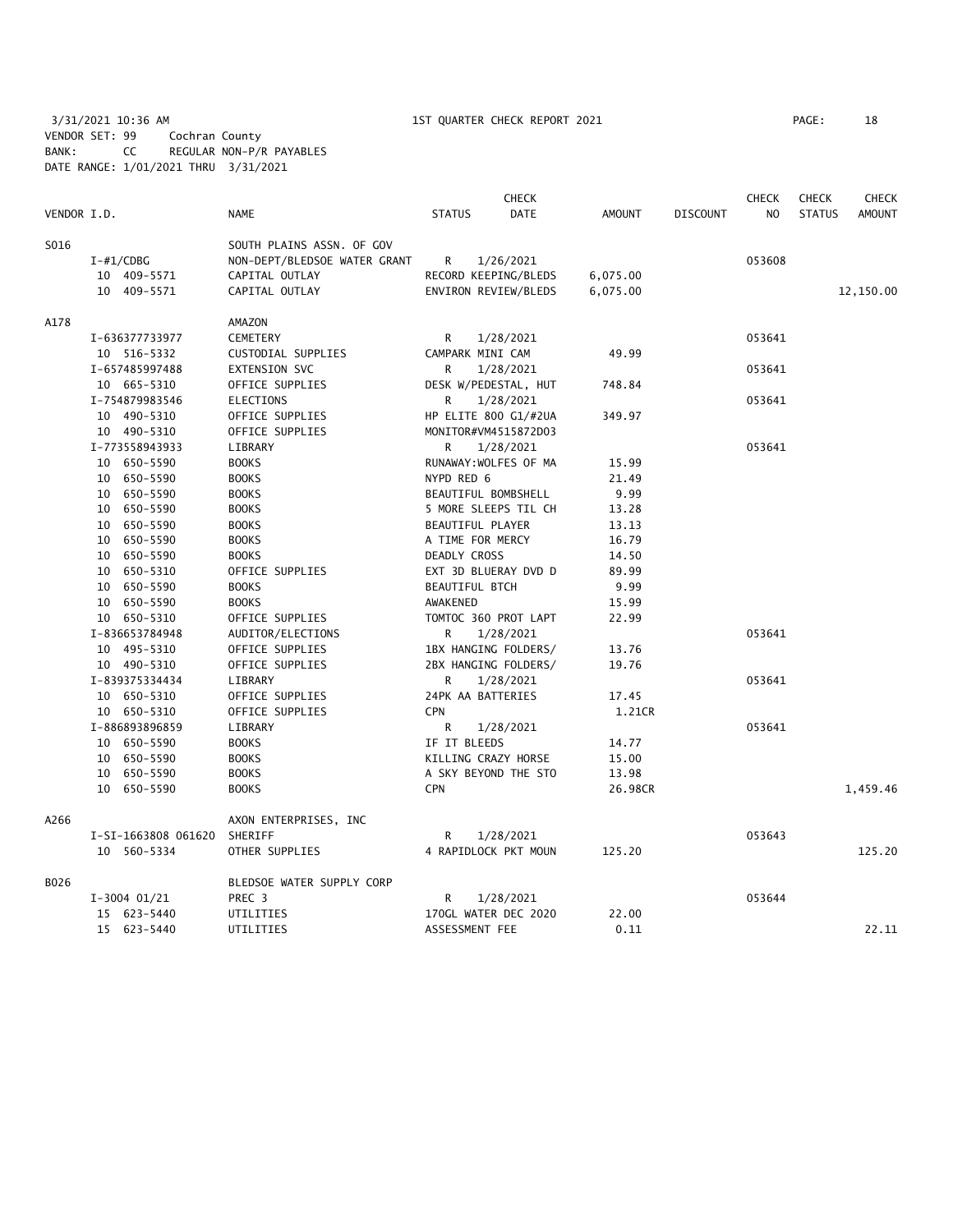# 3/31/2021 10:36 AM 1ST QUARTER CHECK REPORT 2021 PAGE: 18 VENDOR SET: 99 Cochran County BANK: CC REGULAR NON-P/R PAYABLES DATE RANGE: 1/01/2021 THRU 3/31/2021

|             |                     |                              |                     | <b>CHECK</b>          |               |                 | <b>CHECK</b>   | <b>CHECK</b>  | <b>CHECK</b>  |
|-------------|---------------------|------------------------------|---------------------|-----------------------|---------------|-----------------|----------------|---------------|---------------|
| VENDOR I.D. |                     | <b>NAME</b>                  | <b>STATUS</b>       | <b>DATE</b>           | <b>AMOUNT</b> | <b>DISCOUNT</b> | N <sub>O</sub> | <b>STATUS</b> | <b>AMOUNT</b> |
| S016        |                     | SOUTH PLAINS ASSN. OF GOV    |                     |                       |               |                 |                |               |               |
|             | $I - #1/CDBG$       | NON-DEPT/BLEDSOE WATER GRANT | R                   | 1/26/2021             |               |                 | 053608         |               |               |
|             | 10 409-5571         | CAPITAL OUTLAY               |                     | RECORD KEEPING/BLEDS  | 6,075.00      |                 |                |               |               |
|             | 10 409-5571         | CAPITAL OUTLAY               |                     | ENVIRON REVIEW/BLEDS  | 6,075.00      |                 |                |               | 12,150.00     |
| A178        |                     | AMAZON                       |                     |                       |               |                 |                |               |               |
|             | I-636377733977      | <b>CEMETERY</b>              | R                   | 1/28/2021             |               |                 | 053641         |               |               |
|             | 10 516-5332         | CUSTODIAL SUPPLIES           |                     | CAMPARK MINI CAM      | 49.99         |                 |                |               |               |
|             | I-657485997488      | <b>EXTENSION SVC</b>         | R                   | 1/28/2021             |               |                 | 053641         |               |               |
|             | 10 665-5310         | OFFICE SUPPLIES              |                     | DESK W/PEDESTAL, HUT  | 748.84        |                 |                |               |               |
|             | I-754879983546      | <b>ELECTIONS</b>             | R                   | 1/28/2021             |               |                 | 053641         |               |               |
|             | 10 490-5310         | OFFICE SUPPLIES              |                     | HP ELITE 800 G1/#2UA  | 349.97        |                 |                |               |               |
|             | 10 490-5310         | OFFICE SUPPLIES              |                     | MONITOR#VM4515872D03  |               |                 |                |               |               |
|             | I-773558943933      | LIBRARY                      | R                   | 1/28/2021             |               |                 | 053641         |               |               |
|             | 10 650-5590         | <b>BOOKS</b>                 |                     | RUNAWAY: WOLFES OF MA | 15.99         |                 |                |               |               |
|             | 10 650-5590         | <b>BOOKS</b>                 | NYPD RED 6          |                       | 21.49         |                 |                |               |               |
|             | 10 650-5590         | <b>BOOKS</b>                 | BEAUTIFUL BOMBSHELL |                       | 9.99          |                 |                |               |               |
|             | 10 650-5590         | <b>BOOKS</b>                 |                     | 5 MORE SLEEPS TIL CH  | 13.28         |                 |                |               |               |
|             | 10 650-5590         | <b>BOOKS</b>                 |                     | BEAUTIFUL PLAYER      | 13.13         |                 |                |               |               |
|             | 10 650-5590         | <b>BOOKS</b>                 |                     | A TIME FOR MERCY      | 16.79         |                 |                |               |               |
|             | 10 650-5590         | <b>BOOKS</b>                 | DEADLY CROSS        |                       | 14.50         |                 |                |               |               |
|             | 10 650-5310         | OFFICE SUPPLIES              |                     | EXT 3D BLUERAY DVD D  | 89.99         |                 |                |               |               |
|             | 10 650-5590         | <b>BOOKS</b>                 |                     | <b>BEAUTIFUL BTCH</b> | 9.99          |                 |                |               |               |
|             | 10 650-5590         | <b>BOOKS</b>                 | AWAKENED            |                       | 15.99         |                 |                |               |               |
|             | 10 650-5310         | OFFICE SUPPLIES              |                     | TOMTOC 360 PROT LAPT  | 22.99         |                 |                |               |               |
|             | I-836653784948      | AUDITOR/ELECTIONS            | R                   | 1/28/2021             |               |                 | 053641         |               |               |
|             | 10 495-5310         | OFFICE SUPPLIES              |                     | 1BX HANGING FOLDERS/  | 13.76         |                 |                |               |               |
|             | 10 490-5310         | OFFICE SUPPLIES              |                     | 2BX HANGING FOLDERS/  | 19.76         |                 |                |               |               |
|             | I-839375334434      | LIBRARY                      | R                   | 1/28/2021             |               |                 | 053641         |               |               |
|             | 10 650-5310         | OFFICE SUPPLIES              |                     | 24PK AA BATTERIES     | 17.45         |                 |                |               |               |
|             | 10 650-5310         |                              | <b>CPN</b>          |                       |               |                 |                |               |               |
|             | I-886893896859      | OFFICE SUPPLIES<br>LIBRARY   | R                   |                       | 1.21CR        |                 | 053641         |               |               |
|             |                     |                              | IF IT BLEEDS        | 1/28/2021             | 14.77         |                 |                |               |               |
|             | 10 650-5590         | <b>BOOKS</b>                 |                     |                       |               |                 |                |               |               |
|             | 10 650-5590         | <b>BOOKS</b>                 |                     | KILLING CRAZY HORSE   | 15.00         |                 |                |               |               |
|             | 10 650-5590         | <b>BOOKS</b>                 |                     | A SKY BEYOND THE STO  | 13.98         |                 |                |               |               |
|             | 10 650-5590         | <b>BOOKS</b>                 | <b>CPN</b>          |                       | 26.98CR       |                 |                |               | 1,459.46      |
| A266        |                     | AXON ENTERPRISES, INC        |                     |                       |               |                 |                |               |               |
|             | I-SI-1663808 061620 | SHERIFF                      | R                   | 1/28/2021             |               |                 | 053643         |               |               |
|             | 10 560-5334         | OTHER SUPPLIES               |                     | 4 RAPIDLOCK PKT MOUN  | 125.20        |                 |                |               | 125.20        |
| B026        |                     | BLEDSOE WATER SUPPLY CORP    |                     |                       |               |                 |                |               |               |
|             | $I-3004$ 01/21      | PREC <sub>3</sub>            | R                   | 1/28/2021             |               |                 | 053644         |               |               |
|             | 15 623-5440         | UTILITIES                    |                     | 170GL WATER DEC 2020  | 22.00         |                 |                |               |               |
|             | 15 623-5440         | UTILITIES                    |                     | ASSESSMENT FEE        | 0.11          |                 |                |               | 22.11         |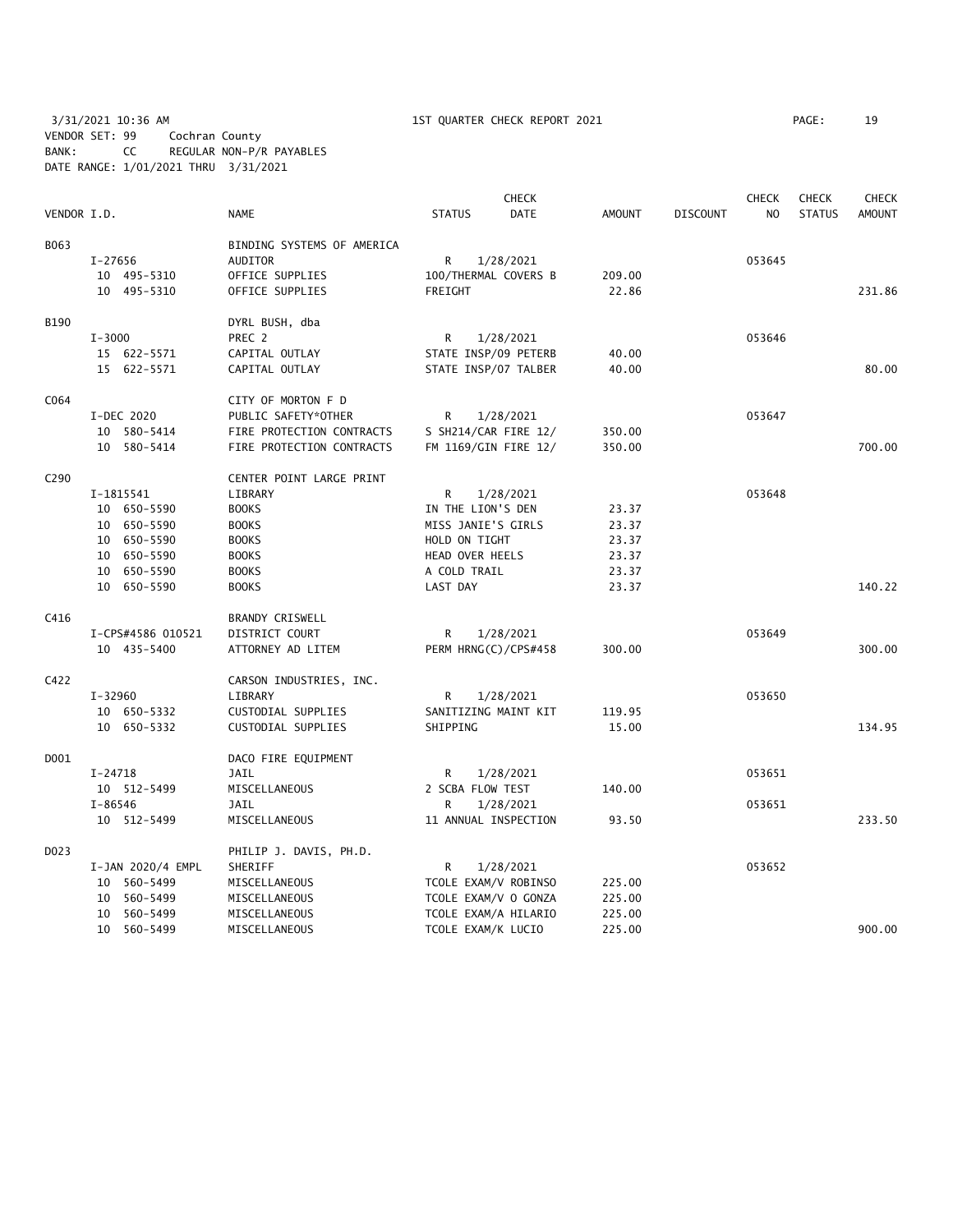3/31/2021 10:36 AM 1ST QUARTER CHECK REPORT 2021 PAGE: 19 VENDOR SET: 99 Cochran County BANK: CC REGULAR NON-P/R PAYABLES DATE RANGE: 1/01/2021 THRU 3/31/2021

|                  |             |                   |                            |                      | <b>CHECK</b>         |               |          | <b>CHECK</b> | <b>CHECK</b>  | <b>CHECK</b>  |
|------------------|-------------|-------------------|----------------------------|----------------------|----------------------|---------------|----------|--------------|---------------|---------------|
| VENDOR I.D.      |             |                   | <b>NAME</b>                | <b>STATUS</b>        | <b>DATE</b>          | <b>AMOUNT</b> | DISCOUNT | NO           | <b>STATUS</b> | <b>AMOUNT</b> |
| B063             |             |                   | BINDING SYSTEMS OF AMERICA |                      |                      |               |          |              |               |               |
|                  | I-27656     |                   | <b>AUDITOR</b>             | R                    | 1/28/2021            |               |          | 053645       |               |               |
|                  |             | 10 495-5310       | OFFICE SUPPLIES            | 100/THERMAL COVERS B |                      | 209.00        |          |              |               |               |
|                  |             | 10 495-5310       | OFFICE SUPPLIES            | FREIGHT              |                      | 22.86         |          |              |               | 231.86        |
| B190             |             |                   | DYRL BUSH, dba             |                      |                      |               |          |              |               |               |
|                  | $I - 3000$  |                   | PREC 2                     | R                    | 1/28/2021            |               |          | 053646       |               |               |
|                  |             | 15 622-5571       | CAPITAL OUTLAY             | STATE INSP/09 PETERB |                      | 40.00         |          |              |               |               |
|                  |             | 15 622-5571       | CAPITAL OUTLAY             |                      | STATE INSP/07 TALBER | 40.00         |          |              |               | 80.00         |
| C064             |             |                   | CITY OF MORTON F D         |                      |                      |               |          |              |               |               |
|                  |             | I-DEC 2020        | PUBLIC SAFETY*OTHER        | R                    | 1/28/2021            |               |          | 053647       |               |               |
|                  |             | 10 580-5414       | FIRE PROTECTION CONTRACTS  |                      | S SH214/CAR FIRE 12/ | 350.00        |          |              |               |               |
|                  |             | 10 580-5414       | FIRE PROTECTION CONTRACTS  |                      | FM 1169/GIN FIRE 12/ | 350.00        |          |              |               | 700.00        |
| C <sub>290</sub> |             |                   | CENTER POINT LARGE PRINT   |                      |                      |               |          |              |               |               |
|                  |             | I-1815541         | LIBRARY                    | R                    | 1/28/2021            |               |          | 053648       |               |               |
|                  |             | 10 650-5590       | <b>BOOKS</b>               | IN THE LION'S DEN    |                      | 23.37         |          |              |               |               |
|                  |             | 10 650-5590       | <b>BOOKS</b>               | MISS JANIE'S GIRLS   |                      | 23.37         |          |              |               |               |
|                  |             | 10 650-5590       | <b>BOOKS</b>               | HOLD ON TIGHT        |                      | 23.37         |          |              |               |               |
|                  |             | 10 650-5590       | <b>BOOKS</b>               | HEAD OVER HEELS      |                      | 23.37         |          |              |               |               |
|                  |             | 10 650-5590       | <b>BOOKS</b>               | A COLD TRAIL         |                      | 23.37         |          |              |               |               |
|                  |             | 10 650-5590       | <b>BOOKS</b>               | LAST DAY             |                      | 23.37         |          |              |               | 140.22        |
| C416             |             |                   | BRANDY CRISWELL            |                      |                      |               |          |              |               |               |
|                  |             | I-CPS#4586 010521 | DISTRICT COURT             | R                    | 1/28/2021            |               |          | 053649       |               |               |
|                  |             | 10 435-5400       | ATTORNEY AD LITEM          | PERM HRNG(C)/CPS#458 |                      | 300.00        |          |              |               | 300.00        |
| C422             |             |                   | CARSON INDUSTRIES, INC.    |                      |                      |               |          |              |               |               |
|                  | $I - 32960$ |                   | LIBRARY                    | R                    | 1/28/2021            |               |          | 053650       |               |               |
|                  |             | 10 650-5332       | CUSTODIAL SUPPLIES         | SANITIZING MAINT KIT |                      | 119.95        |          |              |               |               |
|                  |             | 10 650-5332       | CUSTODIAL SUPPLIES         | SHIPPING             |                      | 15.00         |          |              |               | 134.95        |
| D001             |             |                   | DACO FIRE EQUIPMENT        |                      |                      |               |          |              |               |               |
|                  | I-24718     |                   | JAIL                       | R                    | 1/28/2021            |               |          | 053651       |               |               |
|                  |             | 10 512-5499       | MISCELLANEOUS              | 2 SCBA FLOW TEST     |                      | 140.00        |          |              |               |               |
|                  | $I - 86546$ |                   | <b>JAIL</b>                | R.                   | 1/28/2021            |               |          | 053651       |               |               |
|                  |             | 10 512-5499       | MISCELLANEOUS              | 11 ANNUAL INSPECTION |                      | 93.50         |          |              |               | 233.50        |
| D023             |             |                   | PHILIP J. DAVIS, PH.D.     |                      |                      |               |          |              |               |               |
|                  |             | I-JAN 2020/4 EMPL | SHERIFF                    | R                    | 1/28/2021            |               |          | 053652       |               |               |
|                  |             | 10 560-5499       | MISCELLANEOUS              | TCOLE EXAM/V ROBINSO |                      | 225.00        |          |              |               |               |
|                  |             | 10 560-5499       | MISCELLANEOUS              | TCOLE EXAM/V O GONZA |                      | 225.00        |          |              |               |               |
|                  |             | 10 560-5499       | MISCELLANEOUS              | TCOLE EXAM/A HILARIO |                      | 225.00        |          |              |               |               |
|                  |             | 10 560-5499       | MISCELLANEOUS              | TCOLE EXAM/K LUCIO   |                      | 225.00        |          |              |               | 900.00        |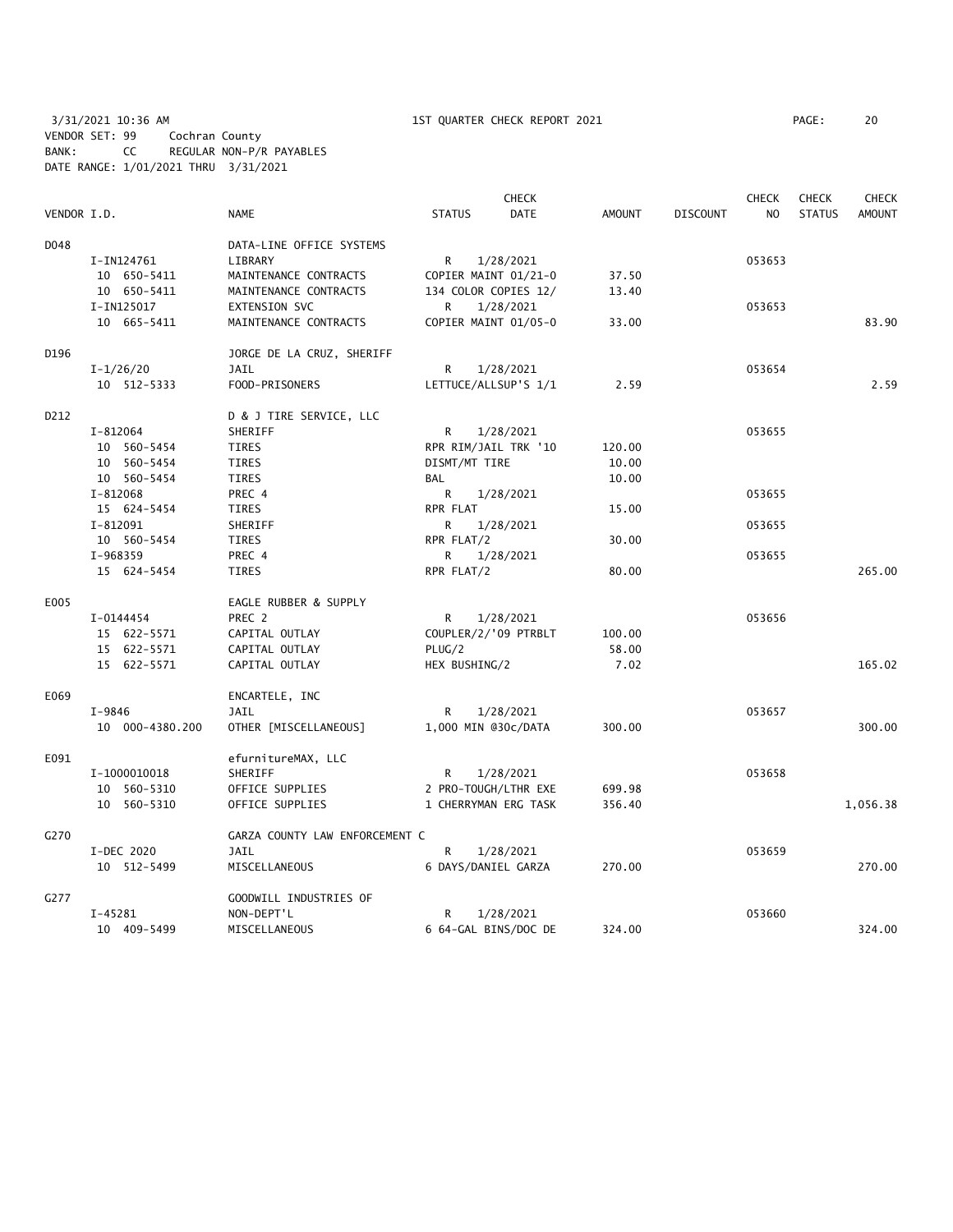3/31/2021 10:36 AM 1ST QUARTER CHECK REPORT 2021 PAGE: 20 VENDOR SET: 99 Cochran County BANK: CC REGULAR NON-P/R PAYABLES DATE RANGE: 1/01/2021 THRU 3/31/2021

|             |                 |                                |                      | <b>CHECK</b> |               |                 | <b>CHECK</b>   | <b>CHECK</b>  | <b>CHECK</b>  |
|-------------|-----------------|--------------------------------|----------------------|--------------|---------------|-----------------|----------------|---------------|---------------|
| VENDOR I.D. |                 | <b>NAME</b>                    | <b>STATUS</b>        | <b>DATE</b>  | <b>AMOUNT</b> | <b>DISCOUNT</b> | N <sub>O</sub> | <b>STATUS</b> | <b>AMOUNT</b> |
| D048        |                 | DATA-LINE OFFICE SYSTEMS       |                      |              |               |                 |                |               |               |
|             | I-IN124761      | LIBRARY                        | R                    | 1/28/2021    |               |                 | 053653         |               |               |
|             | 10 650-5411     | MAINTENANCE CONTRACTS          | COPIER MAINT 01/21-0 |              | 37.50         |                 |                |               |               |
|             | 10 650-5411     | MAINTENANCE CONTRACTS          | 134 COLOR COPIES 12/ |              | 13.40         |                 |                |               |               |
|             | I-IN125017      | EXTENSION SVC                  | R                    | 1/28/2021    |               |                 | 053653         |               |               |
|             | 10 665-5411     | MAINTENANCE CONTRACTS          | COPIER MAINT 01/05-0 |              | 33.00         |                 |                |               | 83.90         |
| D196        |                 | JORGE DE LA CRUZ, SHERIFF      |                      |              |               |                 |                |               |               |
|             | $I - 1/26/20$   | JAIL                           | R                    | 1/28/2021    |               |                 | 053654         |               |               |
|             | 10 512-5333     | FOOD-PRISONERS                 | LETTUCE/ALLSUP'S 1/1 |              | 2.59          |                 |                |               | 2.59          |
| D212        |                 | D & J TIRE SERVICE, LLC        |                      |              |               |                 |                |               |               |
|             | I-812064        | SHERIFF                        | R                    | 1/28/2021    |               |                 | 053655         |               |               |
|             | 10 560-5454     | TIRES                          | RPR RIM/JAIL TRK '10 |              | 120.00        |                 |                |               |               |
|             | 10 560-5454     | <b>TIRES</b>                   | DISMT/MT TIRE        |              | 10.00         |                 |                |               |               |
|             | 10 560-5454     | <b>TIRES</b>                   | BAL                  |              | 10.00         |                 |                |               |               |
|             | I-812068        | PREC 4                         | R                    | 1/28/2021    |               |                 | 053655         |               |               |
|             | 15 624-5454     | TIRES                          | RPR FLAT             |              | 15.00         |                 |                |               |               |
|             | $I - 812091$    | SHERIFF                        | R                    | 1/28/2021    |               |                 | 053655         |               |               |
|             | 10 560-5454     | <b>TIRES</b>                   | RPR FLAT/2           |              | 30.00         |                 |                |               |               |
|             | I-968359        | PREC 4                         | R                    | 1/28/2021    |               |                 | 053655         |               |               |
|             | 15 624-5454     | <b>TIRES</b>                   | RPR FLAT/2           |              | 80.00         |                 |                |               | 265.00        |
| E005        |                 | EAGLE RUBBER & SUPPLY          |                      |              |               |                 |                |               |               |
|             | I-0144454       | PREC 2                         | R                    | 1/28/2021    |               |                 | 053656         |               |               |
|             | 15 622-5571     | CAPITAL OUTLAY                 | COUPLER/2/'09 PTRBLT |              | 100.00        |                 |                |               |               |
|             | 15 622-5571     | CAPITAL OUTLAY                 | PLUG/2               |              | 58.00         |                 |                |               |               |
|             | 15 622-5571     | CAPITAL OUTLAY                 | HEX BUSHING/2        |              | 7.02          |                 |                |               | 165.02        |
| E069        |                 | ENCARTELE, INC                 |                      |              |               |                 |                |               |               |
|             | $I-9846$        | JAIL                           | R                    | 1/28/2021    |               |                 | 053657         |               |               |
|             | 10 000-4380.200 | OTHER [MISCELLANEOUS]          | 1,000 MIN @30c/DATA  |              | 300.00        |                 |                |               | 300.00        |
| E091        |                 | efurnitureMAX, LLC             |                      |              |               |                 |                |               |               |
|             | I-1000010018    | SHERIFF                        | R                    | 1/28/2021    |               |                 | 053658         |               |               |
|             | 10 560-5310     | OFFICE SUPPLIES                | 2 PRO-TOUGH/LTHR EXE |              | 699.98        |                 |                |               |               |
|             | 10 560-5310     | OFFICE SUPPLIES                | 1 CHERRYMAN ERG TASK |              | 356.40        |                 |                |               | 1,056.38      |
| G270        |                 | GARZA COUNTY LAW ENFORCEMENT C |                      |              |               |                 |                |               |               |
|             | I-DEC 2020      | JAIL                           | R                    | 1/28/2021    |               |                 | 053659         |               |               |
|             | 10 512-5499     | MISCELLANEOUS                  | 6 DAYS/DANIEL GARZA  |              | 270.00        |                 |                |               | 270.00        |
| G277        |                 | GOODWILL INDUSTRIES OF         |                      |              |               |                 |                |               |               |
|             | I-45281         | NON-DEPT'L                     | R                    | 1/28/2021    |               |                 | 053660         |               |               |
|             | 10 409-5499     | MISCELLANEOUS                  | 6 64-GAL BINS/DOC DE |              | 324.00        |                 |                |               | 324.00        |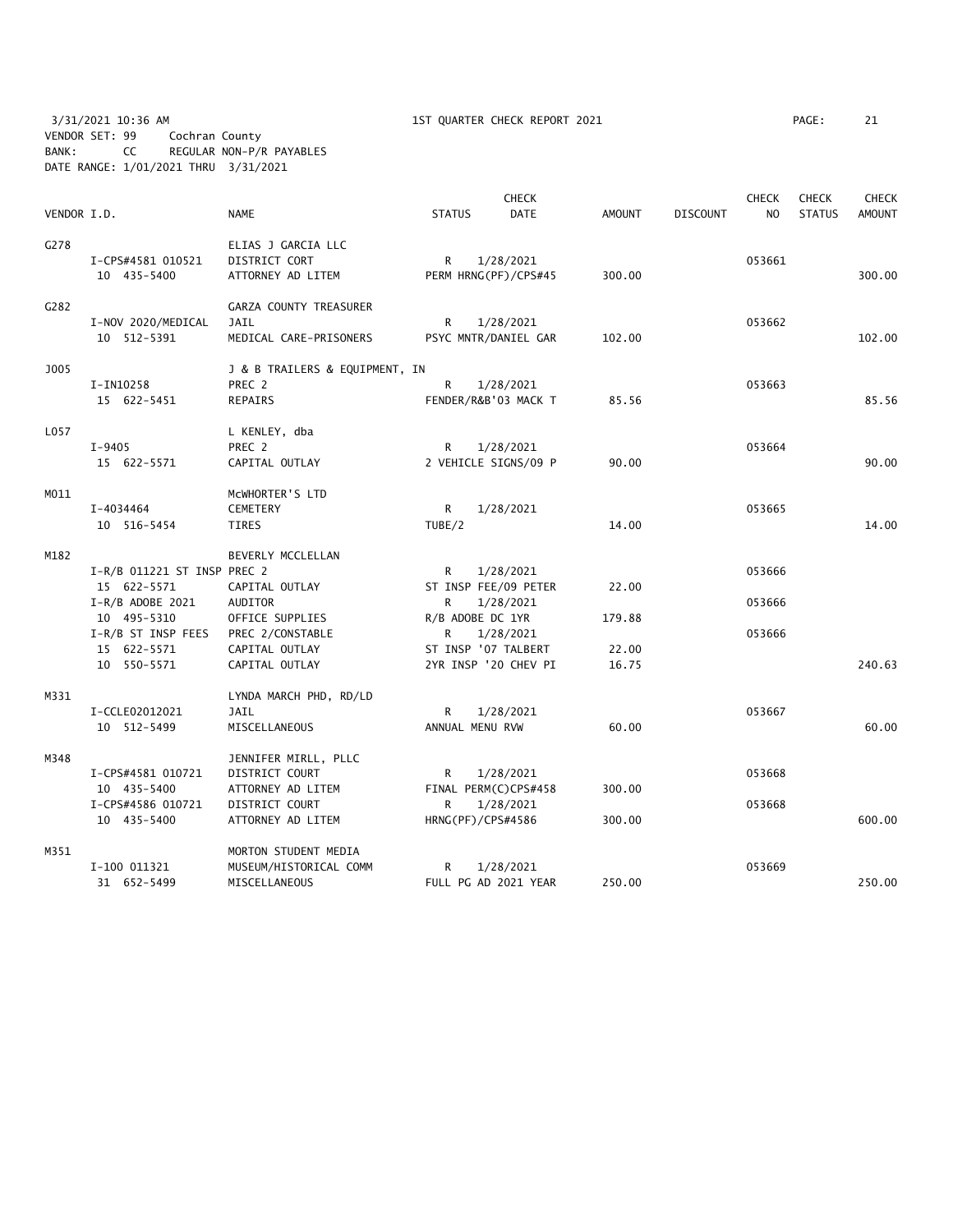3/31/2021 10:36 AM 1ST QUARTER CHECK REPORT 2021 PAGE: 21 VENDOR SET: 99 Cochran County BANK: CC REGULAR NON-P/R PAYABLES DATE RANGE: 1/01/2021 THRU 3/31/2021

|             |                             |                                |                      | <b>CHECK</b>         |               |                 | <b>CHECK</b> | <b>CHECK</b>  | <b>CHECK</b>  |
|-------------|-----------------------------|--------------------------------|----------------------|----------------------|---------------|-----------------|--------------|---------------|---------------|
| VENDOR I.D. |                             | <b>NAME</b>                    | <b>STATUS</b>        | <b>DATE</b>          | <b>AMOUNT</b> | <b>DISCOUNT</b> | NO           | <b>STATUS</b> | <b>AMOUNT</b> |
| G278        |                             | ELIAS J GARCIA LLC             |                      |                      |               |                 |              |               |               |
|             | I-CPS#4581 010521           | DISTRICT CORT                  | R                    | 1/28/2021            |               |                 | 053661       |               |               |
|             | 10 435-5400                 | ATTORNEY AD LITEM              | PERM HRNG(PF)/CPS#45 |                      | 300.00        |                 |              |               | 300.00        |
| G282        |                             | GARZA COUNTY TREASURER         |                      |                      |               |                 |              |               |               |
|             | I-NOV 2020/MEDICAL          | JAIL                           | R                    | 1/28/2021            |               |                 | 053662       |               |               |
|             | 10 512-5391                 | MEDICAL CARE-PRISONERS         | PSYC MNTR/DANIEL GAR |                      | 102.00        |                 |              |               | 102.00        |
| <b>J005</b> |                             | J & B TRAILERS & EQUIPMENT, IN |                      |                      |               |                 |              |               |               |
|             | I-IN10258                   | PREC 2                         | R                    | 1/28/2021            |               |                 | 053663       |               |               |
|             | 15 622-5451                 | <b>REPAIRS</b>                 | FENDER/R&B'03 MACK T |                      | 85.56         |                 |              |               | 85.56         |
| L057        |                             | L KENLEY, dba                  |                      |                      |               |                 |              |               |               |
|             | $I-9405$                    | PREC 2                         | R                    | 1/28/2021            |               |                 | 053664       |               |               |
|             | 15 622-5571                 | CAPITAL OUTLAY                 | 2 VEHICLE SIGNS/09 P |                      | 90.00         |                 |              |               | 90.00         |
| M011        |                             | MCWHORTER'S LTD                |                      |                      |               |                 |              |               |               |
|             | I-4034464                   | CEMETERY                       | R                    | 1/28/2021            |               |                 | 053665       |               |               |
|             | 10 516-5454                 | TIRES                          | TUBE/2               |                      | 14.00         |                 |              |               | 14.00         |
| M182        |                             | BEVERLY MCCLELLAN              |                      |                      |               |                 |              |               |               |
|             | I-R/B 011221 ST INSP PREC 2 |                                | R                    | 1/28/2021            |               |                 | 053666       |               |               |
|             | 15 622-5571                 | CAPITAL OUTLAY                 | ST INSP FEE/09 PETER |                      | 22.00         |                 |              |               |               |
|             | $I-R/B$ ADOBE 2021          | AUDITOR                        | R                    | 1/28/2021            |               |                 | 053666       |               |               |
|             | 10 495-5310                 | OFFICE SUPPLIES                | R/B ADOBE DC 1YR     |                      | 179.88        |                 |              |               |               |
|             | I-R/B ST INSP FEES          | PREC 2/CONSTABLE               | R                    | 1/28/2021            |               |                 | 053666       |               |               |
|             | 15 622-5571                 | CAPITAL OUTLAY                 | ST INSP '07 TALBERT  |                      | 22.00         |                 |              |               |               |
|             | 10 550-5571                 | CAPITAL OUTLAY                 | 2YR INSP '20 CHEV PI |                      | 16.75         |                 |              |               | 240.63        |
| M331        |                             | LYNDA MARCH PHD, RD/LD         |                      |                      |               |                 |              |               |               |
|             | I-CCLE02012021              | JAIL                           | R                    | 1/28/2021            |               |                 | 053667       |               |               |
|             | 10 512-5499                 | MISCELLANEOUS                  | ANNUAL MENU RVW      |                      | 60.00         |                 |              |               | 60.00         |
| M348        |                             | JENNIFER MIRLL, PLLC           |                      |                      |               |                 |              |               |               |
|             | I-CPS#4581 010721           | DISTRICT COURT                 | R                    | 1/28/2021            |               |                 | 053668       |               |               |
|             | 10 435-5400                 | ATTORNEY AD LITEM              | FINAL PERM(C)CPS#458 |                      | 300.00        |                 |              |               |               |
|             | I-CPS#4586 010721           | DISTRICT COURT                 | R                    | 1/28/2021            |               |                 | 053668       |               |               |
|             | 10 435-5400                 | ATTORNEY AD LITEM              | HRNG(PF)/CPS#4586    |                      | 300.00        |                 |              |               | 600.00        |
| M351        |                             | MORTON STUDENT MEDIA           |                      |                      |               |                 |              |               |               |
|             | I-100 011321                | MUSEUM/HISTORICAL COMM         | R                    | 1/28/2021            |               |                 | 053669       |               |               |
|             | 31 652-5499                 | MISCELLANEOUS                  |                      | FULL PG AD 2021 YEAR | 250.00        |                 |              |               | 250.00        |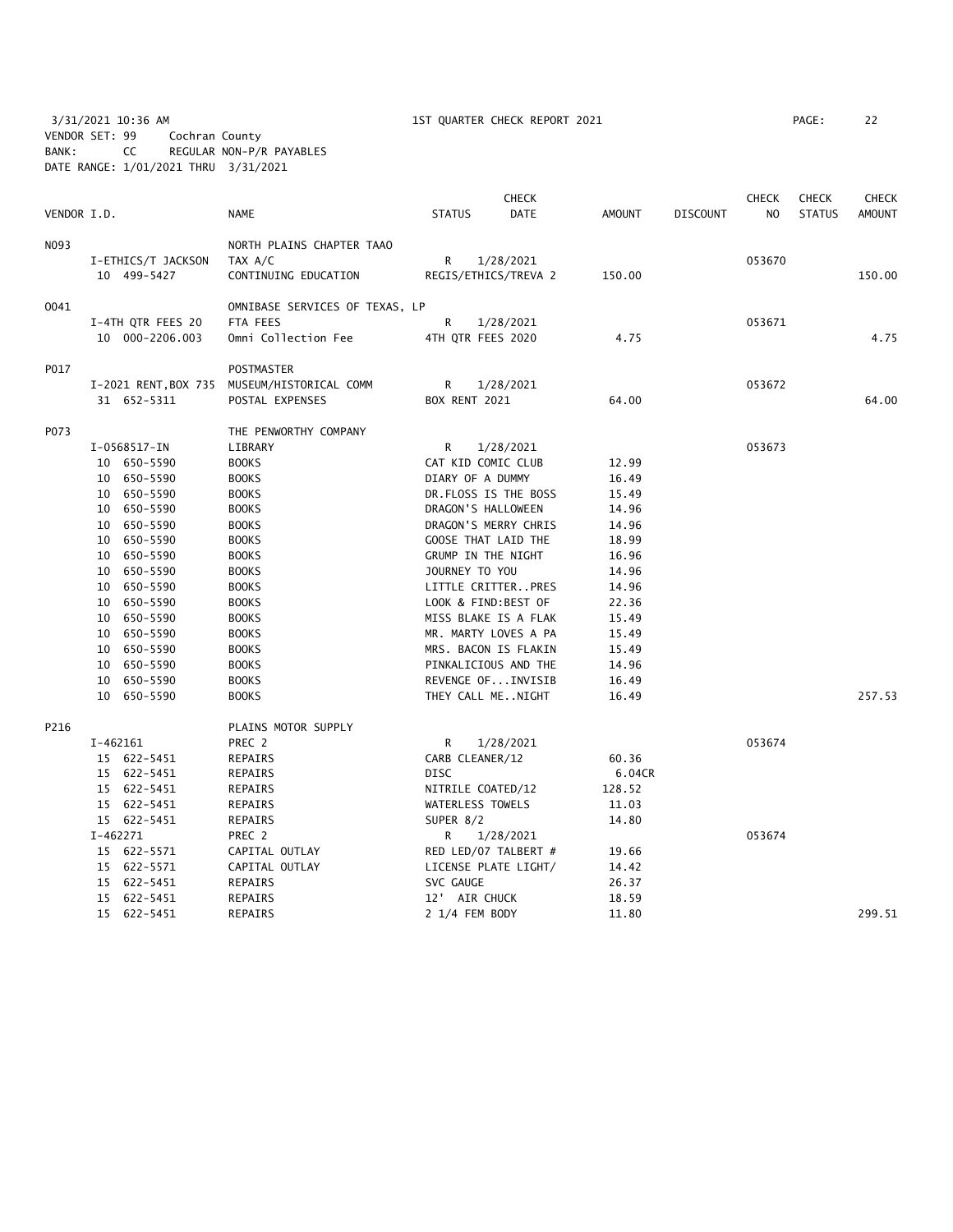3/31/2021 10:36 AM 1ST QUARTER CHECK REPORT 2021 PAGE: 22 VENDOR SET: 99 Cochran County BANK: CC REGULAR NON-P/R PAYABLES DATE RANGE: 1/01/2021 THRU 3/31/2021

|             |                               |                                |                     | <b>CHECK</b>         |                |                 | <b>CHECK</b> | <b>CHECK</b>  | <b>CHECK</b>  |
|-------------|-------------------------------|--------------------------------|---------------------|----------------------|----------------|-----------------|--------------|---------------|---------------|
| VENDOR I.D. |                               | <b>NAME</b>                    | <b>STATUS</b>       | <b>DATE</b>          | <b>AMOUNT</b>  | <b>DISCOUNT</b> | NO           | <b>STATUS</b> | <b>AMOUNT</b> |
| N093        |                               | NORTH PLAINS CHAPTER TAAO      |                     |                      |                |                 |              |               |               |
|             | I-ETHICS/T JACKSON            | TAX A/C                        | R                   | 1/28/2021            |                |                 | 053670       |               |               |
|             | 10 499-5427                   | CONTINUING EDUCATION           |                     | REGIS/ETHICS/TREVA 2 | 150.00         |                 |              |               | 150.00        |
| 0041        |                               | OMNIBASE SERVICES OF TEXAS, LP |                     |                      |                |                 |              |               |               |
|             | I-4TH QTR FEES 20             | FTA FEES                       | R                   | 1/28/2021            |                |                 | 053671       |               |               |
|             | 10 000-2206.003               | Omni Collection Fee            | 4TH QTR FEES 2020   |                      | 4.75           |                 |              |               | 4.75          |
| P017        |                               | POSTMASTER                     |                     |                      |                |                 |              |               |               |
|             | I-2021 RENT, BOX 735          | MUSEUM/HISTORICAL COMM         | R                   | 1/28/2021            |                |                 | 053672       |               |               |
|             | 31 652-5311                   | POSTAL EXPENSES                | BOX RENT 2021       |                      | 64.00          |                 |              |               | 64.00         |
| P073        |                               | THE PENWORTHY COMPANY          |                     |                      |                |                 |              |               |               |
|             | I-0568517-IN                  | LIBRARY                        | R                   | 1/28/2021            |                |                 | 053673       |               |               |
|             | 10 650-5590                   | <b>BOOKS</b>                   | CAT KID COMIC CLUB  |                      | 12.99          |                 |              |               |               |
|             | 10 650-5590                   | <b>BOOKS</b>                   | DIARY OF A DUMMY    |                      | 16.49          |                 |              |               |               |
|             | 10 650-5590                   | <b>BOOKS</b>                   |                     | DR.FLOSS IS THE BOSS | 15.49          |                 |              |               |               |
|             | 10 650-5590                   | <b>BOOKS</b>                   | DRAGON'S HALLOWEEN  |                      | 14.96          |                 |              |               |               |
|             | 10 650-5590                   | <b>BOOKS</b>                   |                     | DRAGON'S MERRY CHRIS | 14.96          |                 |              |               |               |
|             | 10 650-5590                   | <b>BOOKS</b>                   | GOOSE THAT LAID THE |                      | 18.99          |                 |              |               |               |
|             | 10 650-5590                   | <b>BOOKS</b>                   | GRUMP IN THE NIGHT  |                      | 16.96          |                 |              |               |               |
|             | 650-5590<br>10                | <b>BOOKS</b>                   | JOURNEY TO YOU      |                      | 14.96          |                 |              |               |               |
|             | 10 650-5590                   | <b>BOOKS</b>                   |                     | LITTLE CRITTERPRES   | 14.96          |                 |              |               |               |
|             | 10 650-5590                   | <b>BOOKS</b>                   | LOOK & FIND:BEST OF |                      | 22.36          |                 |              |               |               |
|             | 650-5590<br>10                | <b>BOOKS</b>                   |                     | MISS BLAKE IS A FLAK | 15.49          |                 |              |               |               |
|             | 10 650-5590                   | <b>BOOKS</b>                   |                     | MR. MARTY LOVES A PA | 15.49          |                 |              |               |               |
|             | 10 650-5590                   | <b>BOOKS</b>                   |                     | MRS. BACON IS FLAKIN | 15.49          |                 |              |               |               |
|             | 10 650-5590                   | <b>BOOKS</b>                   |                     | PINKALICIOUS AND THE | 14.96          |                 |              |               |               |
|             | 10<br>650–5590<br>10 650-5590 | <b>BOOKS</b><br><b>BOOKS</b>   | THEY CALL MENIGHT   | REVENGE OFINVISIB    | 16.49<br>16.49 |                 |              |               | 257.53        |
| P216        |                               | PLAINS MOTOR SUPPLY            |                     |                      |                |                 |              |               |               |
|             | $I-462161$                    | PREC 2                         | R                   | 1/28/2021            |                |                 | 053674       |               |               |
|             | 15 622-5451                   | REPAIRS                        | CARB CLEANER/12     |                      | 60.36          |                 |              |               |               |
|             | 15 622-5451                   | REPAIRS                        | <b>DISC</b>         |                      | 6.04CR         |                 |              |               |               |
|             | 15 622-5451                   | REPAIRS                        | NITRILE COATED/12   |                      | 128.52         |                 |              |               |               |
|             | 15 622-5451                   | REPAIRS                        | WATERLESS TOWELS    |                      | 11.03          |                 |              |               |               |
|             | 15 622-5451                   | REPAIRS                        | SUPER 8/2           |                      | 14.80          |                 |              |               |               |
|             | $I-462271$                    | PREC 2                         | R                   | 1/28/2021            |                |                 | 053674       |               |               |
|             | 15 622-5571                   | CAPITAL OUTLAY                 |                     | RED LED/07 TALBERT # | 19.66          |                 |              |               |               |
|             | 15 622-5571                   | CAPITAL OUTLAY                 |                     | LICENSE PLATE LIGHT/ | 14.42          |                 |              |               |               |
|             | 15 622-5451                   | REPAIRS                        | SVC GAUGE           |                      | 26.37          |                 |              |               |               |
|             | 15 622-5451                   | REPAIRS                        | 12' AIR CHUCK       |                      | 18.59          |                 |              |               |               |
|             | 15 622-5451                   | REPAIRS                        | 2 1/4 FEM BODY      |                      | 11.80          |                 |              |               | 299.51        |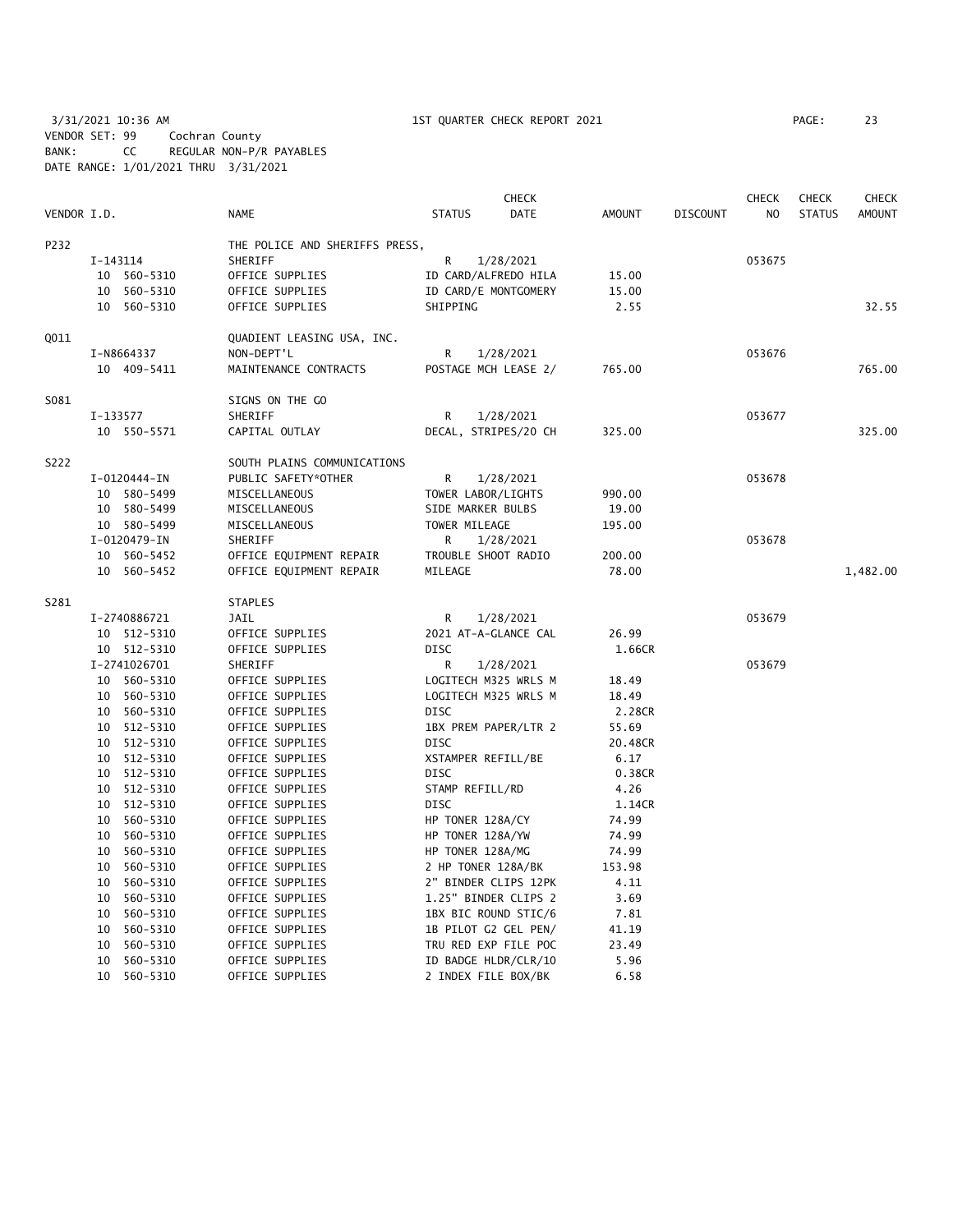3/31/2021 10:36 AM 1ST QUARTER CHECK REPORT 2021 PAGE: 23 VENDOR SET: 99 Cochran County BANK: CC REGULAR NON-P/R PAYABLES DATE RANGE: 1/01/2021 THRU 3/31/2021

|             |          |                   |                |                                |      |                 | <b>CHECK</b>         |               |         |                 | <b>CHECK</b>   | <b>CHECK</b>  | <b>CHECK</b>  |
|-------------|----------|-------------------|----------------|--------------------------------|------|-----------------|----------------------|---------------|---------|-----------------|----------------|---------------|---------------|
| VENDOR I.D. |          |                   | <b>NAME</b>    |                                |      | <b>STATUS</b>   | DATE                 | <b>AMOUNT</b> |         | <b>DISCOUNT</b> | N <sub>O</sub> | <b>STATUS</b> | <b>AMOUNT</b> |
| P232        |          |                   |                | THE POLICE AND SHERIFFS PRESS, |      |                 |                      |               |         |                 |                |               |               |
|             | I-143114 |                   | SHERIFF        |                                |      | R               | 1/28/2021            |               |         |                 | 053675         |               |               |
|             |          | 10 560-5310       |                | OFFICE SUPPLIES                |      |                 | ID CARD/ALFREDO HILA | 15.00         |         |                 |                |               |               |
|             |          | 10 560-5310       |                | OFFICE SUPPLIES                |      |                 | ID CARD/E MONTGOMERY | 15.00         |         |                 |                |               |               |
|             |          | 10 560-5310       |                | OFFICE SUPPLIES                |      | SHIPPING        |                      |               | 2.55    |                 |                |               | 32.55         |
| Q011        |          |                   |                | QUADIENT LEASING USA, INC.     |      |                 |                      |               |         |                 |                |               |               |
|             |          | I-N8664337        | NON-DEPT'L     |                                |      | R               | 1/28/2021            |               |         |                 | 053676         |               |               |
|             |          | 10 409-5411       |                | MAINTENANCE CONTRACTS          |      |                 | POSTAGE MCH LEASE 2/ | 765.00        |         |                 |                |               | 765.00        |
| S081        |          |                   |                | SIGNS ON THE GO                |      |                 |                      |               |         |                 |                |               |               |
|             | I-133577 |                   | SHERIFF        |                                |      | R               | 1/28/2021            |               |         |                 | 053677         |               |               |
|             |          | 10 550-5571       |                | CAPITAL OUTLAY                 |      |                 | DECAL, STRIPES/20 CH | 325.00        |         |                 |                |               | 325.00        |
| S222        |          |                   |                | SOUTH PLAINS COMMUNICATIONS    |      |                 |                      |               |         |                 |                |               |               |
|             |          | I-0120444-IN      |                | PUBLIC SAFETY*OTHER            |      | R               | 1/28/2021            |               |         |                 | 053678         |               |               |
|             |          | 10 580-5499       |                | MISCELLANEOUS                  |      |                 | TOWER LABOR/LIGHTS   | 990.00        |         |                 |                |               |               |
|             |          | 10 580-5499       |                | MISCELLANEOUS                  |      |                 | SIDE MARKER BULBS    | 19.00         |         |                 |                |               |               |
|             |          | 10 580-5499       |                | MISCELLANEOUS                  |      | TOWER MILEAGE   |                      | 195.00        |         |                 |                |               |               |
|             |          | I-0120479-IN      | SHERIFF        |                                |      | R               | 1/28/2021            |               |         |                 | 053678         |               |               |
|             |          | 10 560-5452       |                | OFFICE EQUIPMENT REPAIR        |      |                 | TROUBLE SHOOT RADIO  | 200.00        |         |                 |                |               |               |
|             |          | 10 560-5452       |                | OFFICE EQUIPMENT REPAIR        |      | MILEAGE         |                      | 78.00         |         |                 |                |               | 1,482.00      |
| S281        |          |                   | <b>STAPLES</b> |                                |      |                 |                      |               |         |                 |                |               |               |
|             |          | I-2740886721      | JAIL           |                                |      | R               | 1/28/2021            |               |         |                 | 053679         |               |               |
|             |          | 10 512-5310       |                | OFFICE SUPPLIES                |      |                 | 2021 AT-A-GLANCE CAL | 26.99         |         |                 |                |               |               |
|             |          | 10 512-5310       |                | OFFICE SUPPLIES                | DISC |                 |                      |               | 1.66CR  |                 |                |               |               |
|             |          | I-2741026701      | SHERIFF        |                                |      | R               | 1/28/2021            |               |         |                 | 053679         |               |               |
|             |          | 10 560-5310       |                | OFFICE SUPPLIES                |      |                 | LOGITECH M325 WRLS M | 18.49         |         |                 |                |               |               |
|             |          | 10 560-5310       |                | OFFICE SUPPLIES                |      |                 | LOGITECH M325 WRLS M | 18.49         |         |                 |                |               |               |
|             |          | 10 560-5310       |                | OFFICE SUPPLIES                | DISC |                 |                      |               | 2.28CR  |                 |                |               |               |
|             |          | 10 512-5310       |                | OFFICE SUPPLIES                |      |                 | 1BX PREM PAPER/LTR 2 | 55.69         |         |                 |                |               |               |
|             |          | 10 512-5310       |                | OFFICE SUPPLIES                | DISC |                 |                      |               | 20.48CR |                 |                |               |               |
|             |          | $10$ $512 - 5310$ |                | OFFICE SUPPLIES                |      |                 | XSTAMPER REFILL/BE   |               | 6.17    |                 |                |               |               |
|             |          | 10 512-5310       |                | OFFICE SUPPLIES                | DISC |                 |                      |               | 0.38CR  |                 |                |               |               |
|             |          | 10 512-5310       |                | OFFICE SUPPLIES                |      | STAMP REFILL/RD |                      |               | 4.26    |                 |                |               |               |
|             |          | 10 512-5310       |                | OFFICE SUPPLIES                | DISC |                 |                      |               | 1.14CR  |                 |                |               |               |
|             |          | 10 560-5310       |                | OFFICE SUPPLIES                |      |                 | HP TONER 128A/CY     | 74.99         |         |                 |                |               |               |
|             | 10       | 560-5310          |                | OFFICE SUPPLIES                |      |                 | HP TONER 128A/YW     | 74.99         |         |                 |                |               |               |
|             |          | 10 560-5310       |                | OFFICE SUPPLIES                |      |                 | HP TONER 128A/MG     | 74.99         |         |                 |                |               |               |
|             | 10       | 560-5310          |                | OFFICE SUPPLIES                |      |                 | 2 HP TONER 128A/BK   | 153.98        |         |                 |                |               |               |
|             |          | 10 560-5310       |                | OFFICE SUPPLIES                |      |                 | 2" BINDER CLIPS 12PK |               | 4.11    |                 |                |               |               |
|             | 10       | 560-5310          |                | OFFICE SUPPLIES                |      |                 | 1.25" BINDER CLIPS 2 |               | 3.69    |                 |                |               |               |
|             |          | 10 560-5310       |                | OFFICE SUPPLIES                |      |                 | 1BX BIC ROUND STIC/6 |               | 7.81    |                 |                |               |               |
|             | 10       | 560-5310          |                | OFFICE SUPPLIES                |      |                 | 1B PILOT G2 GEL PEN/ | 41.19         |         |                 |                |               |               |
|             | 10       | 560-5310          |                | OFFICE SUPPLIES                |      |                 | TRU RED EXP FILE POC | 23.49         |         |                 |                |               |               |
|             |          | 10 560-5310       |                | OFFICE SUPPLIES                |      |                 | ID BADGE HLDR/CLR/10 |               | 5.96    |                 |                |               |               |

10 560-5310 OFFICE SUPPLIES 2 INDEX FILE BOX/BK 6.58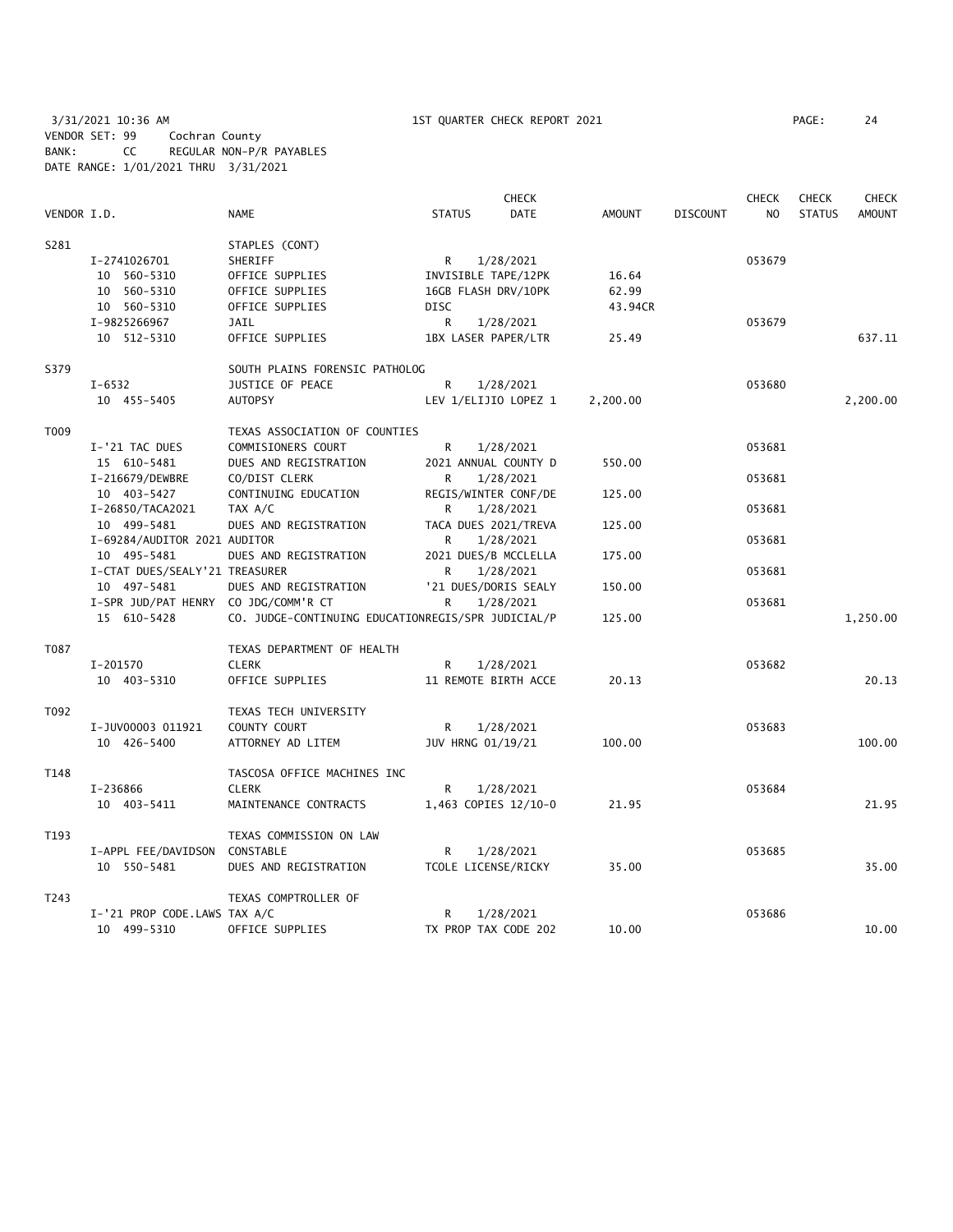3/31/2021 10:36 AM 1ST QUARTER CHECK REPORT 2021 PAGE: 24 VENDOR SET: 99 Cochran County BANK: CC REGULAR NON-P/R PAYABLES DATE RANGE: 1/01/2021 THRU 3/31/2021

|             |                                      |                                                    |                      | <b>CHECK</b>         |          |                 | <b>CHECK</b> | <b>CHECK</b>  | <b>CHECK</b>  |
|-------------|--------------------------------------|----------------------------------------------------|----------------------|----------------------|----------|-----------------|--------------|---------------|---------------|
| VENDOR I.D. |                                      | <b>NAME</b>                                        | <b>STATUS</b>        | DATE                 | AMOUNT   | <b>DISCOUNT</b> | NO.          | <b>STATUS</b> | <b>AMOUNT</b> |
| S281        |                                      | STAPLES (CONT)                                     |                      |                      |          |                 |              |               |               |
|             | I-2741026701                         | SHERIFF                                            | R                    | 1/28/2021            |          |                 | 053679       |               |               |
|             | 10 560-5310                          | OFFICE SUPPLIES                                    | INVISIBLE TAPE/12PK  |                      | 16.64    |                 |              |               |               |
|             | 10 560-5310                          | OFFICE SUPPLIES                                    | 16GB FLASH DRV/10PK  |                      | 62.99    |                 |              |               |               |
|             | 10 560-5310                          | OFFICE SUPPLIES                                    | <b>DISC</b>          |                      | 43.94CR  |                 |              |               |               |
|             | I-9825266967                         | JAIL                                               | R                    | 1/28/2021            |          |                 | 053679       |               |               |
|             | 10 512-5310                          | OFFICE SUPPLIES                                    | 1BX LASER PAPER/LTR  |                      | 25.49    |                 |              |               | 637.11        |
| S379        |                                      | SOUTH PLAINS FORENSIC PATHOLOG                     |                      |                      |          |                 |              |               |               |
|             | $I - 6532$                           | JUSTICE OF PEACE                                   | R                    | 1/28/2021            |          |                 | 053680       |               |               |
|             | 10 455-5405                          | <b>AUTOPSY</b>                                     |                      | LEV 1/ELIJIO LOPEZ 1 | 2,200.00 |                 |              |               | 2,200.00      |
| T009        |                                      | TEXAS ASSOCIATION OF COUNTIES                      |                      |                      |          |                 |              |               |               |
|             | I-'21 TAC DUES                       | COMMISIONERS COURT                                 | R                    | 1/28/2021            |          |                 | 053681       |               |               |
|             | 15 610-5481                          | DUES AND REGISTRATION                              | 2021 ANNUAL COUNTY D |                      | 550.00   |                 |              |               |               |
|             | I-216679/DEWBRE                      | CO/DIST CLERK                                      | R                    | 1/28/2021            |          |                 | 053681       |               |               |
|             | 10 403-5427                          | CONTINUING EDUCATION                               | REGIS/WINTER CONF/DE |                      | 125.00   |                 |              |               |               |
|             | I-26850/TACA2021                     | TAX A/C                                            | R                    | 1/28/2021            |          |                 | 053681       |               |               |
|             | 10 499-5481                          | DUES AND REGISTRATION                              | TACA DUES 2021/TREVA |                      | 125.00   |                 |              |               |               |
|             | I-69284/AUDITOR 2021 AUDITOR         |                                                    | R                    | 1/28/2021            |          |                 | 053681       |               |               |
|             | 10 495-5481                          | DUES AND REGISTRATION                              | 2021 DUES/B MCCLELLA |                      | 175.00   |                 |              |               |               |
|             | I-CTAT DUES/SEALY'21 TREASURER       |                                                    | R                    | 1/28/2021            |          |                 | 053681       |               |               |
|             | 10 497-5481                          | DUES AND REGISTRATION                              |                      | '21 DUES/DORIS SEALY | 150.00   |                 |              |               |               |
|             | I-SPR JUD/PAT HENRY CO JDG/COMM'R CT |                                                    | R                    | 1/28/2021            |          |                 | 053681       |               |               |
|             | 15 610-5428                          | CO. JUDGE-CONTINUING EDUCATIONREGIS/SPR JUDICIAL/P |                      |                      | 125.00   |                 |              |               | 1,250.00      |
| T087        |                                      | TEXAS DEPARTMENT OF HEALTH                         |                      |                      |          |                 |              |               |               |
|             | I-201570                             | <b>CLERK</b>                                       | R                    | 1/28/2021            |          |                 | 053682       |               |               |
|             | 10 403-5310                          | OFFICE SUPPLIES                                    | 11 REMOTE BIRTH ACCE |                      | 20.13    |                 |              |               | 20.13         |
| T092        |                                      | TEXAS TECH UNIVERSITY                              |                      |                      |          |                 |              |               |               |
|             | I-JUV00003 011921                    | COUNTY COURT                                       | R                    | 1/28/2021            |          |                 | 053683       |               |               |
|             | 10 426-5400                          | ATTORNEY AD LITEM                                  | JUV HRNG 01/19/21    |                      | 100.00   |                 |              |               | 100.00        |
| T148        |                                      | TASCOSA OFFICE MACHINES INC                        |                      |                      |          |                 |              |               |               |
|             | I-236866                             | <b>CLERK</b>                                       | R                    | 1/28/2021            |          |                 | 053684       |               |               |
|             | 10 403-5411                          | MAINTENANCE CONTRACTS                              | 1,463 COPIES 12/10-0 |                      | 21.95    |                 |              |               | 21.95         |
| T193        |                                      | TEXAS COMMISSION ON LAW                            |                      |                      |          |                 |              |               |               |
|             | I-APPL FEE/DAVIDSON                  | CONSTABLE                                          | R                    | 1/28/2021            |          |                 | 053685       |               |               |
|             | 10 550-5481                          | DUES AND REGISTRATION                              | TCOLE LICENSE/RICKY  |                      | 35.00    |                 |              |               | 35.00         |
| T243        |                                      | TEXAS COMPTROLLER OF                               |                      |                      |          |                 |              |               |               |
|             | I-'21 PROP CODE.LAWS TAX A/C         |                                                    | R                    | 1/28/2021            |          |                 | 053686       |               |               |
|             | 10 499-5310                          | OFFICE SUPPLIES                                    | TX PROP TAX CODE 202 |                      | 10.00    |                 |              |               | 10.00         |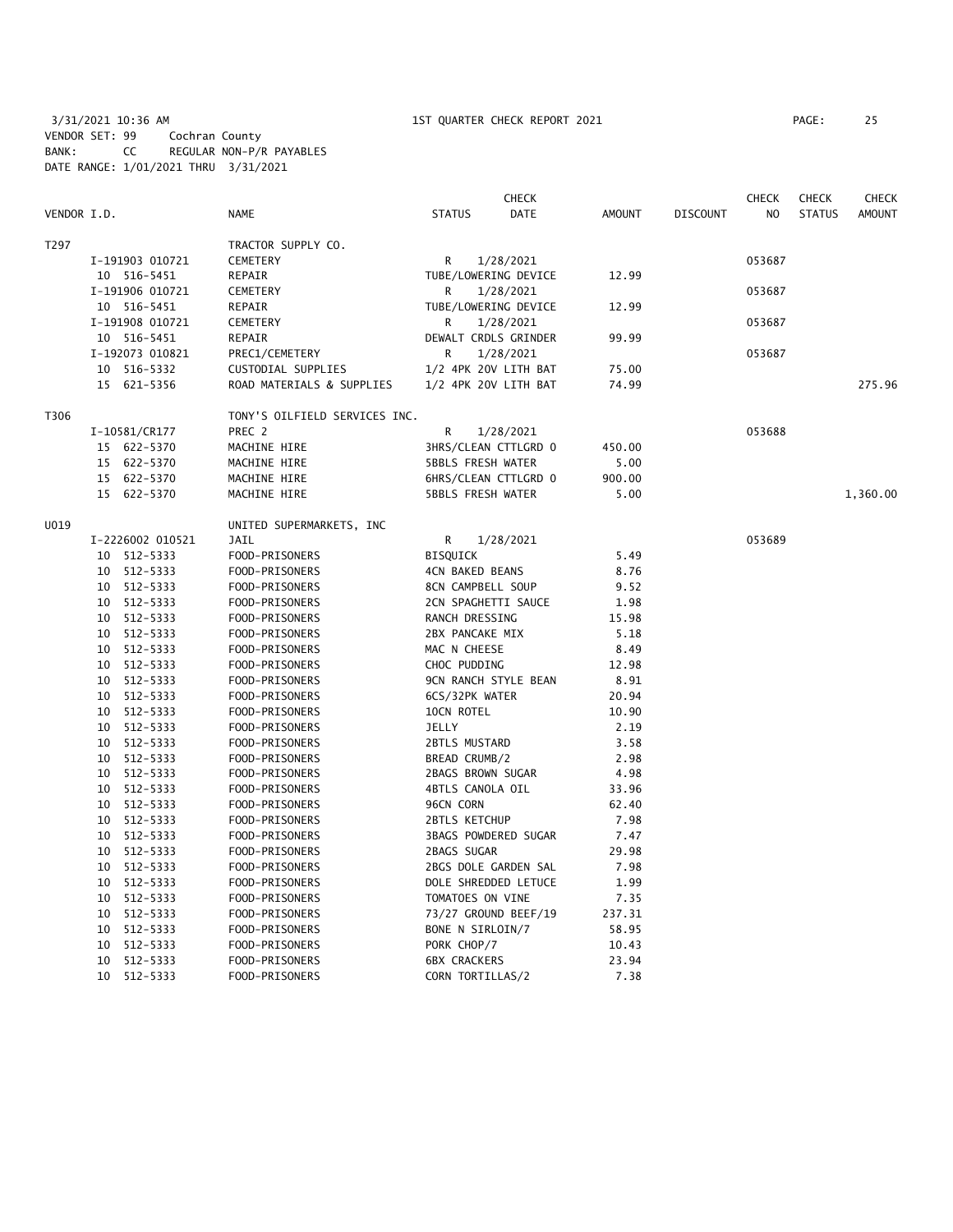3/31/2021 10:36 AM 1ST QUARTER CHECK REPORT 2021 PAGE: 25 VENDOR SET: 99 Cochran County BANK: CC REGULAR NON-P/R PAYABLES DATE RANGE: 1/01/2021 THRU 3/31/2021

|             |                  |                               |                             | <b>CHECK</b> |               |                 | <b>CHECK</b> | <b>CHECK</b>  | <b>CHECK</b>  |
|-------------|------------------|-------------------------------|-----------------------------|--------------|---------------|-----------------|--------------|---------------|---------------|
| VENDOR I.D. |                  | <b>NAME</b>                   | <b>STATUS</b>               | <b>DATE</b>  | <b>AMOUNT</b> | <b>DISCOUNT</b> | NO.          | <b>STATUS</b> | <b>AMOUNT</b> |
| T297        |                  | TRACTOR SUPPLY CO.            |                             |              |               |                 |              |               |               |
|             | I-191903 010721  | <b>CEMETERY</b>               | R                           | 1/28/2021    |               |                 | 053687       |               |               |
|             | 10 516-5451      | REPAIR                        | TUBE/LOWERING DEVICE        |              | 12.99         |                 |              |               |               |
|             | I-191906 010721  | CEMETERY                      | R                           | 1/28/2021    |               |                 | 053687       |               |               |
|             | 10 516-5451      | REPAIR                        | TUBE/LOWERING DEVICE        |              | 12.99         |                 |              |               |               |
|             | I-191908 010721  | CEMETERY                      | R                           | 1/28/2021    |               |                 | 053687       |               |               |
|             | 10 516-5451      | REPAIR                        | DEWALT CRDLS GRINDER        |              | 99.99         |                 |              |               |               |
|             | I-192073 010821  | PREC1/CEMETERY                | R                           | 1/28/2021    |               |                 | 053687       |               |               |
|             | 10 516-5332      | CUSTODIAL SUPPLIES            | 1/2 4PK 20V LITH BAT        |              | 75.00         |                 |              |               |               |
|             | 15 621-5356      | ROAD MATERIALS & SUPPLIES     | 1/2 4PK 20V LITH BAT        |              | 74.99         |                 |              |               | 275.96        |
| T306        |                  | TONY'S OILFIELD SERVICES INC. |                             |              |               |                 |              |               |               |
|             | I-10581/CR177    | PREC 2                        | R                           | 1/28/2021    |               |                 | 053688       |               |               |
|             | 15 622-5370      | MACHINE HIRE                  | 3HRS/CLEAN CTTLGRD 0        |              | 450.00        |                 |              |               |               |
|             | 15 622-5370      | MACHINE HIRE                  | <b>5BBLS FRESH WATER</b>    |              | 5.00          |                 |              |               |               |
|             | 15 622-5370      | MACHINE HIRE                  | 6HRS/CLEAN CTTLGRD 0        |              | 900.00        |                 |              |               |               |
|             | 15 622-5370      | MACHINE HIRE                  | <b>5BBLS FRESH WATER</b>    |              | 5.00          |                 |              |               | 1,360.00      |
|             |                  |                               |                             |              |               |                 |              |               |               |
| U019        |                  | UNITED SUPERMARKETS, INC      |                             |              |               |                 |              |               |               |
|             | I-2226002 010521 | <b>JAIL</b>                   | R                           | 1/28/2021    |               |                 | 053689       |               |               |
|             | 10 512-5333      | FOOD-PRISONERS                | <b>BISQUICK</b>             |              | 5.49          |                 |              |               |               |
|             | 10 512-5333      | FOOD-PRISONERS                | <b>4CN BAKED BEANS</b>      |              | 8.76          |                 |              |               |               |
|             | 10 512-5333      | FOOD-PRISONERS                | 8CN CAMPBELL SOUP           |              | 9.52          |                 |              |               |               |
|             | 10 512-5333      | FOOD-PRISONERS                | 2CN SPAGHETTI SAUCE         |              | 1.98          |                 |              |               |               |
|             | 10 512-5333      | FOOD-PRISONERS                | RANCH DRESSING              |              | 15.98         |                 |              |               |               |
|             | 10 512-5333      | FOOD-PRISONERS                | 2BX PANCAKE MIX             |              | 5.18          |                 |              |               |               |
|             | 10 512-5333      | FOOD-PRISONERS                | MAC N CHEESE                |              | 8.49          |                 |              |               |               |
|             | 10 512-5333      | FOOD-PRISONERS                | CHOC PUDDING                |              | 12.98         |                 |              |               |               |
|             | 512-5333<br>10   | FOOD-PRISONERS                | 9CN RANCH STYLE BEAN        |              | 8.91          |                 |              |               |               |
|             | 512-5333<br>10   | FOOD-PRISONERS                | 6CS/32PK WATER              |              | 20.94         |                 |              |               |               |
|             | 512-5333<br>10   | FOOD-PRISONERS                | 10CN ROTEL                  |              | 10.90         |                 |              |               |               |
|             | 10 512-5333      | FOOD-PRISONERS                | <b>JELLY</b>                |              | 2.19          |                 |              |               |               |
|             | 10 512-5333      | FOOD-PRISONERS                | <b>2BTLS MUSTARD</b>        |              | 3.58          |                 |              |               |               |
|             | 10 512-5333      | FOOD-PRISONERS                | BREAD CRUMB/2               |              | 2.98          |                 |              |               |               |
|             | 10 512-5333      | FOOD-PRISONERS                | 2BAGS BROWN SUGAR           |              | 4.98          |                 |              |               |               |
|             | 10 512-5333      | FOOD-PRISONERS                | 4BTLS CANOLA OIL            |              | 33.96         |                 |              |               |               |
|             | 10 512-5333      | FOOD-PRISONERS                | 96CN CORN                   |              | 62.40         |                 |              |               |               |
|             | 10 512-5333      | FOOD-PRISONERS                | <b>2BTLS KETCHUP</b>        |              | 7.98          |                 |              |               |               |
|             | 10 512-5333      | FOOD-PRISONERS                | <b>3BAGS POWDERED SUGAR</b> |              | 7.47          |                 |              |               |               |
|             | 10 512-5333      | FOOD-PRISONERS                | 2BAGS SUGAR                 |              | 29.98         |                 |              |               |               |
|             | 10<br>512-5333   | FOOD-PRISONERS                | 2BGS DOLE GARDEN SAL        |              | 7.98          |                 |              |               |               |
|             | 10<br>512-5333   | FOOD-PRISONERS                | DOLE SHREDDED LETUCE        |              | 1.99          |                 |              |               |               |
|             | 512-5333<br>10   | FOOD-PRISONERS                | TOMATOES ON VINE            |              | 7.35          |                 |              |               |               |
|             | 10<br>512-5333   | FOOD-PRISONERS                | 73/27 GROUND BEEF/19        |              | 237.31        |                 |              |               |               |
|             | 512-5333<br>10   | FOOD-PRISONERS                | BONE N SIRLOIN/7            |              | 58.95         |                 |              |               |               |
|             | 512-5333<br>10   | FOOD-PRISONERS                | PORK CHOP/7                 |              | 10.43         |                 |              |               |               |
|             | 512-5333<br>10   | FOOD-PRISONERS                | <b>6BX CRACKERS</b>         |              | 23.94         |                 |              |               |               |
|             | 10 512-5333      | FOOD-PRISONERS                | CORN TORTILLAS/2            |              | 7.38          |                 |              |               |               |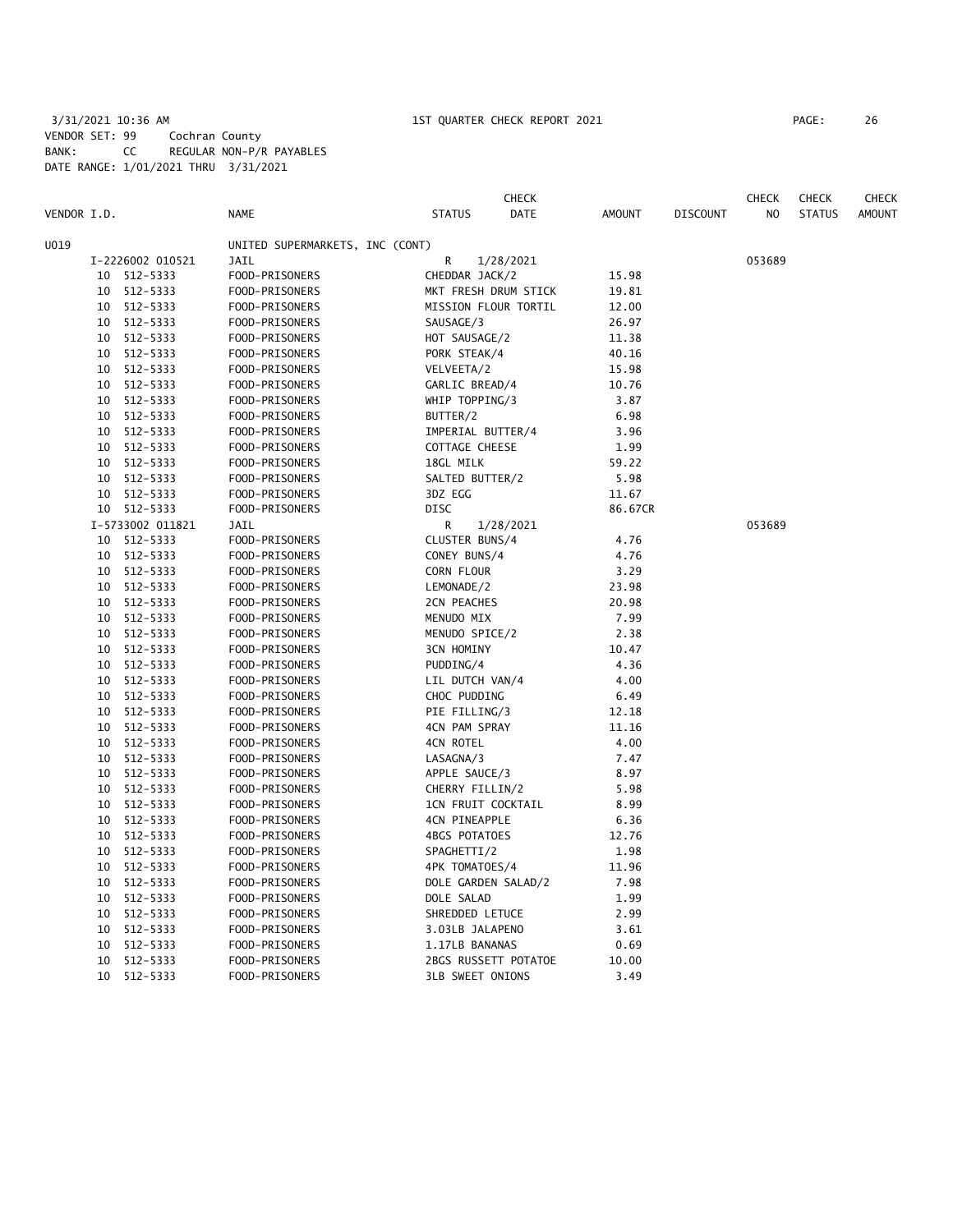## 3/31/2021 10:36 AM 1ST QUARTER CHECK REPORT 2021 PAGE: 26 VENDOR SET: 99 Cochran County BANK: CC REGULAR NON-P/R PAYABLES DATE RANGE: 1/01/2021 THRU 3/31/2021

**CHECK CHECK CHECK CHECK CHECK CHECK CHECK** VENDOR I.D. NAME STATUS DATE AMOUNT DISCOUNT NO STATUS AMOUNT U019 UNITED SUPERMARKETS, INC (CONT) I-2226002 010521 JAIL R 1/28/2021 053689 10 512-5333 FOOD-PRISONERS CHEDDAR JACK/2 15.98 10 512-5333 FOOD-PRISONERS MKT FRESH DRUM STICK 19.81 10 512-5333 FOOD-PRISONERS MISSION FLOUR TORTIL 12.00 10 512-5333 FOOD-PRISONERS SAUSAGE/3 26.97 10 512-5333 FOOD-PRISONERS HOT SAUSAGE/2 11.38 10 512-5333 FOOD-PRISONERS PORK STEAK/4 40.16 10 512-5333 FOOD-PRISONERS VELVEETA/2 15.98 10 512-5333 FOOD-PRISONERS GARLIC BREAD/4 10.76 10 512-5333 FOOD-PRISONERS WHIP TOPPING/3 3.87 10 512-5333 FOOD-PRISONERS BUTTER/2 6.98 10 512-5333 FOOD-PRISONERS IMPERIAL BUTTER/4 3.96 10 512-5333 FOOD-PRISONERS COTTAGE CHEESE 1.99 10 512-5333 FOOD-PRISONERS 18GL MILK 59.22 10 512-5333 FOOD-PRISONERS SALTED BUTTER/2 5.98 10 512-5333 FOOD-PRISONERS 3DZ EGG 11.67 10 512-5333 FOOD-PRISONERS DISC 86.67CR I-5733002 011821 JAIL R 1/28/2021 053689 10 512-5333 FOOD-PRISONERS CLUSTER BUNS/4 4.76 10 512-5333 FOOD-PRISONERS CONEY BUNS/4 4.76 10 512-5333 FOOD-PRISONERS CORN FLOUR 3.29 10 512-5333 FOOD-PRISONERS LEMONADE/2 23.98 10 512-5333 FOOD-PRISONERS 2CN PEACHES 20.98 10 512-5333 FOOD-PRISONERS MENUDO MIX 7.99 10 512-5333 FOOD-PRISONERS MENUDO SPICE/2 2.38 10 512-5333 FOOD-PRISONERS 3CN HOMINY 10.47 10 512-5333 FOOD-PRISONERS PUDDING/4 4.36 10 512-5333 FOOD-PRISONERS LIL DUTCH VAN/4 4.00 10 512-5333 FOOD-PRISONERS CHOC PUDDING 6.49 10 512-5333 FOOD-PRISONERS PIE FILLING/3 12.18 10 512-5333 FOOD-PRISONERS 4CN PAM SPRAY 11.16 10 512-5333 FOOD-PRISONERS 4CN ROTEL 4.00 10 512-5333 FOOD-PRISONERS LASAGNA/3 7.47 10 512-5333 FOOD-PRISONERS APPLE SAUCE/3 8.97 10 512-5333 FOOD-PRISONERS CHERRY FILLIN/2 5.98 10 512-5333 FOOD-PRISONERS 1CN FRUIT COCKTAIL 8.99 10 512-5333 FOOD-PRISONERS 4CN PINEAPPLE 6.36 10 512-5333 FOOD-PRISONERS 4BGS POTATOES 12.76 10 512-5333 FOOD-PRISONERS SPAGHETTI/2 1.98 10 512-5333 FOOD-PRISONERS 4PK TOMATOES/4 11.96 10 512-5333 FOOD-PRISONERS DOLE GARDEN SALAD/2 7.98 10 512-5333 FOOD-PRISONERS DOLE SALAD 1.99 10 512-5333 FOOD-PRISONERS SHREDDED LETUCE 2.99 10 512-5333 FOOD-PRISONERS 3.03LB JALAPENO 3.61 10 512-5333 FOOD-PRISONERS 1.17LB BANANAS 0.69 10 512-5333 FOOD-PRISONERS 2BGS RUSSETT POTATOE 10.00 10 512-5333 FOOD-PRISONERS 3LB SWEET ONIONS 3.49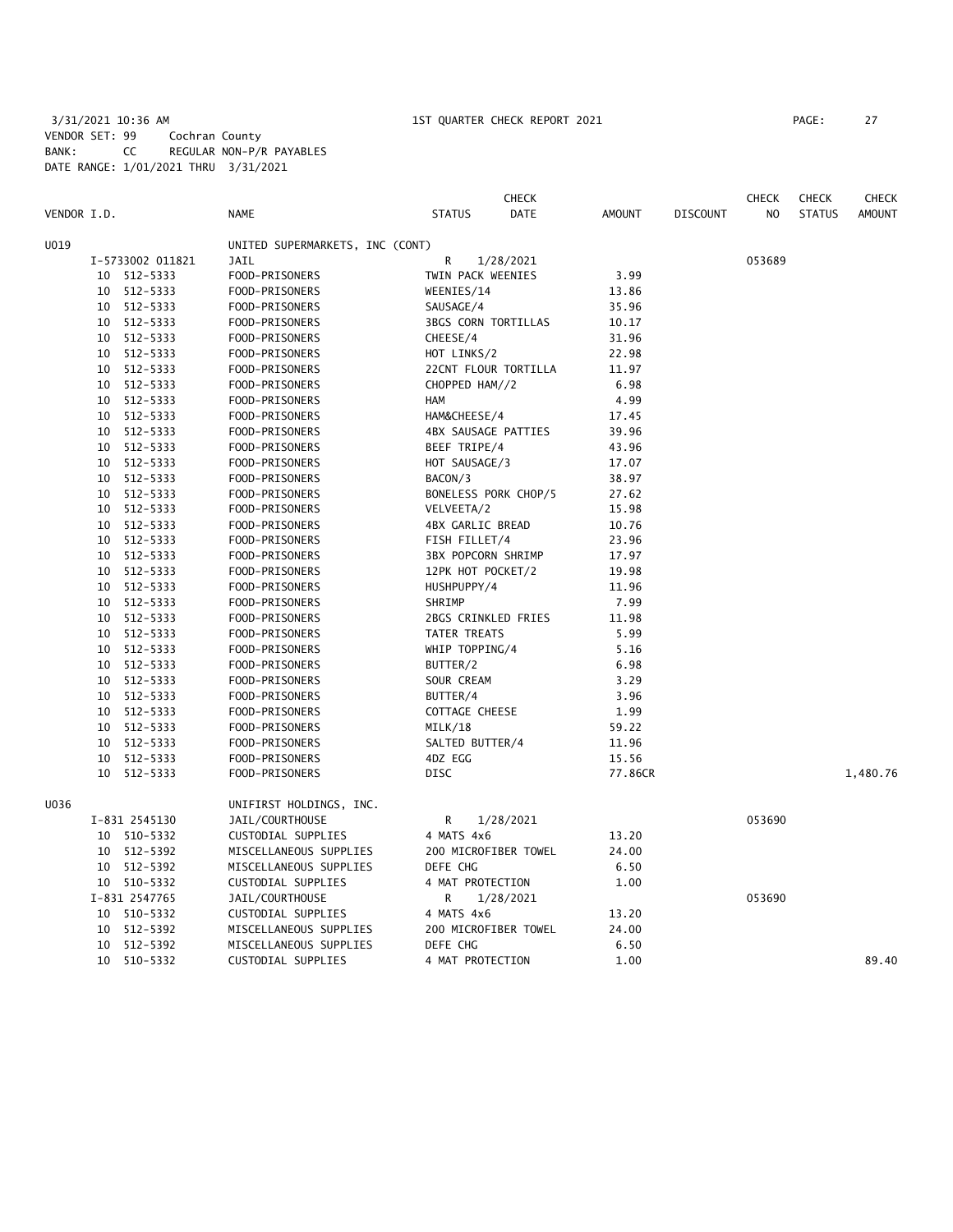# 3/31/2021 10:36 AM 1ST QUARTER CHECK REPORT 2021 PAGE: 27 VENDOR SET: 99 Cochran County BANK: CC REGULAR NON-P/R PAYABLES DATE RANGE: 1/01/2021 THRU 3/31/2021

|             |    |                  |                                 |                            | <b>CHECK</b>         |               |                 | <b>CHECK</b> | <b>CHECK</b>  | <b>CHECK</b>  |
|-------------|----|------------------|---------------------------------|----------------------------|----------------------|---------------|-----------------|--------------|---------------|---------------|
| VENDOR I.D. |    |                  | <b>NAME</b>                     | <b>STATUS</b>              | DATE                 | <b>AMOUNT</b> | <b>DISCOUNT</b> | NO           | <b>STATUS</b> | <b>AMOUNT</b> |
| U019        |    |                  | UNITED SUPERMARKETS, INC (CONT) |                            |                      |               |                 |              |               |               |
|             |    | I-5733002 011821 | <b>JAIL</b>                     | R                          | 1/28/2021            |               |                 | 053689       |               |               |
|             | 10 | 512-5333         | FOOD-PRISONERS                  | TWIN PACK WEENIES          |                      | 3.99          |                 |              |               |               |
|             | 10 | 512-5333         | FOOD-PRISONERS                  | WEENIES/14                 |                      | 13.86         |                 |              |               |               |
|             | 10 | 512-5333         | FOOD-PRISONERS                  | SAUSAGE/4                  |                      | 35.96         |                 |              |               |               |
|             | 10 | 512-5333         | FOOD-PRISONERS                  | <b>3BGS CORN TORTILLAS</b> |                      | 10.17         |                 |              |               |               |
|             | 10 | 512-5333         | FOOD-PRISONERS                  | CHEESE/4                   |                      | 31.96         |                 |              |               |               |
|             | 10 | 512-5333         | FOOD-PRISONERS                  | HOT LINKS/2                |                      | 22.98         |                 |              |               |               |
|             | 10 | 512-5333         | FOOD-PRISONERS                  |                            | 22CNT FLOUR TORTILLA | 11.97         |                 |              |               |               |
|             | 10 | 512-5333         | FOOD-PRISONERS                  | CHOPPED HAM//2             |                      | 6.98          |                 |              |               |               |
|             | 10 | 512-5333         | FOOD-PRISONERS                  | HAM                        |                      | 4.99          |                 |              |               |               |
|             | 10 | 512-5333         | FOOD-PRISONERS                  | HAM&CHEESE/4               |                      | 17.45         |                 |              |               |               |
|             | 10 | 512-5333         | FOOD-PRISONERS                  | <b>4BX SAUSAGE PATTIES</b> |                      | 39.96         |                 |              |               |               |
|             | 10 | 512-5333         | FOOD-PRISONERS                  | BEEF TRIPE/4               |                      | 43.96         |                 |              |               |               |
|             | 10 | 512-5333         | FOOD-PRISONERS                  | HOT SAUSAGE/3              |                      | 17.07         |                 |              |               |               |
|             | 10 | 512-5333         | FOOD-PRISONERS                  | BACON/3                    |                      | 38.97         |                 |              |               |               |
|             | 10 | 512-5333         | FOOD-PRISONERS                  |                            | BONELESS PORK CHOP/5 | 27.62         |                 |              |               |               |
|             | 10 | 512-5333         | FOOD-PRISONERS                  | VELVEETA/2                 |                      | 15.98         |                 |              |               |               |
|             | 10 | 512-5333         | FOOD-PRISONERS                  | 4BX GARLIC BREAD           |                      | 10.76         |                 |              |               |               |
|             | 10 | 512-5333         | FOOD-PRISONERS                  | FISH FILLET/4              |                      | 23.96         |                 |              |               |               |
|             | 10 | 512-5333         | FOOD-PRISONERS                  | <b>3BX POPCORN SHRIMP</b>  |                      | 17.97         |                 |              |               |               |
|             | 10 | 512-5333         | FOOD-PRISONERS                  | 12PK HOT POCKET/2          |                      | 19.98         |                 |              |               |               |
|             | 10 | 512-5333         | FOOD-PRISONERS                  | HUSHPUPPY/4                |                      | 11.96         |                 |              |               |               |
|             | 10 | 512-5333         | FOOD-PRISONERS                  | SHRIMP                     |                      | 7.99          |                 |              |               |               |
|             | 10 | 512-5333         | FOOD-PRISONERS                  | 2BGS CRINKLED FRIES        |                      | 11.98         |                 |              |               |               |
|             | 10 | 512-5333         | FOOD-PRISONERS                  | TATER TREATS               |                      | 5.99          |                 |              |               |               |
|             | 10 | 512-5333         | FOOD-PRISONERS                  | WHIP TOPPING/4             |                      | 5.16          |                 |              |               |               |
|             | 10 | 512-5333         | FOOD-PRISONERS                  | BUTTER/2                   |                      | 6.98          |                 |              |               |               |
|             | 10 | 512-5333         | FOOD-PRISONERS                  | SOUR CREAM                 |                      | 3.29          |                 |              |               |               |
|             | 10 | 512-5333         | FOOD-PRISONERS                  | BUTTER/4                   |                      | 3.96          |                 |              |               |               |
|             | 10 | 512-5333         | FOOD-PRISONERS                  | COTTAGE CHEESE             |                      | 1.99          |                 |              |               |               |
|             | 10 | 512-5333         | FOOD-PRISONERS                  | MILK/18                    |                      | 59.22         |                 |              |               |               |
|             | 10 | 512-5333         | FOOD-PRISONERS                  | SALTED BUTTER/4            |                      | 11.96         |                 |              |               |               |
|             | 10 | 512-5333         | FOOD-PRISONERS                  | 4DZ EGG                    |                      | 15.56         |                 |              |               |               |
|             | 10 | 512-5333         | FOOD-PRISONERS                  | DISC                       |                      | 77.86CR       |                 |              |               | 1,480.76      |
| U036        |    |                  | UNIFIRST HOLDINGS, INC.         |                            |                      |               |                 |              |               |               |
|             |    | I-831 2545130    | JAIL/COURTHOUSE                 | R                          | 1/28/2021            |               |                 | 053690       |               |               |
|             | 10 | 510-5332         | CUSTODIAL SUPPLIES              | 4 MATS 4x6                 |                      | 13.20         |                 |              |               |               |
|             | 10 | 512-5392         | MISCELLANEOUS SUPPLIES          |                            | 200 MICROFIBER TOWEL | 24.00         |                 |              |               |               |
|             | 10 | 512-5392         | MISCELLANEOUS SUPPLIES          | DEFE CHG                   |                      | 6.50          |                 |              |               |               |
|             |    | 10 510-5332      | CUSTODIAL SUPPLIES              | 4 MAT PROTECTION           |                      | 1.00          |                 |              |               |               |
|             |    | I-831 2547765    | JAIL/COURTHOUSE                 | R                          | 1/28/2021            |               |                 | 053690       |               |               |
|             | 10 | 510-5332         | CUSTODIAL SUPPLIES              | 4 MATS 4x6                 |                      | 13.20         |                 |              |               |               |
|             | 10 | 512-5392         | MISCELLANEOUS SUPPLIES          |                            | 200 MICROFIBER TOWEL | 24.00         |                 |              |               |               |
|             | 10 | 512-5392         | MISCELLANEOUS SUPPLIES          | DEFE CHG                   |                      | 6.50          |                 |              |               |               |
|             | 10 | 510-5332         | CUSTODIAL SUPPLIES              | 4 MAT PROTECTION           |                      | 1.00          |                 |              |               | 89.40         |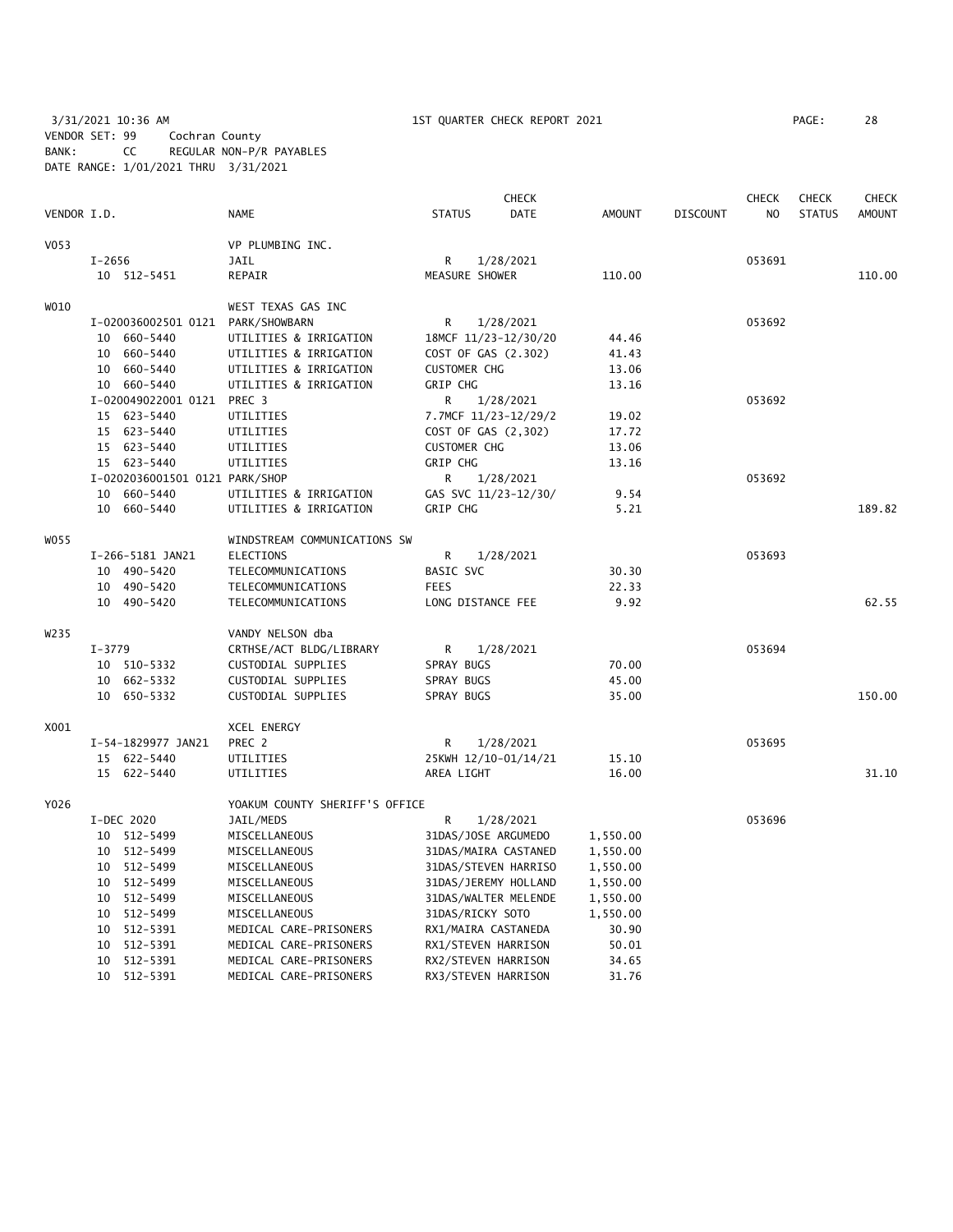3/31/2021 10:36 AM 1ST QUARTER CHECK REPORT 2021 PAGE: 28 VENDOR SET: 99 Cochran County BANK: CC REGULAR NON-P/R PAYABLES DATE RANGE: 1/01/2021 THRU 3/31/2021

|                  |                                   |                                |                      | <b>CHECK</b> |          |                 | <b>CHECK</b>   | <b>CHECK</b>  | <b>CHECK</b>  |
|------------------|-----------------------------------|--------------------------------|----------------------|--------------|----------|-----------------|----------------|---------------|---------------|
| VENDOR I.D.      |                                   | NAME                           | <b>STATUS</b>        | <b>DATE</b>  | AMOUNT   | <b>DISCOUNT</b> | N <sub>O</sub> | <b>STATUS</b> | <b>AMOUNT</b> |
| V <sub>053</sub> |                                   | VP PLUMBING INC.               |                      |              |          |                 |                |               |               |
|                  | $I - 2656$                        | JAIL                           | $\mathsf{R}$         | 1/28/2021    |          |                 | 053691         |               |               |
|                  | 10 512-5451                       | REPAIR                         | MEASURE SHOWER       |              | 110.00   |                 |                |               | 110.00        |
| W010             |                                   | WEST TEXAS GAS INC             |                      |              |          |                 |                |               |               |
|                  | I-020036002501 0121 PARK/SHOWBARN |                                | R                    | 1/28/2021    |          |                 | 053692         |               |               |
|                  | 10 660-5440                       | UTILITIES & IRRIGATION         | 18MCF 11/23-12/30/20 |              | 44.46    |                 |                |               |               |
|                  | 10 660-5440                       | UTILITIES & IRRIGATION         | COST OF GAS (2.302)  |              | 41.43    |                 |                |               |               |
|                  | 10 660-5440                       | UTILITIES & IRRIGATION         | <b>CUSTOMER CHG</b>  |              | 13.06    |                 |                |               |               |
|                  | 10 660-5440                       | UTILITIES & IRRIGATION         | <b>GRIP CHG</b>      |              | 13.16    |                 |                |               |               |
|                  | I-020049022001 0121 PREC 3        |                                | R                    | 1/28/2021    |          |                 | 053692         |               |               |
|                  | 15 623-5440                       | UTILITIES                      | 7.7MCF 11/23-12/29/2 |              | 19.02    |                 |                |               |               |
|                  | 15 623-5440                       | UTILITIES                      | COST OF GAS (2,302)  |              | 17.72    |                 |                |               |               |
|                  | 15 623-5440                       | UTILITIES                      | <b>CUSTOMER CHG</b>  |              | 13.06    |                 |                |               |               |
|                  | 15 623-5440                       | UTILITIES                      | <b>GRIP CHG</b>      |              | 13.16    |                 |                |               |               |
|                  | I-0202036001501 0121 PARK/SHOP    |                                | R.                   | 1/28/2021    |          |                 | 053692         |               |               |
|                  | 10 660-5440                       | UTILITIES & IRRIGATION         | GAS SVC 11/23-12/30/ |              | 9.54     |                 |                |               |               |
|                  | 10 660-5440                       | UTILITIES & IRRIGATION         | GRIP CHG             |              | 5.21     |                 |                |               | 189.82        |
| W055             |                                   | WINDSTREAM COMMUNICATIONS SW   |                      |              |          |                 |                |               |               |
|                  | I-266-5181 JAN21                  | <b>ELECTIONS</b>               | R                    | 1/28/2021    |          |                 | 053693         |               |               |
|                  | 10 490-5420                       | TELECOMMUNICATIONS             | BASIC SVC            |              | 30.30    |                 |                |               |               |
|                  | 10 490-5420                       | TELECOMMUNICATIONS             | <b>FEES</b>          |              | 22.33    |                 |                |               |               |
|                  | 10 490-5420                       | TELECOMMUNICATIONS             | LONG DISTANCE FEE    |              | 9.92     |                 |                |               | 62.55         |
| W235             |                                   | VANDY NELSON dba               |                      |              |          |                 |                |               |               |
|                  | $I-3779$                          | CRTHSE/ACT BLDG/LIBRARY        | R                    | 1/28/2021    |          |                 | 053694         |               |               |
|                  | 10 510-5332                       | CUSTODIAL SUPPLIES             | SPRAY BUGS           |              | 70.00    |                 |                |               |               |
|                  | 10 662-5332                       | CUSTODIAL SUPPLIES             | SPRAY BUGS           |              | 45.00    |                 |                |               |               |
|                  | 10 650-5332                       | CUSTODIAL SUPPLIES             | SPRAY BUGS           |              | 35.00    |                 |                |               | 150.00        |
| X001             |                                   | XCEL ENERGY                    |                      |              |          |                 |                |               |               |
|                  | I-54-1829977 JAN21                | PREC 2                         | R                    | 1/28/2021    |          |                 | 053695         |               |               |
|                  | 15 622-5440                       | UTILITIES                      | 25KWH 12/10-01/14/21 |              | 15.10    |                 |                |               |               |
|                  | 15 622-5440                       | UTILITIES                      | AREA LIGHT           |              | 16.00    |                 |                |               | 31.10         |
| Y026             |                                   | YOAKUM COUNTY SHERIFF'S OFFICE |                      |              |          |                 |                |               |               |
|                  | I-DEC 2020                        | JAIL/MEDS                      | R                    | 1/28/2021    |          |                 | 053696         |               |               |
|                  | 10 512-5499                       | MISCELLANEOUS                  | 31DAS/JOSE ARGUMEDO  |              | 1,550.00 |                 |                |               |               |
|                  | 10 512-5499                       | MISCELLANEOUS                  | 31DAS/MAIRA CASTANED |              | 1,550.00 |                 |                |               |               |
|                  | 10 512-5499                       | MISCELLANEOUS                  | 31DAS/STEVEN HARRISO |              | 1,550.00 |                 |                |               |               |
|                  | 10 512-5499                       | MISCELLANEOUS                  | 31DAS/JEREMY HOLLAND |              | 1,550.00 |                 |                |               |               |
|                  | 10 512-5499                       | MISCELLANEOUS                  | 31DAS/WALTER MELENDE |              | 1,550.00 |                 |                |               |               |
|                  | 10 512-5499                       | MISCELLANEOUS                  | 31DAS/RICKY SOTO     |              | 1,550.00 |                 |                |               |               |
|                  | 10 512-5391                       | MEDICAL CARE-PRISONERS         | RX1/MAIRA CASTANEDA  |              | 30.90    |                 |                |               |               |
|                  | 10 512-5391                       | MEDICAL CARE-PRISONERS         | RX1/STEVEN HARRISON  |              | 50.01    |                 |                |               |               |
|                  | 10 512-5391                       | MEDICAL CARE-PRISONERS         | RX2/STEVEN HARRISON  |              | 34.65    |                 |                |               |               |

10 512-5391 MEDICAL CARE-PRISONERS RX3/STEVEN HARRISON 31.76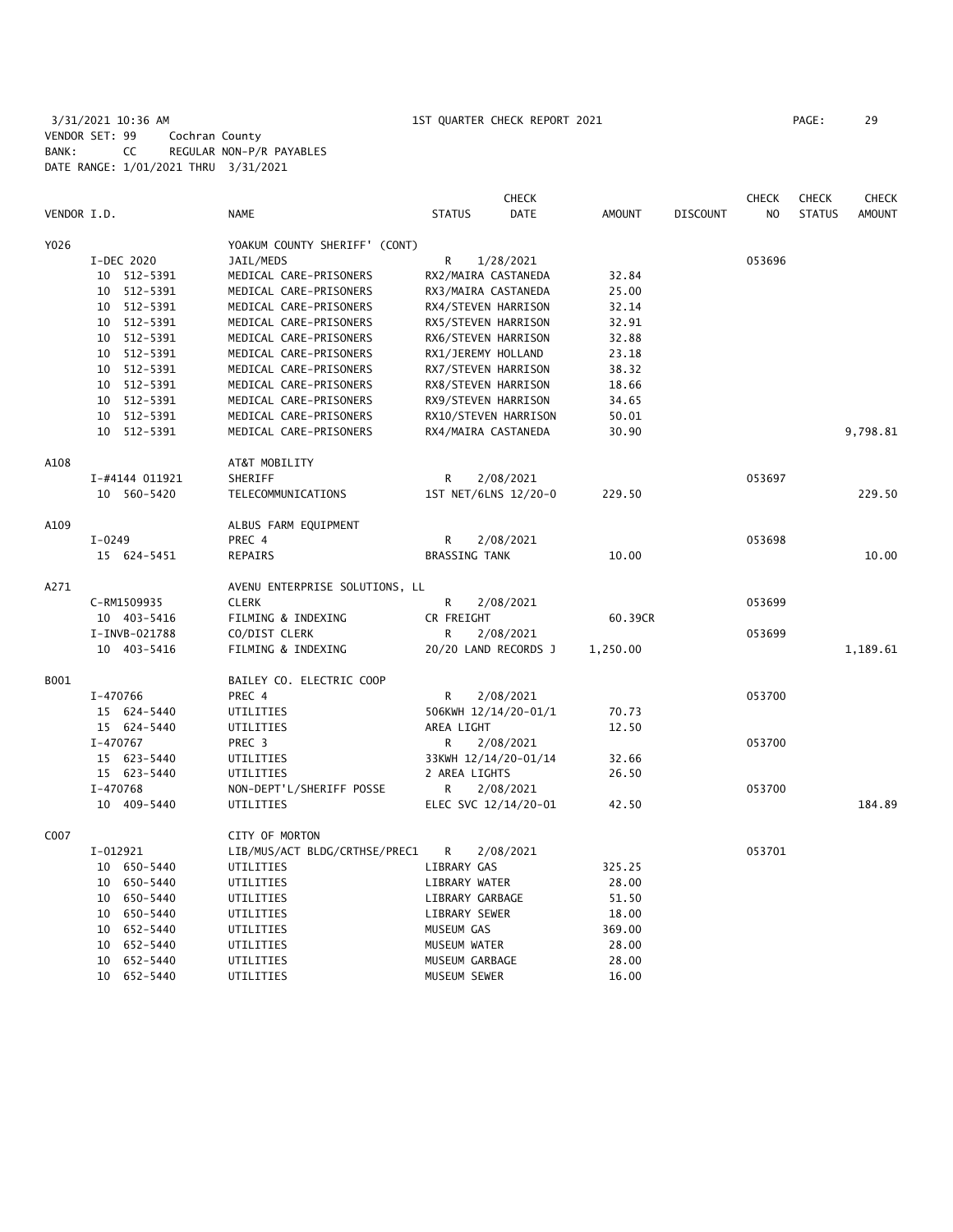3/31/2021 10:36 AM 1ST QUARTER CHECK REPORT 2021 PAGE: 29 VENDOR SET: 99 Cochran County BANK: CC REGULAR NON-P/R PAYABLES DATE RANGE: 1/01/2021 THRU 3/31/2021

|             |                |                                | <b>CHECK</b>                 |               |          | <b>CHECK</b>   | <b>CHECK</b>  | <b>CHECK</b>  |
|-------------|----------------|--------------------------------|------------------------------|---------------|----------|----------------|---------------|---------------|
| VENDOR I.D. |                | <b>NAME</b>                    | <b>STATUS</b><br><b>DATE</b> | <b>AMOUNT</b> | DISCOUNT | N <sub>O</sub> | <b>STATUS</b> | <b>AMOUNT</b> |
| Y026        |                | YOAKUM COUNTY SHERIFF' (CONT)  |                              |               |          |                |               |               |
|             | I-DEC 2020     | JAIL/MEDS                      | R<br>1/28/2021               |               |          | 053696         |               |               |
|             | 512-5391<br>10 | MEDICAL CARE-PRISONERS         | RX2/MAIRA CASTANEDA          | 32.84         |          |                |               |               |
|             | 512-5391<br>10 | MEDICAL CARE-PRISONERS         | RX3/MAIRA CASTANEDA          | 25.00         |          |                |               |               |
|             | 10 512-5391    | MEDICAL CARE-PRISONERS         | RX4/STEVEN HARRISON          | 32.14         |          |                |               |               |
|             | 512-5391<br>10 | MEDICAL CARE-PRISONERS         | RX5/STEVEN HARRISON          | 32.91         |          |                |               |               |
|             | 10 512-5391    | MEDICAL CARE-PRISONERS         | RX6/STEVEN HARRISON          | 32.88         |          |                |               |               |
|             | 10 512-5391    | MEDICAL CARE-PRISONERS         | RX1/JEREMY HOLLAND           | 23.18         |          |                |               |               |
|             | 10 512-5391    | MEDICAL CARE-PRISONERS         | RX7/STEVEN HARRISON          | 38.32         |          |                |               |               |
|             | 10 512-5391    | MEDICAL CARE-PRISONERS         | RX8/STEVEN HARRISON          | 18.66         |          |                |               |               |
|             | 10 512-5391    | MEDICAL CARE-PRISONERS         | RX9/STEVEN HARRISON          | 34.65         |          |                |               |               |
|             | 10 512-5391    | MEDICAL CARE-PRISONERS         | RX10/STEVEN HARRISON         | 50.01         |          |                |               |               |
|             | 10 512-5391    | MEDICAL CARE-PRISONERS         | RX4/MAIRA CASTANEDA          | 30.90         |          |                |               | 9,798.81      |
| A108        |                | AT&T MOBILITY                  |                              |               |          |                |               |               |
|             | I-#4144 011921 | SHERIFF                        | R<br>2/08/2021               |               |          | 053697         |               |               |
|             | 10 560-5420    | TELECOMMUNICATIONS             | 1ST NET/6LNS 12/20-0         | 229.50        |          |                |               | 229.50        |
| A109        |                | ALBUS FARM EQUIPMENT           |                              |               |          |                |               |               |
|             | $I-0249$       | PREC 4                         | R<br>2/08/2021               |               |          | 053698         |               |               |
|             | 15 624-5451    | REPAIRS                        | <b>BRASSING TANK</b>         | 10.00         |          |                |               | 10.00         |
| A271        |                | AVENU ENTERPRISE SOLUTIONS, LL |                              |               |          |                |               |               |
|             | C-RM1509935    | <b>CLERK</b>                   | R<br>2/08/2021               |               |          | 053699         |               |               |
|             | 10 403-5416    | FILMING & INDEXING             | CR FREIGHT                   | 60.39CR       |          |                |               |               |
|             | I-INVB-021788  | CO/DIST CLERK                  | R<br>2/08/2021               |               |          | 053699         |               |               |
|             | 10 403-5416    | FILMING & INDEXING             | 20/20 LAND RECORDS J         | 1,250.00      |          |                |               | 1,189.61      |
| B001        |                | BAILEY CO. ELECTRIC COOP       |                              |               |          |                |               |               |
|             | I-470766       | PREC 4                         | R<br>2/08/2021               |               |          | 053700         |               |               |
|             | 15 624-5440    | UTILITIES                      | 506KWH 12/14/20-01/1         | 70.73         |          |                |               |               |
|             | 15 624-5440    | UTILITIES                      | AREA LIGHT                   | 12.50         |          |                |               |               |
|             | I-470767       | PREC 3                         | R<br>2/08/2021               |               |          | 053700         |               |               |
|             | 15 623-5440    | UTILITIES                      | 33KWH 12/14/20-01/14         | 32.66         |          |                |               |               |
|             | 15 623-5440    | UTILITIES                      | 2 AREA LIGHTS                | 26.50         |          |                |               |               |
|             | I-470768       | NON-DEPT'L/SHERIFF POSSE       | R<br>2/08/2021               |               |          | 053700         |               |               |
|             | 10 409-5440    | UTILITIES                      | ELEC SVC 12/14/20-01         | 42.50         |          |                |               | 184.89        |
| C007        |                | CITY OF MORTON                 |                              |               |          |                |               |               |
|             | I-012921       | LIB/MUS/ACT BLDG/CRTHSE/PREC1  | R<br>2/08/2021               |               |          | 053701         |               |               |
|             | 10 650-5440    | UTILITIES                      | LIBRARY GAS                  | 325.25        |          |                |               |               |
|             | 10 650-5440    | UTILITIES                      | LIBRARY WATER                | 28.00         |          |                |               |               |
|             | 10<br>650–5440 | UTILITIES                      | LIBRARY GARBAGE              | 51.50         |          |                |               |               |
|             | 10<br>650-5440 | UTILITIES                      | LIBRARY SEWER                | 18.00         |          |                |               |               |
|             | 10<br>652-5440 | UTILITIES                      | MUSEUM GAS                   | 369.00        |          |                |               |               |
|             | 652-5440<br>10 | UTILITIES                      | MUSEUM WATER                 | 28.00         |          |                |               |               |
|             | 652-5440<br>10 | UTILITIES                      | MUSEUM GARBAGE               | 28.00         |          |                |               |               |
|             | 10 652-5440    | UTILITIES                      | MUSEUM SEWER                 | 16.00         |          |                |               |               |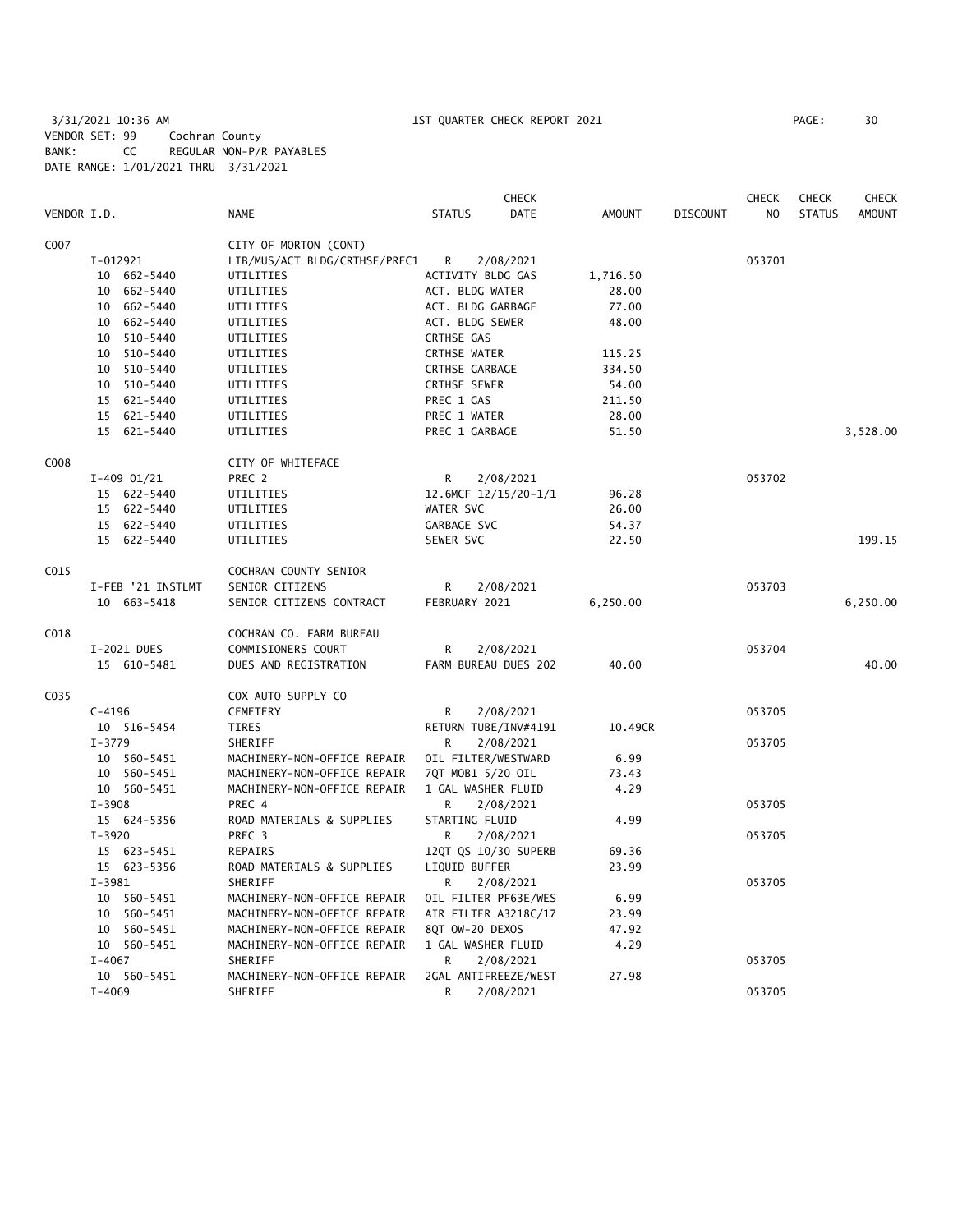3/31/2021 10:36 AM 1ST QUARTER CHECK REPORT 2021 PAGE: 30 VENDOR SET: 99 Cochran County BANK: CC REGULAR NON-P/R PAYABLES DATE RANGE: 1/01/2021 THRU 3/31/2021

| VENDOR I.D. |                   | <b>NAME</b>                   | <b>STATUS</b>         | <b>CHECK</b><br>DATE | <b>AMOUNT</b> | <b>DISCOUNT</b> | <b>CHECK</b><br>NO | <b>CHECK</b><br><b>STATUS</b> | <b>CHECK</b><br><b>AMOUNT</b> |
|-------------|-------------------|-------------------------------|-----------------------|----------------------|---------------|-----------------|--------------------|-------------------------------|-------------------------------|
| C007        |                   | CITY OF MORTON (CONT)         |                       |                      |               |                 |                    |                               |                               |
|             | I-012921          | LIB/MUS/ACT BLDG/CRTHSE/PREC1 | R                     | 2/08/2021            |               |                 | 053701             |                               |                               |
|             | 10 662-5440       | UTILITIES                     | ACTIVITY BLDG GAS     |                      | 1,716.50      |                 |                    |                               |                               |
|             | 662-5440<br>10    | UTILITIES                     | ACT. BLDG WATER       |                      | 28.00         |                 |                    |                               |                               |
|             | 662-5440<br>10    | UTILITIES                     | ACT. BLDG GARBAGE     |                      | 77.00         |                 |                    |                               |                               |
|             | 662-5440<br>10    | UTILITIES                     | ACT. BLDG SEWER       |                      | 48.00         |                 |                    |                               |                               |
|             | 10 510-5440       | UTILITIES                     | CRTHSE GAS            |                      |               |                 |                    |                               |                               |
|             | 10 510-5440       | UTILITIES                     | <b>CRTHSE WATER</b>   |                      | 115.25        |                 |                    |                               |                               |
|             | 10<br>510-5440    | UTILITIES                     | <b>CRTHSE GARBAGE</b> |                      | 334.50        |                 |                    |                               |                               |
|             | 10 510-5440       | UTILITIES                     | CRTHSE SEWER          |                      | 54.00         |                 |                    |                               |                               |
|             | 15 621-5440       | UTILITIES                     | PREC 1 GAS            |                      | 211.50        |                 |                    |                               |                               |
|             | 15 621-5440       | UTILITIES                     | PREC 1 WATER          |                      | 28.00         |                 |                    |                               |                               |
|             | 15 621-5440       | UTILITIES                     | PREC 1 GARBAGE        |                      | 51.50         |                 |                    |                               | 3,528.00                      |
| C008        |                   | CITY OF WHITEFACE             |                       |                      |               |                 |                    |                               |                               |
|             | $I-409$ 01/21     | PREC <sub>2</sub>             | R                     | 2/08/2021            |               |                 | 053702             |                               |                               |
|             | 15 622-5440       | UTILITIES                     | 12.6MCF 12/15/20-1/1  |                      | 96.28         |                 |                    |                               |                               |
|             | 15 622-5440       | UTILITIES                     | WATER SVC             |                      | 26.00         |                 |                    |                               |                               |
|             | 15 622-5440       | UTILITIES                     | GARBAGE SVC           |                      | 54.37         |                 |                    |                               |                               |
|             | 15 622-5440       | UTILITIES                     | SEWER SVC             |                      | 22.50         |                 |                    |                               | 199.15                        |
| C015        |                   | COCHRAN COUNTY SENIOR         |                       |                      |               |                 |                    |                               |                               |
|             | I-FEB '21 INSTLMT | SENIOR CITIZENS               | R                     | 2/08/2021            |               |                 | 053703             |                               |                               |
|             | 10 663-5418       | SENIOR CITIZENS CONTRACT      | FEBRUARY 2021         |                      | 6,250.00      |                 |                    |                               | 6,250.00                      |
| C018        |                   | COCHRAN CO. FARM BUREAU       |                       |                      |               |                 |                    |                               |                               |
|             | I-2021 DUES       | COMMISIONERS COURT            | R                     | 2/08/2021            |               |                 | 053704             |                               |                               |
|             | 15 610-5481       | DUES AND REGISTRATION         | FARM BUREAU DUES 202  |                      | 40.00         |                 |                    |                               | 40.00                         |
| C035        |                   | COX AUTO SUPPLY CO            |                       |                      |               |                 |                    |                               |                               |
|             | $C - 4196$        | CEMETERY                      | R                     | 2/08/2021            |               |                 | 053705             |                               |                               |
|             | 10 516-5454       | TIRES                         | RETURN TUBE/INV#4191  |                      | 10.49CR       |                 |                    |                               |                               |
|             | $I - 3779$        | SHERIFF                       | R                     | 2/08/2021            |               |                 | 053705             |                               |                               |
|             | 10 560-5451       | MACHINERY-NON-OFFICE REPAIR   | OIL FILTER/WESTWARD   |                      | 6.99          |                 |                    |                               |                               |
|             | 10 560-5451       | MACHINERY-NON-OFFICE REPAIR   | 7QT MOB1 5/20 OIL     |                      | 73.43         |                 |                    |                               |                               |
|             | 10 560-5451       | MACHINERY-NON-OFFICE REPAIR   | 1 GAL WASHER FLUID    |                      | 4.29          |                 |                    |                               |                               |
|             | $I - 3908$        | PREC 4                        | R                     | 2/08/2021            |               |                 | 053705             |                               |                               |
|             | 15 624-5356       | ROAD MATERIALS & SUPPLIES     | STARTING FLUID        |                      | 4.99          |                 |                    |                               |                               |
|             | $I - 3920$        | PREC <sub>3</sub>             | R                     | 2/08/2021            |               |                 | 053705             |                               |                               |
|             | 15 623-5451       | REPAIRS                       | 12QT QS 10/30 SUPERB  |                      | 69.36         |                 |                    |                               |                               |
|             | 15 623-5356       | ROAD MATERIALS & SUPPLIES     | LIQUID BUFFER         |                      | 23.99         |                 |                    |                               |                               |
|             | $I-3981$          | SHERIFF                       | R                     | 2/08/2021            |               |                 | 053705             |                               |                               |
|             | 10 560-5451       | MACHINERY-NON-OFFICE REPAIR   | OIL FILTER PF63E/WES  |                      | 6.99          |                 |                    |                               |                               |
|             | 10 560-5451       | MACHINERY-NON-OFFICE REPAIR   | AIR FILTER A3218C/17  |                      | 23.99         |                 |                    |                               |                               |
|             | 10 560-5451       | MACHINERY-NON-OFFICE REPAIR   | 8QT OW-20 DEXOS       |                      | 47.92         |                 |                    |                               |                               |
|             | 10 560-5451       | MACHINERY-NON-OFFICE REPAIR   | 1 GAL WASHER FLUID    |                      | 4.29          |                 |                    |                               |                               |
|             | $I - 4067$        | SHERIFF                       | R                     | 2/08/2021            |               |                 | 053705             |                               |                               |
|             | 10 560-5451       | MACHINERY-NON-OFFICE REPAIR   | 2GAL ANTIFREEZE/WEST  |                      | 27.98         |                 |                    |                               |                               |
|             | $I-4069$          | SHERIFF                       | R                     | 2/08/2021            |               |                 | 053705             |                               |                               |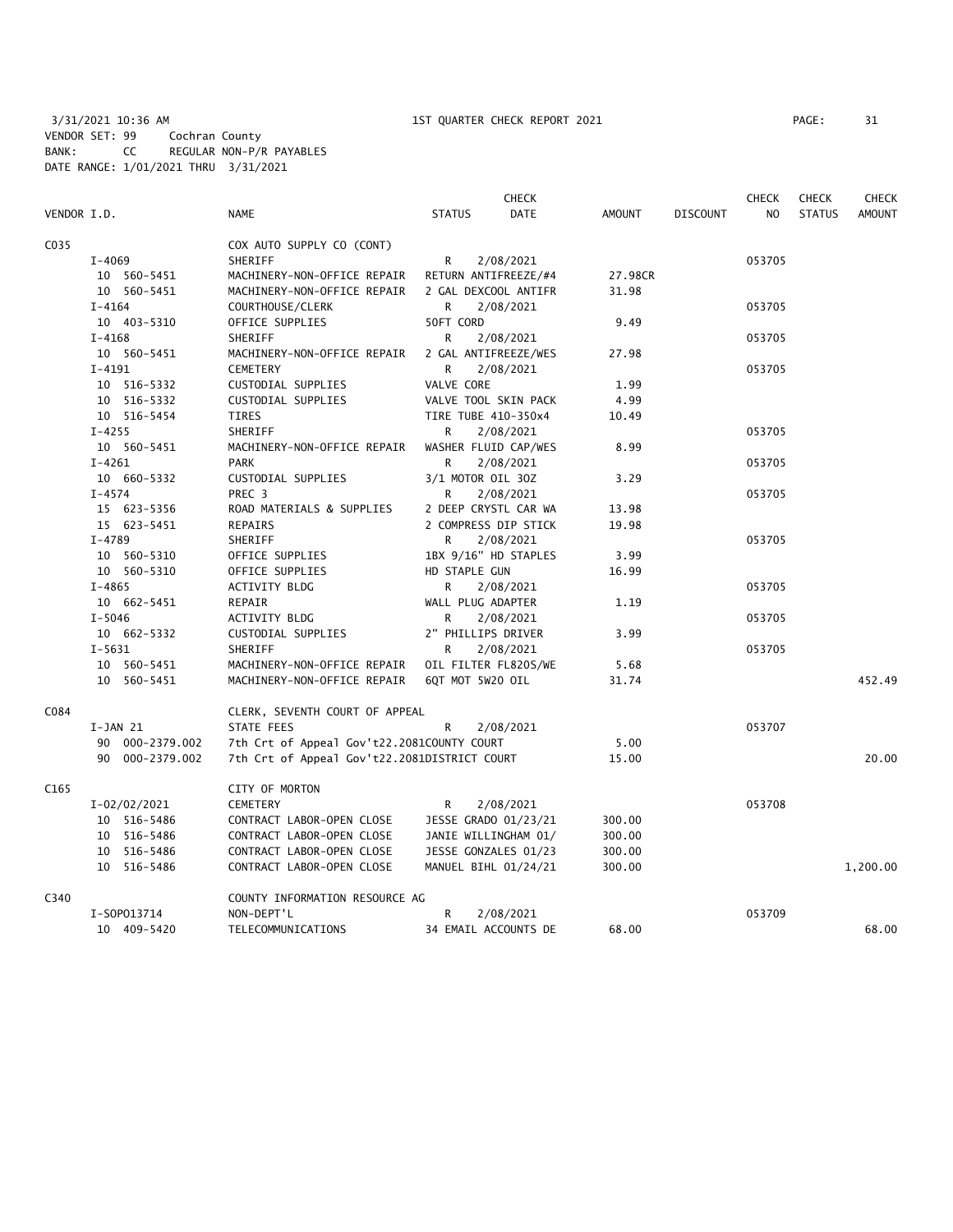|             |                 |                                              | <b>CHECK</b>          |               |                 | <b>CHECK</b>   | <b>CHECK</b>  | <b>CHECK</b>  |
|-------------|-----------------|----------------------------------------------|-----------------------|---------------|-----------------|----------------|---------------|---------------|
| VENDOR I.D. |                 | <b>NAME</b>                                  | <b>STATUS</b><br>DATE | <b>AMOUNT</b> | <b>DISCOUNT</b> | N <sub>O</sub> | <b>STATUS</b> | <b>AMOUNT</b> |
| C035        |                 | COX AUTO SUPPLY CO (CONT)                    |                       |               |                 |                |               |               |
|             | $I - 4069$      | SHERIFF                                      | R<br>2/08/2021        |               |                 | 053705         |               |               |
|             | 10 560-5451     | MACHINERY-NON-OFFICE REPAIR                  | RETURN ANTIFREEZE/#4  | 27.98CR       |                 |                |               |               |
|             | 10 560-5451     | MACHINERY-NON-OFFICE REPAIR                  | 2 GAL DEXCOOL ANTIFR  | 31.98         |                 |                |               |               |
|             | $I - 4164$      | COURTHOUSE/CLERK                             | 2/08/2021<br>R        |               |                 | 053705         |               |               |
|             | 10 403-5310     | OFFICE SUPPLIES                              | 50FT CORD             | 9.49          |                 |                |               |               |
|             | $I - 4168$      | SHERIFF                                      | R.<br>2/08/2021       |               |                 | 053705         |               |               |
|             | 10 560-5451     | MACHINERY-NON-OFFICE REPAIR                  | 2 GAL ANTIFREEZE/WES  | 27.98         |                 |                |               |               |
|             | $I-4191$        | <b>CEMETERY</b>                              | R.<br>2/08/2021       |               |                 | 053705         |               |               |
|             | 10 516-5332     | CUSTODIAL SUPPLIES                           | VALVE CORE            | 1.99          |                 |                |               |               |
|             | 10 516-5332     | CUSTODIAL SUPPLIES                           | VALVE TOOL SKIN PACK  | 4.99          |                 |                |               |               |
|             | 10 516-5454     | <b>TIRES</b>                                 | TIRE TUBE 410-350x4   | 10.49         |                 |                |               |               |
|             | $I - 4255$      | <b>SHERIFF</b>                               | R<br>2/08/2021        |               |                 | 053705         |               |               |
|             | 10 560-5451     | MACHINERY-NON-OFFICE REPAIR                  | WASHER FLUID CAP/WES  | 8.99          |                 |                |               |               |
|             | $I-4261$        | PARK                                         | 2/08/2021<br>R        |               |                 | 053705         |               |               |
|             | 10 660-5332     | CUSTODIAL SUPPLIES                           | 3/1 MOTOR OIL 30Z     | 3.29          |                 |                |               |               |
|             | $I - 4574$      | PREC 3                                       | R<br>2/08/2021        |               |                 | 053705         |               |               |
|             | 15 623-5356     | ROAD MATERIALS & SUPPLIES                    | 2 DEEP CRYSTL CAR WA  | 13.98         |                 |                |               |               |
|             | 15 623-5451     | <b>REPAIRS</b>                               | 2 COMPRESS DIP STICK  | 19.98         |                 |                |               |               |
|             | $I - 4789$      | SHERIFF                                      | 2/08/2021<br>R        |               |                 | 053705         |               |               |
|             | 10 560-5310     | OFFICE SUPPLIES                              | 1BX 9/16" HD STAPLES  | 3.99          |                 |                |               |               |
|             | 10 560-5310     | OFFICE SUPPLIES                              | HD STAPLE GUN         | 16.99         |                 |                |               |               |
|             | $I - 4865$      | ACTIVITY BLDG                                | R<br>2/08/2021        |               |                 | 053705         |               |               |
|             | 10 662-5451     | REPAIR                                       | WALL PLUG ADAPTER     | 1.19          |                 |                |               |               |
|             | $I - 5046$      | ACTIVITY BLDG                                | R<br>2/08/2021        |               |                 | 053705         |               |               |
|             | 10 662-5332     | CUSTODIAL SUPPLIES                           | 2" PHILLIPS DRIVER    | 3.99          |                 |                |               |               |
|             | $I - 5631$      | SHERIFF                                      | 2/08/2021<br>R        |               |                 | 053705         |               |               |
|             | 10 560-5451     | MACHINERY-NON-OFFICE REPAIR                  | OIL FILTER FL820S/WE  | 5.68          |                 |                |               |               |
|             | 10 560-5451     | MACHINERY-NON-OFFICE REPAIR                  | 6QT MOT 5W20 OIL      | 31.74         |                 |                |               | 452.49        |
| C084        |                 | CLERK, SEVENTH COURT OF APPEAL               |                       |               |                 |                |               |               |
|             | $I-JAN$ 21      | STATE FEES                                   | R<br>2/08/2021        |               |                 | 053707         |               |               |
|             | 90 000-2379.002 | 7th Crt of Appeal Gov't22.2081COUNTY COURT   |                       | 5.00          |                 |                |               |               |
|             | 90 000-2379.002 | 7th Crt of Appeal Gov't22.2081DISTRICT COURT |                       | 15.00         |                 |                |               | 20.00         |
| C165        |                 | CITY OF MORTON                               |                       |               |                 |                |               |               |
|             | I-02/02/2021    | <b>CEMETERY</b>                              | R<br>2/08/2021        |               |                 | 053708         |               |               |
|             | 10 516-5486     | CONTRACT LABOR-OPEN CLOSE                    | JESSE GRADO 01/23/21  | 300.00        |                 |                |               |               |
|             | 10 516-5486     | CONTRACT LABOR-OPEN CLOSE                    | JANIE WILLINGHAM 01/  | 300.00        |                 |                |               |               |
|             | 10 516-5486     | CONTRACT LABOR-OPEN CLOSE                    | JESSE GONZALES 01/23  | 300.00        |                 |                |               |               |
|             | 10 516-5486     | CONTRACT LABOR-OPEN CLOSE                    | MANUEL BIHL 01/24/21  | 300.00        |                 |                |               | 1,200.00      |
| C340        |                 | COUNTY INFORMATION RESOURCE AG               |                       |               |                 |                |               |               |
|             | I-S0P013714     | NON-DEPT'L                                   | R<br>2/08/2021        |               |                 | 053709         |               |               |
|             | 10 409-5420     | TELECOMMUNICATIONS                           | 34 EMAIL ACCOUNTS DE  | 68.00         |                 |                |               | 68.00         |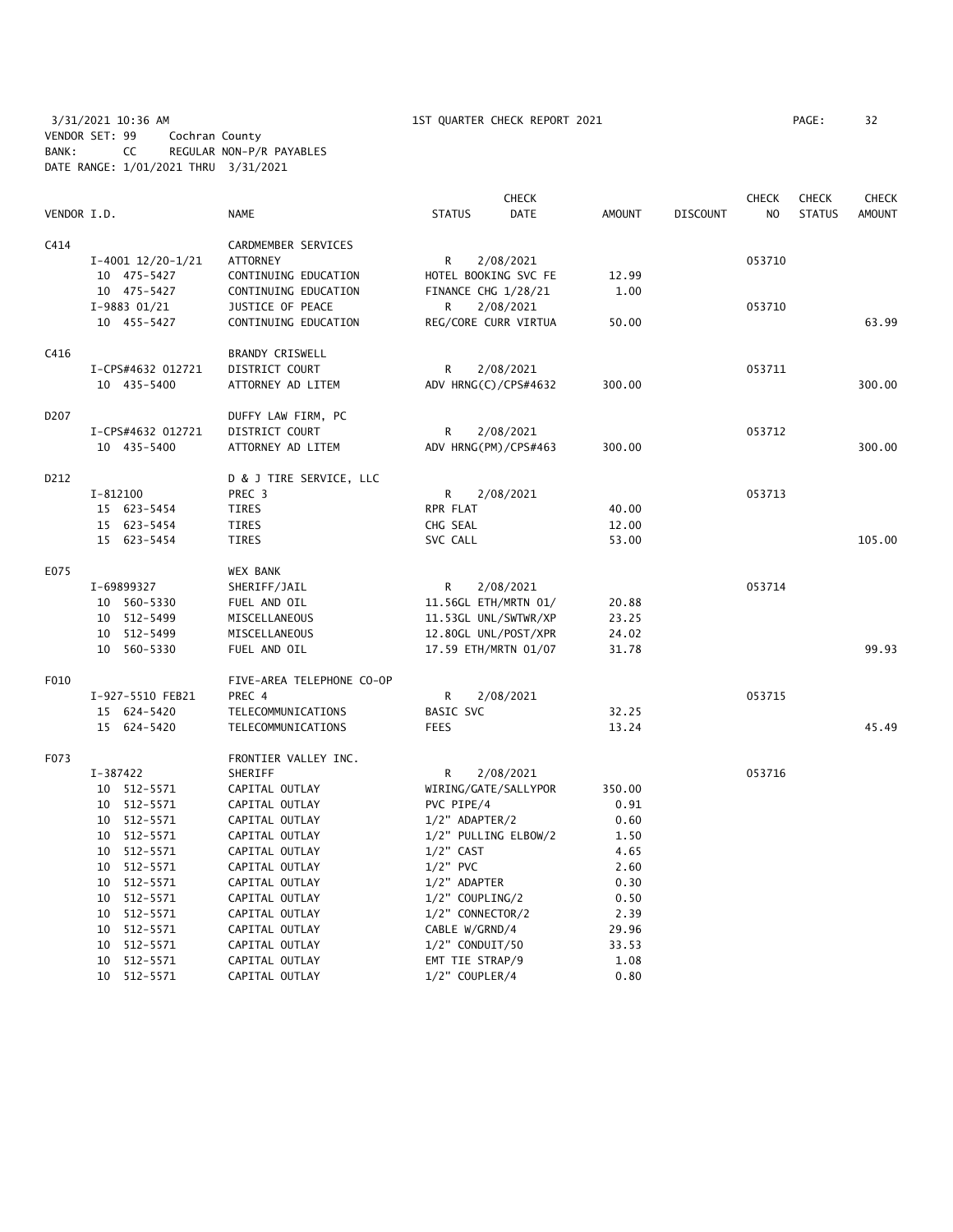3/31/2021 10:36 AM 1ST QUARTER CHECK REPORT 2021 PAGE: 32 VENDOR SET: 99 Cochran County BANK: CC REGULAR NON-P/R PAYABLES DATE RANGE: 1/01/2021 THRU 3/31/2021

|             |                       |                           |                     | <b>CHECK</b>         |               |                 | <b>CHECK</b>   | <b>CHECK</b>  | <b>CHECK</b>  |
|-------------|-----------------------|---------------------------|---------------------|----------------------|---------------|-----------------|----------------|---------------|---------------|
| VENDOR I.D. |                       | <b>NAME</b>               | <b>STATUS</b>       | <b>DATE</b>          | <b>AMOUNT</b> | <b>DISCOUNT</b> | N <sub>O</sub> | <b>STATUS</b> | <b>AMOUNT</b> |
| C414        |                       | CARDMEMBER SERVICES       |                     |                      |               |                 |                |               |               |
|             | $I-4001$ $12/20-1/21$ | <b>ATTORNEY</b>           | R                   | 2/08/2021            |               |                 | 053710         |               |               |
|             | 10 475-5427           | CONTINUING EDUCATION      |                     | HOTEL BOOKING SVC FE | 12.99         |                 |                |               |               |
|             | 10 475-5427           | CONTINUING EDUCATION      | FINANCE CHG 1/28/21 |                      | 1.00          |                 |                |               |               |
|             | $I-9883$ 01/21        | JUSTICE OF PEACE          | R                   | 2/08/2021            |               |                 | 053710         |               |               |
|             | 10 455-5427           | CONTINUING EDUCATION      |                     | REG/CORE CURR VIRTUA | 50.00         |                 |                |               | 63.99         |
| C416        |                       | BRANDY CRISWELL           |                     |                      |               |                 |                |               |               |
|             | I-CPS#4632 012721     | DISTRICT COURT            | R                   | 2/08/2021            |               |                 | 053711         |               |               |
|             | 10 435-5400           | ATTORNEY AD LITEM         |                     | ADV HRNG(C)/CPS#4632 | 300.00        |                 |                |               | 300.00        |
| D207        |                       | DUFFY LAW FIRM, PC        |                     |                      |               |                 |                |               |               |
|             | I-CPS#4632 012721     | DISTRICT COURT            | R                   | 2/08/2021            |               |                 | 053712         |               |               |
|             | 10 435-5400           | ATTORNEY AD LITEM         |                     | ADV HRNG(PM)/CPS#463 | 300.00        |                 |                |               | 300.00        |
| D212        |                       | D & J TIRE SERVICE, LLC   |                     |                      |               |                 |                |               |               |
|             | I-812100              | PREC 3                    | R.                  | 2/08/2021            |               |                 | 053713         |               |               |
|             | 15 623-5454           | <b>TIRES</b>              | RPR FLAT            |                      | 40.00         |                 |                |               |               |
|             | 15 623-5454           | <b>TIRES</b>              | CHG SEAL            |                      | 12.00         |                 |                |               |               |
|             | 15 623-5454           | TIRES                     | SVC CALL            |                      | 53.00         |                 |                |               | 105.00        |
| E075        |                       | <b>WEX BANK</b>           |                     |                      |               |                 |                |               |               |
|             | I-69899327            | SHERIFF/JAIL              | R                   | 2/08/2021            |               |                 | 053714         |               |               |
|             | 10 560-5330           | FUEL AND OIL              |                     | 11.56GL ETH/MRTN 01/ | 20.88         |                 |                |               |               |
|             | 10 512-5499           | MISCELLANEOUS             |                     | 11.53GL UNL/SWTWR/XP | 23.25         |                 |                |               |               |
|             | 10 512-5499           | MISCELLANEOUS             |                     | 12.80GL UNL/POST/XPR | 24.02         |                 |                |               |               |
|             | 10 560-5330           | FUEL AND OIL              |                     | 17.59 ETH/MRTN 01/07 | 31.78         |                 |                |               | 99.93         |
| F010        |                       | FIVE-AREA TELEPHONE CO-OP |                     |                      |               |                 |                |               |               |
|             | I-927-5510 FEB21      | PREC 4                    | R                   | 2/08/2021            |               |                 | 053715         |               |               |
|             | 15 624-5420           | TELECOMMUNICATIONS        | <b>BASIC SVC</b>    |                      | 32.25         |                 |                |               |               |
|             | 15 624-5420           | TELECOMMUNICATIONS        | <b>FEES</b>         |                      | 13.24         |                 |                |               | 45.49         |
| F073        |                       | FRONTIER VALLEY INC.      |                     |                      |               |                 |                |               |               |
|             | I-387422              | SHERIFF                   | R                   | 2/08/2021            |               |                 | 053716         |               |               |
|             | 10 512-5571           | CAPITAL OUTLAY            |                     | WIRING/GATE/SALLYPOR | 350.00        |                 |                |               |               |
|             | 10 512-5571           | CAPITAL OUTLAY            | PVC PIPE/4          |                      | 0.91          |                 |                |               |               |
|             | 10 512-5571           | CAPITAL OUTLAY            | 1/2" ADAPTER/2      |                      | 0.60          |                 |                |               |               |
|             | 10 512-5571           | CAPITAL OUTLAY            |                     | 1/2" PULLING ELBOW/2 | 1.50          |                 |                |               |               |
|             | 10 512-5571           | CAPITAL OUTLAY            | $1/2$ " CAST        |                      | 4.65          |                 |                |               |               |
|             | 10 512-5571           | CAPITAL OUTLAY            | $1/2$ " PVC         |                      | 2.60          |                 |                |               |               |
|             | 10 512-5571           | CAPITAL OUTLAY            | 1/2" ADAPTER        |                      | 0.30          |                 |                |               |               |
|             | 512-5571<br>10        | CAPITAL OUTLAY            | 1/2" COUPLING/2     |                      | 0.50          |                 |                |               |               |
|             | 10 512-5571           | CAPITAL OUTLAY            | 1/2" CONNECTOR/2    |                      | 2.39          |                 |                |               |               |
|             | 512-5571<br>10        | CAPITAL OUTLAY            | CABLE W/GRND/4      |                      | 29.96         |                 |                |               |               |
|             | 512-5571<br>10        | CAPITAL OUTLAY            | 1/2" CONDUIT/50     |                      | 33.53         |                 |                |               |               |
|             | 10 512-5571           | CAPITAL OUTLAY            | EMT TIE STRAP/9     |                      | 1.08          |                 |                |               |               |

10 512-5571 CAPITAL OUTLAY 1/2" COUPLER/4 0.80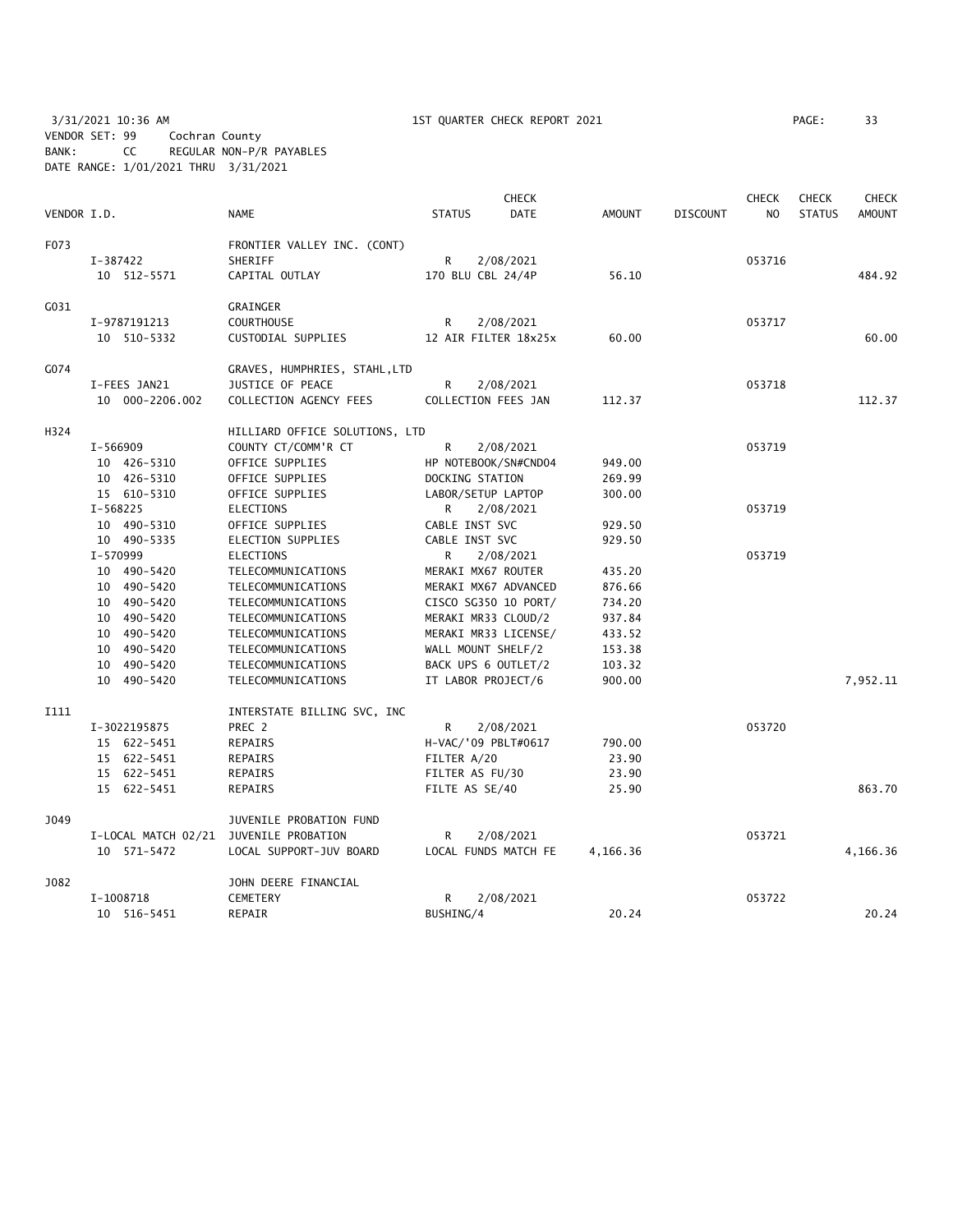3/31/2021 10:36 AM 1ST QUARTER CHECK REPORT 2021 PAGE: 33 VENDOR SET: 99 Cochran County BANK: CC REGULAR NON-P/R PAYABLES DATE RANGE: 1/01/2021 THRU 3/31/2021

|             |                     |                                |                      | <b>CHECK</b>         |               |                 | <b>CHECK</b> | <b>CHECK</b>  | <b>CHECK</b>  |
|-------------|---------------------|--------------------------------|----------------------|----------------------|---------------|-----------------|--------------|---------------|---------------|
| VENDOR I.D. |                     | <b>NAME</b>                    | <b>STATUS</b>        | <b>DATE</b>          | <b>AMOUNT</b> | <b>DISCOUNT</b> | NO           | <b>STATUS</b> | <b>AMOUNT</b> |
| F073        |                     | FRONTIER VALLEY INC. (CONT)    |                      |                      |               |                 |              |               |               |
|             | I-387422            | SHERIFF                        | R                    | 2/08/2021            |               |                 | 053716       |               |               |
|             | 10 512-5571         | CAPITAL OUTLAY                 | 170 BLU CBL 24/4P    |                      | 56.10         |                 |              |               | 484.92        |
| G031        |                     | GRAINGER                       |                      |                      |               |                 |              |               |               |
|             | I-9787191213        | <b>COURTHOUSE</b>              | R                    | 2/08/2021            |               |                 | 053717       |               |               |
|             | 10 510-5332         | CUSTODIAL SUPPLIES             |                      | 12 AIR FILTER 18x25x | 60.00         |                 |              |               | 60.00         |
| G074        |                     | GRAVES, HUMPHRIES, STAHL,LTD   |                      |                      |               |                 |              |               |               |
|             | I-FEES JAN21        | JUSTICE OF PEACE               | R                    | 2/08/2021            |               |                 | 053718       |               |               |
|             | 10 000-2206.002     | COLLECTION AGENCY FEES         | COLLECTION FEES JAN  |                      | 112.37        |                 |              |               | 112.37        |
| H324        |                     | HILLIARD OFFICE SOLUTIONS, LTD |                      |                      |               |                 |              |               |               |
|             | I-566909            | COUNTY CT/COMM'R CT            | R                    | 2/08/2021            |               |                 | 053719       |               |               |
|             | 10 426-5310         | OFFICE SUPPLIES                |                      | HP NOTEBOOK/SN#CND04 | 949.00        |                 |              |               |               |
|             | 10 426-5310         | OFFICE SUPPLIES                | DOCKING STATION      |                      | 269.99        |                 |              |               |               |
|             | 15 610-5310         | OFFICE SUPPLIES                | LABOR/SETUP LAPTOP   |                      | 300.00        |                 |              |               |               |
|             | $I - 568225$        | <b>ELECTIONS</b>               | R.                   | 2/08/2021            |               |                 | 053719       |               |               |
|             | 10 490-5310         | OFFICE SUPPLIES                | CABLE INST SVC       |                      | 929.50        |                 |              |               |               |
|             | 10 490-5335         | ELECTION SUPPLIES              | CABLE INST SVC       |                      | 929.50        |                 |              |               |               |
|             | I-570999            | <b>ELECTIONS</b>               | R                    | 2/08/2021            |               |                 | 053719       |               |               |
|             | 10 490-5420         | TELECOMMUNICATIONS             | MERAKI MX67 ROUTER   |                      | 435.20        |                 |              |               |               |
|             | 10 490-5420         | TELECOMMUNICATIONS             | MERAKI MX67 ADVANCED |                      | 876.66        |                 |              |               |               |
|             | 10 490-5420         | TELECOMMUNICATIONS             |                      | CISCO SG350 10 PORT/ | 734.20        |                 |              |               |               |
|             | 10 490-5420         | TELECOMMUNICATIONS             | MERAKI MR33 CLOUD/2  |                      | 937.84        |                 |              |               |               |
|             | 10 490-5420         | TELECOMMUNICATIONS             | MERAKI MR33 LICENSE/ |                      | 433.52        |                 |              |               |               |
|             | 10 490-5420         | TELECOMMUNICATIONS             | WALL MOUNT SHELF/2   |                      | 153.38        |                 |              |               |               |
|             | 10 490-5420         | TELECOMMUNICATIONS             | BACK UPS 6 OUTLET/2  |                      | 103.32        |                 |              |               |               |
|             | 10 490-5420         | TELECOMMUNICATIONS             | IT LABOR PROJECT/6   |                      | 900.00        |                 |              |               | 7,952.11      |
| I111        |                     | INTERSTATE BILLING SVC, INC    |                      |                      |               |                 |              |               |               |
|             | I-3022195875        | PREC 2                         | R.                   | 2/08/2021            |               |                 | 053720       |               |               |
|             | 15 622-5451         | REPAIRS                        | H-VAC/'09 PBLT#0617  |                      | 790.00        |                 |              |               |               |
|             | 15 622-5451         | REPAIRS                        | FILTER A/20          |                      | 23.90         |                 |              |               |               |
|             | 15 622-5451         | REPAIRS                        | FILTER AS FU/30      |                      | 23.90         |                 |              |               |               |
|             | 15 622-5451         | <b>REPAIRS</b>                 | FILTE AS SE/40       |                      | 25.90         |                 |              |               | 863.70        |
| J049        |                     | JUVENILE PROBATION FUND        |                      |                      |               |                 |              |               |               |
|             | I-LOCAL MATCH 02/21 | JUVENILE PROBATION             | R                    | 2/08/2021            |               |                 | 053721       |               |               |
|             | 10 571-5472         | LOCAL SUPPORT-JUV BOARD        |                      | LOCAL FUNDS MATCH FE | 4,166.36      |                 |              |               | 4,166.36      |
| J082        |                     | JOHN DEERE FINANCIAL           |                      |                      |               |                 |              |               |               |
|             | I-1008718           | CEMETERY                       | R                    | 2/08/2021            |               |                 | 053722       |               |               |
|             | 10 516-5451         | REPAIR                         | BUSHING/4            |                      | 20.24         |                 |              |               | 20.24         |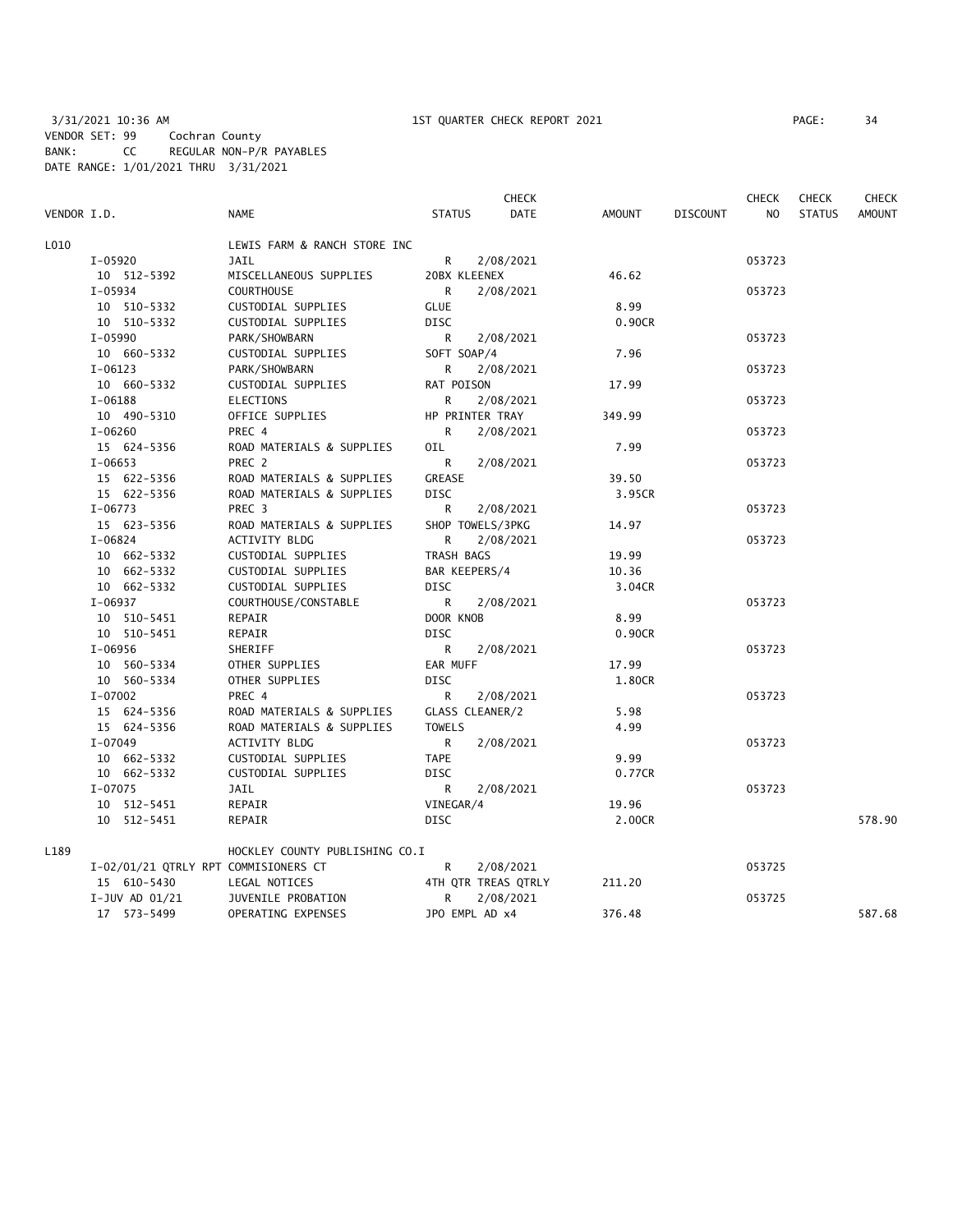|             |                                      |                                |               | <b>CHECK</b>        |        |                 | <b>CHECK</b>   | <b>CHECK</b>  | <b>CHECK</b>  |
|-------------|--------------------------------------|--------------------------------|---------------|---------------------|--------|-----------------|----------------|---------------|---------------|
| VENDOR I.D. |                                      | NAME                           | <b>STATUS</b> | DATE                | AMOUNT | <b>DISCOUNT</b> | N <sub>O</sub> | <b>STATUS</b> | <b>AMOUNT</b> |
| L010        |                                      | LEWIS FARM & RANCH STORE INC   |               |                     |        |                 |                |               |               |
|             | I-05920                              | <b>JAIL</b>                    | R.            | 2/08/2021           |        |                 | 053723         |               |               |
|             | 10 512-5392                          | MISCELLANEOUS SUPPLIES         | 20BX KLEENEX  |                     | 46.62  |                 |                |               |               |
|             | $I-05934$                            | <b>COURTHOUSE</b>              | R             | 2/08/2021           |        |                 | 053723         |               |               |
|             | 10 510-5332                          | CUSTODIAL SUPPLIES             | <b>GLUE</b>   |                     | 8.99   |                 |                |               |               |
|             | 10 510-5332                          | CUSTODIAL SUPPLIES             | <b>DISC</b>   |                     | 0.90CR |                 |                |               |               |
|             | $I - 05990$                          | PARK/SHOWBARN                  | R             | 2/08/2021           |        |                 | 053723         |               |               |
|             | 10 660-5332                          | CUSTODIAL SUPPLIES             | SOFT SOAP/4   |                     | 7.96   |                 |                |               |               |
|             | $I-06123$                            | PARK/SHOWBARN                  | R             | 2/08/2021           |        |                 | 053723         |               |               |
|             | 10 660-5332                          | CUSTODIAL SUPPLIES             | RAT POISON    |                     | 17.99  |                 |                |               |               |
|             | $I-06188$                            | <b>ELECTIONS</b>               | R             | 2/08/2021           |        |                 | 053723         |               |               |
|             | 10 490-5310                          | OFFICE SUPPLIES                |               | HP PRINTER TRAY     | 349.99 |                 |                |               |               |
|             | $I - 06260$                          | PREC 4                         | R.            | 2/08/2021           |        |                 | 053723         |               |               |
|             | 15 624-5356                          | ROAD MATERIALS & SUPPLIES      | OIL           |                     | 7.99   |                 |                |               |               |
|             | $I-06653$                            | PREC 2                         | R             | 2/08/2021           |        |                 | 053723         |               |               |
|             | 15 622-5356                          | ROAD MATERIALS & SUPPLIES      | GREASE        |                     | 39.50  |                 |                |               |               |
|             | 15 622-5356                          | ROAD MATERIALS & SUPPLIES      | <b>DISC</b>   |                     | 3.95CR |                 |                |               |               |
|             | $I-06773$                            | PREC 3                         | R             | 2/08/2021           |        |                 | 053723         |               |               |
|             | 15 623-5356                          | ROAD MATERIALS & SUPPLIES      |               | SHOP TOWELS/3PKG    | 14.97  |                 |                |               |               |
|             | $I-06824$                            | ACTIVITY BLDG                  | R             | 2/08/2021           |        |                 | 053723         |               |               |
|             | 10 662-5332                          | CUSTODIAL SUPPLIES             | TRASH BAGS    |                     | 19.99  |                 |                |               |               |
|             | 10 662-5332                          | CUSTODIAL SUPPLIES             | BAR KEEPERS/4 |                     | 10.36  |                 |                |               |               |
|             | 10 662-5332                          | CUSTODIAL SUPPLIES             | <b>DISC</b>   |                     | 3.04CR |                 |                |               |               |
|             | I-06937                              | COURTHOUSE/CONSTABLE           | R             | 2/08/2021           |        |                 | 053723         |               |               |
|             | 10 510-5451                          | REPAIR                         | DOOR KNOB     |                     | 8.99   |                 |                |               |               |
|             | 10 510-5451                          | REPAIR                         | DISC          |                     | 0.90CR |                 |                |               |               |
|             | $I-06956$                            | SHERIFF                        | R             | 2/08/2021           |        |                 | 053723         |               |               |
|             | 10 560-5334                          | OTHER SUPPLIES                 | EAR MUFF      |                     | 17.99  |                 |                |               |               |
|             | 10 560-5334                          | OTHER SUPPLIES                 | <b>DISC</b>   |                     | 1.80CR |                 |                |               |               |
|             | $I-07002$                            | PREC 4                         | R             | 2/08/2021           |        |                 | 053723         |               |               |
|             | 15 624-5356                          | ROAD MATERIALS & SUPPLIES      |               | GLASS CLEANER/2     | 5.98   |                 |                |               |               |
|             | 15 624-5356                          | ROAD MATERIALS & SUPPLIES      | <b>TOWELS</b> |                     | 4.99   |                 |                |               |               |
|             | I-07049                              | ACTIVITY BLDG                  | R             | 2/08/2021           |        |                 | 053723         |               |               |
|             | 10 662-5332                          | CUSTODIAL SUPPLIES             | <b>TAPE</b>   |                     | 9.99   |                 |                |               |               |
|             | 10 662-5332                          | CUSTODIAL SUPPLIES             | <b>DISC</b>   |                     | 0.77CR |                 |                |               |               |
|             | $I-07075$                            | JAIL                           | R             | 2/08/2021           |        |                 | 053723         |               |               |
|             | 10 512-5451                          | REPAIR                         | VINEGAR/4     |                     | 19.96  |                 |                |               |               |
|             | 10 512-5451                          | REPAIR                         | <b>DISC</b>   |                     | 2.00CR |                 |                |               | 578.90        |
| L189        |                                      | HOCKLEY COUNTY PUBLISHING CO.I |               |                     |        |                 |                |               |               |
|             | I-02/01/21 QTRLY RPT COMMISIONERS CT |                                | R             | 2/08/2021           |        |                 | 053725         |               |               |
|             | 15 610-5430                          | LEGAL NOTICES                  |               | 4TH QTR TREAS QTRLY | 211.20 |                 |                |               |               |
|             | I-JUV AD $01/21$                     | JUVENILE PROBATION             | R             | 2/08/2021           |        |                 | 053725         |               |               |
|             | 17 573-5499                          | OPERATING EXPENSES             |               | JPO EMPL AD x4      | 376.48 |                 |                |               | 587.68        |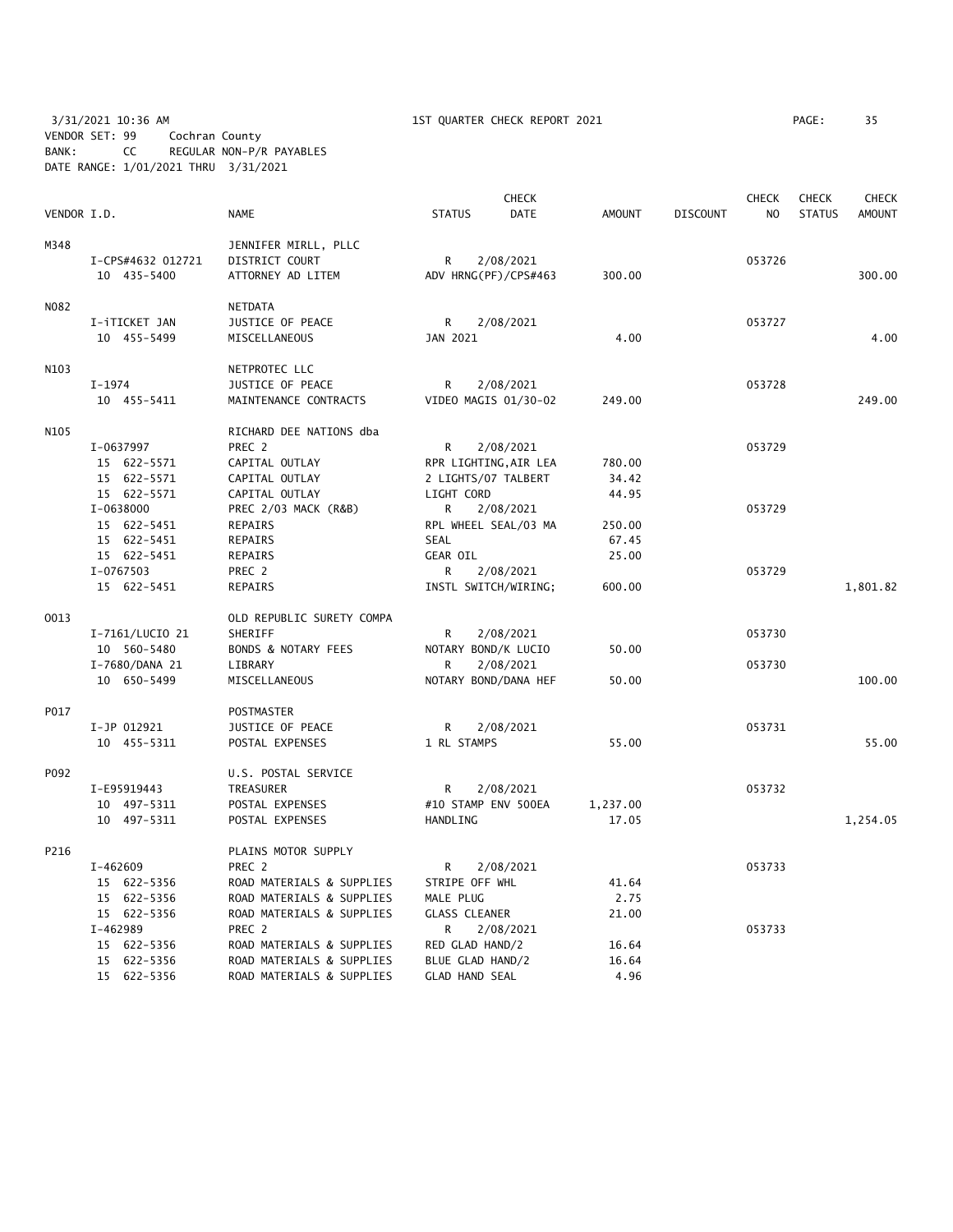3/31/2021 10:36 AM 1ST QUARTER CHECK REPORT 2021 PAGE: 35 VENDOR SET: 99 Cochran County BANK: CC REGULAR NON-P/R PAYABLES DATE RANGE: 1/01/2021 THRU 3/31/2021

|             |                            |                                | <b>CHECK</b>                              |                       |               |                 | <b>CHECK</b>   | <b>CHECK</b>  | <b>CHECK</b>  |
|-------------|----------------------------|--------------------------------|-------------------------------------------|-----------------------|---------------|-----------------|----------------|---------------|---------------|
| VENDOR I.D. |                            | <b>NAME</b>                    | <b>STATUS</b>                             | <b>DATE</b>           | <b>AMOUNT</b> | <b>DISCOUNT</b> | N <sub>O</sub> | <b>STATUS</b> | <b>AMOUNT</b> |
| M348        |                            | JENNIFER MIRLL, PLLC           |                                           |                       |               |                 |                |               |               |
|             | I-CPS#4632 012721          | DISTRICT COURT                 | R<br>2/08/2021                            |                       |               |                 | 053726         |               |               |
|             | 10 435-5400                | ATTORNEY AD LITEM              | ADV HRNG(PF)/CPS#463                      |                       | 300.00        |                 |                |               | 300.00        |
| N082        |                            | <b>NETDATA</b>                 |                                           |                       |               |                 |                |               |               |
|             | I-iTICKET JAN              | JUSTICE OF PEACE               | R                                         | 2/08/2021             |               |                 | 053727         |               |               |
|             | 10 455-5499                | MISCELLANEOUS                  | JAN 2021                                  |                       | 4.00          |                 |                |               | 4.00          |
| N103        |                            | NETPROTEC LLC                  |                                           |                       |               |                 |                |               |               |
|             | $I-1974$                   | JUSTICE OF PEACE               | R                                         | 2/08/2021             |               |                 | 053728         |               |               |
|             | 10 455-5411                | MAINTENANCE CONTRACTS          | VIDEO MAGIS 01/30-02                      |                       | 249.00        |                 |                |               | 249.00        |
| N105        |                            | RICHARD DEE NATIONS dba        |                                           |                       |               |                 |                |               |               |
|             | I-0637997                  | PREC 2                         | R.                                        | 2/08/2021             |               |                 | 053729         |               |               |
|             | 15 622-5571                | CAPITAL OUTLAY                 |                                           | RPR LIGHTING, AIR LEA | 780.00        |                 |                |               |               |
|             | 15 622-5571                | CAPITAL OUTLAY                 | 2 LIGHTS/07 TALBERT                       |                       | 34.42         |                 |                |               |               |
|             | 15 622-5571                | CAPITAL OUTLAY                 | LIGHT CORD                                |                       | 44.95         |                 |                |               |               |
|             | I-0638000                  | PREC 2/03 MACK (R&B)           | R                                         | 2/08/2021             |               |                 | 053729         |               |               |
|             | 15 622-5451                | REPAIRS                        | RPL WHEEL SEAL/03 MA                      |                       | 250.00        |                 |                |               |               |
|             | 15 622-5451                | REPAIRS                        | SEAL                                      |                       | 67.45         |                 |                |               |               |
|             | 15 622-5451                | REPAIRS                        | <b>GEAR OIL</b>                           |                       | 25.00         |                 |                |               |               |
|             | I-0767503                  | PREC 2                         | R                                         | 2/08/2021             |               |                 | 053729         |               |               |
|             | 15 622-5451                | <b>REPAIRS</b>                 | INSTL SWITCH/WIRING;                      |                       | 600.00        |                 |                |               | 1,801.82      |
| 0013        |                            | OLD REPUBLIC SURETY COMPA      |                                           |                       |               |                 |                |               |               |
|             | I-7161/LUCIO 21            | SHERIFF                        | R                                         | 2/08/2021             |               |                 | 053730         |               |               |
|             | 10 560-5480                | <b>BONDS &amp; NOTARY FEES</b> | NOTARY BOND/K LUCIO                       |                       | 50.00         |                 |                |               |               |
|             | I-7680/DANA 21             | LIBRARY                        | R                                         | 2/08/2021             |               |                 | 053730         |               |               |
|             | 10 650-5499                | MISCELLANEOUS                  |                                           | NOTARY BOND/DANA HEF  | 50.00         |                 |                |               | 100.00        |
| P017        |                            | POSTMASTER                     |                                           |                       |               |                 |                |               |               |
|             | I-JP 012921                | JUSTICE OF PEACE               | R                                         | 2/08/2021             |               |                 | 053731         |               |               |
|             | 10 455-5311                | POSTAL EXPENSES                | 1 RL STAMPS                               |                       | 55.00         |                 |                |               | 55.00         |
| P092        |                            | U.S. POSTAL SERVICE            |                                           |                       |               |                 |                |               |               |
|             | I-E95919443                | TREASURER                      | R                                         | 2/08/2021             |               |                 | 053732         |               |               |
|             | 10 497-5311                | POSTAL EXPENSES                | #10 STAMP ENV 500EA                       |                       | 1,237.00      |                 |                |               |               |
|             | 10 497-5311                | POSTAL EXPENSES                | HANDLING                                  |                       | 17.05         |                 |                |               | 1,254.05      |
| P216        |                            | PLAINS MOTOR SUPPLY            |                                           |                       |               |                 |                |               |               |
|             | $I-462609$                 | PREC 2                         | R                                         | 2/08/2021             |               |                 | 053733         |               |               |
|             | 15 622-5356                | ROAD MATERIALS & SUPPLIES      | STRIPE OFF WHL                            |                       | 41.64         |                 |                |               |               |
|             | 15 622-5356                | ROAD MATERIALS & SUPPLIES      | MALE PLUG                                 |                       | 2.75          |                 |                |               |               |
|             | 15 622-5356                | ROAD MATERIALS & SUPPLIES      | <b>GLASS CLEANER</b>                      |                       | 21.00         |                 |                |               |               |
|             | I-462989                   | PREC 2                         | R                                         | 2/08/2021             |               |                 | 053733         |               |               |
|             | 15 622-5356                | ROAD MATERIALS & SUPPLIES      | RED GLAD HAND/2                           |                       | 16.64         |                 |                |               |               |
|             | 15 622-5356<br>15 622-5356 | ROAD MATERIALS & SUPPLIES      | BLUE GLAD HAND/2<br><b>GLAD HAND SEAL</b> |                       | 16.64<br>4.96 |                 |                |               |               |
|             |                            | ROAD MATERIALS & SUPPLIES      |                                           |                       |               |                 |                |               |               |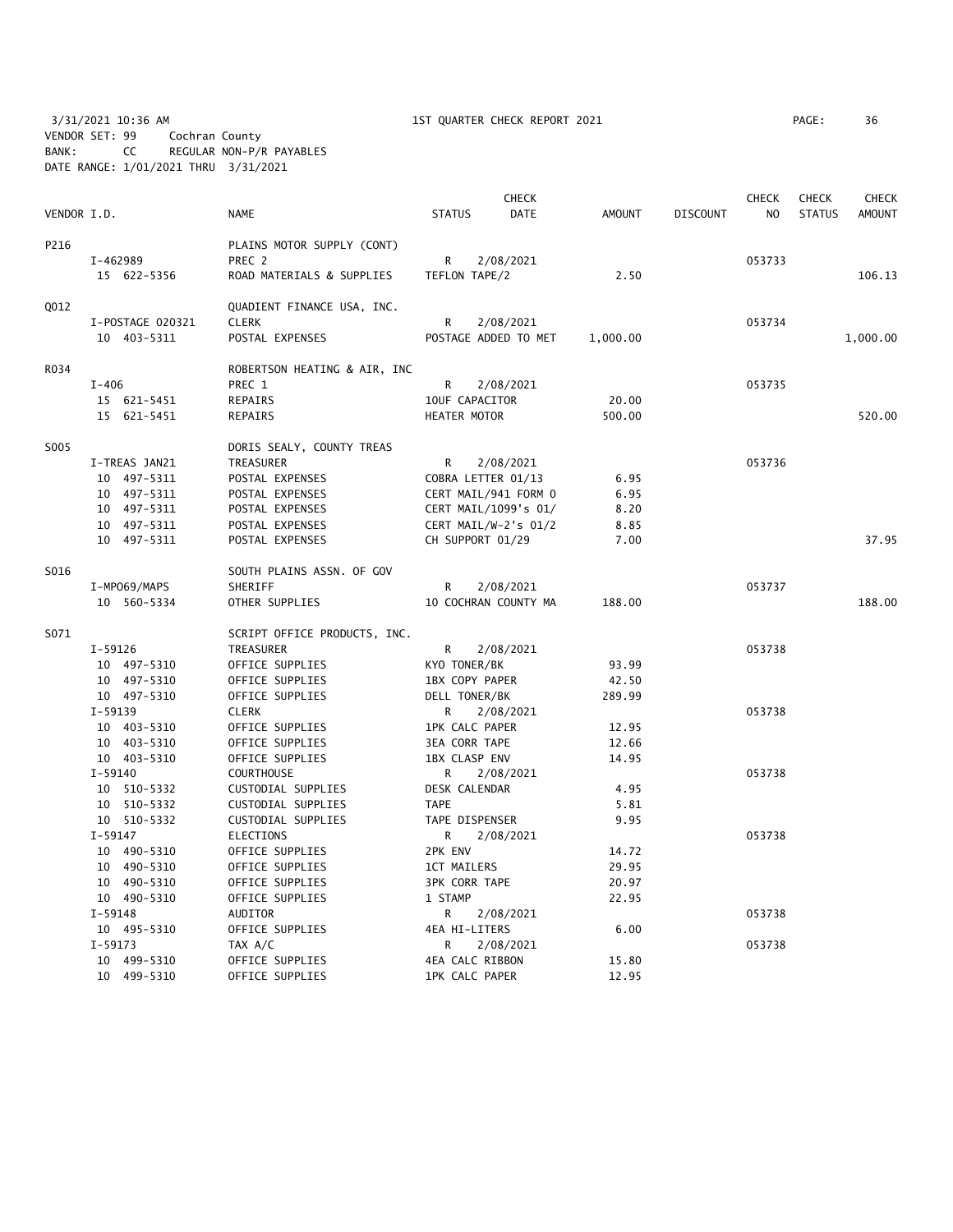3/31/2021 10:36 AM 1ST QUARTER CHECK REPORT 2021 PAGE: 36 VENDOR SET: 99 Cochran County BANK: CC REGULAR NON-P/R PAYABLES DATE RANGE: 1/01/2021 THRU 3/31/2021

|             |                                  |                              | <b>CHECK</b>          |                      |          |                 | <b>CHECK</b>   | <b>CHECK</b>  | CHECK    |
|-------------|----------------------------------|------------------------------|-----------------------|----------------------|----------|-----------------|----------------|---------------|----------|
| VENDOR I.D. |                                  | <b>NAME</b>                  | <b>STATUS</b>         | DATE                 | AMOUNT   | <b>DISCOUNT</b> | N <sub>O</sub> | <b>STATUS</b> | AMOUNT   |
| P216        |                                  | PLAINS MOTOR SUPPLY (CONT)   |                       |                      |          |                 |                |               |          |
|             | I-462989                         | PREC 2                       | R<br>2/08/2021        |                      |          |                 | 053733         |               |          |
|             | 15 622-5356                      | ROAD MATERIALS & SUPPLIES    | TEFLON TAPE/2         |                      | 2.50     |                 |                |               | 106.13   |
| Q012        | QUADIENT FINANCE USA, INC.       |                              |                       |                      |          |                 |                |               |          |
|             | <b>CLERK</b><br>I-POSTAGE 020321 |                              | R<br>2/08/2021        |                      |          |                 | 053734         |               |          |
|             | 10 403-5311                      | POSTAL EXPENSES              | POSTAGE ADDED TO MET  |                      | 1,000.00 |                 |                |               | 1,000.00 |
| R034        |                                  | ROBERTSON HEATING & AIR, INC |                       |                      |          |                 |                |               |          |
|             | $I - 406$                        | PREC 1                       | R                     | 2/08/2021            |          |                 | 053735         |               |          |
|             | 15 621-5451                      | REPAIRS                      | 10UF CAPACITOR        |                      | 20.00    |                 |                |               |          |
|             | 15 621-5451                      | REPAIRS                      | HEATER MOTOR          |                      | 500.00   |                 |                |               | 520.00   |
| S005        |                                  | DORIS SEALY, COUNTY TREAS    |                       |                      |          |                 |                |               |          |
|             | I-TREAS JAN21                    | TREASURER                    | R                     | 2/08/2021            |          |                 | 053736         |               |          |
|             | 10 497-5311                      | POSTAL EXPENSES              | COBRA LETTER 01/13    |                      | 6.95     |                 |                |               |          |
|             | 10 497-5311                      | POSTAL EXPENSES              | CERT MAIL/941 FORM 0  |                      | 6.95     |                 |                |               |          |
|             | 10 497-5311                      | POSTAL EXPENSES              |                       | CERT MAIL/1099's 01/ | 8.20     |                 |                |               |          |
|             | 10 497-5311                      | POSTAL EXPENSES              | CERT MAIL/W-2's 01/2  |                      | 8.85     |                 |                |               |          |
|             | 10 497-5311                      | POSTAL EXPENSES              | CH SUPPORT 01/29      |                      | 7.00     |                 |                |               | 37.95    |
| S016        |                                  | SOUTH PLAINS ASSN. OF GOV    |                       |                      |          |                 |                |               |          |
|             | I-MP069/MAPS                     | <b>SHERIFF</b>               | R                     | 2/08/2021            |          |                 | 053737         |               |          |
|             | 10 560-5334                      | OTHER SUPPLIES               | 10 COCHRAN COUNTY MA  |                      | 188.00   |                 |                |               | 188.00   |
| S071        |                                  | SCRIPT OFFICE PRODUCTS, INC. |                       |                      |          |                 |                |               |          |
|             | $I-59126$                        | TREASURER                    | R                     | 2/08/2021            |          |                 | 053738         |               |          |
|             | 10 497-5310                      | OFFICE SUPPLIES              | KYO TONER/BK          |                      | 93.99    |                 |                |               |          |
|             | 10 497-5310                      | OFFICE SUPPLIES              | 1BX COPY PAPER        |                      | 42.50    |                 |                |               |          |
|             | 10 497-5310                      | OFFICE SUPPLIES              | DELL TONER/BK         |                      | 289.99   |                 |                |               |          |
|             | $I-59139$                        | <b>CLERK</b>                 | R                     | 2/08/2021            |          |                 | 053738         |               |          |
|             | 10 403-5310                      | OFFICE SUPPLIES              | <b>1PK CALC PAPER</b> |                      | 12.95    |                 |                |               |          |
|             | 10 403-5310                      | OFFICE SUPPLIES              | <b>3EA CORR TAPE</b>  |                      | 12.66    |                 |                |               |          |
|             | 10 403-5310                      | OFFICE SUPPLIES              | 1BX CLASP ENV         |                      | 14.95    |                 |                |               |          |
|             | $I - 59140$                      | <b>COURTHOUSE</b>            | R                     | 2/08/2021            |          |                 | 053738         |               |          |
|             | 10 510-5332                      | CUSTODIAL SUPPLIES           | DESK CALENDAR         |                      | 4.95     |                 |                |               |          |
|             | 10 510-5332                      | CUSTODIAL SUPPLIES           | <b>TAPE</b>           |                      | 5.81     |                 |                |               |          |
|             | 10 510-5332                      | CUSTODIAL SUPPLIES           | TAPE DISPENSER        |                      | 9.95     |                 |                |               |          |
|             | $I-59147$                        | <b>ELECTIONS</b>             | R                     | 2/08/2021            |          |                 | 053738         |               |          |
|             | 10 490-5310                      | OFFICE SUPPLIES              | 2PK ENV               |                      | 14.72    |                 |                |               |          |
|             | 10 490-5310                      | OFFICE SUPPLIES              | <b>1CT MAILERS</b>    |                      | 29.95    |                 |                |               |          |
|             | 10 490-5310                      | OFFICE SUPPLIES              | <b>3PK CORR TAPE</b>  |                      | 20.97    |                 |                |               |          |
|             | 10 490-5310                      | OFFICE SUPPLIES              | 1 STAMP               |                      | 22.95    |                 |                |               |          |
|             | $I-59148$                        | <b>AUDITOR</b>               | R                     | 2/08/2021            |          |                 | 053738         |               |          |
|             | 10 495-5310                      | OFFICE SUPPLIES              | 4EA HI-LITERS         |                      | 6.00     |                 |                |               |          |
|             | $I-59173$                        | TAX A/C                      | R                     | 2/08/2021            |          |                 | 053738         |               |          |
|             | 10 499-5310                      | OFFICE SUPPLIES              | 4EA CALC RIBBON       |                      | 15.80    |                 |                |               |          |
|             | 10 499-5310                      | OFFICE SUPPLIES              | <b>1PK CALC PAPER</b> |                      | 12.95    |                 |                |               |          |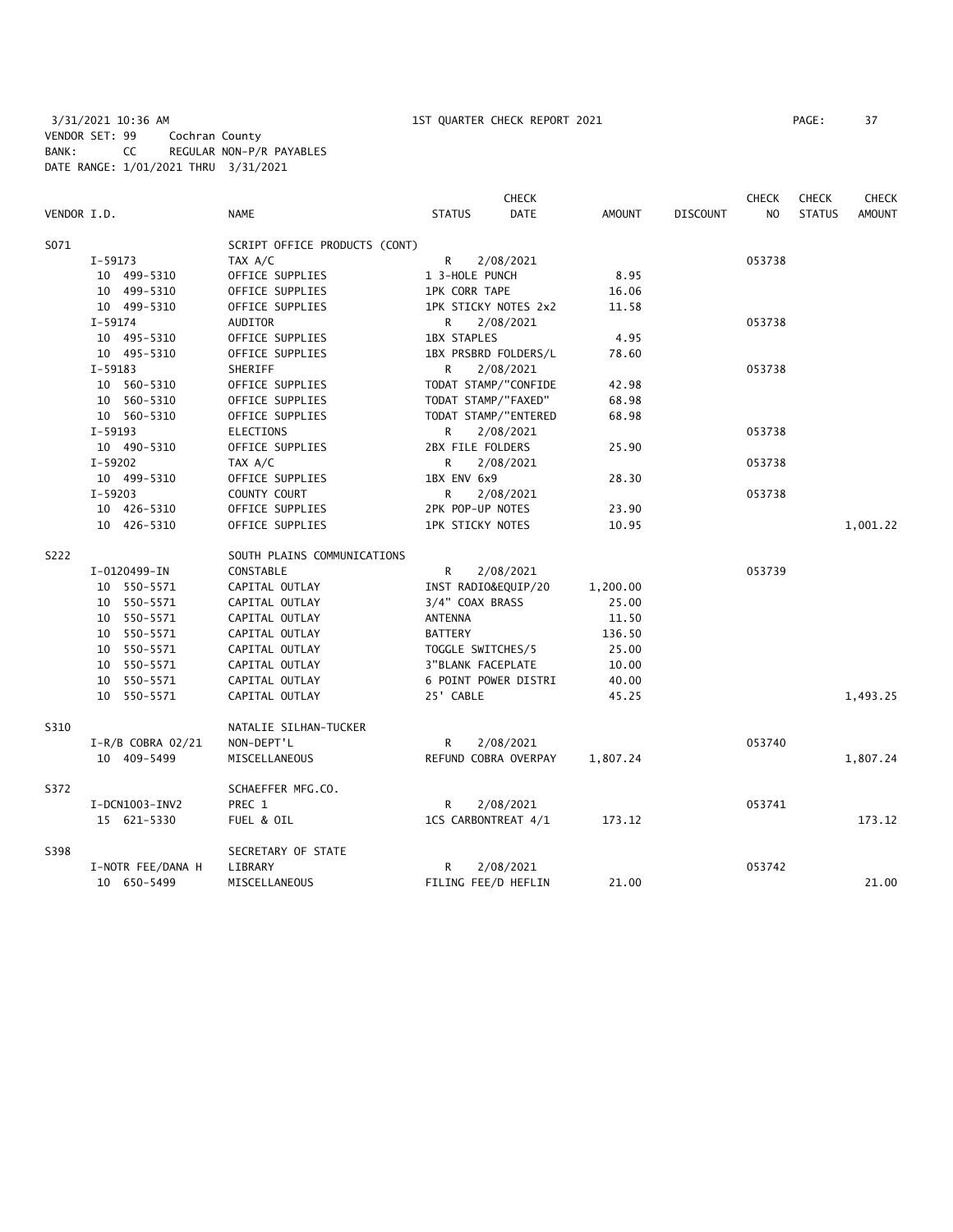3/31/2021 10:36 AM 1ST QUARTER CHECK REPORT 2021 PAGE: 37 VENDOR SET: 99 Cochran County BANK: CC REGULAR NON-P/R PAYABLES DATE RANGE: 1/01/2021 THRU 3/31/2021

| VENDOR I.D. |                     | <b>NAME</b>                   | <b>STATUS</b>           | <b>CHECK</b><br><b>DATE</b> | AMOUNT   | <b>DISCOUNT</b> | <b>CHECK</b><br>N <sub>O</sub> | <b>CHECK</b><br><b>STATUS</b> | <b>CHECK</b><br><b>AMOUNT</b> |
|-------------|---------------------|-------------------------------|-------------------------|-----------------------------|----------|-----------------|--------------------------------|-------------------------------|-------------------------------|
|             |                     |                               |                         |                             |          |                 |                                |                               |                               |
| S071        |                     | SCRIPT OFFICE PRODUCTS (CONT) |                         |                             |          |                 |                                |                               |                               |
|             | $I-59173$           | TAX A/C                       | R<br>2/08/2021          |                             |          |                 | 053738                         |                               |                               |
|             | 10 499-5310         | OFFICE SUPPLIES               | 1 3-HOLE PUNCH          |                             | 8.95     |                 |                                |                               |                               |
|             | 10 499-5310         | OFFICE SUPPLIES               | <b>1PK CORR TAPE</b>    |                             | 16.06    |                 |                                |                               |                               |
|             | 10 499-5310         | OFFICE SUPPLIES               | 1PK STICKY NOTES 2x2    |                             | 11.58    |                 |                                |                               |                               |
|             | $I-59174$           | AUDITOR                       | 2/08/2021<br>R          |                             |          |                 | 053738                         |                               |                               |
|             | 10 495-5310         | OFFICE SUPPLIES               | <b>1BX STAPLES</b>      |                             | 4.95     |                 |                                |                               |                               |
|             | 10 495-5310         | OFFICE SUPPLIES               | 1BX PRSBRD FOLDERS/L    |                             | 78.60    |                 |                                |                               |                               |
|             | I-59183             | SHERIFF                       | 2/08/2021<br>R          |                             |          |                 | 053738                         |                               |                               |
|             | 10 560-5310         | OFFICE SUPPLIES               | TODAT STAMP/"CONFIDE    |                             | 42.98    |                 |                                |                               |                               |
|             | 10 560-5310         | OFFICE SUPPLIES               | TODAT STAMP/"FAXED"     |                             | 68.98    |                 |                                |                               |                               |
|             | 10 560-5310         | OFFICE SUPPLIES               | TODAT STAMP/"ENTERED    |                             | 68.98    |                 |                                |                               |                               |
|             | $I-59193$           | <b>ELECTIONS</b>              | R.<br>2/08/2021         |                             |          |                 | 053738                         |                               |                               |
|             | 10 490-5310         | OFFICE SUPPLIES               | 2BX FILE FOLDERS        |                             | 25.90    |                 |                                |                               |                               |
|             | $I-59202$           | TAX A/C                       | 2/08/2021<br>R          |                             |          |                 | 053738                         |                               |                               |
|             | 10 499-5310         | OFFICE SUPPLIES               | 1BX ENV 6x9             |                             | 28.30    |                 |                                |                               |                               |
|             | $I-59203$           | COUNTY COURT                  | R<br>2/08/2021          |                             |          |                 | 053738                         |                               |                               |
|             | 10 426-5310         | OFFICE SUPPLIES               | 2PK POP-UP NOTES        |                             | 23.90    |                 |                                |                               |                               |
|             | 10 426-5310         | OFFICE SUPPLIES               | <b>1PK STICKY NOTES</b> |                             | 10.95    |                 |                                |                               | 1,001.22                      |
| S222        |                     | SOUTH PLAINS COMMUNICATIONS   |                         |                             |          |                 |                                |                               |                               |
|             | I-0120499-IN        | CONSTABLE                     | R<br>2/08/2021          |                             |          |                 | 053739                         |                               |                               |
|             | 10 550-5571         | CAPITAL OUTLAY                | INST RADIO&EQUIP/20     |                             | 1,200.00 |                 |                                |                               |                               |
|             | 10 550-5571         | CAPITAL OUTLAY                | 3/4" COAX BRASS         |                             | 25.00    |                 |                                |                               |                               |
|             | 10 550-5571         | CAPITAL OUTLAY                | <b>ANTENNA</b>          |                             | 11.50    |                 |                                |                               |                               |
|             | 10 550-5571         | CAPITAL OUTLAY                | <b>BATTERY</b>          |                             | 136.50   |                 |                                |                               |                               |
|             | 10 550-5571         | CAPITAL OUTLAY                | TOGGLE SWITCHES/5       |                             | 25.00    |                 |                                |                               |                               |
|             | 10 550-5571         | CAPITAL OUTLAY                | 3"BLANK FACEPLATE       |                             | 10.00    |                 |                                |                               |                               |
|             | 10 550-5571         | CAPITAL OUTLAY                | 6 POINT POWER DISTRI    |                             | 40.00    |                 |                                |                               |                               |
|             | 10 550-5571         | CAPITAL OUTLAY                | 25' CABLE               |                             | 45.25    |                 |                                |                               | 1,493.25                      |
| S310        |                     | NATALIE SILHAN-TUCKER         |                         |                             |          |                 |                                |                               |                               |
|             | $I-R/B$ COBRA 02/21 | NON-DEPT'L                    | R<br>2/08/2021          |                             |          |                 | 053740                         |                               |                               |
|             | 10 409-5499         | MISCELLANEOUS                 | REFUND COBRA OVERPAY    |                             | 1,807.24 |                 |                                |                               | 1,807.24                      |
| S372        |                     | SCHAEFFER MFG.CO.             |                         |                             |          |                 |                                |                               |                               |
|             | I-DCN1003-INV2      | PREC 1                        | R.<br>2/08/2021         |                             |          |                 | 053741                         |                               |                               |
|             | 15 621-5330         | FUEL & OIL                    | 1CS CARBONTREAT 4/1     |                             | 173.12   |                 |                                |                               | 173.12                        |
| S398        |                     | SECRETARY OF STATE            |                         |                             |          |                 |                                |                               |                               |
|             | I-NOTR FEE/DANA H   | LIBRARY                       | 2/08/2021<br>R          |                             |          |                 | 053742                         |                               |                               |
|             | 10 650-5499         | MISCELLANEOUS                 | FILING FEE/D HEFLIN     |                             | 21.00    |                 |                                |                               | 21.00                         |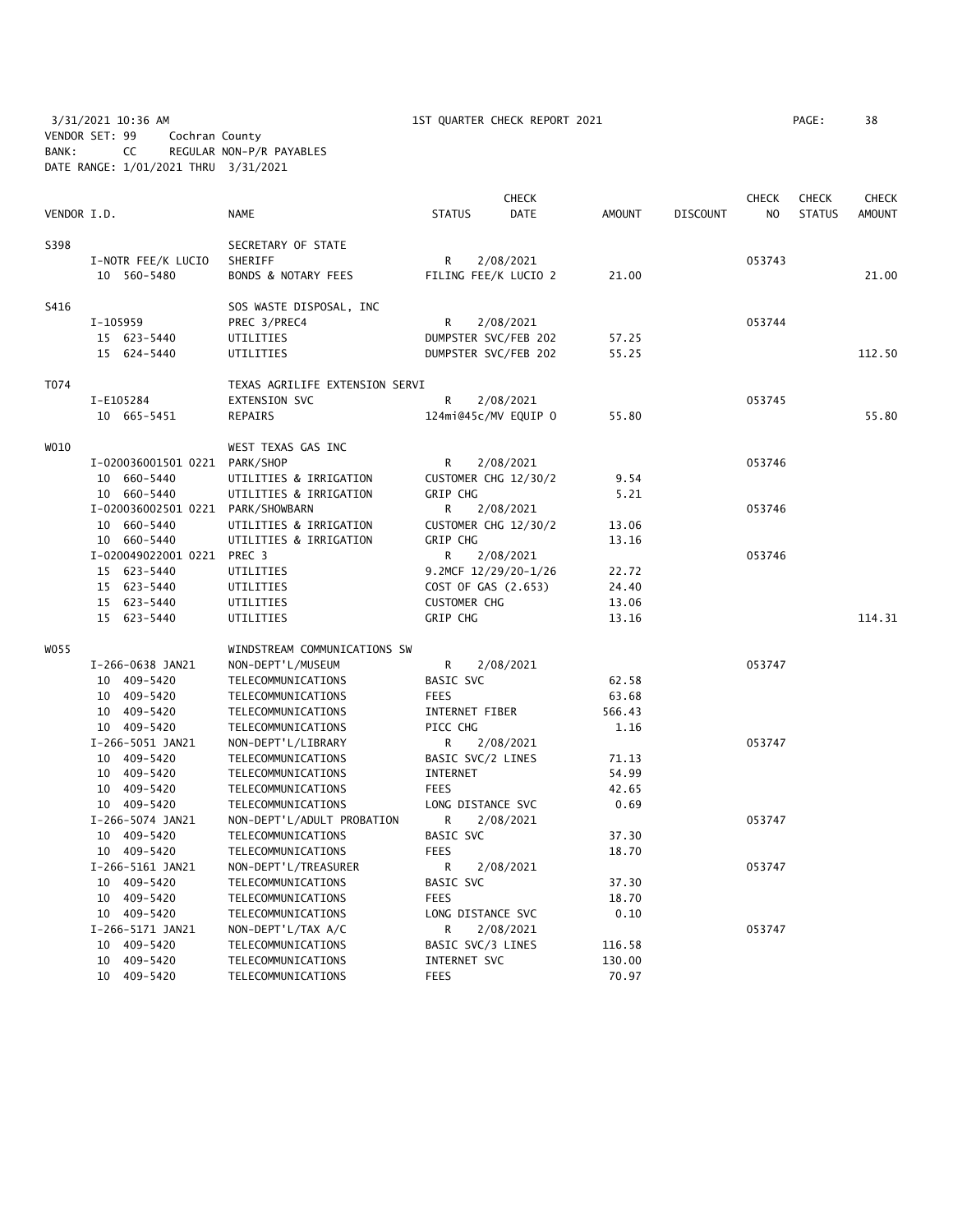3/31/2021 10:36 AM 1ST QUARTER CHECK REPORT 2021 PAGE: 38 VENDOR SET: 99 Cochran County BANK: CC REGULAR NON-P/R PAYABLES DATE RANGE: 1/01/2021 THRU 3/31/2021

|             |                                   |                                |                     | <b>CHECK</b>         |               |                 | <b>CHECK</b>   | <b>CHECK</b>  | CHECK         |
|-------------|-----------------------------------|--------------------------------|---------------------|----------------------|---------------|-----------------|----------------|---------------|---------------|
| VENDOR I.D. |                                   | <b>NAME</b>                    | <b>STATUS</b>       | DATE                 | <b>AMOUNT</b> | <b>DISCOUNT</b> | N <sub>O</sub> | <b>STATUS</b> | <b>AMOUNT</b> |
| S398        |                                   | SECRETARY OF STATE             |                     |                      |               |                 |                |               |               |
|             | I-NOTR FEE/K LUCIO                | SHERIFF                        | R                   | 2/08/2021            |               |                 | 053743         |               |               |
|             | 10 560-5480                       | <b>BONDS &amp; NOTARY FEES</b> |                     | FILING FEE/K LUCIO 2 | 21.00         |                 |                |               | 21.00         |
| S416        |                                   | SOS WASTE DISPOSAL, INC        |                     |                      |               |                 |                |               |               |
|             | I-105959                          | PREC 3/PREC4                   | R                   | 2/08/2021            |               |                 | 053744         |               |               |
|             | 15 623-5440                       | UTILITIES                      |                     | DUMPSTER SVC/FEB 202 | 57.25         |                 |                |               |               |
|             | 15 624-5440                       | UTILITIES                      |                     | DUMPSTER SVC/FEB 202 | 55.25         |                 |                |               | 112.50        |
| T074        |                                   | TEXAS AGRILIFE EXTENSION SERVI |                     |                      |               |                 |                |               |               |
|             | I-E105284                         | <b>EXTENSION SVC</b>           | R                   | 2/08/2021            |               |                 | 053745         |               |               |
|             | 10 665-5451                       | REPAIRS                        |                     | 124mi@45c/MV EQUIP O | 55.80         |                 |                |               | 55.80         |
| W010        |                                   | WEST TEXAS GAS INC             |                     |                      |               |                 |                |               |               |
|             | I-020036001501 0221 PARK/SHOP     |                                | R                   | 2/08/2021            |               |                 | 053746         |               |               |
|             | 10 660-5440                       | UTILITIES & IRRIGATION         |                     | CUSTOMER CHG 12/30/2 | 9.54          |                 |                |               |               |
|             | 10 660-5440                       | UTILITIES & IRRIGATION         | GRIP CHG            |                      | 5.21          |                 |                |               |               |
|             | I-020036002501 0221 PARK/SHOWBARN |                                | R.                  | 2/08/2021            |               |                 | 053746         |               |               |
|             | 10 660-5440                       | UTILITIES & IRRIGATION         |                     | CUSTOMER CHG 12/30/2 | 13.06         |                 |                |               |               |
|             | 10 660-5440                       | UTILITIES & IRRIGATION         | GRIP CHG            |                      | 13.16         |                 |                |               |               |
|             | I-020049022001 0221 PREC 3        |                                | R                   | 2/08/2021            |               |                 | 053746         |               |               |
|             | 15 623-5440                       | UTILITIES                      |                     | 9.2MCF 12/29/20-1/26 | 22.72         |                 |                |               |               |
|             | 15 623-5440                       | UTILITIES                      | COST OF GAS (2.653) |                      | 24.40         |                 |                |               |               |
|             | 15 623-5440                       | UTILITIES                      | <b>CUSTOMER CHG</b> |                      | 13.06         |                 |                |               |               |
|             | 15 623-5440                       | UTILITIES                      | GRIP CHG            |                      | 13.16         |                 |                |               | 114.31        |
| W055        |                                   | WINDSTREAM COMMUNICATIONS SW   |                     |                      |               |                 |                |               |               |
|             | I-266-0638 JAN21                  | NON-DEPT'L/MUSEUM              | R                   | 2/08/2021            |               |                 | 053747         |               |               |
|             | 10 409-5420                       | TELECOMMUNICATIONS             | BASIC SVC           |                      | 62.58         |                 |                |               |               |
|             | 10 409-5420                       | TELECOMMUNICATIONS             | <b>FEES</b>         |                      | 63.68         |                 |                |               |               |
|             | 10 409-5420                       | TELECOMMUNICATIONS             | INTERNET FIBER      |                      | 566.43        |                 |                |               |               |
|             | 10 409-5420                       | TELECOMMUNICATIONS             | PICC CHG            |                      | 1.16          |                 |                |               |               |
|             | I-266-5051 JAN21                  | NON-DEPT'L/LIBRARY             | R                   | 2/08/2021            |               |                 | 053747         |               |               |
|             | 10 409-5420                       | TELECOMMUNICATIONS             | BASIC SVC/2 LINES   |                      | 71.13         |                 |                |               |               |
|             | 10 409-5420                       | TELECOMMUNICATIONS             | <b>INTERNET</b>     |                      | 54.99         |                 |                |               |               |
|             | 10 409-5420                       | TELECOMMUNICATIONS             | <b>FEES</b>         |                      | 42.65         |                 |                |               |               |
|             | 10 409-5420                       | TELECOMMUNICATIONS             | LONG DISTANCE SVC   |                      | 0.69          |                 |                |               |               |
|             | I-266-5074 JAN21                  | NON-DEPT'L/ADULT PROBATION     | R                   | 2/08/2021            |               |                 | 053747         |               |               |
|             | 10 409-5420                       | TELECOMMUNICATIONS             | BASIC SVC           |                      | 37.30         |                 |                |               |               |
|             | 10 409-5420                       | TELECOMMUNICATIONS             | <b>FEES</b>         |                      | 18.70         |                 |                |               |               |
|             | I-266-5161 JAN21                  | NON-DEPT'L/TREASURER           | R                   | 2/08/2021            |               |                 | 053747         |               |               |
|             | 10 409-5420                       | TELECOMMUNICATIONS             | BASIC SVC           |                      | 37.30         |                 |                |               |               |
|             | 10 409-5420                       | TELECOMMUNICATIONS             | <b>FEES</b>         |                      | 18.70         |                 |                |               |               |
|             | 10 409-5420                       | TELECOMMUNICATIONS             | LONG DISTANCE SVC   |                      | 0.10          |                 |                |               |               |
|             | I-266-5171 JAN21                  | NON-DEPT'L/TAX A/C             | R                   | 2/08/2021            |               |                 | 053747         |               |               |
|             | 10 409-5420                       | TELECOMMUNICATIONS             | BASIC SVC/3 LINES   |                      | 116.58        |                 |                |               |               |
|             | 10 409-5420                       | TELECOMMUNICATIONS             | INTERNET SVC        |                      | 130.00        |                 |                |               |               |
|             | 10 409-5420                       | TELECOMMUNICATIONS             | <b>FEES</b>         |                      | 70.97         |                 |                |               |               |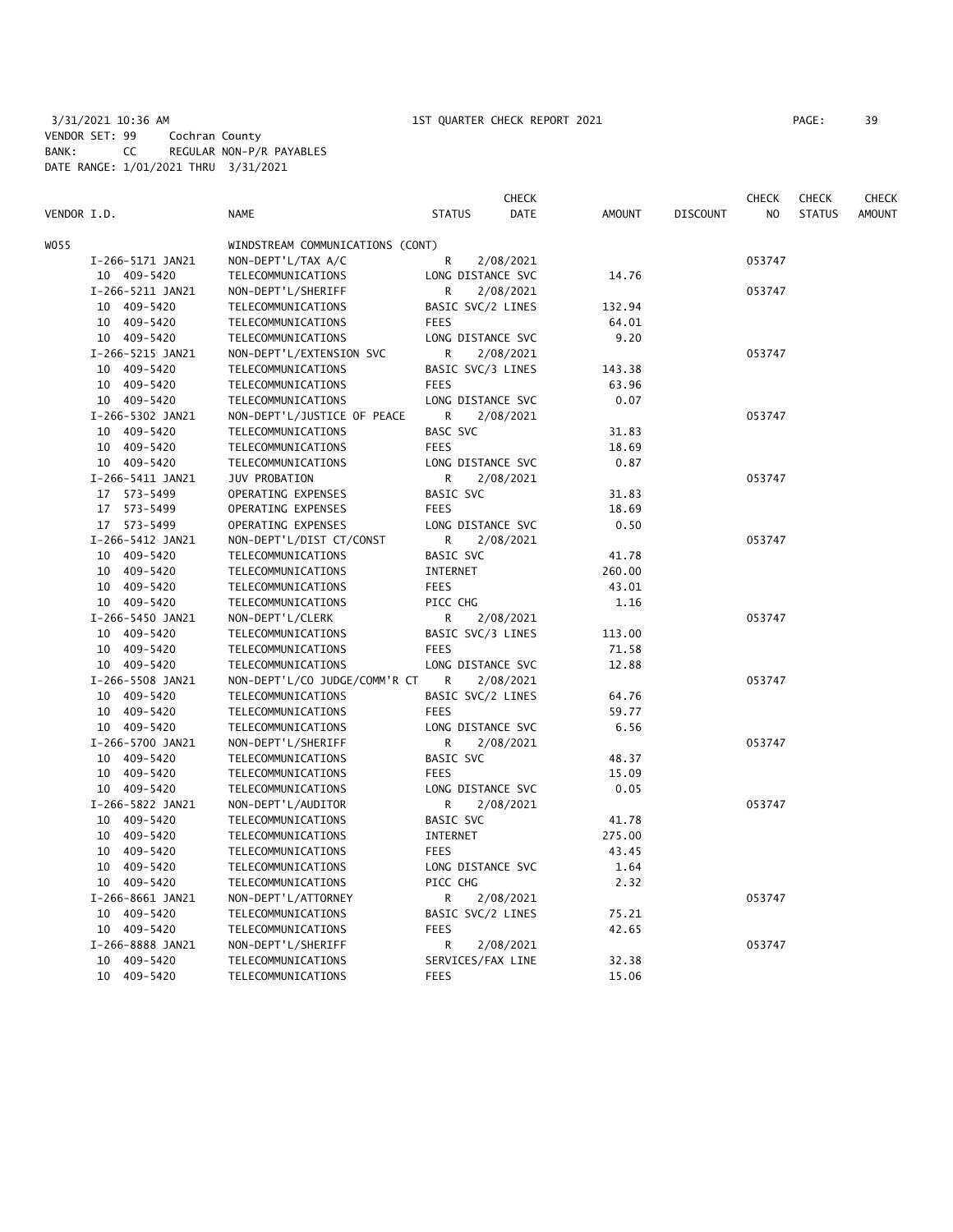3/31/2021 10:36 AM 1ST QUARTER CHECK REPORT 2021 PAGE: 39 VENDOR SET: 99 Cochran County BANK: CC REGULAR NON-P/R PAYABLES DATE RANGE: 1/01/2021 THRU 3/31/2021

|             |                  |                                  |                   | <b>CHECK</b> |               |                 | <b>CHECK</b>   | <b>CHECK</b>  | CHECK         |
|-------------|------------------|----------------------------------|-------------------|--------------|---------------|-----------------|----------------|---------------|---------------|
| VENDOR I.D. |                  | <b>NAME</b>                      | <b>STATUS</b>     | DATE         | <b>AMOUNT</b> | <b>DISCOUNT</b> | N <sub>O</sub> | <b>STATUS</b> | <b>AMOUNT</b> |
| WO55        |                  | WINDSTREAM COMMUNICATIONS (CONT) |                   |              |               |                 |                |               |               |
|             | I-266-5171 JAN21 | NON-DEPT'L/TAX A/C               | R                 | 2/08/2021    |               |                 | 053747         |               |               |
|             | 10 409-5420      | TELECOMMUNICATIONS               | LONG DISTANCE SVC |              | 14.76         |                 |                |               |               |
|             | I-266-5211 JAN21 | NON-DEPT'L/SHERIFF               | R                 | 2/08/2021    |               |                 | 053747         |               |               |
|             | 10 409-5420      | TELECOMMUNICATIONS               | BASIC SVC/2 LINES |              | 132.94        |                 |                |               |               |
|             | 10 409-5420      | TELECOMMUNICATIONS               | <b>FEES</b>       |              | 64.01         |                 |                |               |               |
|             | 10 409-5420      | TELECOMMUNICATIONS               | LONG DISTANCE SVC |              | 9.20          |                 |                |               |               |
|             | I-266-5215 JAN21 | NON-DEPT'L/EXTENSION SVC         | R                 | 2/08/2021    |               |                 | 053747         |               |               |
|             | 10 409-5420      | TELECOMMUNICATIONS               | BASIC SVC/3 LINES |              | 143.38        |                 |                |               |               |
|             | 10 409-5420      | TELECOMMUNICATIONS               | <b>FEES</b>       |              | 63.96         |                 |                |               |               |
|             | 10 409-5420      | TELECOMMUNICATIONS               | LONG DISTANCE SVC |              | 0.07          |                 |                |               |               |
|             | I-266-5302 JAN21 | NON-DEPT'L/JUSTICE OF PEACE      | R                 | 2/08/2021    |               |                 | 053747         |               |               |
|             | 10 409-5420      | TELECOMMUNICATIONS               | BASC SVC          |              | 31.83         |                 |                |               |               |
|             | 10 409-5420      | TELECOMMUNICATIONS               | <b>FEES</b>       |              | 18.69         |                 |                |               |               |
|             | 10 409-5420      | TELECOMMUNICATIONS               | LONG DISTANCE SVC |              | 0.87          |                 |                |               |               |
|             | I-266-5411 JAN21 | JUV PROBATION                    | $\mathsf{R}$      |              |               |                 | 053747         |               |               |
|             | 17 573-5499      | OPERATING EXPENSES               | <b>BASIC SVC</b>  | 2/08/2021    | 31.83         |                 |                |               |               |
|             |                  |                                  |                   |              |               |                 |                |               |               |
|             | 17 573-5499      | OPERATING EXPENSES               | <b>FEES</b>       |              | 18.69         |                 |                |               |               |
|             | 17 573-5499      | OPERATING EXPENSES               | LONG DISTANCE SVC |              | 0.50          |                 |                |               |               |
|             | I-266-5412 JAN21 | NON-DEPT'L/DIST CT/CONST         | R                 | 2/08/2021    |               |                 | 053747         |               |               |
|             | 10 409-5420      | TELECOMMUNICATIONS               | BASIC SVC         |              | 41.78         |                 |                |               |               |
|             | 10 409-5420      | TELECOMMUNICATIONS               | <b>INTERNET</b>   |              | 260.00        |                 |                |               |               |
|             | 10 409-5420      | TELECOMMUNICATIONS               | <b>FEES</b>       |              | 43.01         |                 |                |               |               |
|             | 10 409-5420      | TELECOMMUNICATIONS               | PICC CHG          |              | 1.16          |                 |                |               |               |
|             | I-266-5450 JAN21 | NON-DEPT'L/CLERK                 | R                 | 2/08/2021    |               |                 | 053747         |               |               |
|             | 10 409-5420      | TELECOMMUNICATIONS               | BASIC SVC/3 LINES |              | 113.00        |                 |                |               |               |
|             | 10 409-5420      | TELECOMMUNICATIONS               | <b>FEES</b>       |              | 71.58         |                 |                |               |               |
|             | 10 409-5420      | TELECOMMUNICATIONS               | LONG DISTANCE SVC |              | 12.88         |                 |                |               |               |
|             | I-266-5508 JAN21 | NON-DEPT'L/CO JUDGE/COMM'R CT    | R                 | 2/08/2021    |               |                 | 053747         |               |               |
|             | 10 409-5420      | TELECOMMUNICATIONS               | BASIC SVC/2 LINES |              | 64.76         |                 |                |               |               |
|             | 10 409-5420      | TELECOMMUNICATIONS               | <b>FEES</b>       |              | 59.77         |                 |                |               |               |
|             | 10 409-5420      | TELECOMMUNICATIONS               | LONG DISTANCE SVC |              | 6.56          |                 |                |               |               |
|             | I-266-5700 JAN21 | NON-DEPT'L/SHERIFF               | R                 | 2/08/2021    |               |                 | 053747         |               |               |
|             | 10 409-5420      | TELECOMMUNICATIONS               | BASIC SVC         |              | 48.37         |                 |                |               |               |
|             | 10 409-5420      | TELECOMMUNICATIONS               | <b>FEES</b>       |              | 15.09         |                 |                |               |               |
|             | 10 409-5420      | TELECOMMUNICATIONS               | LONG DISTANCE SVC |              | 0.05          |                 |                |               |               |
|             | I-266-5822 JAN21 | NON-DEPT'L/AUDITOR               | R                 | 2/08/2021    |               |                 | 053747         |               |               |
|             | 10 409-5420      | TELECOMMUNICATIONS               | BASIC SVC         |              | 41.78         |                 |                |               |               |
|             | 10 409-5420      | TELECOMMUNICATIONS               | INTERNET          |              | 275.00        |                 |                |               |               |
|             | 10 409-5420      | TELECOMMUNICATIONS               | <b>FEES</b>       |              | 43.45         |                 |                |               |               |
|             | 10 409-5420      | TELECOMMUNICATIONS               | LONG DISTANCE SVC |              | 1.64          |                 |                |               |               |
|             | 10 409-5420      | TELECOMMUNICATIONS               | PICC CHG          |              | 2.32          |                 |                |               |               |
|             | I-266-8661 JAN21 | NON-DEPT'L/ATTORNEY              | R                 | 2/08/2021    |               |                 | 053747         |               |               |
|             | 10 409-5420      | TELECOMMUNICATIONS               | BASIC SVC/2 LINES |              | 75.21         |                 |                |               |               |
|             | 10 409-5420      | TELECOMMUNICATIONS               | <b>FEES</b>       |              | 42.65         |                 |                |               |               |
|             | I-266-8888 JAN21 | NON-DEPT'L/SHERIFF               | R                 | 2/08/2021    |               |                 | 053747         |               |               |
|             | 10 409-5420      | TELECOMMUNICATIONS               | SERVICES/FAX LINE |              | 32.38         |                 |                |               |               |
|             | 10 409-5420      | TELECOMMUNICATIONS               | <b>FEES</b>       |              | 15.06         |                 |                |               |               |
|             |                  |                                  |                   |              |               |                 |                |               |               |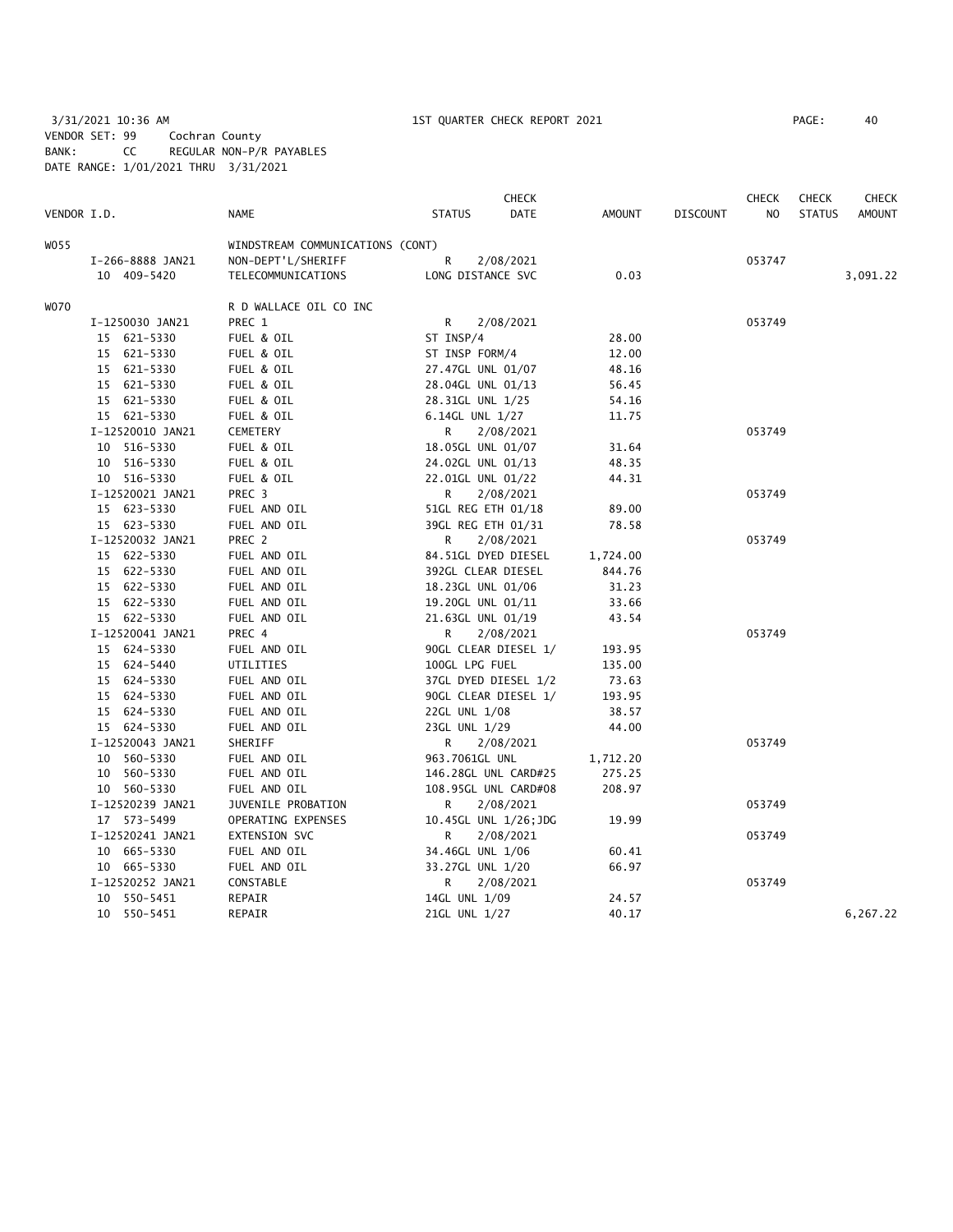3/31/2021 10:36 AM 1ST QUARTER CHECK REPORT 2021 PAGE: 40 VENDOR SET: 99 Cochran County BANK: CC REGULAR NON-P/R PAYABLES DATE RANGE: 1/01/2021 THRU 3/31/2021

|             |                  |                                  |                      | <b>CHECK</b> |          |                 | <b>CHECK</b> | <b>CHECK</b>  | CHECK         |
|-------------|------------------|----------------------------------|----------------------|--------------|----------|-----------------|--------------|---------------|---------------|
| VENDOR I.D. |                  | NAME                             | <b>STATUS</b>        | DATE         | AMOUNT   | <b>DISCOUNT</b> | NO.          | <b>STATUS</b> | <b>AMOUNT</b> |
| WO 55       |                  | WINDSTREAM COMMUNICATIONS (CONT) |                      |              |          |                 |              |               |               |
|             | I-266-8888 JAN21 | NON-DEPT'L/SHERIFF               | R                    | 2/08/2021    |          |                 | 053747       |               |               |
|             | 10 409-5420      | TELECOMMUNICATIONS               | LONG DISTANCE SVC    |              | 0.03     |                 |              |               | 3,091.22      |
| WO70        |                  | R D WALLACE OIL CO INC           |                      |              |          |                 |              |               |               |
|             | I-1250030 JAN21  | PREC 1                           | R                    | 2/08/2021    |          |                 | 053749       |               |               |
|             | 15 621-5330      | FUEL & OIL                       | ST INSP/4            |              | 28.00    |                 |              |               |               |
|             | 15 621-5330      | FUEL & OIL                       | ST INSP FORM/4       |              | 12.00    |                 |              |               |               |
|             | 15 621-5330      | FUEL & OIL                       | 27.47GL UNL 01/07    |              | 48.16    |                 |              |               |               |
|             | 15 621-5330      | FUEL & OIL                       | 28.04GL UNL 01/13    |              | 56.45    |                 |              |               |               |
|             | 15 621-5330      | FUEL & OIL                       | 28.31GL UNL 1/25     |              | 54.16    |                 |              |               |               |
|             | 15 621-5330      | FUEL & OIL                       | 6.14GL UNL 1/27      |              | 11.75    |                 |              |               |               |
|             | I-12520010 JAN21 | <b>CEMETERY</b>                  | R.                   | 2/08/2021    |          |                 | 053749       |               |               |
|             | 10 516-5330      | FUEL & OIL                       | 18.05GL UNL 01/07    |              | 31.64    |                 |              |               |               |
|             | 10 516-5330      | FUEL & OIL                       | 24.02GL UNL 01/13    |              | 48.35    |                 |              |               |               |
|             | 10 516-5330      | FUEL & OIL                       | 22.01GL UNL 01/22    |              | 44.31    |                 |              |               |               |
|             | I-12520021 JAN21 | PREC 3                           | R.                   | 2/08/2021    |          |                 | 053749       |               |               |
|             | 15 623-5330      | FUEL AND OIL                     | 51GL REG ETH 01/18   |              | 89.00    |                 |              |               |               |
|             | 15 623-5330      | FUEL AND OIL                     | 39GL REG ETH 01/31   |              | 78.58    |                 |              |               |               |
|             | I-12520032 JAN21 | PREC 2                           | R.                   | 2/08/2021    |          |                 | 053749       |               |               |
|             | 15 622-5330      | FUEL AND OIL                     | 84.51GL DYED DIESEL  |              | 1,724.00 |                 |              |               |               |
|             | 15 622-5330      | FUEL AND OIL                     | 392GL CLEAR DIESEL   |              | 844.76   |                 |              |               |               |
|             | 15 622-5330      | FUEL AND OIL                     | 18.23GL UNL 01/06    |              | 31.23    |                 |              |               |               |
|             | 15 622-5330      | FUEL AND OIL                     | 19.20GL UNL 01/11    |              | 33.66    |                 |              |               |               |
|             | 15 622-5330      | FUEL AND OIL                     | 21.63GL UNL 01/19    |              | 43.54    |                 |              |               |               |
|             | I-12520041 JAN21 | PREC 4                           | R.                   | 2/08/2021    |          |                 | 053749       |               |               |
|             | 15 624-5330      | FUEL AND OIL                     | 90GL CLEAR DIESEL 1/ |              | 193.95   |                 |              |               |               |
|             | 15 624-5440      | UTILITIES                        | 100GL LPG FUEL       |              | 135.00   |                 |              |               |               |
|             | 15 624-5330      | FUEL AND OIL                     | 37GL DYED DIESEL 1/2 |              | 73.63    |                 |              |               |               |
|             | 15 624-5330      | FUEL AND OIL                     | 90GL CLEAR DIESEL 1/ |              | 193.95   |                 |              |               |               |
|             | 15 624-5330      | FUEL AND OIL                     | 22GL UNL 1/08        |              | 38.57    |                 |              |               |               |
|             | 15 624-5330      | FUEL AND OIL                     | 23GL UNL 1/29        |              | 44.00    |                 |              |               |               |
|             | I-12520043 JAN21 | SHERIFF                          | R                    | 2/08/2021    |          |                 | 053749       |               |               |
|             | 10 560-5330      | FUEL AND OIL                     | 963.7061GL UNL       |              | 1,712.20 |                 |              |               |               |
|             | 10 560-5330      | FUEL AND OIL                     | 146.28GL UNL CARD#25 |              | 275.25   |                 |              |               |               |
|             | 10 560-5330      | FUEL AND OIL                     | 108.95GL UNL CARD#08 |              | 208.97   |                 |              |               |               |
|             | I-12520239 JAN21 | JUVENILE PROBATION               | R.                   | 2/08/2021    |          |                 | 053749       |               |               |
|             | 17 573-5499      | OPERATING EXPENSES               | 10.45GL UNL 1/26;JDG |              | 19.99    |                 |              |               |               |
|             | I-12520241 JAN21 | EXTENSION SVC                    | R                    | 2/08/2021    |          |                 | 053749       |               |               |
|             | 10 665-5330      | FUEL AND OIL                     | 34.46GL UNL 1/06     |              | 60.41    |                 |              |               |               |
|             | 10 665-5330      | FUEL AND OIL                     | 33.27GL UNL 1/20     |              | 66.97    |                 |              |               |               |
|             | I-12520252 JAN21 | CONSTABLE                        | R                    | 2/08/2021    |          |                 | 053749       |               |               |
|             | 10 550-5451      | REPAIR                           | 14GL UNL 1/09        |              | 24.57    |                 |              |               |               |
|             | 10 550-5451      | REPAIR                           | 21GL UNL 1/27        |              | 40.17    |                 |              |               | 6,267.22      |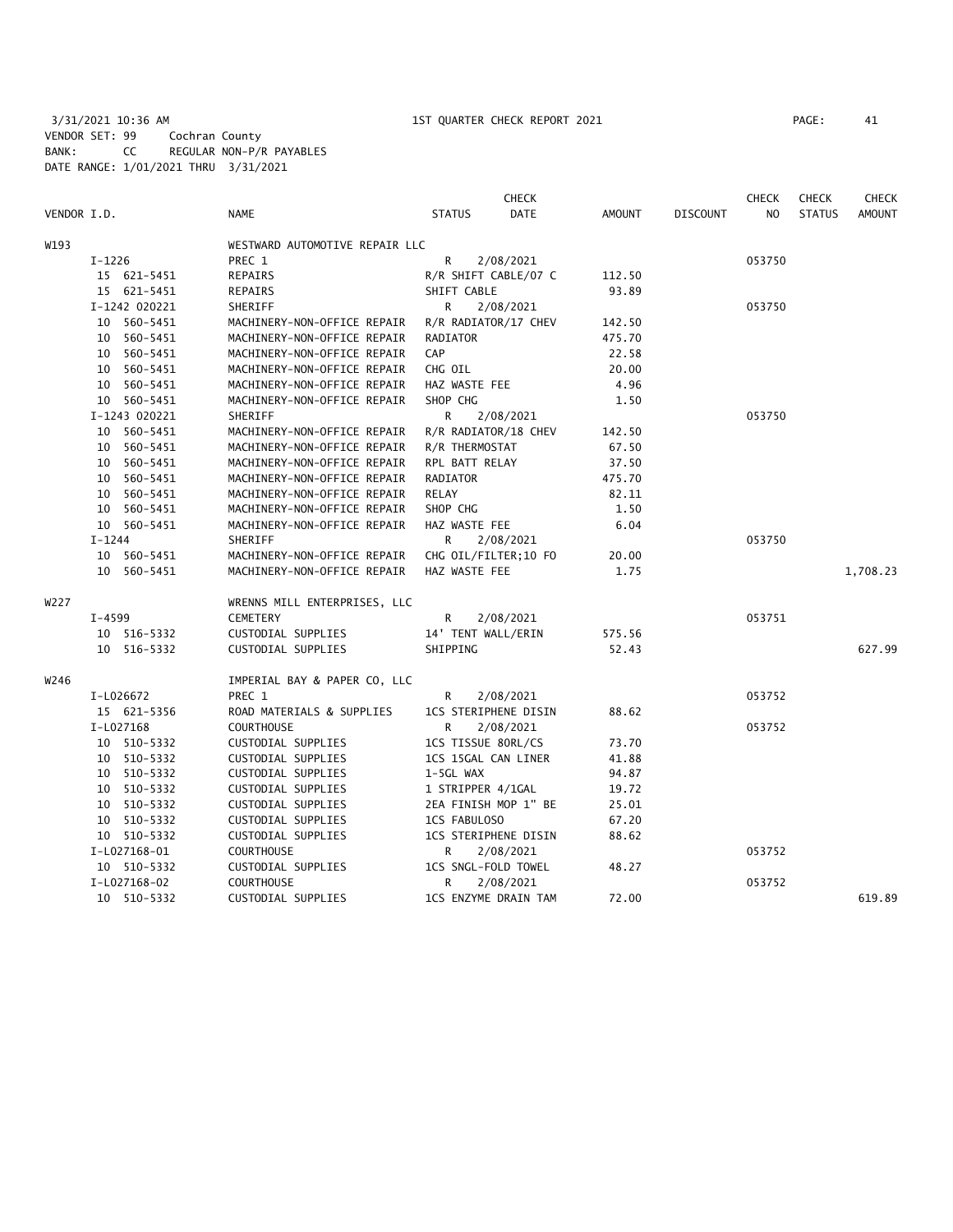3/31/2021 10:36 AM 1ST QUARTER CHECK REPORT 2021 PAGE: 41 VENDOR SET: 99 Cochran County BANK: CC REGULAR NON-P/R PAYABLES DATE RANGE: 1/01/2021 THRU 3/31/2021

| VENDOR I.D. |               | <b>NAME</b>                    | <b>STATUS</b>               | <b>CHECK</b><br><b>DATE</b> | AMOUNT | <b>DISCOUNT</b> | <b>CHECK</b><br>N <sub>O</sub> | <b>CHECK</b><br><b>STATUS</b> | <b>CHECK</b><br><b>AMOUNT</b> |
|-------------|---------------|--------------------------------|-----------------------------|-----------------------------|--------|-----------------|--------------------------------|-------------------------------|-------------------------------|
| W193        |               | WESTWARD AUTOMOTIVE REPAIR LLC |                             |                             |        |                 |                                |                               |                               |
|             | $I-1226$      | PREC 1                         | R                           | 2/08/2021                   |        |                 | 053750                         |                               |                               |
|             | 15 621-5451   | REPAIRS                        | R/R SHIFT CABLE/07 C        |                             | 112.50 |                 |                                |                               |                               |
|             | 15 621-5451   | REPAIRS                        | SHIFT CABLE                 |                             | 93.89  |                 |                                |                               |                               |
|             | I-1242 020221 | SHERIFF                        | R                           | 2/08/2021                   |        |                 | 053750                         |                               |                               |
|             | 10 560-5451   | MACHINERY-NON-OFFICE REPAIR    | R/R RADIATOR/17 CHEV        |                             | 142.50 |                 |                                |                               |                               |
|             | 10 560-5451   | MACHINERY-NON-OFFICE REPAIR    | RADIATOR                    |                             | 475.70 |                 |                                |                               |                               |
|             | 10 560-5451   | MACHINERY-NON-OFFICE REPAIR    | CAP                         |                             | 22.58  |                 |                                |                               |                               |
|             | 10 560-5451   | MACHINERY-NON-OFFICE REPAIR    | CHG OIL                     |                             | 20.00  |                 |                                |                               |                               |
|             | 10 560-5451   | MACHINERY-NON-OFFICE REPAIR    | HAZ WASTE FEE               |                             | 4.96   |                 |                                |                               |                               |
|             | 10 560-5451   | MACHINERY-NON-OFFICE REPAIR    | SHOP CHG                    |                             | 1.50   |                 |                                |                               |                               |
|             | I-1243 020221 | SHERIFF                        | R.                          | 2/08/2021                   |        |                 | 053750                         |                               |                               |
|             | 10 560-5451   | MACHINERY-NON-OFFICE REPAIR    | R/R RADIATOR/18 CHEV        |                             | 142.50 |                 |                                |                               |                               |
|             | 10 560-5451   | MACHINERY-NON-OFFICE REPAIR    | R/R THERMOSTAT              |                             | 67.50  |                 |                                |                               |                               |
|             | 10 560-5451   | MACHINERY-NON-OFFICE REPAIR    | RPL BATT RELAY              |                             | 37.50  |                 |                                |                               |                               |
|             | 10 560-5451   | MACHINERY-NON-OFFICE REPAIR    | RADIATOR                    |                             | 475.70 |                 |                                |                               |                               |
|             | 10 560-5451   | MACHINERY-NON-OFFICE REPAIR    | RELAY                       |                             | 82.11  |                 |                                |                               |                               |
|             | 10 560-5451   | MACHINERY-NON-OFFICE REPAIR    | SHOP CHG                    |                             | 1.50   |                 |                                |                               |                               |
|             | 10 560-5451   | MACHINERY-NON-OFFICE REPAIR    | HAZ WASTE FEE               |                             | 6.04   |                 |                                |                               |                               |
|             | $I - 1244$    | SHERIFF                        | R                           | 2/08/2021                   |        |                 | 053750                         |                               |                               |
|             | 10 560-5451   | MACHINERY-NON-OFFICE REPAIR    | CHG OIL/FILTER;10 FO        |                             | 20.00  |                 |                                |                               |                               |
|             | 10 560-5451   | MACHINERY-NON-OFFICE REPAIR    | HAZ WASTE FEE               |                             | 1.75   |                 |                                |                               | 1,708.23                      |
| W227        |               | WRENNS MILL ENTERPRISES, LLC   |                             |                             |        |                 |                                |                               |                               |
|             | $I - 4599$    | <b>CEMETERY</b>                | R                           | 2/08/2021                   |        |                 | 053751                         |                               |                               |
|             | 10 516-5332   | CUSTODIAL SUPPLIES             | 14' TENT WALL/ERIN          |                             | 575.56 |                 |                                |                               |                               |
|             | 10 516-5332   | CUSTODIAL SUPPLIES             | SHIPPING                    |                             | 52.43  |                 |                                |                               | 627.99                        |
| W246        |               | IMPERIAL BAY & PAPER CO, LLC   |                             |                             |        |                 |                                |                               |                               |
|             | I-L026672     | PREC 1                         | R                           | 2/08/2021                   |        |                 | 053752                         |                               |                               |
|             | 15 621-5356   | ROAD MATERIALS & SUPPLIES      | <b>1CS STERIPHENE DISIN</b> |                             | 88.62  |                 |                                |                               |                               |
|             | I-L027168     | <b>COURTHOUSE</b>              | R                           | 2/08/2021                   |        |                 | 053752                         |                               |                               |
|             | 10 510-5332   | CUSTODIAL SUPPLIES             | 1CS TISSUE 80RL/CS          |                             | 73.70  |                 |                                |                               |                               |
|             | 10 510-5332   | CUSTODIAL SUPPLIES             | 1CS 15GAL CAN LINER         |                             | 41.88  |                 |                                |                               |                               |
|             | 10 510-5332   | CUSTODIAL SUPPLIES             | 1-5GL WAX                   |                             | 94.87  |                 |                                |                               |                               |
|             | 10 510-5332   | CUSTODIAL SUPPLIES             | 1 STRIPPER 4/1GAL           |                             | 19.72  |                 |                                |                               |                               |
|             | 10 510-5332   | CUSTODIAL SUPPLIES             | 2EA FINISH MOP 1" BE        |                             | 25.01  |                 |                                |                               |                               |
|             | 10 510-5332   | CUSTODIAL SUPPLIES             | 1CS FABULOSO                |                             | 67.20  |                 |                                |                               |                               |
|             | 10 510-5332   | CUSTODIAL SUPPLIES             | 1CS STERIPHENE DISIN        |                             | 88.62  |                 |                                |                               |                               |
|             | I-L027168-01  | <b>COURTHOUSE</b>              | R                           | 2/08/2021                   |        |                 | 053752                         |                               |                               |
|             | 10 510-5332   | CUSTODIAL SUPPLIES             | 1CS SNGL-FOLD TOWEL         |                             | 48.27  |                 |                                |                               |                               |
|             | I-L027168-02  | <b>COURTHOUSE</b>              | R.                          | 2/08/2021                   |        |                 | 053752                         |                               |                               |
|             | 10 510-5332   | CUSTODIAL SUPPLIES             | 1CS ENZYME DRAIN TAM        |                             | 72.00  |                 |                                |                               | 619.89                        |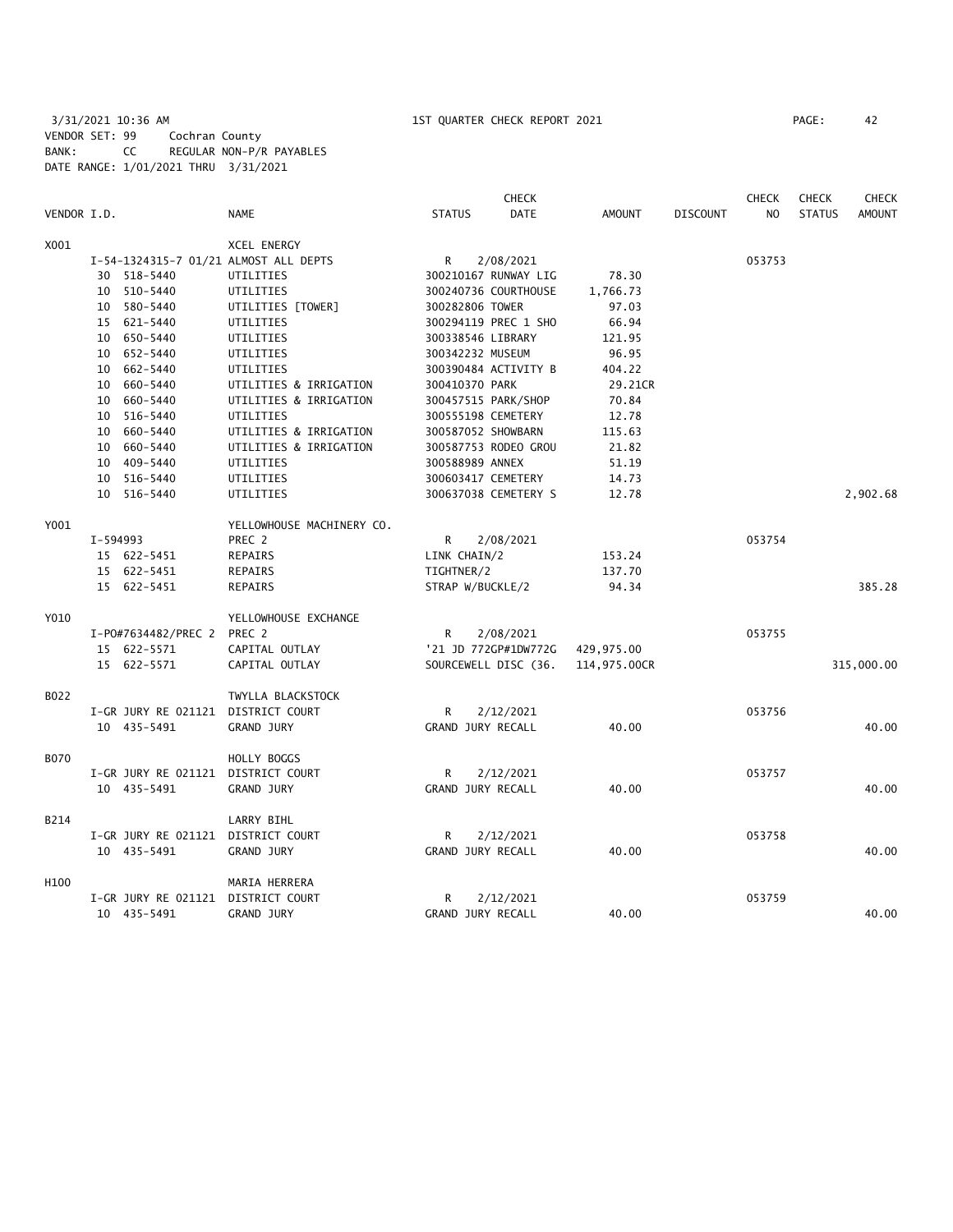3/31/2021 10:36 AM 1ST QUARTER CHECK REPORT 2021 PAGE: 42 VENDOR SET: 99 Cochran County BANK: CC REGULAR NON-P/R PAYABLES DATE RANGE: 1/01/2021 THRU 3/31/2021

|             |          |                     |                                       |                    | <b>CHECK</b>         |               |                 | <b>CHECK</b>   | <b>CHECK</b>  | <b>CHECK</b>  |
|-------------|----------|---------------------|---------------------------------------|--------------------|----------------------|---------------|-----------------|----------------|---------------|---------------|
| VENDOR I.D. |          |                     | <b>NAME</b>                           | <b>STATUS</b>      | DATE                 | <b>AMOUNT</b> | <b>DISCOUNT</b> | N <sub>O</sub> | <b>STATUS</b> | <b>AMOUNT</b> |
| X001        |          |                     | <b>XCEL ENERGY</b>                    |                    |                      |               |                 |                |               |               |
|             |          |                     | I-54-1324315-7 01/21 ALMOST ALL DEPTS | $\mathsf{R}$       | 2/08/2021            |               |                 | 053753         |               |               |
|             |          | 30 518-5440         | UTILITIES                             |                    | 300210167 RUNWAY LIG | 78.30         |                 |                |               |               |
|             |          | 10 510-5440         | UTILITIES                             |                    | 300240736 COURTHOUSE | 1,766.73      |                 |                |               |               |
|             |          | 10 580-5440         | UTILITIES [TOWER]                     | 300282806 TOWER    |                      | 97.03         |                 |                |               |               |
|             |          | 15 621-5440         | UTILITIES                             |                    | 300294119 PREC 1 SHO | 66.94         |                 |                |               |               |
|             |          | 10 650-5440         | UTILITIES                             | 300338546 LIBRARY  |                      | 121.95        |                 |                |               |               |
|             |          | 10 652-5440         | UTILITIES                             | 300342232 MUSEUM   |                      | 96.95         |                 |                |               |               |
|             |          | 10 662-5440         | UTILITIES                             |                    | 300390484 ACTIVITY B | 404.22        |                 |                |               |               |
|             |          | 10 660-5440         | UTILITIES & IRRIGATION                | 300410370 PARK     |                      | 29.21CR       |                 |                |               |               |
|             |          | 10 660-5440         | UTILITIES & IRRIGATION                |                    | 300457515 PARK/SHOP  | 70.84         |                 |                |               |               |
|             |          | 10 516-5440         | UTILITIES                             | 300555198 CEMETERY |                      | 12.78         |                 |                |               |               |
|             |          | 10 660-5440         | UTILITIES & IRRIGATION                | 300587052 SHOWBARN |                      | 115.63        |                 |                |               |               |
|             |          | 10 660-5440         | UTILITIES & IRRIGATION                |                    | 300587753 RODEO GROU | 21.82         |                 |                |               |               |
|             |          | 10 409-5440         | UTILITIES                             | 300588989 ANNEX    |                      | 51.19         |                 |                |               |               |
|             |          | 10 516-5440         | UTILITIES                             | 300603417 CEMETERY |                      | 14.73         |                 |                |               |               |
|             |          | 10 516-5440         | UTILITIES                             |                    | 300637038 CEMETERY S | 12.78         |                 |                |               | 2,902.68      |
| Y001        |          |                     | YELLOWHOUSE MACHINERY CO.             |                    |                      |               |                 |                |               |               |
|             | I-594993 |                     | PREC 2                                | R                  | 2/08/2021            |               |                 | 053754         |               |               |
|             |          | 15 622-5451         | REPAIRS                               | LINK CHAIN/2       |                      | 153.24        |                 |                |               |               |
|             |          | 15 622-5451         | REPAIRS                               | TIGHTNER/2         |                      | 137.70        |                 |                |               |               |
|             |          | 15 622-5451         | REPAIRS                               | STRAP W/BUCKLE/2   |                      | 94.34         |                 |                |               | 385.28        |
| Y010        |          |                     | YELLOWHOUSE EXCHANGE                  |                    |                      |               |                 |                |               |               |
|             |          | I-P0#7634482/PREC 2 | PREC 2                                | R                  | 2/08/2021            |               |                 | 053755         |               |               |
|             |          | 15 622-5571         | CAPITAL OUTLAY                        |                    | '21 JD 772GP#1DW772G | 429,975.00    |                 |                |               |               |
|             |          | 15 622-5571         | CAPITAL OUTLAY                        |                    | SOURCEWELL DISC (36. | 114,975.00CR  |                 |                |               | 315,000.00    |
| B022        |          |                     | TWYLLA BLACKSTOCK                     |                    |                      |               |                 |                |               |               |
|             |          | I-GR JURY RE 021121 | DISTRICT COURT                        | R                  | 2/12/2021            |               |                 | 053756         |               |               |
|             |          | 10 435-5491         | <b>GRAND JURY</b>                     | GRAND JURY RECALL  |                      | 40.00         |                 |                |               | 40.00         |
| <b>B070</b> |          |                     | HOLLY BOGGS                           |                    |                      |               |                 |                |               |               |
|             |          | I-GR JURY RE 021121 | DISTRICT COURT                        | R                  | 2/12/2021            |               |                 | 053757         |               |               |
|             |          | 10 435-5491         | GRAND JURY                            | GRAND JURY RECALL  |                      | 40.00         |                 |                |               | 40.00         |
| B214        |          |                     | LARRY BIHL                            |                    |                      |               |                 |                |               |               |
|             |          | I-GR JURY RE 021121 | DISTRICT COURT                        | R                  | 2/12/2021            |               |                 | 053758         |               |               |
|             |          | 10 435-5491         | GRAND JURY                            | GRAND JURY RECALL  |                      | 40.00         |                 |                |               | 40.00         |
| H100        |          |                     | MARIA HERRERA                         |                    |                      |               |                 |                |               |               |
|             |          | I-GR JURY RE 021121 | DISTRICT COURT                        | R                  | 2/12/2021            |               |                 | 053759         |               |               |
|             |          | 10 435-5491         | <b>GRAND JURY</b>                     | GRAND JURY RECALL  |                      | 40.00         |                 |                |               | 40.00         |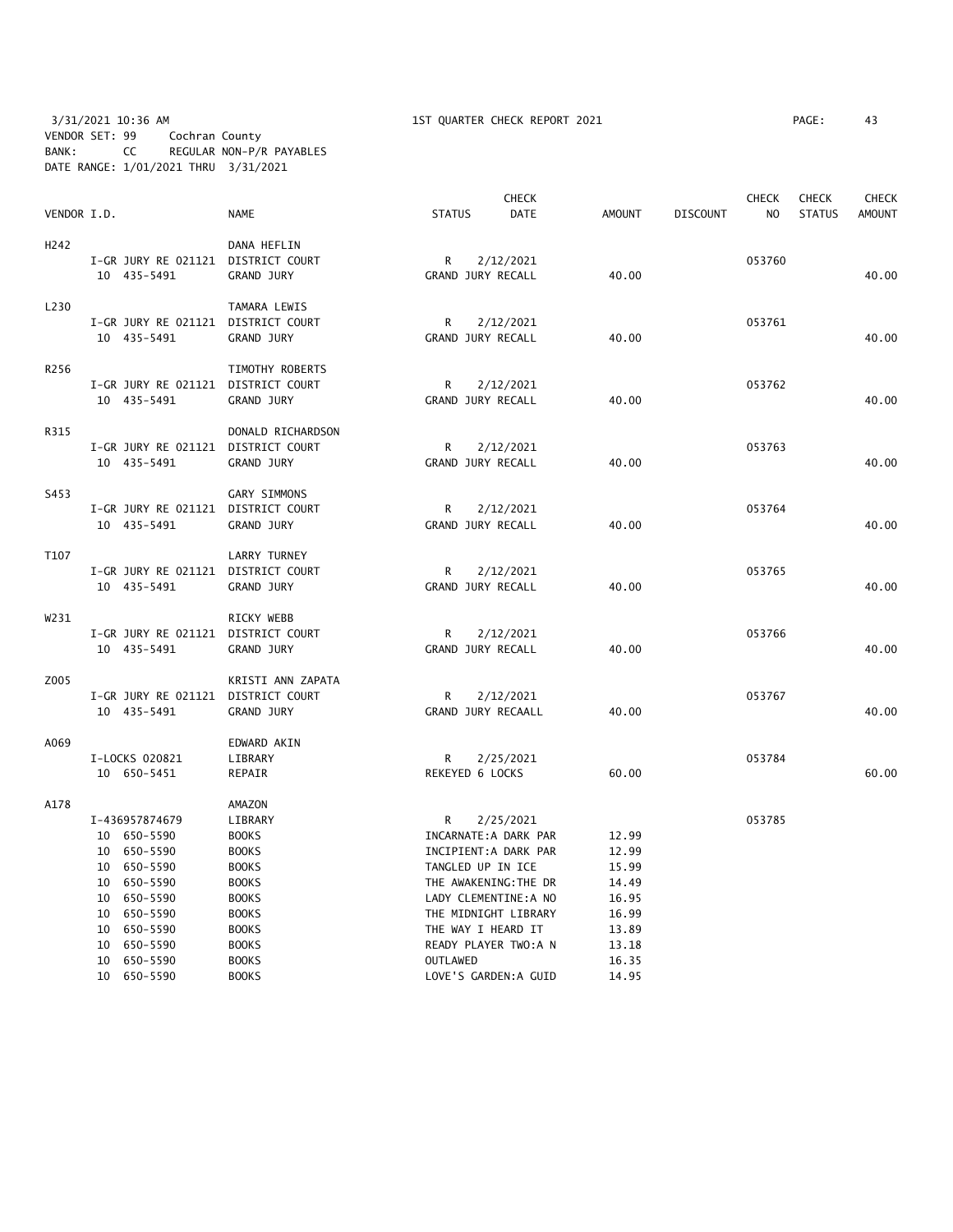## 3/31/2021 10:36 AM 1ST QUARTER CHECK REPORT 2021 PAGE: 43 VENDOR SET: 99 Cochran County BANK: CC REGULAR NON-P/R PAYABLES DATE RANGE: 1/01/2021 THRU 3/31/2021

|             |                                    |                                     |                          | <b>CHECK</b>          |               |                 | <b>CHECK</b>   | <b>CHECK</b>  | <b>CHECK</b>  |
|-------------|------------------------------------|-------------------------------------|--------------------------|-----------------------|---------------|-----------------|----------------|---------------|---------------|
| VENDOR I.D. |                                    | <b>NAME</b>                         | <b>STATUS</b>            | <b>DATE</b>           | <b>AMOUNT</b> | <b>DISCOUNT</b> | N <sub>O</sub> | <b>STATUS</b> | <b>AMOUNT</b> |
| H242        |                                    | DANA HEFLIN                         |                          |                       |               |                 |                |               |               |
|             | I-GR JURY RE 021121 DISTRICT COURT |                                     | $\mathsf{R}$             | 2/12/2021             |               |                 | 053760         |               |               |
|             | 10 435-5491                        | GRAND JURY                          | GRAND JURY RECALL        |                       | 40.00         |                 |                |               | 40.00         |
|             |                                    |                                     |                          |                       |               |                 |                |               |               |
| L230        |                                    | TAMARA LEWIS                        |                          |                       |               |                 |                |               |               |
|             | I-GR JURY RE 021121 DISTRICT COURT |                                     | R                        | 2/12/2021             |               |                 | 053761         |               |               |
|             | 10 435-5491                        | <b>GRAND JURY</b>                   | GRAND JURY RECALL        |                       | 40.00         |                 |                |               | 40.00         |
|             |                                    |                                     |                          |                       |               |                 |                |               |               |
| R256        |                                    | TIMOTHY ROBERTS                     |                          |                       |               |                 |                |               |               |
|             | I-GR JURY RE 021121 DISTRICT COURT |                                     | R                        | 2/12/2021             |               |                 | 053762         |               |               |
|             | 10 435-5491                        | <b>GRAND JURY</b>                   | GRAND JURY RECALL        |                       | 40.00         |                 |                |               | 40.00         |
|             |                                    |                                     |                          |                       |               |                 |                |               |               |
| R315        | I-GR JURY RE 021121 DISTRICT COURT | DONALD RICHARDSON                   | R.                       | 2/12/2021             |               |                 | 053763         |               |               |
|             | 10 435-5491                        | GRAND JURY                          | GRAND JURY RECALL        |                       | 40.00         |                 |                |               | 40.00         |
|             |                                    |                                     |                          |                       |               |                 |                |               |               |
| S453        |                                    | GARY SIMMONS                        |                          |                       |               |                 |                |               |               |
|             | I-GR JURY RE 021121 DISTRICT COURT |                                     | R                        | 2/12/2021             |               |                 | 053764         |               |               |
|             | 10 435-5491                        | <b>GRAND JURY</b>                   | GRAND JURY RECALL        |                       | 40.00         |                 |                |               | 40.00         |
|             |                                    |                                     |                          |                       |               |                 |                |               |               |
| T107        |                                    | LARRY TURNEY                        |                          |                       |               |                 |                |               |               |
|             | I-GR JURY RE 021121 DISTRICT COURT |                                     | R                        | 2/12/2021             |               |                 | 053765         |               |               |
|             | 10 435-5491                        | GRAND JURY                          | GRAND JURY RECALL        |                       | 40.00         |                 |                |               | 40.00         |
|             |                                    |                                     |                          |                       |               |                 |                |               |               |
| W231        |                                    | RICKY WEBB                          |                          |                       |               |                 |                |               |               |
|             | I-GR JURY RE 021121                | DISTRICT COURT                      | R                        | 2/12/2021             |               |                 | 053766         |               |               |
|             | 10 435-5491                        | GRAND JURY                          | GRAND JURY RECALL        |                       | 40.00         |                 |                |               | 40.00         |
|             |                                    |                                     |                          |                       |               |                 |                |               |               |
| Z005        | I-GR JURY RE 021121                | KRISTI ANN ZAPATA<br>DISTRICT COURT |                          |                       |               |                 | 053767         |               |               |
|             | 10 435-5491                        | GRAND JURY                          | R.<br>GRAND JURY RECAALL | 2/12/2021             | 40.00         |                 |                |               | 40.00         |
|             |                                    |                                     |                          |                       |               |                 |                |               |               |
| A069        |                                    | EDWARD AKIN                         |                          |                       |               |                 |                |               |               |
|             | I-LOCKS 020821                     | LIBRARY                             | R.                       | 2/25/2021             |               |                 | 053784         |               |               |
|             | 10 650-5451                        | REPAIR                              | REKEYED 6 LOCKS          |                       | 60.00         |                 |                |               | 60.00         |
|             |                                    |                                     |                          |                       |               |                 |                |               |               |
| A178        |                                    | AMAZON                              |                          |                       |               |                 |                |               |               |
|             | I-436957874679                     | LIBRARY                             | R                        | 2/25/2021             |               |                 | 053785         |               |               |
|             | 10 650-5590                        | <b>BOOKS</b>                        |                          | INCARNATE: A DARK PAR | 12.99         |                 |                |               |               |
|             | 10 650-5590                        | <b>BOOKS</b>                        |                          | INCIPIENT:A DARK PAR  | 12.99         |                 |                |               |               |
|             | 10 650-5590                        | <b>BOOKS</b>                        | TANGLED UP IN ICE        |                       | 15.99         |                 |                |               |               |
|             | 10 650-5590                        | <b>BOOKS</b>                        |                          | THE AWAKENING: THE DR | 14.49         |                 |                |               |               |
|             | 10 650-5590                        | <b>BOOKS</b>                        |                          | LADY CLEMENTINE: A NO | 16.95         |                 |                |               |               |
|             | 10 650-5590                        | <b>BOOKS</b>                        |                          | THE MIDNIGHT LIBRARY  | 16.99         |                 |                |               |               |
|             | 10 650-5590                        | <b>BOOKS</b>                        | THE WAY I HEARD IT       |                       | 13.89         |                 |                |               |               |
|             | 10 650-5590                        | <b>BOOKS</b>                        |                          | READY PLAYER TWO:A N  | 13.18         |                 |                |               |               |
|             | 10 650-5590                        | <b>BOOKS</b>                        | <b>OUTLAWED</b>          |                       | 16.35         |                 |                |               |               |
|             | 10 650-5590                        | <b>BOOKS</b>                        |                          | LOVE'S GARDEN:A GUID  | 14.95         |                 |                |               |               |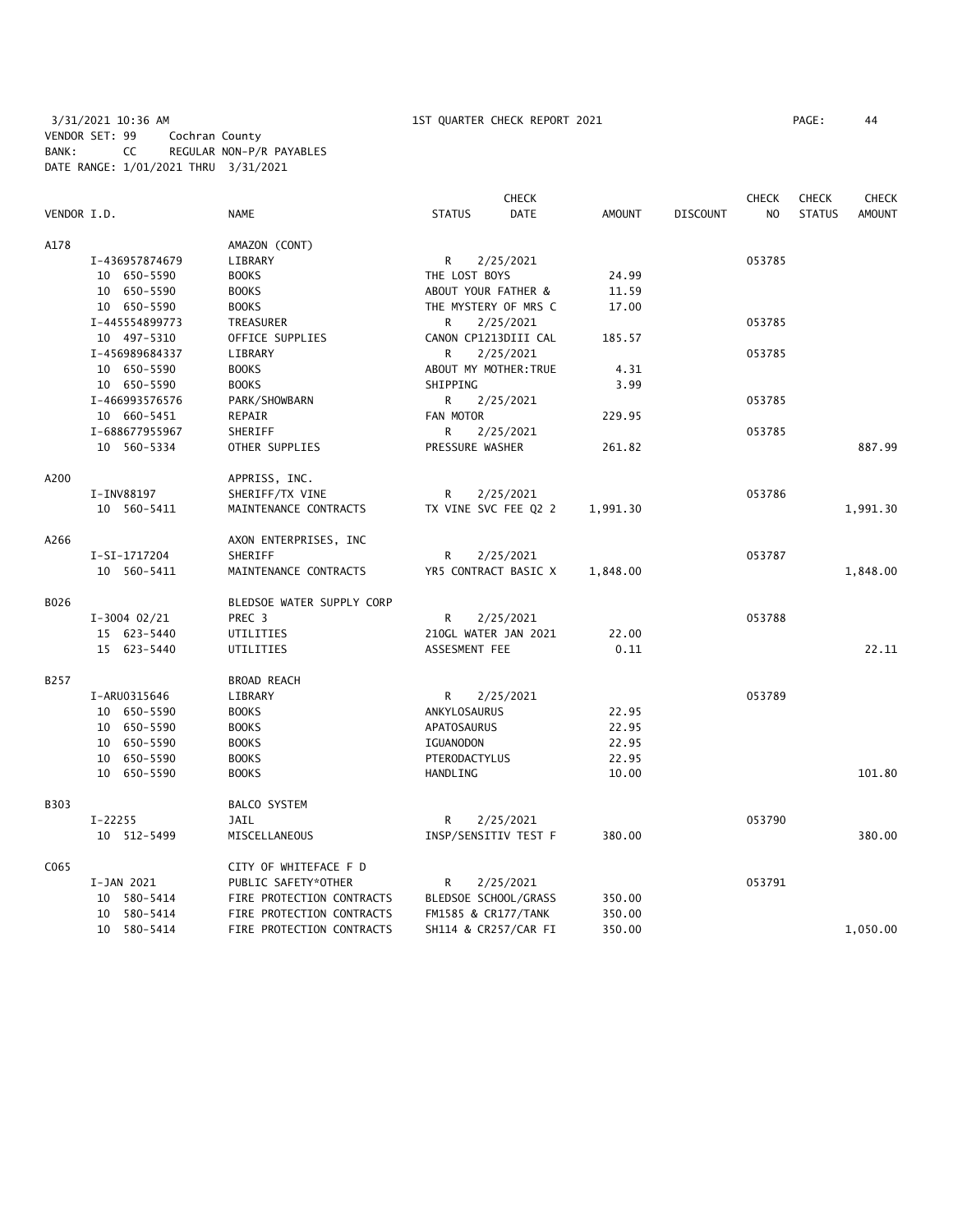3/31/2021 10:36 AM 1ST QUARTER CHECK REPORT 2021 PAGE: 44 VENDOR SET: 99 Cochran County BANK: CC REGULAR NON-P/R PAYABLES DATE RANGE: 1/01/2021 THRU 3/31/2021

|             |                |                           | <b>CHECK</b>                 |               |                 | <b>CHECK</b>   | <b>CHECK</b>  | <b>CHECK</b>  |
|-------------|----------------|---------------------------|------------------------------|---------------|-----------------|----------------|---------------|---------------|
| VENDOR I.D. |                | <b>NAME</b>               | <b>DATE</b><br><b>STATUS</b> | <b>AMOUNT</b> | <b>DISCOUNT</b> | N <sub>O</sub> | <b>STATUS</b> | <b>AMOUNT</b> |
| A178        |                | AMAZON (CONT)             |                              |               |                 |                |               |               |
|             | I-436957874679 | LIBRARY                   | R.<br>2/25/2021              |               |                 | 053785         |               |               |
|             | 10 650-5590    | <b>BOOKS</b>              | THE LOST BOYS                | 24.99         |                 |                |               |               |
|             | 10 650-5590    | <b>BOOKS</b>              | ABOUT YOUR FATHER &          | 11.59         |                 |                |               |               |
|             | 10 650-5590    | <b>BOOKS</b>              | THE MYSTERY OF MRS C         | 17.00         |                 |                |               |               |
|             | I-445554899773 | TREASURER                 | R.<br>2/25/2021              |               |                 | 053785         |               |               |
|             | 10 497-5310    | OFFICE SUPPLIES           | CANON CP1213DIII CAL         | 185.57        |                 |                |               |               |
|             | I-456989684337 | LIBRARY                   | 2/25/2021<br>R               |               |                 | 053785         |               |               |
|             | 10 650-5590    | <b>BOOKS</b>              | ABOUT MY MOTHER: TRUE        | 4.31          |                 |                |               |               |
|             | 10 650-5590    | <b>BOOKS</b>              | SHIPPING                     | 3.99          |                 |                |               |               |
|             | I-466993576576 | PARK/SHOWBARN             | R.<br>2/25/2021              |               |                 | 053785         |               |               |
|             | 10 660-5451    | REPAIR                    | FAN MOTOR                    | 229.95        |                 |                |               |               |
|             | I-688677955967 | SHERIFF                   | R<br>2/25/2021               |               |                 | 053785         |               |               |
|             | 10 560-5334    | OTHER SUPPLIES            | PRESSURE WASHER              | 261.82        |                 |                |               | 887.99        |
| A200        |                | APPRISS, INC.             |                              |               |                 |                |               |               |
|             | I-INV88197     | SHERIFF/TX VINE           | R<br>2/25/2021               |               |                 | 053786         |               |               |
|             | 10 560-5411    | MAINTENANCE CONTRACTS     | TX VINE SVC FEE Q2 2         | 1,991.30      |                 |                |               | 1,991.30      |
| A266        |                | AXON ENTERPRISES, INC     |                              |               |                 |                |               |               |
|             | I-SI-1717204   | SHERIFF                   | R<br>2/25/2021               |               |                 | 053787         |               |               |
|             | 10 560-5411    | MAINTENANCE CONTRACTS     | YR5 CONTRACT BASIC X         | 1,848.00      |                 |                |               | 1,848.00      |
| B026        |                | BLEDSOE WATER SUPPLY CORP |                              |               |                 |                |               |               |
|             | $I-3004$ 02/21 | PREC 3                    | R.<br>2/25/2021              |               |                 | 053788         |               |               |
|             | 15 623-5440    | UTILITIES                 | 210GL WATER JAN 2021         | 22.00         |                 |                |               |               |
|             | 15 623-5440    | UTILITIES                 | ASSESMENT FEE                | 0.11          |                 |                |               | 22.11         |
| B257        |                | <b>BROAD REACH</b>        |                              |               |                 |                |               |               |
|             | I-ARU0315646   | LIBRARY                   | R.<br>2/25/2021              |               |                 | 053789         |               |               |
|             | 10 650-5590    | <b>BOOKS</b>              | ANKYLOSAURUS                 | 22.95         |                 |                |               |               |
|             | 10 650-5590    | <b>BOOKS</b>              | APATOSAURUS                  | 22.95         |                 |                |               |               |
|             | 10 650-5590    | <b>BOOKS</b>              | IGUANODON                    | 22.95         |                 |                |               |               |
|             | 10 650-5590    | <b>BOOKS</b>              | PTERODACTYLUS                | 22.95         |                 |                |               |               |
|             | 10 650-5590    | <b>BOOKS</b>              | HANDLING                     | 10.00         |                 |                |               | 101.80        |
| B303        |                | <b>BALCO SYSTEM</b>       |                              |               |                 |                |               |               |
|             | $I-22255$      | JAIL                      | R<br>2/25/2021               |               |                 | 053790         |               |               |
|             | 10 512-5499    | MISCELLANEOUS             | INSP/SENSITIV TEST F         | 380.00        |                 |                |               | 380.00        |
| C065        |                | CITY OF WHITEFACE F D     |                              |               |                 |                |               |               |
|             | I-JAN 2021     | PUBLIC SAFETY*OTHER       | R<br>2/25/2021               |               |                 | 053791         |               |               |
|             | 10 580-5414    | FIRE PROTECTION CONTRACTS | BLEDSOE SCHOOL/GRASS         | 350.00        |                 |                |               |               |
|             | 10 580-5414    | FIRE PROTECTION CONTRACTS | FM1585 & CR177/TANK          | 350.00        |                 |                |               |               |
|             | 10 580-5414    | FIRE PROTECTION CONTRACTS | SH114 & CR257/CAR FI         | 350.00        |                 |                |               | 1,050.00      |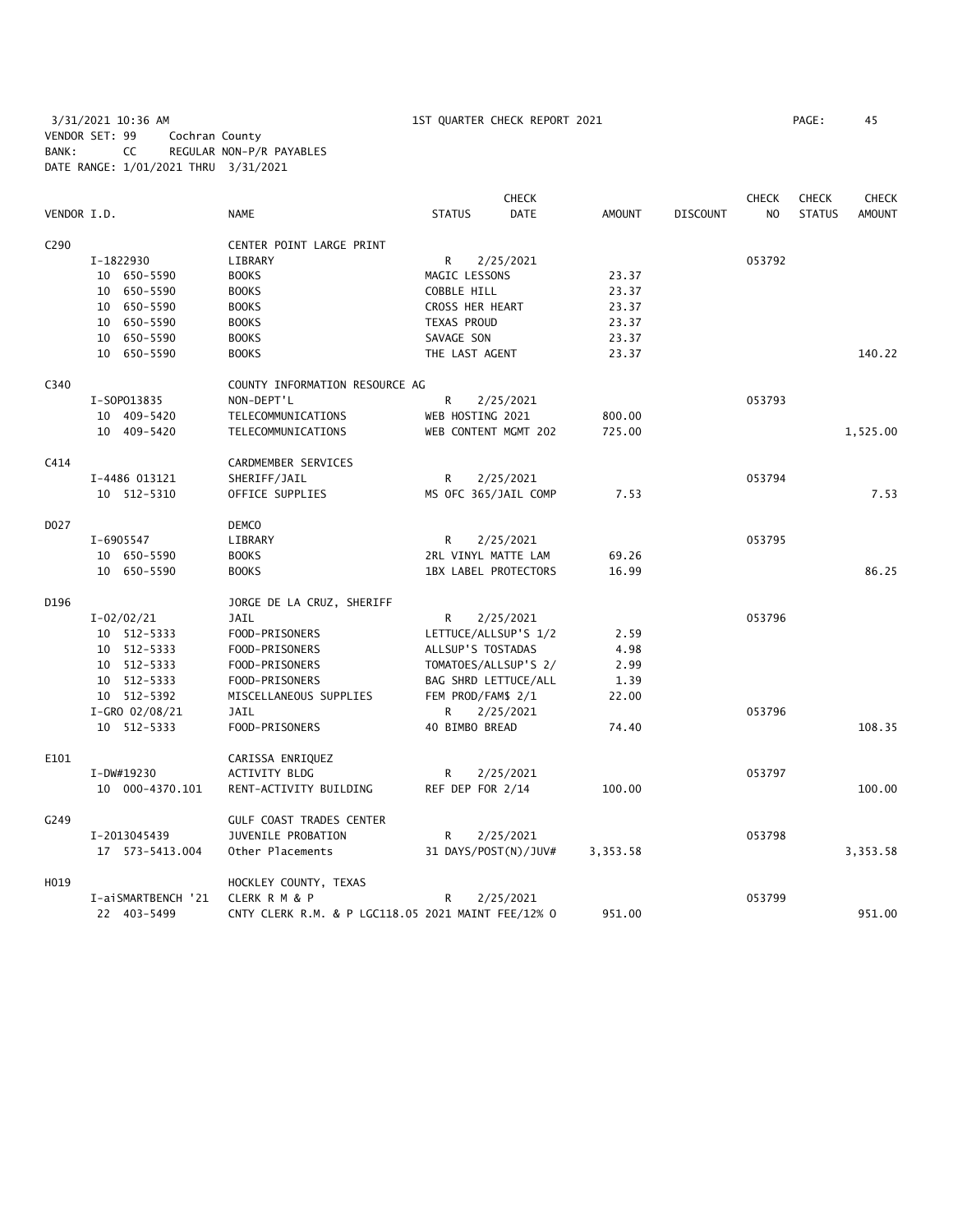3/31/2021 10:36 AM 1ST QUARTER CHECK REPORT 2021 PAGE: 45 VENDOR SET: 99 Cochran County BANK: CC REGULAR NON-P/R PAYABLES DATE RANGE: 1/01/2021 THRU 3/31/2021

|             |                    |                                                    |                             | <b>CHECK</b> |               |                 | <b>CHECK</b>   | <b>CHECK</b>  | <b>CHECK</b>  |
|-------------|--------------------|----------------------------------------------------|-----------------------------|--------------|---------------|-----------------|----------------|---------------|---------------|
| VENDOR I.D. |                    | <b>NAME</b>                                        | <b>STATUS</b>               | <b>DATE</b>  | <b>AMOUNT</b> | <b>DISCOUNT</b> | N <sub>O</sub> | <b>STATUS</b> | <b>AMOUNT</b> |
| C290        |                    | CENTER POINT LARGE PRINT                           |                             |              |               |                 |                |               |               |
|             | I-1822930          | LIBRARY                                            | R                           | 2/25/2021    |               |                 | 053792         |               |               |
|             | 10 650-5590        | <b>BOOKS</b>                                       | MAGIC LESSONS               |              | 23.37         |                 |                |               |               |
|             | 10 650-5590        | <b>BOOKS</b>                                       | COBBLE HILL                 |              | 23.37         |                 |                |               |               |
|             | 10 650-5590        | <b>BOOKS</b>                                       | CROSS HER HEART             |              | 23.37         |                 |                |               |               |
|             | 10 650-5590        | <b>BOOKS</b>                                       | TEXAS PROUD                 |              | 23.37         |                 |                |               |               |
|             | 10 650-5590        | <b>BOOKS</b>                                       | SAVAGE SON                  |              | 23.37         |                 |                |               |               |
|             | 10 650-5590        | <b>BOOKS</b>                                       | THE LAST AGENT              |              | 23.37         |                 |                |               | 140.22        |
| C340        |                    | COUNTY INFORMATION RESOURCE AG                     |                             |              |               |                 |                |               |               |
|             | I-S0P013835        | NON-DEPT'L                                         | R                           | 2/25/2021    |               |                 | 053793         |               |               |
|             | 10 409-5420        | TELECOMMUNICATIONS                                 | WEB HOSTING 2021            |              | 800.00        |                 |                |               |               |
|             | 10 409-5420        | TELECOMMUNICATIONS                                 | WEB CONTENT MGMT 202        |              | 725.00        |                 |                |               | 1,525.00      |
| C414        |                    | CARDMEMBER SERVICES                                |                             |              |               |                 |                |               |               |
|             | I-4486 013121      | SHERIFF/JAIL                                       | R                           | 2/25/2021    |               |                 | 053794         |               |               |
|             | 10 512-5310        | OFFICE SUPPLIES                                    | MS OFC 365/JAIL COMP        |              | 7.53          |                 |                |               | 7.53          |
| D027        |                    | <b>DEMCO</b>                                       |                             |              |               |                 |                |               |               |
|             | I-6905547          | LIBRARY                                            | R                           | 2/25/2021    |               |                 | 053795         |               |               |
|             | 10 650-5590        | <b>BOOKS</b>                                       | 2RL VINYL MATTE LAM         |              | 69.26         |                 |                |               |               |
|             | 10 650-5590        | <b>BOOKS</b>                                       | <b>1BX LABEL PROTECTORS</b> |              | 16.99         |                 |                |               | 86.25         |
| D196        |                    | JORGE DE LA CRUZ, SHERIFF                          |                             |              |               |                 |                |               |               |
|             | $I - 02/02/21$     | <b>JAIL</b>                                        | R                           | 2/25/2021    |               |                 | 053796         |               |               |
|             | 10 512-5333        | FOOD-PRISONERS                                     | LETTUCE/ALLSUP'S 1/2        |              | 2.59          |                 |                |               |               |
|             | 10 512-5333        | FOOD-PRISONERS                                     | ALLSUP'S TOSTADAS           |              | 4.98          |                 |                |               |               |
|             | 10 512-5333        | FOOD-PRISONERS                                     | TOMATOES/ALLSUP'S 2/        |              | 2.99          |                 |                |               |               |
|             | 10 512-5333        | FOOD-PRISONERS                                     | BAG SHRD LETTUCE/ALL        |              | 1.39          |                 |                |               |               |
|             | 10 512-5392        | MISCELLANEOUS SUPPLIES                             | FEM PROD/FAM\$ 2/1          |              | 22.00         |                 |                |               |               |
|             | I-GRO 02/08/21     | <b>JAIL</b>                                        | R                           | 2/25/2021    |               |                 | 053796         |               |               |
|             | 10 512-5333        | FOOD-PRISONERS                                     | 40 BIMBO BREAD              |              | 74.40         |                 |                |               | 108.35        |
| E101        |                    | CARISSA ENRIQUEZ                                   |                             |              |               |                 |                |               |               |
|             | I-DW#19230         | ACTIVITY BLDG                                      | R                           | 2/25/2021    |               |                 | 053797         |               |               |
|             | 10 000-4370.101    | RENT-ACTIVITY BUILDING                             | REF DEP FOR 2/14            |              | 100.00        |                 |                |               | 100.00        |
| G249        |                    | <b>GULF COAST TRADES CENTER</b>                    |                             |              |               |                 |                |               |               |
|             | I-2013045439       | JUVENILE PROBATION                                 | R                           | 2/25/2021    |               |                 | 053798         |               |               |
|             | 17  573-5413.004   | Other Placements                                   | 31 DAYS/POST(N)/JUV#        |              | 3,353.58      |                 |                |               | 3,353.58      |
| H019        |                    | HOCKLEY COUNTY, TEXAS                              |                             |              |               |                 |                |               |               |
|             | I-aiSMARTBENCH '21 | <b>CLERK R M &amp; P</b>                           | R                           | 2/25/2021    |               |                 | 053799         |               |               |
|             | 22 403-5499        | CNTY CLERK R.M. & P LGC118.05 2021 MAINT FEE/12% 0 |                             |              | 951.00        |                 |                |               | 951.00        |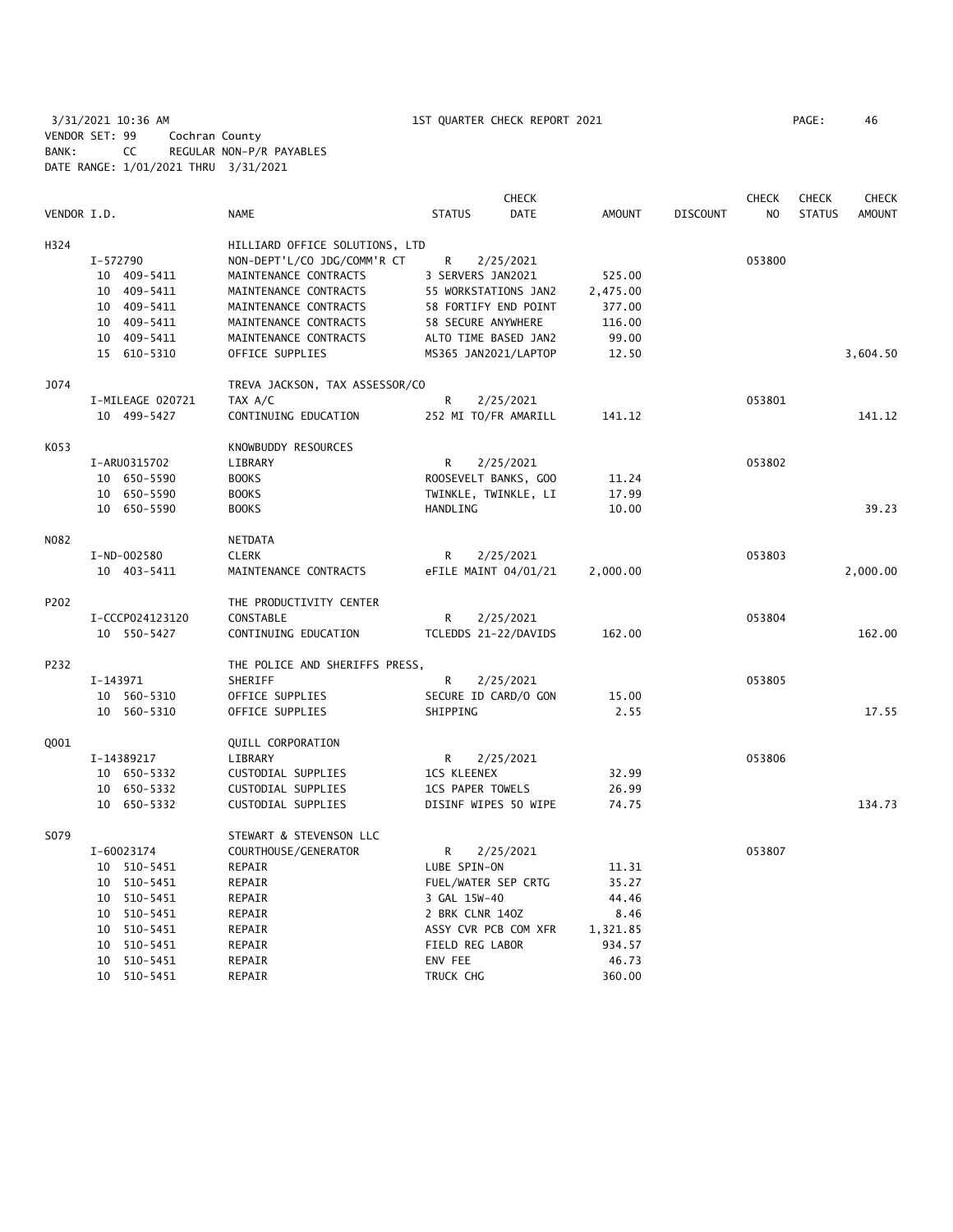3/31/2021 10:36 AM 1ST QUARTER CHECK REPORT 2021 PAGE: 46 VENDOR SET: 99 Cochran County BANK: CC REGULAR NON-P/R PAYABLES DATE RANGE: 1/01/2021 THRU 3/31/2021

|             |                  |                                |                         | <b>CHECK</b>         |               |                 | <b>CHECK</b>   | <b>CHECK</b>  | <b>CHECK</b>  |
|-------------|------------------|--------------------------------|-------------------------|----------------------|---------------|-----------------|----------------|---------------|---------------|
| VENDOR I.D. |                  | NAME                           | <b>STATUS</b>           | DATE                 | <b>AMOUNT</b> | <b>DISCOUNT</b> | N <sub>O</sub> | <b>STATUS</b> | <b>AMOUNT</b> |
| H324        |                  | HILLIARD OFFICE SOLUTIONS, LTD |                         |                      |               |                 |                |               |               |
|             | I-572790         | NON-DEPT'L/CO JDG/COMM'R CT    | R                       | 2/25/2021            |               |                 | 053800         |               |               |
|             | 10 409-5411      | MAINTENANCE CONTRACTS          | 3 SERVERS JAN2021       |                      | 525.00        |                 |                |               |               |
|             | 10 409-5411      | MAINTENANCE CONTRACTS          |                         | 55 WORKSTATIONS JAN2 | 2,475.00      |                 |                |               |               |
|             | 10 409-5411      | MAINTENANCE CONTRACTS          |                         | 58 FORTIFY END POINT | 377.00        |                 |                |               |               |
|             | 10 409-5411      | MAINTENANCE CONTRACTS          | 58 SECURE ANYWHERE      |                      | 116.00        |                 |                |               |               |
|             | 10 409-5411      | MAINTENANCE CONTRACTS          |                         | ALTO TIME BASED JAN2 | 99.00         |                 |                |               |               |
|             | 15 610-5310      | OFFICE SUPPLIES                | MS365 JAN2021/LAPTOP    |                      | 12.50         |                 |                |               | 3,604.50      |
| J074        |                  | TREVA JACKSON, TAX ASSESSOR/CO |                         |                      |               |                 |                |               |               |
|             | I-MILEAGE 020721 | TAX A/C                        | R                       | 2/25/2021            |               |                 | 053801         |               |               |
|             | 10 499-5427      | CONTINUING EDUCATION           |                         | 252 MI TO/FR AMARILL | 141.12        |                 |                |               | 141.12        |
| K053        |                  | KNOWBUDDY RESOURCES            |                         |                      |               |                 |                |               |               |
|             | I-ARU0315702     | LIBRARY                        | R                       | 2/25/2021            |               |                 | 053802         |               |               |
|             | 10 650-5590      | <b>BOOKS</b>                   |                         | ROOSEVELT BANKS, GOO | 11.24         |                 |                |               |               |
|             | 10 650-5590      | <b>BOOKS</b>                   |                         | TWINKLE, TWINKLE, LI | 17.99         |                 |                |               |               |
|             | 10 650-5590      | <b>BOOKS</b>                   | HANDLING                |                      | 10.00         |                 |                |               | 39.23         |
| N082        |                  | NETDATA                        |                         |                      |               |                 |                |               |               |
|             | I-ND-002580      | <b>CLERK</b>                   | R                       | 2/25/2021            |               |                 | 053803         |               |               |
|             | 10 403-5411      | MAINTENANCE CONTRACTS          |                         | eFILE MAINT 04/01/21 | 2,000.00      |                 |                |               | 2,000.00      |
| P202        |                  | THE PRODUCTIVITY CENTER        |                         |                      |               |                 |                |               |               |
|             | I-CCCP024123120  | CONSTABLE                      | R                       | 2/25/2021            |               |                 | 053804         |               |               |
|             | 10 550-5427      | CONTINUING EDUCATION           |                         | TCLEDDS 21-22/DAVIDS | 162.00        |                 |                |               | 162.00        |
| P232        |                  | THE POLICE AND SHERIFFS PRESS, |                         |                      |               |                 |                |               |               |
|             | I-143971         | SHERIFF                        | R                       | 2/25/2021            |               |                 | 053805         |               |               |
|             | 10 560-5310      | OFFICE SUPPLIES                |                         | SECURE ID CARD/O GON | 15.00         |                 |                |               |               |
|             | 10 560-5310      | OFFICE SUPPLIES                | SHIPPING                |                      | 2.55          |                 |                |               | 17.55         |
| Q001        |                  | QUILL CORPORATION              |                         |                      |               |                 |                |               |               |
|             | I-14389217       | LIBRARY                        | R                       | 2/25/2021            |               |                 | 053806         |               |               |
|             | 10 650-5332      | CUSTODIAL SUPPLIES             | <b>1CS KLEENEX</b>      |                      | 32.99         |                 |                |               |               |
|             | 10 650-5332      | CUSTODIAL SUPPLIES             | <b>1CS PAPER TOWELS</b> |                      | 26.99         |                 |                |               |               |
|             | 10 650-5332      | CUSTODIAL SUPPLIES             |                         | DISINF WIPES 50 WIPE | 74.75         |                 |                |               | 134.73        |
| S079        |                  | STEWART & STEVENSON LLC        |                         |                      |               |                 |                |               |               |
|             | I-60023174       | COURTHOUSE/GENERATOR           | R                       | 2/25/2021            |               |                 | 053807         |               |               |
|             | 10 510-5451      | REPAIR                         | LUBE SPIN-ON            |                      | 11.31         |                 |                |               |               |
|             | 10 510-5451      | REPAIR                         | FUEL/WATER SEP CRTG     |                      | 35.27         |                 |                |               |               |
|             | 10 510-5451      | REPAIR                         | 3 GAL 15W-40            |                      | 44.46         |                 |                |               |               |
|             | 10 510-5451      | REPAIR                         | 2 BRK CLNR 140Z         |                      | 8.46          |                 |                |               |               |
|             | 10 510-5451      | REPAIR                         |                         | ASSY CVR PCB COM XFR | 1,321.85      |                 |                |               |               |
|             | 10 510-5451      | REPAIR                         | FIELD REG LABOR         |                      | 934.57        |                 |                |               |               |
|             | 10 510-5451      | REPAIR                         | ENV FEE                 |                      | 46.73         |                 |                |               |               |
|             | 10 510-5451      | REPAIR                         | TRUCK CHG               |                      | 360.00        |                 |                |               |               |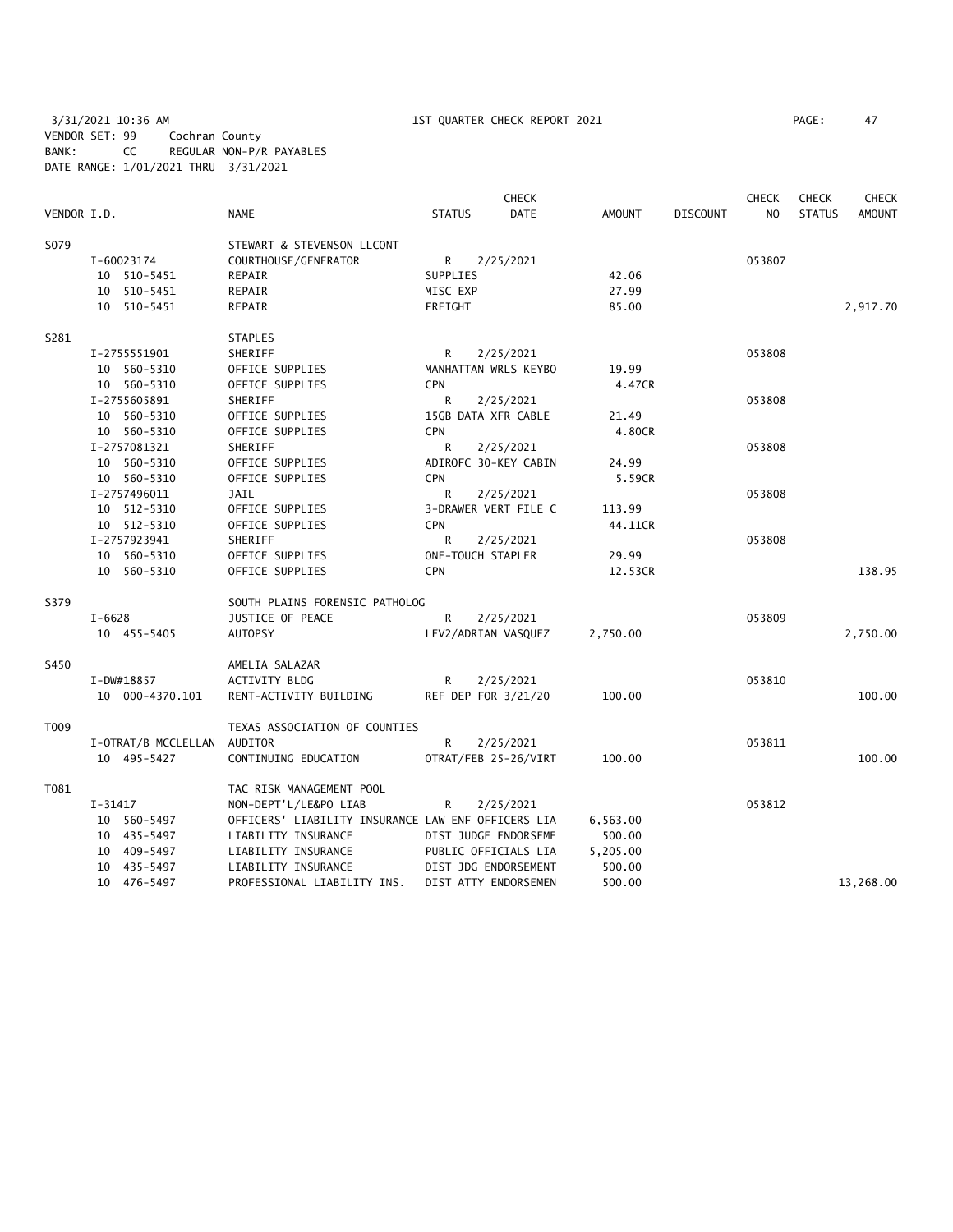3/31/2021 10:36 AM 1ST QUARTER CHECK REPORT 2021 PAGE: 47 VENDOR SET: 99 Cochran County BANK: CC REGULAR NON-P/R PAYABLES DATE RANGE: 1/01/2021 THRU 3/31/2021

|             |                 |                             |                                                    |               | <b>CHECK</b>         |               |                 | <b>CHECK</b>   | <b>CHECK</b>  | <b>CHECK</b>  |
|-------------|-----------------|-----------------------------|----------------------------------------------------|---------------|----------------------|---------------|-----------------|----------------|---------------|---------------|
| VENDOR I.D. |                 | <b>NAME</b>                 |                                                    | <b>STATUS</b> | <b>DATE</b>          | <b>AMOUNT</b> | <b>DISCOUNT</b> | N <sub>O</sub> | <b>STATUS</b> | <b>AMOUNT</b> |
| S079        |                 |                             | STEWART & STEVENSON LLCONT                         |               |                      |               |                 |                |               |               |
|             | I-60023174      |                             | COURTHOUSE/GENERATOR                               | $R \sim$      | 2/25/2021            |               |                 | 053807         |               |               |
|             | 10 510-5451     | REPAIR                      |                                                    | SUPPLIES      |                      | 42.06         |                 |                |               |               |
|             | 10 510-5451     | REPAIR                      |                                                    | MISC EXP      |                      | 27.99         |                 |                |               |               |
|             | 10 510-5451     | REPAIR                      |                                                    | FREIGHT       |                      | 85.00         |                 |                |               | 2,917.70      |
| S281        |                 | <b>STAPLES</b>              |                                                    |               |                      |               |                 |                |               |               |
|             | I-2755551901    | SHERIFF                     |                                                    | R             | 2/25/2021            |               |                 | 053808         |               |               |
|             | 10 560-5310     | OFFICE SUPPLIES             |                                                    |               | MANHATTAN WRLS KEYBO | 19.99         |                 |                |               |               |
|             | 10 560-5310     | OFFICE SUPPLIES             |                                                    | <b>CPN</b>    |                      | 4.47CR        |                 |                |               |               |
|             | I-2755605891    | SHERIFF                     |                                                    | R             | 2/25/2021            |               |                 | 053808         |               |               |
|             | 10 560-5310     | OFFICE SUPPLIES             |                                                    |               | 15GB DATA XFR CABLE  | 21.49         |                 |                |               |               |
|             | 10 560-5310     | OFFICE SUPPLIES             |                                                    | <b>CPN</b>    |                      | 4.80CR        |                 |                |               |               |
|             | I-2757081321    | SHERIFF                     |                                                    | R             | 2/25/2021            |               |                 | 053808         |               |               |
|             | 10 560-5310     | OFFICE SUPPLIES             |                                                    |               | ADIROFC 30-KEY CABIN | 24.99         |                 |                |               |               |
|             | 10 560-5310     | OFFICE SUPPLIES             |                                                    | <b>CPN</b>    |                      | 5.59CR        |                 |                |               |               |
|             | I-2757496011    | JAIL                        |                                                    | R             | 2/25/2021            |               |                 | 053808         |               |               |
|             | 10 512-5310     | OFFICE SUPPLIES             |                                                    |               | 3-DRAWER VERT FILE C | 113.99        |                 |                |               |               |
|             | 10 512-5310     | OFFICE SUPPLIES             |                                                    | CPN           |                      | 44.11CR       |                 |                |               |               |
|             | I-2757923941    | <b>SHERIFF</b>              |                                                    | R             | 2/25/2021            |               |                 | 053808         |               |               |
|             | 10 560-5310     | OFFICE SUPPLIES             |                                                    |               | ONE-TOUCH STAPLER    | 29.99         |                 |                |               |               |
|             | 10 560-5310     | OFFICE SUPPLIES             |                                                    | <b>CPN</b>    |                      | 12.53CR       |                 |                |               | 138.95        |
| S379        |                 |                             | SOUTH PLAINS FORENSIC PATHOLOG                     |               |                      |               |                 |                |               |               |
|             | $I - 6628$      |                             | <b>JUSTICE OF PEACE</b>                            | R             | 2/25/2021            |               |                 | 053809         |               |               |
|             | 10 455-5405     | <b>AUTOPSY</b>              |                                                    |               | LEV2/ADRIAN VASQUEZ  | 2,750.00      |                 |                |               | 2,750.00      |
| S450        |                 | AMELIA SALAZAR              |                                                    |               |                      |               |                 |                |               |               |
|             | I-DW#18857      | ACTIVITY BLDG               |                                                    | R.            | 2/25/2021            |               |                 | 053810         |               |               |
|             | 10 000-4370.101 |                             | RENT-ACTIVITY BUILDING                             |               | REF DEP FOR 3/21/20  | 100.00        |                 |                |               | 100.00        |
| T009        |                 |                             | TEXAS ASSOCIATION OF COUNTIES                      |               |                      |               |                 |                |               |               |
|             |                 | I-OTRAT/B MCCLELLAN AUDITOR |                                                    | R.            | 2/25/2021            |               |                 | 053811         |               |               |
|             | 10 495-5427     |                             | CONTINUING EDUCATION                               |               | OTRAT/FEB 25-26/VIRT | 100.00        |                 |                |               | 100.00        |
| T081        |                 |                             | TAC RISK MANAGEMENT POOL                           |               |                      |               |                 |                |               |               |
|             | I-31417         |                             | NON-DEPT'L/LE&PO LIAB                              | R             | 2/25/2021            |               |                 | 053812         |               |               |
|             | 10 560-5497     |                             | OFFICERS' LIABILITY INSURANCE LAW ENF OFFICERS LIA |               |                      | 6,563.00      |                 |                |               |               |
|             | 10 435-5497     |                             | LIABILITY INSURANCE                                |               | DIST JUDGE ENDORSEME | 500.00        |                 |                |               |               |
|             | 10 409-5497     |                             | LIABILITY INSURANCE                                |               | PUBLIC OFFICIALS LIA | 5,205.00      |                 |                |               |               |
|             | 10 435-5497     |                             | LIABILITY INSURANCE                                |               | DIST JDG ENDORSEMENT | 500.00        |                 |                |               |               |
|             | 10 476-5497     |                             | PROFESSIONAL LIABILITY INS.                        |               | DIST ATTY ENDORSEMEN | 500.00        |                 |                |               | 13,268.00     |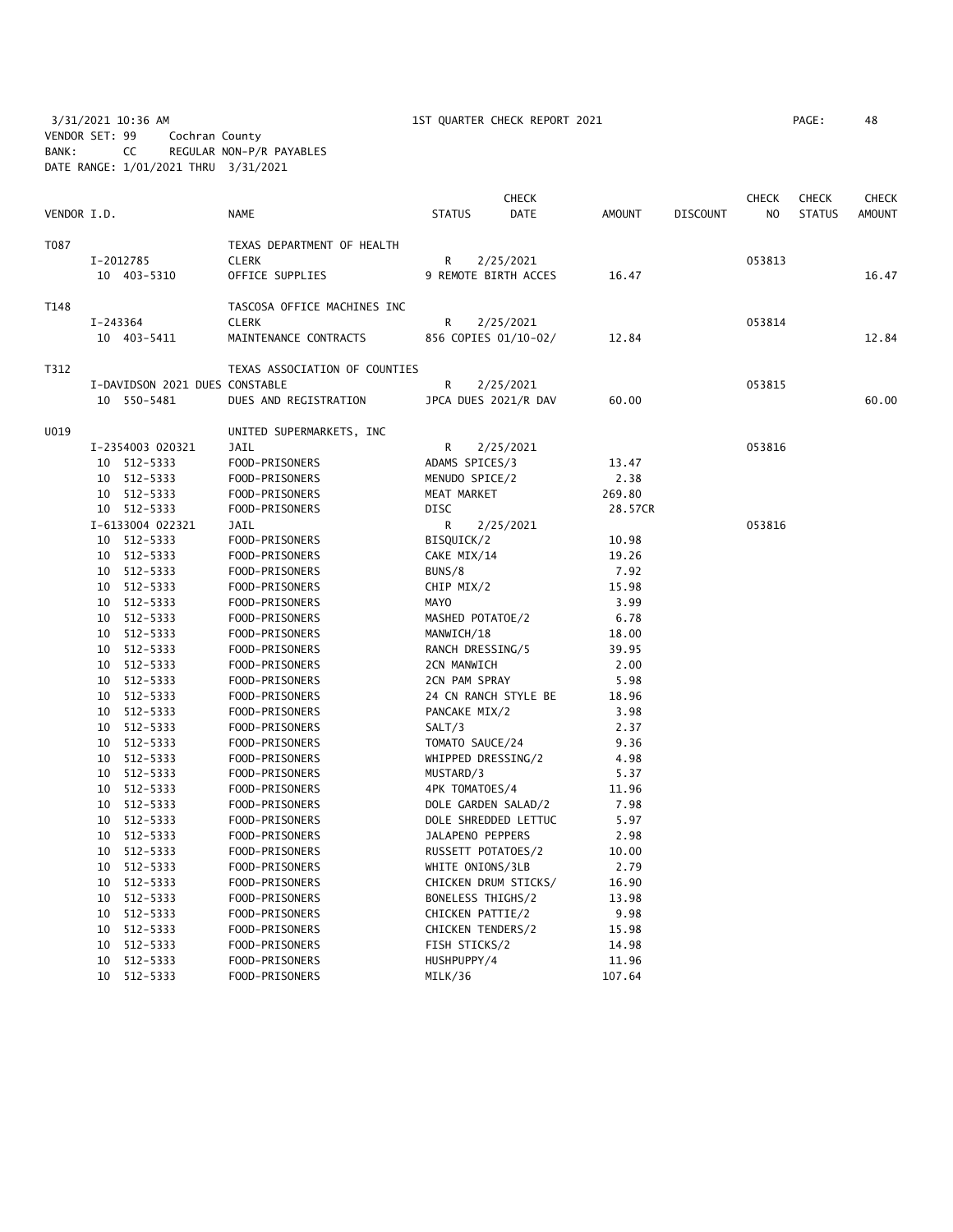3/31/2021 10:36 AM 1ST QUARTER CHECK REPORT 2021 PAGE: 48 VENDOR SET: 99 Cochran County BANK: CC REGULAR NON-P/R PAYABLES DATE RANGE: 1/01/2021 THRU 3/31/2021

|             |          |                                |                               |                    | <b>CHECK</b>         |               |                 | CHECK  | <b>CHECK</b>  | <b>CHECK</b>  |
|-------------|----------|--------------------------------|-------------------------------|--------------------|----------------------|---------------|-----------------|--------|---------------|---------------|
| VENDOR I.D. |          |                                | <b>NAME</b>                   | <b>STATUS</b>      | <b>DATE</b>          | <b>AMOUNT</b> | <b>DISCOUNT</b> | NO.    | <b>STATUS</b> | <b>AMOUNT</b> |
| T087        |          |                                | TEXAS DEPARTMENT OF HEALTH    |                    |                      |               |                 |        |               |               |
|             |          | I-2012785                      | <b>CLERK</b>                  | R                  | 2/25/2021            |               |                 | 053813 |               |               |
|             |          | 10 403-5310                    | OFFICE SUPPLIES               |                    | 9 REMOTE BIRTH ACCES | 16.47         |                 |        |               | 16.47         |
| T148        |          |                                | TASCOSA OFFICE MACHINES INC   |                    |                      |               |                 |        |               |               |
|             | I-243364 |                                | <b>CLERK</b>                  | R                  | 2/25/2021            |               |                 | 053814 |               |               |
|             |          | 10 403-5411                    | MAINTENANCE CONTRACTS         |                    | 856 COPIES 01/10-02/ | 12.84         |                 |        |               | 12.84         |
| T312        |          |                                | TEXAS ASSOCIATION OF COUNTIES |                    |                      |               |                 |        |               |               |
|             |          | I-DAVIDSON 2021 DUES CONSTABLE |                               | R                  | 2/25/2021            |               |                 | 053815 |               |               |
|             |          | 10 550-5481                    | DUES AND REGISTRATION         |                    | JPCA DUES 2021/R DAV | 60.00         |                 |        |               | 60.00         |
| U019        |          |                                | UNITED SUPERMARKETS, INC      |                    |                      |               |                 |        |               |               |
|             |          | I-2354003 020321               | JAIL                          | R                  | 2/25/2021            |               |                 | 053816 |               |               |
|             |          | 10 512-5333                    | FOOD-PRISONERS                | ADAMS SPICES/3     |                      | 13.47         |                 |        |               |               |
|             |          | 10 512-5333                    | FOOD-PRISONERS                | MENUDO SPICE/2     |                      | 2.38          |                 |        |               |               |
|             |          | 10 512-5333                    | FOOD-PRISONERS                | MEAT MARKET        |                      | 269.80        |                 |        |               |               |
|             |          | 10 512-5333                    | FOOD-PRISONERS                | <b>DISC</b>        |                      | 28.57CR       |                 |        |               |               |
|             |          | I-6133004 022321               | JAIL                          | R                  | 2/25/2021            |               |                 | 053816 |               |               |
|             |          | 10 512-5333                    | FOOD-PRISONERS                | BISQUICK/2         |                      | 10.98         |                 |        |               |               |
|             |          | 10 512-5333                    | FOOD-PRISONERS                | CAKE MIX/14        |                      | 19.26         |                 |        |               |               |
|             |          | 10 512-5333                    | FOOD-PRISONERS                | BUNS/8             |                      | 7.92          |                 |        |               |               |
|             |          | 10 512-5333                    | FOOD-PRISONERS                | CHIP MIX/2         |                      | 15.98         |                 |        |               |               |
|             |          | 10 512-5333                    | FOOD-PRISONERS                | MAYO               |                      | 3.99          |                 |        |               |               |
|             |          | 10 512-5333                    | FOOD-PRISONERS                | MASHED POTATOE/2   |                      | 6.78          |                 |        |               |               |
|             |          | 10 512-5333                    | FOOD-PRISONERS                | MANWICH/18         |                      | 18.00         |                 |        |               |               |
|             |          | 10 512-5333                    | FOOD-PRISONERS                | RANCH DRESSING/5   |                      | 39.95         |                 |        |               |               |
|             |          | 10 512-5333                    | FOOD-PRISONERS                | 2CN MANWICH        |                      | 2.00          |                 |        |               |               |
|             |          | 10 512-5333                    | FOOD-PRISONERS                | 2CN PAM SPRAY      |                      | 5.98          |                 |        |               |               |
|             |          | 10 512-5333                    | FOOD-PRISONERS                |                    | 24 CN RANCH STYLE BE | 18.96         |                 |        |               |               |
|             |          | 10 512-5333                    | FOOD-PRISONERS                | PANCAKE MIX/2      |                      | 3.98          |                 |        |               |               |
|             |          | 10 512-5333                    | FOOD-PRISONERS                | SALT/3             |                      | 2.37          |                 |        |               |               |
|             | 10       | 512-5333                       | FOOD-PRISONERS                | TOMATO SAUCE/24    |                      | 9.36          |                 |        |               |               |
|             | 10       | 512-5333                       | FOOD-PRISONERS                | WHIPPED DRESSING/2 |                      | 4.98          |                 |        |               |               |
|             |          | 10 512-5333                    | FOOD-PRISONERS                | MUSTARD/3          |                      | 5.37          |                 |        |               |               |
|             |          | 10 512-5333                    | FOOD-PRISONERS                | 4PK TOMATOES/4     |                      | 11.96         |                 |        |               |               |
|             | 10       | 512-5333                       | FOOD-PRISONERS                |                    | DOLE GARDEN SALAD/2  | 7.98          |                 |        |               |               |
|             |          | 10 512-5333                    | FOOD-PRISONERS                |                    | DOLE SHREDDED LETTUC | 5.97          |                 |        |               |               |
|             |          | 10 512-5333                    | FOOD-PRISONERS                | JALAPENO PEPPERS   |                      | 2.98          |                 |        |               |               |
|             | 10       | 512-5333                       | FOOD-PRISONERS                | RUSSETT POTATOES/2 |                      | 10.00         |                 |        |               |               |
|             | 10       | 512-5333                       | FOOD-PRISONERS                | WHITE ONIONS/3LB   |                      | 2.79          |                 |        |               |               |
|             | 10       | 512-5333                       | FOOD-PRISONERS                |                    | CHICKEN DRUM STICKS/ | 16.90         |                 |        |               |               |
|             | 10       | 512-5333                       | FOOD-PRISONERS                | BONELESS THIGHS/2  |                      | 13.98         |                 |        |               |               |
|             |          | 10 512-5333                    | FOOD-PRISONERS                | CHICKEN PATTIE/2   |                      | 9.98          |                 |        |               |               |
|             | 10       | 512-5333                       | FOOD-PRISONERS                | CHICKEN TENDERS/2  |                      | 15.98         |                 |        |               |               |
|             | 10       | 512-5333                       | FOOD-PRISONERS                | FISH STICKS/2      |                      | 14.98         |                 |        |               |               |
|             | 10       | 512-5333                       | FOOD-PRISONERS                | HUSHPUPPY/4        |                      | 11.96         |                 |        |               |               |
|             |          | 10 512-5333                    | FOOD-PRISONERS                | MILK/36            |                      | 107.64        |                 |        |               |               |
|             |          |                                |                               |                    |                      |               |                 |        |               |               |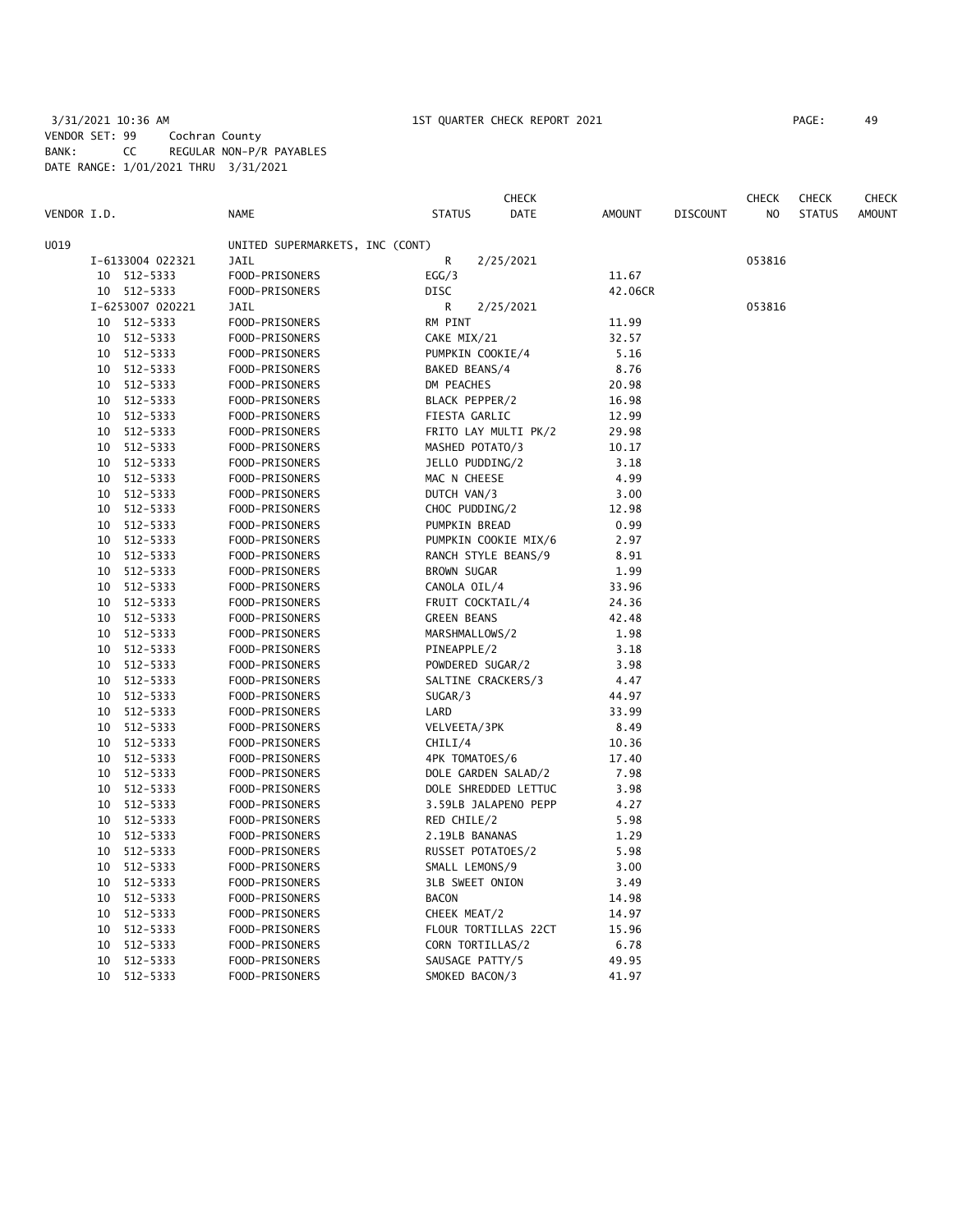## 3/31/2021 10:36 AM 1ST QUARTER CHECK REPORT 2021 PAGE: 49 VENDOR SET: 99 Cochran County BANK: CC REGULAR NON-P/R PAYABLES DATE RANGE: 1/01/2021 THRU 3/31/2021

|             |    |                  |                                 |                      | <b>CHECK</b> |               |                 | CHECK  | <b>CHECK</b>  | <b>CHECK</b>  |
|-------------|----|------------------|---------------------------------|----------------------|--------------|---------------|-----------------|--------|---------------|---------------|
| VENDOR I.D. |    |                  | <b>NAME</b>                     | <b>STATUS</b>        | <b>DATE</b>  | <b>AMOUNT</b> | <b>DISCOUNT</b> | NO.    | <b>STATUS</b> | <b>AMOUNT</b> |
| U019        |    |                  | UNITED SUPERMARKETS, INC (CONT) |                      |              |               |                 |        |               |               |
|             |    | I-6133004 022321 | JAIL                            | R                    | 2/25/2021    |               |                 | 053816 |               |               |
|             |    | 10 512-5333      | FOOD-PRISONERS                  | EGG/3                |              | 11.67         |                 |        |               |               |
|             |    | 10 512-5333      | FOOD-PRISONERS                  | <b>DISC</b>          |              | 42.06CR       |                 |        |               |               |
|             |    | I-6253007 020221 | <b>JAIL</b>                     | R                    | 2/25/2021    |               |                 | 053816 |               |               |
|             |    | 10 512-5333      | FOOD-PRISONERS                  | RM PINT              |              | 11.99         |                 |        |               |               |
|             | 10 | 512-5333         | FOOD-PRISONERS                  | CAKE MIX/21          |              | 32.57         |                 |        |               |               |
|             | 10 | 512-5333         | FOOD-PRISONERS                  | PUMPKIN COOKIE/4     |              | 5.16          |                 |        |               |               |
|             |    | 10 512-5333      | FOOD-PRISONERS                  | BAKED BEANS/4        |              | 8.76          |                 |        |               |               |
|             | 10 | 512-5333         | FOOD-PRISONERS                  | DM PEACHES           |              | 20.98         |                 |        |               |               |
|             | 10 | 512-5333         | FOOD-PRISONERS                  | BLACK PEPPER/2       |              | 16.98         |                 |        |               |               |
|             |    | 10 512-5333      | FOOD-PRISONERS                  | FIESTA GARLIC        |              | 12.99         |                 |        |               |               |
|             | 10 | 512-5333         | FOOD-PRISONERS                  | FRITO LAY MULTI PK/2 |              | 29.98         |                 |        |               |               |
|             |    | 10 512-5333      | FOOD-PRISONERS                  | MASHED POTATO/3      |              | 10.17         |                 |        |               |               |
|             |    | 10 512-5333      | FOOD-PRISONERS                  | JELLO PUDDING/2      |              | 3.18          |                 |        |               |               |
|             |    | 10 512-5333      | FOOD-PRISONERS                  | MAC N CHEESE         |              | 4.99          |                 |        |               |               |
|             |    | 10 512-5333      | FOOD-PRISONERS                  | DUTCH VAN/3          |              | 3.00          |                 |        |               |               |
|             |    | 10 512-5333      | FOOD-PRISONERS                  | CHOC PUDDING/2       |              | 12.98         |                 |        |               |               |
|             |    | 10 512-5333      | FOOD-PRISONERS                  | PUMPKIN BREAD        |              | 0.99          |                 |        |               |               |
|             |    | 10 512-5333      | FOOD-PRISONERS                  | PUMPKIN COOKIE MIX/6 |              | 2.97          |                 |        |               |               |
|             |    | 10 512-5333      | FOOD-PRISONERS                  | RANCH STYLE BEANS/9  |              | 8.91          |                 |        |               |               |
|             | 10 | 512-5333         | FOOD-PRISONERS                  | <b>BROWN SUGAR</b>   |              | 1.99          |                 |        |               |               |
|             |    | 10 512-5333      | FOOD-PRISONERS                  | CANOLA OIL/4         |              | 33.96         |                 |        |               |               |
|             | 10 | 512-5333         | FOOD-PRISONERS                  | FRUIT COCKTAIL/4     |              | 24.36         |                 |        |               |               |
|             | 10 | 512-5333         | FOOD-PRISONERS                  | <b>GREEN BEANS</b>   |              | 42.48         |                 |        |               |               |
|             | 10 | 512-5333         | FOOD-PRISONERS                  | MARSHMALLOWS/2       |              | 1.98          |                 |        |               |               |
|             |    | 10 512-5333      | FOOD-PRISONERS                  | PINEAPPLE/2          |              | 3.18          |                 |        |               |               |
|             | 10 | 512-5333         | FOOD-PRISONERS                  | POWDERED SUGAR/2     |              | 3.98          |                 |        |               |               |
|             |    | 10 512-5333      | FOOD-PRISONERS                  | SALTINE CRACKERS/3   |              | 4.47          |                 |        |               |               |
|             | 10 | 512-5333         | FOOD-PRISONERS                  | SUGAR/3              |              | 44.97         |                 |        |               |               |
|             |    | 10 512-5333      | FOOD-PRISONERS                  | LARD                 |              | 33.99         |                 |        |               |               |
|             | 10 | 512-5333         | FOOD-PRISONERS                  | VELVEETA/3PK         |              | 8.49          |                 |        |               |               |
|             | 10 | 512-5333         | FOOD-PRISONERS                  | CHILI/4              |              | 10.36         |                 |        |               |               |
|             | 10 | 512-5333         | FOOD-PRISONERS                  | 4PK TOMATOES/6       |              | 17.40         |                 |        |               |               |
|             | 10 | 512-5333         | FOOD-PRISONERS                  | DOLE GARDEN SALAD/2  |              | 7.98          |                 |        |               |               |
|             | 10 | 512-5333         | FOOD-PRISONERS                  | DOLE SHREDDED LETTUC |              | 3.98          |                 |        |               |               |
|             | 10 | 512-5333         | FOOD-PRISONERS                  | 3.59LB JALAPENO PEPP |              | 4.27          |                 |        |               |               |
|             | 10 | 512-5333         | FOOD-PRISONERS                  | RED CHILE/2          |              | 5.98          |                 |        |               |               |
|             | 10 | 512-5333         | FOOD-PRISONERS                  | 2.19LB BANANAS       |              | 1.29          |                 |        |               |               |
|             | 10 | 512-5333         | FOOD-PRISONERS                  | RUSSET POTATOES/2    |              | 5.98          |                 |        |               |               |
|             |    | 10 512-5333      | FOOD-PRISONERS                  | SMALL LEMONS/9       |              | 3.00          |                 |        |               |               |
|             |    | 10 512-5333      | FOOD-PRISONERS                  | 3LB SWEET ONION      |              | 3.49          |                 |        |               |               |
|             |    | 10 512-5333      | FOOD-PRISONERS                  | <b>BACON</b>         |              | 14.98         |                 |        |               |               |
|             |    | 10 512-5333      | FOOD-PRISONERS                  | CHEEK MEAT/2         |              | 14.97         |                 |        |               |               |
|             | 10 | 512-5333         | FOOD-PRISONERS                  | FLOUR TORTILLAS 22CT |              | 15.96         |                 |        |               |               |
|             | 10 | 512-5333         | FOOD-PRISONERS                  | CORN TORTILLAS/2     |              | 6.78          |                 |        |               |               |
|             | 10 | 512-5333         | FOOD-PRISONERS                  | SAUSAGE PATTY/5      |              | 49.95         |                 |        |               |               |
|             |    | 10 512-5333      | FOOD-PRISONERS                  | SMOKED BACON/3       |              | 41.97         |                 |        |               |               |
|             |    |                  |                                 |                      |              |               |                 |        |               |               |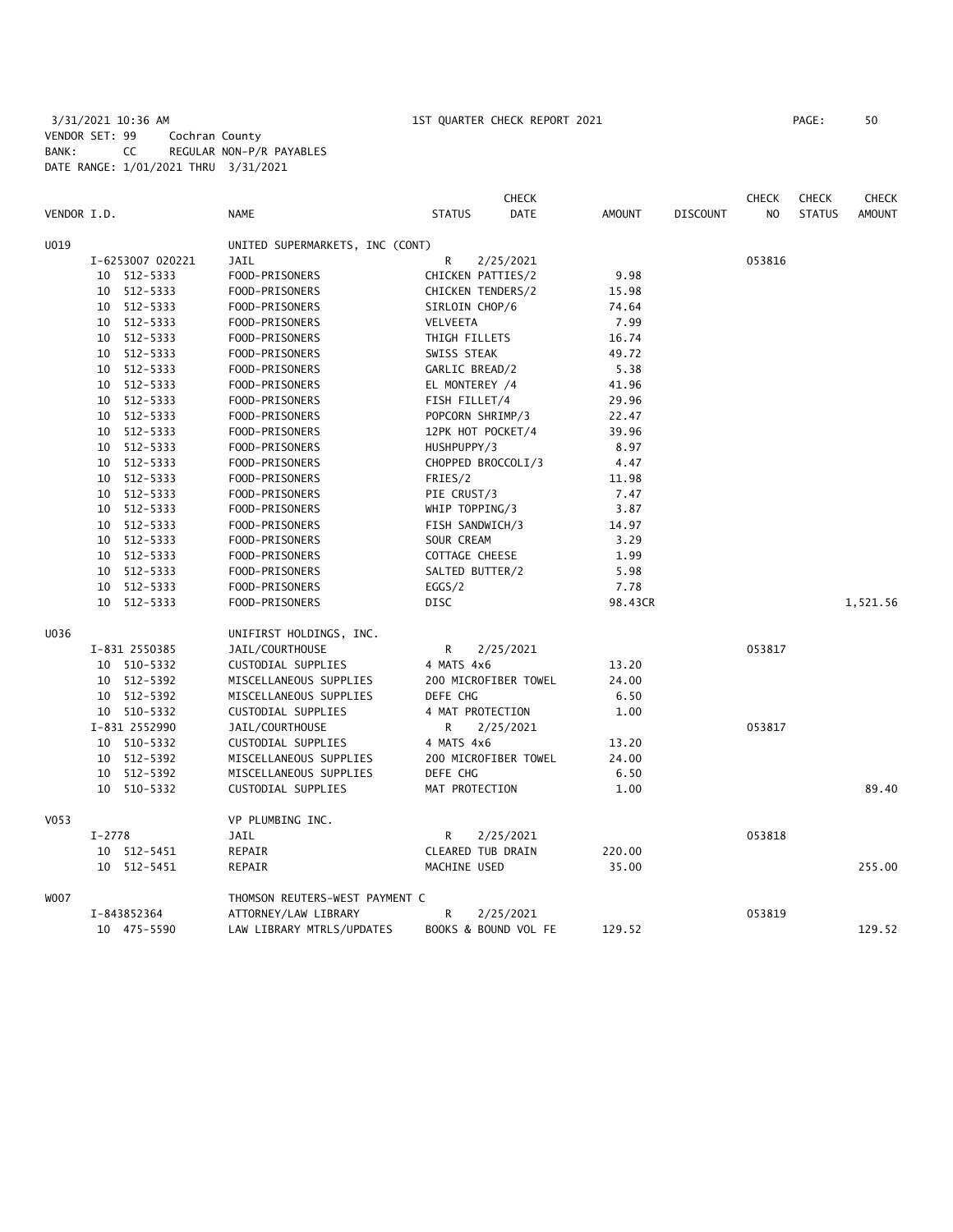# 3/31/2021 10:36 AM 1ST QUARTER CHECK REPORT 2021 PAGE: 50 VENDOR SET: 99 Cochran County BANK: CC REGULAR NON-P/R PAYABLES DATE RANGE: 1/01/2021 THRU 3/31/2021

| VENDOR I.D.      |                  | <b>NAME</b>                     | <b>STATUS</b>         | CHECK<br><b>DATE</b> | <b>AMOUNT</b> | <b>DISCOUNT</b> | <b>CHECK</b><br>N <sub>O</sub> | <b>CHECK</b><br><b>STATUS</b> | <b>CHECK</b><br><b>AMOUNT</b> |
|------------------|------------------|---------------------------------|-----------------------|----------------------|---------------|-----------------|--------------------------------|-------------------------------|-------------------------------|
| U019             |                  | UNITED SUPERMARKETS, INC (CONT) |                       |                      |               |                 |                                |                               |                               |
|                  | I-6253007 020221 | JAIL                            | R                     | 2/25/2021            |               |                 | 053816                         |                               |                               |
|                  | 10 512-5333      | FOOD-PRISONERS                  | CHICKEN PATTIES/2     |                      | 9.98          |                 |                                |                               |                               |
|                  | 10 512-5333      | FOOD-PRISONERS                  | CHICKEN TENDERS/2     |                      | 15.98         |                 |                                |                               |                               |
|                  | 10 512-5333      | FOOD-PRISONERS                  | SIRLOIN CHOP/6        |                      | 74.64         |                 |                                |                               |                               |
|                  | 10 512-5333      | FOOD-PRISONERS                  | VELVEETA              |                      | 7.99          |                 |                                |                               |                               |
|                  | 10 512-5333      | FOOD-PRISONERS                  | THIGH FILLETS         |                      | 16.74         |                 |                                |                               |                               |
|                  | 10 512-5333      | FOOD-PRISONERS                  | SWISS STEAK           |                      | 49.72         |                 |                                |                               |                               |
|                  | 10 512-5333      | FOOD-PRISONERS                  | GARLIC BREAD/2        |                      | 5.38          |                 |                                |                               |                               |
|                  | 10 512-5333      | FOOD-PRISONERS                  | EL MONTEREY /4        |                      | 41.96         |                 |                                |                               |                               |
|                  | 10 512-5333      | FOOD-PRISONERS                  | FISH FILLET/4         |                      | 29.96         |                 |                                |                               |                               |
|                  | 10 512-5333      | FOOD-PRISONERS                  | POPCORN SHRIMP/3      |                      | 22.47         |                 |                                |                               |                               |
|                  | 10 512-5333      | FOOD-PRISONERS                  | 12PK HOT POCKET/4     |                      | 39.96         |                 |                                |                               |                               |
|                  | 10 512-5333      | FOOD-PRISONERS                  | HUSHPUPPY/3           |                      | 8.97          |                 |                                |                               |                               |
|                  | 10 512-5333      | FOOD-PRISONERS                  | CHOPPED BROCCOLI/3    |                      | 4.47          |                 |                                |                               |                               |
|                  | 10 512-5333      | FOOD-PRISONERS                  | FRIES/2               |                      | 11.98         |                 |                                |                               |                               |
|                  | 10 512-5333      | FOOD-PRISONERS                  | PIE CRUST/3           |                      | 7.47          |                 |                                |                               |                               |
|                  | 10 512-5333      | FOOD-PRISONERS                  | WHIP TOPPING/3        |                      | 3.87          |                 |                                |                               |                               |
|                  | 512-5333<br>10   | FOOD-PRISONERS                  | FISH SANDWICH/3       |                      | 14.97         |                 |                                |                               |                               |
|                  | 10 512-5333      | FOOD-PRISONERS                  | SOUR CREAM            |                      | 3.29          |                 |                                |                               |                               |
|                  | 10 512-5333      | FOOD-PRISONERS                  | <b>COTTAGE CHEESE</b> |                      | 1.99          |                 |                                |                               |                               |
|                  | 10 512-5333      | FOOD-PRISONERS                  | SALTED BUTTER/2       |                      | 5.98          |                 |                                |                               |                               |
|                  | 10 512-5333      | FOOD-PRISONERS                  | EGGS/2                |                      | 7.78          |                 |                                |                               |                               |
|                  | 512-5333<br>10   | FOOD-PRISONERS                  | <b>DISC</b>           |                      | 98.43CR       |                 |                                |                               | 1,521.56                      |
| U036             |                  | UNIFIRST HOLDINGS, INC.         |                       |                      |               |                 |                                |                               |                               |
|                  | I-831 2550385    | JAIL/COURTHOUSE                 | R                     | 2/25/2021            |               |                 | 053817                         |                               |                               |
|                  | 10 510-5332      | CUSTODIAL SUPPLIES              | 4 MATS 4x6            |                      | 13.20         |                 |                                |                               |                               |
|                  | 10 512-5392      | MISCELLANEOUS SUPPLIES          |                       | 200 MICROFIBER TOWEL | 24.00         |                 |                                |                               |                               |
|                  | 10 512-5392      | MISCELLANEOUS SUPPLIES          | DEFE CHG              |                      | 6.50          |                 |                                |                               |                               |
|                  | 10 510-5332      | CUSTODIAL SUPPLIES              | 4 MAT PROTECTION      |                      | 1.00          |                 |                                |                               |                               |
|                  | I-831 2552990    | JAIL/COURTHOUSE                 | R                     | 2/25/2021            |               |                 | 053817                         |                               |                               |
|                  | 10 510-5332      | CUSTODIAL SUPPLIES              | 4 MATS 4x6            |                      | 13.20         |                 |                                |                               |                               |
|                  | 10 512-5392      | MISCELLANEOUS SUPPLIES          |                       | 200 MICROFIBER TOWEL | 24.00         |                 |                                |                               |                               |
|                  | 10 512-5392      | MISCELLANEOUS SUPPLIES          | DEFE CHG              |                      | 6.50          |                 |                                |                               |                               |
|                  | 10 510-5332      | CUSTODIAL SUPPLIES              | MAT PROTECTION        |                      | 1.00          |                 |                                |                               | 89.40                         |
| V <sub>053</sub> |                  | VP PLUMBING INC.                |                       |                      |               |                 |                                |                               |                               |
|                  | $I-2778$         | JAIL                            | R                     | 2/25/2021            |               |                 | 053818                         |                               |                               |
|                  | 10 512-5451      | REPAIR                          | CLEARED TUB DRAIN     |                      | 220.00        |                 |                                |                               |                               |
|                  | 10<br>512-5451   | REPAIR                          | MACHINE USED          |                      | 35.00         |                 |                                |                               | 255.00                        |
| <b>WOO7</b>      |                  | THOMSON REUTERS-WEST PAYMENT C  |                       |                      |               |                 |                                |                               |                               |
|                  | I-843852364      | ATTORNEY/LAW LIBRARY            | R                     | 2/25/2021            |               |                 | 053819                         |                               |                               |
|                  | 10 475-5590      | LAW LIBRARY MTRLS/UPDATES       |                       | BOOKS & BOUND VOL FE | 129.52        |                 |                                |                               | 129.52                        |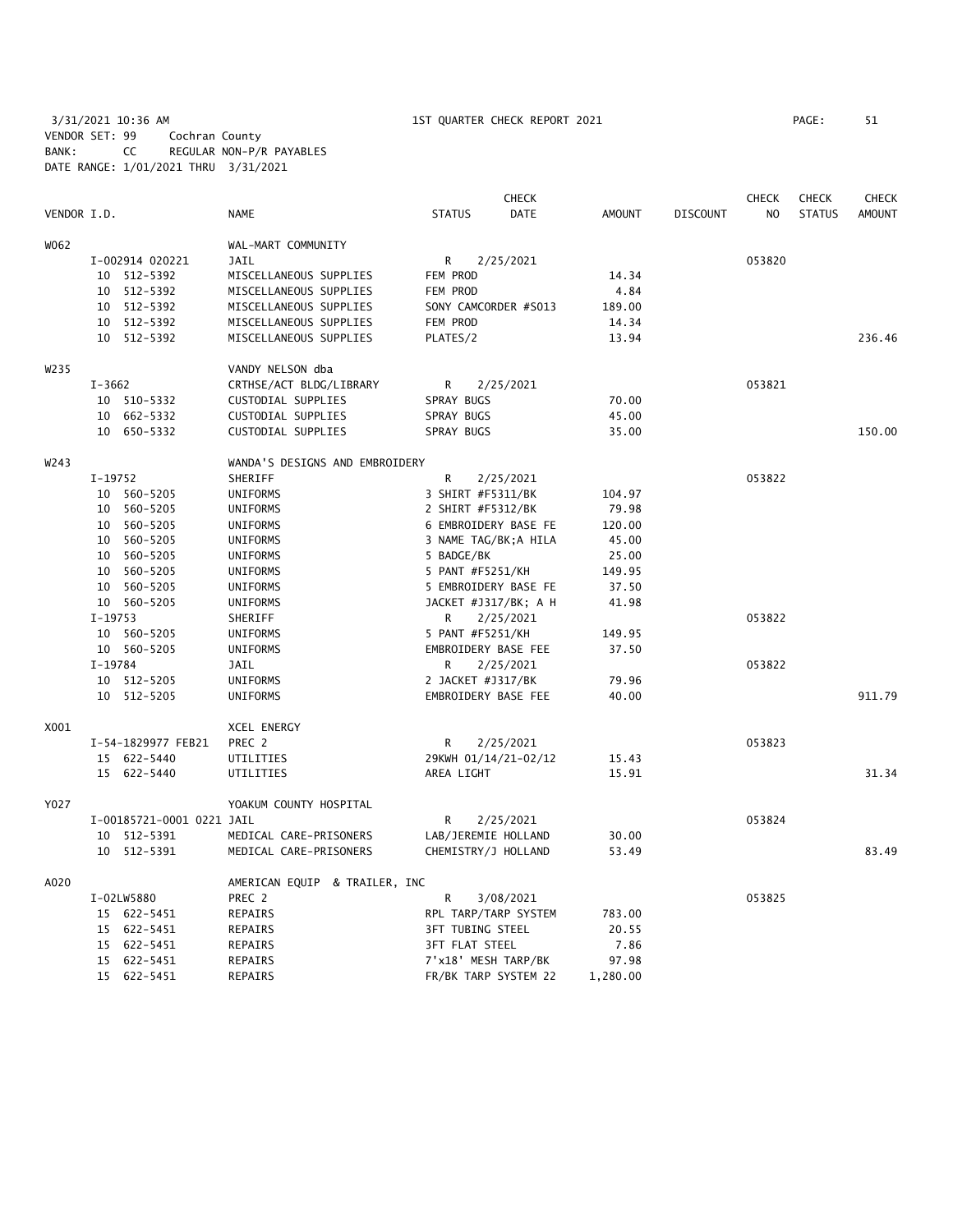3/31/2021 10:36 AM 1ST QUARTER CHECK REPORT 2021 PAGE: 51 VENDOR SET: 99 Cochran County BANK: CC REGULAR NON-P/R PAYABLES DATE RANGE: 1/01/2021 THRU 3/31/2021

|                  |            |                           |                                |                       | CHECK       |               |                 | <b>CHECK</b> | <b>CHECK</b>  | <b>CHECK</b>  |
|------------------|------------|---------------------------|--------------------------------|-----------------------|-------------|---------------|-----------------|--------------|---------------|---------------|
| VENDOR I.D.      |            |                           | NAME                           | <b>STATUS</b>         | <b>DATE</b> | <b>AMOUNT</b> | <b>DISCOUNT</b> | NO.          | <b>STATUS</b> | <b>AMOUNT</b> |
| W062             |            |                           | WAL-MART COMMUNITY             |                       |             |               |                 |              |               |               |
|                  |            | I-002914 020221           | JAIL                           | R                     | 2/25/2021   |               |                 | 053820       |               |               |
|                  |            | 10 512-5392               | MISCELLANEOUS SUPPLIES         | FEM PROD              |             | 14.34         |                 |              |               |               |
|                  |            | 10 512-5392               | MISCELLANEOUS SUPPLIES         | FEM PROD              |             | 4.84          |                 |              |               |               |
|                  |            | 10 512-5392               | MISCELLANEOUS SUPPLIES         | SONY CAMCORDER #S013  |             | 189.00        |                 |              |               |               |
|                  |            | 10 512-5392               | MISCELLANEOUS SUPPLIES         | FEM PROD              |             | 14.34         |                 |              |               |               |
|                  |            | 10 512-5392               | MISCELLANEOUS SUPPLIES         | PLATES/2              |             | 13.94         |                 |              |               | 236.46        |
| W <sub>235</sub> |            |                           | VANDY NELSON dba               |                       |             |               |                 |              |               |               |
|                  | $I - 3662$ |                           | CRTHSE/ACT BLDG/LIBRARY        | R                     | 2/25/2021   |               |                 | 053821       |               |               |
|                  |            | 10 510-5332               | CUSTODIAL SUPPLIES             | SPRAY BUGS            |             | 70.00         |                 |              |               |               |
|                  |            | 10 662-5332               | CUSTODIAL SUPPLIES             | SPRAY BUGS            |             | 45.00         |                 |              |               |               |
|                  |            | 10 650-5332               | CUSTODIAL SUPPLIES             | SPRAY BUGS            |             | 35.00         |                 |              |               | 150.00        |
|                  |            |                           |                                |                       |             |               |                 |              |               |               |
| W243             |            |                           | WANDA'S DESIGNS AND EMBROIDERY |                       |             |               |                 |              |               |               |
|                  | $I-19752$  |                           | SHERIFF                        | R                     | 2/25/2021   |               |                 | 053822       |               |               |
|                  |            | 10 560-5205               | UNIFORMS                       | 3 SHIRT #F5311/BK     |             | 104.97        |                 |              |               |               |
|                  |            | 10 560-5205               | UNIFORMS                       | 2 SHIRT #F5312/BK     |             | 79.98         |                 |              |               |               |
|                  |            | 10 560-5205               | UNIFORMS                       | 6 EMBROIDERY BASE FE  |             | 120.00        |                 |              |               |               |
|                  |            | 10 560-5205               | UNIFORMS                       | 3 NAME TAG/BK; A HILA |             | 45.00         |                 |              |               |               |
|                  |            | 10 560-5205               | UNIFORMS                       | 5 BADGE/BK            |             | 25.00         |                 |              |               |               |
|                  |            | 10 560-5205               | UNIFORMS                       | 5 PANT #F5251/KH      |             | 149.95        |                 |              |               |               |
|                  |            | 10 560-5205               | UNIFORMS                       | 5 EMBROIDERY BASE FE  |             | 37.50         |                 |              |               |               |
|                  |            | 10 560-5205               | UNIFORMS                       | JACKET #J317/BK; A H  |             | 41.98         |                 |              |               |               |
|                  | $I-19753$  |                           | SHERIFF                        | R                     | 2/25/2021   |               |                 | 053822       |               |               |
|                  |            | 10 560-5205               | UNIFORMS                       | 5 PANT #F5251/KH      |             | 149.95        |                 |              |               |               |
|                  |            | 10 560-5205               | UNIFORMS                       | EMBROIDERY BASE FEE   |             | 37.50         |                 |              |               |               |
|                  | $I-19784$  |                           | JAIL                           | R                     | 2/25/2021   |               |                 | 053822       |               |               |
|                  |            | 10 512-5205               | UNIFORMS                       | 2 JACKET #J317/BK     |             | 79.96         |                 |              |               |               |
|                  |            | 10 512-5205               | UNIFORMS                       | EMBROIDERY BASE FEE   |             | 40.00         |                 |              |               | 911.79        |
| X001             |            |                           | <b>XCEL ENERGY</b>             |                       |             |               |                 |              |               |               |
|                  |            | I-54-1829977 FEB21        | PREC 2                         | R                     | 2/25/2021   |               |                 | 053823       |               |               |
|                  |            | 15 622-5440               | UTILITIES                      | 29KWH 01/14/21-02/12  |             | 15.43         |                 |              |               |               |
|                  |            | 15 622-5440               | UTILITIES                      | AREA LIGHT            |             | 15.91         |                 |              |               | 31.34         |
| Y027             |            |                           | YOAKUM COUNTY HOSPITAL         |                       |             |               |                 |              |               |               |
|                  |            | I-00185721-0001 0221 JAIL |                                | R                     | 2/25/2021   |               |                 | 053824       |               |               |
|                  |            | 10 512-5391               | MEDICAL CARE-PRISONERS         | LAB/JEREMIE HOLLAND   |             | 30.00         |                 |              |               |               |
|                  |            | 10 512-5391               | MEDICAL CARE-PRISONERS         | CHEMISTRY/J HOLLAND   |             | 53.49         |                 |              |               | 83.49         |
| A020             |            |                           | AMERICAN EQUIP & TRAILER, INC  |                       |             |               |                 |              |               |               |
|                  |            | I-02LW5880                | PREC 2                         | R                     | 3/08/2021   |               |                 | 053825       |               |               |
|                  |            | 15 622-5451               | REPAIRS                        | RPL TARP/TARP SYSTEM  |             | 783.00        |                 |              |               |               |
|                  |            | 15 622-5451               | REPAIRS                        | 3FT TUBING STEEL      |             | 20.55         |                 |              |               |               |
|                  |            | 15 622-5451               | REPAIRS                        | <b>3FT FLAT STEEL</b> |             | 7.86          |                 |              |               |               |
|                  |            | 15 622-5451               | REPAIRS                        | 7'x18' MESH TARP/BK   |             | 97.98         |                 |              |               |               |
|                  |            | 15 622-5451               | <b>REPAIRS</b>                 | FR/BK TARP SYSTEM 22  |             | 1,280.00      |                 |              |               |               |
|                  |            |                           |                                |                       |             |               |                 |              |               |               |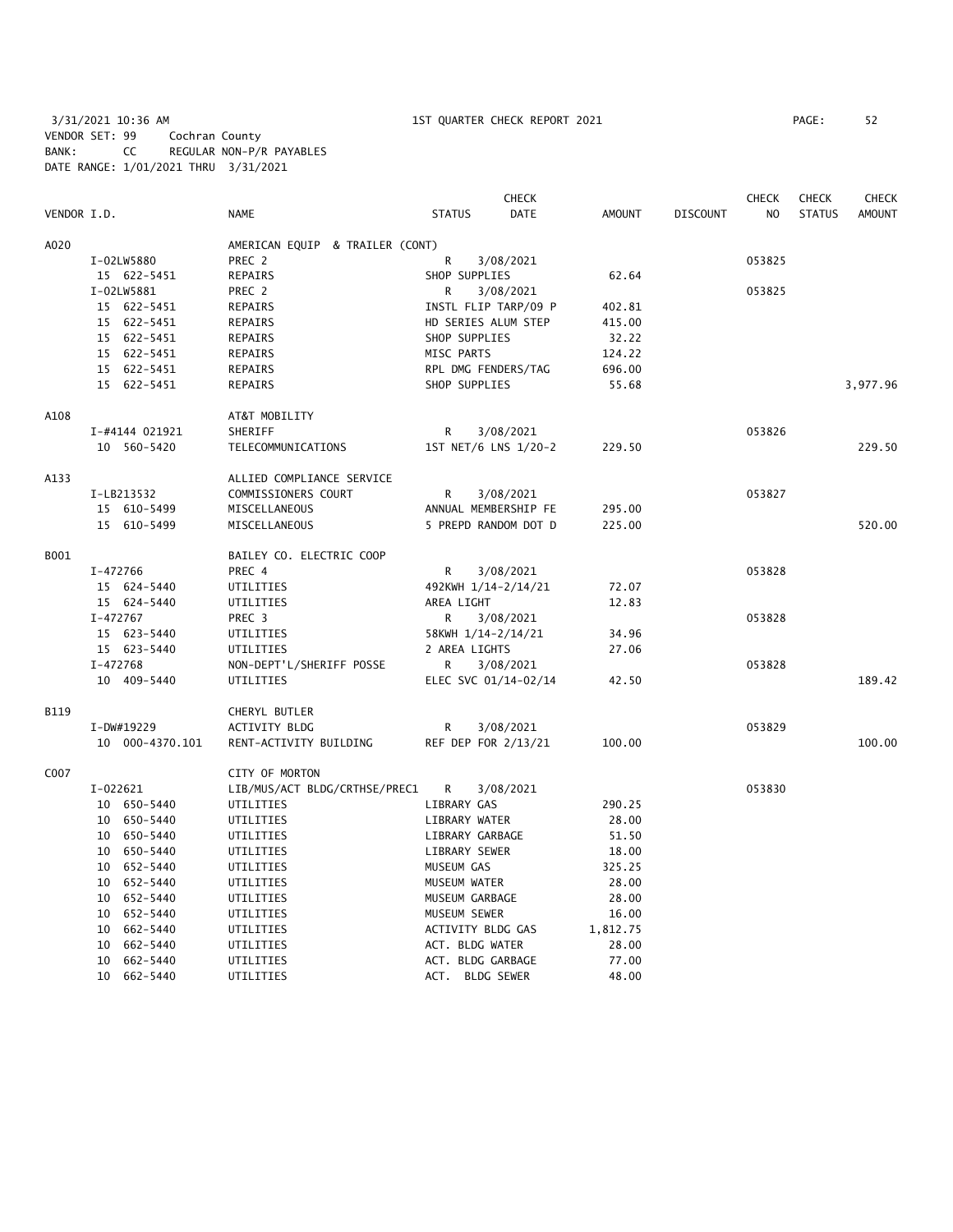3/31/2021 10:36 AM 1ST QUARTER CHECK REPORT 2021 PAGE: 52 VENDOR SET: 99 Cochran County BANK: CC REGULAR NON-P/R PAYABLES DATE RANGE: 1/01/2021 THRU 3/31/2021

|             |                 |                                 |                     | <b>CHECK</b>         |          |                 | <b>CHECK</b>   | <b>CHECK</b>  | <b>CHECK</b>  |
|-------------|-----------------|---------------------------------|---------------------|----------------------|----------|-----------------|----------------|---------------|---------------|
| VENDOR I.D. |                 | <b>NAME</b>                     | <b>STATUS</b>       | <b>DATE</b>          | AMOUNT   | <b>DISCOUNT</b> | N <sub>O</sub> | <b>STATUS</b> | <b>AMOUNT</b> |
| A020        |                 | AMERICAN EQUIP & TRAILER (CONT) |                     |                      |          |                 |                |               |               |
|             | I-02LW5880      | PREC 2                          | R                   | 3/08/2021            |          |                 | 053825         |               |               |
|             | 15 622-5451     | REPAIRS                         | SHOP SUPPLIES       |                      | 62.64    |                 |                |               |               |
|             | I-02LW5881      | PREC 2                          | R                   | 3/08/2021            |          |                 | 053825         |               |               |
|             | 15 622-5451     | REPAIRS                         |                     | INSTL FLIP TARP/09 P | 402.81   |                 |                |               |               |
|             | 15 622-5451     | REPAIRS                         | HD SERIES ALUM STEP |                      | 415.00   |                 |                |               |               |
|             | 15 622-5451     | REPAIRS                         | SHOP SUPPLIES       |                      | 32.22    |                 |                |               |               |
|             | 15 622-5451     | REPAIRS                         | MISC PARTS          |                      | 124.22   |                 |                |               |               |
|             | 15 622-5451     | REPAIRS                         | RPL DMG FENDERS/TAG |                      | 696.00   |                 |                |               |               |
|             | 15 622-5451     | REPAIRS                         | SHOP SUPPLIES       |                      | 55.68    |                 |                |               | 3,977.96      |
| A108        |                 | AT&T MOBILITY                   |                     |                      |          |                 |                |               |               |
|             | I-#4144 021921  | SHERIFF                         | R                   | 3/08/2021            |          |                 | 053826         |               |               |
|             | 10 560-5420     | TELECOMMUNICATIONS              |                     | 1ST NET/6 LNS 1/20-2 | 229.50   |                 |                |               | 229.50        |
| A133        |                 | ALLIED COMPLIANCE SERVICE       |                     |                      |          |                 |                |               |               |
|             | I-LB213532      | COMMISSIONERS COURT             | R                   | 3/08/2021            |          |                 | 053827         |               |               |
|             | 15 610-5499     | MISCELLANEOUS                   |                     | ANNUAL MEMBERSHIP FE | 295.00   |                 |                |               |               |
|             | 15 610-5499     | MISCELLANEOUS                   |                     | 5 PREPD RANDOM DOT D | 225.00   |                 |                |               | 520.00        |
| B001        |                 | BAILEY CO. ELECTRIC COOP        |                     |                      |          |                 |                |               |               |
|             | I-472766        | PREC 4                          | R                   | 3/08/2021            |          |                 | 053828         |               |               |
|             | 15 624-5440     | UTILITIES                       |                     | 492KWH 1/14-2/14/21  | 72.07    |                 |                |               |               |
|             | 15 624-5440     | UTILITIES                       | AREA LIGHT          |                      | 12.83    |                 |                |               |               |
|             | I-472767        | PREC 3                          | R                   | 3/08/2021            |          |                 | 053828         |               |               |
|             | 15 623-5440     | UTILITIES                       | 58KWH 1/14-2/14/21  |                      | 34.96    |                 |                |               |               |
|             | 15 623-5440     | UTILITIES                       | 2 AREA LIGHTS       |                      | 27.06    |                 |                |               |               |
|             | I-472768        | NON-DEPT'L/SHERIFF POSSE        | R                   | 3/08/2021            |          |                 | 053828         |               |               |
|             | 10 409-5440     | UTILITIES                       |                     | ELEC SVC 01/14-02/14 | 42.50    |                 |                |               | 189.42        |
| B119        |                 | CHERYL BUTLER                   |                     |                      |          |                 |                |               |               |
|             | I-DW#19229      | ACTIVITY BLDG                   | R                   | 3/08/2021            |          |                 | 053829         |               |               |
|             | 10 000-4370.101 | RENT-ACTIVITY BUILDING          |                     | REF DEP FOR 2/13/21  | 100.00   |                 |                |               | 100.00        |
| C007        |                 | CITY OF MORTON                  |                     |                      |          |                 |                |               |               |
|             | $I-022621$      | LIB/MUS/ACT BLDG/CRTHSE/PREC1   | R                   | 3/08/2021            |          |                 | 053830         |               |               |
|             | 10 650-5440     | UTILITIES                       | LIBRARY GAS         |                      | 290.25   |                 |                |               |               |
|             | 10 650-5440     | UTILITIES                       | LIBRARY WATER       |                      | 28.00    |                 |                |               |               |
|             | 10 650-5440     | UTILITIES                       | LIBRARY GARBAGE     |                      | 51.50    |                 |                |               |               |
|             | 10 650-5440     | UTILITIES                       | LIBRARY SEWER       |                      | 18.00    |                 |                |               |               |
|             | 10 652-5440     | UTILITIES                       | MUSEUM GAS          |                      | 325.25   |                 |                |               |               |
|             | 10 652-5440     | UTILITIES                       | MUSEUM WATER        |                      | 28.00    |                 |                |               |               |
|             | 10 652-5440     | UTILITIES                       | MUSEUM GARBAGE      |                      | 28.00    |                 |                |               |               |
|             | 10 652-5440     | UTILITIES                       | MUSEUM SEWER        |                      | 16.00    |                 |                |               |               |
|             | 10 662-5440     | UTILITIES                       | ACTIVITY BLDG GAS   |                      | 1,812.75 |                 |                |               |               |
|             | 10 662-5440     | UTILITIES                       | ACT. BLDG WATER     |                      | 28.00    |                 |                |               |               |
|             | 10 662-5440     | UTILITIES                       | ACT. BLDG GARBAGE   |                      | 77.00    |                 |                |               |               |

10 662-5440 UTILITIES ACT. BLDG SEWER 48.00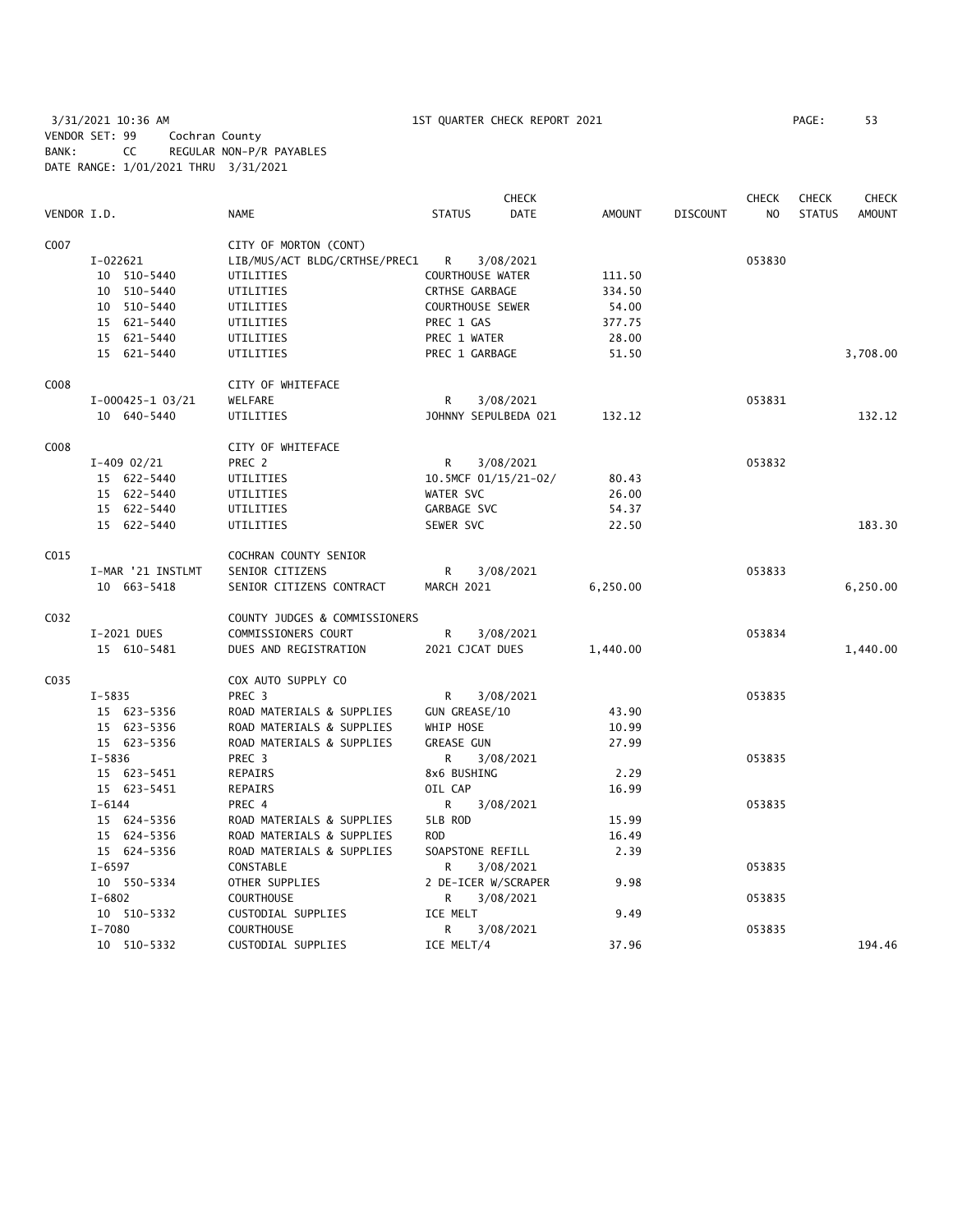3/31/2021 10:36 AM 1ST QUARTER CHECK REPORT 2021 PAGE: 53 VENDOR SET: 99 Cochran County BANK: CC REGULAR NON-P/R PAYABLES DATE RANGE: 1/01/2021 THRU 3/31/2021

|             |                    |                               |                         | <b>CHECK</b> |               |                 | <b>CHECK</b> | <b>CHECK</b>  | CHECK         |
|-------------|--------------------|-------------------------------|-------------------------|--------------|---------------|-----------------|--------------|---------------|---------------|
| VENDOR I.D. |                    | <b>NAME</b>                   | <b>STATUS</b>           | <b>DATE</b>  | <b>AMOUNT</b> | <b>DISCOUNT</b> | NO           | <b>STATUS</b> | <b>AMOUNT</b> |
| C007        |                    | CITY OF MORTON (CONT)         |                         |              |               |                 |              |               |               |
|             | I-022621           | LIB/MUS/ACT BLDG/CRTHSE/PREC1 | R.                      | 3/08/2021    |               |                 | 053830       |               |               |
|             | 10 510-5440        | UTILITIES                     | <b>COURTHOUSE WATER</b> |              | 111.50        |                 |              |               |               |
|             | 10 510-5440        | UTILITIES                     | CRTHSE GARBAGE          |              | 334.50        |                 |              |               |               |
|             | 10 510-5440        | UTILITIES                     | COURTHOUSE SEWER        |              | 54.00         |                 |              |               |               |
|             | 15 621-5440        | UTILITIES                     | PREC 1 GAS              |              | 377.75        |                 |              |               |               |
|             | 15 621-5440        | UTILITIES                     | PREC 1 WATER            |              | 28.00         |                 |              |               |               |
|             | 15 621-5440        | UTILITIES                     | PREC 1 GARBAGE          |              | 51.50         |                 |              |               | 3,708.00      |
| C008        |                    | CITY OF WHITEFACE             |                         |              |               |                 |              |               |               |
|             | $I-000425-1$ 03/21 | WELFARE                       | R                       | 3/08/2021    |               |                 | 053831       |               |               |
|             | 10 640-5440        | UTILITIES                     | JOHNNY SEPULBEDA 021    |              | 132.12        |                 |              |               | 132.12        |
| C008        |                    | CITY OF WHITEFACE             |                         |              |               |                 |              |               |               |
|             | $I-409$ 02/21      | PREC 2                        | R                       | 3/08/2021    |               |                 | 053832       |               |               |
|             | 15 622-5440        | UTILITIES                     | 10.5MCF 01/15/21-02/    |              | 80.43         |                 |              |               |               |
|             | 15 622-5440        | UTILITIES                     | WATER SVC               |              | 26.00         |                 |              |               |               |
|             | 15 622-5440        | UTILITIES                     | GARBAGE SVC             |              | 54.37         |                 |              |               |               |
|             | 15 622-5440        | UTILITIES                     | SEWER SVC               |              | 22.50         |                 |              |               | 183.30        |
| C015        |                    | COCHRAN COUNTY SENIOR         |                         |              |               |                 |              |               |               |
|             | I-MAR '21 INSTLMT  | SENIOR CITIZENS               | R                       | 3/08/2021    |               |                 | 053833       |               |               |
|             | 10 663-5418        | SENIOR CITIZENS CONTRACT      | MARCH 2021              |              | 6,250.00      |                 |              |               | 6,250.00      |
| C032        |                    | COUNTY JUDGES & COMMISSIONERS |                         |              |               |                 |              |               |               |
|             | I-2021 DUES        | COMMISSIONERS COURT           | R                       | 3/08/2021    |               |                 | 053834       |               |               |
|             | 15 610-5481        | DUES AND REGISTRATION         | 2021 CJCAT DUES         |              | 1,440.00      |                 |              |               | 1,440.00      |
| C035        |                    | COX AUTO SUPPLY CO            |                         |              |               |                 |              |               |               |
|             | $I - 5835$         | PREC 3                        | R                       | 3/08/2021    |               |                 | 053835       |               |               |
|             | 15 623-5356        | ROAD MATERIALS & SUPPLIES     | GUN GREASE/10           |              | 43.90         |                 |              |               |               |
|             | 15 623-5356        | ROAD MATERIALS & SUPPLIES     | WHIP HOSE               |              | 10.99         |                 |              |               |               |
|             | 15 623-5356        | ROAD MATERIALS & SUPPLIES     | <b>GREASE GUN</b>       |              | 27.99         |                 |              |               |               |
|             | $I - 5836$         | PREC <sub>3</sub>             | R                       | 3/08/2021    |               |                 | 053835       |               |               |
|             | 15 623-5451        | <b>REPAIRS</b>                | 8x6 BUSHING             |              | 2.29          |                 |              |               |               |
|             | 15 623-5451        | REPAIRS                       | OIL CAP                 |              | 16.99         |                 |              |               |               |
|             | $I - 6144$         | PREC 4                        | R                       | 3/08/2021    |               |                 | 053835       |               |               |
|             | 15 624-5356        | ROAD MATERIALS & SUPPLIES     | 5LB ROD                 |              | 15.99         |                 |              |               |               |
|             | 15 624-5356        | ROAD MATERIALS & SUPPLIES     | <b>ROD</b>              |              | 16.49         |                 |              |               |               |
|             | 15 624-5356        | ROAD MATERIALS & SUPPLIES     | SOAPSTONE REFILL        |              | 2.39          |                 |              |               |               |
|             | $I - 6597$         | CONSTABLE                     | R                       | 3/08/2021    |               |                 | 053835       |               |               |
|             | 10 550-5334        | OTHER SUPPLIES                | 2 DE-ICER W/SCRAPER     |              | 9.98          |                 |              |               |               |
|             | $I - 6802$         | <b>COURTHOUSE</b>             | R                       | 3/08/2021    |               |                 | 053835       |               |               |
|             | 10 510-5332        | CUSTODIAL SUPPLIES            | ICE MELT                |              | 9.49          |                 |              |               |               |
|             | I-7080             | <b>COURTHOUSE</b>             | R                       | 3/08/2021    |               |                 | 053835       |               |               |
|             | 10 510-5332        | CUSTODIAL SUPPLIES            | ICE MELT/4              |              | 37.96         |                 |              |               | 194.46        |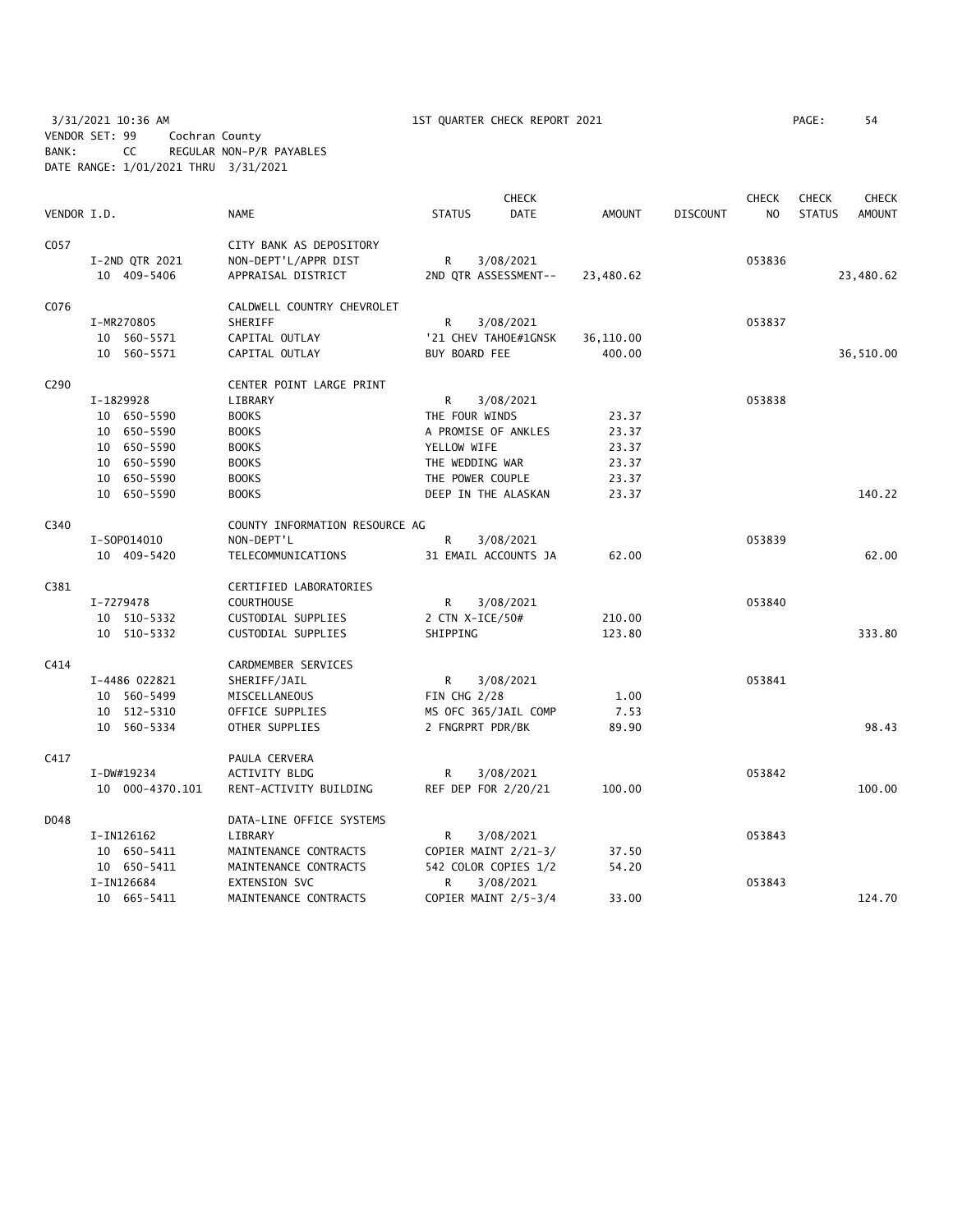3/31/2021 10:36 AM 1ST QUARTER CHECK REPORT 2021 PAGE: 54 VENDOR SET: 99 Cochran County BANK: CC REGULAR NON-P/R PAYABLES DATE RANGE: 1/01/2021 THRU 3/31/2021

|             |                 |                                |                      | <b>CHECK</b> |               |                 | <b>CHECK</b>   | <b>CHECK</b>  | <b>CHECK</b>  |
|-------------|-----------------|--------------------------------|----------------------|--------------|---------------|-----------------|----------------|---------------|---------------|
| VENDOR I.D. |                 | <b>NAME</b>                    | <b>STATUS</b>        | <b>DATE</b>  | <b>AMOUNT</b> | <b>DISCOUNT</b> | N <sub>O</sub> | <b>STATUS</b> | <b>AMOUNT</b> |
| C057        |                 | CITY BANK AS DEPOSITORY        |                      |              |               |                 |                |               |               |
|             | I-2ND QTR 2021  | NON-DEPT'L/APPR DIST           | R                    | 3/08/2021    |               |                 | 053836         |               |               |
|             | 10 409-5406     | APPRAISAL DISTRICT             | 2ND QTR ASSESSMENT-- |              | 23,480.62     |                 |                |               | 23,480.62     |
| C076        |                 | CALDWELL COUNTRY CHEVROLET     |                      |              |               |                 |                |               |               |
|             | I-MR270805      | SHERIFF                        | R                    | 3/08/2021    |               |                 | 053837         |               |               |
|             | 10 560-5571     | CAPITAL OUTLAY                 | '21 CHEV TAHOE#1GNSK |              | 36,110.00     |                 |                |               |               |
|             | 10 560-5571     | CAPITAL OUTLAY                 | BUY BOARD FEE        |              | 400.00        |                 |                |               | 36,510.00     |
| C290        |                 | CENTER POINT LARGE PRINT       |                      |              |               |                 |                |               |               |
|             | I-1829928       | LIBRARY                        | R                    | 3/08/2021    |               |                 | 053838         |               |               |
|             | 10 650-5590     | <b>BOOKS</b>                   | THE FOUR WINDS       |              | 23.37         |                 |                |               |               |
|             | 10 650-5590     | <b>BOOKS</b>                   | A PROMISE OF ANKLES  |              | 23.37         |                 |                |               |               |
|             | 10 650-5590     | <b>BOOKS</b>                   | YELLOW WIFE          |              | 23.37         |                 |                |               |               |
|             | 10 650-5590     | <b>BOOKS</b>                   | THE WEDDING WAR      |              | 23.37         |                 |                |               |               |
|             | 10 650-5590     | <b>BOOKS</b>                   | THE POWER COUPLE     |              | 23.37         |                 |                |               |               |
|             | 10 650-5590     | <b>BOOKS</b>                   | DEEP IN THE ALASKAN  |              | 23.37         |                 |                |               | 140.22        |
| C340        |                 | COUNTY INFORMATION RESOURCE AG |                      |              |               |                 |                |               |               |
|             | I-S0P014010     | NON-DEPT'L                     | R.                   | 3/08/2021    |               |                 | 053839         |               |               |
|             | 10 409-5420     | TELECOMMUNICATIONS             | 31 EMAIL ACCOUNTS JA |              | 62.00         |                 |                |               | 62.00         |
| C381        |                 | CERTIFIED LABORATORIES         |                      |              |               |                 |                |               |               |
|             | I-7279478       | <b>COURTHOUSE</b>              | R.                   | 3/08/2021    |               |                 | 053840         |               |               |
|             | 10 510-5332     | CUSTODIAL SUPPLIES             | 2 CTN X-ICE/50#      |              | 210.00        |                 |                |               |               |
|             | 10 510-5332     | CUSTODIAL SUPPLIES             | SHIPPING             |              | 123.80        |                 |                |               | 333.80        |
| C414        |                 | CARDMEMBER SERVICES            |                      |              |               |                 |                |               |               |
|             | I-4486 022821   | SHERIFF/JAIL                   | R                    | 3/08/2021    |               |                 | 053841         |               |               |
|             | 10 560-5499     | MISCELLANEOUS                  | FIN CHG 2/28         |              | 1.00          |                 |                |               |               |
|             | 10 512-5310     | OFFICE SUPPLIES                | MS OFC 365/JAIL COMP |              | 7.53          |                 |                |               |               |
|             | 10 560-5334     | OTHER SUPPLIES                 | 2 FNGRPRT PDR/BK     |              | 89.90         |                 |                |               | 98.43         |
| C417        |                 | PAULA CERVERA                  |                      |              |               |                 |                |               |               |
|             | I-DW#19234      | <b>ACTIVITY BLDG</b>           | R                    | 3/08/2021    |               |                 | 053842         |               |               |
|             | 10 000-4370.101 | RENT-ACTIVITY BUILDING         | REF DEP FOR 2/20/21  |              | 100.00        |                 |                |               | 100.00        |
| D048        |                 | DATA-LINE OFFICE SYSTEMS       |                      |              |               |                 |                |               |               |
|             | I-IN126162      | LIBRARY                        | R                    | 3/08/2021    |               |                 | 053843         |               |               |
|             | 10 650-5411     | MAINTENANCE CONTRACTS          | COPIER MAINT 2/21-3/ |              | 37.50         |                 |                |               |               |
|             | 10 650-5411     | MAINTENANCE CONTRACTS          | 542 COLOR COPIES 1/2 |              | 54.20         |                 |                |               |               |
|             | I-IN126684      | EXTENSION SVC                  | R                    | 3/08/2021    |               |                 | 053843         |               |               |
|             | 10 665-5411     | MAINTENANCE CONTRACTS          | COPIER MAINT 2/5-3/4 |              | 33.00         |                 |                |               | 124.70        |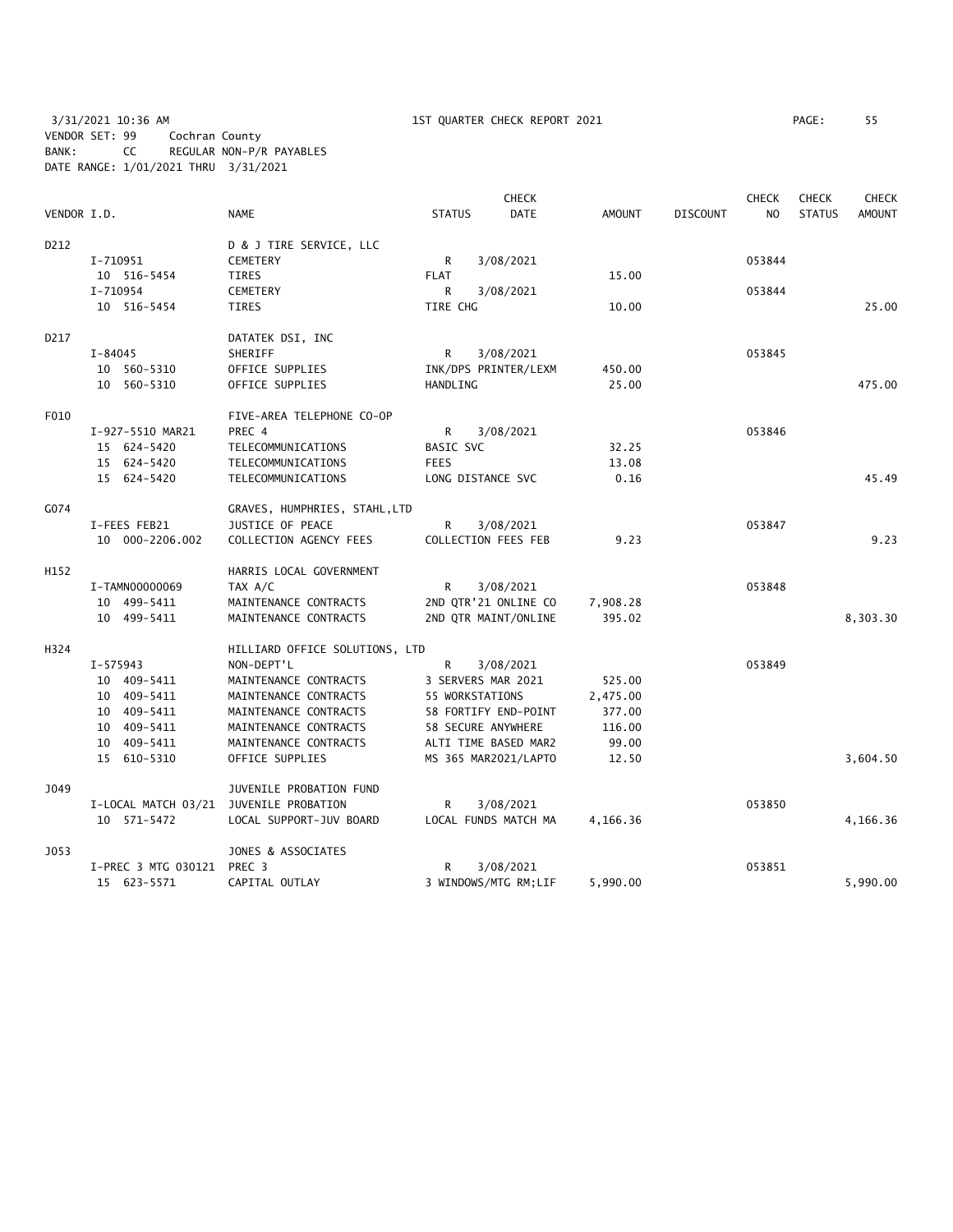3/31/2021 10:36 AM 1ST QUARTER CHECK REPORT 2021 PAGE: 55 VENDOR SET: 99 Cochran County BANK: CC REGULAR NON-P/R PAYABLES DATE RANGE: 1/01/2021 THRU 3/31/2021

|             |                     | <b>CHECK</b><br><b>CHECK</b><br><b>CHECK</b> |                 |                      |               |                 |                |               | <b>CHECK</b>  |
|-------------|---------------------|----------------------------------------------|-----------------|----------------------|---------------|-----------------|----------------|---------------|---------------|
| VENDOR I.D. |                     | <b>NAME</b>                                  | <b>STATUS</b>   | <b>DATE</b>          | <b>AMOUNT</b> | <b>DISCOUNT</b> | N <sub>O</sub> | <b>STATUS</b> | <b>AMOUNT</b> |
| D212        |                     | D & J TIRE SERVICE, LLC                      |                 |                      |               |                 |                |               |               |
|             | I-710951            | <b>CEMETERY</b>                              | R               | 3/08/2021            |               |                 | 053844         |               |               |
|             | 10 516-5454         | <b>TIRES</b>                                 | <b>FLAT</b>     |                      | 15.00         |                 |                |               |               |
|             | I-710954            | <b>CEMETERY</b>                              | R               | 3/08/2021            |               |                 | 053844         |               |               |
|             | 10 516-5454         | TIRES                                        | TIRE CHG        |                      | 10.00         |                 |                |               | 25.00         |
| D217        |                     | DATATEK DSI, INC                             |                 |                      |               |                 |                |               |               |
|             | $I - 84045$         | SHERIFF                                      | R               | 3/08/2021            |               |                 | 053845         |               |               |
|             | 10 560-5310         | OFFICE SUPPLIES                              |                 | INK/DPS PRINTER/LEXM | 450.00        |                 |                |               |               |
|             | 10 560-5310         | OFFICE SUPPLIES                              | HANDLING        |                      | 25.00         |                 |                |               | 475.00        |
| F010        |                     | FIVE-AREA TELEPHONE CO-OP                    |                 |                      |               |                 |                |               |               |
|             | I-927-5510 MAR21    | PREC 4                                       | R               | 3/08/2021            |               |                 | 053846         |               |               |
|             | 15 624-5420         | TELECOMMUNICATIONS                           | BASIC SVC       |                      | 32.25         |                 |                |               |               |
|             | 15 624-5420         | TELECOMMUNICATIONS                           | <b>FEES</b>     |                      | 13.08         |                 |                |               |               |
|             | 15 624-5420         | TELECOMMUNICATIONS                           |                 | LONG DISTANCE SVC    | 0.16          |                 |                |               | 45.49         |
| G074        |                     | GRAVES, HUMPHRIES, STAHL, LTD                |                 |                      |               |                 |                |               |               |
|             | I-FEES FEB21        | JUSTICE OF PEACE                             | R               | 3/08/2021            |               |                 | 053847         |               |               |
|             | 10 000-2206.002     | COLLECTION AGENCY FEES                       |                 | COLLECTION FEES FEB  | 9.23          |                 |                |               | 9.23          |
| H152        |                     | HARRIS LOCAL GOVERNMENT                      |                 |                      |               |                 |                |               |               |
|             | I-TAMN00000069      | TAX A/C                                      | R               | 3/08/2021            |               |                 | 053848         |               |               |
|             | 10 499-5411         | MAINTENANCE CONTRACTS                        |                 | 2ND QTR'21 ONLINE CO | 7,908.28      |                 |                |               |               |
|             | 10 499-5411         | MAINTENANCE CONTRACTS                        |                 | 2ND QTR MAINT/ONLINE | 395.02        |                 |                |               | 8,303.30      |
| H324        |                     | HILLIARD OFFICE SOLUTIONS, LTD               |                 |                      |               |                 |                |               |               |
|             | I-575943            | NON-DEPT'L                                   | R               | 3/08/2021            |               |                 | 053849         |               |               |
|             | 10 409-5411         | MAINTENANCE CONTRACTS                        |                 | 3 SERVERS MAR 2021   | 525.00        |                 |                |               |               |
|             | 10 409-5411         | MAINTENANCE CONTRACTS                        | 55 WORKSTATIONS |                      | 2,475.00      |                 |                |               |               |
|             | 10 409-5411         | MAINTENANCE CONTRACTS                        |                 | 58 FORTIFY END-POINT | 377.00        |                 |                |               |               |
|             | 10 409-5411         | MAINTENANCE CONTRACTS                        |                 | 58 SECURE ANYWHERE   | 116.00        |                 |                |               |               |
|             | 10 409-5411         | MAINTENANCE CONTRACTS                        |                 | ALTI TIME BASED MAR2 | 99.00         |                 |                |               |               |
|             | 15 610-5310         | OFFICE SUPPLIES                              |                 | MS 365 MAR2021/LAPTO | 12.50         |                 |                |               | 3,604.50      |
| J049        |                     | JUVENILE PROBATION FUND                      |                 |                      |               |                 |                |               |               |
|             | I-LOCAL MATCH 03/21 | JUVENILE PROBATION                           | R               | 3/08/2021            |               |                 | 053850         |               |               |
|             | 10 571-5472         | LOCAL SUPPORT-JUV BOARD                      |                 | LOCAL FUNDS MATCH MA | 4,166.36      |                 |                |               | 4,166.36      |
| J053        |                     | JONES & ASSOCIATES                           |                 |                      |               |                 |                |               |               |
|             | I-PREC 3 MTG 030121 | PREC 3                                       | R               | 3/08/2021            |               |                 | 053851         |               |               |
|             | 15 623-5571         | CAPITAL OUTLAY                               |                 | 3 WINDOWS/MTG RM;LIF | 5,990.00      |                 |                |               | 5,990.00      |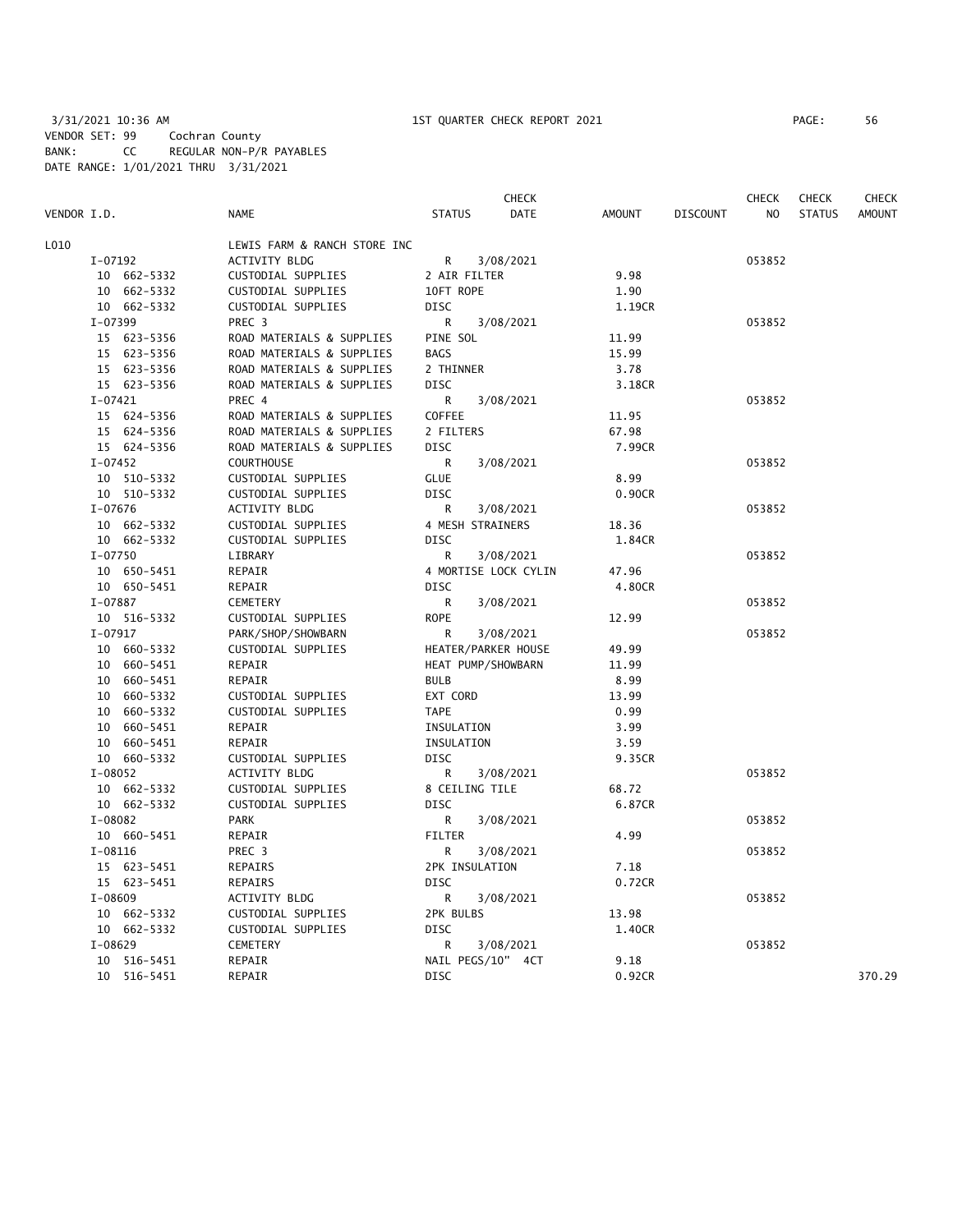3/31/2021 10:36 AM 1ST QUARTER CHECK REPORT 2021 PAGE: 56 VENDOR SET: 99 Cochran County BANK: CC REGULAR NON-P/R PAYABLES DATE RANGE: 1/01/2021 THRU 3/31/2021

|             |                            |                                     |                           | CHECK                |               |                 | <b>CHECK</b> | <b>CHECK</b>  | <b>CHECK</b>  |
|-------------|----------------------------|-------------------------------------|---------------------------|----------------------|---------------|-----------------|--------------|---------------|---------------|
| VENDOR I.D. |                            | <b>NAME</b>                         | <b>STATUS</b>             | <b>DATE</b>          | <b>AMOUNT</b> | <b>DISCOUNT</b> | NO           | <b>STATUS</b> | <b>AMOUNT</b> |
| L010        |                            | LEWIS FARM & RANCH STORE INC        |                           |                      |               |                 |              |               |               |
|             | I-07192                    | ACTIVITY BLDG                       | R                         | 3/08/2021            |               |                 | 053852       |               |               |
|             | 10 662-5332                | CUSTODIAL SUPPLIES                  | 2 AIR FILTER              |                      | 9.98          |                 |              |               |               |
|             | 10 662-5332                | CUSTODIAL SUPPLIES                  | 10FT ROPE                 |                      | 1.90          |                 |              |               |               |
|             | 10 662-5332                | CUSTODIAL SUPPLIES                  | <b>DISC</b>               |                      | 1.19CR        |                 |              |               |               |
|             | I-07399                    | PREC <sub>3</sub>                   | R                         | 3/08/2021            |               |                 | 053852       |               |               |
|             | 15 623-5356                | ROAD MATERIALS & SUPPLIES           | PINE SOL                  |                      | 11.99         |                 |              |               |               |
|             | 15 623-5356                | ROAD MATERIALS & SUPPLIES           | <b>BAGS</b>               |                      | 15.99         |                 |              |               |               |
|             | 15 623-5356                | ROAD MATERIALS & SUPPLIES           | 2 THINNER                 |                      | 3.78          |                 |              |               |               |
|             | 15 623-5356                | ROAD MATERIALS & SUPPLIES           | <b>DISC</b>               |                      | 3.18CR        |                 |              |               |               |
|             | $I-07421$                  | PREC 4                              | R                         | 3/08/2021            |               |                 | 053852       |               |               |
|             | 15 624-5356                | ROAD MATERIALS & SUPPLIES           | COFFEE                    |                      | 11.95         |                 |              |               |               |
|             | 15 624-5356                | ROAD MATERIALS & SUPPLIES           | 2 FILTERS                 |                      | 67.98         |                 |              |               |               |
|             | 15 624-5356                | ROAD MATERIALS & SUPPLIES           | <b>DISC</b>               |                      | 7.99CR        |                 |              |               |               |
|             | $I-07452$                  | <b>COURTHOUSE</b>                   | R                         | 3/08/2021            |               |                 | 053852       |               |               |
|             | 10 510-5332                | CUSTODIAL SUPPLIES                  | <b>GLUE</b>               |                      | 8.99          |                 |              |               |               |
|             | 10 510-5332                | CUSTODIAL SUPPLIES                  | <b>DISC</b>               |                      | 0.90CR        |                 |              |               |               |
|             | $I-07676$                  | <b>ACTIVITY BLDG</b>                | R                         | 3/08/2021            |               |                 | 053852       |               |               |
|             | 10 662-5332                | CUSTODIAL SUPPLIES                  | 4 MESH STRAINERS          |                      | 18.36         |                 |              |               |               |
|             | 10 662-5332                | CUSTODIAL SUPPLIES                  | <b>DISC</b>               |                      | 1.84CR        |                 |              |               |               |
|             | $I-07750$                  | LIBRARY                             | R                         | 3/08/2021            |               |                 | 053852       |               |               |
|             | 10 650-5451                | REPAIR                              |                           | 4 MORTISE LOCK CYLIN | 47.96         |                 |              |               |               |
|             | 10 650-5451                | REPAIR                              | DISC                      |                      | 4.80CR        |                 |              |               |               |
|             | I-07887                    | CEMETERY                            | R                         | 3/08/2021            |               |                 | 053852       |               |               |
|             | 10 516-5332                | CUSTODIAL SUPPLIES                  | <b>ROPE</b>               |                      | 12.99         |                 |              |               |               |
|             | $I-07917$                  | PARK/SHOP/SHOWBARN                  | R                         | 3/08/2021            |               |                 | 053852       |               |               |
|             | 10 660-5332                | CUSTODIAL SUPPLIES                  | HEATER/PARKER HOUSE       |                      | 49.99         |                 |              |               |               |
|             | 10 660-5451                | REPAIR                              | HEAT PUMP/SHOWBARN        |                      | 11.99         |                 |              |               |               |
|             | 10 660-5451                | REPAIR                              | <b>BULB</b>               |                      | 8.99          |                 |              |               |               |
|             | 10 660-5332                | CUSTODIAL SUPPLIES                  | EXT CORD                  |                      | 13.99         |                 |              |               |               |
|             | 10 660-5332                | CUSTODIAL SUPPLIES                  | <b>TAPE</b>               |                      | 0.99          |                 |              |               |               |
|             | 10 660-5451                | REPAIR                              | INSULATION                |                      | 3.99          |                 |              |               |               |
|             |                            |                                     |                           |                      | 3.59          |                 |              |               |               |
|             | 10 660-5451                | REPAIR                              | INSULATION<br><b>DISC</b> |                      | 9.35CR        |                 |              |               |               |
|             | 10 660-5332<br>I-08052     | CUSTODIAL SUPPLIES<br>ACTIVITY BLDG | R                         | 3/08/2021            |               |                 | 053852       |               |               |
|             |                            |                                     | 8 CEILING TILE            |                      | 68.72         |                 |              |               |               |
|             | 10 662-5332<br>10 662-5332 | CUSTODIAL SUPPLIES                  | <b>DISC</b>               |                      | 6.87CR        |                 |              |               |               |
|             | I-08082                    | CUSTODIAL SUPPLIES<br><b>PARK</b>   |                           | 3/08/2021            |               |                 |              |               |               |
|             |                            |                                     | R<br><b>FILTER</b>        |                      | 4.99          |                 | 053852       |               |               |
|             | 10 660-5451                | REPAIR                              |                           |                      |               |                 |              |               |               |
|             | $I-08116$                  | PREC 3                              | R                         | 3/08/2021            | 7.18          |                 | 053852       |               |               |
|             | 15 623-5451                | REPAIRS                             | 2PK INSULATION            |                      |               |                 |              |               |               |
|             | 15 623-5451                | REPAIRS                             | <b>DISC</b>               |                      | 0.72CR        |                 |              |               |               |
|             | $I-08609$                  | ACTIVITY BLDG                       | R                         | 3/08/2021            |               |                 | 053852       |               |               |
|             | 10 662-5332                | CUSTODIAL SUPPLIES                  | 2PK BULBS                 |                      | 13.98         |                 |              |               |               |
|             | 10 662-5332                | CUSTODIAL SUPPLIES                  | <b>DISC</b>               |                      | 1.40CR        |                 |              |               |               |
|             | I-08629                    | CEMETERY                            | R                         | 3/08/2021            |               |                 | 053852       |               |               |
|             | 10 516-5451                | REPAIR                              | NAIL PEGS/10" 4CT         |                      | 9.18          |                 |              |               |               |
|             | 10 516-5451                | REPAIR                              | <b>DISC</b>               |                      | 0.92CR        |                 |              |               | 370.29        |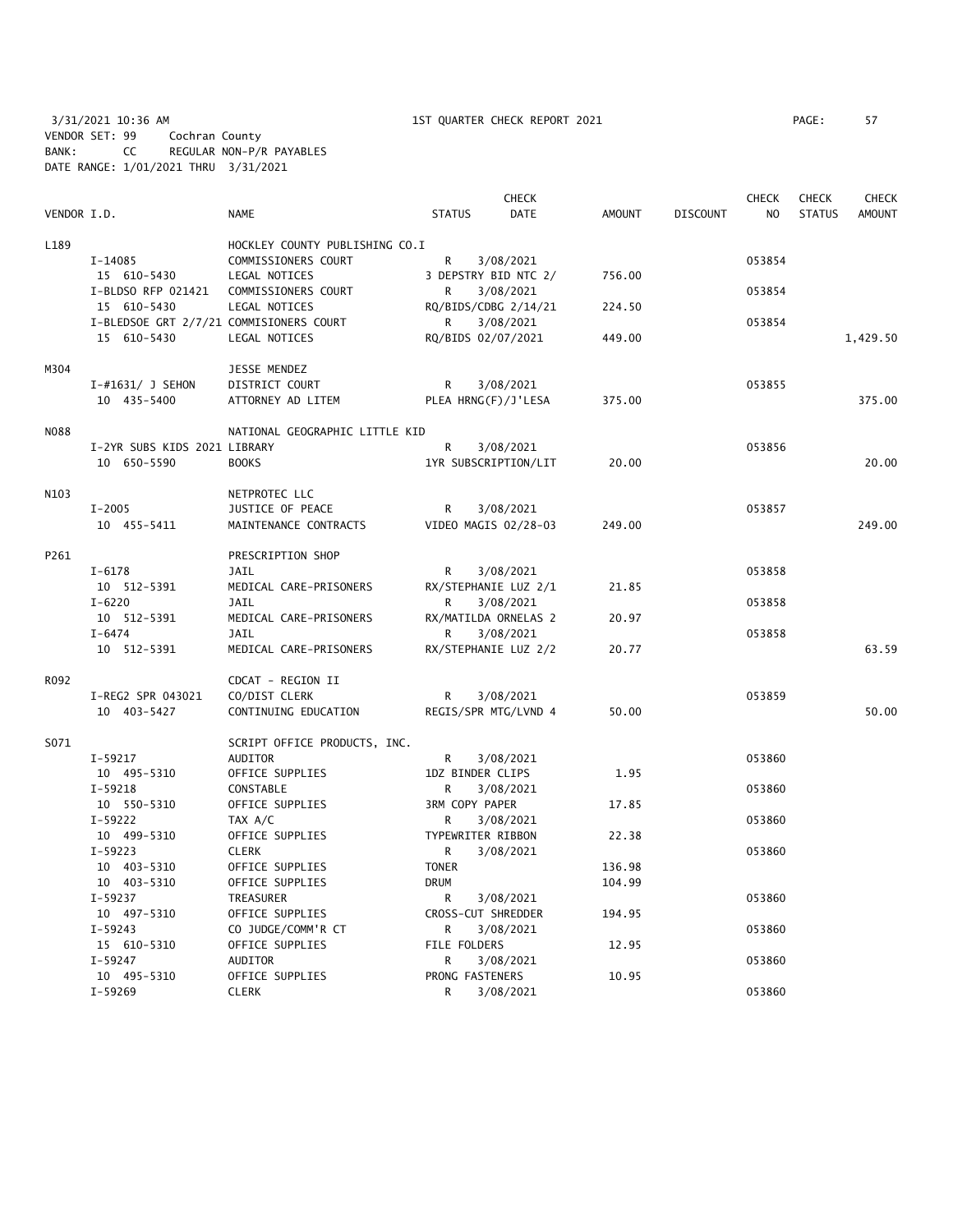3/31/2021 10:36 AM 1ST QUARTER CHECK REPORT 2021 PAGE: 57 VENDOR SET: 99 Cochran County BANK: CC REGULAR NON-P/R PAYABLES DATE RANGE: 1/01/2021 THRU 3/31/2021

|             |                                         |                                |                      | <b>CHECK</b> |               |                 | <b>CHECK</b>   | <b>CHECK</b>  | <b>CHECK</b>  |
|-------------|-----------------------------------------|--------------------------------|----------------------|--------------|---------------|-----------------|----------------|---------------|---------------|
| VENDOR I.D. |                                         | <b>NAME</b>                    | <b>STATUS</b>        | DATE         | <b>AMOUNT</b> | <b>DISCOUNT</b> | N <sub>O</sub> | <b>STATUS</b> | <b>AMOUNT</b> |
| L189        |                                         | HOCKLEY COUNTY PUBLISHING CO.I |                      |              |               |                 |                |               |               |
|             | I-14085                                 | COMMISSIONERS COURT            | $\mathsf{R}$         | 3/08/2021    |               |                 | 053854         |               |               |
|             | 15 610-5430                             | LEGAL NOTICES                  | 3 DEPSTRY BID NTC 2/ |              | 756.00        |                 |                |               |               |
|             | I-BLDSO RFP 021421                      | COMMISSIONERS COURT            | R                    | 3/08/2021    |               |                 | 053854         |               |               |
|             | 15 610-5430                             | LEGAL NOTICES                  | RQ/BIDS/CDBG 2/14/21 |              | 224.50        |                 |                |               |               |
|             | I-BLEDSOE GRT 2/7/21 COMMISIONERS COURT |                                | R                    | 3/08/2021    |               |                 | 053854         |               |               |
|             | 15 610-5430                             | LEGAL NOTICES                  | RQ/BIDS 02/07/2021   |              | 449.00        |                 |                |               | 1,429.50      |
| M304        |                                         | JESSE MENDEZ                   |                      |              |               |                 |                |               |               |
|             | $I$ -#1631/ J SEHON                     | DISTRICT COURT                 | R                    | 3/08/2021    |               |                 | 053855         |               |               |
|             | 10 435-5400                             | ATTORNEY AD LITEM              | PLEA HRNG(F)/J'LESA  |              | 375.00        |                 |                |               | 375.00        |
| <b>NO88</b> |                                         | NATIONAL GEOGRAPHIC LITTLE KID |                      |              |               |                 |                |               |               |
|             | I-2YR SUBS KIDS 2021 LIBRARY            |                                | R                    | 3/08/2021    |               |                 | 053856         |               |               |
|             | 10 650-5590                             | <b>BOOKS</b>                   | 1YR SUBSCRIPTION/LIT |              | 20.00         |                 |                |               | 20.00         |
| N103        |                                         | NETPROTEC LLC                  |                      |              |               |                 |                |               |               |
|             | $I - 2005$                              | JUSTICE OF PEACE               | R                    | 3/08/2021    |               |                 | 053857         |               |               |
|             | 10 455-5411                             | MAINTENANCE CONTRACTS          | VIDEO MAGIS 02/28-03 |              | 249.00        |                 |                |               | 249.00        |
| P261        |                                         | PRESCRIPTION SHOP              |                      |              |               |                 |                |               |               |
|             | $I - 6178$                              | JAIL                           | R                    | 3/08/2021    |               |                 | 053858         |               |               |
|             | 10 512-5391                             | MEDICAL CARE-PRISONERS         | RX/STEPHANIE LUZ 2/1 |              | 21.85         |                 |                |               |               |
|             | $I - 6220$                              | JAIL                           | R                    | 3/08/2021    |               |                 | 053858         |               |               |
|             | 10 512-5391                             | MEDICAL CARE-PRISONERS         | RX/MATILDA ORNELAS 2 |              | 20.97         |                 |                |               |               |
|             | $I - 6474$                              | <b>JAIL</b>                    | R                    | 3/08/2021    |               |                 | 053858         |               |               |
|             | 10 512-5391                             | MEDICAL CARE-PRISONERS         | RX/STEPHANIE LUZ 2/2 |              | 20.77         |                 |                |               | 63.59         |
| R092        |                                         | CDCAT - REGION II              |                      |              |               |                 |                |               |               |
|             | I-REG2 SPR 043021                       | CO/DIST CLERK                  | R                    | 3/08/2021    |               |                 | 053859         |               |               |
|             | 10 403-5427                             | CONTINUING EDUCATION           | REGIS/SPR MTG/LVND 4 |              | 50.00         |                 |                |               | 50.00         |
|             |                                         |                                |                      |              |               |                 |                |               |               |
| S071        |                                         | SCRIPT OFFICE PRODUCTS, INC.   |                      |              |               |                 |                |               |               |
|             | $I-59217$                               | <b>AUDITOR</b>                 | R                    | 3/08/2021    |               |                 | 053860         |               |               |
|             | 10 495-5310                             | OFFICE SUPPLIES                | 1DZ BINDER CLIPS     |              | 1.95          |                 |                |               |               |
|             | $I-59218$                               | CONSTABLE                      | R                    | 3/08/2021    |               |                 | 053860         |               |               |
|             | 10 550-5310                             | OFFICE SUPPLIES                | 3RM COPY PAPER       |              | 17.85         |                 |                |               |               |
|             | $I-59222$                               | TAX A/C                        | R                    | 3/08/2021    |               |                 | 053860         |               |               |
|             | 10 499-5310                             | OFFICE SUPPLIES                | TYPEWRITER RIBBON    |              | 22.38         |                 |                |               |               |
|             | $I-59223$                               | <b>CLERK</b>                   | R                    | 3/08/2021    |               |                 | 053860         |               |               |
|             | 10 403-5310                             | OFFICE SUPPLIES                | <b>TONER</b>         |              | 136.98        |                 |                |               |               |
|             | 10 403-5310                             | OFFICE SUPPLIES                | <b>DRUM</b>          |              | 104.99        |                 |                |               |               |
|             | $I-59237$                               | TREASURER                      | R                    | 3/08/2021    |               |                 | 053860         |               |               |
|             | 10 497-5310                             | OFFICE SUPPLIES                | CROSS-CUT SHREDDER   |              | 194.95        |                 |                |               |               |
|             | $I-59243$                               | CO JUDGE/COMM'R CT             | R                    | 3/08/2021    |               |                 | 053860         |               |               |
|             | 15 610-5310                             | OFFICE SUPPLIES                | FILE FOLDERS         |              | 12.95         |                 |                |               |               |
|             | $I-59247$                               | AUDITOR                        | R                    | 3/08/2021    |               |                 | 053860         |               |               |
|             | 10 495-5310                             | OFFICE SUPPLIES                | PRONG FASTENERS      |              | 10.95         |                 |                |               |               |
|             | $I-59269$                               | <b>CLERK</b>                   | R                    | 3/08/2021    |               |                 | 053860         |               |               |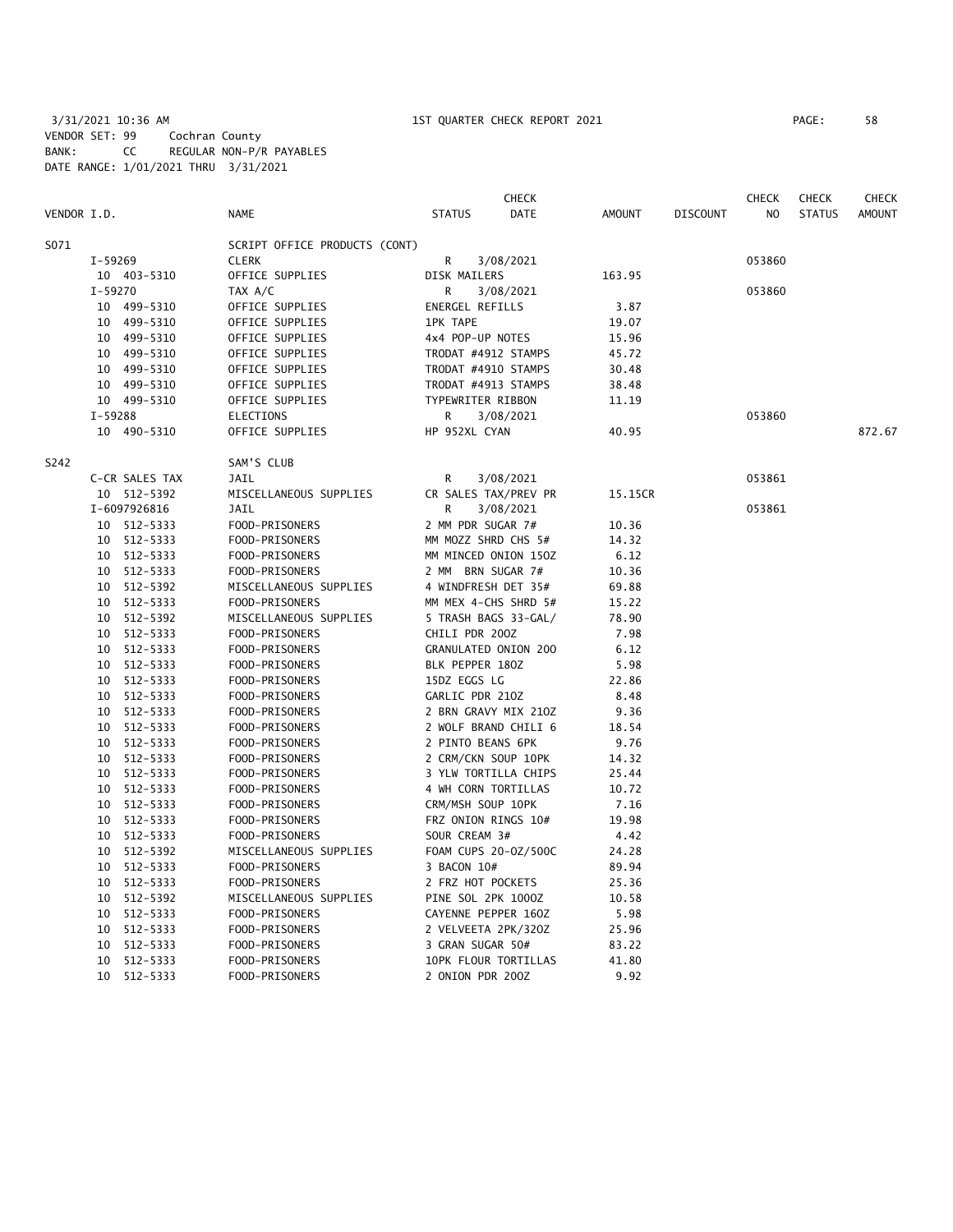3/31/2021 10:36 AM 1ST QUARTER CHECK REPORT 2021 PAGE: 58 VENDOR SET: 99 Cochran County BANK: CC REGULAR NON-P/R PAYABLES DATE RANGE: 1/01/2021 THRU 3/31/2021

|             |           |                |                               |                     | <b>CHECK</b>         |               |                 | <b>CHECK</b>   | <b>CHECK</b>  | <b>CHECK</b>  |
|-------------|-----------|----------------|-------------------------------|---------------------|----------------------|---------------|-----------------|----------------|---------------|---------------|
| VENDOR I.D. |           |                | <b>NAME</b>                   | <b>STATUS</b>       | <b>DATE</b>          | <b>AMOUNT</b> | <b>DISCOUNT</b> | N <sub>O</sub> | <b>STATUS</b> | <b>AMOUNT</b> |
| S071        |           |                | SCRIPT OFFICE PRODUCTS (CONT) |                     |                      |               |                 |                |               |               |
|             | $I-59269$ |                | <b>CLERK</b>                  | R                   | 3/08/2021            |               |                 | 053860         |               |               |
|             |           | 10 403-5310    | OFFICE SUPPLIES               | DISK MAILERS        |                      | 163.95        |                 |                |               |               |
|             | I-59270   |                | TAX A/C                       | R                   | 3/08/2021            |               |                 | 053860         |               |               |
|             |           | 10 499-5310    | OFFICE SUPPLIES               | ENERGEL REFILLS     |                      | 3.87          |                 |                |               |               |
|             | 10        | 499-5310       | OFFICE SUPPLIES               | <b>1PK TAPE</b>     |                      | 19.07         |                 |                |               |               |
|             |           | 10 499-5310    | OFFICE SUPPLIES               | 4x4 POP-UP NOTES    |                      | 15.96         |                 |                |               |               |
|             |           | 10 499-5310    | OFFICE SUPPLIES               | TRODAT #4912 STAMPS |                      | 45.72         |                 |                |               |               |
|             | 10        | 499-5310       | OFFICE SUPPLIES               | TRODAT #4910 STAMPS |                      | 30.48         |                 |                |               |               |
|             |           | 10 499-5310    | OFFICE SUPPLIES               | TRODAT #4913 STAMPS |                      | 38.48         |                 |                |               |               |
|             |           | 10 499-5310    | OFFICE SUPPLIES               | TYPEWRITER RIBBON   |                      | 11.19         |                 |                |               |               |
|             | $I-59288$ |                | <b>ELECTIONS</b>              | R                   | 3/08/2021            |               |                 | 053860         |               |               |
|             |           | 10 490-5310    | OFFICE SUPPLIES               | HP 952XL CYAN       |                      | 40.95         |                 |                |               | 872.67        |
| S242        |           |                | SAM'S CLUB                    |                     |                      |               |                 |                |               |               |
|             |           | C-CR SALES TAX | <b>JAIL</b>                   | R                   | 3/08/2021            |               |                 | 053861         |               |               |
|             |           | 10 512-5392    | MISCELLANEOUS SUPPLIES        |                     | CR SALES TAX/PREV PR | 15.15CR       |                 |                |               |               |
|             |           | I-6097926816   | JAIL                          | R                   | 3/08/2021            |               |                 | 053861         |               |               |
|             |           | 10 512-5333    | FOOD-PRISONERS                | 2 MM PDR SUGAR 7#   |                      | 10.36         |                 |                |               |               |
|             |           | 10 512-5333    | FOOD-PRISONERS                | MM MOZZ SHRD CHS 5# |                      | 14.32         |                 |                |               |               |
|             |           | 10 512-5333    | FOOD-PRISONERS                |                     | MM MINCED ONION 150Z | 6.12          |                 |                |               |               |
|             |           | 10 512-5333    | FOOD-PRISONERS                | 2 MM BRN SUGAR 7#   |                      | 10.36         |                 |                |               |               |
|             |           | 10 512-5392    | MISCELLANEOUS SUPPLIES        | 4 WINDFRESH DET 35# |                      | 69.88         |                 |                |               |               |
|             | 10        | 512-5333       | FOOD-PRISONERS                |                     | MM MEX 4-CHS SHRD 5# | 15.22         |                 |                |               |               |
|             |           | 10 512-5392    | MISCELLANEOUS SUPPLIES        |                     | 5 TRASH BAGS 33-GAL/ | 78.90         |                 |                |               |               |
|             |           | 10 512-5333    | FOOD-PRISONERS                | CHILI PDR 200Z      |                      | 7.98          |                 |                |               |               |
|             |           | 10 512-5333    | FOOD-PRISONERS                |                     | GRANULATED ONION 200 | 6.12          |                 |                |               |               |
|             |           | 10 512-5333    | FOOD-PRISONERS                | BLK PEPPER 180Z     |                      | 5.98          |                 |                |               |               |
|             |           | 10 512-5333    | FOOD-PRISONERS                | 15DZ EGGS LG        |                      | 22.86         |                 |                |               |               |
|             | 10        | 512-5333       | FOOD-PRISONERS                | GARLIC PDR 210Z     |                      | 8.48          |                 |                |               |               |
|             |           | 10 512-5333    | FOOD-PRISONERS                |                     | 2 BRN GRAVY MIX 210Z | 9.36          |                 |                |               |               |
|             | 10        | 512-5333       | FOOD-PRISONERS                |                     | 2 WOLF BRAND CHILI 6 | 18.54         |                 |                |               |               |
|             | 10        | 512-5333       | FOOD-PRISONERS                | 2 PINTO BEANS 6PK   |                      | 9.76          |                 |                |               |               |
|             |           | 10 512-5333    | FOOD-PRISONERS                | 2 CRM/CKN SOUP 10PK |                      | 14.32         |                 |                |               |               |
|             |           | 10 512-5333    | FOOD-PRISONERS                |                     | 3 YLW TORTILLA CHIPS | 25.44         |                 |                |               |               |
|             |           | 10 512-5333    | FOOD-PRISONERS                | 4 WH CORN TORTILLAS |                      | 10.72         |                 |                |               |               |
|             | 10        | 512-5333       | FOOD-PRISONERS                | CRM/MSH SOUP 10PK   |                      | 7.16          |                 |                |               |               |
|             |           | 10 512-5333    | FOOD-PRISONERS                | FRZ ONION RINGS 10# |                      | 19.98         |                 |                |               |               |
|             |           | 10 512-5333    | FOOD-PRISONERS                | SOUR CREAM 3#       |                      | 4.42          |                 |                |               |               |
|             |           | 10 512-5392    | MISCELLANEOUS SUPPLIES        |                     | FOAM CUPS 20-0Z/500C | 24.28         |                 |                |               |               |
|             |           | 10 512-5333    | FOOD-PRISONERS                | 3 BACON 10#         |                      | 89.94         |                 |                |               |               |
|             |           | 10 512-5333    | FOOD-PRISONERS                | 2 FRZ HOT POCKETS   |                      | 25.36         |                 |                |               |               |
|             | 10        | 512-5392       | MISCELLANEOUS SUPPLIES        | PINE SOL 2PK 1000Z  |                      | 10.58         |                 |                |               |               |
|             | 10        | 512-5333       | FOOD-PRISONERS                | CAYENNE PEPPER 160Z |                      | 5.98          |                 |                |               |               |
|             | 10        | 512-5333       | FOOD-PRISONERS                | 2 VELVEETA 2PK/320Z |                      | 25.96         |                 |                |               |               |
|             | 10        | 512-5333       | FOOD-PRISONERS                | 3 GRAN SUGAR 50#    |                      | 83.22         |                 |                |               |               |
|             | 10        | 512-5333       | FOOD-PRISONERS                |                     | 10PK FLOUR TORTILLAS | 41.80         |                 |                |               |               |
|             |           | 10 512-5333    | FOOD-PRISONERS                | 2 ONION PDR 200Z    |                      | 9.92          |                 |                |               |               |
|             |           |                |                               |                     |                      |               |                 |                |               |               |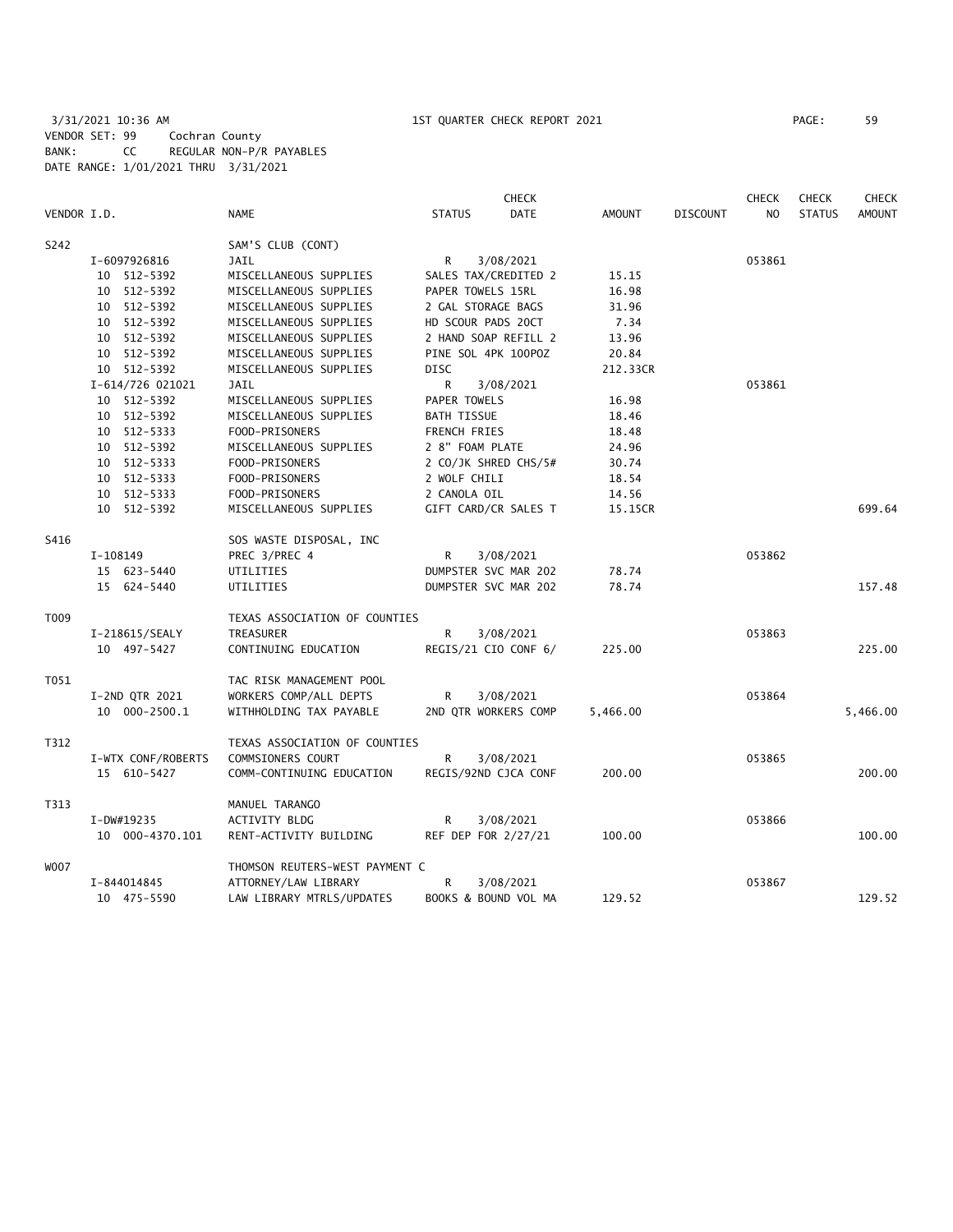3/31/2021 10:36 AM 1ST QUARTER CHECK REPORT 2021 PAGE: 59 VENDOR SET: 99 Cochran County BANK: CC REGULAR NON-P/R PAYABLES DATE RANGE: 1/01/2021 THRU 3/31/2021

|             |                    |                                |                     | <b>CHECK</b>         |               |                 | <b>CHECK</b>   | <b>CHECK</b>  | <b>CHECK</b>  |
|-------------|--------------------|--------------------------------|---------------------|----------------------|---------------|-----------------|----------------|---------------|---------------|
| VENDOR I.D. |                    | <b>NAME</b>                    | <b>STATUS</b>       | <b>DATE</b>          | <b>AMOUNT</b> | <b>DISCOUNT</b> | N <sub>O</sub> | <b>STATUS</b> | <b>AMOUNT</b> |
| S242        |                    | SAM'S CLUB (CONT)              |                     |                      |               |                 |                |               |               |
|             | I-6097926816       | <b>JAIL</b>                    | R                   | 3/08/2021            |               |                 | 053861         |               |               |
|             | 10 512-5392        | MISCELLANEOUS SUPPLIES         |                     | SALES TAX/CREDITED 2 | 15.15         |                 |                |               |               |
|             | 10 512-5392        | MISCELLANEOUS SUPPLIES         | PAPER TOWELS 15RL   |                      | 16.98         |                 |                |               |               |
|             | 10 512-5392        | MISCELLANEOUS SUPPLIES         | 2 GAL STORAGE BAGS  |                      | 31.96         |                 |                |               |               |
|             | 10 512-5392        | MISCELLANEOUS SUPPLIES         | HD SCOUR PADS 20CT  |                      | 7.34          |                 |                |               |               |
|             | 10 512-5392        | MISCELLANEOUS SUPPLIES         |                     | 2 HAND SOAP REFILL 2 | 13.96         |                 |                |               |               |
|             | 10 512-5392        | MISCELLANEOUS SUPPLIES         | PINE SOL 4PK 100POZ |                      | 20.84         |                 |                |               |               |
|             | 10 512-5392        | MISCELLANEOUS SUPPLIES         | <b>DISC</b>         |                      | 212.33CR      |                 |                |               |               |
|             | I-614/726 021021   | JAIL                           | R                   | 3/08/2021            |               |                 | 053861         |               |               |
|             | 10 512-5392        | MISCELLANEOUS SUPPLIES         | PAPER TOWELS        |                      | 16.98         |                 |                |               |               |
|             | 10 512-5392        | MISCELLANEOUS SUPPLIES         | <b>BATH TISSUE</b>  |                      | 18.46         |                 |                |               |               |
|             | 10 512-5333        | FOOD-PRISONERS                 | FRENCH FRIES        |                      | 18.48         |                 |                |               |               |
|             | 10 512-5392        | MISCELLANEOUS SUPPLIES         | 2 8" FOAM PLATE     |                      | 24.96         |                 |                |               |               |
|             | 10 512-5333        | FOOD-PRISONERS                 |                     | 2 CO/JK SHRED CHS/5# | 30.74         |                 |                |               |               |
|             | 10 512-5333        | FOOD-PRISONERS                 | 2 WOLF CHILI        |                      | 18.54         |                 |                |               |               |
|             | 10 512-5333        | FOOD-PRISONERS                 | 2 CANOLA OIL        |                      | 14.56         |                 |                |               |               |
|             | 10 512-5392        | MISCELLANEOUS SUPPLIES         |                     | GIFT CARD/CR SALES T | 15.15CR       |                 |                |               | 699.64        |
| S416        |                    | SOS WASTE DISPOSAL, INC        |                     |                      |               |                 |                |               |               |
|             | I-108149           | PREC 3/PREC 4                  | R                   | 3/08/2021            |               |                 | 053862         |               |               |
|             | 15 623-5440        | UTILITIES                      |                     | DUMPSTER SVC MAR 202 | 78.74         |                 |                |               |               |
|             | 15 624-5440        | UTILITIES                      |                     | DUMPSTER SVC MAR 202 | 78.74         |                 |                |               | 157.48        |
| T009        |                    | TEXAS ASSOCIATION OF COUNTIES  |                     |                      |               |                 |                |               |               |
|             | I-218615/SEALY     | TREASURER                      | R                   | 3/08/2021            |               |                 | 053863         |               |               |
|             | 10 497-5427        | CONTINUING EDUCATION           |                     | REGIS/21 CIO CONF 6/ | 225.00        |                 |                |               | 225.00        |
| T051        |                    | TAC RISK MANAGEMENT POOL       |                     |                      |               |                 |                |               |               |
|             | I-2ND QTR 2021     | WORKERS COMP/ALL DEPTS         | R                   | 3/08/2021            |               |                 | 053864         |               |               |
|             | 10 000-2500.1      | WITHHOLDING TAX PAYABLE        |                     | 2ND QTR WORKERS COMP | 5,466.00      |                 |                |               | 5,466.00      |
| T312        |                    | TEXAS ASSOCIATION OF COUNTIES  |                     |                      |               |                 |                |               |               |
|             | I-WTX CONF/ROBERTS | COMMSIONERS COURT              | R                   | 3/08/2021            |               |                 | 053865         |               |               |
|             | 15 610-5427        | COMM-CONTINUING EDUCATION      |                     | REGIS/92ND CJCA CONF | 200.00        |                 |                |               | 200.00        |
| T313        |                    | MANUEL TARANGO                 |                     |                      |               |                 |                |               |               |
|             | I-DW#19235         | ACTIVITY BLDG                  | R                   | 3/08/2021            |               |                 | 053866         |               |               |
|             | 10 000-4370.101    | RENT-ACTIVITY BUILDING         | REF DEP FOR 2/27/21 |                      | 100.00        |                 |                |               | 100.00        |
| W007        |                    | THOMSON REUTERS-WEST PAYMENT C |                     |                      |               |                 |                |               |               |
|             | I-844014845        | ATTORNEY/LAW LIBRARY           | R                   | 3/08/2021            |               |                 | 053867         |               |               |
|             | 10 475-5590        | LAW LIBRARY MTRLS/UPDATES      |                     | BOOKS & BOUND VOL MA | 129.52        |                 |                |               | 129.52        |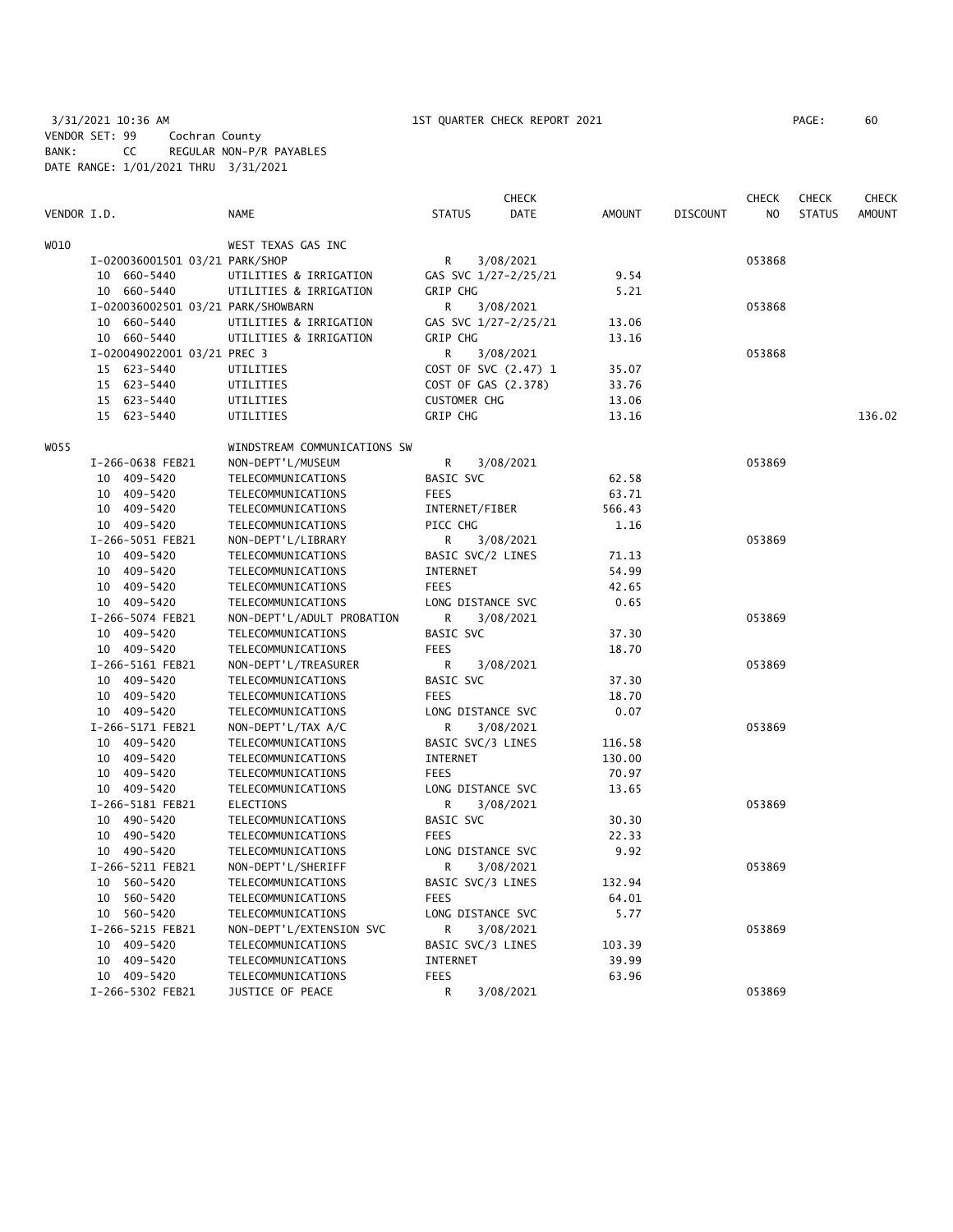3/31/2021 10:36 AM 1ST QUARTER CHECK REPORT 2021 PAGE: 60 VENDOR SET: 99 Cochran County BANK: CC REGULAR NON-P/R PAYABLES DATE RANGE: 1/01/2021 THRU 3/31/2021

| VENDOR I.D. |                                    | <b>NAME</b>                  | <b>STATUS</b>       | <b>CHECK</b><br><b>DATE</b> | AMOUNT | <b>DISCOUNT</b> | <b>CHECK</b><br>NO. | <b>CHECK</b><br><b>STATUS</b> | <b>CHECK</b><br>AMOUNT |
|-------------|------------------------------------|------------------------------|---------------------|-----------------------------|--------|-----------------|---------------------|-------------------------------|------------------------|
| WO10        |                                    | WEST TEXAS GAS INC           |                     |                             |        |                 |                     |                               |                        |
|             | I-020036001501 03/21 PARK/SHOP     |                              | R                   | 3/08/2021                   |        |                 | 053868              |                               |                        |
|             | 10 660-5440                        | UTILITIES & IRRIGATION       |                     | GAS SVC 1/27-2/25/21        | 9.54   |                 |                     |                               |                        |
|             | 10 660-5440                        | UTILITIES & IRRIGATION       | <b>GRIP CHG</b>     |                             | 5.21   |                 |                     |                               |                        |
|             | I-020036002501 03/21 PARK/SHOWBARN |                              | R                   | 3/08/2021                   |        |                 | 053868              |                               |                        |
|             | 10 660-5440                        | UTILITIES & IRRIGATION       |                     | GAS SVC 1/27-2/25/21        | 13.06  |                 |                     |                               |                        |
|             | 10 660-5440                        | UTILITIES & IRRIGATION       | GRIP CHG            |                             | 13.16  |                 |                     |                               |                        |
|             | I-020049022001 03/21 PREC 3        |                              | R                   | 3/08/2021                   |        |                 | 053868              |                               |                        |
|             | 15 623-5440                        | UTILITIES                    |                     | COST OF SVC (2.47) 1        | 35.07  |                 |                     |                               |                        |
|             | 15 623-5440                        | UTILITIES                    |                     | COST OF GAS (2.378)         | 33.76  |                 |                     |                               |                        |
|             | 15 623-5440                        | UTILITIES                    | <b>CUSTOMER CHG</b> |                             | 13.06  |                 |                     |                               |                        |
|             | 15 623-5440                        | UTILITIES                    | GRIP CHG            |                             | 13.16  |                 |                     |                               | 136.02                 |
| WO 55       |                                    | WINDSTREAM COMMUNICATIONS SW |                     |                             |        |                 |                     |                               |                        |
|             | I-266-0638 FEB21                   | NON-DEPT'L/MUSEUM            | R                   | 3/08/2021                   |        |                 | 053869              |                               |                        |
|             | 10 409-5420                        | TELECOMMUNICATIONS           | BASIC SVC           |                             | 62.58  |                 |                     |                               |                        |
|             | 10 409-5420                        | TELECOMMUNICATIONS           | <b>FEES</b>         |                             | 63.71  |                 |                     |                               |                        |
|             | 10 409-5420                        | TELECOMMUNICATIONS           |                     | INTERNET/FIBER              | 566.43 |                 |                     |                               |                        |
|             | 10 409-5420                        | TELECOMMUNICATIONS           | PICC CHG            |                             | 1.16   |                 |                     |                               |                        |
|             | I-266-5051 FEB21                   | NON-DEPT'L/LIBRARY           | R                   | 3/08/2021                   |        |                 | 053869              |                               |                        |
|             | 10 409-5420                        | TELECOMMUNICATIONS           |                     | BASIC SVC/2 LINES           | 71.13  |                 |                     |                               |                        |
|             | 10 409-5420                        | TELECOMMUNICATIONS           | INTERNET            |                             | 54.99  |                 |                     |                               |                        |
|             | 10 409-5420                        | TELECOMMUNICATIONS           | <b>FEES</b>         |                             | 42.65  |                 |                     |                               |                        |
|             | 10 409-5420                        | TELECOMMUNICATIONS           |                     | LONG DISTANCE SVC           | 0.65   |                 |                     |                               |                        |
|             | I-266-5074 FEB21                   | NON-DEPT'L/ADULT PROBATION   | R                   | 3/08/2021                   |        |                 | 053869              |                               |                        |
|             | 10 409-5420                        | TELECOMMUNICATIONS           | BASIC SVC           |                             | 37.30  |                 |                     |                               |                        |
|             | 10 409-5420                        | TELECOMMUNICATIONS           | <b>FEES</b>         |                             | 18.70  |                 |                     |                               |                        |
|             | I-266-5161 FEB21                   | NON-DEPT'L/TREASURER         | R                   | 3/08/2021                   |        |                 | 053869              |                               |                        |
|             | 10 409-5420                        | TELECOMMUNICATIONS           | BASIC SVC           |                             | 37.30  |                 |                     |                               |                        |
|             | 10 409-5420                        | TELECOMMUNICATIONS           | <b>FEES</b>         |                             | 18.70  |                 |                     |                               |                        |
|             | 10 409-5420                        | TELECOMMUNICATIONS           |                     | LONG DISTANCE SVC           | 0.07   |                 |                     |                               |                        |
|             | I-266-5171 FEB21                   | NON-DEPT'L/TAX A/C           | R                   | 3/08/2021                   |        |                 | 053869              |                               |                        |
|             | 10 409-5420                        | TELECOMMUNICATIONS           |                     | BASIC SVC/3 LINES           | 116.58 |                 |                     |                               |                        |
|             | 10 409-5420                        | TELECOMMUNICATIONS           | INTERNET            |                             | 130.00 |                 |                     |                               |                        |
|             | 10 409-5420                        | TELECOMMUNICATIONS           | <b>FEES</b>         |                             | 70.97  |                 |                     |                               |                        |
|             | 10 409-5420                        | TELECOMMUNICATIONS           |                     | LONG DISTANCE SVC           | 13.65  |                 |                     |                               |                        |
|             | I-266-5181 FEB21                   | <b>ELECTIONS</b>             | R                   | 3/08/2021                   |        |                 | 053869              |                               |                        |
|             | 10 490-5420                        | TELECOMMUNICATIONS           | BASIC SVC           |                             | 30.30  |                 |                     |                               |                        |
|             | 10 490-5420                        | TELECOMMUNICATIONS           | <b>FEES</b>         |                             | 22.33  |                 |                     |                               |                        |
|             | 10 490-5420                        | TELECOMMUNICATIONS           |                     | LONG DISTANCE SVC           | 9.92   |                 |                     |                               |                        |
|             | I-266-5211 FEB21                   | NON-DEPT'L/SHERIFF           | R                   | 3/08/2021                   |        |                 | 053869              |                               |                        |
|             | 10 560-5420                        | TELECOMMUNICATIONS           |                     | BASIC SVC/3 LINES           | 132.94 |                 |                     |                               |                        |
|             | 10 560-5420                        | TELECOMMUNICATIONS           | <b>FEES</b>         |                             | 64.01  |                 |                     |                               |                        |
|             | 10 560-5420                        | TELECOMMUNICATIONS           |                     | LONG DISTANCE SVC           | 5.77   |                 |                     |                               |                        |
|             | I-266-5215 FEB21                   | NON-DEPT'L/EXTENSION SVC     | R                   | 3/08/2021                   |        |                 | 053869              |                               |                        |
|             | 10 409-5420                        | TELECOMMUNICATIONS           |                     | BASIC SVC/3 LINES           | 103.39 |                 |                     |                               |                        |
|             | 10 409-5420                        | TELECOMMUNICATIONS           | INTERNET            |                             | 39.99  |                 |                     |                               |                        |
|             | 10 409-5420                        | TELECOMMUNICATIONS           | FEES                |                             | 63.96  |                 |                     |                               |                        |
|             | I-266-5302 FEB21                   | JUSTICE OF PEACE             | R                   | 3/08/2021                   |        |                 | 053869              |                               |                        |
|             |                                    |                              |                     |                             |        |                 |                     |                               |                        |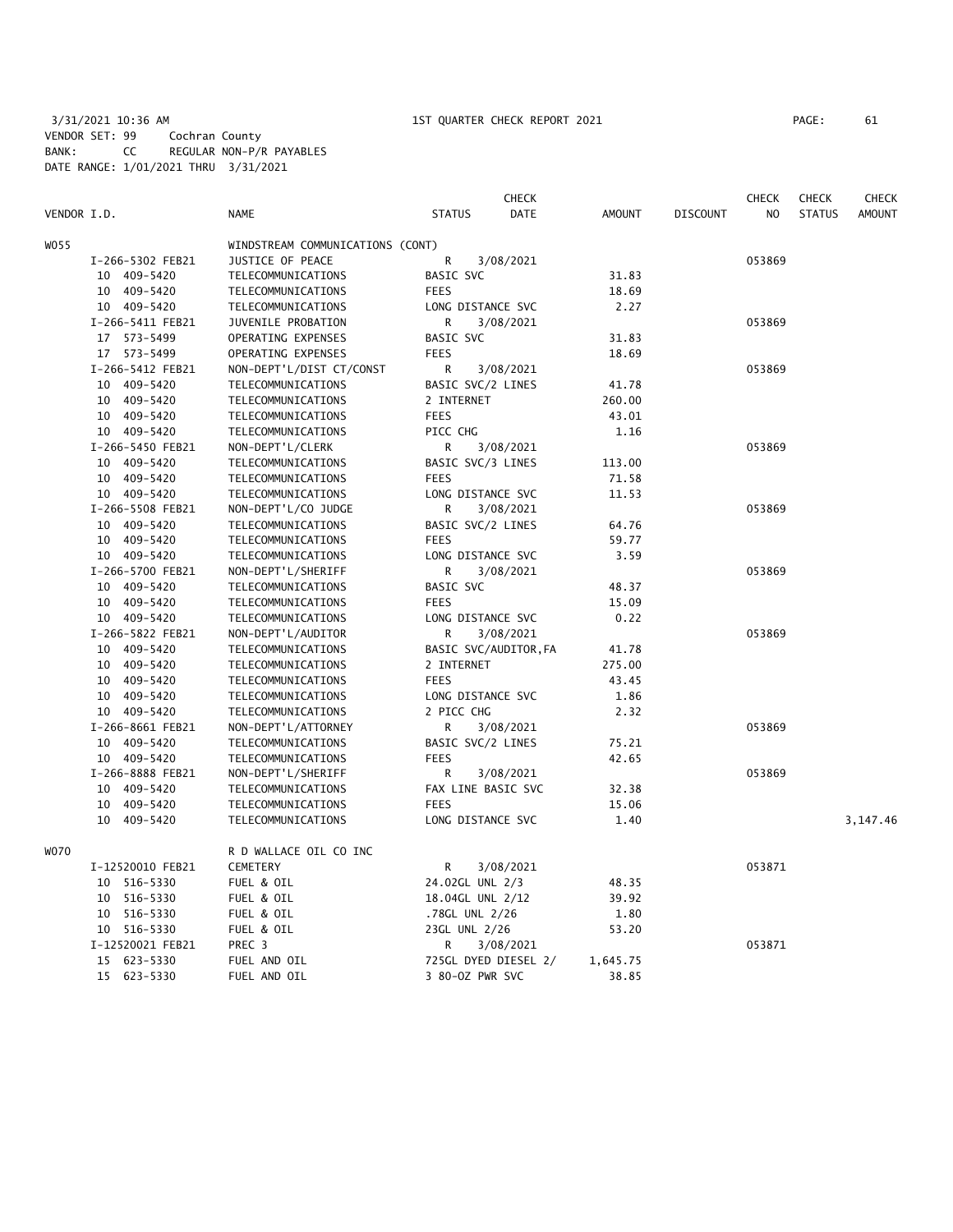3/31/2021 10:36 AM 1ST QUARTER CHECK REPORT 2021 VENDOR SET: 99 Cochran County BANK: CC REGULAR NON-P/R PAYABLES DATE RANGE: 1/01/2021 THRU 3/31/2021

| PAGE : | 61 |
|--------|----|
|--------|----|

|             |                  |                                  | <b>CHECK</b>          |               |                 | <b>CHECK</b>   | <b>CHECK</b>  | CHECK         |
|-------------|------------------|----------------------------------|-----------------------|---------------|-----------------|----------------|---------------|---------------|
| VENDOR I.D. |                  | <b>NAME</b>                      | <b>STATUS</b><br>DATE | <b>AMOUNT</b> | <b>DISCOUNT</b> | N <sub>O</sub> | <b>STATUS</b> | <b>AMOUNT</b> |
| WO55        |                  | WINDSTREAM COMMUNICATIONS (CONT) |                       |               |                 |                |               |               |
|             | I-266-5302 FEB21 | JUSTICE OF PEACE                 | R<br>3/08/2021        |               |                 | 053869         |               |               |
|             | 10 409-5420      | TELECOMMUNICATIONS               | <b>BASIC SVC</b>      | 31.83         |                 |                |               |               |
|             | 10 409-5420      | TELECOMMUNICATIONS               | <b>FEES</b>           | 18.69         |                 |                |               |               |
|             | 10 409-5420      | TELECOMMUNICATIONS               | LONG DISTANCE SVC     | 2.27          |                 |                |               |               |
|             | I-266-5411 FEB21 | JUVENILE PROBATION               | R<br>3/08/2021        |               |                 | 053869         |               |               |
|             | 17 573-5499      | OPERATING EXPENSES               | BASIC SVC             | 31.83         |                 |                |               |               |
|             | 17 573-5499      | OPERATING EXPENSES               | <b>FEES</b>           | 18.69         |                 |                |               |               |
|             | I-266-5412 FEB21 | NON-DEPT'L/DIST CT/CONST         | R<br>3/08/2021        |               |                 | 053869         |               |               |
|             | 10 409-5420      | TELECOMMUNICATIONS               | BASIC SVC/2 LINES     | 41.78         |                 |                |               |               |
|             | 10 409-5420      | TELECOMMUNICATIONS               | 2 INTERNET            | 260.00        |                 |                |               |               |
|             | 10 409-5420      | TELECOMMUNICATIONS               | <b>FEES</b>           | 43.01         |                 |                |               |               |
|             | 10 409-5420      | TELECOMMUNICATIONS               | PICC CHG              | 1.16          |                 |                |               |               |
|             | I-266-5450 FEB21 | NON-DEPT'L/CLERK                 | R<br>3/08/2021        |               |                 | 053869         |               |               |
|             | 10 409-5420      | TELECOMMUNICATIONS               | BASIC SVC/3 LINES     | 113.00        |                 |                |               |               |
|             | 10 409-5420      | TELECOMMUNICATIONS               | <b>FEES</b>           | 71.58         |                 |                |               |               |
|             | 10 409-5420      | TELECOMMUNICATIONS               | LONG DISTANCE SVC     | 11.53         |                 |                |               |               |
|             | I-266-5508 FEB21 | NON-DEPT'L/CO JUDGE              | R<br>3/08/2021        |               |                 | 053869         |               |               |
|             | 10 409-5420      | TELECOMMUNICATIONS               | BASIC SVC/2 LINES     | 64.76         |                 |                |               |               |
|             | 10 409-5420      | TELECOMMUNICATIONS               | <b>FEES</b>           | 59.77         |                 |                |               |               |
|             | 10 409-5420      | TELECOMMUNICATIONS               | LONG DISTANCE SVC     | 3.59          |                 |                |               |               |
|             | I-266-5700 FEB21 | NON-DEPT'L/SHERIFF               | R<br>3/08/2021        |               |                 | 053869         |               |               |
|             | 10 409-5420      | TELECOMMUNICATIONS               | BASIC SVC             | 48.37         |                 |                |               |               |
|             | 10 409-5420      | TELECOMMUNICATIONS               | <b>FEES</b>           | 15.09         |                 |                |               |               |
|             | 10 409-5420      | TELECOMMUNICATIONS               | LONG DISTANCE SVC     | 0.22          |                 |                |               |               |
|             | I-266-5822 FEB21 | NON-DEPT'L/AUDITOR               | R<br>3/08/2021        |               |                 | 053869         |               |               |
|             | 10 409-5420      | TELECOMMUNICATIONS               | BASIC SVC/AUDITOR, FA | 41.78         |                 |                |               |               |
|             | 10 409-5420      | TELECOMMUNICATIONS               | 2 INTERNET            | 275.00        |                 |                |               |               |
|             | 10 409-5420      | TELECOMMUNICATIONS               | <b>FEES</b>           | 43.45         |                 |                |               |               |
|             | 10 409-5420      | TELECOMMUNICATIONS               | LONG DISTANCE SVC     | 1.86          |                 |                |               |               |
|             | 10 409-5420      | TELECOMMUNICATIONS               | 2 PICC CHG            | 2.32          |                 |                |               |               |
|             | I-266-8661 FEB21 | NON-DEPT'L/ATTORNEY              | R<br>3/08/2021        |               |                 | 053869         |               |               |
|             | 10 409-5420      | TELECOMMUNICATIONS               | BASIC SVC/2 LINES     | 75.21         |                 |                |               |               |
|             | 10 409-5420      | TELECOMMUNICATIONS               | <b>FEES</b>           | 42.65         |                 |                |               |               |
|             | I-266-8888 FEB21 | NON-DEPT'L/SHERIFF               | R<br>3/08/2021        |               |                 | 053869         |               |               |
|             | 10 409-5420      | TELECOMMUNICATIONS               | FAX LINE BASIC SVC    | 32.38         |                 |                |               |               |
|             | 10 409-5420      | TELECOMMUNICATIONS               | <b>FEES</b>           | 15.06         |                 |                |               |               |
|             | 10 409-5420      | TELECOMMUNICATIONS               | LONG DISTANCE SVC     | 1.40          |                 |                |               | 3,147.46      |
|             |                  |                                  |                       |               |                 |                |               |               |
| W070        |                  | R D WALLACE OIL CO INC           |                       |               |                 |                |               |               |
|             | I-12520010 FEB21 | CEMETERY                         | R<br>3/08/2021        |               |                 | 053871         |               |               |
|             | 10 516-5330      | FUEL & OIL                       | 24.02GL UNL 2/3       | 48.35         |                 |                |               |               |
|             | 10 516-5330      | FUEL & OIL                       | 18.04GL UNL 2/12      | 39.92         |                 |                |               |               |
|             | 10 516-5330      | FUEL & OIL                       | .78GL UNL 2/26        | 1.80          |                 |                |               |               |
|             | 10 516-5330      | FUEL & OIL                       | 23GL UNL 2/26         | 53.20         |                 |                |               |               |
|             | I-12520021 FEB21 | PREC 3                           | R<br>3/08/2021        |               |                 | 053871         |               |               |
|             | 15 623-5330      | FUEL AND OIL                     | 725GL DYED DIESEL 2/  | 1,645.75      |                 |                |               |               |
|             | 15 623-5330      | FUEL AND OIL                     | 3 80-0Z PWR SVC       | 38.85         |                 |                |               |               |
|             |                  |                                  |                       |               |                 |                |               |               |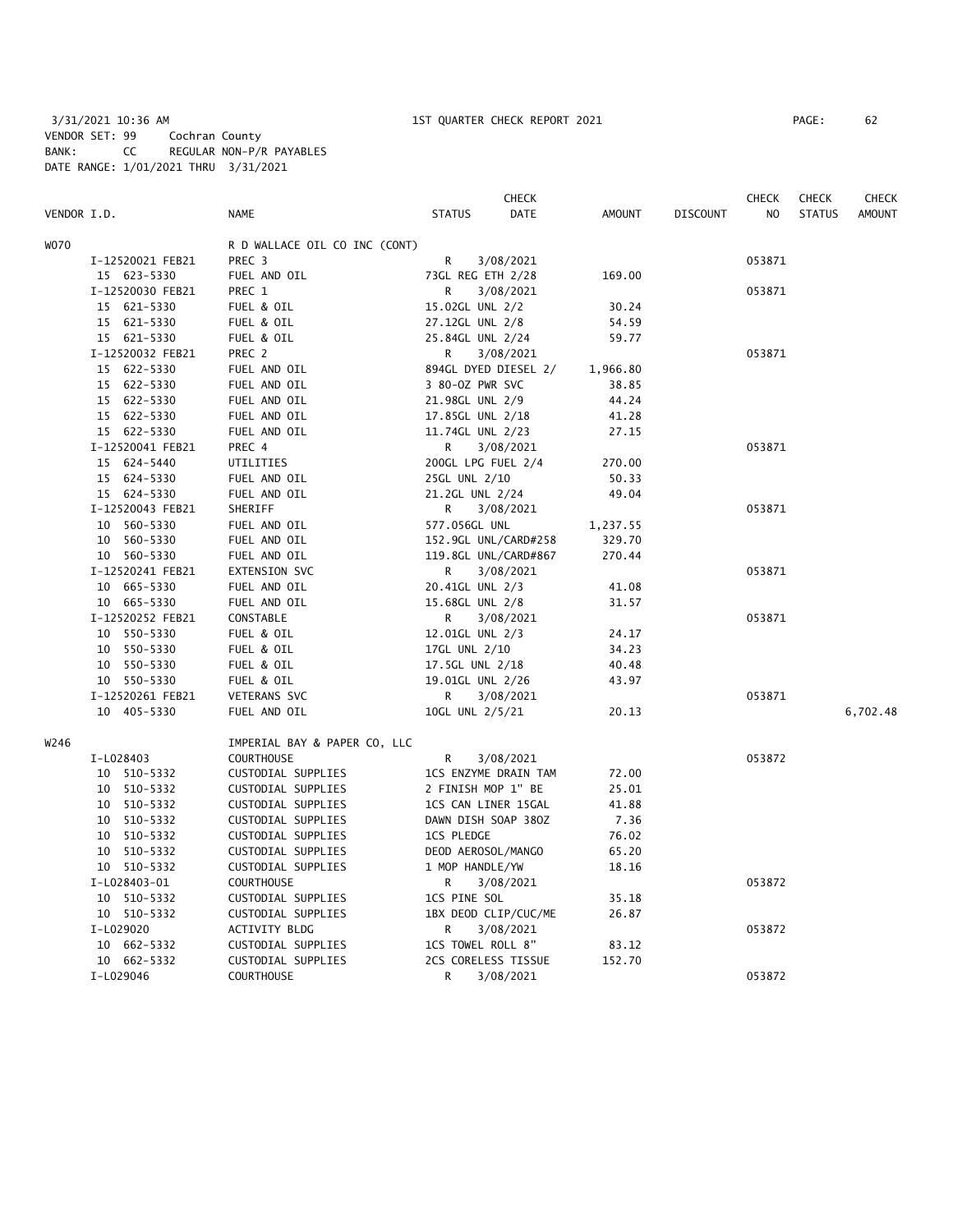3/31/2021 10:36 AM 1ST QUARTER CHECK REPORT 2021 PAGE: 62 VENDOR SET: 99 Cochran County BANK: CC REGULAR NON-P/R PAYABLES DATE RANGE: 1/01/2021 THRU 3/31/2021

|             |                  |                               |                     | <b>CHECK</b>         |               |                 | <b>CHECK</b> | <b>CHECK</b>  | <b>CHECK</b>  |
|-------------|------------------|-------------------------------|---------------------|----------------------|---------------|-----------------|--------------|---------------|---------------|
| VENDOR I.D. |                  | <b>NAME</b>                   | <b>STATUS</b>       | DATE                 | <b>AMOUNT</b> | <b>DISCOUNT</b> | NO.          | <b>STATUS</b> | <b>AMOUNT</b> |
| WO70        |                  | R D WALLACE OIL CO INC (CONT) |                     |                      |               |                 |              |               |               |
|             | I-12520021 FEB21 | PREC <sub>3</sub>             | R                   | 3/08/2021            |               |                 | 053871       |               |               |
|             | 15 623-5330      | FUEL AND OIL                  | 73GL REG ETH 2/28   |                      | 169.00        |                 |              |               |               |
|             | I-12520030 FEB21 | PREC 1                        | R                   | 3/08/2021            |               |                 | 053871       |               |               |
|             | 15 621-5330      | FUEL & OIL                    | 15.02GL UNL 2/2     |                      | 30.24         |                 |              |               |               |
|             | 15 621-5330      | FUEL & OIL                    | 27.12GL UNL 2/8     |                      | 54.59         |                 |              |               |               |
|             | 15 621-5330      | FUEL & OIL                    | 25.84GL UNL 2/24    |                      | 59.77         |                 |              |               |               |
|             | I-12520032 FEB21 | PREC 2                        | R                   | 3/08/2021            |               |                 | 053871       |               |               |
|             | 15 622-5330      | FUEL AND OIL                  |                     | 894GL DYED DIESEL 2/ | 1,966.80      |                 |              |               |               |
|             | 15 622-5330      | FUEL AND OIL                  | 3 80-0Z PWR SVC     |                      | 38.85         |                 |              |               |               |
|             | 15 622-5330      | FUEL AND OIL                  | 21.98GL UNL 2/9     |                      | 44.24         |                 |              |               |               |
|             | 15 622-5330      | FUEL AND OIL                  | 17.85GL UNL 2/18    |                      | 41.28         |                 |              |               |               |
|             | 15 622-5330      | FUEL AND OIL                  | 11.74GL UNL 2/23    |                      | 27.15         |                 |              |               |               |
|             | I-12520041 FEB21 | PREC 4                        | R                   | 3/08/2021            |               |                 | 053871       |               |               |
|             | 15 624-5440      | UTILITIES                     | 200GL LPG FUEL 2/4  |                      | 270.00        |                 |              |               |               |
|             | 15 624-5330      | FUEL AND OIL                  | 25GL UNL 2/10       |                      | 50.33         |                 |              |               |               |
|             | 15 624-5330      | FUEL AND OIL                  | 21.2GL UNL 2/24     |                      | 49.04         |                 |              |               |               |
|             | I-12520043 FEB21 | SHERIFF                       | R                   | 3/08/2021            |               |                 | 053871       |               |               |
|             | 10 560-5330      | FUEL AND OIL                  | 577.056GL UNL       |                      | 1,237.55      |                 |              |               |               |
|             | 10 560-5330      | FUEL AND OIL                  |                     | 152.9GL UNL/CARD#258 | 329.70        |                 |              |               |               |
|             | 10 560-5330      | FUEL AND OIL                  |                     | 119.8GL UNL/CARD#867 | 270.44        |                 |              |               |               |
|             | I-12520241 FEB21 | EXTENSION SVC                 | R                   | 3/08/2021            |               |                 | 053871       |               |               |
|             | 10 665-5330      | FUEL AND OIL                  | 20.41GL UNL 2/3     |                      | 41.08         |                 |              |               |               |
|             | 10 665-5330      | FUEL AND OIL                  | 15.68GL UNL 2/8     |                      | 31.57         |                 |              |               |               |
|             | I-12520252 FEB21 | CONSTABLE                     | R                   | 3/08/2021            |               |                 | 053871       |               |               |
|             | 10 550-5330      | FUEL & OIL                    | 12.01GL UNL 2/3     |                      | 24.17         |                 |              |               |               |
|             | 10 550-5330      | FUEL & OIL                    | 17GL UNL 2/10       |                      | 34.23         |                 |              |               |               |
|             | 10 550-5330      | FUEL & OIL                    | 17.5GL UNL 2/18     |                      | 40.48         |                 |              |               |               |
|             | 10 550-5330      | FUEL & OIL                    | 19.01GL UNL 2/26    |                      | 43.97         |                 |              |               |               |
|             | I-12520261 FEB21 | VETERANS SVC                  | R                   | 3/08/2021            |               |                 | 053871       |               |               |
|             | 10 405-5330      | FUEL AND OIL                  | 10GL UNL 2/5/21     |                      | 20.13         |                 |              |               | 6,702.48      |
| W246        |                  | IMPERIAL BAY & PAPER CO, LLC  |                     |                      |               |                 |              |               |               |
|             | I-L028403        | <b>COURTHOUSE</b>             | R                   | 3/08/2021            |               |                 | 053872       |               |               |
|             | 10 510-5332      | CUSTODIAL SUPPLIES            |                     | 1CS ENZYME DRAIN TAM | 72.00         |                 |              |               |               |
|             | 10 510-5332      | CUSTODIAL SUPPLIES            | 2 FINISH MOP 1" BE  |                      | 25.01         |                 |              |               |               |
|             | 10 510-5332      | CUSTODIAL SUPPLIES            | 1CS CAN LINER 15GAL |                      | 41.88         |                 |              |               |               |
|             | 10 510-5332      | CUSTODIAL SUPPLIES            | DAWN DISH SOAP 380Z |                      | 7.36          |                 |              |               |               |
|             | 10 510-5332      | CUSTODIAL SUPPLIES            | <b>1CS PLEDGE</b>   |                      | 76.02         |                 |              |               |               |
|             | 10 510-5332      | CUSTODIAL SUPPLIES            | DEOD AEROSOL/MANGO  |                      | 65.20         |                 |              |               |               |
|             | 10 510-5332      | CUSTODIAL SUPPLIES            | 1 MOP HANDLE/YW     |                      | 18.16         |                 |              |               |               |
|             | I-L028403-01     | COURTHOUSE                    | R                   | 3/08/2021            |               |                 | 053872       |               |               |
|             | 10 510-5332      | CUSTODIAL SUPPLIES            | 1CS PINE SOL        |                      | 35.18         |                 |              |               |               |
|             | 10 510-5332      | CUSTODIAL SUPPLIES            |                     | 1BX DEOD CLIP/CUC/ME | 26.87         |                 |              |               |               |
|             | I-L029020        | ACTIVITY BLDG                 | R                   | 3/08/2021            |               |                 | 053872       |               |               |
|             | 10 662-5332      | CUSTODIAL SUPPLIES            | 1CS TOWEL ROLL 8"   |                      | 83.12         |                 |              |               |               |
|             | 10 662-5332      | CUSTODIAL SUPPLIES            | 2CS CORELESS TISSUE |                      | 152.70        |                 |              |               |               |
|             | I-L029046        | <b>COURTHOUSE</b>             | R                   | 3/08/2021            |               |                 | 053872       |               |               |
|             |                  |                               |                     |                      |               |                 |              |               |               |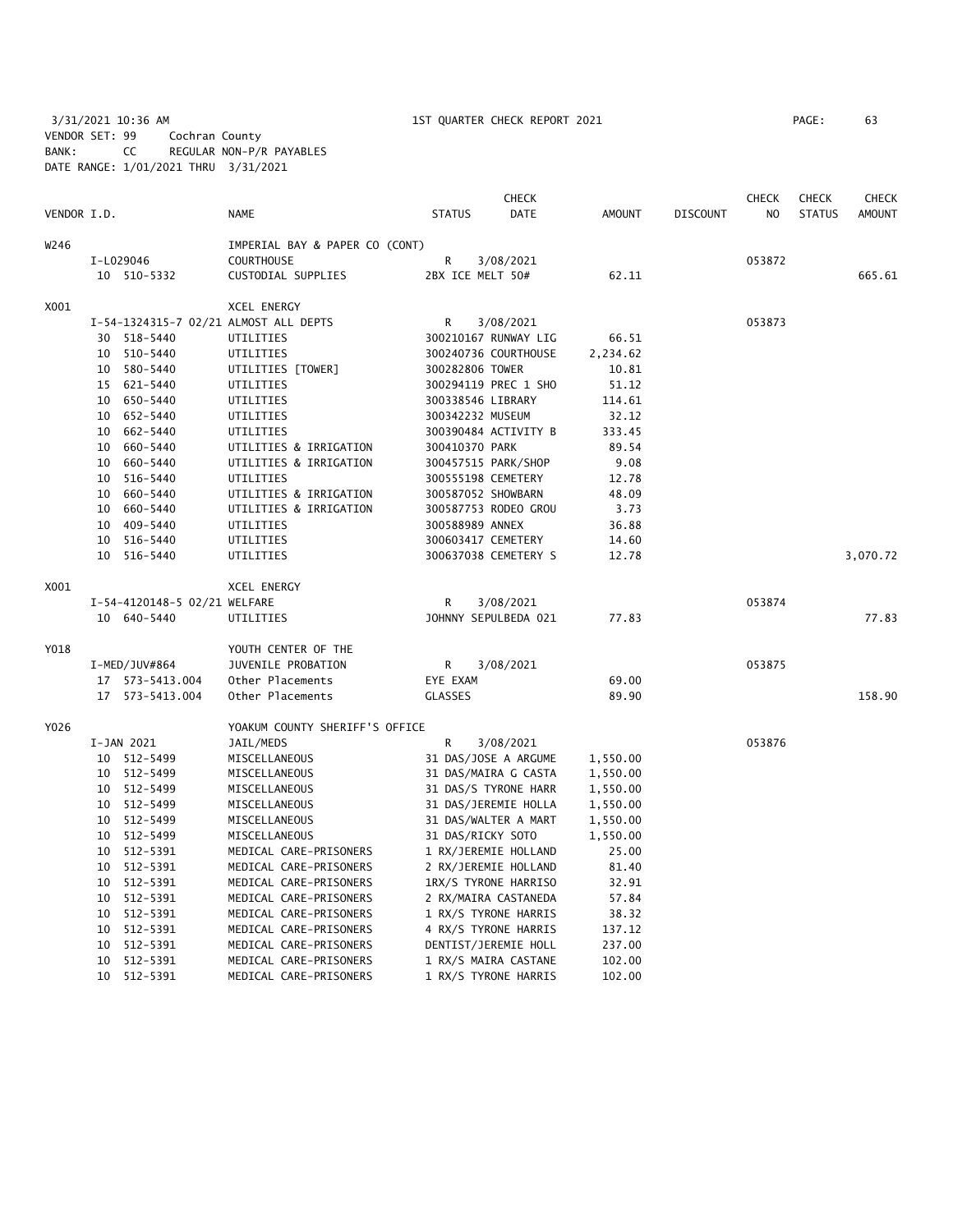3/31/2021 10:36 AM 1ST QUARTER CHECK REPORT 2021 PAGE: 63 VENDOR SET: 99 Cochran County BANK: CC REGULAR NON-P/R PAYABLES DATE RANGE: 1/01/2021 THRU 3/31/2021

|             |    |                              |                                       | <b>CHECK</b>        |                      |          |                 | <b>CHECK</b><br><b>CHECK</b> |               |               |
|-------------|----|------------------------------|---------------------------------------|---------------------|----------------------|----------|-----------------|------------------------------|---------------|---------------|
| VENDOR I.D. |    |                              | <b>NAME</b>                           | <b>STATUS</b>       | DATE                 | AMOUNT   | <b>DISCOUNT</b> | <b>CHECK</b><br>NO           | <b>STATUS</b> | <b>AMOUNT</b> |
| W246        |    |                              | IMPERIAL BAY & PAPER CO (CONT)        |                     |                      |          |                 |                              |               |               |
|             |    | I-L029046                    | <b>COURTHOUSE</b>                     | R                   | 3/08/2021            |          |                 | 053872                       |               |               |
|             |    | 10 510-5332                  | CUSTODIAL SUPPLIES                    | 2BX ICE MELT 50#    |                      | 62.11    |                 |                              |               | 665.61        |
| X001        |    |                              | <b>XCEL ENERGY</b>                    |                     |                      |          |                 |                              |               |               |
|             |    |                              | I-54-1324315-7 02/21 ALMOST ALL DEPTS | R                   | 3/08/2021            |          |                 | 053873                       |               |               |
|             |    | 30 518-5440                  | UTILITIES                             |                     | 300210167 RUNWAY LIG | 66.51    |                 |                              |               |               |
|             |    | 10 510-5440                  | UTILITIES                             |                     | 300240736 COURTHOUSE | 2,234.62 |                 |                              |               |               |
|             |    | 10 580-5440                  | UTILITIES [TOWER]                     | 300282806 TOWER     |                      | 10.81    |                 |                              |               |               |
|             |    | 15 621-5440                  | UTILITIES                             |                     | 300294119 PREC 1 SHO | 51.12    |                 |                              |               |               |
|             |    | 10 650-5440                  | UTILITIES                             | 300338546 LIBRARY   |                      | 114.61   |                 |                              |               |               |
|             |    | 10 652-5440                  | UTILITIES                             | 300342232 MUSEUM    |                      | 32.12    |                 |                              |               |               |
|             |    | 10 662-5440                  | UTILITIES                             |                     | 300390484 ACTIVITY B | 333.45   |                 |                              |               |               |
|             |    | 10 660-5440                  | UTILITIES & IRRIGATION                | 300410370 PARK      |                      | 89.54    |                 |                              |               |               |
|             |    | 10 660-5440                  | UTILITIES & IRRIGATION                | 300457515 PARK/SHOP |                      | 9.08     |                 |                              |               |               |
|             |    | 10 516-5440                  | UTILITIES                             | 300555198 CEMETERY  |                      | 12.78    |                 |                              |               |               |
|             |    | 10 660-5440                  | UTILITIES & IRRIGATION                | 300587052 SHOWBARN  |                      | 48.09    |                 |                              |               |               |
|             |    | 10 660-5440                  | UTILITIES & IRRIGATION                |                     | 300587753 RODEO GROU | 3.73     |                 |                              |               |               |
|             |    | 10 409-5440                  | UTILITIES                             | 300588989 ANNEX     |                      | 36.88    |                 |                              |               |               |
|             |    | 10 516-5440                  | UTILITIES                             | 300603417 CEMETERY  |                      | 14.60    |                 |                              |               |               |
|             |    | 10 516-5440                  | UTILITIES                             |                     | 300637038 CEMETERY S | 12.78    |                 |                              |               | 3,070.72      |
| X001        |    |                              | <b>XCEL ENERGY</b>                    |                     |                      |          |                 |                              |               |               |
|             |    | I-54-4120148-5 02/21 WELFARE |                                       | R                   | 3/08/2021            |          |                 | 053874                       |               |               |
|             |    | 10 640-5440                  | UTILITIES                             |                     | JOHNNY SEPULBEDA 021 | 77.83    |                 |                              |               | 77.83         |
| Y018        |    |                              | YOUTH CENTER OF THE                   |                     |                      |          |                 |                              |               |               |
|             |    | I-MED/JUV#864                | JUVENILE PROBATION                    | R                   | 3/08/2021            |          |                 | 053875                       |               |               |
|             |    | 17  573-5413.004             | Other Placements                      | EYE EXAM            |                      | 69.00    |                 |                              |               |               |
|             |    | 17  573-5413.004             | Other Placements                      | <b>GLASSES</b>      |                      | 89.90    |                 |                              |               | 158.90        |
| Y026        |    |                              | YOAKUM COUNTY SHERIFF'S OFFICE        |                     |                      |          |                 |                              |               |               |
|             |    | I-JAN 2021                   | JAIL/MEDS                             | R                   | 3/08/2021            |          |                 | 053876                       |               |               |
|             |    | 10 512-5499                  | MISCELLANEOUS                         |                     | 31 DAS/JOSE A ARGUME | 1,550.00 |                 |                              |               |               |
|             |    | 10 512-5499                  | MISCELLANEOUS                         |                     | 31 DAS/MAIRA G CASTA | 1,550.00 |                 |                              |               |               |
|             |    | 10 512-5499                  | MISCELLANEOUS                         |                     | 31 DAS/S TYRONE HARR | 1,550.00 |                 |                              |               |               |
|             |    | 10 512-5499                  | MISCELLANEOUS                         |                     | 31 DAS/JEREMIE HOLLA | 1,550.00 |                 |                              |               |               |
|             |    | 10 512-5499                  | MISCELLANEOUS                         |                     | 31 DAS/WALTER A MART | 1,550.00 |                 |                              |               |               |
|             |    | 10 512-5499                  | MISCELLANEOUS                         | 31 DAS/RICKY SOTO   |                      | 1,550.00 |                 |                              |               |               |
|             |    | 10 512-5391                  | MEDICAL CARE-PRISONERS                |                     | 1 RX/JEREMIE HOLLAND | 25.00    |                 |                              |               |               |
|             |    | 10 512-5391                  | MEDICAL CARE-PRISONERS                |                     | 2 RX/JEREMIE HOLLAND | 81.40    |                 |                              |               |               |
|             |    | 10 512-5391                  | MEDICAL CARE-PRISONERS                |                     | 1RX/S TYRONE HARRISO | 32.91    |                 |                              |               |               |
|             |    | 10 512-5391                  | MEDICAL CARE-PRISONERS                |                     | 2 RX/MAIRA CASTANEDA | 57.84    |                 |                              |               |               |
|             |    | 10 512-5391                  | MEDICAL CARE-PRISONERS                |                     | 1 RX/S TYRONE HARRIS | 38.32    |                 |                              |               |               |
|             |    | 10 512-5391                  | MEDICAL CARE-PRISONERS                |                     | 4 RX/S TYRONE HARRIS | 137.12   |                 |                              |               |               |
|             | 10 | 512-5391                     | MEDICAL CARE-PRISONERS                |                     | DENTIST/JEREMIE HOLL | 237.00   |                 |                              |               |               |
|             |    | 10 512-5391                  | MEDICAL CARE-PRISONERS                |                     | 1 RX/S MAIRA CASTANE | 102.00   |                 |                              |               |               |
|             |    | 10 512-5391                  | MEDICAL CARE-PRISONERS                |                     | 1 RX/S TYRONE HARRIS | 102.00   |                 |                              |               |               |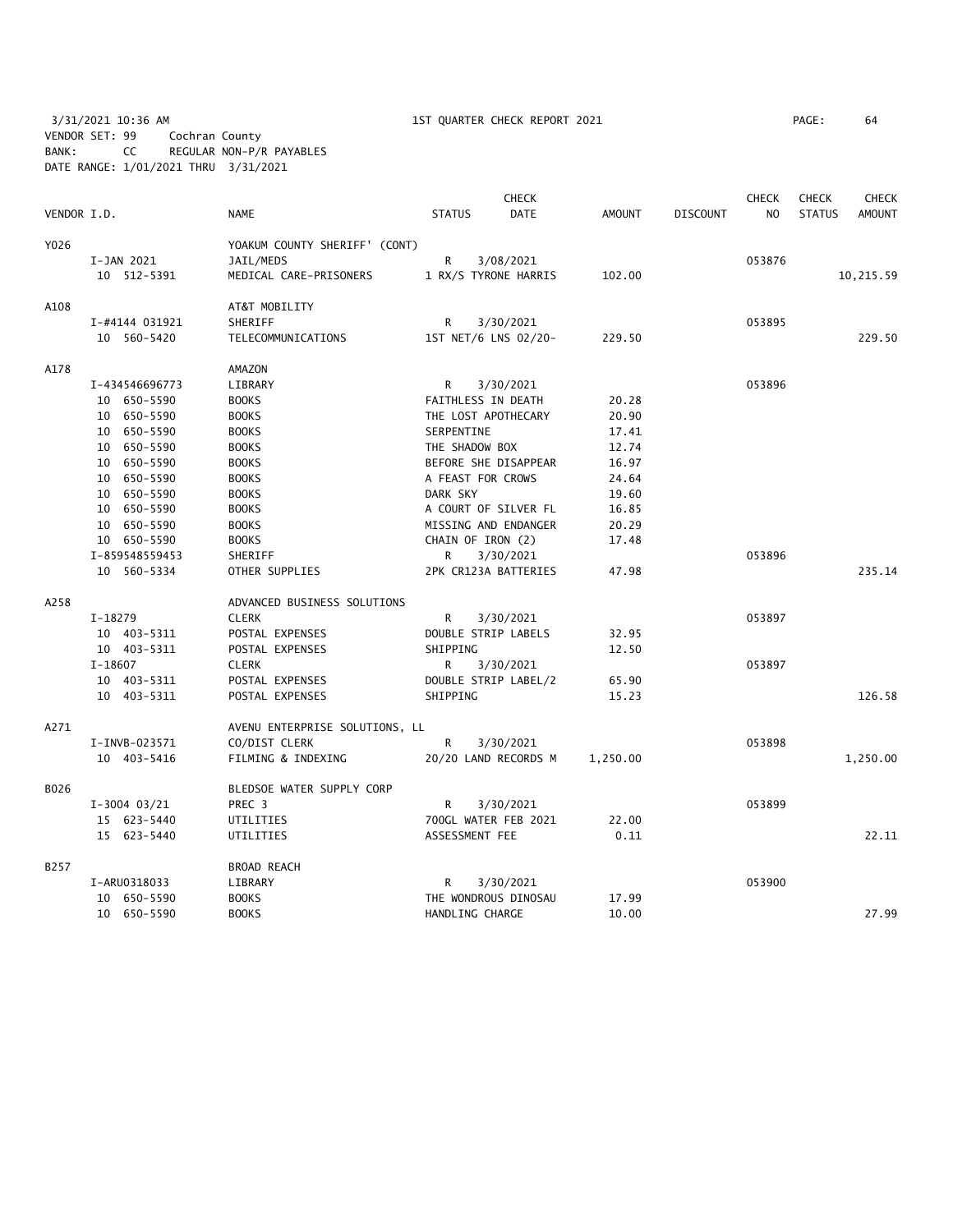3/31/2021 10:36 AM 1ST QUARTER CHECK REPORT 2021 PAGE: 64 VENDOR SET: 99 Cochran County BANK: CC REGULAR NON-P/R PAYABLES DATE RANGE: 1/01/2021 THRU 3/31/2021

|             |                |                                |               | <b>CHECK</b>         |               |                 | <b>CHECK</b>   | <b>CHECK</b>  | <b>CHECK</b>  |
|-------------|----------------|--------------------------------|---------------|----------------------|---------------|-----------------|----------------|---------------|---------------|
| VENDOR I.D. |                | <b>NAME</b>                    | <b>STATUS</b> | <b>DATE</b>          | <b>AMOUNT</b> | <b>DISCOUNT</b> | N <sub>O</sub> | <b>STATUS</b> | <b>AMOUNT</b> |
| Y026        |                | YOAKUM COUNTY SHERIFF' (CONT)  |               |                      |               |                 |                |               |               |
|             | I-JAN 2021     | JAIL/MEDS                      | R             | 3/08/2021            |               |                 | 053876         |               |               |
|             | 10 512-5391    | MEDICAL CARE-PRISONERS         |               | 1 RX/S TYRONE HARRIS | 102.00        |                 |                |               | 10,215.59     |
| A108        |                | AT&T MOBILITY                  |               |                      |               |                 |                |               |               |
|             | I-#4144 031921 | SHERIFF                        | R             | 3/30/2021            |               |                 | 053895         |               |               |
|             | 10 560-5420    | TELECOMMUNICATIONS             |               | 1ST NET/6 LNS 02/20- | 229.50        |                 |                |               | 229.50        |
| A178        |                | <b>AMAZON</b>                  |               |                      |               |                 |                |               |               |
|             | I-434546696773 | LIBRARY                        | R             | 3/30/2021            |               |                 | 053896         |               |               |
|             | 10 650-5590    | <b>BOOKS</b>                   |               | FAITHLESS IN DEATH   | 20.28         |                 |                |               |               |
|             | 10 650-5590    | <b>BOOKS</b>                   |               | THE LOST APOTHECARY  | 20.90         |                 |                |               |               |
|             | 10 650-5590    | <b>BOOKS</b>                   | SERPENTINE    |                      | 17.41         |                 |                |               |               |
|             | 10 650-5590    | <b>BOOKS</b>                   |               | THE SHADOW BOX       | 12.74         |                 |                |               |               |
|             | 10 650-5590    | <b>BOOKS</b>                   |               | BEFORE SHE DISAPPEAR | 16.97         |                 |                |               |               |
|             | 10 650-5590    | <b>BOOKS</b>                   |               | A FEAST FOR CROWS    | 24.64         |                 |                |               |               |
|             | 10 650-5590    | <b>BOOKS</b>                   | DARK SKY      |                      | 19.60         |                 |                |               |               |
|             | 10 650-5590    | <b>BOOKS</b>                   |               | A COURT OF SILVER FL | 16.85         |                 |                |               |               |
|             | 10 650-5590    | <b>BOOKS</b>                   |               | MISSING AND ENDANGER | 20.29         |                 |                |               |               |
|             | 10 650-5590    | <b>BOOKS</b>                   |               | CHAIN OF IRON (2)    | 17.48         |                 |                |               |               |
|             | I-859548559453 | SHERIFF                        | R             | 3/30/2021            |               |                 | 053896         |               |               |
|             | 10 560-5334    | OTHER SUPPLIES                 |               | 2PK CR123A BATTERIES | 47.98         |                 |                |               | 235.14        |
| A258        |                | ADVANCED BUSINESS SOLUTIONS    |               |                      |               |                 |                |               |               |
|             | $I-18279$      | <b>CLERK</b>                   | R             | 3/30/2021            |               |                 | 053897         |               |               |
|             | 10 403-5311    | POSTAL EXPENSES                |               | DOUBLE STRIP LABELS  | 32.95         |                 |                |               |               |
|             | 10 403-5311    | POSTAL EXPENSES                | SHIPPING      |                      | 12.50         |                 |                |               |               |
|             | I-18607        | <b>CLERK</b>                   | R             | 3/30/2021            |               |                 | 053897         |               |               |
|             | 10 403-5311    | POSTAL EXPENSES                |               | DOUBLE STRIP LABEL/2 | 65.90         |                 |                |               |               |
|             | 10 403-5311    | POSTAL EXPENSES                | SHIPPING      |                      | 15.23         |                 |                |               | 126.58        |
| A271        |                | AVENU ENTERPRISE SOLUTIONS, LL |               |                      |               |                 |                |               |               |
|             | I-INVB-023571  | CO/DIST CLERK                  | R             | 3/30/2021            |               |                 | 053898         |               |               |
|             | 10 403-5416    | FILMING & INDEXING             |               | 20/20 LAND RECORDS M | 1,250.00      |                 |                |               | 1,250.00      |
| B026        |                | BLEDSOE WATER SUPPLY CORP      |               |                      |               |                 |                |               |               |
|             | $I-3004$ 03/21 | PREC <sub>3</sub>              | R             | 3/30/2021            |               |                 | 053899         |               |               |
|             | 15 623-5440    | UTILITIES                      |               | 700GL WATER FEB 2021 | 22.00         |                 |                |               |               |
|             | 15 623-5440    | UTILITIES                      |               | ASSESSMENT FEE       | 0.11          |                 |                |               | 22.11         |
| B257        |                | BROAD REACH                    |               |                      |               |                 |                |               |               |
|             | I-ARU0318033   | LIBRARY                        | R             | 3/30/2021            |               |                 | 053900         |               |               |
|             | 10 650-5590    | <b>BOOKS</b>                   |               | THE WONDROUS DINOSAU | 17.99         |                 |                |               |               |
|             | 10 650-5590    | <b>BOOKS</b>                   |               | HANDLING CHARGE      | 10.00         |                 |                |               | 27.99         |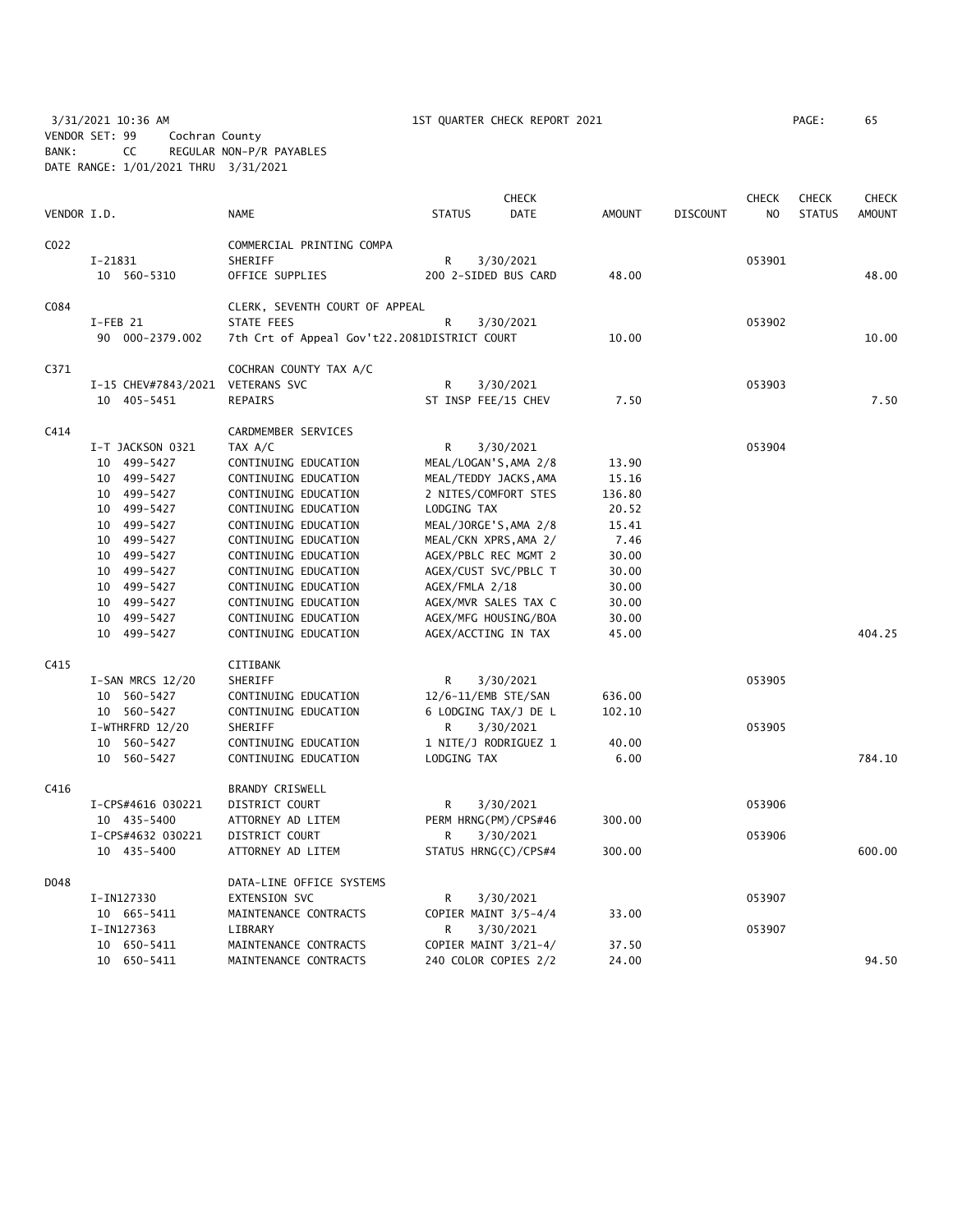3/31/2021 10:36 AM 1ST QUARTER CHECK REPORT 2021 PAGE: 65 VENDOR SET: 99 Cochran County BANK: CC REGULAR NON-P/R PAYABLES DATE RANGE: 1/01/2021 THRU 3/31/2021

|             |                                  |                                              |                     | <b>CHECK</b>            |               |                 | <b>CHECK</b>   | <b>CHECK</b>  | <b>CHECK</b>  |
|-------------|----------------------------------|----------------------------------------------|---------------------|-------------------------|---------------|-----------------|----------------|---------------|---------------|
| VENDOR I.D. |                                  | NAME                                         | <b>STATUS</b>       | <b>DATE</b>             | <b>AMOUNT</b> | <b>DISCOUNT</b> | N <sub>O</sub> | <b>STATUS</b> | <b>AMOUNT</b> |
| C022        |                                  | COMMERCIAL PRINTING COMPA                    |                     |                         |               |                 |                |               |               |
|             | $I-21831$                        | SHERIFF                                      | R                   | 3/30/2021               |               |                 | 053901         |               |               |
|             | 10 560-5310                      | OFFICE SUPPLIES                              |                     | 200 2-SIDED BUS CARD    | 48.00         |                 |                |               | 48.00         |
| C084        |                                  | CLERK, SEVENTH COURT OF APPEAL               |                     |                         |               |                 |                |               |               |
|             | I-FEB 21                         | STATE FEES                                   | $\mathsf{R}$        | 3/30/2021               |               |                 | 053902         |               |               |
|             | 90 000-2379.002                  | 7th Crt of Appeal Gov't22.2081DISTRICT COURT |                     |                         | 10.00         |                 |                |               | 10.00         |
| C371        |                                  | COCHRAN COUNTY TAX A/C                       |                     |                         |               |                 |                |               |               |
|             | I-15 CHEV#7843/2021 VETERANS SVC |                                              | R                   | 3/30/2021               |               |                 | 053903         |               |               |
|             | 10 405-5451                      | REPAIRS                                      | ST INSP FEE/15 CHEV |                         | 7.50          |                 |                |               | 7.50          |
| C414        |                                  | CARDMEMBER SERVICES                          |                     |                         |               |                 |                |               |               |
|             | I-T JACKSON 0321                 | TAX A/C                                      | R                   | 3/30/2021               |               |                 | 053904         |               |               |
|             | 10 499-5427                      | CONTINUING EDUCATION                         |                     | MEAL/LOGAN'S, AMA 2/8   | 13.90         |                 |                |               |               |
|             | 10 499-5427                      | CONTINUING EDUCATION                         |                     | MEAL/TEDDY JACKS, AMA   | 15.16         |                 |                |               |               |
|             | 10 499-5427                      | CONTINUING EDUCATION                         |                     | 2 NITES/COMFORT STES    | 136.80        |                 |                |               |               |
|             | 10 499-5427                      | CONTINUING EDUCATION                         | LODGING TAX         |                         | 20.52         |                 |                |               |               |
|             | 10 499-5427                      | CONTINUING EDUCATION                         |                     | MEAL/JORGE'S, AMA 2/8   | 15.41         |                 |                |               |               |
|             | 10 499-5427                      | CONTINUING EDUCATION                         |                     | MEAL/CKN XPRS, AMA 2/   | 7.46          |                 |                |               |               |
|             | 10 499-5427                      | CONTINUING EDUCATION                         |                     | AGEX/PBLC REC MGMT 2    | 30.00         |                 |                |               |               |
|             | 10 499-5427                      | CONTINUING EDUCATION                         |                     | AGEX/CUST SVC/PBLC T    | 30.00         |                 |                |               |               |
|             | 10 499-5427                      | CONTINUING EDUCATION                         | AGEX/FMLA 2/18      |                         | 30.00         |                 |                |               |               |
|             | 10 499-5427                      | CONTINUING EDUCATION                         |                     | AGEX/MVR SALES TAX C    | 30.00         |                 |                |               |               |
|             | 10 499-5427                      | CONTINUING EDUCATION                         |                     | AGEX/MFG HOUSING/BOA    | 30.00         |                 |                |               |               |
|             | 10 499-5427                      | CONTINUING EDUCATION                         | AGEX/ACCTING IN TAX |                         | 45.00         |                 |                |               | 404.25        |
| C415        |                                  | CITIBANK                                     |                     |                         |               |                 |                |               |               |
|             | I-SAN MRCS 12/20                 | SHERIFF                                      | R                   | 3/30/2021               |               |                 | 053905         |               |               |
|             | 10 560-5427                      | CONTINUING EDUCATION                         | 12/6-11/EMB STE/SAN |                         | 636.00        |                 |                |               |               |
|             | 10 560-5427                      | CONTINUING EDUCATION                         |                     | 6 LODGING TAX/J DE L    | 102.10        |                 |                |               |               |
|             | I-WTHRFRD 12/20                  | SHERIFF                                      | R                   | 3/30/2021               |               |                 | 053905         |               |               |
|             | 10 560-5427                      | CONTINUING EDUCATION                         |                     | 1 NITE/J RODRIGUEZ 1    | 40.00         |                 |                |               |               |
|             | 10 560-5427                      | CONTINUING EDUCATION                         | LODGING TAX         |                         | 6.00          |                 |                |               | 784.10        |
| C416        |                                  | BRANDY CRISWELL                              |                     |                         |               |                 |                |               |               |
|             | I-CPS#4616 030221                | DISTRICT COURT                               | R                   | 3/30/2021               |               |                 | 053906         |               |               |
|             | 10 435-5400                      | ATTORNEY AD LITEM                            |                     | PERM HRNG (PM) / CPS#46 | 300.00        |                 |                |               |               |
|             | I-CPS#4632 030221                | DISTRICT COURT                               | R                   | 3/30/2021               |               |                 | 053906         |               |               |
|             | 10 435-5400                      | ATTORNEY AD LITEM                            |                     | STATUS HRNG(C)/CPS#4    | 300.00        |                 |                |               | 600.00        |
| D048        |                                  | DATA-LINE OFFICE SYSTEMS                     |                     |                         |               |                 |                |               |               |
|             | I-IN127330                       | EXTENSION SVC                                | R                   | 3/30/2021               |               |                 | 053907         |               |               |
|             | 10 665-5411                      | MAINTENANCE CONTRACTS                        |                     | COPIER MAINT 3/5-4/4    | 33.00         |                 |                |               |               |
|             | I-IN127363                       | LIBRARY                                      | R                   | 3/30/2021               |               |                 | 053907         |               |               |
|             | 10 650-5411                      | MAINTENANCE CONTRACTS                        |                     | COPIER MAINT 3/21-4/    | 37.50         |                 |                |               |               |
|             | 10 650-5411                      | MAINTENANCE CONTRACTS                        |                     | 240 COLOR COPIES 2/2    | 24.00         |                 |                |               | 94.50         |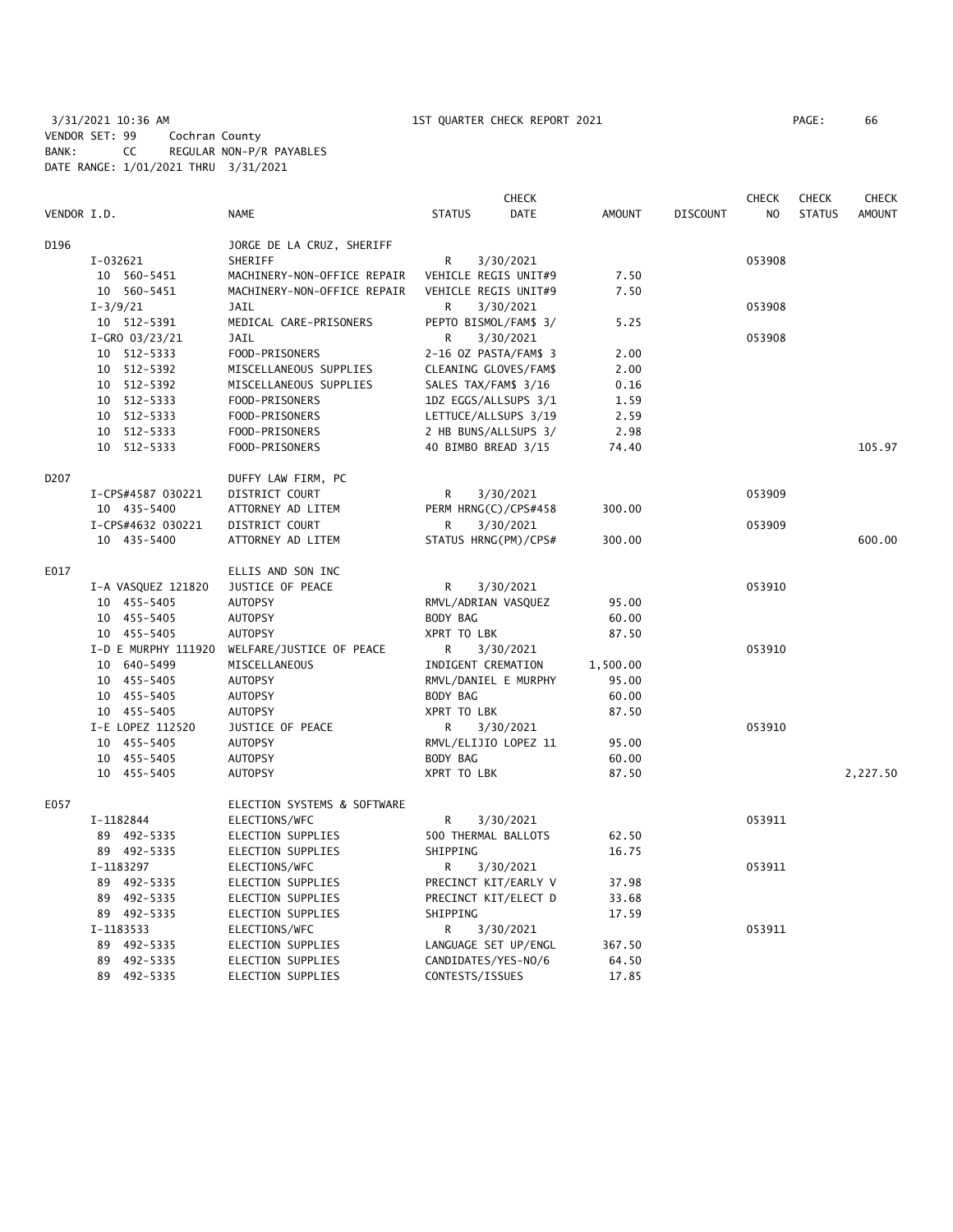## 3/31/2021 10:36 AM 1ST QUARTER CHECK REPORT 2021 PAGE: 66 VENDOR SET: 99 Cochran County BANK: CC REGULAR NON-P/R PAYABLES DATE RANGE: 1/01/2021 THRU 3/31/2021

|             |                     |                             |                       | <b>CHECK</b> |               |                 | <b>CHECK</b>   | <b>CHECK</b>  | <b>CHECK</b>  |
|-------------|---------------------|-----------------------------|-----------------------|--------------|---------------|-----------------|----------------|---------------|---------------|
| VENDOR I.D. |                     | <b>NAME</b>                 | <b>STATUS</b>         | <b>DATE</b>  | <b>AMOUNT</b> | <b>DISCOUNT</b> | N <sub>O</sub> | <b>STATUS</b> | <b>AMOUNT</b> |
| D196        |                     | JORGE DE LA CRUZ, SHERIFF   |                       |              |               |                 |                |               |               |
|             | I-032621            | SHERIFF                     | R                     | 3/30/2021    |               |                 | 053908         |               |               |
|             | 10 560-5451         | MACHINERY-NON-OFFICE REPAIR | VEHICLE REGIS UNIT#9  |              | 7.50          |                 |                |               |               |
|             | 10 560-5451         | MACHINERY-NON-OFFICE REPAIR | VEHICLE REGIS UNIT#9  |              | 7.50          |                 |                |               |               |
|             | $I - 3/9/21$        | <b>JAIL</b>                 | R                     | 3/30/2021    |               |                 | 053908         |               |               |
|             | 10 512-5391         | MEDICAL CARE-PRISONERS      | PEPTO BISMOL/FAM\$ 3/ |              | 5.25          |                 |                |               |               |
|             | $I-GRO$ 03/23/21    | JAIL                        | R                     | 3/30/2021    |               |                 | 053908         |               |               |
|             | 10 512-5333         | FOOD-PRISONERS              | 2-16 OZ PASTA/FAM\$ 3 |              | 2.00          |                 |                |               |               |
|             | 10 512-5392         | MISCELLANEOUS SUPPLIES      | CLEANING GLOVES/FAM\$ |              | 2.00          |                 |                |               |               |
|             | 10 512-5392         | MISCELLANEOUS SUPPLIES      | SALES TAX/FAM\$ 3/16  |              | 0.16          |                 |                |               |               |
|             | 10 512-5333         | FOOD-PRISONERS              | 1DZ EGGS/ALLSUPS 3/1  |              | 1.59          |                 |                |               |               |
|             | 10 512-5333         | FOOD-PRISONERS              | LETTUCE/ALLSUPS 3/19  |              | 2.59          |                 |                |               |               |
|             | 10 512-5333         | FOOD-PRISONERS              | 2 HB BUNS/ALLSUPS 3/  |              | 2.98          |                 |                |               |               |
|             | 10<br>512-5333      | FOOD-PRISONERS              | 40 BIMBO BREAD 3/15   |              | 74.40         |                 |                |               | 105.97        |
| D207        |                     | DUFFY LAW FIRM, PC          |                       |              |               |                 |                |               |               |
|             | I-CPS#4587 030221   | DISTRICT COURT              | R                     | 3/30/2021    |               |                 | 053909         |               |               |
|             | 10 435-5400         | ATTORNEY AD LITEM           | PERM HRNG(C)/CPS#458  |              | 300.00        |                 |                |               |               |
|             | I-CPS#4632 030221   | DISTRICT COURT              | R                     | 3/30/2021    |               |                 | 053909         |               |               |
|             | 10 435-5400         | ATTORNEY AD LITEM           | STATUS HRNG(PM)/CPS#  |              | 300.00        |                 |                |               | 600.00        |
| E017        |                     | ELLIS AND SON INC           |                       |              |               |                 |                |               |               |
|             | I-A VASQUEZ 121820  | JUSTICE OF PEACE            | R                     | 3/30/2021    |               |                 | 053910         |               |               |
|             | 10 455-5405         | AUTOPSY                     | RMVL/ADRIAN VASQUEZ   |              | 95.00         |                 |                |               |               |
|             | 10 455-5405         | AUTOPSY                     | BODY BAG              |              | 60.00         |                 |                |               |               |
|             | 10 455-5405         | AUTOPSY                     | XPRT TO LBK           |              | 87.50         |                 |                |               |               |
|             | I-D E MURPHY 111920 | WELFARE/JUSTICE OF PEACE    | R                     | 3/30/2021    |               |                 | 053910         |               |               |
|             | 10 640-5499         | MISCELLANEOUS               | INDIGENT CREMATION    |              | 1,500.00      |                 |                |               |               |
|             | 10 455-5405         | AUTOPSY                     | RMVL/DANIEL E MURPHY  |              | 95.00         |                 |                |               |               |
|             | 10 455-5405         | <b>AUTOPSY</b>              | BODY BAG              |              | 60.00         |                 |                |               |               |
|             | 10 455-5405         | <b>AUTOPSY</b>              | XPRT TO LBK           |              | 87.50         |                 |                |               |               |
|             | I-E LOPEZ 112520    | JUSTICE OF PEACE            | R                     | 3/30/2021    |               |                 | 053910         |               |               |
|             | 10 455-5405         | AUTOPSY                     | RMVL/ELIJIO LOPEZ 11  |              | 95.00         |                 |                |               |               |
|             | 455-5405<br>10      | <b>AUTOPSY</b>              | BODY BAG              |              | 60.00         |                 |                |               |               |
|             | 10 455-5405         | <b>AUTOPSY</b>              | XPRT TO LBK           |              | 87.50         |                 |                |               | 2,227.50      |
| E057        |                     | ELECTION SYSTEMS & SOFTWARE |                       |              |               |                 |                |               |               |
|             | I-1182844           | ELECTIONS/WFC               | R                     | 3/30/2021    |               |                 | 053911         |               |               |
|             | 89 492-5335         | ELECTION SUPPLIES           | 500 THERMAL BALLOTS   |              | 62.50         |                 |                |               |               |
|             | 89 492-5335         | ELECTION SUPPLIES           | SHIPPING              |              | 16.75         |                 |                |               |               |
|             | I-1183297           | ELECTIONS/WFC               | R.                    | 3/30/2021    |               |                 | 053911         |               |               |
|             | 89 492-5335         | ELECTION SUPPLIES           | PRECINCT KIT/EARLY V  |              | 37.98         |                 |                |               |               |
|             | 89 492-5335         | ELECTION SUPPLIES           | PRECINCT KIT/ELECT D  |              | 33.68         |                 |                |               |               |
|             | 89 492-5335         | ELECTION SUPPLIES           | SHIPPING              |              | 17.59         |                 |                |               |               |
|             | I-1183533           | ELECTIONS/WFC               | R                     | 3/30/2021    |               |                 | 053911         |               |               |
|             | 89 492-5335         | ELECTION SUPPLIES           | LANGUAGE SET UP/ENGL  |              | 367.50        |                 |                |               |               |
|             | 89 492-5335         | ELECTION SUPPLIES           | CANDIDATES/YES-NO/6   |              | 64.50         |                 |                |               |               |
|             | 89 492-5335         | ELECTION SUPPLIES           | CONTESTS/ISSUES       |              | 17.85         |                 |                |               |               |
|             |                     |                             |                       |              |               |                 |                |               |               |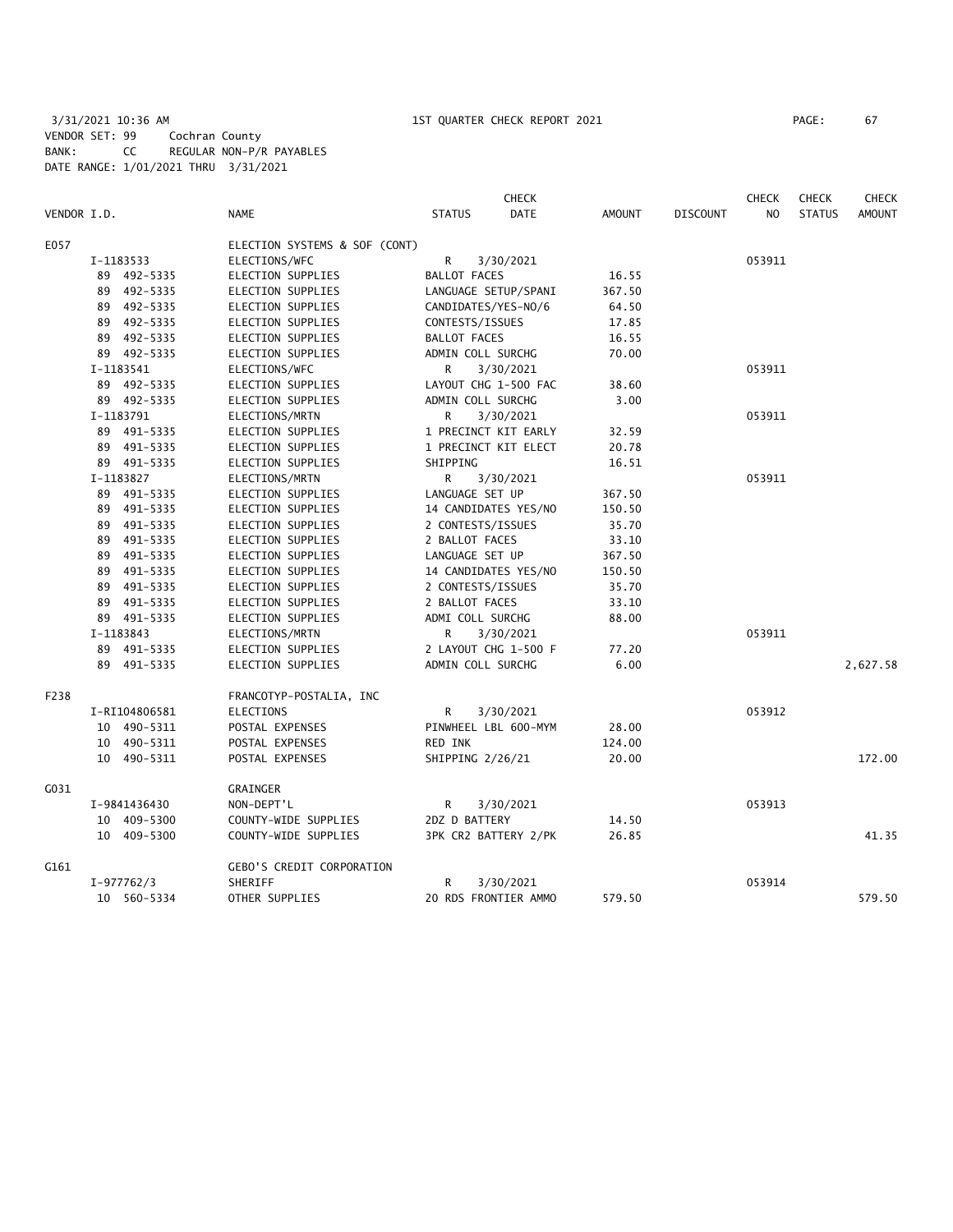3/31/2021 10:36 AM 1ST QUARTER CHECK REPORT 2021 PAGE: 67 VENDOR SET: 99 Cochran County BANK: CC REGULAR NON-P/R PAYABLES DATE RANGE: 1/01/2021 THRU 3/31/2021

|             |                                  |                               |                     | <b>CHECK</b>         |               |                 | <b>CHECK</b>   | <b>CHECK</b>  | <b>CHECK</b>  |
|-------------|----------------------------------|-------------------------------|---------------------|----------------------|---------------|-----------------|----------------|---------------|---------------|
| VENDOR I.D. |                                  | <b>NAME</b>                   | <b>STATUS</b>       | DATE                 | <b>AMOUNT</b> | <b>DISCOUNT</b> | N <sub>O</sub> | <b>STATUS</b> | <b>AMOUNT</b> |
| E057        |                                  | ELECTION SYSTEMS & SOF (CONT) |                     |                      |               |                 |                |               |               |
|             | I-1183533                        | ELECTIONS/WFC                 | $\mathsf{R}$        | 3/30/2021            |               |                 | 053911         |               |               |
|             | 89 492-5335                      | ELECTION SUPPLIES             | <b>BALLOT FACES</b> |                      | 16.55         |                 |                |               |               |
|             | 89 492-5335                      | ELECTION SUPPLIES             |                     | LANGUAGE SETUP/SPANI | 367.50        |                 |                |               |               |
|             | 89 492-5335                      | ELECTION SUPPLIES             | CANDIDATES/YES-NO/6 |                      | 64.50         |                 |                |               |               |
|             | 89 492-5335                      | ELECTION SUPPLIES             | CONTESTS/ISSUES     |                      | 17.85         |                 |                |               |               |
|             | 89 492-5335                      | ELECTION SUPPLIES             | <b>BALLOT FACES</b> |                      | 16.55         |                 |                |               |               |
|             | 89 492-5335                      | ELECTION SUPPLIES             | ADMIN COLL SURCHG   |                      | 70.00         |                 |                |               |               |
|             | I-1183541                        | ELECTIONS/WFC                 | R                   | 3/30/2021            |               |                 | 053911         |               |               |
|             | 89 492-5335                      | ELECTION SUPPLIES             |                     | LAYOUT CHG 1-500 FAC |               |                 |                |               |               |
| 89 492-5335 |                                  | ELECTION SUPPLIES             | ADMIN COLL SURCHG   |                      | 3.00          |                 |                |               |               |
|             | I-1183791<br>ELECTIONS/MRTN      |                               | R                   | 3/30/2021            |               |                 | 053911         |               |               |
|             | 89 491-5335                      | ELECTION SUPPLIES             |                     | 1 PRECINCT KIT EARLY |               |                 |                |               |               |
|             | 89 491-5335<br>ELECTION SUPPLIES |                               |                     | 1 PRECINCT KIT ELECT | 20.78         |                 |                |               |               |
|             | 89 491-5335                      | ELECTION SUPPLIES             | SHIPPING            |                      | 16.51         |                 |                |               |               |
|             | I-1183827<br>ELECTIONS/MRTN      |                               | R                   | 3/30/2021            |               |                 | 053911         |               |               |
|             | 89 491-5335<br>ELECTION SUPPLIES |                               | LANGUAGE SET UP     |                      | 367.50        |                 |                |               |               |
|             | 89 491-5335                      | ELECTION SUPPLIES             |                     | 14 CANDIDATES YES/NO | 150.50        |                 |                |               |               |
|             | 89 491-5335                      | ELECTION SUPPLIES             | 2 CONTESTS/ISSUES   |                      | 35.70         |                 |                |               |               |
|             | 89 491-5335                      | ELECTION SUPPLIES             | 2 BALLOT FACES      |                      | 33.10         |                 |                |               |               |
|             | 89 491-5335                      | ELECTION SUPPLIES             | LANGUAGE SET UP     |                      | 367.50        |                 |                |               |               |
|             | 89 491-5335                      | ELECTION SUPPLIES             |                     | 14 CANDIDATES YES/NO | 150.50        |                 |                |               |               |
|             | 89 491-5335                      | ELECTION SUPPLIES             | 2 CONTESTS/ISSUES   |                      | 35.70         |                 |                |               |               |
|             | 89 491-5335                      | ELECTION SUPPLIES             | 2 BALLOT FACES      |                      | 33.10         |                 |                |               |               |
|             | 89 491-5335                      | ELECTION SUPPLIES             | ADMI COLL SURCHG    |                      | 88.00         |                 |                |               |               |
|             | I-1183843                        | ELECTIONS/MRTN                | R                   | 3/30/2021            |               |                 | 053911         |               |               |
|             | 89 491-5335                      | ELECTION SUPPLIES             |                     | 2 LAYOUT CHG 1-500 F | 77.20         |                 |                |               |               |
|             | 89 491-5335                      | <b>ELECTION SUPPLIES</b>      | ADMIN COLL SURCHG   |                      | 6.00          |                 |                |               | 2,627.58      |
| F238        |                                  | FRANCOTYP-POSTALIA, INC       |                     |                      |               |                 |                |               |               |
|             | I-RI104806581                    | ELECTIONS                     | R                   | 3/30/2021            |               |                 | 053912         |               |               |
|             | 10 490-5311                      | POSTAL EXPENSES               |                     | PINWHEEL LBL 600-MYM | 28.00         |                 |                |               |               |
|             | 10 490-5311                      | POSTAL EXPENSES               | RED INK             |                      | 124.00        |                 |                |               |               |
|             | 10 490-5311                      | POSTAL EXPENSES               | SHIPPING 2/26/21    |                      | 20.00         |                 |                |               | 172.00        |
| G031        |                                  | GRAINGER                      |                     |                      |               |                 |                |               |               |
|             | I-9841436430                     | NON-DEPT'L                    | R                   | 3/30/2021            |               |                 | 053913         |               |               |
|             | 10 409-5300                      | COUNTY-WIDE SUPPLIES          | 2DZ D BATTERY       |                      | 14.50         |                 |                |               |               |
|             | 10 409-5300                      | COUNTY-WIDE SUPPLIES          |                     | 3PK CR2 BATTERY 2/PK | 26.85         |                 |                |               | 41.35         |
| G161        | GEBO'S CREDIT CORPORATION        |                               |                     |                      |               |                 |                |               |               |
|             | I-977762/3                       | SHERIFF                       | R                   | 3/30/2021            |               |                 | 053914         |               |               |
|             | 10 560-5334                      | OTHER SUPPLIES                |                     | 20 RDS FRONTIER AMMO | 579.50        |                 |                |               | 579.50        |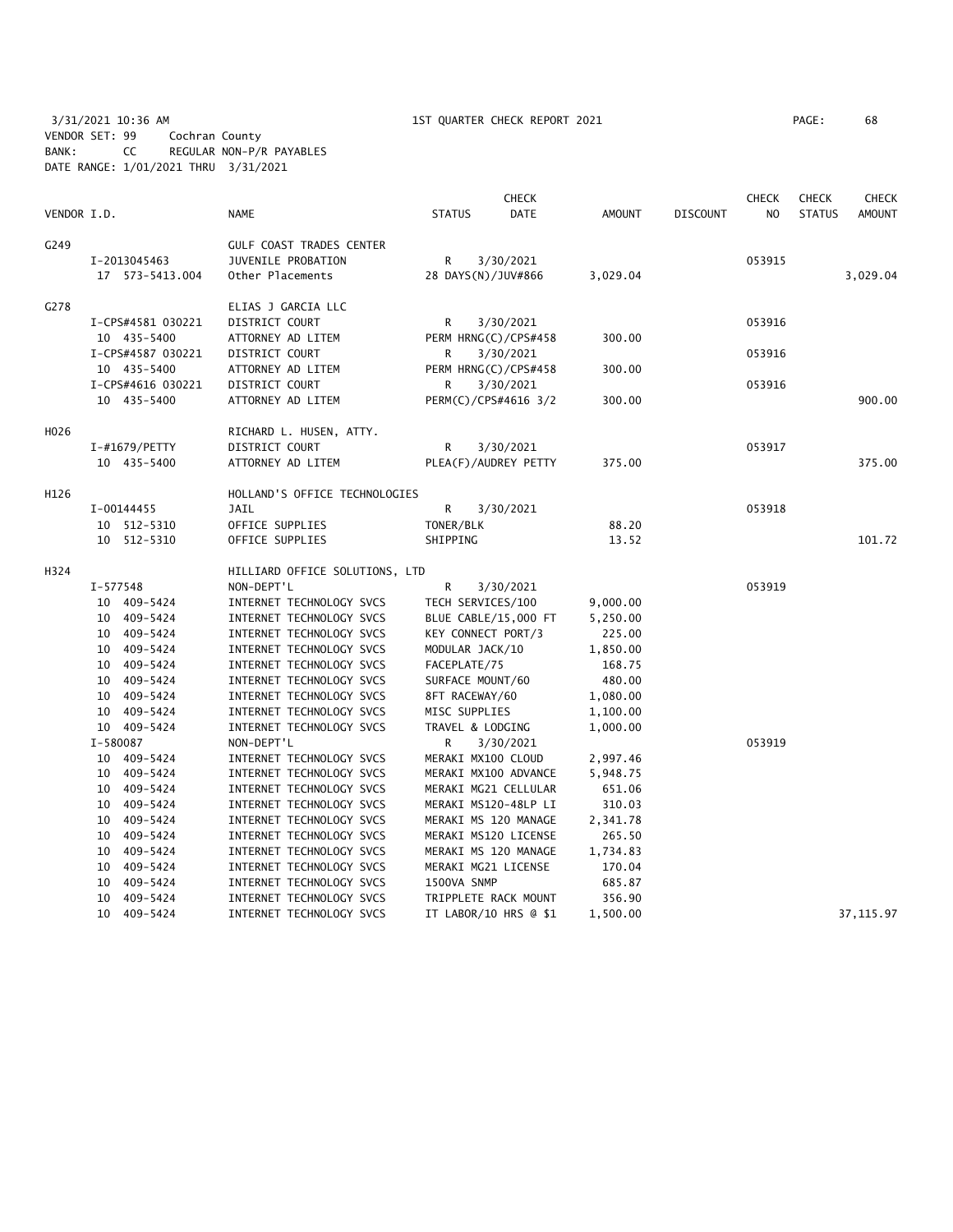3/31/2021 10:36 AM 1ST QUARTER CHECK REPORT 2021 PAGE: 68 VENDOR SET: 99 Cochran County BANK: CC REGULAR NON-P/R PAYABLES DATE RANGE: 1/01/2021 THRU 3/31/2021

|             |                            |                                                      |                       | <b>CHECK</b>          |               |                 | <b>CHECK</b>   | <b>CHECK</b>  | <b>CHECK</b>  |
|-------------|----------------------------|------------------------------------------------------|-----------------------|-----------------------|---------------|-----------------|----------------|---------------|---------------|
| VENDOR I.D. |                            | <b>NAME</b>                                          | <b>STATUS</b>         | <b>DATE</b>           | <b>AMOUNT</b> | <b>DISCOUNT</b> | N <sub>O</sub> | <b>STATUS</b> | <b>AMOUNT</b> |
| G249        |                            | <b>GULF COAST TRADES CENTER</b>                      |                       |                       |               |                 |                |               |               |
|             | I-2013045463               | JUVENILE PROBATION                                   | R                     | 3/30/2021             |               |                 | 053915         |               |               |
|             | 17 573-5413.004            | Other Placements                                     |                       | 28 DAYS(N)/JUV#866    | 3,029.04      |                 |                |               | 3,029.04      |
| G278        |                            | ELIAS J GARCIA LLC                                   |                       |                       |               |                 |                |               |               |
|             | I-CPS#4581 030221          | DISTRICT COURT                                       | R                     | 3/30/2021             |               |                 | 053916         |               |               |
|             | 10 435-5400                | ATTORNEY AD LITEM                                    |                       | PERM HRNG(C)/CPS#458  | 300.00        |                 |                |               |               |
|             | I-CPS#4587 030221          | DISTRICT COURT                                       | R                     | 3/30/2021             |               |                 | 053916         |               |               |
|             | 10 435-5400                | ATTORNEY AD LITEM                                    |                       | PERM HRNG(C)/CPS#458  | 300.00        |                 |                |               |               |
|             | I-CPS#4616 030221          | DISTRICT COURT                                       | R                     | 3/30/2021             |               |                 | 053916         |               |               |
|             | 10 435-5400                | ATTORNEY AD LITEM                                    |                       | PERM(C)/CPS#4616 3/2  | 300.00        |                 |                |               | 900.00        |
| H026        |                            | RICHARD L. HUSEN, ATTY.                              |                       |                       |               |                 |                |               |               |
|             | $I$ -#1679/PETTY           | DISTRICT COURT                                       | R                     | 3/30/2021             |               |                 | 053917         |               |               |
|             | 10 435-5400                | ATTORNEY AD LITEM                                    |                       | PLEA(F)/AUDREY PETTY  | 375.00        |                 |                |               | 375.00        |
| H126        |                            | HOLLAND'S OFFICE TECHNOLOGIES                        |                       |                       |               |                 |                |               |               |
|             | I-00144455                 | <b>JAIL</b>                                          | R                     | 3/30/2021             |               |                 | 053918         |               |               |
|             | 10 512-5310                | OFFICE SUPPLIES                                      | TONER/BLK             |                       | 88.20         |                 |                |               |               |
|             | 10 512-5310                | OFFICE SUPPLIES                                      | SHIPPING              |                       | 13.52         |                 |                |               | 101.72        |
| H324        |                            | HILLIARD OFFICE SOLUTIONS, LTD                       |                       |                       |               |                 |                |               |               |
|             | $I - 577548$               | NON-DEPT'L                                           | R                     | 3/30/2021             |               |                 | 053919         |               |               |
|             | 10 409-5424                | INTERNET TECHNOLOGY SVCS                             | TECH SERVICES/100     |                       | 9,000.00      |                 |                |               |               |
|             | 10 409-5424                | INTERNET TECHNOLOGY SVCS                             |                       | BLUE CABLE/15,000 FT  | 5,250.00      |                 |                |               |               |
|             | 10 409-5424                | INTERNET TECHNOLOGY SVCS                             |                       | KEY CONNECT PORT/3    | 225.00        |                 |                |               |               |
|             | 10 409-5424                | INTERNET TECHNOLOGY SVCS                             | MODULAR JACK/10       |                       | 1,850.00      |                 |                |               |               |
|             | 10 409-5424                | INTERNET TECHNOLOGY SVCS                             | FACEPLATE/75          |                       | 168.75        |                 |                |               |               |
|             | 10 409-5424                | INTERNET TECHNOLOGY SVCS                             | SURFACE MOUNT/60      |                       | 480.00        |                 |                |               |               |
|             | 10 409-5424                | INTERNET TECHNOLOGY SVCS                             | 8FT RACEWAY/60        |                       | 1,080.00      |                 |                |               |               |
|             | 10 409-5424<br>10 409-5424 | INTERNET TECHNOLOGY SVCS<br>INTERNET TECHNOLOGY SVCS | MISC SUPPLIES         |                       | 1,100.00      |                 |                |               |               |
|             | I-580087                   | NON-DEPT'L                                           | TRAVEL & LODGING<br>R | 3/30/2021             | 1,000.00      |                 | 053919         |               |               |
|             | 10 409-5424                | INTERNET TECHNOLOGY SVCS                             |                       | MERAKI MX100 CLOUD    | 2,997.46      |                 |                |               |               |
|             | 10 409-5424                | INTERNET TECHNOLOGY SVCS                             |                       | MERAKI MX100 ADVANCE  | 5,948.75      |                 |                |               |               |
|             | 10 409-5424                | INTERNET TECHNOLOGY SVCS                             |                       | MERAKI MG21 CELLULAR  | 651.06        |                 |                |               |               |
|             | 10 409-5424                | INTERNET TECHNOLOGY SVCS                             |                       | MERAKI MS120-48LP LI  | 310.03        |                 |                |               |               |
|             | 10 409-5424                | INTERNET TECHNOLOGY SVCS                             |                       | MERAKI MS 120 MANAGE  | 2,341.78      |                 |                |               |               |
|             | 10 409-5424                | INTERNET TECHNOLOGY SVCS                             |                       | MERAKI MS120 LICENSE  | 265.50        |                 |                |               |               |
|             | 10 409-5424                | INTERNET TECHNOLOGY SVCS                             |                       | MERAKI MS 120 MANAGE  | 1,734.83      |                 |                |               |               |
|             | 10 409-5424                | INTERNET TECHNOLOGY SVCS                             |                       | MERAKI MG21 LICENSE   | 170.04        |                 |                |               |               |
|             | 10 409-5424                | INTERNET TECHNOLOGY SVCS                             | 1500VA SNMP           |                       | 685.87        |                 |                |               |               |
|             | 409-5424<br>10             | INTERNET TECHNOLOGY SVCS                             |                       | TRIPPLETE RACK MOUNT  | 356.90        |                 |                |               |               |
|             | 10 409-5424                | INTERNET TECHNOLOGY SVCS                             |                       | IT LABOR/10 HRS @ \$1 | 1,500.00      |                 |                |               | 37, 115.97    |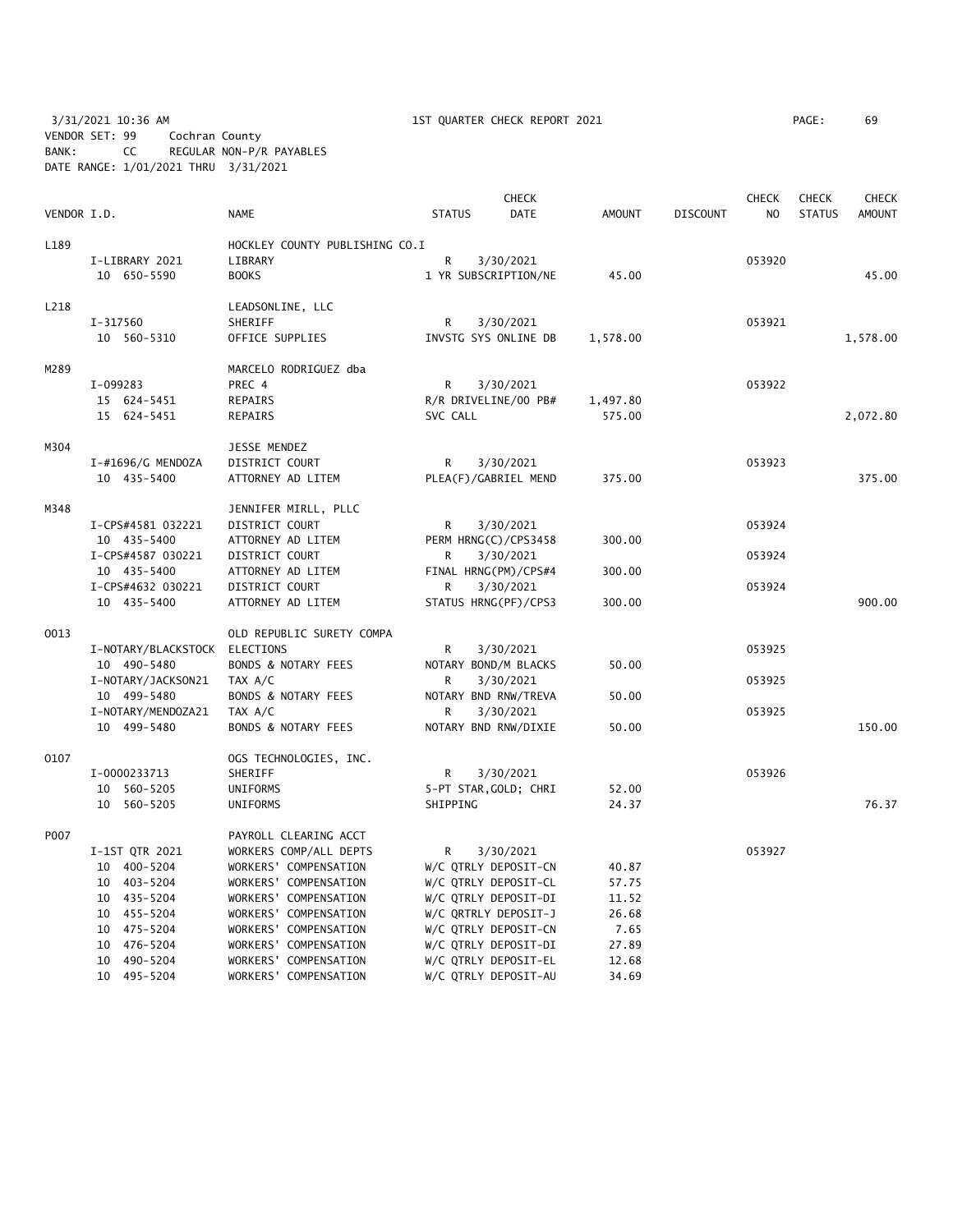3/31/2021 10:36 AM 1ST QUARTER CHECK REPORT 2021 PAGE: 69 VENDOR SET: 99 Cochran County BANK: CC REGULAR NON-P/R PAYABLES DATE RANGE: 1/01/2021 THRU 3/31/2021

| VENDOR I.D. |                                   | <b>NAME</b>                    | <b>STATUS</b>        | <b>CHECK</b><br><b>DATE</b>       | <b>AMOUNT</b> | <b>DISCOUNT</b> | <b>CHECK</b><br>N <sub>O</sub> | <b>CHECK</b><br><b>STATUS</b> | <b>CHECK</b><br><b>AMOUNT</b> |
|-------------|-----------------------------------|--------------------------------|----------------------|-----------------------------------|---------------|-----------------|--------------------------------|-------------------------------|-------------------------------|
| L189        |                                   | HOCKLEY COUNTY PUBLISHING CO.I |                      |                                   |               |                 |                                |                               |                               |
|             | I-LIBRARY 2021                    | LIBRARY                        | R                    | 3/30/2021                         |               |                 | 053920                         |                               |                               |
|             | 10 650-5590                       | <b>BOOKS</b>                   | 1 YR SUBSCRIPTION/NE |                                   | 45.00         |                 |                                |                               | 45.00                         |
| L218        |                                   | LEADSONLINE, LLC               |                      |                                   |               |                 |                                |                               |                               |
|             | I-317560                          | SHERIFF                        | R                    | 3/30/2021                         |               |                 | 053921                         |                               |                               |
|             | 10 560-5310                       | OFFICE SUPPLIES                | INVSTG SYS ONLINE DB |                                   | 1,578.00      |                 |                                |                               | 1,578.00                      |
| M289        |                                   | MARCELO RODRIGUEZ dba          |                      |                                   |               |                 |                                |                               |                               |
|             | I-099283                          | PREC 4                         | R                    | 3/30/2021                         |               |                 | 053922                         |                               |                               |
|             | 15 624-5451                       | REPAIRS                        | R/R DRIVELINE/00 PB# |                                   | 1,497.80      |                 |                                |                               |                               |
|             | 15 624-5451                       | REPAIRS                        | SVC CALL             |                                   | 575.00        |                 |                                |                               | 2,072.80                      |
| M304        |                                   | JESSE MENDEZ                   |                      |                                   |               |                 |                                |                               |                               |
|             | I-#1696/G MENDOZA                 | DISTRICT COURT                 | R                    | 3/30/2021                         |               |                 | 053923                         |                               |                               |
|             | 10 435-5400                       | ATTORNEY AD LITEM              |                      | PLEA(F)/GABRIEL MEND              | 375.00        |                 |                                |                               | 375.00                        |
| M348        |                                   | JENNIFER MIRLL, PLLC           |                      |                                   |               |                 |                                |                               |                               |
|             | I-CPS#4581 032221                 | DISTRICT COURT                 | R                    | 3/30/2021                         |               |                 | 053924                         |                               |                               |
|             | 10 435-5400                       | ATTORNEY AD LITEM              |                      | PERM HRNG(C)/CPS3458              | 300.00        |                 |                                |                               |                               |
|             | I-CPS#4587 030221                 | DISTRICT COURT                 | R                    | 3/30/2021                         |               |                 | 053924                         |                               |                               |
|             | 10 435-5400                       | ATTORNEY AD LITEM              | FINAL HRNG(PM)/CPS#4 |                                   | 300.00        |                 |                                |                               |                               |
|             | I-CPS#4632 030221                 | DISTRICT COURT                 | R                    | 3/30/2021                         |               |                 | 053924                         |                               |                               |
|             | 10 435-5400                       | ATTORNEY AD LITEM              | STATUS HRNG(PF)/CPS3 |                                   | 300.00        |                 |                                |                               | 900.00                        |
| 0013        |                                   | OLD REPUBLIC SURETY COMPA      |                      |                                   |               |                 |                                |                               |                               |
|             | I-NOTARY/BLACKSTOCK               | ELECTIONS                      | R                    | 3/30/2021                         |               |                 | 053925                         |                               |                               |
|             | 10 490-5480<br>I-NOTARY/JACKSON21 | BONDS & NOTARY FEES<br>TAX A/C | R                    | NOTARY BOND/M BLACKS<br>3/30/2021 | 50.00         |                 | 053925                         |                               |                               |
|             | 10 499-5480                       | BONDS & NOTARY FEES            | NOTARY BND RNW/TREVA |                                   | 50.00         |                 |                                |                               |                               |
|             | I-NOTARY/MENDOZA21                | TAX A/C                        | R                    | 3/30/2021                         |               |                 | 053925                         |                               |                               |
|             | 10 499-5480                       | <b>BONDS &amp; NOTARY FEES</b> | NOTARY BND RNW/DIXIE |                                   | 50.00         |                 |                                |                               | 150.00                        |
| 0107        |                                   | OGS TECHNOLOGIES, INC.         |                      |                                   |               |                 |                                |                               |                               |
|             | I-0000233713                      | SHERIFF                        | R                    | 3/30/2021                         |               |                 | 053926                         |                               |                               |
|             | 10 560-5205                       | UNIFORMS                       |                      | 5-PT STAR, GOLD; CHRI             | 52.00         |                 |                                |                               |                               |
|             | 10 560-5205                       | UNIFORMS                       | SHIPPING             |                                   | 24.37         |                 |                                |                               | 76.37                         |
| P007        |                                   | PAYROLL CLEARING ACCT          |                      |                                   |               |                 |                                |                               |                               |
|             | I-1ST QTR 2021                    | WORKERS COMP/ALL DEPTS         | R                    | 3/30/2021                         |               |                 | 053927                         |                               |                               |
|             | 10 400-5204                       | WORKERS' COMPENSATION          | W/C QTRLY DEPOSIT-CN |                                   | 40.87         |                 |                                |                               |                               |
|             | 10 403-5204                       | WORKERS' COMPENSATION          | W/C QTRLY DEPOSIT-CL |                                   | 57.75         |                 |                                |                               |                               |
|             | 10 435-5204                       | WORKERS' COMPENSATION          | W/C QTRLY DEPOSIT-DI |                                   | 11.52         |                 |                                |                               |                               |
|             | 10 455-5204                       | WORKERS' COMPENSATION          | W/C QRTRLY DEPOSIT-J |                                   | 26.68         |                 |                                |                               |                               |
|             | 10 475-5204                       | WORKERS' COMPENSATION          | W/C QTRLY DEPOSIT-CN |                                   | 7.65          |                 |                                |                               |                               |
|             | 10 476-5204                       | WORKERS' COMPENSATION          | W/C QTRLY DEPOSIT-DI |                                   | 27.89         |                 |                                |                               |                               |
|             | 10 490-5204                       | WORKERS' COMPENSATION          | W/C QTRLY DEPOSIT-EL |                                   | 12.68         |                 |                                |                               |                               |

10 495-5204 WORKERS' COMPENSATION W/C QTRLY DEPOSIT-AU 34.69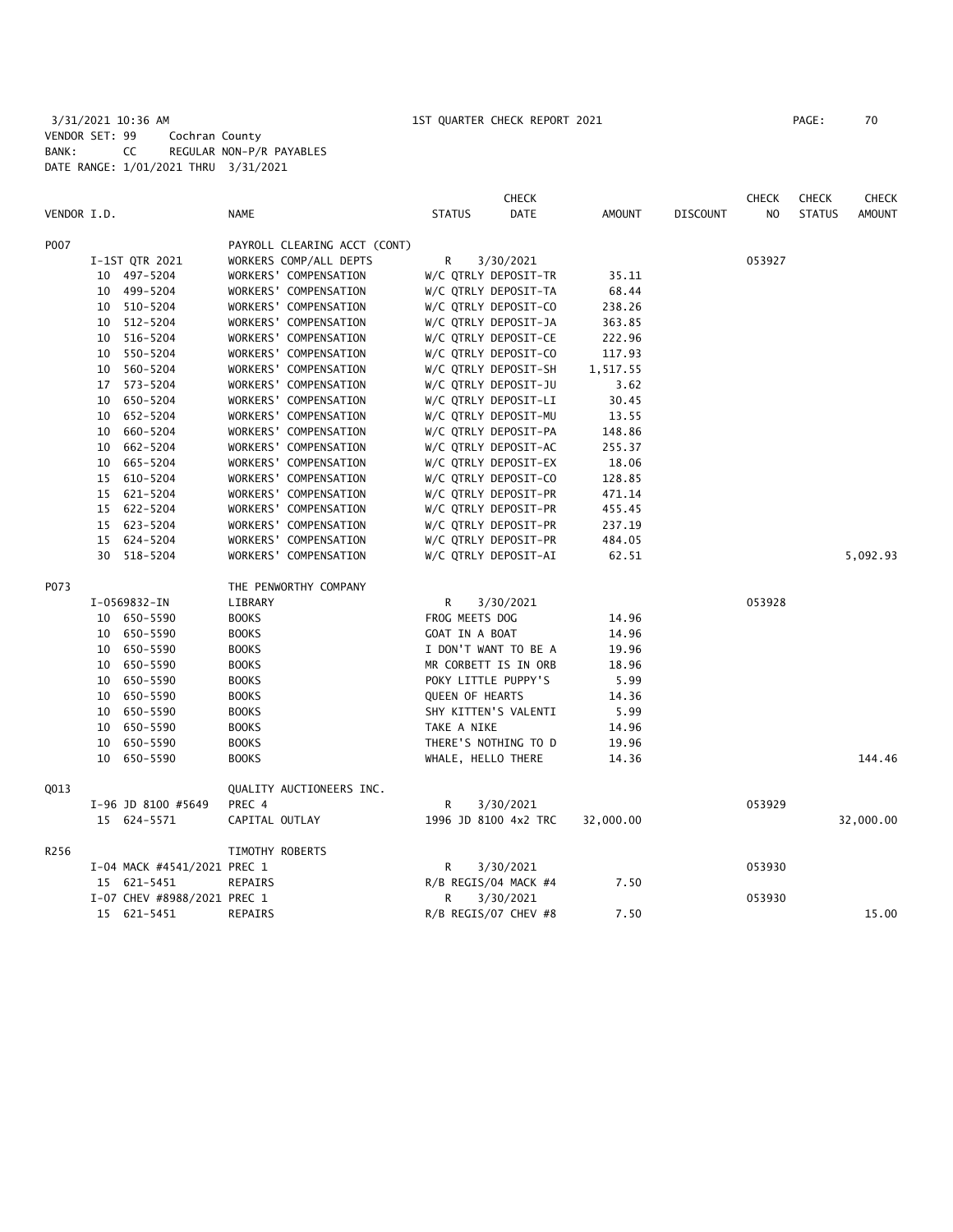3/31/2021 10:36 AM 1ST QUARTER CHECK REPORT 2021 PAGE: 70 VENDOR SET: 99 Cochran County BANK: CC REGULAR NON-P/R PAYABLES DATE RANGE: 1/01/2021 THRU 3/31/2021

|             |    |                             |                              |                 | <b>CHECK</b>         |           |                 | <b>CHECK</b> | <b>CHECK</b>  | <b>CHECK</b>  |
|-------------|----|-----------------------------|------------------------------|-----------------|----------------------|-----------|-----------------|--------------|---------------|---------------|
| VENDOR I.D. |    |                             | NAME                         | <b>STATUS</b>   | <b>DATE</b>          | AMOUNT    | <b>DISCOUNT</b> | NO.          | <b>STATUS</b> | <b>AMOUNT</b> |
| P007        |    |                             | PAYROLL CLEARING ACCT (CONT) |                 |                      |           |                 |              |               |               |
|             |    | I-1ST QTR 2021              | WORKERS COMP/ALL DEPTS       | R               | 3/30/2021            |           |                 | 053927       |               |               |
|             |    | 10 497-5204                 | WORKERS' COMPENSATION        |                 | W/C QTRLY DEPOSIT-TR | 35.11     |                 |              |               |               |
|             |    | 10 499-5204                 | WORKERS' COMPENSATION        |                 | W/C QTRLY DEPOSIT-TA | 68.44     |                 |              |               |               |
|             |    | 10 510-5204                 | WORKERS' COMPENSATION        |                 | W/C QTRLY DEPOSIT-CO | 238.26    |                 |              |               |               |
|             |    | 10 512-5204                 | WORKERS' COMPENSATION        |                 | W/C QTRLY DEPOSIT-JA | 363.85    |                 |              |               |               |
|             |    | 10 516-5204                 | WORKERS' COMPENSATION        |                 | W/C QTRLY DEPOSIT-CE | 222.96    |                 |              |               |               |
|             |    | 10 550-5204                 | WORKERS' COMPENSATION        |                 | W/C QTRLY DEPOSIT-CO | 117.93    |                 |              |               |               |
|             |    | 10 560-5204                 | WORKERS' COMPENSATION        |                 | W/C QTRLY DEPOSIT-SH | 1,517.55  |                 |              |               |               |
|             |    | 17 573-5204                 | WORKERS' COMPENSATION        |                 | W/C QTRLY DEPOSIT-JU | 3.62      |                 |              |               |               |
|             | 10 | 650-5204                    | WORKERS' COMPENSATION        |                 | W/C QTRLY DEPOSIT-LI | 30.45     |                 |              |               |               |
|             |    | 10 652-5204                 | WORKERS' COMPENSATION        |                 | W/C QTRLY DEPOSIT-MU | 13.55     |                 |              |               |               |
|             | 10 | 660-5204                    | WORKERS' COMPENSATION        |                 | W/C QTRLY DEPOSIT-PA | 148.86    |                 |              |               |               |
|             |    | 10 662-5204                 | WORKERS' COMPENSATION        |                 | W/C QTRLY DEPOSIT-AC | 255.37    |                 |              |               |               |
|             |    | 10 665-5204                 | WORKERS' COMPENSATION        |                 | W/C QTRLY DEPOSIT-EX | 18.06     |                 |              |               |               |
|             |    | 15 610-5204                 | WORKERS' COMPENSATION        |                 | W/C QTRLY DEPOSIT-CO | 128.85    |                 |              |               |               |
|             |    | 15 621-5204                 | WORKERS' COMPENSATION        |                 | W/C QTRLY DEPOSIT-PR | 471.14    |                 |              |               |               |
|             |    | 15 622-5204                 | WORKERS' COMPENSATION        |                 | W/C QTRLY DEPOSIT-PR | 455.45    |                 |              |               |               |
|             |    | 15 623-5204                 | WORKERS' COMPENSATION        |                 | W/C QTRLY DEPOSIT-PR | 237.19    |                 |              |               |               |
|             |    | 15 624-5204                 | WORKERS' COMPENSATION        |                 | W/C QTRLY DEPOSIT-PR | 484.05    |                 |              |               |               |
|             |    | 30 518-5204                 | WORKERS' COMPENSATION        |                 | W/C QTRLY DEPOSIT-AI | 62.51     |                 |              |               | 5,092.93      |
| P073        |    |                             | THE PENWORTHY COMPANY        |                 |                      |           |                 |              |               |               |
|             |    | I-0569832-IN                | LIBRARY                      | R               | 3/30/2021            |           |                 | 053928       |               |               |
|             |    | 10 650-5590                 | <b>BOOKS</b>                 | FROG MEETS DOG  |                      | 14.96     |                 |              |               |               |
|             |    | 10 650-5590                 | <b>BOOKS</b>                 | GOAT IN A BOAT  |                      | 14.96     |                 |              |               |               |
|             |    | 10 650-5590                 | <b>BOOKS</b>                 |                 | I DON'T WANT TO BE A | 19.96     |                 |              |               |               |
|             |    | 10 650-5590                 | <b>BOOKS</b>                 |                 | MR CORBETT IS IN ORB | 18.96     |                 |              |               |               |
|             |    | 10 650-5590                 | <b>BOOKS</b>                 |                 | POKY LITTLE PUPPY'S  | 5.99      |                 |              |               |               |
|             |    | 10 650-5590                 | <b>BOOKS</b>                 | QUEEN OF HEARTS |                      | 14.36     |                 |              |               |               |
|             |    | 10 650-5590                 | <b>BOOKS</b>                 |                 | SHY KITTEN'S VALENTI | 5.99      |                 |              |               |               |
|             |    | 10 650-5590                 | <b>BOOKS</b>                 | TAKE A NIKE     |                      | 14.96     |                 |              |               |               |
|             | 10 | 650-5590                    | <b>BOOKS</b>                 |                 | THERE'S NOTHING TO D | 19.96     |                 |              |               |               |
|             |    | 10 650-5590                 | <b>BOOKS</b>                 |                 | WHALE, HELLO THERE   | 14.36     |                 |              |               | 144.46        |
| Q013        |    |                             | QUALITY AUCTIONEERS INC.     |                 |                      |           |                 |              |               |               |
|             |    | I-96 JD 8100 #5649          | PREC 4                       | R               | 3/30/2021            |           |                 | 053929       |               |               |
|             |    | 15 624-5571                 | CAPITAL OUTLAY               |                 | 1996 JD 8100 4x2 TRC | 32,000.00 |                 |              |               | 32,000.00     |
| R256        |    |                             | TIMOTHY ROBERTS              |                 |                      |           |                 |              |               |               |
|             |    | I-04 MACK #4541/2021 PREC 1 |                              | R               | 3/30/2021            |           |                 | 053930       |               |               |
|             |    | 15 621-5451                 | REPAIRS                      |                 | R/B REGIS/04 MACK #4 | 7.50      |                 |              |               |               |
|             |    | I-07 CHEV #8988/2021 PREC 1 |                              | R               | 3/30/2021            |           |                 | 053930       |               |               |
|             |    | 15 621-5451                 | REPAIRS                      |                 | R/B REGIS/07 CHEV #8 | 7.50      |                 |              |               | 15.00         |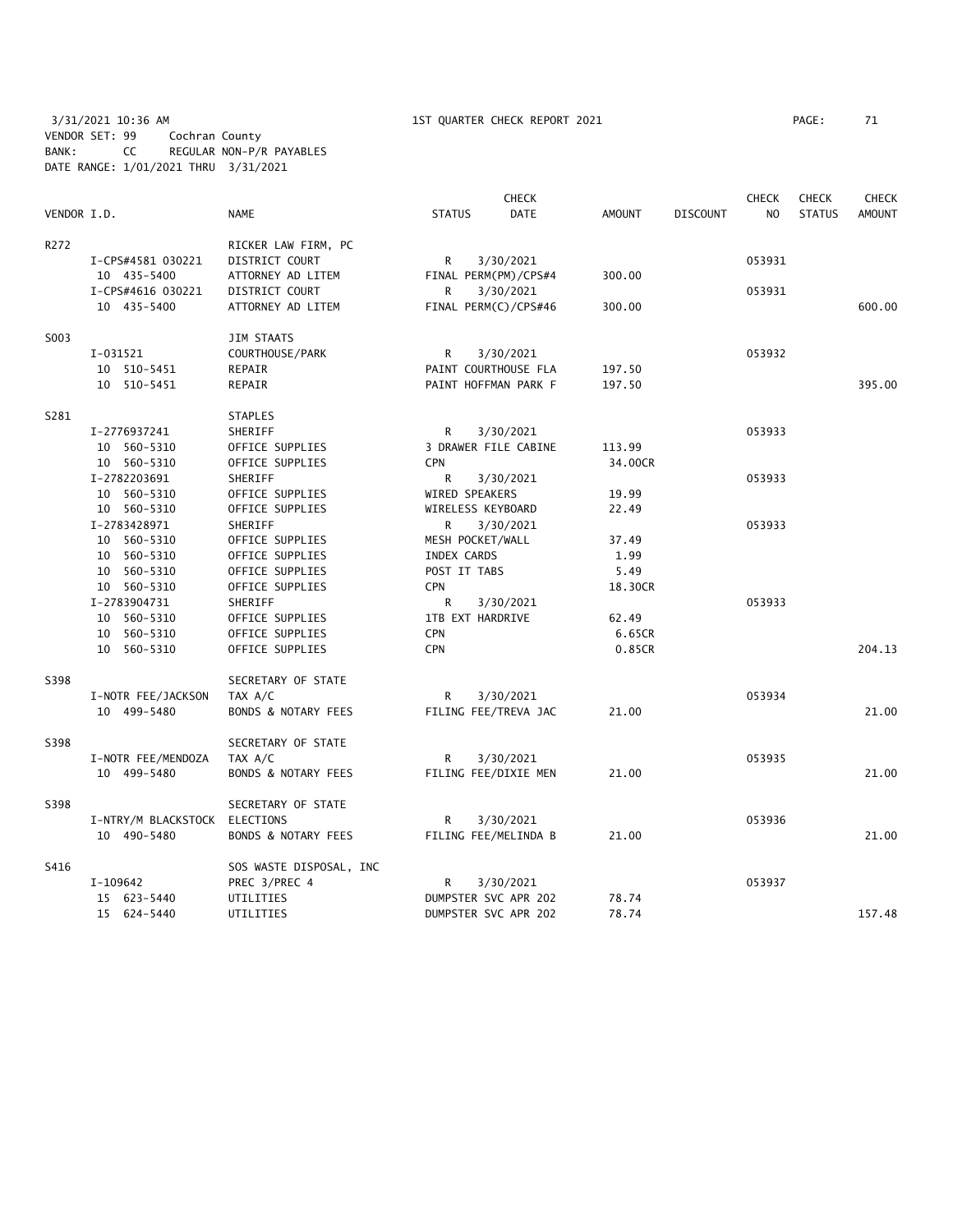3/31/2021 10:36 AM 1ST QUARTER CHECK REPORT 2021 PAGE: 71 VENDOR SET: 99 Cochran County BANK: CC REGULAR NON-P/R PAYABLES DATE RANGE: 1/01/2021 THRU 3/31/2021

|             |                     | CHECK<br><b>CHECK</b>          |                   |                      |                |                 |        | <b>CHECK</b>  | <b>CHECK</b>  |
|-------------|---------------------|--------------------------------|-------------------|----------------------|----------------|-----------------|--------|---------------|---------------|
| VENDOR I.D. |                     | <b>NAME</b>                    | <b>STATUS</b>     | <b>DATE</b>          | <b>AMOUNT</b>  | <b>DISCOUNT</b> | NO     | <b>STATUS</b> | <b>AMOUNT</b> |
| R272        |                     | RICKER LAW FIRM, PC            |                   |                      |                |                 |        |               |               |
|             | I-CPS#4581 030221   | DISTRICT COURT                 | R                 | 3/30/2021            |                |                 | 053931 |               |               |
|             | 10 435-5400         | ATTORNEY AD LITEM              |                   | FINAL PERM(PM)/CPS#4 | 300.00         |                 |        |               |               |
|             | I-CPS#4616 030221   | DISTRICT COURT                 | R                 | 3/30/2021            |                |                 | 053931 |               |               |
|             | 10 435-5400         | ATTORNEY AD LITEM              |                   | FINAL PERM(C)/CPS#46 | 300.00         |                 |        |               | 600.00        |
| S003        |                     | JIM STAATS                     |                   |                      |                |                 |        |               |               |
|             | I-031521            | COURTHOUSE/PARK                | R                 | 3/30/2021            |                |                 | 053932 |               |               |
|             | 10 510-5451         | REPAIR                         |                   | PAINT COURTHOUSE FLA | 197.50         |                 |        |               |               |
|             | 10 510-5451         | REPAIR                         |                   | PAINT HOFFMAN PARK F | 197.50         |                 |        |               | 395.00        |
| S281        |                     | <b>STAPLES</b>                 |                   |                      |                |                 |        |               |               |
|             | I-2776937241        | SHERIFF                        | R                 | 3/30/2021            |                |                 | 053933 |               |               |
|             | 10 560-5310         | OFFICE SUPPLIES                |                   | 3 DRAWER FILE CABINE | 113.99         |                 |        |               |               |
|             | 10 560-5310         | OFFICE SUPPLIES                | <b>CPN</b>        |                      | 34,00CR        |                 |        |               |               |
|             | I-2782203691        | SHERIFF                        | R                 | 3/30/2021            |                |                 | 053933 |               |               |
|             | 10 560-5310         | OFFICE SUPPLIES                | WIRED SPEAKERS    |                      | 19.99          |                 |        |               |               |
|             | 10 560-5310         | OFFICE SUPPLIES                | WIRELESS KEYBOARD |                      | 22.49          |                 |        |               |               |
|             | I-2783428971        | SHERIFF                        | R                 | 3/30/2021            |                |                 | 053933 |               |               |
|             | 10 560-5310         | OFFICE SUPPLIES                | MESH POCKET/WALL  |                      | 37.49          |                 |        |               |               |
|             | 10 560-5310         | OFFICE SUPPLIES                | INDEX CARDS       |                      | 1.99           |                 |        |               |               |
|             | 10 560-5310         | OFFICE SUPPLIES                | POST IT TABS      |                      | 5.49           |                 |        |               |               |
|             | 10 560-5310         | OFFICE SUPPLIES                | <b>CPN</b>        |                      | 18.30CR        |                 |        |               |               |
|             | I-2783904731        | SHERIFF                        | R                 | 3/30/2021            |                |                 | 053933 |               |               |
|             | 10 560-5310         | OFFICE SUPPLIES                | 1TB EXT HARDRIVE  |                      | 62.49          |                 |        |               |               |
|             | 10 560-5310         | OFFICE SUPPLIES                | <b>CPN</b>        |                      | 6.65CR         |                 |        |               |               |
|             | 10 560-5310         | OFFICE SUPPLIES                | <b>CPN</b>        |                      | 0.85CR         |                 |        |               | 204.13        |
| S398        |                     | SECRETARY OF STATE             |                   |                      |                |                 |        |               |               |
|             | I-NOTR FEE/JACKSON  | TAX A/C                        | R                 | 3/30/2021            |                |                 | 053934 |               |               |
|             | 10 499-5480         | <b>BONDS &amp; NOTARY FEES</b> |                   | FILING FEE/TREVA JAC | 21.00          |                 |        |               | 21.00         |
| S398        |                     | SECRETARY OF STATE             |                   |                      |                |                 |        |               |               |
|             | I-NOTR FEE/MENDOZA  | TAX A/C                        | R                 | 3/30/2021            |                |                 | 053935 |               |               |
|             | 10 499-5480         | BONDS & NOTARY FEES            |                   | FILING FEE/DIXIE MEN | 21.00          |                 |        |               | 21.00         |
| S398        |                     | SECRETARY OF STATE             |                   |                      |                |                 | 053936 |               |               |
|             | I-NTRY/M BLACKSTOCK | ELECTIONS                      | R                 | 3/30/2021            |                |                 |        |               |               |
|             | 10 490-5480         | <b>BONDS &amp; NOTARY FEES</b> |                   | FILING FEE/MELINDA B | 21.00          |                 |        |               | 21.00         |
| S416        |                     | SOS WASTE DISPOSAL, INC        |                   |                      |                |                 |        |               |               |
|             | I-109642            | PREC 3/PREC 4                  | R                 | 3/30/2021            |                |                 | 053937 |               |               |
|             | 15 623-5440         | UTILITIES                      |                   | DUMPSTER SVC APR 202 | 78.74<br>78.74 |                 |        |               |               |
|             | 15 624-5440         | UTILITIES                      |                   | DUMPSTER SVC APR 202 |                |                 |        |               | 157.48        |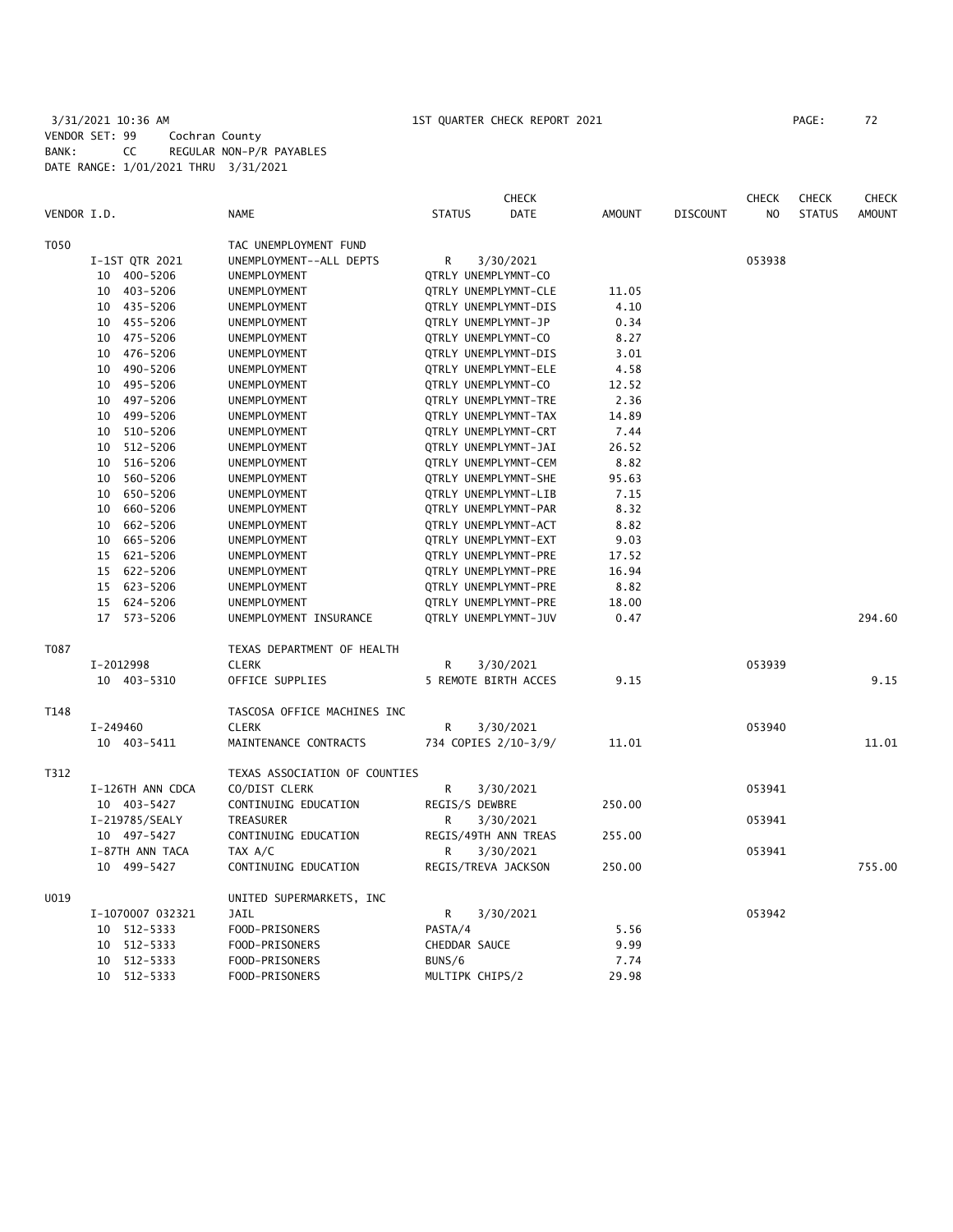## 3/31/2021 10:36 AM 1ST QUARTER CHECK REPORT 2021 PAGE: 72 VENDOR SET: 99 Cochran County BANK: CC REGULAR NON-P/R PAYABLES DATE RANGE: 1/01/2021 THRU 3/31/2021

|             |                  |                               | <b>CHECK</b>                 |               |                 | <b>CHECK</b>   | <b>CHECK</b>  | <b>CHECK</b>  |
|-------------|------------------|-------------------------------|------------------------------|---------------|-----------------|----------------|---------------|---------------|
| VENDOR I.D. |                  | <b>NAME</b>                   | <b>STATUS</b><br><b>DATE</b> | <b>AMOUNT</b> | <b>DISCOUNT</b> | N <sub>O</sub> | <b>STATUS</b> | <b>AMOUNT</b> |
| T050        |                  | TAC UNEMPLOYMENT FUND         |                              |               |                 |                |               |               |
|             | I-1ST QTR 2021   | UNEMPLOYMENT--ALL DEPTS       | R<br>3/30/2021               |               |                 | 053938         |               |               |
|             | 10 400-5206      | UNEMPLOYMENT                  | QTRLY UNEMPLYMNT-CO          |               |                 |                |               |               |
|             | 10 403-5206      | UNEMPLOYMENT                  | QTRLY UNEMPLYMNT-CLE         | 11.05         |                 |                |               |               |
|             | 10 435-5206      | UNEMPLOYMENT                  | QTRLY UNEMPLYMNT-DIS         | 4.10          |                 |                |               |               |
|             | 10 455-5206      | UNEMPLOYMENT                  | QTRLY UNEMPLYMNT-JP          | 0.34          |                 |                |               |               |
|             | 475-5206<br>10   | UNEMPLOYMENT                  | QTRLY UNEMPLYMNT-CO          | 8.27          |                 |                |               |               |
|             | 10 476-5206      | UNEMPLOYMENT                  | QTRLY UNEMPLYMNT-DIS         | 3.01          |                 |                |               |               |
|             | 490-5206<br>10   | UNEMPLOYMENT                  | QTRLY UNEMPLYMNT-ELE         | 4.58          |                 |                |               |               |
|             | 495-5206<br>10   | UNEMPLOYMENT                  | QTRLY UNEMPLYMNT-CO          | 12.52         |                 |                |               |               |
|             | 497-5206<br>10   | UNEMPLOYMENT                  | QTRLY UNEMPLYMNT-TRE         | 2.36          |                 |                |               |               |
|             | 499-5206<br>10   | UNEMPLOYMENT                  | QTRLY UNEMPLYMNT-TAX         | 14.89         |                 |                |               |               |
|             | 510-5206<br>10   | UNEMPLOYMENT                  | QTRLY UNEMPLYMNT-CRT         | 7.44          |                 |                |               |               |
|             | 512-5206<br>10   | UNEMPLOYMENT                  | QTRLY UNEMPLYMNT-JAI         | 26.52         |                 |                |               |               |
|             | 516-5206<br>10   | UNEMPLOYMENT                  | QTRLY UNEMPLYMNT-CEM         | 8.82          |                 |                |               |               |
|             | 560-5206<br>10   | UNEMPLOYMENT                  | <b>QTRLY UNEMPLYMNT-SHE</b>  | 95.63         |                 |                |               |               |
|             | 650-5206<br>10   | UNEMPLOYMENT                  | QTRLY UNEMPLYMNT-LIB         | 7.15          |                 |                |               |               |
|             | 660-5206<br>10   | UNEMPLOYMENT                  | QTRLY UNEMPLYMNT-PAR         | 8.32          |                 |                |               |               |
|             | 662-5206<br>10   | UNEMPLOYMENT                  | QTRLY UNEMPLYMNT-ACT         | 8.82          |                 |                |               |               |
|             | 10<br>665-5206   | UNEMPLOYMENT                  | QTRLY UNEMPLYMNT-EXT         | 9.03          |                 |                |               |               |
|             | 621-5206<br>15   | UNEMPLOYMENT                  | QTRLY UNEMPLYMNT-PRE         | 17.52         |                 |                |               |               |
|             | 622-5206<br>15   | UNEMPLOYMENT                  | QTRLY UNEMPLYMNT-PRE         | 16.94         |                 |                |               |               |
|             | 15 623-5206      | UNEMPLOYMENT                  | QTRLY UNEMPLYMNT-PRE         | 8.82          |                 |                |               |               |
|             | 624-5206<br>15   | UNEMPLOYMENT                  | QTRLY UNEMPLYMNT-PRE         | 18.00         |                 |                |               |               |
|             | 17<br>573-5206   | UNEMPLOYMENT INSURANCE        | QTRLY UNEMPLYMNT-JUV         | 0.47          |                 |                |               | 294.60        |
| T087        |                  | TEXAS DEPARTMENT OF HEALTH    |                              |               |                 |                |               |               |
|             | I-2012998        | <b>CLERK</b>                  | R<br>3/30/2021               |               |                 | 053939         |               |               |
|             | 10 403-5310      | OFFICE SUPPLIES               | 5 REMOTE BIRTH ACCES         | 9.15          |                 |                |               | 9.15          |
| T148        |                  | TASCOSA OFFICE MACHINES INC   |                              |               |                 |                |               |               |
|             | I-249460         | <b>CLERK</b>                  | R<br>3/30/2021               |               |                 | 053940         |               |               |
|             | 10 403-5411      | MAINTENANCE CONTRACTS         | 734 COPIES 2/10-3/9/         | 11.01         |                 |                |               | 11.01         |
| T312        |                  | TEXAS ASSOCIATION OF COUNTIES |                              |               |                 |                |               |               |
|             | I-126TH ANN CDCA | CO/DIST CLERK                 | R<br>3/30/2021               |               |                 | 053941         |               |               |
|             | 10 403-5427      | CONTINUING EDUCATION          | REGIS/S DEWBRE               | 250.00        |                 |                |               |               |
|             | I-219785/SEALY   | TREASURER                     | 3/30/2021<br>R               |               |                 | 053941         |               |               |
|             | 10 497-5427      | CONTINUING EDUCATION          | REGIS/49TH ANN TREAS         | 255.00        |                 |                |               |               |
|             | I-87TH ANN TACA  | TAX A/C                       | 3/30/2021<br>R               |               |                 | 053941         |               |               |
|             | 10 499-5427      | CONTINUING EDUCATION          | REGIS/TREVA JACKSON          | 250.00        |                 |                |               | 755.00        |
| U019        |                  | UNITED SUPERMARKETS, INC      |                              |               |                 |                |               |               |
|             | I-1070007 032321 | JAIL                          | 3/30/2021<br>R               |               |                 | 053942         |               |               |
|             | 512-5333<br>10   | FOOD-PRISONERS                | PASTA/4                      | 5.56          |                 |                |               |               |
|             | 512-5333<br>10   | FOOD-PRISONERS                | CHEDDAR SAUCE                | 9.99          |                 |                |               |               |
|             | 512-5333<br>10   | FOOD-PRISONERS                | BUNS/6                       | 7.74          |                 |                |               |               |
|             | 512-5333<br>10   | FOOD-PRISONERS                | MULTIPK CHIPS/2              | 29.98         |                 |                |               |               |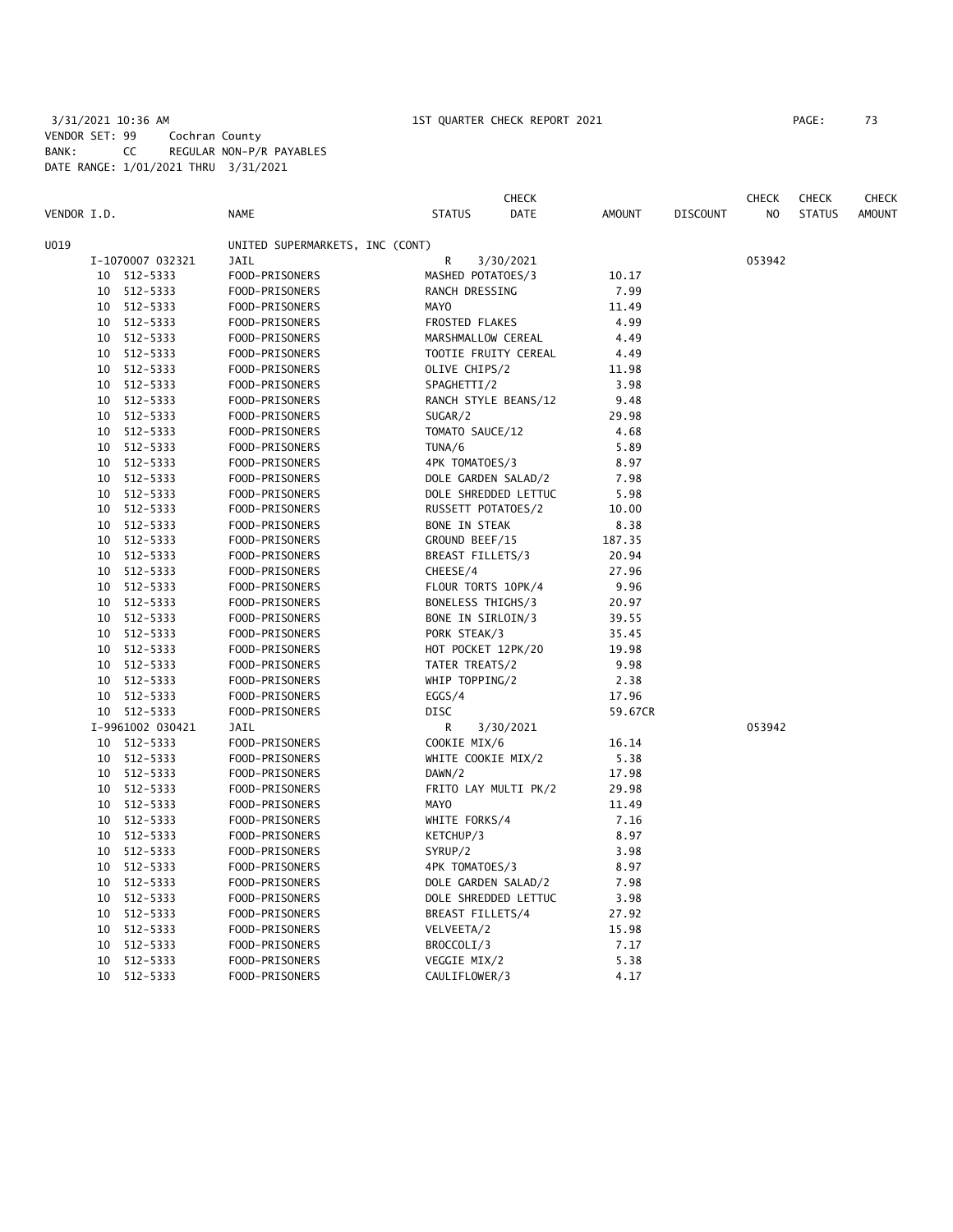### 3/31/2021 10:36 AM 1ST QUARTER CHECK REPORT 2021 PAGE: 73 VENDOR SET: 99 Cochran County BANK: CC REGULAR NON-P/R PAYABLES DATE RANGE: 1/01/2021 THRU 3/31/2021

| VENDOR I.D. |                 |                  | <b>NAME</b>                     | <b>STATUS</b>        | <b>CHECK</b><br><b>DATE</b> | <b>AMOUNT</b> | <b>DISCOUNT</b> | <b>CHECK</b><br>NO. | <b>CHECK</b><br><b>STATUS</b> | <b>CHECK</b><br><b>AMOUNT</b> |
|-------------|-----------------|------------------|---------------------------------|----------------------|-----------------------------|---------------|-----------------|---------------------|-------------------------------|-------------------------------|
| U019        |                 |                  | UNITED SUPERMARKETS, INC (CONT) |                      |                             |               |                 |                     |                               |                               |
|             |                 | I-1070007 032321 | <b>JAIL</b>                     | R                    | 3/30/2021                   |               |                 | 053942              |                               |                               |
|             | 10              | 512-5333         | FOOD-PRISONERS                  | MASHED POTATOES/3    |                             | 10.17         |                 |                     |                               |                               |
|             |                 | 10 512-5333      | FOOD-PRISONERS                  | RANCH DRESSING       |                             | 7.99          |                 |                     |                               |                               |
|             | 10              | 512-5333         | FOOD-PRISONERS                  | <b>MAYO</b>          |                             | 11.49         |                 |                     |                               |                               |
|             | 10              | 512-5333         | FOOD-PRISONERS                  | FROSTED FLAKES       |                             | 4.99          |                 |                     |                               |                               |
|             | 10              | 512-5333         | FOOD-PRISONERS                  | MARSHMALLOW CEREAL   |                             | 4.49          |                 |                     |                               |                               |
|             |                 | 10 512-5333      | FOOD-PRISONERS                  | TOOTIE FRUITY CEREAL |                             | 4.49          |                 |                     |                               |                               |
|             |                 | 10 512-5333      | FOOD-PRISONERS                  | OLIVE CHIPS/2        |                             | 11.98         |                 |                     |                               |                               |
|             |                 | 10 512-5333      | FOOD-PRISONERS                  | SPAGHETTI/2          |                             | 3.98          |                 |                     |                               |                               |
|             | 10              | 512-5333         | FOOD-PRISONERS                  | RANCH STYLE BEANS/12 |                             | 9.48          |                 |                     |                               |                               |
|             | 10              | 512-5333         | FOOD-PRISONERS                  | SUGAR/2              |                             | 29.98         |                 |                     |                               |                               |
|             | 10              | 512-5333         | FOOD-PRISONERS                  | TOMATO SAUCE/12      |                             | 4.68          |                 |                     |                               |                               |
|             |                 | 10 512-5333      | FOOD-PRISONERS                  | TUNA/6               |                             | 5.89          |                 |                     |                               |                               |
|             |                 | 10 512-5333      | FOOD-PRISONERS                  | 4PK TOMATOES/3       |                             | 8.97          |                 |                     |                               |                               |
|             |                 | 10 512-5333      | FOOD-PRISONERS                  | DOLE GARDEN SALAD/2  |                             | 7.98          |                 |                     |                               |                               |
|             | 10              | 512-5333         | FOOD-PRISONERS                  | DOLE SHREDDED LETTUC |                             | 5.98          |                 |                     |                               |                               |
|             | 10              | 512-5333         | FOOD-PRISONERS                  | RUSSETT POTATOES/2   |                             | 10.00         |                 |                     |                               |                               |
|             | 10              | 512-5333         | FOOD-PRISONERS                  | <b>BONE IN STEAK</b> |                             | 8.38          |                 |                     |                               |                               |
|             |                 | 10 512-5333      | FOOD-PRISONERS                  | GROUND BEEF/15       |                             | 187.35        |                 |                     |                               |                               |
|             |                 | 10 512-5333      | FOOD-PRISONERS                  | BREAST FILLETS/3     |                             | 20.94         |                 |                     |                               |                               |
|             |                 | 10 512-5333      | FOOD-PRISONERS                  | CHEESE/4             |                             | 27.96         |                 |                     |                               |                               |
|             | 10              | 512-5333         | FOOD-PRISONERS                  | FLOUR TORTS 10PK/4   |                             | 9.96          |                 |                     |                               |                               |
|             |                 | 10 512-5333      | FOOD-PRISONERS                  | BONELESS THIGHS/3    |                             | 20.97         |                 |                     |                               |                               |
|             | 10              | 512-5333         | FOOD-PRISONERS                  | BONE IN SIRLOIN/3    |                             | 39.55         |                 |                     |                               |                               |
|             |                 | 10 512-5333      | FOOD-PRISONERS                  | PORK STEAK/3         |                             | 35.45         |                 |                     |                               |                               |
|             |                 | 10 512-5333      | FOOD-PRISONERS                  | HOT POCKET 12PK/20   |                             | 19.98         |                 |                     |                               |                               |
|             |                 | 10 512-5333      | FOOD-PRISONERS                  | TATER TREATS/2       |                             | 9.98          |                 |                     |                               |                               |
|             | 10              | 512-5333         | FOOD-PRISONERS                  | WHIP TOPPING/2       |                             | 2.38          |                 |                     |                               |                               |
|             | 10              | 512-5333         | FOOD-PRISONERS                  | EGGS/4               |                             | 17.96         |                 |                     |                               |                               |
|             |                 | 10 512-5333      | FOOD-PRISONERS                  | DISC                 |                             | 59.67CR       |                 |                     |                               |                               |
|             |                 | I-9961002 030421 | JAIL                            | R                    | 3/30/2021                   |               |                 | 053942              |                               |                               |
|             |                 | 10 512-5333      | FOOD-PRISONERS                  | COOKIE MIX/6         |                             | 16.14         |                 |                     |                               |                               |
|             |                 | 10 512-5333      | FOOD-PRISONERS                  | WHITE COOKIE MIX/2   |                             | 5.38          |                 |                     |                               |                               |
|             |                 | 10 512-5333      | FOOD-PRISONERS                  | DAWN/2               |                             | 17.98         |                 |                     |                               |                               |
|             |                 | 10 512-5333      | FOOD-PRISONERS                  | FRITO LAY MULTI PK/2 |                             | 29.98         |                 |                     |                               |                               |
|             |                 | 10 512-5333      | FOOD-PRISONERS                  | <b>MAYO</b>          |                             | 11.49         |                 |                     |                               |                               |
|             |                 | 10 512-5333      | FOOD-PRISONERS                  | WHITE FORKS/4        |                             | 7.16          |                 |                     |                               |                               |
|             |                 | 10 512-5333      | FOOD-PRISONERS                  | KETCHUP/3            |                             | 8.97          |                 |                     |                               |                               |
|             |                 | 10 512-5333      | FOOD-PRISONERS                  | SYRUP/2              |                             | 3.98          |                 |                     |                               |                               |
|             | 10              | 512-5333         | FOOD-PRISONERS                  | 4PK TOMATOES/3       |                             | 8.97          |                 |                     |                               |                               |
|             | 10              | 512-5333         | FOOD-PRISONERS                  | DOLE GARDEN SALAD/2  |                             | 7.98          |                 |                     |                               |                               |
|             | 10              | 512-5333         | FOOD-PRISONERS                  | DOLE SHREDDED LETTUC |                             | 3.98          |                 |                     |                               |                               |
|             |                 | 10 512-5333      | FOOD-PRISONERS                  | BREAST FILLETS/4     |                             | 27.92         |                 |                     |                               |                               |
|             |                 | 10 512-5333      | FOOD-PRISONERS                  | VELVEETA/2           |                             | 15.98         |                 |                     |                               |                               |
|             | 10              | 512-5333         | FOOD-PRISONERS                  | BROCCOLI/3           |                             | 7.17          |                 |                     |                               |                               |
|             | 10              | 512-5333         | FOOD-PRISONERS                  | VEGGIE MIX/2         |                             | 5.38          |                 |                     |                               |                               |
|             | 10 <sup>°</sup> | 512-5333         | FOOD-PRISONERS                  | CAULIFLOWER/3        |                             | 4.17          |                 |                     |                               |                               |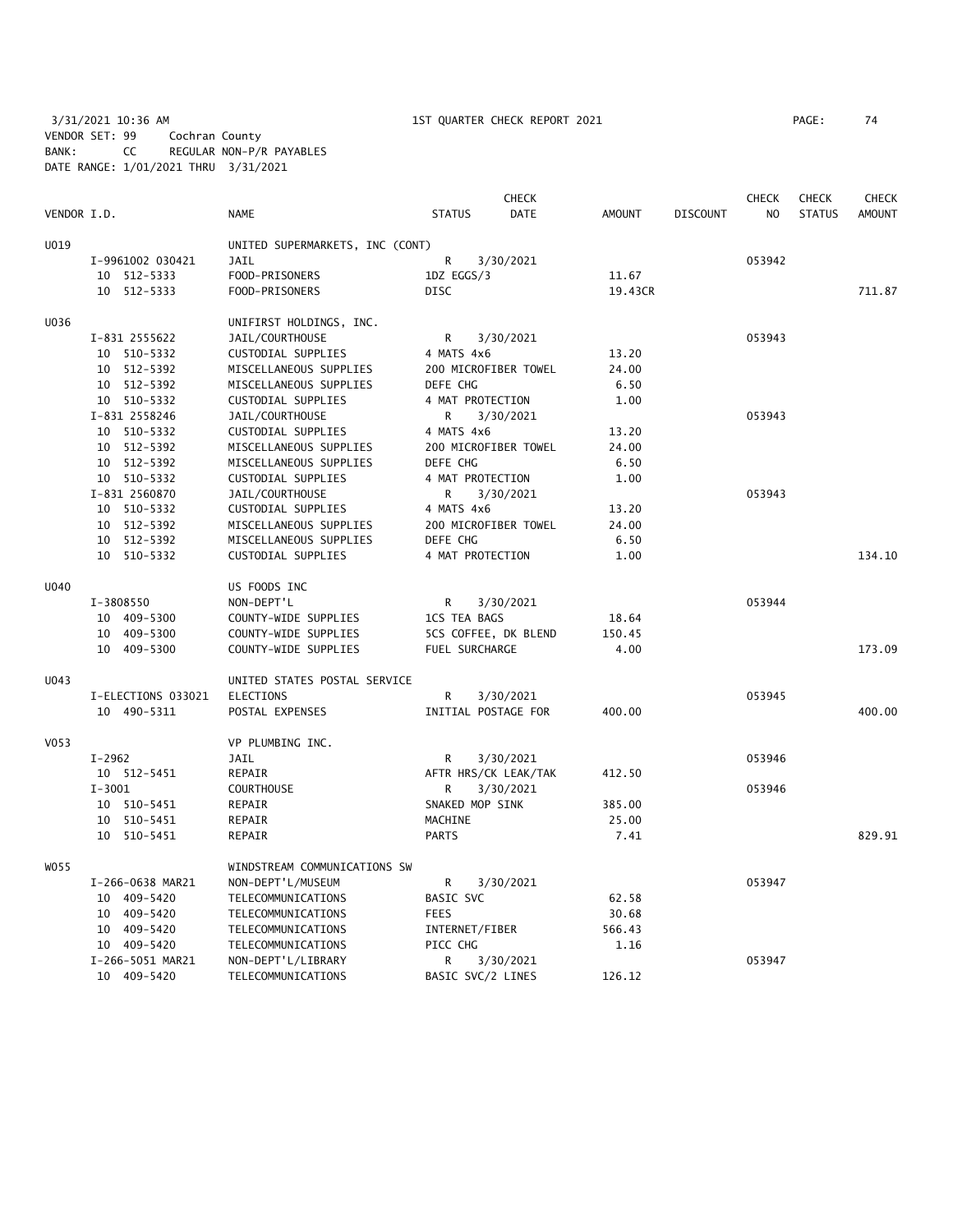3/31/2021 10:36 AM 1ST QUARTER CHECK REPORT 2021 PAGE: 74 VENDOR SET: 99 Cochran County BANK: CC REGULAR NON-P/R PAYABLES DATE RANGE: 1/01/2021 THRU 3/31/2021

| PAGE : | 74 |
|--------|----|
|        |    |

|             |                    |                                 |                      | <b>CHECK</b> |               |                 | <b>CHECK</b>   | <b>CHECK</b>  | <b>CHECK</b>  |
|-------------|--------------------|---------------------------------|----------------------|--------------|---------------|-----------------|----------------|---------------|---------------|
| VENDOR I.D. |                    | <b>NAME</b>                     | <b>STATUS</b>        | <b>DATE</b>  | <b>AMOUNT</b> | <b>DISCOUNT</b> | N <sub>O</sub> | <b>STATUS</b> | <b>AMOUNT</b> |
| U019        |                    | UNITED SUPERMARKETS, INC (CONT) |                      |              |               |                 |                |               |               |
|             | I-9961002 030421   | <b>JAIL</b>                     | R                    | 3/30/2021    |               |                 | 053942         |               |               |
|             | 10 512-5333        | FOOD-PRISONERS                  | 1DZ EGGS/3           |              | 11.67         |                 |                |               |               |
|             | 10 512-5333        | FOOD-PRISONERS                  | DISC                 |              | 19.43CR       |                 |                |               | 711.87        |
|             |                    |                                 |                      |              |               |                 |                |               |               |
| U036        |                    | UNIFIRST HOLDINGS, INC.         |                      |              |               |                 |                |               |               |
|             | I-831 2555622      | JAIL/COURTHOUSE                 | R                    | 3/30/2021    |               |                 | 053943         |               |               |
|             | 10 510-5332        | CUSTODIAL SUPPLIES              | 4 MATS 4x6           |              | 13.20         |                 |                |               |               |
|             | 10 512-5392        | MISCELLANEOUS SUPPLIES          | 200 MICROFIBER TOWEL |              | 24.00         |                 |                |               |               |
|             | 10 512-5392        | MISCELLANEOUS SUPPLIES          | DEFE CHG             |              | 6.50          |                 |                |               |               |
|             | 10 510-5332        | CUSTODIAL SUPPLIES              | 4 MAT PROTECTION     |              | 1.00          |                 |                |               |               |
|             | I-831 2558246      | JAIL/COURTHOUSE                 | R                    | 3/30/2021    |               |                 | 053943         |               |               |
|             | 10 510-5332        | CUSTODIAL SUPPLIES              | 4 MATS 4x6           |              | 13.20         |                 |                |               |               |
|             | 10 512-5392        | MISCELLANEOUS SUPPLIES          | 200 MICROFIBER TOWEL |              | 24.00         |                 |                |               |               |
|             | 10 512-5392        | MISCELLANEOUS SUPPLIES          | DEFE CHG             |              | 6.50          |                 |                |               |               |
|             | 10 510-5332        | CUSTODIAL SUPPLIES              | 4 MAT PROTECTION     |              | 1.00          |                 |                |               |               |
|             | I-831 2560870      | JAIL/COURTHOUSE                 | R                    | 3/30/2021    |               |                 | 053943         |               |               |
|             | 10 510-5332        | CUSTODIAL SUPPLIES              | 4 MATS 4x6           |              | 13.20         |                 |                |               |               |
|             | 10 512-5392        | MISCELLANEOUS SUPPLIES          | 200 MICROFIBER TOWEL |              | 24.00         |                 |                |               |               |
|             | 10 512-5392        | MISCELLANEOUS SUPPLIES          | DEFE CHG             |              | 6.50          |                 |                |               |               |
|             | 10 510-5332        | CUSTODIAL SUPPLIES              | 4 MAT PROTECTION     |              | 1.00          |                 |                |               | 134.10        |
| U040        |                    | US FOODS INC                    |                      |              |               |                 |                |               |               |
|             | I-3808550          | NON-DEPT'L                      | R.                   | 3/30/2021    |               |                 | 053944         |               |               |
|             | 10 409-5300        | COUNTY-WIDE SUPPLIES            | 1CS TEA BAGS         |              | 18.64         |                 |                |               |               |
|             | 10 409-5300        | COUNTY-WIDE SUPPLIES            | 5CS COFFEE, DK BLEND |              | 150.45        |                 |                |               |               |
|             | 10 409-5300        | COUNTY-WIDE SUPPLIES            | FUEL SURCHARGE       |              | 4.00          |                 |                |               | 173.09        |
| U043        |                    | UNITED STATES POSTAL SERVICE    |                      |              |               |                 |                |               |               |
|             | I-ELECTIONS 033021 | <b>ELECTIONS</b>                | R                    | 3/30/2021    |               |                 | 053945         |               |               |
|             | 10 490-5311        | POSTAL EXPENSES                 | INITIAL POSTAGE FOR  |              | 400.00        |                 |                |               | 400.00        |
| V053        |                    | VP PLUMBING INC.                |                      |              |               |                 |                |               |               |
|             | $I-2962$           | JAIL                            | R                    | 3/30/2021    |               |                 | 053946         |               |               |
|             | 10 512-5451        | REPAIR                          | AFTR HRS/CK LEAK/TAK |              | 412.50        |                 |                |               |               |
|             | $I - 3001$         | <b>COURTHOUSE</b>               | R                    | 3/30/2021    |               |                 | 053946         |               |               |
|             | 10 510-5451        | REPAIR                          | SNAKED MOP SINK      |              | 385.00        |                 |                |               |               |
|             | 10 510-5451        | REPAIR                          | MACHINE              |              | 25.00         |                 |                |               |               |
|             | 10 510-5451        | REPAIR                          | <b>PARTS</b>         |              | 7.41          |                 |                |               | 829.91        |
| WO55        |                    | WINDSTREAM COMMUNICATIONS SW    |                      |              |               |                 |                |               |               |
|             | I-266-0638 MAR21   | NON-DEPT'L/MUSEUM               | R                    | 3/30/2021    |               |                 | 053947         |               |               |
|             | 10 409-5420        | TELECOMMUNICATIONS              | BASIC SVC            |              | 62.58         |                 |                |               |               |
|             | 10 409-5420        | TELECOMMUNICATIONS              | <b>FEES</b>          |              | 30.68         |                 |                |               |               |
|             | 10 409-5420        | TELECOMMUNICATIONS              | INTERNET/FIBER       |              | 566.43        |                 |                |               |               |
|             | 10 409-5420        | TELECOMMUNICATIONS              | PICC CHG             |              | 1.16          |                 |                |               |               |
|             | I-266-5051 MAR21   | NON-DEPT'L/LIBRARY              | R                    | 3/30/2021    |               |                 | 053947         |               |               |

10 409-5420 TELECOMMUNICATIONS BASIC SVC/2 LINES 126.12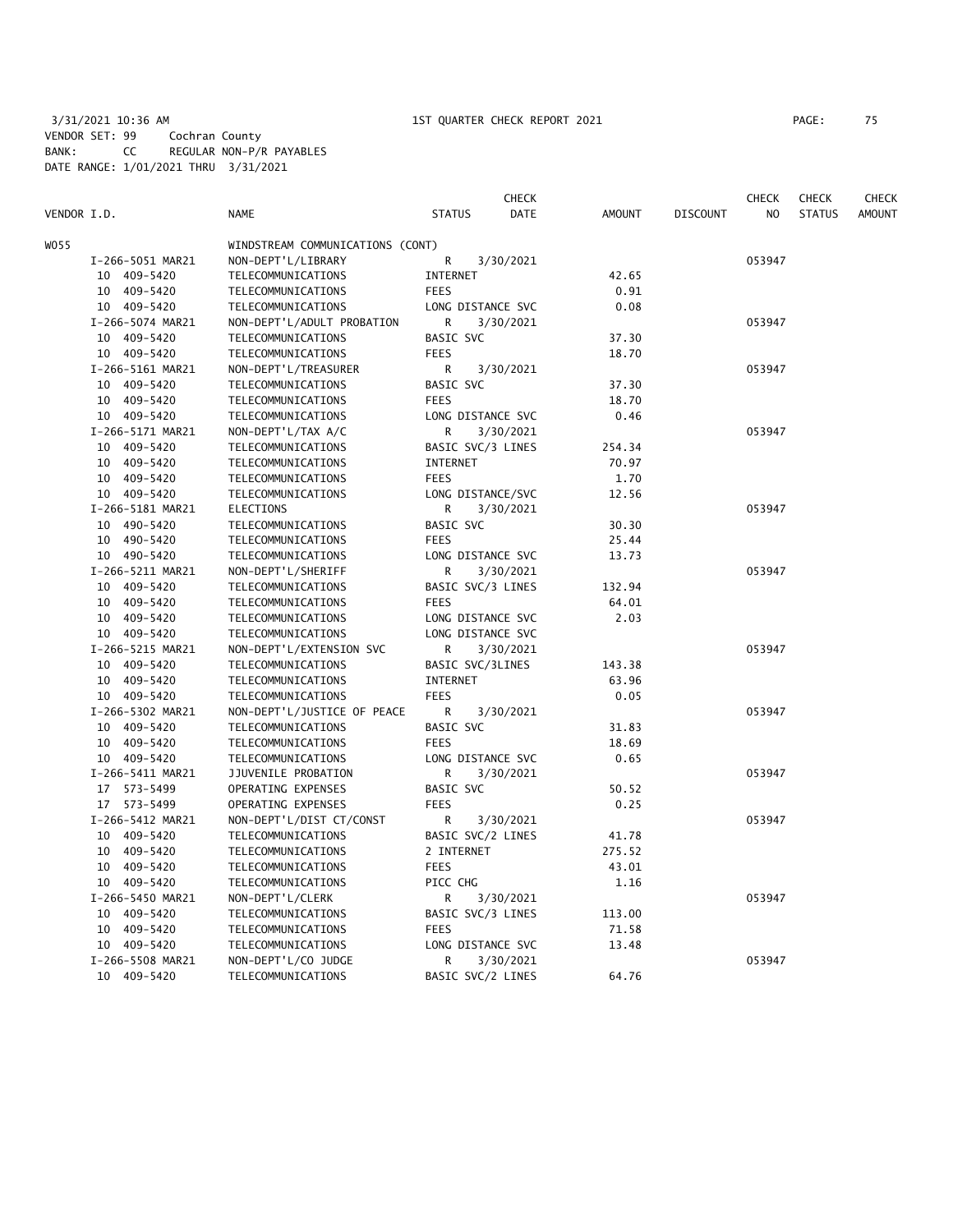3/31/2021 10:36 AM 1ST QUARTER CHECK REPORT 2021 PAGE: 75 VENDOR SET: 99 Cochran County BANK: CC REGULAR NON-P/R PAYABLES DATE RANGE: 1/01/2021 THRU 3/31/2021

| PAGE : | 75 |  |
|--------|----|--|
|        |    |  |

|             |                  |                                  |                   | CHECK       |               |                 | CHECK  | <b>CHECK</b>  | <b>CHECK</b>  |
|-------------|------------------|----------------------------------|-------------------|-------------|---------------|-----------------|--------|---------------|---------------|
| VENDOR I.D. |                  | <b>NAME</b>                      | <b>STATUS</b>     | <b>DATE</b> | <b>AMOUNT</b> | <b>DISCOUNT</b> | NO.    | <b>STATUS</b> | <b>AMOUNT</b> |
| WO55        |                  | WINDSTREAM COMMUNICATIONS (CONT) |                   |             |               |                 |        |               |               |
|             | I-266-5051 MAR21 | NON-DEPT'L/LIBRARY               | R                 | 3/30/2021   |               |                 | 053947 |               |               |
|             | 10 409-5420      | TELECOMMUNICATIONS               | INTERNET          |             | 42.65         |                 |        |               |               |
|             | 10 409-5420      | TELECOMMUNICATIONS               | <b>FEES</b>       |             | 0.91          |                 |        |               |               |
|             | 10 409-5420      | TELECOMMUNICATIONS               | LONG DISTANCE SVC |             | 0.08          |                 |        |               |               |
|             | I-266-5074 MAR21 | NON-DEPT'L/ADULT PROBATION       | R                 | 3/30/2021   |               |                 | 053947 |               |               |
|             | 10 409-5420      | TELECOMMUNICATIONS               | BASIC SVC         |             | 37.30         |                 |        |               |               |
|             | 10 409-5420      | TELECOMMUNICATIONS               | <b>FEES</b>       |             | 18.70         |                 |        |               |               |
|             | I-266-5161 MAR21 | NON-DEPT'L/TREASURER             | R                 | 3/30/2021   |               |                 | 053947 |               |               |
|             | 10 409-5420      | TELECOMMUNICATIONS               | BASIC SVC         |             | 37.30         |                 |        |               |               |
|             | 10 409-5420      | TELECOMMUNICATIONS               | <b>FEES</b>       |             | 18.70         |                 |        |               |               |
|             | 10 409-5420      | TELECOMMUNICATIONS               | LONG DISTANCE SVC |             | 0.46          |                 |        |               |               |
|             | I-266-5171 MAR21 | NON-DEPT'L/TAX A/C               | R                 | 3/30/2021   |               |                 | 053947 |               |               |
|             | 10 409-5420      | TELECOMMUNICATIONS               | BASIC SVC/3 LINES |             | 254.34        |                 |        |               |               |
|             | 10 409-5420      | TELECOMMUNICATIONS               | INTERNET          |             | 70.97         |                 |        |               |               |
|             | 10 409-5420      | TELECOMMUNICATIONS               | <b>FEES</b>       |             | 1.70          |                 |        |               |               |
|             | 10 409-5420      | TELECOMMUNICATIONS               | LONG DISTANCE/SVC |             | 12.56         |                 |        |               |               |
|             | I-266-5181 MAR21 | ELECTIONS                        | R                 | 3/30/2021   |               |                 | 053947 |               |               |
|             | 10 490-5420      | TELECOMMUNICATIONS               | BASIC SVC         |             | 30.30         |                 |        |               |               |
|             | 10 490-5420      | TELECOMMUNICATIONS               | <b>FEES</b>       |             | 25.44         |                 |        |               |               |
|             | 10 490-5420      | TELECOMMUNICATIONS               | LONG DISTANCE SVC |             | 13.73         |                 |        |               |               |
|             | I-266-5211 MAR21 | NON-DEPT'L/SHERIFF               | R                 | 3/30/2021   |               |                 | 053947 |               |               |
|             | 10 409-5420      | TELECOMMUNICATIONS               | BASIC SVC/3 LINES |             | 132.94        |                 |        |               |               |
|             | 10 409-5420      | TELECOMMUNICATIONS               | <b>FEES</b>       |             | 64.01         |                 |        |               |               |
|             | 10 409-5420      | TELECOMMUNICATIONS               | LONG DISTANCE SVC |             | 2.03          |                 |        |               |               |
|             | 10 409-5420      | TELECOMMUNICATIONS               | LONG DISTANCE SVC |             |               |                 |        |               |               |
|             | I-266-5215 MAR21 | NON-DEPT'L/EXTENSION SVC         | R                 | 3/30/2021   |               |                 | 053947 |               |               |
|             | 10 409-5420      | TELECOMMUNICATIONS               | BASIC SVC/3LINES  |             | 143.38        |                 |        |               |               |
|             | 10 409-5420      | TELECOMMUNICATIONS               | INTERNET          |             | 63.96         |                 |        |               |               |
|             | 10 409-5420      | TELECOMMUNICATIONS               | <b>FEES</b>       |             | 0.05          |                 |        |               |               |
|             | I-266-5302 MAR21 | NON-DEPT'L/JUSTICE OF PEACE      | R                 | 3/30/2021   |               |                 | 053947 |               |               |
|             | 10 409-5420      | TELECOMMUNICATIONS               | BASIC SVC         |             | 31.83         |                 |        |               |               |
|             | 10 409-5420      | TELECOMMUNICATIONS               | <b>FEES</b>       |             | 18.69         |                 |        |               |               |
|             | 10 409-5420      | TELECOMMUNICATIONS               | LONG DISTANCE SVC |             | 0.65          |                 |        |               |               |
|             | I-266-5411 MAR21 | JJUVENILE PROBATION              | R                 | 3/30/2021   |               |                 | 053947 |               |               |
|             | 17 573-5499      | OPERATING EXPENSES               | <b>BASIC SVC</b>  |             | 50.52         |                 |        |               |               |
|             | 17 573-5499      | OPERATING EXPENSES               | <b>FEES</b>       |             | 0.25          |                 |        |               |               |
|             | I-266-5412 MAR21 | NON-DEPT'L/DIST CT/CONST         | R                 | 3/30/2021   |               |                 | 053947 |               |               |
|             | 10 409-5420      | TELECOMMUNICATIONS               | BASIC SVC/2 LINES |             | 41.78         |                 |        |               |               |
|             | 10 409-5420      | TELECOMMUNICATIONS               | 2 INTERNET        |             | 275.52        |                 |        |               |               |
|             | 10 409-5420      | TELECOMMUNICATIONS               | <b>FEES</b>       |             | 43.01         |                 |        |               |               |
|             | 10 409-5420      | TELECOMMUNICATIONS               | PICC CHG          |             | 1.16          |                 |        |               |               |
|             | I-266-5450 MAR21 | NON-DEPT'L/CLERK                 | R                 | 3/30/2021   |               |                 | 053947 |               |               |
|             | 10 409-5420      | TELECOMMUNICATIONS               | BASIC SVC/3 LINES |             | 113.00        |                 |        |               |               |
|             | 10 409-5420      | TELECOMMUNICATIONS               | <b>FEES</b>       |             | 71.58         |                 |        |               |               |
|             | 10 409-5420      | TELECOMMUNICATIONS               | LONG DISTANCE SVC |             | 13.48         |                 |        |               |               |
|             | I-266-5508 MAR21 | NON-DEPT'L/CO JUDGE              | R                 | 3/30/2021   |               |                 | 053947 |               |               |
|             | 10 409-5420      | TELECOMMUNICATIONS               | BASIC SVC/2 LINES |             | 64.76         |                 |        |               |               |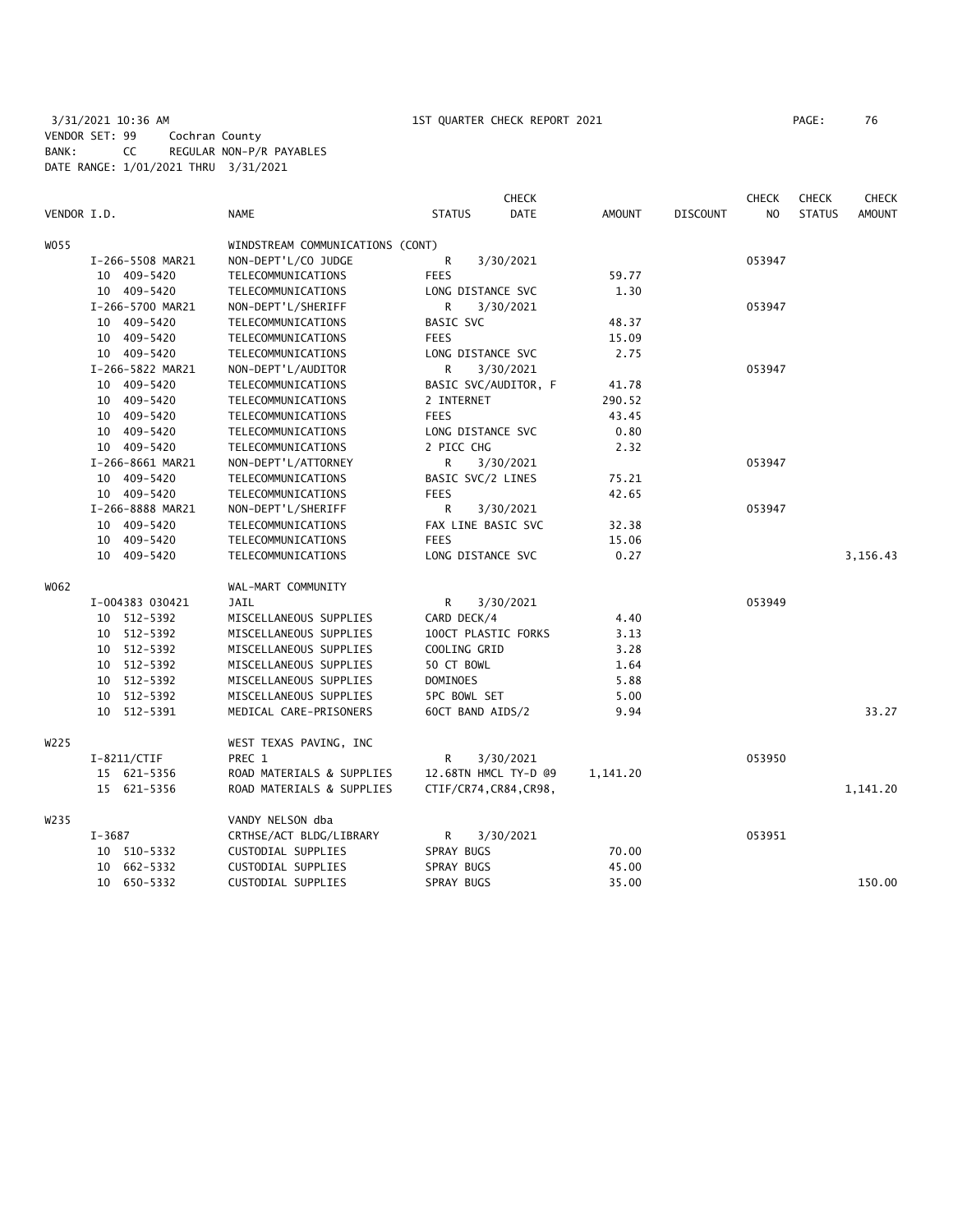3/31/2021 10:36 AM 1ST QUARTER CHECK REPORT 2021 PAGE: 76 VENDOR SET: 99 Cochran County BANK: CC REGULAR NON-P/R PAYABLES DATE RANGE: 1/01/2021 THRU 3/31/2021

|             |                  |                                  | <b>CHECK</b>           |               |                 | <b>CHECK</b> | <b>CHECK</b>  | <b>CHECK</b>  |
|-------------|------------------|----------------------------------|------------------------|---------------|-----------------|--------------|---------------|---------------|
| VENDOR I.D. |                  | NAME                             | <b>STATUS</b><br>DATE  | <b>AMOUNT</b> | <b>DISCOUNT</b> | NO.          | <b>STATUS</b> | <b>AMOUNT</b> |
| W055        |                  | WINDSTREAM COMMUNICATIONS (CONT) |                        |               |                 |              |               |               |
|             | I-266-5508 MAR21 | NON-DEPT'L/CO JUDGE              | R<br>3/30/2021         |               |                 | 053947       |               |               |
|             | 10 409-5420      | TELECOMMUNICATIONS               | <b>FEES</b>            | 59.77         |                 |              |               |               |
|             | 10 409-5420      | TELECOMMUNICATIONS               | LONG DISTANCE SVC      | 1.30          |                 |              |               |               |
|             | I-266-5700 MAR21 | NON-DEPT'L/SHERIFF               | R<br>3/30/2021         |               |                 | 053947       |               |               |
|             | 10 409-5420      | TELECOMMUNICATIONS               | BASIC SVC              | 48.37         |                 |              |               |               |
|             | 10 409-5420      | TELECOMMUNICATIONS               | <b>FEES</b>            | 15.09         |                 |              |               |               |
|             | 10 409-5420      | TELECOMMUNICATIONS               | LONG DISTANCE SVC      | 2.75          |                 |              |               |               |
|             | I-266-5822 MAR21 | NON-DEPT'L/AUDITOR               | R<br>3/30/2021         |               |                 | 053947       |               |               |
|             | 10 409-5420      | TELECOMMUNICATIONS               | BASIC SVC/AUDITOR, F   | 41.78         |                 |              |               |               |
|             | 10 409-5420      | TELECOMMUNICATIONS               | 2 INTERNET             | 290.52        |                 |              |               |               |
|             | 10 409-5420      | TELECOMMUNICATIONS               | <b>FEES</b>            | 43.45         |                 |              |               |               |
|             | 10 409-5420      | TELECOMMUNICATIONS               | LONG DISTANCE SVC      | 0.80          |                 |              |               |               |
|             | 10 409-5420      | TELECOMMUNICATIONS               | 2 PICC CHG             | 2.32          |                 |              |               |               |
|             | I-266-8661 MAR21 | NON-DEPT'L/ATTORNEY              | R<br>3/30/2021         |               |                 | 053947       |               |               |
|             | 10 409-5420      | TELECOMMUNICATIONS               | BASIC SVC/2 LINES      | 75.21         |                 |              |               |               |
|             | 10 409-5420      | TELECOMMUNICATIONS               | <b>FEES</b>            | 42.65         |                 |              |               |               |
|             | I-266-8888 MAR21 | NON-DEPT'L/SHERIFF               | R<br>3/30/2021         |               |                 | 053947       |               |               |
|             | 10 409-5420      | TELECOMMUNICATIONS               | FAX LINE BASIC SVC     | 32.38         |                 |              |               |               |
|             | 10 409-5420      | TELECOMMUNICATIONS               | <b>FEES</b>            | 15.06         |                 |              |               |               |
|             | 10 409-5420      | TELECOMMUNICATIONS               | LONG DISTANCE SVC      | 0.27          |                 |              |               | 3,156.43      |
| W062        |                  | WAL-MART COMMUNITY               |                        |               |                 |              |               |               |
|             | I-004383 030421  | JAIL                             | R<br>3/30/2021         |               |                 | 053949       |               |               |
|             | 10 512-5392      | MISCELLANEOUS SUPPLIES           | CARD DECK/4            | 4.40          |                 |              |               |               |
|             | 10 512-5392      | MISCELLANEOUS SUPPLIES           | 100CT PLASTIC FORKS    | 3.13          |                 |              |               |               |
|             | 10 512-5392      | MISCELLANEOUS SUPPLIES           | COOLING GRID           | 3.28          |                 |              |               |               |
|             | 10 512-5392      | MISCELLANEOUS SUPPLIES           | 50 CT BOWL             | 1.64          |                 |              |               |               |
|             | 10 512-5392      | MISCELLANEOUS SUPPLIES           | DOMINOES               | 5.88          |                 |              |               |               |
|             | 10 512-5392      | MISCELLANEOUS SUPPLIES           | <b>5PC BOWL SET</b>    | 5.00          |                 |              |               |               |
|             | 10 512-5391      | MEDICAL CARE-PRISONERS           | 60CT BAND AIDS/2       | 9.94          |                 |              |               | 33.27         |
| W225        |                  | WEST TEXAS PAVING, INC           |                        |               |                 |              |               |               |
|             | $I-8211/CTIF$    | PREC 1                           | R<br>3/30/2021         |               |                 | 053950       |               |               |
|             | 15 621-5356      | ROAD MATERIALS & SUPPLIES        | 12.68TN HMCL TY-D @9   | 1,141.20      |                 |              |               |               |
|             | 15 621-5356      | ROAD MATERIALS & SUPPLIES        | CTIF/CR74, CR84, CR98, |               |                 |              |               | 1,141.20      |
| W235        |                  | VANDY NELSON dba                 |                        |               |                 |              |               |               |
|             | I-3687           | CRTHSE/ACT BLDG/LIBRARY          | R<br>3/30/2021         |               |                 | 053951       |               |               |
|             | 10 510-5332      | CUSTODIAL SUPPLIES               | SPRAY BUGS             | 70.00         |                 |              |               |               |
|             | 10 662-5332      | CUSTODIAL SUPPLIES               | SPRAY BUGS             | 45.00         |                 |              |               |               |
|             | 10 650-5332      | CUSTODIAL SUPPLIES               | SPRAY BUGS             | 35.00         |                 |              |               | 150.00        |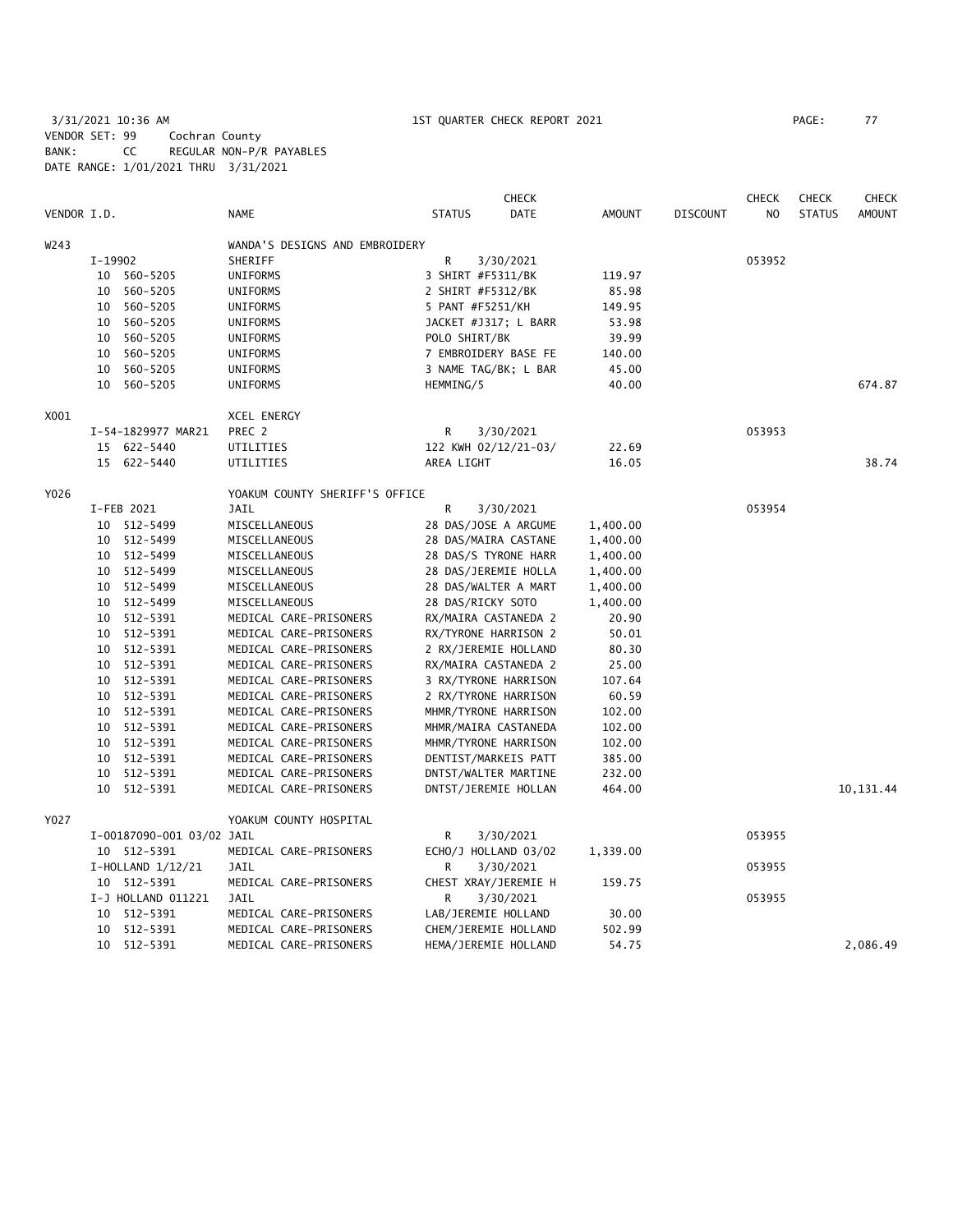3/31/2021 10:36 AM 1ST QUARTER CHECK REPORT 2021 PAGE: 77 VENDOR SET: 99 Cochran County BANK: CC REGULAR NON-P/R PAYABLES DATE RANGE: 1/01/2021 THRU 3/31/2021

|             |         |                           |                                |                     | <b>CHECK</b>         |               |                 | <b>CHECK</b>   | <b>CHECK</b>  | <b>CHECK</b>  |
|-------------|---------|---------------------------|--------------------------------|---------------------|----------------------|---------------|-----------------|----------------|---------------|---------------|
| VENDOR I.D. |         |                           | NAME                           | <b>STATUS</b>       | <b>DATE</b>          | <b>AMOUNT</b> | <b>DISCOUNT</b> | N <sub>O</sub> | <b>STATUS</b> | <b>AMOUNT</b> |
| W243        |         |                           | WANDA'S DESIGNS AND EMBROIDERY |                     |                      |               |                 |                |               |               |
|             | I-19902 |                           | SHERIFF                        | R                   | 3/30/2021            |               |                 | 053952         |               |               |
|             |         | 10 560-5205               | <b>UNIFORMS</b>                | 3 SHIRT #F5311/BK   |                      | 119.97        |                 |                |               |               |
|             |         | 10 560-5205               | <b>UNIFORMS</b>                | 2 SHIRT #F5312/BK   |                      | 85.98         |                 |                |               |               |
|             |         | 10 560-5205               | UNIFORMS                       | 5 PANT #F5251/KH    |                      | 149.95        |                 |                |               |               |
|             |         | 10 560-5205               | UNIFORMS                       |                     | JACKET #J317; L BARR | 53.98         |                 |                |               |               |
|             |         | 10 560-5205               | UNIFORMS                       | POLO SHIRT/BK       |                      | 39.99         |                 |                |               |               |
|             |         | 10 560-5205               | UNIFORMS                       |                     | 7 EMBROIDERY BASE FE | 140.00        |                 |                |               |               |
|             |         | 10 560-5205               | UNIFORMS                       |                     | 3 NAME TAG/BK; L BAR | 45.00         |                 |                |               |               |
|             |         | 10 560-5205               | UNIFORMS                       | HEMMING/5           |                      | 40.00         |                 |                |               | 674.87        |
| X001        |         |                           | XCEL ENERGY                    |                     |                      |               |                 |                |               |               |
|             |         | I-54-1829977 MAR21        | PREC 2                         | R                   | 3/30/2021            |               |                 | 053953         |               |               |
|             |         | 15 622-5440               | UTILITIES                      |                     | 122 KWH 02/12/21-03/ | 22.69         |                 |                |               |               |
|             |         | 15 622-5440               | UTILITIES                      | AREA LIGHT          |                      | 16.05         |                 |                |               | 38.74         |
| Y026        |         |                           | YOAKUM COUNTY SHERIFF'S OFFICE |                     |                      |               |                 |                |               |               |
|             |         | I-FEB 2021                | <b>JAIL</b>                    | R                   | 3/30/2021            |               |                 | 053954         |               |               |
|             |         | 10 512-5499               | MISCELLANEOUS                  |                     | 28 DAS/JOSE A ARGUME | 1,400.00      |                 |                |               |               |
|             |         | 10 512-5499               | MISCELLANEOUS                  |                     | 28 DAS/MAIRA CASTANE | 1,400.00      |                 |                |               |               |
|             |         | 10 512-5499               | MISCELLANEOUS                  |                     | 28 DAS/S TYRONE HARR | 1,400.00      |                 |                |               |               |
|             |         | 10 512-5499               | MISCELLANEOUS                  |                     | 28 DAS/JEREMIE HOLLA | 1,400.00      |                 |                |               |               |
|             |         | 10 512-5499               | MISCELLANEOUS                  |                     | 28 DAS/WALTER A MART | 1,400.00      |                 |                |               |               |
|             |         | 10 512-5499               | MISCELLANEOUS                  | 28 DAS/RICKY SOTO   |                      | 1,400.00      |                 |                |               |               |
|             |         | 10 512-5391               | MEDICAL CARE-PRISONERS         |                     | RX/MAIRA CASTANEDA 2 | 20.90         |                 |                |               |               |
|             |         | 10 512-5391               | MEDICAL CARE-PRISONERS         |                     | RX/TYRONE HARRISON 2 | 50.01         |                 |                |               |               |
|             |         | 10 512-5391               | MEDICAL CARE-PRISONERS         |                     | 2 RX/JEREMIE HOLLAND | 80.30         |                 |                |               |               |
|             |         | 10 512-5391               | MEDICAL CARE-PRISONERS         |                     | RX/MAIRA CASTANEDA 2 | 25.00         |                 |                |               |               |
|             |         | 10 512-5391               | MEDICAL CARE-PRISONERS         |                     | 3 RX/TYRONE HARRISON | 107.64        |                 |                |               |               |
|             |         | 10 512-5391               | MEDICAL CARE-PRISONERS         |                     | 2 RX/TYRONE HARRISON | 60.59         |                 |                |               |               |
|             |         | 10 512-5391               | MEDICAL CARE-PRISONERS         |                     | MHMR/TYRONE HARRISON | 102.00        |                 |                |               |               |
|             |         | 10 512-5391               | MEDICAL CARE-PRISONERS         |                     | MHMR/MAIRA CASTANEDA | 102.00        |                 |                |               |               |
|             |         | 10 512-5391               | MEDICAL CARE-PRISONERS         |                     | MHMR/TYRONE HARRISON | 102.00        |                 |                |               |               |
|             |         | 10 512-5391               | MEDICAL CARE-PRISONERS         |                     | DENTIST/MARKEIS PATT | 385.00        |                 |                |               |               |
|             |         | 10 512-5391               | MEDICAL CARE-PRISONERS         |                     | DNTST/WALTER MARTINE | 232.00        |                 |                |               |               |
|             |         | 10 512-5391               | MEDICAL CARE-PRISONERS         |                     | DNTST/JEREMIE HOLLAN | 464.00        |                 |                |               | 10,131.44     |
| Y027        |         |                           | YOAKUM COUNTY HOSPITAL         |                     |                      |               |                 |                |               |               |
|             |         | I-00187090-001 03/02 JAIL |                                | R                   | 3/30/2021            |               |                 | 053955         |               |               |
|             |         | 10 512-5391               | MEDICAL CARE-PRISONERS         |                     | ECHO/J HOLLAND 03/02 | 1,339.00      |                 |                |               |               |
|             |         | $I-HOLLAND$ $1/12/21$     | JAIL                           | R                   | 3/30/2021            |               |                 | 053955         |               |               |
|             |         | 10 512-5391               | MEDICAL CARE-PRISONERS         |                     | CHEST XRAY/JEREMIE H | 159.75        |                 |                |               |               |
|             |         | I-J HOLLAND 011221        | <b>JAIL</b>                    | R                   | 3/30/2021            |               |                 | 053955         |               |               |
|             |         | 10 512-5391               | MEDICAL CARE-PRISONERS         | LAB/JEREMIE HOLLAND |                      | 30.00         |                 |                |               |               |
|             |         | 10 512-5391               | MEDICAL CARE-PRISONERS         |                     | CHEM/JEREMIE HOLLAND | 502.99        |                 |                |               |               |
|             |         | 10 512-5391               | MEDICAL CARE-PRISONERS         |                     | HEMA/JEREMIE HOLLAND | 54.75         |                 |                |               | 2,086.49      |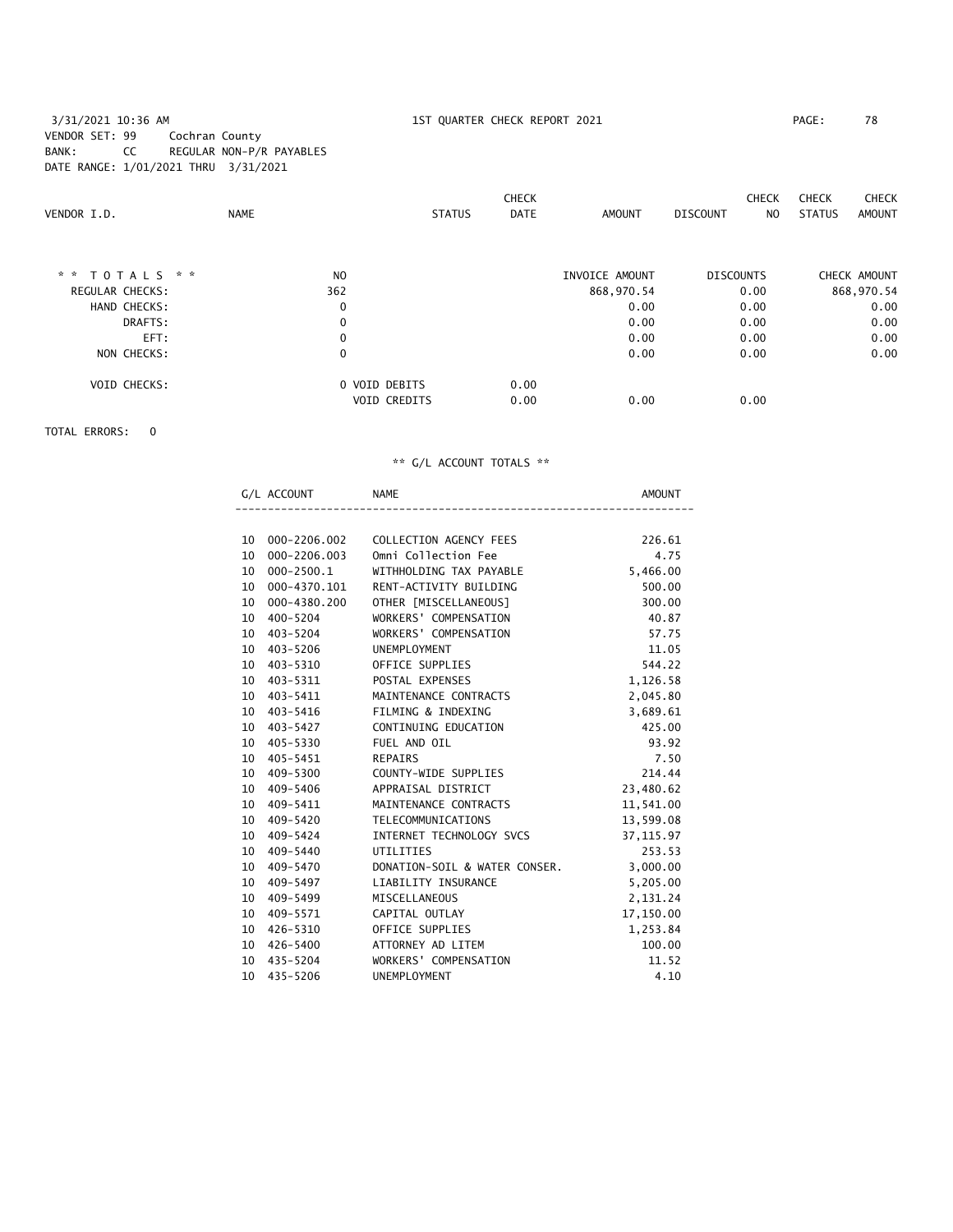3/31/2021 10:36 AM 1ST QUARTER CHECK REPORT 2021 PAGE: 78 VENDOR SET: 99 Cochran County BANK: CC REGULAR NON-P/R PAYABLES DATE RANGE: 1/01/2021 THRU 3/31/2021

|                     |                |                     | <b>CHECK</b> |                | <b>CHECK</b>           | <b>CHECK</b>  | <b>CHECK</b> |
|---------------------|----------------|---------------------|--------------|----------------|------------------------|---------------|--------------|
| VENDOR I.D.         | <b>NAME</b>    | <b>STATUS</b>       | <b>DATE</b>  | <b>AMOUNT</b>  | <b>DISCOUNT</b><br>NO. | <b>STATUS</b> | AMOUNT       |
|                     |                |                     |              |                |                        |               |              |
| ** TOTALS **        | N <sub>O</sub> |                     |              | INVOICE AMOUNT | <b>DISCOUNTS</b>       |               | CHECK AMOUNT |
| REGULAR CHECKS:     | 362            |                     |              | 868,970.54     | 0.00                   |               | 868,970.54   |
| HAND CHECKS:        | 0              |                     |              | 0.00           | 0.00                   |               | 0.00         |
| DRAFTS:             | 0              |                     |              | 0.00           | 0.00                   |               | 0.00         |
| EFT:                | $\mathbf 0$    |                     |              | 0.00           | 0.00                   |               | 0.00         |
| NON CHECKS:         | $\mathbf 0$    |                     |              | 0.00           | 0.00                   |               | 0.00         |
| <b>VOID CHECKS:</b> | 0 VOID DEBITS  |                     | 0.00         |                |                        |               |              |
|                     |                | <b>VOID CREDITS</b> | 0.00         | 0.00           | 0.00                   |               |              |

TOTAL ERRORS: 0

|    | G/L ACCOUNT     | <b>NAME</b><br>---------------------------------- | AMOUNT     |
|----|-----------------|---------------------------------------------------|------------|
|    |                 |                                                   |            |
|    |                 | 10 000-2206.002 COLLECTION AGENCY FEES            | 226.61     |
| 10 | 000-2206.003    | Omni Collection Fee                               | 4.75       |
|    | 10 000-2500.1   | WITHHOLDING TAX PAYABLE                           | 5,466.00   |
|    | 10 000-4370.101 | RENT-ACTIVITY BUILDING                            | 500.00     |
|    | 10 000-4380.200 | OTHER [MISCELLANEOUS]                             | 300.00     |
|    | 10 400-5204     | WORKERS' COMPENSATION                             | 40.87      |
|    | 10 403-5204     | WORKERS' COMPENSATION                             | 57.75      |
|    | 10 403-5206     | UNEMPLOYMENT                                      | 11.05      |
|    | 10 403-5310     | OFFICE SUPPLIES                                   | 544.22     |
|    | 10 403-5311     | POSTAL EXPENSES                                   | 1,126.58   |
|    | 10 403-5411     | MAINTENANCE CONTRACTS                             | 2,045.80   |
|    | 10 403-5416     | FILMING & INDEXING                                | 3,689.61   |
|    | 10 403-5427     | CONTINUING EDUCATION                              | 425.00     |
|    | 10 405-5330     | FUEL AND OIL                                      | 93.92      |
|    | 10 405-5451     | REPAIRS                                           | 7.50       |
|    | 10 409-5300     | COUNTY-WIDE SUPPLIES                              | 214.44     |
|    | 10 409-5406     | APPRAISAL DISTRICT                                | 23,480.62  |
|    | 10 409-5411     | MAINTENANCE CONTRACTS                             | 11,541.00  |
| 10 | 409-5420        | TELECOMMUNICATIONS                                | 13,599.08  |
|    | 10 409-5424     | INTERNET TECHNOLOGY SVCS                          | 37, 115.97 |
|    | 10 409-5440     | UTILITIES                                         | 253.53     |
|    | 10 409-5470     | DONATION-SOIL & WATER CONSER. 3,000.00            |            |
|    | 10 409-5497     | LIABILITY INSURANCE                               | 5,205.00   |
|    | 10 409-5499     | MISCELLANEOUS                                     | 2,131.24   |
| 10 | 409-5571        | CAPITAL OUTLAY                                    | 17,150.00  |
|    | 10 426-5310     | OFFICE SUPPLIES                                   | 1,253.84   |
|    | 10 426-5400     | ATTORNEY AD LITEM                                 | 100.00     |
|    | 10 435-5204     | WORKERS' COMPENSATION                             | 11.52      |
|    | 10 435-5206     | UNEMPLOYMENT                                      | 4.10       |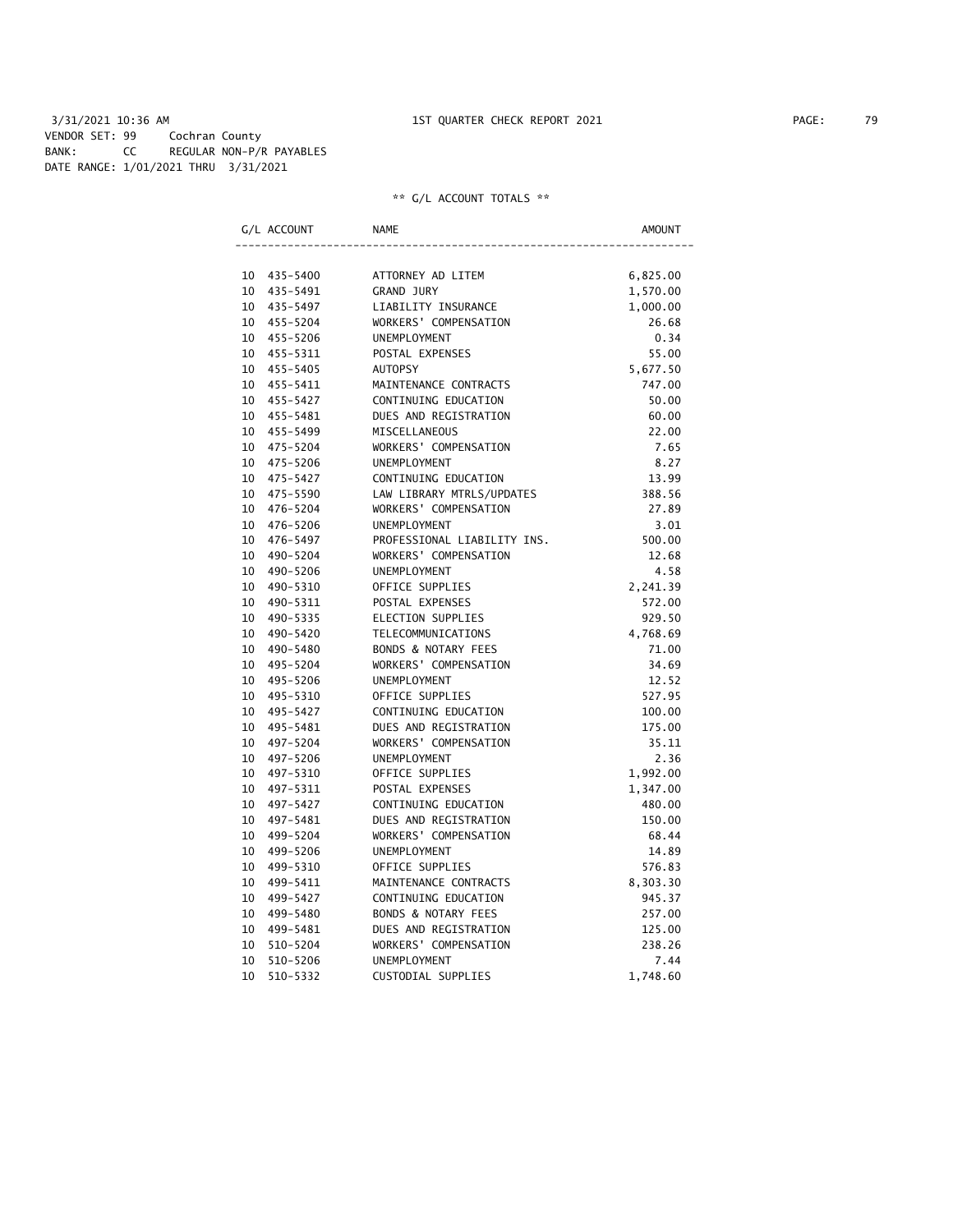|    | G/L ACCOUNT | <b>NAME</b>                    | AMOUNT   |
|----|-------------|--------------------------------|----------|
|    |             |                                |          |
|    | 10 435-5400 | ATTORNEY AD LITEM              | 6,825.00 |
| 10 | 435-5491    | <b>GRAND JURY</b>              | 1,570.00 |
| 10 | 435–5497    | LIABILITY INSURANCE            | 1,000.00 |
|    | 10 455-5204 | WORKERS' COMPENSATION          | 26.68    |
| 10 | 455-5206    | <b>UNEMPLOYMENT</b>            | 0.34     |
|    | 10 455-5311 | POSTAL EXPENSES                | 55.00    |
| 10 | 455-5405    | <b>AUTOPSY</b>                 | 5,677.50 |
| 10 | 455-5411    | MAINTENANCE CONTRACTS          | 747.00   |
| 10 | 455-5427    | CONTINUING EDUCATION           | 50.00    |
| 10 | 455-5481    | DUES AND REGISTRATION          | 60.00    |
| 10 | 455-5499    | MISCELLANEOUS                  | 22.00    |
| 10 | 475-5204    | WORKERS' COMPENSATION          | 7.65     |
| 10 | 475-5206    | <b>UNEMPLOYMENT</b>            | 8.27     |
| 10 | 475-5427    | CONTINUING EDUCATION           | 13.99    |
| 10 | 475-5590    | LAW LIBRARY MTRLS/UPDATES      | 388.56   |
| 10 | 476-5204    | WORKERS' COMPENSATION          | 27.89    |
| 10 | 476-5206    | UNEMPLOYMENT                   | 3.01     |
| 10 | 476–5497    | PROFESSIONAL LIABILITY INS.    | 500.00   |
| 10 | 490-5204    | WORKERS' COMPENSATION          | 12.68    |
| 10 | 490-5206    | <b>UNEMPLOYMENT</b>            | 4.58     |
| 10 | 490-5310    | OFFICE SUPPLIES                | 2,241.39 |
| 10 | 490-5311    | POSTAL EXPENSES                | 572.00   |
| 10 | 490-5335    | <b>ELECTION SUPPLIES</b>       | 929.50   |
| 10 | 490-5420    | TELECOMMUNICATIONS             | 4,768.69 |
| 10 | 490-5480    | BONDS & NOTARY FEES            | 71.00    |
| 10 | 495-5204    | WORKERS' COMPENSATION          | 34.69    |
| 10 | 495-5206    | <b>UNEMPLOYMENT</b>            | 12.52    |
| 10 | 495-5310    | OFFICE SUPPLIES                | 527.95   |
| 10 | 495-5427    | CONTINUING EDUCATION           | 100.00   |
| 10 | 495-5481    | DUES AND REGISTRATION          | 175.00   |
| 10 | 497-5204    | WORKERS' COMPENSATION          | 35.11    |
| 10 | 497-5206    | <b>UNEMPLOYMENT</b>            | 2.36     |
| 10 | 497-5310    | OFFICE SUPPLIES                | 1,992.00 |
| 10 | 497-5311    | POSTAL EXPENSES                | 1,347.00 |
| 10 | 497-5427    | CONTINUING EDUCATION           | 480.00   |
| 10 | 497-5481    | DUES AND REGISTRATION          | 150.00   |
| 10 | 499-5204    | WORKERS' COMPENSATION          | 68.44    |
| 10 | 499-5206    | UNEMPLOYMENT                   | 14.89    |
| 10 | 499-5310    | OFFICE SUPPLIES                | 576.83   |
| 10 | 499-5411    | MAINTENANCE CONTRACTS          | 8,303.30 |
| 10 | 499-5427    | CONTINUING EDUCATION           | 945.37   |
| 10 | 499-5480    | <b>BONDS &amp; NOTARY FEES</b> | 257.00   |
| 10 | 499-5481    | DUES AND REGISTRATION          | 125.00   |
| 10 | 510-5204    | WORKERS' COMPENSATION          | 238.26   |
| 10 | 510-5206    | <b>UNEMPLOYMENT</b>            | 7.44     |
| 10 | 510-5332    | CUSTODIAL SUPPLIES             | 1,748.60 |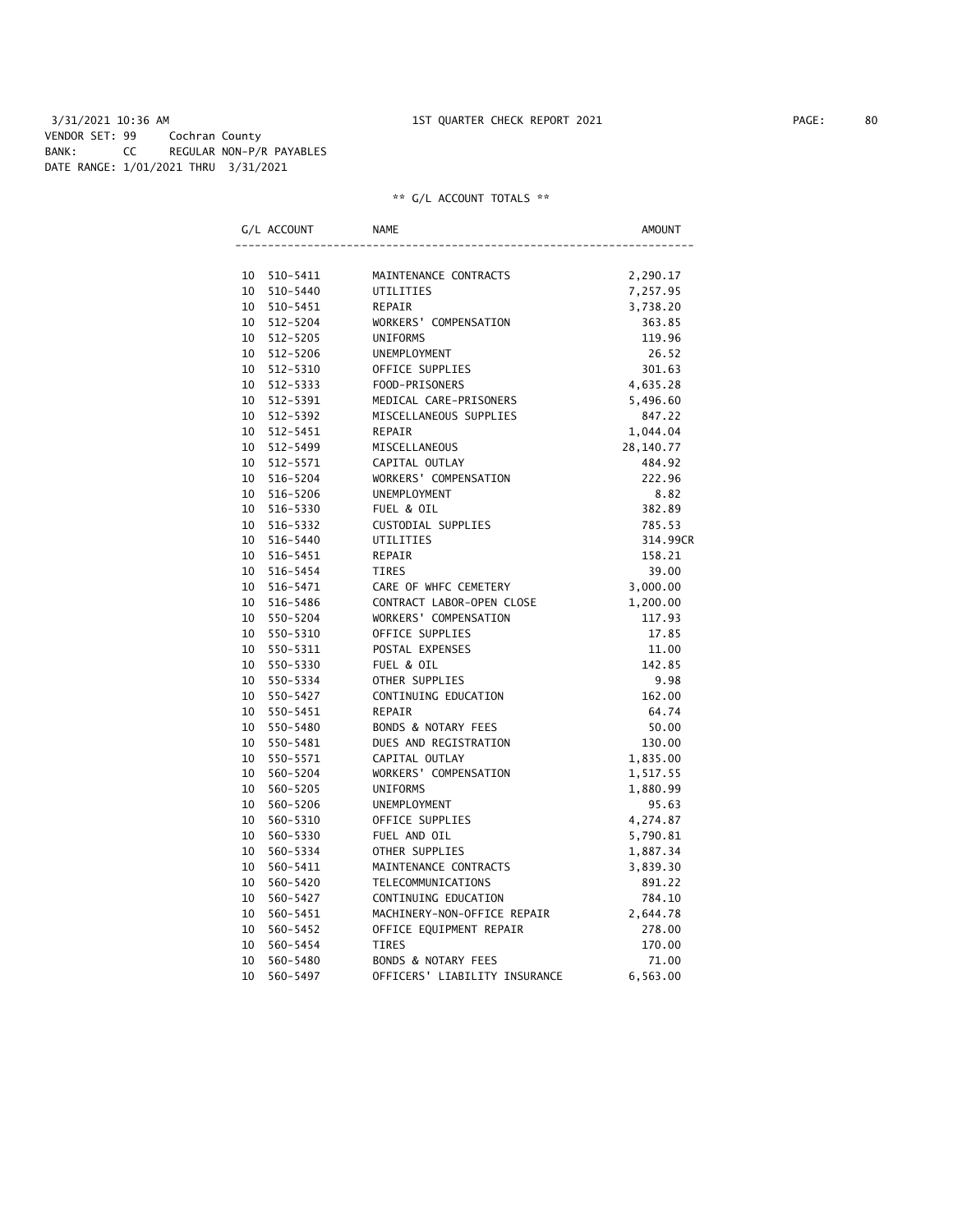|    | G/L ACCOUNT | <b>NAME</b>                    | AMOUNT    |
|----|-------------|--------------------------------|-----------|
|    |             |                                |           |
| 10 | 510-5411    | MAINTENANCE CONTRACTS          | 2,290.17  |
| 10 | 510-5440    | UTILITIES                      | 7,257.95  |
| 10 | 510-5451    | REPAIR                         | 3,738.20  |
| 10 | 512-5204    | WORKERS' COMPENSATION          | 363.85    |
| 10 | 512-5205    | <b>UNIFORMS</b>                | 119.96    |
| 10 | 512-5206    | <b>UNEMPLOYMENT</b>            | 26.52     |
| 10 | 512-5310    | OFFICE SUPPLIES                | 301.63    |
| 10 | 512-5333    | FOOD-PRISONERS                 | 4,635.28  |
| 10 | 512-5391    | MEDICAL CARE-PRISONERS         | 5,496.60  |
| 10 | 512-5392    | MISCELLANEOUS SUPPLIES         | 847.22    |
| 10 | 512-5451    | REPAIR                         | 1,044.04  |
| 10 | 512-5499    | MISCELLANEOUS                  | 28,140.77 |
| 10 | 512-5571    | CAPITAL OUTLAY                 | 484.92    |
| 10 | 516-5204    | WORKERS' COMPENSATION          | 222.96    |
| 10 | 516-5206    | <b>UNEMPLOYMENT</b>            | 8.82      |
| 10 | 516-5330    | FUEL & OIL                     | 382.89    |
| 10 | 516-5332    | CUSTODIAL SUPPLIES             | 785.53    |
| 10 | 516-5440    | UTILITIES                      | 314.99CR  |
| 10 | 516-5451    | REPAIR                         | 158.21    |
| 10 | 516-5454    | TIRES                          | 39.00     |
| 10 | 516-5471    | CARE OF WHFC CEMETERY          | 3,000.00  |
| 10 | 516-5486    | CONTRACT LABOR-OPEN CLOSE      | 1,200.00  |
| 10 | 550-5204    | WORKERS' COMPENSATION          | 117.93    |
| 10 | 550-5310    | OFFICE SUPPLIES                | 17.85     |
| 10 | 550-5311    | POSTAL EXPENSES                | 11.00     |
| 10 | 550-5330    | FUEL & OIL                     | 142.85    |
| 10 | 550-5334    | OTHER SUPPLIES                 | 9.98      |
| 10 | 550-5427    | CONTINUING EDUCATION           | 162.00    |
| 10 | 550-5451    | <b>REPAIR</b>                  | 64.74     |
| 10 | 550-5480    | BONDS & NOTARY FEES            | 50.00     |
| 10 | 550-5481    | DUES AND REGISTRATION          | 130.00    |
| 10 | 550-5571    | CAPITAL OUTLAY                 | 1,835.00  |
| 10 | 560-5204    | WORKERS' COMPENSATION          | 1,517.55  |
| 10 | 560-5205    | <b>UNIFORMS</b>                | 1,880.99  |
| 10 | 560-5206    | UNEMPLOYMENT                   | 95.63     |
| 10 | 560-5310    | OFFICE SUPPLIES                | 4,274.87  |
| 10 | 560-5330    | FUEL AND OIL                   | 5,790.81  |
| 10 | 560-5334    | OTHER SUPPLIES                 | 1,887.34  |
| 10 | 560-5411    | MAINTENANCE CONTRACTS          | 3,839.30  |
| 10 | 560-5420    | TELECOMMUNICATIONS             | 891.22    |
| 10 | 560-5427    | CONTINUING EDUCATION           | 784.10    |
| 10 | 560-5451    | MACHINERY-NON-OFFICE REPAIR    | 2,644.78  |
| 10 | 560-5452    | OFFICE EQUIPMENT REPAIR        | 278.00    |
| 10 | 560-5454    | <b>TIRES</b>                   | 170.00    |
| 10 | 560-5480    | <b>BONDS &amp; NOTARY FEES</b> | 71.00     |
| 10 | 560-5497    | OFFICERS' LIABILITY INSURANCE  | 6,563.00  |
|    |             |                                |           |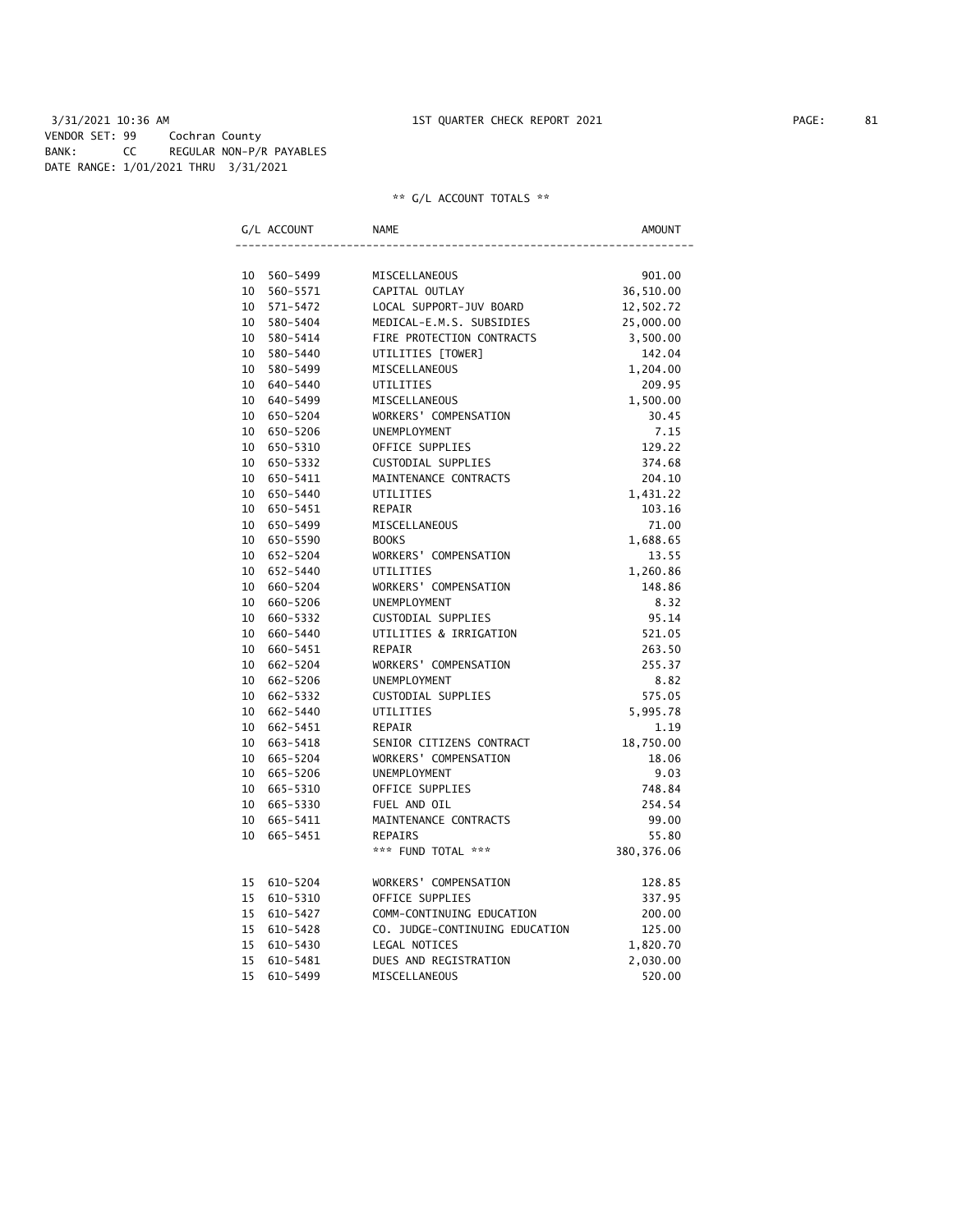3/31/2021 10:36 AM 1ST QUARTER CHECK REPORT 2021 PAGE: 81 VENDOR SET: 99 Cochran County BANK: CC REGULAR NON-P/R PAYABLES DATE RANGE: 1/01/2021 THRU 3/31/2021

|    | G/L ACCOUNT | NAME                           | AMOUNT      |
|----|-------------|--------------------------------|-------------|
|    |             |                                |             |
|    | 10 560-5499 | MISCELLANEOUS                  | 901.00      |
| 10 | 560-5571    | CAPITAL OUTLAY                 | 36,510.00   |
| 10 | 571-5472    | LOCAL SUPPORT-JUV BOARD        | 12,502.72   |
| 10 | 580-5404    | MEDICAL-E.M.S. SUBSIDIES       | 25,000.00   |
| 10 | 580-5414    | FIRE PROTECTION CONTRACTS      | 3,500.00    |
|    | 10 580-5440 | UTILITIES [TOWER]              | 142.04      |
|    | 10 580-5499 | MISCELLANEOUS                  | 1,204.00    |
|    | 10 640-5440 | UTILITIES                      | 209.95      |
|    | 10 640-5499 | MISCELLANEOUS                  | 1,500.00    |
|    | 10 650-5204 | WORKERS' COMPENSATION          | 30.45       |
| 10 | 650-5206    | <b>UNEMPLOYMENT</b>            | 7.15        |
| 10 | 650-5310    | OFFICE SUPPLIES                | 129.22      |
| 10 | 650-5332    | CUSTODIAL SUPPLIES             | 374.68      |
| 10 | 650-5411    | MAINTENANCE CONTRACTS          | 204.10      |
|    | 10 650-5440 | UTILITIES                      | 1,431.22    |
|    | 10 650-5451 | REPAIR                         | 103.16      |
|    | 10 650-5499 | MISCELLANEOUS                  | 71.00       |
|    | 10 650-5590 | <b>BOOKS</b>                   | 1,688.65    |
|    | 10 652-5204 | WORKERS' COMPENSATION          | 13.55       |
|    | 10 652-5440 | UTILITIES                      | 1,260.86    |
|    | 10 660-5204 | WORKERS' COMPENSATION          | 148.86      |
|    | 10 660-5206 | UNEMPLOYMENT                   | 8.32        |
|    | 10 660-5332 | CUSTODIAL SUPPLIES             | 95.14       |
| 10 | 660-5440    | UTILITIES & IRRIGATION         | 521.05      |
| 10 | 660-5451    | REPAIR                         | 263.50      |
| 10 | 662-5204    | WORKERS' COMPENSATION          | 255.37      |
| 10 | 662-5206    | <b>UNEMPLOYMENT</b>            | 8.82        |
| 10 | 662-5332    | CUSTODIAL SUPPLIES             | 575.05      |
| 10 | 662-5440    | UTILITIES                      | 5,995.78    |
|    | 10 662-5451 | REPAIR                         | 1.19        |
|    | 10 663-5418 | SENIOR CITIZENS CONTRACT       | 18,750.00   |
|    | 10 665-5204 | WORKERS' COMPENSATION          | 18.06       |
|    | 10 665-5206 | UNEMPLOYMENT                   | 9.03        |
|    | 10 665-5310 | OFFICE SUPPLIES                | 748.84      |
|    | 10 665-5330 | FUEL AND OIL                   | 254.54      |
|    | 10 665-5411 | MAINTENANCE CONTRACTS          | 99.00       |
| 10 | 665-5451    | <b>REPAIRS</b>                 | 55.80       |
|    |             | *** FUND TOTAL ***             | 380, 376.06 |
|    | 15 610-5204 | WORKERS' COMPENSATION          | 128.85      |
| 15 | 610-5310    | OFFICE SUPPLIES                | 337.95      |
| 15 | 610-5427    | COMM-CONTINUING EDUCATION      | 200.00      |
| 15 | 610-5428    | CO. JUDGE-CONTINUING EDUCATION | 125.00      |
| 15 | 610-5430    | LEGAL NOTICES                  | 1,820.70    |
| 15 | 610-5481    | DUES AND REGISTRATION          | 2,030.00    |
| 15 | 610-5499    | MISCELLANEOUS                  | 520.00      |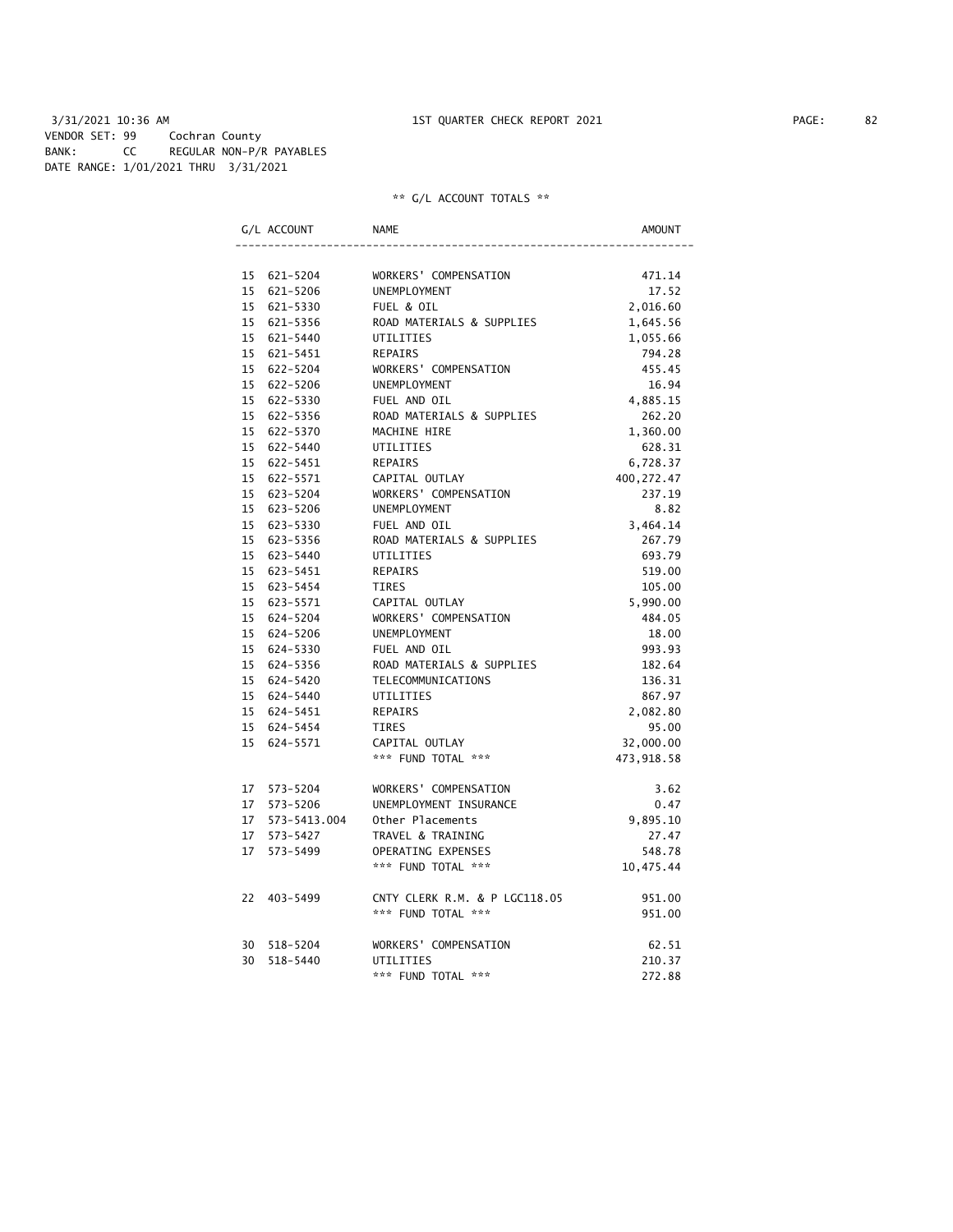| G/L ACCOUNT                | <b>NAME</b>                                         | AMOUNT             |
|----------------------------|-----------------------------------------------------|--------------------|
|                            |                                                     |                    |
| 15 621-5204                | WORKERS' COMPENSATION                               | 471.14             |
| 15 621-5206                | UNEMPLOYMENT                                        | 17.52              |
| 15 621-5330                | FUEL & OIL                                          | 2,016.60           |
| 15 621-5356                | ROAD MATERIALS & SUPPLIES                           | 1,645.56           |
| 15 621-5440                | UTILITIES                                           | 1,055.66           |
| 15 621-5451                | <b>REPAIRS</b>                                      | 794.28             |
| 15 622-5204                | WORKERS' COMPENSATION                               | 455.45             |
| 15 622-5206                | UNEMPLOYMENT                                        | 16.94              |
| 15 622-5330                | FUEL AND OIL                                        | 4,885.15           |
| 15 622-5356                | ROAD MATERIALS & SUPPLIES                           | 262.20             |
| 15 622-5370                | MACHINE HIRE                                        | 1,360.00           |
| 15 622-5440                | UTILITIES                                           | 628.31             |
| 15 622-5451                | REPAIRS                                             | 6,728.37           |
| 15 622-5571                | CAPITAL OUTLAY                                      | 400, 272.47        |
| 15 623-5204                | WORKERS' COMPENSATION                               | 237.19             |
| 15 623-5206                | UNEMPLOYMENT                                        | 8.82               |
| 15 623-5330                | FUEL AND OIL                                        | 3,464.14           |
| 15 623-5356                | ROAD MATERIALS & SUPPLIES                           | 267.79             |
| 15 623-5440                | UTILITIES                                           | 693.79             |
| 15 623-5451<br>15 623-5454 | <b>REPAIRS</b>                                      | 519.00             |
| 15 623-5571                | TIRES<br>CAPITAL OUTLAY                             | 105.00<br>5,990.00 |
| 15 624-5204                | WORKERS' COMPENSATION                               | 484.05             |
| 15 624-5206                | UNEMPLOYMENT                                        | 18.00              |
| 15 624-5330                | FUEL AND OIL                                        | 993.93             |
| 15 624-5356                | ROAD MATERIALS & SUPPLIES                           | 182.64             |
| 15 624-5420                | TELECOMMUNICATIONS                                  | 136.31             |
| 15 624-5440                | UTILITIES                                           | 867.97             |
| 15 624-5451                | <b>REPAIRS</b>                                      | 2,082.80           |
| 15 624-5454                | TIRES                                               | 95.00              |
| 15 624-5571                | CAPITAL OUTLAY                                      | 32,000.00          |
|                            | *** FUND TOTAL ***                                  | 473,918.58         |
|                            |                                                     |                    |
| 17 573-5204                | WORKERS' COMPENSATION                               | 3.62               |
| 17 573-5206                | UNEMPLOYMENT INSURANCE                              | 0.47               |
| 17  573-5413.004           | Other Placements                                    | 9,895.10           |
| 17 573-5427                | TRAVEL & TRAINING                                   | 27.47              |
| 17 573-5499                | OPERATING EXPENSES                                  | 548.78             |
|                            | *** FUND TOTAL ***                                  | 10,475.44          |
|                            |                                                     |                    |
| 22 403-5499                | CNTY CLERK R.M. & P LGC118.05<br>*** FUND TOTAL *** | 951.00<br>951.00   |
|                            |                                                     |                    |
| 30 518-5204                | WORKERS' COMPENSATION                               | 62.51              |
| 30 518-5440                | UTILITIES                                           | 210.37             |
|                            | *** FUND TOTAL ***                                  | 272.88             |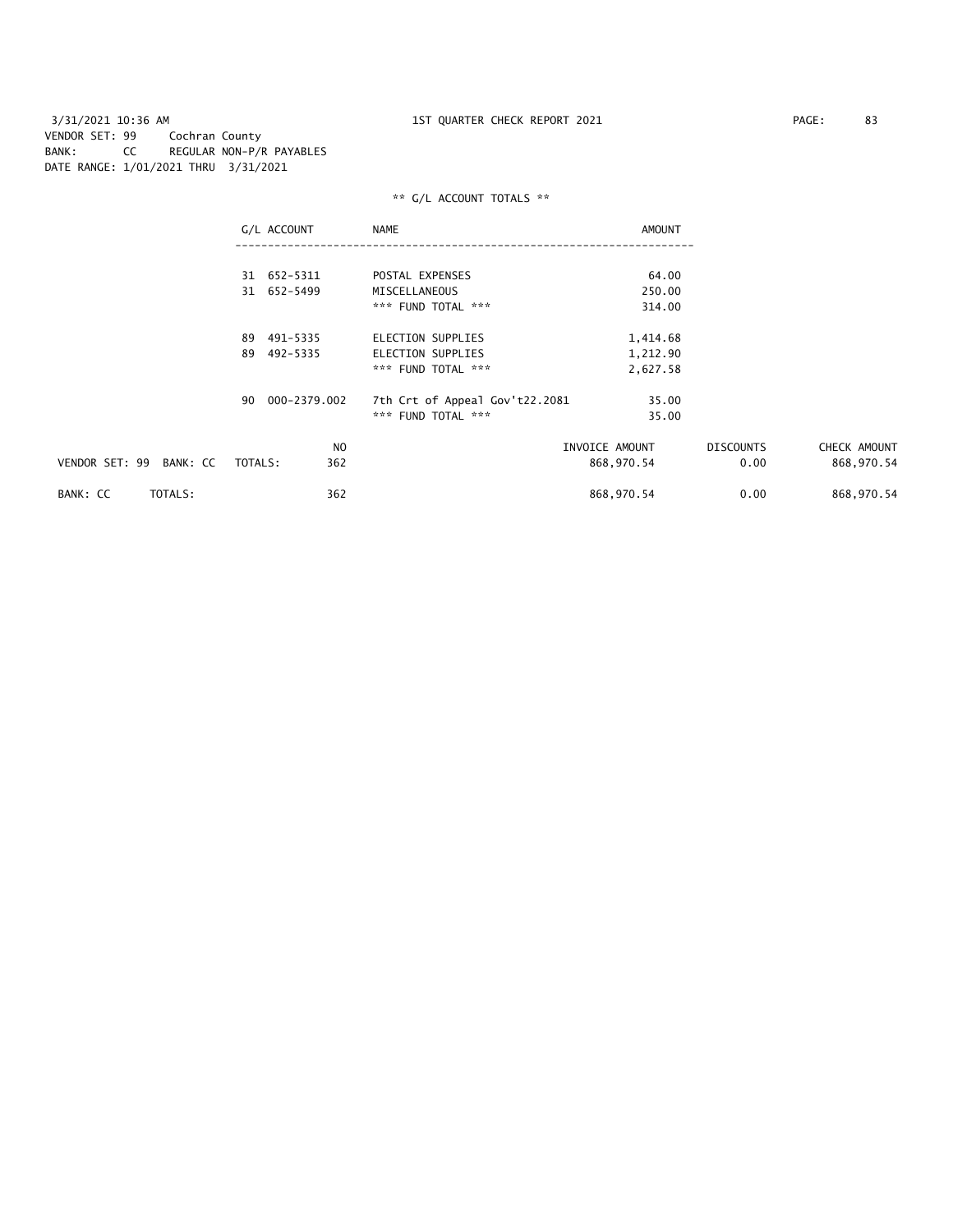3/31/2021 10:36 AM 1ST QUARTER CHECK REPORT 2021 PAGE: 83 VENDOR SET: 99 Cochran County BANK: CC REGULAR NON-P/R PAYABLES DATE RANGE: 1/01/2021 THRU 3/31/2021

|                            | G/L ACCOUNT        | NAME                           | AMOUNT         |                  |              |
|----------------------------|--------------------|--------------------------------|----------------|------------------|--------------|
|                            |                    |                                |                |                  |              |
|                            | 31 652-5311        | POSTAL EXPENSES                | 64.00          |                  |              |
|                            | 31 652-5499        | MISCELLANEOUS                  | 250.00         |                  |              |
|                            |                    | *** FUND TOTAL ***             | 314.00         |                  |              |
|                            | 89 491-5335        | ELECTION SUPPLIES              | 1,414.68       |                  |              |
|                            | 492-5335<br>89     | ELECTION SUPPLIES              | 1,212.90       |                  |              |
|                            |                    | *** FUND TOTAL ***             | 2,627.58       |                  |              |
|                            | 000-2379.002<br>90 | 7th Crt of Appeal Gov't22.2081 | 35.00          |                  |              |
|                            |                    | *** FUND TOTAL ***             | 35.00          |                  |              |
|                            | NO.                |                                | INVOICE AMOUNT | <b>DISCOUNTS</b> | CHECK AMOUNT |
| VENDOR SET: 99<br>BANK: CC | TOTALS:<br>362     |                                | 868,970.54     | 0.00             | 868,970.54   |
| BANK: CC<br>TOTALS:        | 362                |                                | 868,970.54     | 0.00             | 868,970.54   |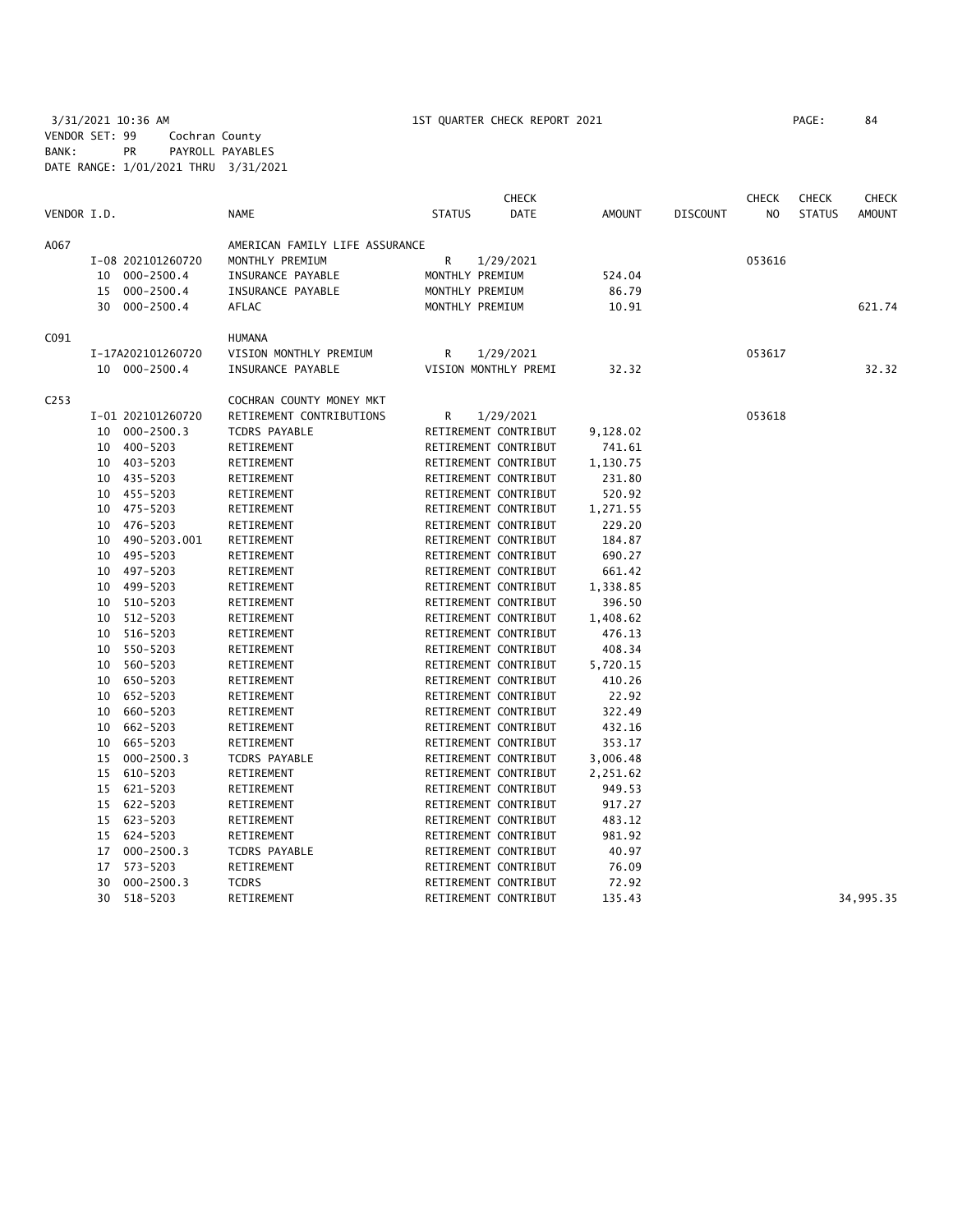3/31/2021 10:36 AM 1ST QUARTER CHECK REPORT 2021 PAGE: 84 VENDOR SET: 99 Cochran County BANK: PR PAYROLL PAYABLES DATE RANGE: 1/01/2021 THRU 3/31/2021

|                  |    |                   |                                |                 | <b>CHECK</b>         |               |                 | <b>CHECK</b>   | <b>CHECK</b>  | <b>CHECK</b>  |
|------------------|----|-------------------|--------------------------------|-----------------|----------------------|---------------|-----------------|----------------|---------------|---------------|
| VENDOR I.D.      |    |                   | <b>NAME</b>                    | <b>STATUS</b>   | <b>DATE</b>          | <b>AMOUNT</b> | <b>DISCOUNT</b> | N <sub>O</sub> | <b>STATUS</b> | <b>AMOUNT</b> |
| A067             |    |                   | AMERICAN FAMILY LIFE ASSURANCE |                 |                      |               |                 |                |               |               |
|                  |    | I-08 202101260720 | MONTHLY PREMIUM                | R               | 1/29/2021            |               |                 | 053616         |               |               |
|                  |    | 10 000-2500.4     | INSURANCE PAYABLE              | MONTHLY PREMIUM |                      | 524.04        |                 |                |               |               |
|                  | 15 | $000 - 2500.4$    | INSURANCE PAYABLE              | MONTHLY PREMIUM |                      | 86.79         |                 |                |               |               |
|                  |    | 30 000-2500.4     | AFLAC                          | MONTHLY PREMIUM |                      | 10.91         |                 |                |               | 621.74        |
| C <sub>091</sub> |    |                   | <b>HUMANA</b>                  |                 |                      |               |                 |                |               |               |
|                  |    | I-17A202101260720 | VISION MONTHLY PREMIUM         | R               | 1/29/2021            |               |                 | 053617         |               |               |
|                  |    | 10 000-2500.4     | INSURANCE PAYABLE              |                 | VISION MONTHLY PREMI | 32.32         |                 |                |               | 32.32         |
| C <sub>253</sub> |    |                   | COCHRAN COUNTY MONEY MKT       |                 |                      |               |                 |                |               |               |
|                  |    | I-01 202101260720 | RETIREMENT CONTRIBUTIONS       | R               |                      |               |                 | 053618         |               |               |
|                  |    |                   |                                |                 | 1/29/2021            |               |                 |                |               |               |
|                  | 10 | $000 - 2500.3$    | <b>TCDRS PAYABLE</b>           |                 | RETIREMENT CONTRIBUT | 9,128.02      |                 |                |               |               |
|                  |    | 10 400-5203       | RETIREMENT                     |                 | RETIREMENT CONTRIBUT | 741.61        |                 |                |               |               |
|                  |    | 10 403-5203       | RETIREMENT                     |                 | RETIREMENT CONTRIBUT | 1,130.75      |                 |                |               |               |
|                  | 10 | 435-5203          | RETIREMENT                     |                 | RETIREMENT CONTRIBUT | 231.80        |                 |                |               |               |
|                  |    | 10 455-5203       | RETIREMENT                     |                 | RETIREMENT CONTRIBUT | 520.92        |                 |                |               |               |
|                  |    | 10 475-5203       | RETIREMENT                     |                 | RETIREMENT CONTRIBUT | 1,271.55      |                 |                |               |               |
|                  | 10 | 476-5203          | RETIREMENT                     |                 | RETIREMENT CONTRIBUT | 229.20        |                 |                |               |               |
|                  | 10 | 490-5203.001      | RETIREMENT                     |                 | RETIREMENT CONTRIBUT | 184.87        |                 |                |               |               |
|                  | 10 | 495-5203          | RETIREMENT                     |                 | RETIREMENT CONTRIBUT | 690.27        |                 |                |               |               |
|                  |    | 10 497-5203       | RETIREMENT                     |                 | RETIREMENT CONTRIBUT | 661.42        |                 |                |               |               |
|                  | 10 | 499-5203          | RETIREMENT                     |                 | RETIREMENT CONTRIBUT | 1,338.85      |                 |                |               |               |
|                  | 10 | 510-5203          | RETIREMENT                     |                 | RETIREMENT CONTRIBUT | 396.50        |                 |                |               |               |
|                  | 10 | 512-5203          | RETIREMENT                     |                 | RETIREMENT CONTRIBUT | 1,408.62      |                 |                |               |               |
|                  |    | 10 516-5203       | RETIREMENT                     |                 | RETIREMENT CONTRIBUT | 476.13        |                 |                |               |               |
|                  | 10 | 550-5203          | RETIREMENT                     |                 | RETIREMENT CONTRIBUT | 408.34        |                 |                |               |               |
|                  | 10 | 560-5203          | RETIREMENT                     |                 | RETIREMENT CONTRIBUT | 5,720.15      |                 |                |               |               |
|                  | 10 | 650-5203          | RETIREMENT                     |                 | RETIREMENT CONTRIBUT | 410.26        |                 |                |               |               |
|                  |    | 10 652-5203       | RETIREMENT                     |                 | RETIREMENT CONTRIBUT | 22.92         |                 |                |               |               |
|                  | 10 | 660-5203          | RETIREMENT                     |                 | RETIREMENT CONTRIBUT | 322.49        |                 |                |               |               |
|                  | 10 | 662-5203          | RETIREMENT                     |                 | RETIREMENT CONTRIBUT | 432.16        |                 |                |               |               |
|                  | 10 | 665-5203          | RETIREMENT                     |                 | RETIREMENT CONTRIBUT | 353.17        |                 |                |               |               |
|                  | 15 | $000 - 2500.3$    |                                |                 |                      |               |                 |                |               |               |
|                  |    |                   | <b>TCDRS PAYABLE</b>           |                 | RETIREMENT CONTRIBUT | 3,006.48      |                 |                |               |               |
|                  | 15 | 610-5203          | RETIREMENT                     |                 | RETIREMENT CONTRIBUT | 2,251.62      |                 |                |               |               |
|                  | 15 | 621-5203          | RETIREMENT                     |                 | RETIREMENT CONTRIBUT | 949.53        |                 |                |               |               |
|                  | 15 | 622-5203          | RETIREMENT                     |                 | RETIREMENT CONTRIBUT | 917.27        |                 |                |               |               |
|                  |    | 15 623-5203       | RETIREMENT                     |                 | RETIREMENT CONTRIBUT | 483.12        |                 |                |               |               |
|                  | 15 | 624-5203          | RETIREMENT                     |                 | RETIREMENT CONTRIBUT | 981.92        |                 |                |               |               |
|                  | 17 | $000 - 2500.3$    | <b>TCDRS PAYABLE</b>           |                 | RETIREMENT CONTRIBUT | 40.97         |                 |                |               |               |
|                  | 17 | 573-5203          | RETIREMENT                     |                 | RETIREMENT CONTRIBUT | 76.09         |                 |                |               |               |
|                  | 30 | $000 - 2500.3$    | <b>TCDRS</b>                   |                 | RETIREMENT CONTRIBUT | 72.92         |                 |                |               |               |
|                  | 30 | 518-5203          | RETIREMENT                     |                 | RETIREMENT CONTRIBUT | 135.43        |                 |                |               | 34,995.35     |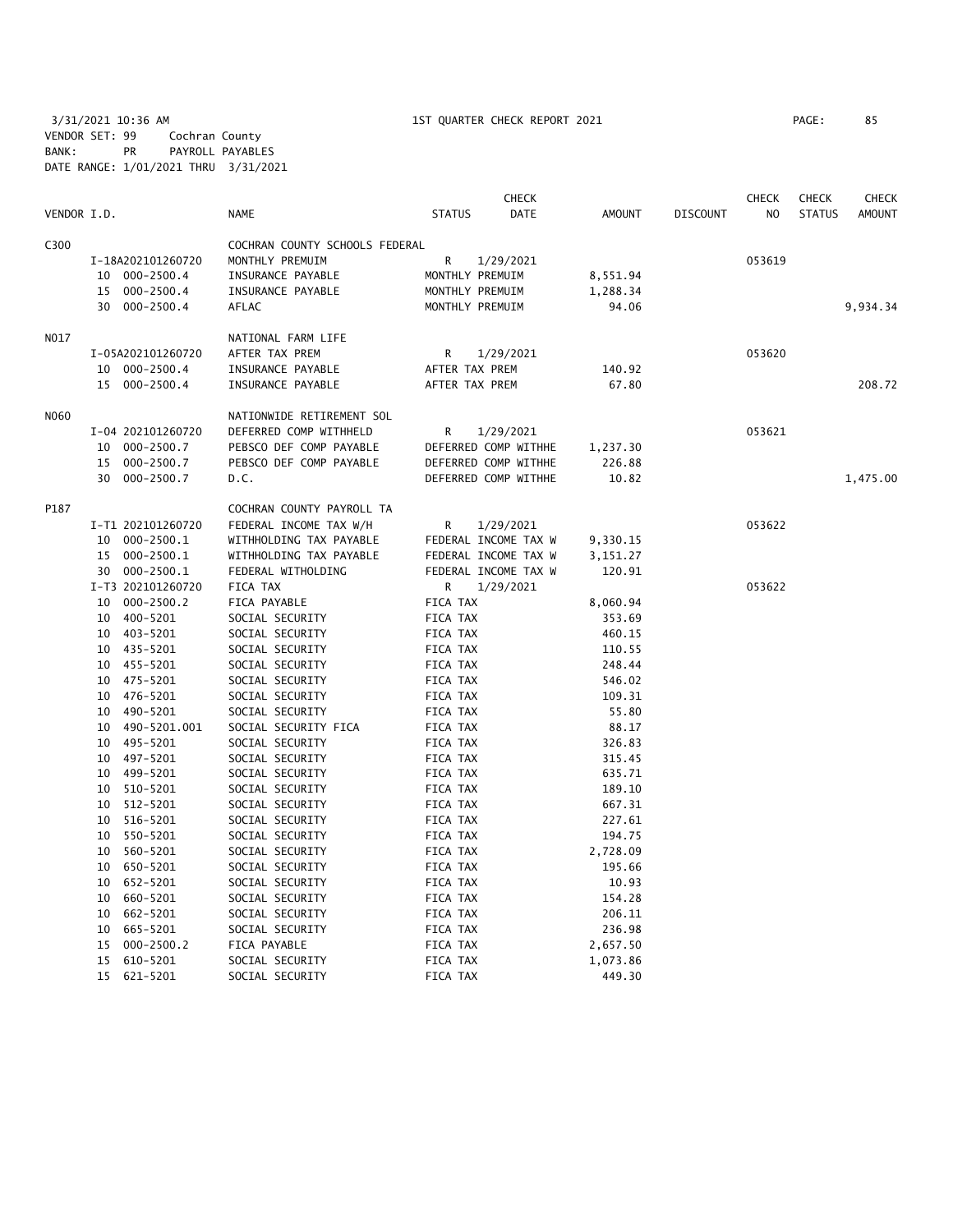3/31/2021 10:36 AM 1ST QUARTER CHECK REPORT 2021 PAGE: 85 VENDOR SET: 99 Cochran County BANK: PR PAYROLL PAYABLES DATE RANGE: 1/01/2021 THRU 3/31/2021

| VENDOR I.D. |                      |                                | <b>CHECK</b><br>DATE | <b>AMOUNT</b> | <b>DISCOUNT</b> | <b>CHECK</b><br>N <sub>O</sub> | <b>CHECK</b><br><b>STATUS</b> | <b>CHECK</b><br><b>AMOUNT</b> |
|-------------|----------------------|--------------------------------|----------------------|---------------|-----------------|--------------------------------|-------------------------------|-------------------------------|
|             |                      | <b>NAME</b>                    | <b>STATUS</b>        |               |                 |                                |                               |                               |
| C300        |                      | COCHRAN COUNTY SCHOOLS FEDERAL |                      |               |                 |                                |                               |                               |
|             | I-18A202101260720    | MONTHLY PREMUIM                | R<br>1/29/2021       |               |                 | 053619                         |                               |                               |
|             | 10 000-2500.4        | INSURANCE PAYABLE              | MONTHLY PREMUIM      | 8,551.94      |                 |                                |                               |                               |
|             | 15<br>000-2500.4     | INSURANCE PAYABLE              | MONTHLY PREMUIM      | 1,288.34      |                 |                                |                               |                               |
|             | 30<br>000-2500.4     | AFLAC                          | MONTHLY PREMUIM      | 94.06         |                 |                                |                               | 9,934.34                      |
| NO17        |                      | NATIONAL FARM LIFE             |                      |               |                 |                                |                               |                               |
|             | I-05A202101260720    | AFTER TAX PREM                 | R<br>1/29/2021       |               |                 | 053620                         |                               |                               |
|             | 10 000-2500.4        | INSURANCE PAYABLE              | AFTER TAX PREM       | 140.92        |                 |                                |                               |                               |
|             | 15 000-2500.4        | INSURANCE PAYABLE              | AFTER TAX PREM       | 67.80         |                 |                                |                               | 208.72                        |
| N060        |                      | NATIONWIDE RETIREMENT SOL      |                      |               |                 |                                |                               |                               |
|             | I-04 202101260720    | DEFERRED COMP WITHHELD         | R<br>1/29/2021       |               |                 | 053621                         |                               |                               |
|             | 10 000-2500.7        | PEBSCO DEF COMP PAYABLE        | DEFERRED COMP WITHHE | 1,237.30      |                 |                                |                               |                               |
|             | 15<br>000-2500.7     | PEBSCO DEF COMP PAYABLE        | DEFERRED COMP WITHHE | 226.88        |                 |                                |                               |                               |
|             | 30 000-2500.7        | D.C.                           | DEFERRED COMP WITHHE | 10.82         |                 |                                |                               | 1,475.00                      |
| P187        |                      | COCHRAN COUNTY PAYROLL TA      |                      |               |                 |                                |                               |                               |
|             | I-T1 202101260720    | FEDERAL INCOME TAX W/H         | R<br>1/29/2021       |               |                 | 053622                         |                               |                               |
|             | 10 000-2500.1        | WITHHOLDING TAX PAYABLE        | FEDERAL INCOME TAX W | 9,330.15      |                 |                                |                               |                               |
|             | 15 000-2500.1        | WITHHOLDING TAX PAYABLE        | FEDERAL INCOME TAX W | 3,151.27      |                 |                                |                               |                               |
|             | 30 000-2500.1        | FEDERAL WITHOLDING             | FEDERAL INCOME TAX W | 120.91        |                 |                                |                               |                               |
|             | I-T3 202101260720    | FICA TAX                       | 1/29/2021<br>R       |               |                 | 053622                         |                               |                               |
|             | 10 000-2500.2        | FICA PAYABLE                   | FICA TAX             | 8,060.94      |                 |                                |                               |                               |
|             | 10 400-5201          | SOCIAL SECURITY                | FICA TAX             | 353.69        |                 |                                |                               |                               |
|             | 10 403-5201          | SOCIAL SECURITY                | FICA TAX             | 460.15        |                 |                                |                               |                               |
|             | 10 435-5201          | SOCIAL SECURITY                | FICA TAX             | 110.55        |                 |                                |                               |                               |
|             | 10 455-5201          | SOCIAL SECURITY                | FICA TAX             | 248.44        |                 |                                |                               |                               |
|             | 10 475-5201          | SOCIAL SECURITY                | FICA TAX             | 546.02        |                 |                                |                               |                               |
|             | 10 476-5201          | SOCIAL SECURITY                | FICA TAX             | 109.31        |                 |                                |                               |                               |
|             | 10 490-5201          | SOCIAL SECURITY                | FICA TAX             | 55.80         |                 |                                |                               |                               |
|             | 10 490-5201.001      | SOCIAL SECURITY FICA           | FICA TAX             | 88.17         |                 |                                |                               |                               |
|             | 10 495-5201          | SOCIAL SECURITY                | FICA TAX             | 326.83        |                 |                                |                               |                               |
|             | 10 497-5201          | SOCIAL SECURITY                | FICA TAX             | 315.45        |                 |                                |                               |                               |
|             | 10 499-5201          | SOCIAL SECURITY                | FICA TAX             | 635.71        |                 |                                |                               |                               |
|             | 510-5201<br>10       | SOCIAL SECURITY                | FICA TAX             | 189.10        |                 |                                |                               |                               |
|             | 512-5201<br>10       | SOCIAL SECURITY                | FICA TAX             | 667.31        |                 |                                |                               |                               |
|             | 10 516-5201          | SOCIAL SECURITY                | FICA TAX             | 227.61        |                 |                                |                               |                               |
|             | 10 550-5201          | SOCIAL SECURITY                | FICA TAX             | 194.75        |                 |                                |                               |                               |
|             | 10 560-5201          | SOCIAL SECURITY                | FICA TAX             | 2,728.09      |                 |                                |                               |                               |
|             | 10 650-5201          | SOCIAL SECURITY                | FICA TAX             | 195.66        |                 |                                |                               |                               |
|             | 10 652-5201          | SOCIAL SECURITY                | FICA TAX             | 10.93         |                 |                                |                               |                               |
|             | 660-5201<br>10       | SOCIAL SECURITY                | FICA TAX             | 154.28        |                 |                                |                               |                               |
|             | 662-5201<br>10       | SOCIAL SECURITY                | FICA TAX             | 206.11        |                 |                                |                               |                               |
|             | 665-5201<br>10       | SOCIAL SECURITY                | FICA TAX             | 236.98        |                 |                                |                               |                               |
|             | $000 - 2500.2$<br>15 | FICA PAYABLE                   | FICA TAX             | 2,657.50      |                 |                                |                               |                               |
|             | 610-5201<br>15       | SOCIAL SECURITY                | FICA TAX             | 1,073.86      |                 |                                |                               |                               |
|             | 15<br>621-5201       | SOCIAL SECURITY                | FICA TAX             | 449.30        |                 |                                |                               |                               |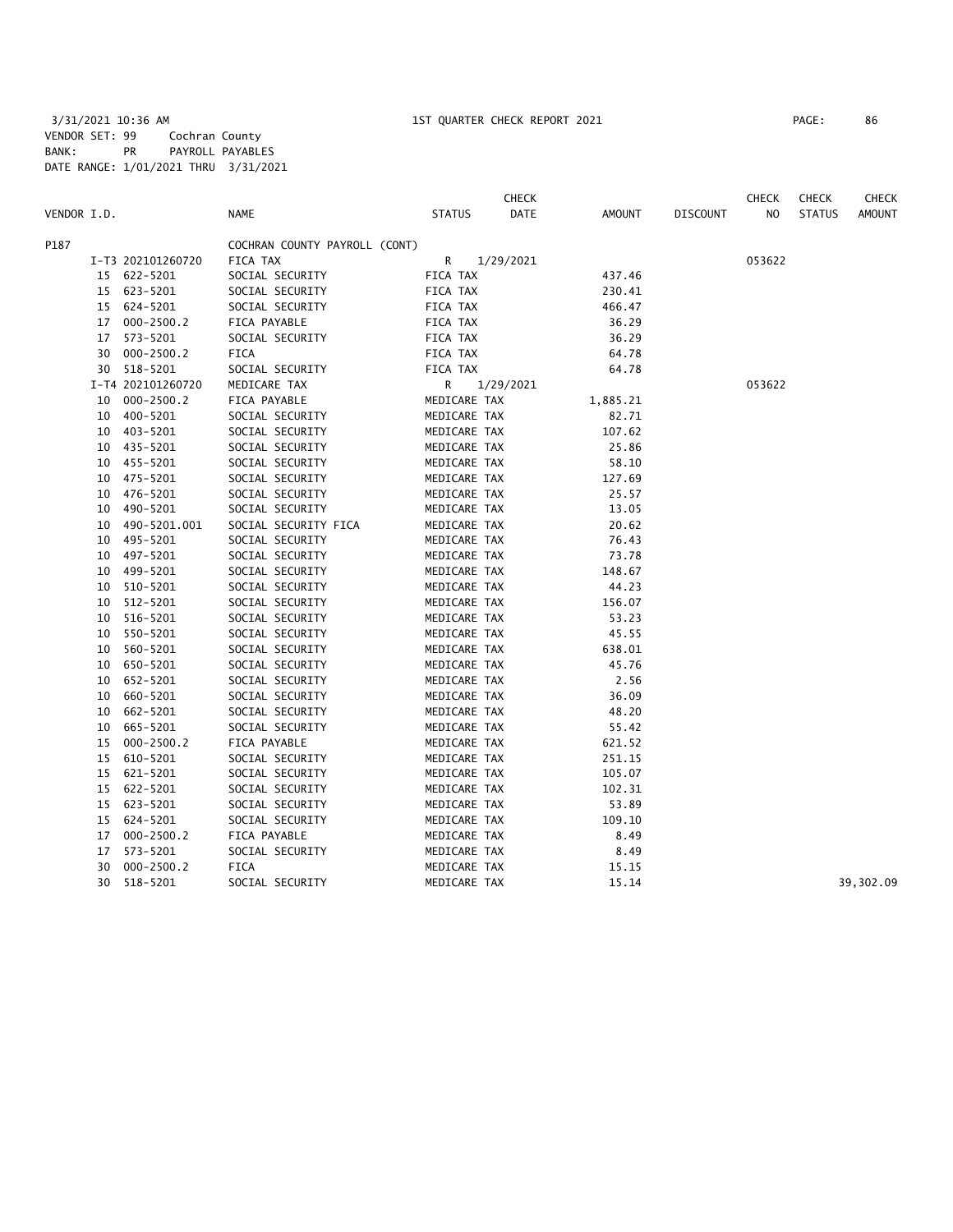|             |    |                   |                               |               | <b>CHECK</b> |          |                 | <b>CHECK</b> | <b>CHECK</b>  | <b>CHECK</b>  |
|-------------|----|-------------------|-------------------------------|---------------|--------------|----------|-----------------|--------------|---------------|---------------|
| VENDOR I.D. |    |                   | <b>NAME</b>                   | <b>STATUS</b> | DATE         | AMOUNT   | <b>DISCOUNT</b> | NO.          | <b>STATUS</b> | <b>AMOUNT</b> |
| P187        |    |                   | COCHRAN COUNTY PAYROLL (CONT) |               |              |          |                 |              |               |               |
|             |    | I-T3 202101260720 | FICA TAX                      | R.            | 1/29/2021    |          |                 | 053622       |               |               |
|             |    | 15 622-5201       | SOCIAL SECURITY               | FICA TAX      |              | 437.46   |                 |              |               |               |
|             |    | 15 623-5201       | SOCIAL SECURITY               | FICA TAX      |              | 230.41   |                 |              |               |               |
|             |    | 15 624-5201       | SOCIAL SECURITY               | FICA TAX      |              | 466.47   |                 |              |               |               |
|             | 17 | $000 - 2500.2$    | FICA PAYABLE                  | FICA TAX      |              | 36.29    |                 |              |               |               |
|             | 17 | 573-5201          | SOCIAL SECURITY               | FICA TAX      |              | 36.29    |                 |              |               |               |
|             |    | 30 000-2500.2     | FICA                          | FICA TAX      |              | 64.78    |                 |              |               |               |
|             |    | 30 518-5201       | SOCIAL SECURITY               | FICA TAX      |              | 64.78    |                 |              |               |               |
|             |    | I-T4 202101260720 | MEDICARE TAX                  | R             | 1/29/2021    |          |                 | 053622       |               |               |
|             | 10 | $000 - 2500.2$    | FICA PAYABLE                  | MEDICARE TAX  |              | 1,885.21 |                 |              |               |               |
|             | 10 | 400-5201          | SOCIAL SECURITY               | MEDICARE TAX  |              | 82.71    |                 |              |               |               |
|             | 10 | 403-5201          | SOCIAL SECURITY               | MEDICARE TAX  |              | 107.62   |                 |              |               |               |
|             | 10 | 435-5201          | SOCIAL SECURITY               | MEDICARE TAX  |              | 25.86    |                 |              |               |               |
|             | 10 | 455-5201          | SOCIAL SECURITY               | MEDICARE TAX  |              | 58.10    |                 |              |               |               |
|             | 10 | 475-5201          | SOCIAL SECURITY               | MEDICARE TAX  |              | 127.69   |                 |              |               |               |
|             | 10 | 476-5201          | SOCIAL SECURITY               | MEDICARE TAX  |              | 25.57    |                 |              |               |               |
|             | 10 | 490-5201          | SOCIAL SECURITY               | MEDICARE TAX  |              | 13.05    |                 |              |               |               |
|             | 10 | 490-5201.001      | SOCIAL SECURITY FICA          | MEDICARE TAX  |              | 20.62    |                 |              |               |               |
|             | 10 | 495-5201          | SOCIAL SECURITY               | MEDICARE TAX  |              | 76.43    |                 |              |               |               |
|             | 10 | 497-5201          | SOCIAL SECURITY               | MEDICARE TAX  |              | 73.78    |                 |              |               |               |
|             | 10 | 499-5201          | SOCIAL SECURITY               | MEDICARE TAX  |              | 148.67   |                 |              |               |               |
|             | 10 | 510-5201          | SOCIAL SECURITY               | MEDICARE TAX  |              | 44.23    |                 |              |               |               |
|             | 10 | 512-5201          | SOCIAL SECURITY               | MEDICARE TAX  |              | 156.07   |                 |              |               |               |
|             | 10 | 516-5201          | SOCIAL SECURITY               | MEDICARE TAX  |              | 53.23    |                 |              |               |               |
|             | 10 | 550-5201          | SOCIAL SECURITY               | MEDICARE TAX  |              | 45.55    |                 |              |               |               |
|             | 10 | 560-5201          | SOCIAL SECURITY               | MEDICARE TAX  |              | 638.01   |                 |              |               |               |
|             | 10 | 650-5201          | SOCIAL SECURITY               | MEDICARE TAX  |              | 45.76    |                 |              |               |               |
|             | 10 | 652-5201          | SOCIAL SECURITY               | MEDICARE TAX  |              | 2.56     |                 |              |               |               |
|             | 10 | 660-5201          | SOCIAL SECURITY               | MEDICARE TAX  |              | 36.09    |                 |              |               |               |
|             | 10 | 662-5201          | SOCIAL SECURITY               | MEDICARE TAX  |              | 48.20    |                 |              |               |               |
|             | 10 | 665-5201          | SOCIAL SECURITY               | MEDICARE TAX  |              | 55.42    |                 |              |               |               |
|             | 15 | $000 - 2500.2$    | FICA PAYABLE                  | MEDICARE TAX  |              | 621.52   |                 |              |               |               |
|             | 15 | 610-5201          | SOCIAL SECURITY               | MEDICARE TAX  |              | 251.15   |                 |              |               |               |
|             |    | 15 621-5201       | SOCIAL SECURITY               | MEDICARE TAX  |              | 105.07   |                 |              |               |               |
|             |    | 15 622-5201       | SOCIAL SECURITY               | MEDICARE TAX  |              | 102.31   |                 |              |               |               |
|             | 15 | 623-5201          | SOCIAL SECURITY               | MEDICARE TAX  |              | 53.89    |                 |              |               |               |
|             |    | 15 624-5201       | SOCIAL SECURITY               | MEDICARE TAX  |              | 109.10   |                 |              |               |               |
|             | 17 | $000 - 2500.2$    | FICA PAYABLE                  | MEDICARE TAX  |              | 8.49     |                 |              |               |               |
|             | 17 | 573-5201          | SOCIAL SECURITY               | MEDICARE TAX  |              | 8.49     |                 |              |               |               |
|             | 30 | $000 - 2500.2$    | FICA                          | MEDICARE TAX  |              | 15.15    |                 |              |               |               |
|             | 30 | 518-5201          | SOCIAL SECURITY               | MEDICARE TAX  |              | 15.14    |                 |              |               | 39,302.09     |
|             |    |                   |                               |               |              |          |                 |              |               |               |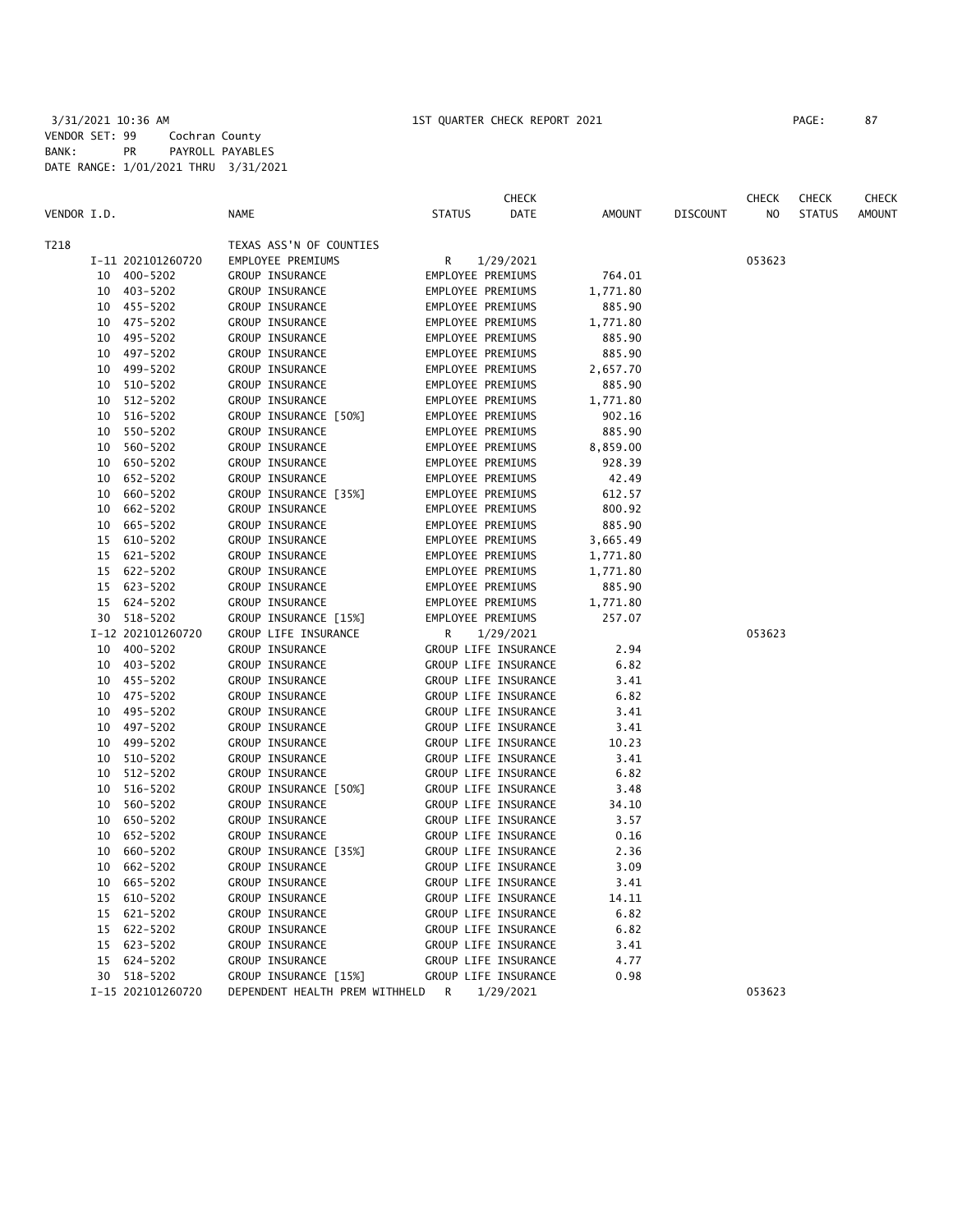|             |    |                   |                                            |                   | <b>CHECK</b>         |          |                 | <b>CHECK</b>   | <b>CHECK</b>  | CHECK         |
|-------------|----|-------------------|--------------------------------------------|-------------------|----------------------|----------|-----------------|----------------|---------------|---------------|
| VENDOR I.D. |    |                   | <b>NAME</b>                                | <b>STATUS</b>     | DATE                 | AMOUNT   | <b>DISCOUNT</b> | N <sub>O</sub> | <b>STATUS</b> | <b>AMOUNT</b> |
| T218        |    |                   | TEXAS ASS'N OF COUNTIES                    |                   |                      |          |                 |                |               |               |
|             |    | I-11 202101260720 | EMPLOYEE PREMIUMS                          | R                 | 1/29/2021            |          |                 | 053623         |               |               |
|             |    | 10 400-5202       | GROUP INSURANCE                            | EMPLOYEE PREMIUMS |                      | 764.01   |                 |                |               |               |
|             |    | 10 403-5202       | GROUP INSURANCE                            | EMPLOYEE PREMIUMS |                      | 1,771.80 |                 |                |               |               |
|             |    | 10 455-5202       | GROUP INSURANCE                            | EMPLOYEE PREMIUMS |                      | 885.90   |                 |                |               |               |
|             |    | 10 475-5202       | GROUP INSURANCE                            | EMPLOYEE PREMIUMS |                      | 1,771.80 |                 |                |               |               |
|             |    | 10 495-5202       | GROUP INSURANCE                            | EMPLOYEE PREMIUMS |                      | 885.90   |                 |                |               |               |
|             |    | 10 497-5202       | GROUP INSURANCE                            | EMPLOYEE PREMIUMS |                      | 885.90   |                 |                |               |               |
|             |    | 10 499-5202       | GROUP INSURANCE                            | EMPLOYEE PREMIUMS |                      | 2,657.70 |                 |                |               |               |
|             | 10 | 510-5202          | GROUP INSURANCE                            | EMPLOYEE PREMIUMS |                      | 885.90   |                 |                |               |               |
|             | 10 | 512-5202          | GROUP INSURANCE                            |                   | EMPLOYEE PREMIUMS    | 1,771.80 |                 |                |               |               |
|             |    | 10 516-5202       | GROUP INSURANCE [50%]                      | EMPLOYEE PREMIUMS |                      | 902.16   |                 |                |               |               |
|             |    | 10 550-5202       | GROUP INSURANCE                            | EMPLOYEE PREMIUMS |                      | 885.90   |                 |                |               |               |
|             | 10 | 560-5202          | GROUP INSURANCE                            | EMPLOYEE PREMIUMS |                      | 8,859.00 |                 |                |               |               |
|             | 10 | 650-5202          | GROUP INSURANCE                            | EMPLOYEE PREMIUMS |                      | 928.39   |                 |                |               |               |
|             | 10 | 652-5202          | GROUP INSURANCE                            | EMPLOYEE PREMIUMS |                      | 42.49    |                 |                |               |               |
|             | 10 | 660-5202          | GROUP INSURANCE [35%]                      | EMPLOYEE PREMIUMS |                      | 612.57   |                 |                |               |               |
|             | 10 | 662-5202          | GROUP INSURANCE                            | EMPLOYEE PREMIUMS |                      | 800.92   |                 |                |               |               |
|             | 10 | 665-5202          | GROUP INSURANCE                            | EMPLOYEE PREMIUMS |                      | 885.90   |                 |                |               |               |
|             | 15 | 610-5202          | GROUP INSURANCE                            |                   | EMPLOYEE PREMIUMS    | 3,665.49 |                 |                |               |               |
|             |    | 15 621-5202       | GROUP INSURANCE                            | EMPLOYEE PREMIUMS |                      | 1,771.80 |                 |                |               |               |
|             |    | 15 622-5202       | GROUP INSURANCE                            | EMPLOYEE PREMIUMS |                      | 1,771.80 |                 |                |               |               |
|             |    | 15 623-5202       | GROUP INSURANCE                            | EMPLOYEE PREMIUMS |                      | 885.90   |                 |                |               |               |
|             |    | 15 624-5202       | GROUP INSURANCE                            | EMPLOYEE PREMIUMS |                      | 1,771.80 |                 |                |               |               |
|             |    | 30 518-5202       | GROUP INSURANCE [15%]                      | EMPLOYEE PREMIUMS |                      | 257.07   |                 |                |               |               |
|             |    | I-12 202101260720 | GROUP LIFE INSURANCE                       | R                 | 1/29/2021            |          |                 | 053623         |               |               |
|             |    | 10 400-5202       | GROUP INSURANCE                            |                   | GROUP LIFE INSURANCE | 2.94     |                 |                |               |               |
|             |    | 10 403-5202       | GROUP INSURANCE                            |                   | GROUP LIFE INSURANCE | 6.82     |                 |                |               |               |
|             |    | 10 455-5202       | GROUP INSURANCE                            |                   | GROUP LIFE INSURANCE | 3.41     |                 |                |               |               |
|             |    | 10 475-5202       | GROUP INSURANCE                            |                   | GROUP LIFE INSURANCE | 6.82     |                 |                |               |               |
|             |    | 10 495-5202       | GROUP INSURANCE                            |                   | GROUP LIFE INSURANCE | 3.41     |                 |                |               |               |
|             |    | 10 497-5202       | GROUP INSURANCE                            |                   | GROUP LIFE INSURANCE | 3.41     |                 |                |               |               |
|             |    | 10 499-5202       | GROUP INSURANCE                            |                   | GROUP LIFE INSURANCE | 10.23    |                 |                |               |               |
|             |    | 10 510-5202       | GROUP INSURANCE                            |                   | GROUP LIFE INSURANCE | 3.41     |                 |                |               |               |
|             | 10 | 512-5202          | GROUP INSURANCE                            |                   | GROUP LIFE INSURANCE | 6.82     |                 |                |               |               |
|             |    | 10 516-5202       | GROUP INSURANCE [50%]                      |                   | GROUP LIFE INSURANCE | 3.48     |                 |                |               |               |
|             |    | 10 560-5202       | GROUP INSURANCE                            |                   | GROUP LIFE INSURANCE | 34.10    |                 |                |               |               |
|             | 10 | 650-5202          | GROUP INSURANCE                            |                   | GROUP LIFE INSURANCE | 3.57     |                 |                |               |               |
|             | 10 | 652-5202          | GROUP INSURANCE                            |                   | GROUP LIFE INSURANCE | 0.16     |                 |                |               |               |
|             | 10 | 660-5202          | GROUP INSURANCE [35%]                      |                   | GROUP LIFE INSURANCE | 2.36     |                 |                |               |               |
|             |    | 10 662-5202       | GROUP INSURANCE                            |                   | GROUP LIFE INSURANCE | 3.09     |                 |                |               |               |
|             | 10 | 665-5202          | GROUP INSURANCE                            |                   | GROUP LIFE INSURANCE | 3.41     |                 |                |               |               |
|             |    | 15 610-5202       | GROUP INSURANCE                            |                   | GROUP LIFE INSURANCE | 14.11    |                 |                |               |               |
|             | 15 | 621-5202          | GROUP INSURANCE                            |                   | GROUP LIFE INSURANCE | 6.82     |                 |                |               |               |
|             |    | 15 622-5202       | GROUP INSURANCE                            |                   | GROUP LIFE INSURANCE | 6.82     |                 |                |               |               |
|             |    | 15 623-5202       | GROUP INSURANCE                            |                   | GROUP LIFE INSURANCE | 3.41     |                 |                |               |               |
|             |    | 15 624-5202       | GROUP INSURANCE                            |                   | GROUP LIFE INSURANCE | 4.77     |                 |                |               |               |
|             |    | 30 518-5202       | GROUP INSURANCE [15%]                      |                   | GROUP LIFE INSURANCE | 0.98     |                 |                |               |               |
|             |    | I-15 202101260720 | DEPENDENT HEALTH PREM WITHHELD R 1/29/2021 |                   |                      |          |                 | 053623         |               |               |
|             |    |                   |                                            |                   |                      |          |                 |                |               |               |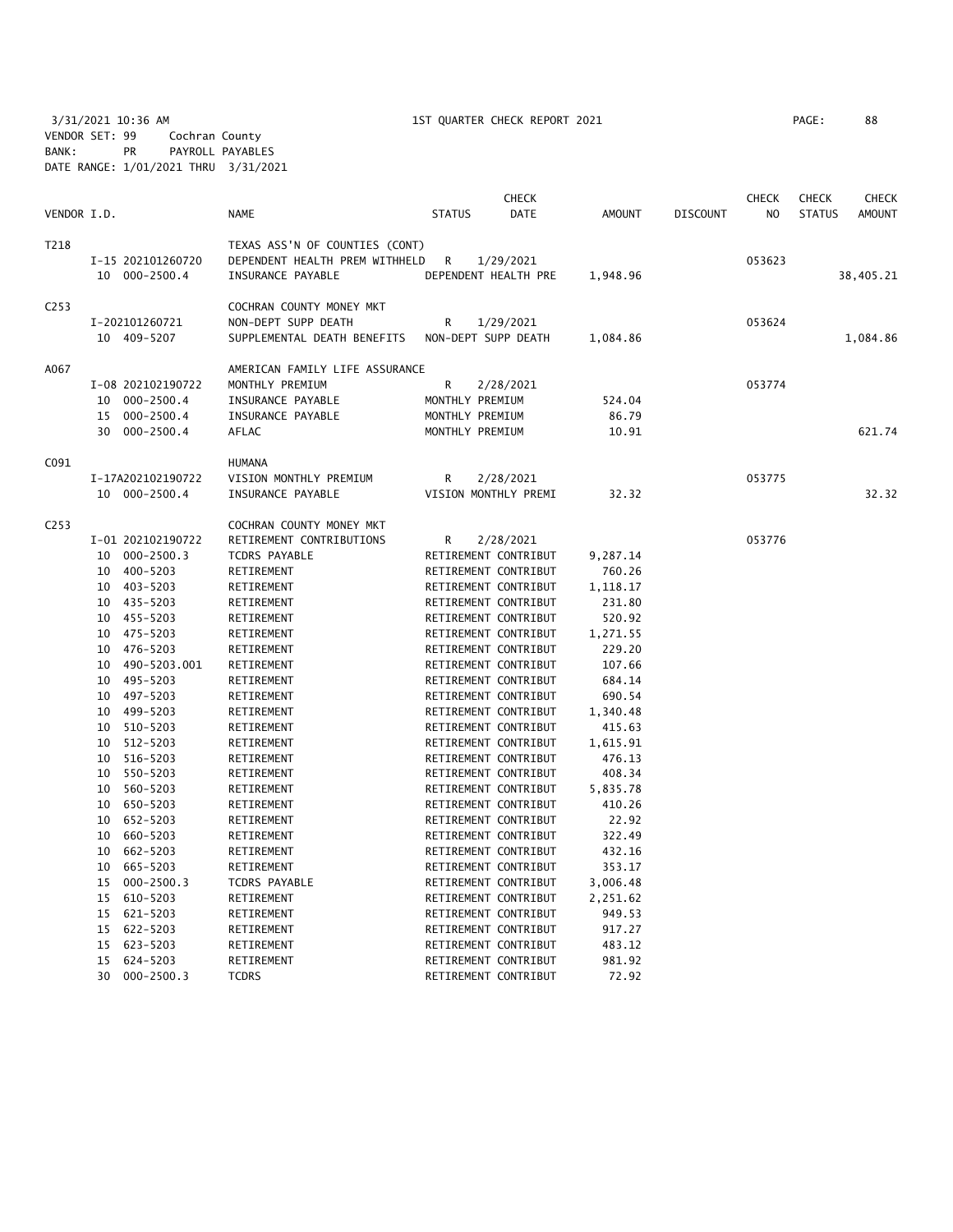3/31/2021 10:36 AM 1ST QUARTER CHECK REPORT 2021 PAGE: 88 VENDOR SET: 99 Cochran County BANK: PR PAYROLL PAYABLES DATE RANGE: 1/01/2021 THRU 3/31/2021

| 88 |
|----|
| ×  |
|    |
|    |

|                  |          |                      |                                |                     | <b>CHECK</b>                                 |                  |                 | <b>CHECK</b>   | <b>CHECK</b>  | <b>CHECK</b>  |
|------------------|----------|----------------------|--------------------------------|---------------------|----------------------------------------------|------------------|-----------------|----------------|---------------|---------------|
| VENDOR I.D.      |          |                      | <b>NAME</b>                    | <b>STATUS</b>       | <b>DATE</b>                                  | <b>AMOUNT</b>    | <b>DISCOUNT</b> | N <sub>O</sub> | <b>STATUS</b> | <b>AMOUNT</b> |
| T218             |          |                      | TEXAS ASS'N OF COUNTIES (CONT) |                     |                                              |                  |                 |                |               |               |
|                  |          | I-15 202101260720    | DEPENDENT HEALTH PREM WITHHELD | R                   | 1/29/2021                                    |                  |                 | 053623         |               |               |
|                  |          | 10 000-2500.4        | INSURANCE PAYABLE              |                     | DEPENDENT HEALTH PRE                         | 1,948.96         |                 |                |               | 38,405.21     |
| C <sub>253</sub> |          |                      | COCHRAN COUNTY MONEY MKT       |                     |                                              |                  |                 |                |               |               |
|                  |          | I-202101260721       | NON-DEPT SUPP DEATH            | R                   | 1/29/2021                                    |                  |                 | 053624         |               |               |
|                  |          | 10 409-5207          | SUPPLEMENTAL DEATH BENEFITS    | NON-DEPT SUPP DEATH |                                              | 1,084.86         |                 |                |               | 1,084.86      |
| A067             |          |                      | AMERICAN FAMILY LIFE ASSURANCE |                     |                                              |                  |                 |                |               |               |
|                  |          | I-08 202102190722    | MONTHLY PREMIUM                | R                   | 2/28/2021                                    |                  |                 | 053774         |               |               |
|                  | 10       | $000 - 2500.4$       | INSURANCE PAYABLE              | MONTHLY PREMIUM     |                                              | 524.04           |                 |                |               |               |
|                  | 15       | $000 - 2500.4$       | INSURANCE PAYABLE              | MONTHLY PREMIUM     |                                              | 86.79            |                 |                |               |               |
|                  | 30       | $000 - 2500.4$       | <b>AFLAC</b>                   | MONTHLY PREMIUM     |                                              | 10.91            |                 |                |               | 621.74        |
| C091             |          |                      | <b>HUMANA</b>                  |                     |                                              |                  |                 |                |               |               |
|                  |          | I-17A202102190722    | VISION MONTHLY PREMIUM         | R                   | 2/28/2021                                    |                  |                 | 053775         |               |               |
|                  |          | 10 000-2500.4        | INSURANCE PAYABLE              |                     | VISION MONTHLY PREMI                         | 32.32            |                 |                |               | 32.32         |
| C <sub>253</sub> |          |                      | COCHRAN COUNTY MONEY MKT       |                     |                                              |                  |                 |                |               |               |
|                  |          | I-01 202102190722    | RETIREMENT CONTRIBUTIONS       | R                   | 2/28/2021                                    |                  |                 | 053776         |               |               |
|                  |          | 10 000-2500.3        | <b>TCDRS PAYABLE</b>           |                     | RETIREMENT CONTRIBUT                         | 9,287.14         |                 |                |               |               |
|                  | 10       | 400-5203             | RETIREMENT                     |                     | RETIREMENT CONTRIBUT                         | 760.26           |                 |                |               |               |
|                  | 10       | 403-5203             | RETIREMENT                     |                     | RETIREMENT CONTRIBUT                         | 1,118.17         |                 |                |               |               |
|                  | 10       | 435-5203             | RETIREMENT                     |                     | RETIREMENT CONTRIBUT                         | 231.80           |                 |                |               |               |
|                  | 10       | 455-5203             | RETIREMENT                     |                     | RETIREMENT CONTRIBUT                         | 520.92           |                 |                |               |               |
|                  | 10       | 475-5203             | RETIREMENT                     |                     | RETIREMENT CONTRIBUT                         | 1,271.55         |                 |                |               |               |
|                  | 10       | 476-5203             | RETIREMENT                     |                     | RETIREMENT CONTRIBUT                         | 229.20           |                 |                |               |               |
|                  | 10       | 490-5203.001         | RETIREMENT                     |                     | RETIREMENT CONTRIBUT                         | 107.66           |                 |                |               |               |
|                  | 10       | 495-5203             | RETIREMENT                     |                     | RETIREMENT CONTRIBUT                         | 684.14           |                 |                |               |               |
|                  | 10       | 497-5203             | RETIREMENT                     |                     | RETIREMENT CONTRIBUT                         | 690.54           |                 |                |               |               |
|                  | 10       | 499-5203             | RETIREMENT                     |                     | RETIREMENT CONTRIBUT                         | 1,340.48         |                 |                |               |               |
|                  | 10       | 510-5203             | RETIREMENT                     |                     | RETIREMENT CONTRIBUT                         | 415.63           |                 |                |               |               |
|                  | 10       | 512-5203             | RETIREMENT                     |                     | RETIREMENT CONTRIBUT                         | 1,615.91         |                 |                |               |               |
|                  | 10<br>10 | 516-5203<br>550-5203 | RETIREMENT<br>RETIREMENT       |                     | RETIREMENT CONTRIBUT<br>RETIREMENT CONTRIBUT | 476.13<br>408.34 |                 |                |               |               |
|                  |          | 560-5203             | RETIREMENT                     |                     | RETIREMENT CONTRIBUT                         | 5,835.78         |                 |                |               |               |
|                  | 10<br>10 | 650-5203             | RETIREMENT                     |                     | RETIREMENT CONTRIBUT                         | 410.26           |                 |                |               |               |
|                  | 10       | 652-5203             | RETIREMENT                     |                     | RETIREMENT CONTRIBUT                         | 22.92            |                 |                |               |               |
|                  | 10       | 660-5203             | RETIREMENT                     |                     | RETIREMENT CONTRIBUT                         | 322.49           |                 |                |               |               |
|                  | 10       | 662-5203             | RETIREMENT                     |                     | RETIREMENT CONTRIBUT                         | 432.16           |                 |                |               |               |
|                  | 10       | 665-5203             | RETIREMENT                     |                     | RETIREMENT CONTRIBUT                         | 353.17           |                 |                |               |               |
|                  | 15       | $000 - 2500.3$       | <b>TCDRS PAYABLE</b>           |                     | RETIREMENT CONTRIBUT                         | 3,006.48         |                 |                |               |               |
|                  | 15       | 610-5203             | RETIREMENT                     |                     | RETIREMENT CONTRIBUT                         | 2,251.62         |                 |                |               |               |
|                  | 15       | 621-5203             | RETIREMENT                     |                     | RETIREMENT CONTRIBUT                         | 949.53           |                 |                |               |               |
|                  | 15       | 622-5203             | RETIREMENT                     |                     | RETIREMENT CONTRIBUT                         | 917.27           |                 |                |               |               |
|                  | 15       | 623-5203             | RETIREMENT                     |                     | RETIREMENT CONTRIBUT                         | 483.12           |                 |                |               |               |
|                  | 15       | 624-5203             | RETIREMENT                     |                     | RETIREMENT CONTRIBUT                         | 981.92           |                 |                |               |               |
|                  | 30       | $000 - 2500.3$       | <b>TCDRS</b>                   |                     | RETIREMENT CONTRIBUT                         | 72.92            |                 |                |               |               |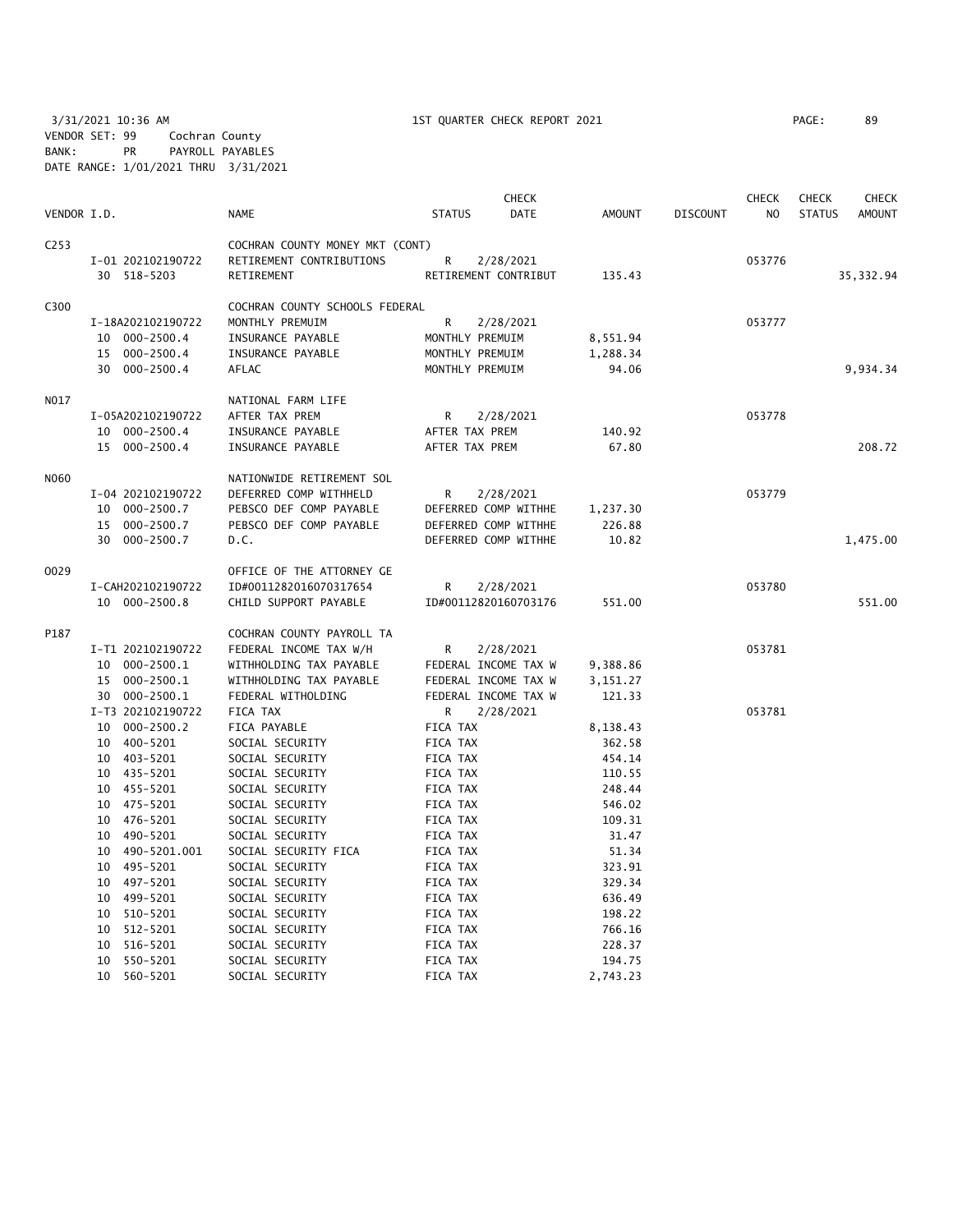3/31/2021 10:36 AM 1ST QUARTER CHECK REPORT 2021 PAGE: 89 VENDOR SET: 99 Cochran County BANK: PR PAYROLL PAYABLES DATE RANGE: 1/01/2021 THRU 3/31/2021

|             |                   |                                 |                      | <b>CHECK</b> |          |                 | <b>CHECK</b> | <b>CHECK</b>  | CHECK         |
|-------------|-------------------|---------------------------------|----------------------|--------------|----------|-----------------|--------------|---------------|---------------|
| VENDOR I.D. |                   | <b>NAME</b>                     | <b>STATUS</b>        | <b>DATE</b>  | AMOUNT   | <b>DISCOUNT</b> | NO           | <b>STATUS</b> | <b>AMOUNT</b> |
| C253        |                   | COCHRAN COUNTY MONEY MKT (CONT) |                      |              |          |                 |              |               |               |
|             | I-01 202102190722 | RETIREMENT CONTRIBUTIONS        | R                    | 2/28/2021    |          |                 | 053776       |               |               |
|             | 30 518-5203       | RETIREMENT                      | RETIREMENT CONTRIBUT |              | 135.43   |                 |              |               | 35, 332.94    |
| C300        |                   | COCHRAN COUNTY SCHOOLS FEDERAL  |                      |              |          |                 |              |               |               |
|             | I-18A202102190722 | MONTHLY PREMUIM                 | $\mathsf{R}$         | 2/28/2021    |          |                 | 053777       |               |               |
|             | 10 000-2500.4     | INSURANCE PAYABLE               | MONTHLY PREMUIM      |              | 8,551.94 |                 |              |               |               |
|             | 15 000-2500.4     | INSURANCE PAYABLE               | MONTHLY PREMUIM      |              | 1,288.34 |                 |              |               |               |
|             | 30 000-2500.4     | AFLAC                           | MONTHLY PREMUIM      |              | 94.06    |                 |              |               | 9,934.34      |
| NO17        |                   | NATIONAL FARM LIFE              |                      |              |          |                 |              |               |               |
|             | I-05A202102190722 | AFTER TAX PREM                  | R                    | 2/28/2021    |          |                 | 053778       |               |               |
|             | 10 000-2500.4     | INSURANCE PAYABLE               | AFTER TAX PREM       |              | 140.92   |                 |              |               |               |
|             | 15 000-2500.4     | INSURANCE PAYABLE               | AFTER TAX PREM       |              | 67.80    |                 |              |               | 208.72        |
| NO60        |                   | NATIONWIDE RETIREMENT SOL       |                      |              |          |                 |              |               |               |
|             | I-04 202102190722 | DEFERRED COMP WITHHELD          | R                    | 2/28/2021    |          |                 | 053779       |               |               |
|             | 10 000-2500.7     | PEBSCO DEF COMP PAYABLE         | DEFERRED COMP WITHHE |              | 1,237.30 |                 |              |               |               |
|             | 15 000-2500.7     | PEBSCO DEF COMP PAYABLE         | DEFERRED COMP WITHHE |              | 226.88   |                 |              |               |               |
|             | 30 000-2500.7     | D.C.                            | DEFERRED COMP WITHHE |              | 10.82    |                 |              |               | 1,475.00      |
| 0029        |                   | OFFICE OF THE ATTORNEY GE       |                      |              |          |                 |              |               |               |
|             | I-CAH202102190722 | ID#0011282016070317654          | R                    | 2/28/2021    |          |                 | 053780       |               |               |
|             | 10 000-2500.8     | CHILD SUPPORT PAYABLE           | ID#00112820160703176 |              | 551.00   |                 |              |               | 551.00        |
| P187        |                   | COCHRAN COUNTY PAYROLL TA       |                      |              |          |                 |              |               |               |
|             | I-T1 202102190722 | FEDERAL INCOME TAX W/H          | R                    | 2/28/2021    |          |                 | 053781       |               |               |
|             | 10 000-2500.1     | WITHHOLDING TAX PAYABLE         | FEDERAL INCOME TAX W |              | 9,388.86 |                 |              |               |               |
|             | 15 000-2500.1     | WITHHOLDING TAX PAYABLE         | FEDERAL INCOME TAX W |              | 3,151.27 |                 |              |               |               |
|             | 30 000-2500.1     | FEDERAL WITHOLDING              | FEDERAL INCOME TAX W |              | 121.33   |                 |              |               |               |
|             | I-T3 202102190722 | FICA TAX                        | R                    | 2/28/2021    |          |                 | 053781       |               |               |
|             | 10 000-2500.2     | FICA PAYABLE                    | FICA TAX             |              | 8,138.43 |                 |              |               |               |
|             | 10 400-5201       | SOCIAL SECURITY                 | FICA TAX             |              | 362.58   |                 |              |               |               |
|             | 10 403-5201       | SOCIAL SECURITY                 | FICA TAX             |              | 454.14   |                 |              |               |               |
|             | 10 435-5201       | SOCIAL SECURITY                 | FICA TAX             |              | 110.55   |                 |              |               |               |
|             | 10 455-5201       | SOCIAL SECURITY                 | FICA TAX             |              | 248.44   |                 |              |               |               |
|             | 10 475-5201       | SOCIAL SECURITY                 | FICA TAX             |              | 546.02   |                 |              |               |               |
|             | 10 476-5201       | SOCIAL SECURITY                 | FICA TAX             |              | 109.31   |                 |              |               |               |
|             | 10 490-5201       | SOCIAL SECURITY                 | FICA TAX             |              | 31.47    |                 |              |               |               |
|             | 10 490-5201.001   | SOCIAL SECURITY FICA            | FICA TAX             |              | 51.34    |                 |              |               |               |
|             | 10 495-5201       | SOCIAL SECURITY                 | FICA TAX             |              | 323.91   |                 |              |               |               |
|             | 10 497-5201       | SOCIAL SECURITY                 | FICA TAX             |              | 329.34   |                 |              |               |               |
|             | 10 499-5201       | SOCIAL SECURITY                 | FICA TAX             |              | 636.49   |                 |              |               |               |
|             | 10 510-5201       | SOCIAL SECURITY                 | FICA TAX             |              | 198.22   |                 |              |               |               |
|             | 10 512-5201       | SOCIAL SECURITY                 | FICA TAX             |              | 766.16   |                 |              |               |               |
|             | 10 516-5201       | SOCIAL SECURITY                 | FICA TAX             |              | 228.37   |                 |              |               |               |
|             | 10 550-5201       | SOCIAL SECURITY                 | FICA TAX             |              | 194.75   |                 |              |               |               |

10 560-5201 SOCIAL SECURITY FICA TAX 2,743.23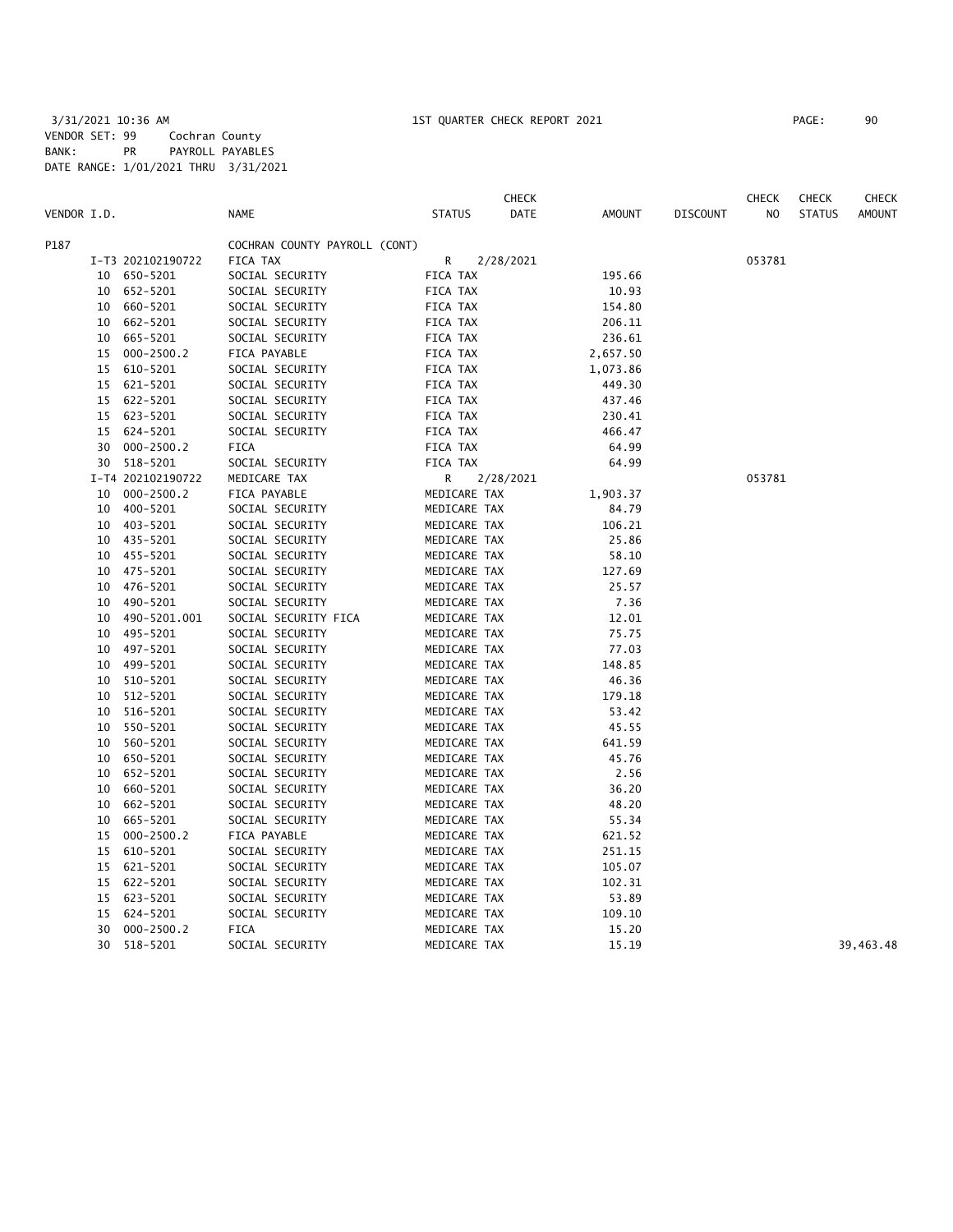|             |    |                   |                               |               | <b>CHECK</b> |          |                 | <b>CHECK</b>   | <b>CHECK</b>  | <b>CHECK</b>  |
|-------------|----|-------------------|-------------------------------|---------------|--------------|----------|-----------------|----------------|---------------|---------------|
| VENDOR I.D. |    |                   | <b>NAME</b>                   | <b>STATUS</b> | DATE         | AMOUNT   | <b>DISCOUNT</b> | N <sub>O</sub> | <b>STATUS</b> | <b>AMOUNT</b> |
| P187        |    |                   | COCHRAN COUNTY PAYROLL (CONT) |               |              |          |                 |                |               |               |
|             |    | I-T3 202102190722 | FICA TAX                      | R             | 2/28/2021    |          |                 | 053781         |               |               |
|             |    | 10 650-5201       | SOCIAL SECURITY               | FICA TAX      |              | 195.66   |                 |                |               |               |
|             |    | 10 652-5201       | SOCIAL SECURITY               | FICA TAX      |              | 10.93    |                 |                |               |               |
|             | 10 | 660-5201          | SOCIAL SECURITY               | FICA TAX      |              | 154.80   |                 |                |               |               |
|             | 10 | 662-5201          | SOCIAL SECURITY               | FICA TAX      |              | 206.11   |                 |                |               |               |
|             | 10 | 665-5201          | SOCIAL SECURITY               | FICA TAX      |              | 236.61   |                 |                |               |               |
|             | 15 | $000 - 2500.2$    | FICA PAYABLE                  | FICA TAX      |              | 2,657.50 |                 |                |               |               |
|             | 15 | 610-5201          | SOCIAL SECURITY               | FICA TAX      |              | 1,073.86 |                 |                |               |               |
|             | 15 | 621-5201          | SOCIAL SECURITY               | FICA TAX      |              | 449.30   |                 |                |               |               |
|             | 15 | 622-5201          | SOCIAL SECURITY               | FICA TAX      |              | 437.46   |                 |                |               |               |
|             | 15 | 623-5201          | SOCIAL SECURITY               | FICA TAX      |              | 230.41   |                 |                |               |               |
|             | 15 | 624-5201          | SOCIAL SECURITY               | FICA TAX      |              | 466.47   |                 |                |               |               |
|             | 30 | $000 - 2500.2$    | FICA                          | FICA TAX      |              | 64.99    |                 |                |               |               |
|             |    | 30 518-5201       | SOCIAL SECURITY               | FICA TAX      |              | 64.99    |                 |                |               |               |
|             |    | I-T4 202102190722 | MEDICARE TAX                  | R             | 2/28/2021    |          |                 | 053781         |               |               |
|             | 10 | $000 - 2500.2$    | FICA PAYABLE                  | MEDICARE TAX  |              | 1,903.37 |                 |                |               |               |
|             | 10 | 400-5201          | SOCIAL SECURITY               | MEDICARE TAX  |              | 84.79    |                 |                |               |               |
|             |    | 10 403-5201       | SOCIAL SECURITY               | MEDICARE TAX  |              | 106.21   |                 |                |               |               |
|             | 10 | 435-5201          | SOCIAL SECURITY               | MEDICARE TAX  |              | 25.86    |                 |                |               |               |
|             |    | 10 455-5201       | SOCIAL SECURITY               | MEDICARE TAX  |              | 58.10    |                 |                |               |               |
|             |    | 10 475-5201       | SOCIAL SECURITY               | MEDICARE TAX  |              | 127.69   |                 |                |               |               |
|             |    | 10 476-5201       | SOCIAL SECURITY               | MEDICARE TAX  |              | 25.57    |                 |                |               |               |
|             | 10 | 490-5201          | SOCIAL SECURITY               | MEDICARE TAX  |              | 7.36     |                 |                |               |               |
|             | 10 | 490-5201.001      | SOCIAL SECURITY FICA          | MEDICARE TAX  |              | 12.01    |                 |                |               |               |
|             | 10 | 495-5201          | SOCIAL SECURITY               | MEDICARE TAX  |              | 75.75    |                 |                |               |               |
|             | 10 | 497-5201          | SOCIAL SECURITY               | MEDICARE TAX  |              | 77.03    |                 |                |               |               |
|             | 10 | 499-5201          | SOCIAL SECURITY               | MEDICARE TAX  |              | 148.85   |                 |                |               |               |
|             | 10 | 510-5201          | SOCIAL SECURITY               | MEDICARE TAX  |              | 46.36    |                 |                |               |               |
|             | 10 | 512-5201          | SOCIAL SECURITY               | MEDICARE TAX  |              | 179.18   |                 |                |               |               |
|             | 10 | 516-5201          | SOCIAL SECURITY               | MEDICARE TAX  |              | 53.42    |                 |                |               |               |
|             | 10 | 550-5201          | SOCIAL SECURITY               | MEDICARE TAX  |              | 45.55    |                 |                |               |               |
|             | 10 | 560-5201          | SOCIAL SECURITY               | MEDICARE TAX  |              | 641.59   |                 |                |               |               |
|             | 10 | 650-5201          | SOCIAL SECURITY               | MEDICARE TAX  |              | 45.76    |                 |                |               |               |
|             | 10 | 652-5201          | SOCIAL SECURITY               | MEDICARE TAX  |              | 2.56     |                 |                |               |               |
|             | 10 | 660-5201          | SOCIAL SECURITY               | MEDICARE TAX  |              | 36.20    |                 |                |               |               |
|             | 10 | 662-5201          | SOCIAL SECURITY               | MEDICARE TAX  |              | 48.20    |                 |                |               |               |
|             | 10 | 665-5201          | SOCIAL SECURITY               | MEDICARE TAX  |              | 55.34    |                 |                |               |               |
|             | 15 | $000 - 2500.2$    | FICA PAYABLE                  | MEDICARE TAX  |              | 621.52   |                 |                |               |               |
|             | 15 | 610-5201          | SOCIAL SECURITY               | MEDICARE TAX  |              | 251.15   |                 |                |               |               |
|             | 15 | 621-5201          | SOCIAL SECURITY               | MEDICARE TAX  |              | 105.07   |                 |                |               |               |
|             | 15 | 622-5201          | SOCIAL SECURITY               | MEDICARE TAX  |              | 102.31   |                 |                |               |               |
|             | 15 | 623-5201          | SOCIAL SECURITY               | MEDICARE TAX  |              | 53.89    |                 |                |               |               |
|             | 15 | 624-5201          | SOCIAL SECURITY               | MEDICARE TAX  |              | 109.10   |                 |                |               |               |
|             | 30 | $000 - 2500.2$    | <b>FICA</b>                   | MEDICARE TAX  |              | 15.20    |                 |                |               |               |
|             | 30 | 518-5201          | SOCIAL SECURITY               | MEDICARE TAX  |              | 15.19    |                 |                |               | 39,463.48     |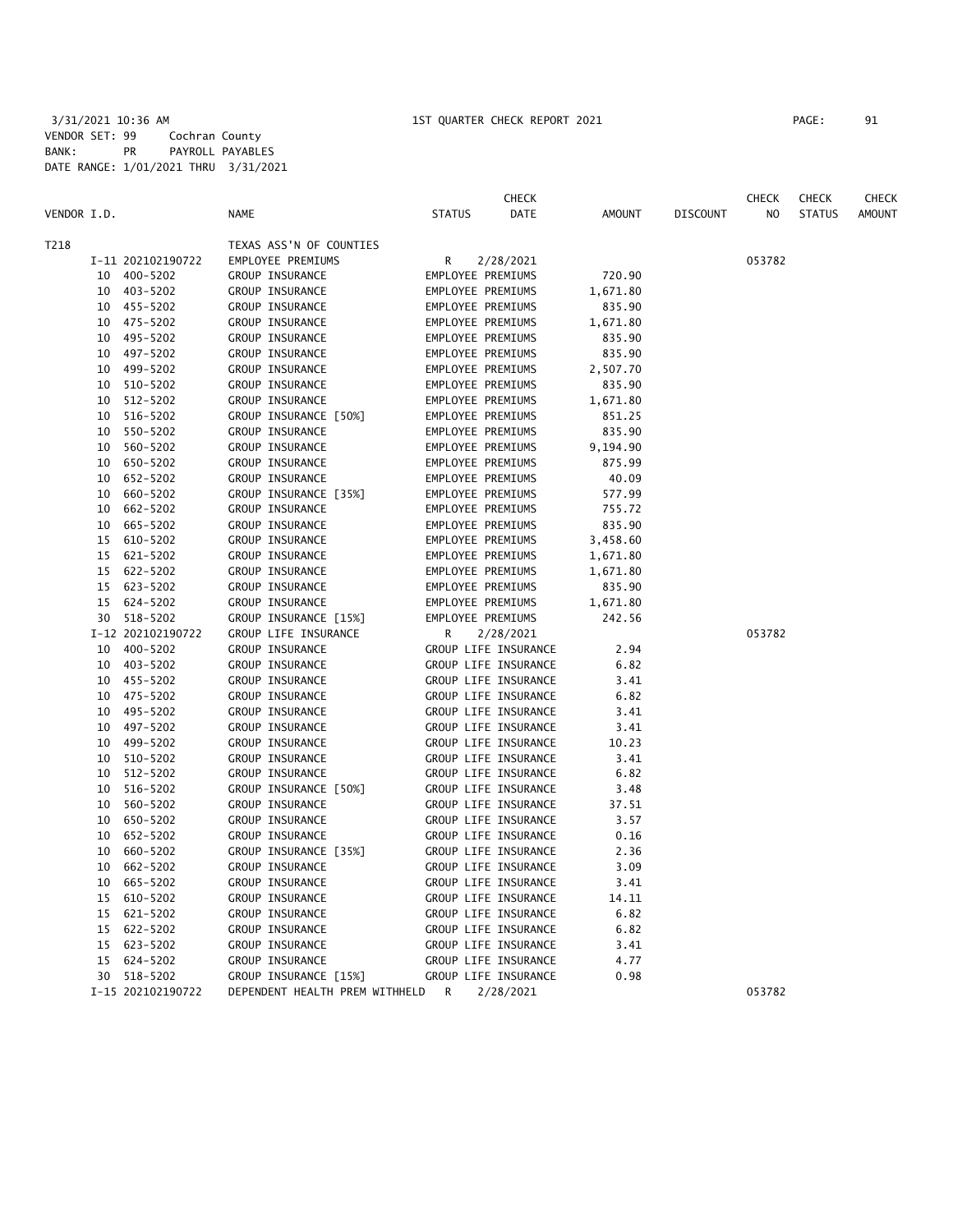|             |    |                   |                                |               | <b>CHECK</b>         |               |                 | <b>CHECK</b>   | <b>CHECK</b>  | <b>CHECK</b>  |
|-------------|----|-------------------|--------------------------------|---------------|----------------------|---------------|-----------------|----------------|---------------|---------------|
| VENDOR I.D. |    |                   | <b>NAME</b>                    | <b>STATUS</b> | <b>DATE</b>          | <b>AMOUNT</b> | <b>DISCOUNT</b> | N <sub>O</sub> | <b>STATUS</b> | <b>AMOUNT</b> |
| T218        |    |                   | TEXAS ASS'N OF COUNTIES        |               |                      |               |                 |                |               |               |
|             |    | I-11 202102190722 | EMPLOYEE PREMIUMS              | R             | 2/28/2021            |               |                 | 053782         |               |               |
|             | 10 | 400-5202          | GROUP INSURANCE                |               | EMPLOYEE PREMIUMS    | 720.90        |                 |                |               |               |
|             |    | 10 403-5202       | GROUP INSURANCE                |               | EMPLOYEE PREMIUMS    | 1,671.80      |                 |                |               |               |
|             |    | 10 455-5202       | GROUP INSURANCE                |               | EMPLOYEE PREMIUMS    | 835.90        |                 |                |               |               |
|             |    | 10 475-5202       | GROUP INSURANCE                |               | EMPLOYEE PREMIUMS    | 1,671.80      |                 |                |               |               |
|             | 10 | 495-5202          | GROUP INSURANCE                |               | EMPLOYEE PREMIUMS    | 835.90        |                 |                |               |               |
|             | 10 | 497-5202          | GROUP INSURANCE                |               | EMPLOYEE PREMIUMS    | 835.90        |                 |                |               |               |
|             | 10 | 499-5202          | GROUP INSURANCE                |               | EMPLOYEE PREMIUMS    | 2,507.70      |                 |                |               |               |
|             |    | 10 510-5202       | GROUP INSURANCE                |               | EMPLOYEE PREMIUMS    | 835.90        |                 |                |               |               |
|             | 10 | 512-5202          | GROUP INSURANCE                |               | EMPLOYEE PREMIUMS    | 1,671.80      |                 |                |               |               |
|             | 10 | 516-5202          | GROUP INSURANCE [50%]          |               | EMPLOYEE PREMIUMS    | 851.25        |                 |                |               |               |
|             | 10 | 550-5202          | GROUP INSURANCE                |               | EMPLOYEE PREMIUMS    | 835.90        |                 |                |               |               |
|             | 10 | 560-5202          | GROUP INSURANCE                |               | EMPLOYEE PREMIUMS    | 9,194.90      |                 |                |               |               |
|             | 10 | 650-5202          | GROUP INSURANCE                |               | EMPLOYEE PREMIUMS    | 875.99        |                 |                |               |               |
|             | 10 | 652-5202          | GROUP INSURANCE                |               | EMPLOYEE PREMIUMS    | 40.09         |                 |                |               |               |
|             | 10 | 660-5202          | GROUP INSURANCE [35%]          |               | EMPLOYEE PREMIUMS    | 577.99        |                 |                |               |               |
|             | 10 | 662-5202          | GROUP INSURANCE                |               | EMPLOYEE PREMIUMS    | 755.72        |                 |                |               |               |
|             |    | 10 665-5202       | GROUP INSURANCE                |               | EMPLOYEE PREMIUMS    | 835.90        |                 |                |               |               |
|             | 15 | 610-5202          | GROUP INSURANCE                |               | EMPLOYEE PREMIUMS    | 3,458.60      |                 |                |               |               |
|             | 15 | 621-5202          | GROUP INSURANCE                |               | EMPLOYEE PREMIUMS    | 1,671.80      |                 |                |               |               |
|             | 15 | 622-5202          | GROUP INSURANCE                |               | EMPLOYEE PREMIUMS    | 1,671.80      |                 |                |               |               |
|             | 15 | 623-5202          | GROUP INSURANCE                |               | EMPLOYEE PREMIUMS    | 835.90        |                 |                |               |               |
|             | 15 | 624-5202          | GROUP INSURANCE                |               | EMPLOYEE PREMIUMS    | 1,671.80      |                 |                |               |               |
|             |    | 30 518-5202       | GROUP INSURANCE [15%]          |               | EMPLOYEE PREMIUMS    | 242.56        |                 |                |               |               |
|             |    | I-12 202102190722 | GROUP LIFE INSURANCE           | R             | 2/28/2021            |               |                 | 053782         |               |               |
|             |    | 10 400-5202       | GROUP INSURANCE                |               | GROUP LIFE INSURANCE | 2.94          |                 |                |               |               |
|             |    | 10 403-5202       | GROUP INSURANCE                |               | GROUP LIFE INSURANCE | 6.82          |                 |                |               |               |
|             |    | 10 455-5202       | GROUP INSURANCE                |               | GROUP LIFE INSURANCE | 3.41          |                 |                |               |               |
|             |    | 10 475-5202       | GROUP INSURANCE                |               | GROUP LIFE INSURANCE | 6.82          |                 |                |               |               |
|             |    | 10 495-5202       | GROUP INSURANCE                |               | GROUP LIFE INSURANCE | 3.41          |                 |                |               |               |
|             |    | 10 497-5202       | GROUP INSURANCE                |               | GROUP LIFE INSURANCE | 3.41          |                 |                |               |               |
|             | 10 | 499-5202          | GROUP INSURANCE                |               | GROUP LIFE INSURANCE | 10.23         |                 |                |               |               |
|             | 10 | 510-5202          | GROUP INSURANCE                |               | GROUP LIFE INSURANCE | 3.41          |                 |                |               |               |
|             |    | 10 512-5202       | GROUP INSURANCE                |               | GROUP LIFE INSURANCE | 6.82          |                 |                |               |               |
|             | 10 | 516-5202          | GROUP INSURANCE [50%]          |               | GROUP LIFE INSURANCE | 3.48          |                 |                |               |               |
|             | 10 | 560-5202          | GROUP INSURANCE                |               | GROUP LIFE INSURANCE | 37.51         |                 |                |               |               |
|             | 10 | 650-5202          | GROUP INSURANCE                |               | GROUP LIFE INSURANCE | 3.57          |                 |                |               |               |
|             | 10 | 652-5202          | GROUP INSURANCE                |               | GROUP LIFE INSURANCE | 0.16          |                 |                |               |               |
|             | 10 | 660-5202          | GROUP INSURANCE [35%]          |               | GROUP LIFE INSURANCE | 2.36          |                 |                |               |               |
|             | 10 | 662-5202          | GROUP INSURANCE                |               | GROUP LIFE INSURANCE | 3.09          |                 |                |               |               |
|             | 10 | 665-5202          | GROUP INSURANCE                |               | GROUP LIFE INSURANCE | 3.41          |                 |                |               |               |
|             | 15 | 610-5202          | GROUP INSURANCE                |               | GROUP LIFE INSURANCE | 14.11         |                 |                |               |               |
|             |    | 15 621-5202       | GROUP INSURANCE                |               | GROUP LIFE INSURANCE | 6.82          |                 |                |               |               |
|             | 15 | 622-5202          | GROUP INSURANCE                |               | GROUP LIFE INSURANCE | 6.82          |                 |                |               |               |
|             | 15 | 623-5202          | GROUP INSURANCE                |               | GROUP LIFE INSURANCE | 3.41          |                 |                |               |               |
|             | 15 | 624-5202          | GROUP INSURANCE                |               | GROUP LIFE INSURANCE | 4.77          |                 |                |               |               |
|             |    | 30 518-5202       | GROUP INSURANCE [15%]          |               | GROUP LIFE INSURANCE | 0.98          |                 |                |               |               |
|             |    | I-15 202102190722 | DEPENDENT HEALTH PREM WITHHELD | R             | 2/28/2021            |               |                 | 053782         |               |               |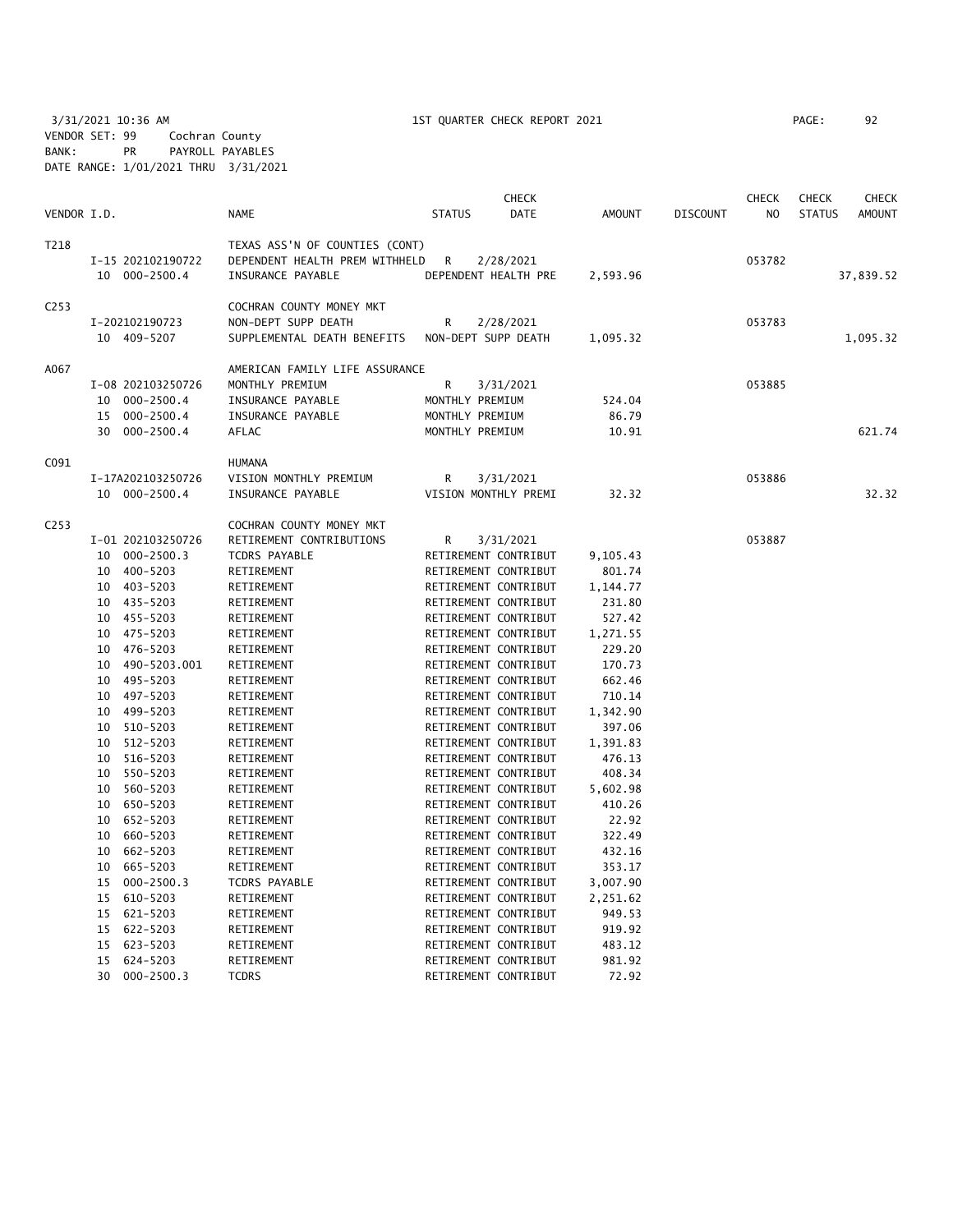3/31/2021 10:36 AM 1ST QUARTER CHECK REPORT 2021 PAGE: 92 VENDOR SET: 99 Cochran County BANK: PR PAYROLL PAYABLES DATE RANGE: 1/01/2021 THRU 3/31/2021

|                  |    |                   |                                |               | <b>CHECK</b>         |               |                 | <b>CHECK</b> | <b>CHECK</b>  | <b>CHECK</b>  |
|------------------|----|-------------------|--------------------------------|---------------|----------------------|---------------|-----------------|--------------|---------------|---------------|
| VENDOR I.D.      |    |                   | <b>NAME</b>                    | <b>STATUS</b> | <b>DATE</b>          | <b>AMOUNT</b> | <b>DISCOUNT</b> | NO           | <b>STATUS</b> | <b>AMOUNT</b> |
| T218             |    |                   | TEXAS ASS'N OF COUNTIES (CONT) |               |                      |               |                 |              |               |               |
|                  |    | I-15 202102190722 | DEPENDENT HEALTH PREM WITHHELD | R             | 2/28/2021            |               |                 | 053782       |               |               |
|                  |    | 10 000-2500.4     | INSURANCE PAYABLE              |               | DEPENDENT HEALTH PRE | 2,593.96      |                 |              |               | 37,839.52     |
| C <sub>253</sub> |    |                   | COCHRAN COUNTY MONEY MKT       |               |                      |               |                 |              |               |               |
|                  |    | I-202102190723    | NON-DEPT SUPP DEATH            | R             | 2/28/2021            |               |                 | 053783       |               |               |
|                  |    | 10 409-5207       | SUPPLEMENTAL DEATH BENEFITS    |               | NON-DEPT SUPP DEATH  | 1,095.32      |                 |              |               | 1,095.32      |
| A067             |    |                   | AMERICAN FAMILY LIFE ASSURANCE |               |                      |               |                 |              |               |               |
|                  |    | I-08 202103250726 | MONTHLY PREMIUM                | R             | 3/31/2021            |               |                 | 053885       |               |               |
|                  | 10 | $000 - 2500.4$    | INSURANCE PAYABLE              |               | MONTHLY PREMIUM      | 524.04        |                 |              |               |               |
|                  | 15 | $000 - 2500.4$    | INSURANCE PAYABLE              |               | MONTHLY PREMIUM      | 86.79         |                 |              |               |               |
|                  | 30 | $000 - 2500.4$    | AFLAC                          |               | MONTHLY PREMIUM      | 10.91         |                 |              |               | 621.74        |
| C091             |    |                   | <b>HUMANA</b>                  |               |                      |               |                 |              |               |               |
|                  |    | I-17A202103250726 | VISION MONTHLY PREMIUM         | R             | 3/31/2021            |               |                 | 053886       |               |               |
|                  |    | 10 000-2500.4     | INSURANCE PAYABLE              |               | VISION MONTHLY PREMI | 32.32         |                 |              |               | 32.32         |
| C <sub>253</sub> |    |                   | COCHRAN COUNTY MONEY MKT       |               |                      |               |                 |              |               |               |
|                  |    | I-01 202103250726 | RETIREMENT CONTRIBUTIONS       | R             | 3/31/2021            |               |                 | 053887       |               |               |
|                  |    | 10 000-2500.3     | <b>TCDRS PAYABLE</b>           |               | RETIREMENT CONTRIBUT | 9,105.43      |                 |              |               |               |
|                  | 10 | 400-5203          | RETIREMENT                     |               | RETIREMENT CONTRIBUT | 801.74        |                 |              |               |               |
|                  | 10 | 403-5203          | RETIREMENT                     |               | RETIREMENT CONTRIBUT | 1,144.77      |                 |              |               |               |
|                  | 10 | 435-5203          | RETIREMENT                     |               | RETIREMENT CONTRIBUT | 231.80        |                 |              |               |               |
|                  | 10 | 455-5203          | RETIREMENT                     |               | RETIREMENT CONTRIBUT | 527.42        |                 |              |               |               |
|                  | 10 | 475-5203          | RETIREMENT                     |               | RETIREMENT CONTRIBUT | 1,271.55      |                 |              |               |               |
|                  | 10 | 476-5203          | RETIREMENT                     |               | RETIREMENT CONTRIBUT | 229.20        |                 |              |               |               |
|                  | 10 | 490-5203.001      | RETIREMENT                     |               | RETIREMENT CONTRIBUT | 170.73        |                 |              |               |               |
|                  | 10 | 495-5203          | RETIREMENT                     |               | RETIREMENT CONTRIBUT | 662.46        |                 |              |               |               |
|                  | 10 | 497-5203          | RETIREMENT                     |               | RETIREMENT CONTRIBUT | 710.14        |                 |              |               |               |
|                  | 10 | 499-5203          | RETIREMENT                     |               | RETIREMENT CONTRIBUT | 1,342.90      |                 |              |               |               |
|                  | 10 | 510-5203          | RETIREMENT                     |               | RETIREMENT CONTRIBUT | 397.06        |                 |              |               |               |
|                  | 10 | 512-5203          | RETIREMENT                     |               | RETIREMENT CONTRIBUT | 1,391.83      |                 |              |               |               |
|                  | 10 | 516-5203          | RETIREMENT                     |               | RETIREMENT CONTRIBUT | 476.13        |                 |              |               |               |
|                  | 10 | 550-5203          | RETIREMENT                     |               | RETIREMENT CONTRIBUT | 408.34        |                 |              |               |               |
|                  | 10 | 560-5203          | RETIREMENT                     |               | RETIREMENT CONTRIBUT | 5,602.98      |                 |              |               |               |
|                  | 10 | 650-5203          | RETIREMENT                     |               | RETIREMENT CONTRIBUT | 410.26        |                 |              |               |               |
|                  | 10 | 652-5203          | RETIREMENT                     |               | RETIREMENT CONTRIBUT | 22.92         |                 |              |               |               |
|                  | 10 | 660-5203          | RETIREMENT                     |               | RETIREMENT CONTRIBUT | 322.49        |                 |              |               |               |
|                  | 10 | 662-5203          | RETIREMENT                     |               | RETIREMENT CONTRIBUT | 432.16        |                 |              |               |               |
|                  | 10 | 665-5203          | RETIREMENT                     |               | RETIREMENT CONTRIBUT | 353.17        |                 |              |               |               |
|                  | 15 | $000 - 2500.3$    | <b>TCDRS PAYABLE</b>           |               | RETIREMENT CONTRIBUT | 3,007.90      |                 |              |               |               |
|                  | 15 | 610-5203          | RETIREMENT                     |               | RETIREMENT CONTRIBUT | 2,251.62      |                 |              |               |               |
|                  | 15 | 621-5203          | RETIREMENT                     |               | RETIREMENT CONTRIBUT | 949.53        |                 |              |               |               |
|                  | 15 | 622-5203          | RETIREMENT                     |               | RETIREMENT CONTRIBUT | 919.92        |                 |              |               |               |
|                  | 15 | 623-5203          | RETIREMENT                     |               | RETIREMENT CONTRIBUT | 483.12        |                 |              |               |               |
|                  | 15 | 624-5203          | RETIREMENT                     |               | RETIREMENT CONTRIBUT | 981.92        |                 |              |               |               |
|                  | 30 | $000 - 2500.3$    | <b>TCDRS</b>                   |               | RETIREMENT CONTRIBUT | 72.92         |                 |              |               |               |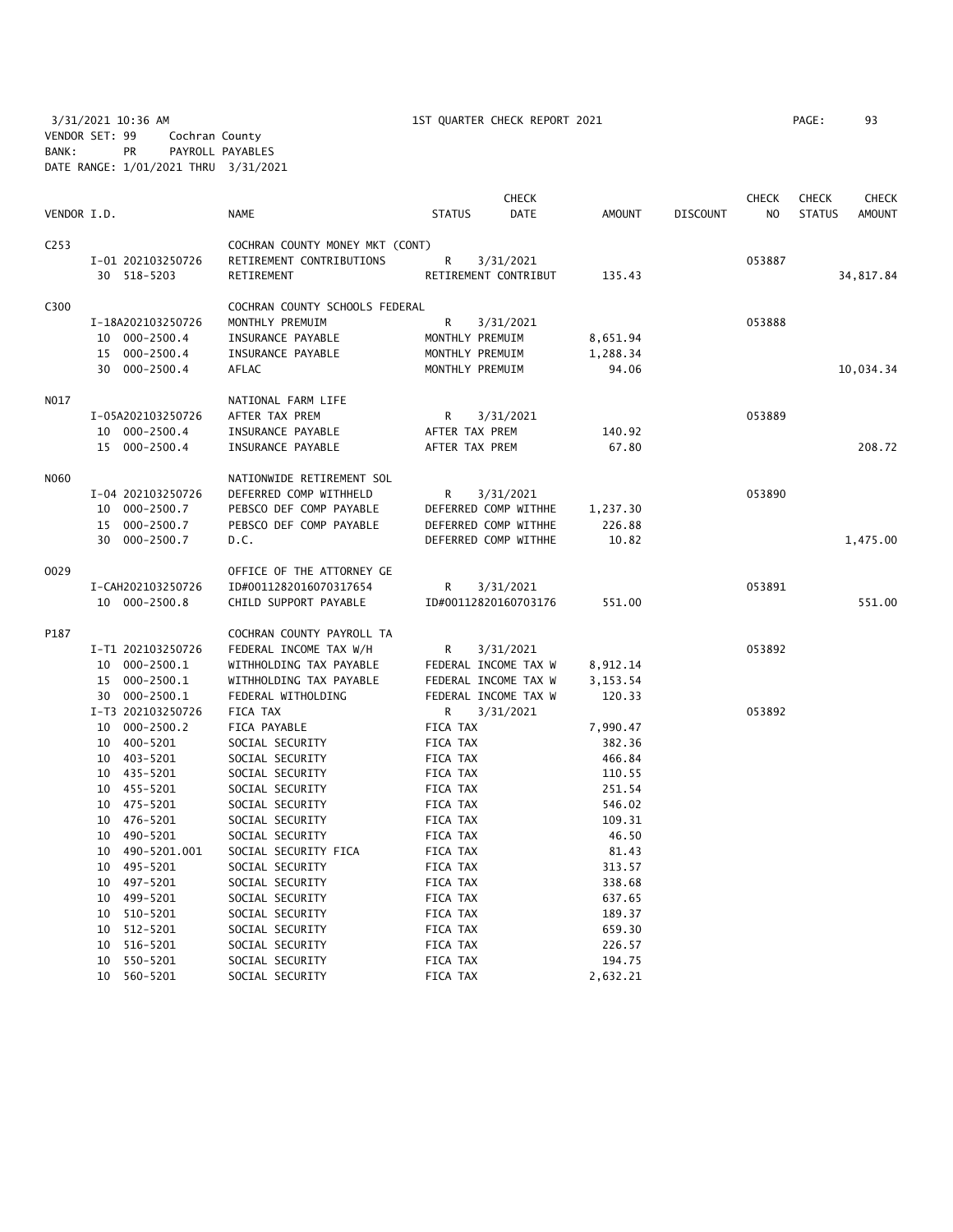3/31/2021 10:36 AM 1ST QUARTER CHECK REPORT 2021 PAGE: 93 VENDOR SET: 99 Cochran County BANK: PR PAYROLL PAYABLES DATE RANGE: 1/01/2021 THRU 3/31/2021

|             |                   |                                 |                      | <b>CHECK</b> |               |                 | <b>CHECK</b>   | <b>CHECK</b>  | CHECK         |
|-------------|-------------------|---------------------------------|----------------------|--------------|---------------|-----------------|----------------|---------------|---------------|
| VENDOR I.D. |                   | <b>NAME</b>                     | <b>STATUS</b>        | <b>DATE</b>  | <b>AMOUNT</b> | <b>DISCOUNT</b> | N <sub>O</sub> | <b>STATUS</b> | <b>AMOUNT</b> |
| C253        |                   | COCHRAN COUNTY MONEY MKT (CONT) |                      |              |               |                 |                |               |               |
|             | I-01 202103250726 | RETIREMENT CONTRIBUTIONS        | R                    | 3/31/2021    |               |                 | 053887         |               |               |
|             | 30 518-5203       | RETIREMENT                      | RETIREMENT CONTRIBUT |              | 135.43        |                 |                |               | 34,817.84     |
| C300        |                   | COCHRAN COUNTY SCHOOLS FEDERAL  |                      |              |               |                 |                |               |               |
|             | I-18A202103250726 | MONTHLY PREMUIM                 | R                    | 3/31/2021    |               |                 | 053888         |               |               |
|             | 10 000-2500.4     | INSURANCE PAYABLE               | MONTHLY PREMUIM      |              | 8,651.94      |                 |                |               |               |
|             | 15 000-2500.4     | INSURANCE PAYABLE               | MONTHLY PREMUIM      |              | 1,288.34      |                 |                |               |               |
|             | 30 000-2500.4     | AFLAC                           | MONTHLY PREMUIM      |              | 94.06         |                 |                |               | 10,034.34     |
| NO17        |                   | NATIONAL FARM LIFE              |                      |              |               |                 |                |               |               |
|             | I-05A202103250726 | AFTER TAX PREM                  | R                    | 3/31/2021    |               |                 | 053889         |               |               |
|             | 10 000-2500.4     | INSURANCE PAYABLE               | AFTER TAX PREM       |              | 140.92        |                 |                |               |               |
|             | 15 000-2500.4     | INSURANCE PAYABLE               | AFTER TAX PREM       |              | 67.80         |                 |                |               | 208.72        |
| N060        |                   | NATIONWIDE RETIREMENT SOL       |                      |              |               |                 |                |               |               |
|             | I-04 202103250726 | DEFERRED COMP WITHHELD          | R                    | 3/31/2021    |               |                 | 053890         |               |               |
|             | 10 000-2500.7     | PEBSCO DEF COMP PAYABLE         | DEFERRED COMP WITHHE |              | 1,237.30      |                 |                |               |               |
|             | 15 000-2500.7     | PEBSCO DEF COMP PAYABLE         | DEFERRED COMP WITHHE |              | 226.88        |                 |                |               |               |
|             | 30 000-2500.7     | D.C.                            | DEFERRED COMP WITHHE |              | 10.82         |                 |                |               | 1,475.00      |
| 0029        |                   | OFFICE OF THE ATTORNEY GE       |                      |              |               |                 |                |               |               |
|             | I-CAH202103250726 | ID#0011282016070317654          | R                    | 3/31/2021    |               |                 | 053891         |               |               |
|             | 10 000-2500.8     | CHILD SUPPORT PAYABLE           | ID#00112820160703176 |              | 551.00        |                 |                |               | 551.00        |
| P187        |                   | COCHRAN COUNTY PAYROLL TA       |                      |              |               |                 |                |               |               |
|             | I-T1 202103250726 | FEDERAL INCOME TAX W/H          | R                    | 3/31/2021    |               |                 | 053892         |               |               |
|             | 10 000-2500.1     | WITHHOLDING TAX PAYABLE         | FEDERAL INCOME TAX W |              | 8,912.14      |                 |                |               |               |
|             | 15 000-2500.1     | WITHHOLDING TAX PAYABLE         | FEDERAL INCOME TAX W |              | 3,153.54      |                 |                |               |               |
|             | 30 000-2500.1     | FEDERAL WITHOLDING              | FEDERAL INCOME TAX W |              | 120.33        |                 |                |               |               |
|             | I-T3 202103250726 | FICA TAX                        | R                    | 3/31/2021    |               |                 | 053892         |               |               |
|             | 10 000-2500.2     | FICA PAYABLE                    | <b>FICA TAX</b>      |              | 7,990.47      |                 |                |               |               |
|             | 10 400-5201       | SOCIAL SECURITY                 | FICA TAX             |              | 382.36        |                 |                |               |               |
|             | 10 403-5201       | SOCIAL SECURITY                 | FICA TAX             |              | 466.84        |                 |                |               |               |
|             | 10 435-5201       | SOCIAL SECURITY                 | FICA TAX             |              | 110.55        |                 |                |               |               |
|             | 10 455-5201       | SOCIAL SECURITY                 | FICA TAX             |              | 251.54        |                 |                |               |               |
|             | 10 475-5201       | SOCIAL SECURITY                 | FICA TAX             |              | 546.02        |                 |                |               |               |
|             | 10 476-5201       | SOCIAL SECURITY                 | FICA TAX             |              | 109.31        |                 |                |               |               |
|             | 10 490-5201       | SOCIAL SECURITY                 | FICA TAX             |              | 46.50         |                 |                |               |               |
|             | 10 490-5201.001   | SOCIAL SECURITY FICA            | FICA TAX             |              | 81.43         |                 |                |               |               |
|             | 10 495-5201       | SOCIAL SECURITY                 | FICA TAX             |              | 313.57        |                 |                |               |               |
|             | 10 497-5201       | SOCIAL SECURITY                 | FICA TAX             |              | 338.68        |                 |                |               |               |
|             | 10 499-5201       | SOCIAL SECURITY                 | FICA TAX             |              | 637.65        |                 |                |               |               |
|             | 10 510-5201       | SOCIAL SECURITY                 | FICA TAX             |              | 189.37        |                 |                |               |               |
|             | 10<br>512-5201    | SOCIAL SECURITY                 | FICA TAX             |              | 659.30        |                 |                |               |               |
|             | 516-5201<br>10    | SOCIAL SECURITY                 | FICA TAX             |              | 226.57        |                 |                |               |               |
|             | 10 550-5201       | SOCIAL SECURITY                 | FICA TAX             |              | 194.75        |                 |                |               |               |

10 560-5201 SOCIAL SECURITY FICA TAX 2,632.21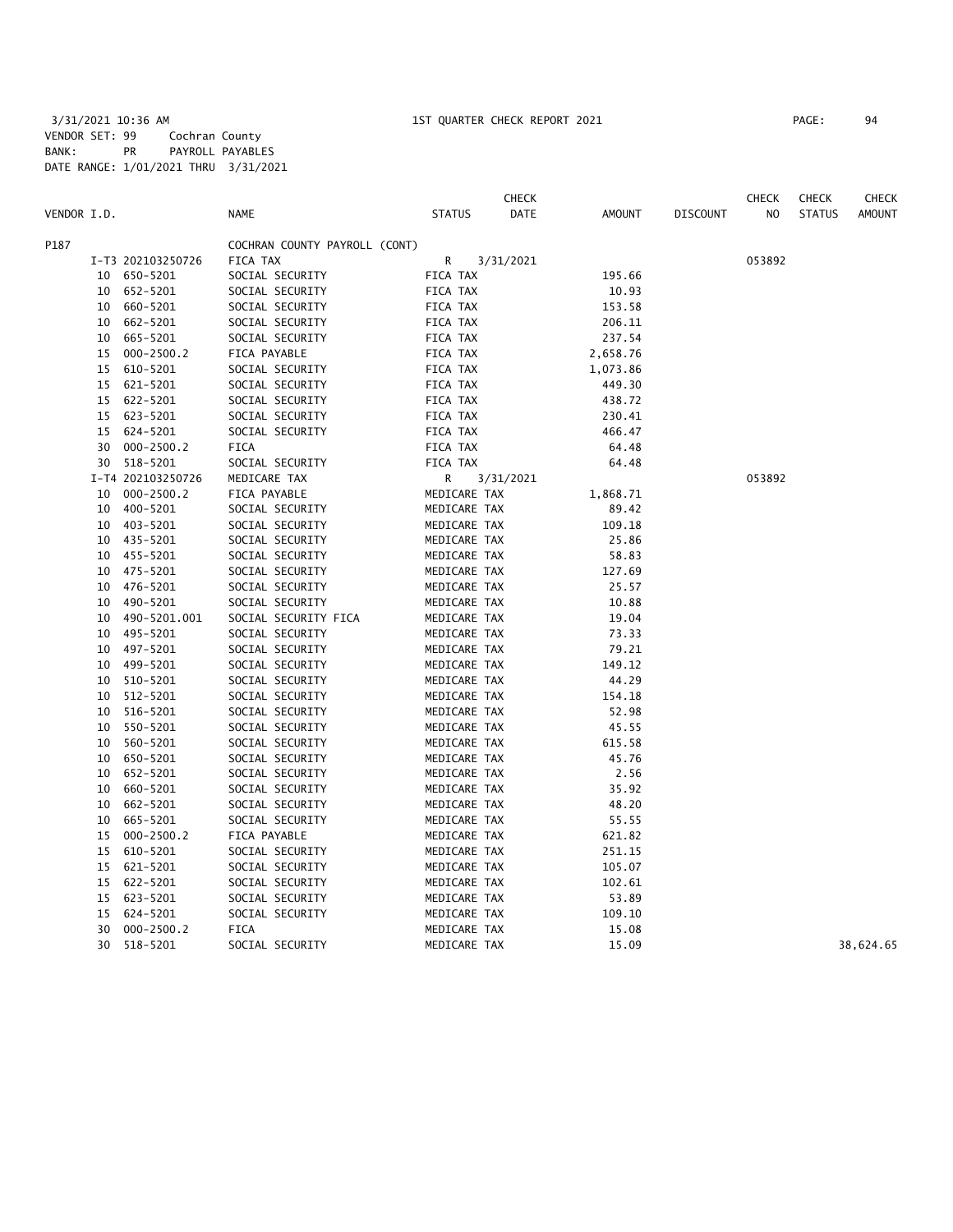|             |    |                   |                               |               | <b>CHECK</b> |               |                 | <b>CHECK</b>   | <b>CHECK</b>  | CHECK         |
|-------------|----|-------------------|-------------------------------|---------------|--------------|---------------|-----------------|----------------|---------------|---------------|
| VENDOR I.D. |    |                   | <b>NAME</b>                   | <b>STATUS</b> | <b>DATE</b>  | <b>AMOUNT</b> | <b>DISCOUNT</b> | N <sub>O</sub> | <b>STATUS</b> | <b>AMOUNT</b> |
| P187        |    |                   | COCHRAN COUNTY PAYROLL (CONT) |               |              |               |                 |                |               |               |
|             |    | I-T3 202103250726 | FICA TAX                      | R             | 3/31/2021    |               |                 | 053892         |               |               |
|             |    | 10 650-5201       | SOCIAL SECURITY               | FICA TAX      |              | 195.66        |                 |                |               |               |
|             |    | 10 652-5201       | SOCIAL SECURITY               | FICA TAX      |              | 10.93         |                 |                |               |               |
|             | 10 | 660-5201          | SOCIAL SECURITY               | FICA TAX      |              | 153.58        |                 |                |               |               |
|             | 10 | 662-5201          | SOCIAL SECURITY               | FICA TAX      |              | 206.11        |                 |                |               |               |
|             | 10 | 665-5201          | SOCIAL SECURITY               | FICA TAX      |              | 237.54        |                 |                |               |               |
|             | 15 | $000 - 2500.2$    | FICA PAYABLE                  | FICA TAX      |              | 2,658.76      |                 |                |               |               |
|             | 15 | 610-5201          | SOCIAL SECURITY               | FICA TAX      |              | 1,073.86      |                 |                |               |               |
|             | 15 | 621-5201          | SOCIAL SECURITY               | FICA TAX      |              | 449.30        |                 |                |               |               |
|             | 15 | 622-5201          | SOCIAL SECURITY               | FICA TAX      |              | 438.72        |                 |                |               |               |
|             | 15 | 623-5201          | SOCIAL SECURITY               | FICA TAX      |              | 230.41        |                 |                |               |               |
|             | 15 | 624-5201          | SOCIAL SECURITY               | FICA TAX      |              | 466.47        |                 |                |               |               |
|             | 30 | $000 - 2500.2$    | FICA                          | FICA TAX      |              | 64.48         |                 |                |               |               |
|             | 30 | 518-5201          | SOCIAL SECURITY               | FICA TAX      |              | 64.48         |                 |                |               |               |
|             |    | I-T4 202103250726 | MEDICARE TAX                  | R             | 3/31/2021    |               |                 | 053892         |               |               |
|             | 10 | $000 - 2500.2$    | FICA PAYABLE                  | MEDICARE TAX  |              | 1,868.71      |                 |                |               |               |
|             | 10 | 400-5201          | SOCIAL SECURITY               | MEDICARE TAX  |              | 89.42         |                 |                |               |               |
|             | 10 | 403-5201          | SOCIAL SECURITY               | MEDICARE TAX  |              | 109.18        |                 |                |               |               |
|             |    | 10 435-5201       | SOCIAL SECURITY               | MEDICARE TAX  |              | 25.86         |                 |                |               |               |
|             | 10 | 455-5201          | SOCIAL SECURITY               | MEDICARE TAX  |              | 58.83         |                 |                |               |               |
|             | 10 | 475-5201          | SOCIAL SECURITY               | MEDICARE TAX  |              | 127.69        |                 |                |               |               |
|             | 10 | 476-5201          | SOCIAL SECURITY               | MEDICARE TAX  |              | 25.57         |                 |                |               |               |
|             | 10 | 490-5201          | SOCIAL SECURITY               | MEDICARE TAX  |              | 10.88         |                 |                |               |               |
|             | 10 | 490-5201.001      | SOCIAL SECURITY FICA          | MEDICARE TAX  |              | 19.04         |                 |                |               |               |
|             | 10 | 495-5201          | SOCIAL SECURITY               | MEDICARE TAX  |              | 73.33         |                 |                |               |               |
|             | 10 | 497-5201          | SOCIAL SECURITY               | MEDICARE TAX  |              | 79.21         |                 |                |               |               |
|             | 10 | 499-5201          | SOCIAL SECURITY               | MEDICARE TAX  |              | 149.12        |                 |                |               |               |
|             | 10 | 510-5201          | SOCIAL SECURITY               | MEDICARE TAX  |              | 44.29         |                 |                |               |               |
|             | 10 | 512-5201          | SOCIAL SECURITY               | MEDICARE TAX  |              | 154.18        |                 |                |               |               |
|             | 10 | 516-5201          | SOCIAL SECURITY               | MEDICARE TAX  |              | 52.98         |                 |                |               |               |
|             | 10 | 550-5201          | SOCIAL SECURITY               | MEDICARE TAX  |              | 45.55         |                 |                |               |               |
|             | 10 | 560-5201          | SOCIAL SECURITY               | MEDICARE TAX  |              | 615.58        |                 |                |               |               |
|             | 10 | 650-5201          | SOCIAL SECURITY               | MEDICARE TAX  |              | 45.76         |                 |                |               |               |
|             | 10 | 652-5201          | SOCIAL SECURITY               | MEDICARE TAX  |              | 2.56          |                 |                |               |               |
|             | 10 | 660-5201          | SOCIAL SECURITY               | MEDICARE TAX  |              | 35.92         |                 |                |               |               |
|             | 10 | 662-5201          | SOCIAL SECURITY               | MEDICARE TAX  |              | 48.20         |                 |                |               |               |
|             | 10 | 665-5201          | SOCIAL SECURITY               | MEDICARE TAX  |              | 55.55         |                 |                |               |               |
|             | 15 | $000 - 2500.2$    | FICA PAYABLE                  | MEDICARE TAX  |              | 621.82        |                 |                |               |               |
|             | 15 | 610-5201          | SOCIAL SECURITY               | MEDICARE TAX  |              | 251.15        |                 |                |               |               |
|             | 15 | 621-5201          | SOCIAL SECURITY               | MEDICARE TAX  |              | 105.07        |                 |                |               |               |
|             | 15 | 622-5201          | SOCIAL SECURITY               | MEDICARE TAX  |              | 102.61        |                 |                |               |               |
|             | 15 | 623-5201          | SOCIAL SECURITY               | MEDICARE TAX  |              | 53.89         |                 |                |               |               |
|             | 15 | 624-5201          | SOCIAL SECURITY               | MEDICARE TAX  |              | 109.10        |                 |                |               |               |
|             | 30 | $000 - 2500.2$    | <b>FICA</b>                   | MEDICARE TAX  |              | 15.08         |                 |                |               |               |
|             | 30 | 518-5201          | SOCIAL SECURITY               | MEDICARE TAX  |              | 15.09         |                 |                |               | 38,624.65     |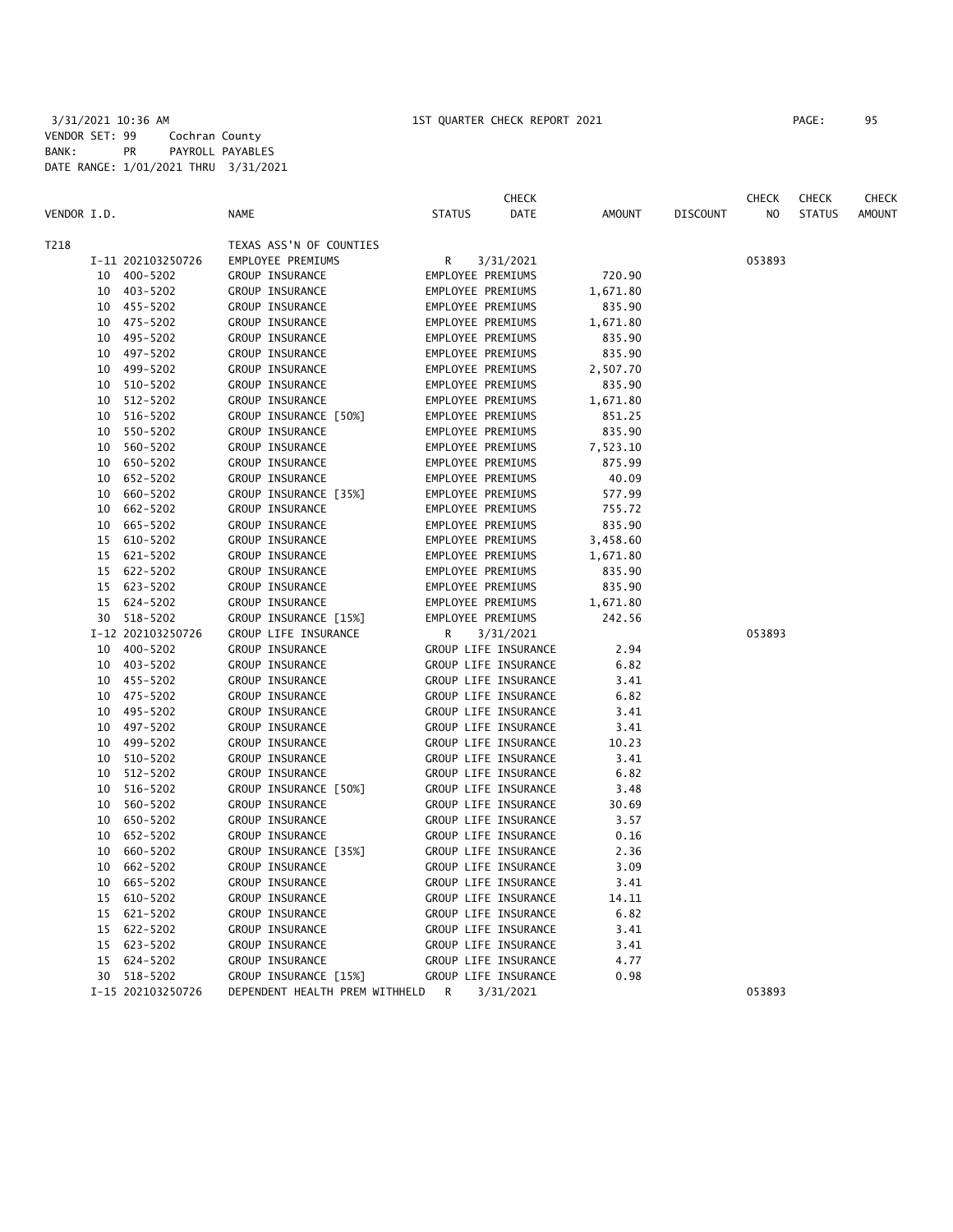|             |    |                   |                                            |                   | <b>CHECK</b>         |          |                 | <b>CHECK</b>   | <b>CHECK</b>  | CHECK         |
|-------------|----|-------------------|--------------------------------------------|-------------------|----------------------|----------|-----------------|----------------|---------------|---------------|
| VENDOR I.D. |    |                   | <b>NAME</b>                                | <b>STATUS</b>     | DATE                 | AMOUNT   | <b>DISCOUNT</b> | N <sub>O</sub> | <b>STATUS</b> | <b>AMOUNT</b> |
| T218        |    |                   | TEXAS ASS'N OF COUNTIES                    |                   |                      |          |                 |                |               |               |
|             |    | I-11 202103250726 | EMPLOYEE PREMIUMS                          | R                 | 3/31/2021            |          |                 | 053893         |               |               |
|             |    | 10 400-5202       | GROUP INSURANCE                            | EMPLOYEE PREMIUMS |                      | 720.90   |                 |                |               |               |
|             |    | 10 403-5202       | GROUP INSURANCE                            | EMPLOYEE PREMIUMS |                      | 1,671.80 |                 |                |               |               |
|             |    | 10 455-5202       | GROUP INSURANCE                            | EMPLOYEE PREMIUMS |                      | 835.90   |                 |                |               |               |
|             |    | 10 475-5202       | GROUP INSURANCE                            | EMPLOYEE PREMIUMS |                      | 1,671.80 |                 |                |               |               |
|             |    | 10 495-5202       | GROUP INSURANCE                            | EMPLOYEE PREMIUMS |                      | 835.90   |                 |                |               |               |
|             |    | 10 497-5202       | GROUP INSURANCE                            | EMPLOYEE PREMIUMS |                      | 835.90   |                 |                |               |               |
|             |    | 10 499-5202       | GROUP INSURANCE                            | EMPLOYEE PREMIUMS |                      | 2,507.70 |                 |                |               |               |
|             | 10 | 510-5202          | GROUP INSURANCE                            | EMPLOYEE PREMIUMS |                      | 835.90   |                 |                |               |               |
|             | 10 | 512-5202          | GROUP INSURANCE                            | EMPLOYEE PREMIUMS |                      | 1,671.80 |                 |                |               |               |
|             |    | 10 516-5202       | GROUP INSURANCE [50%]                      | EMPLOYEE PREMIUMS |                      | 851.25   |                 |                |               |               |
|             |    | 10 550-5202       | GROUP INSURANCE                            | EMPLOYEE PREMIUMS |                      | 835.90   |                 |                |               |               |
|             | 10 | 560-5202          | GROUP INSURANCE                            | EMPLOYEE PREMIUMS |                      | 7,523.10 |                 |                |               |               |
|             | 10 | 650-5202          | GROUP INSURANCE                            | EMPLOYEE PREMIUMS |                      | 875.99   |                 |                |               |               |
|             | 10 | 652-5202          | GROUP INSURANCE                            | EMPLOYEE PREMIUMS |                      | 40.09    |                 |                |               |               |
|             | 10 | 660-5202          | GROUP INSURANCE [35%]                      | EMPLOYEE PREMIUMS |                      | 577.99   |                 |                |               |               |
|             | 10 | 662-5202          | GROUP INSURANCE                            | EMPLOYEE PREMIUMS |                      | 755.72   |                 |                |               |               |
|             | 10 | 665-5202          | GROUP INSURANCE                            | EMPLOYEE PREMIUMS |                      | 835.90   |                 |                |               |               |
|             | 15 | 610-5202          | GROUP INSURANCE                            | EMPLOYEE PREMIUMS |                      | 3,458.60 |                 |                |               |               |
|             |    | 15 621-5202       | GROUP INSURANCE                            | EMPLOYEE PREMIUMS |                      | 1,671.80 |                 |                |               |               |
|             |    | 15 622-5202       | GROUP INSURANCE                            | EMPLOYEE PREMIUMS |                      | 835.90   |                 |                |               |               |
|             |    | 15 623-5202       | GROUP INSURANCE                            | EMPLOYEE PREMIUMS |                      | 835.90   |                 |                |               |               |
|             |    | 15 624-5202       | GROUP INSURANCE                            | EMPLOYEE PREMIUMS |                      | 1,671.80 |                 |                |               |               |
|             |    | 30 518-5202       | GROUP INSURANCE [15%]                      | EMPLOYEE PREMIUMS |                      | 242.56   |                 |                |               |               |
|             |    | I-12 202103250726 | GROUP LIFE INSURANCE                       | R                 | 3/31/2021            |          |                 | 053893         |               |               |
|             |    | 10 400-5202       | GROUP INSURANCE                            |                   | GROUP LIFE INSURANCE | 2.94     |                 |                |               |               |
|             |    | 10 403-5202       | GROUP INSURANCE                            |                   | GROUP LIFE INSURANCE | 6.82     |                 |                |               |               |
|             |    | 10 455-5202       | GROUP INSURANCE                            |                   | GROUP LIFE INSURANCE | 3.41     |                 |                |               |               |
|             |    | 10 475-5202       | GROUP INSURANCE                            |                   | GROUP LIFE INSURANCE | 6.82     |                 |                |               |               |
|             |    | 10 495-5202       | GROUP INSURANCE                            |                   | GROUP LIFE INSURANCE | 3.41     |                 |                |               |               |
|             |    | 10 497-5202       | GROUP INSURANCE                            |                   | GROUP LIFE INSURANCE | 3.41     |                 |                |               |               |
|             |    | 10 499-5202       | GROUP INSURANCE                            |                   | GROUP LIFE INSURANCE | 10.23    |                 |                |               |               |
|             |    | 10 510-5202       | GROUP INSURANCE                            |                   | GROUP LIFE INSURANCE | 3.41     |                 |                |               |               |
|             | 10 | 512-5202          | GROUP INSURANCE                            |                   | GROUP LIFE INSURANCE | 6.82     |                 |                |               |               |
|             |    | 10 516-5202       | GROUP INSURANCE [50%]                      |                   | GROUP LIFE INSURANCE | 3.48     |                 |                |               |               |
|             |    | 10 560-5202       | GROUP INSURANCE                            |                   | GROUP LIFE INSURANCE | 30.69    |                 |                |               |               |
|             | 10 | 650-5202          | GROUP INSURANCE                            |                   | GROUP LIFE INSURANCE | 3.57     |                 |                |               |               |
|             | 10 | 652-5202          | GROUP INSURANCE                            |                   | GROUP LIFE INSURANCE | 0.16     |                 |                |               |               |
|             | 10 | 660-5202          | GROUP INSURANCE [35%]                      |                   | GROUP LIFE INSURANCE | 2.36     |                 |                |               |               |
|             |    | 10 662-5202       | GROUP INSURANCE                            |                   | GROUP LIFE INSURANCE | 3.09     |                 |                |               |               |
|             |    | 10 665-5202       | GROUP INSURANCE                            |                   | GROUP LIFE INSURANCE | 3.41     |                 |                |               |               |
|             |    | 15 610-5202       | GROUP INSURANCE                            |                   | GROUP LIFE INSURANCE | 14.11    |                 |                |               |               |
|             |    | 15 621-5202       | GROUP INSURANCE                            |                   | GROUP LIFE INSURANCE | 6.82     |                 |                |               |               |
|             |    | 15 622-5202       | GROUP INSURANCE                            |                   | GROUP LIFE INSURANCE | 3.41     |                 |                |               |               |
|             |    | 15 623-5202       | GROUP INSURANCE                            |                   | GROUP LIFE INSURANCE | 3.41     |                 |                |               |               |
|             |    | 15 624-5202       | GROUP INSURANCE                            |                   | GROUP LIFE INSURANCE | 4.77     |                 |                |               |               |
|             |    | 30 518-5202       | GROUP INSURANCE [15%]                      |                   | GROUP LIFE INSURANCE | 0.98     |                 |                |               |               |
|             |    | I-15 202103250726 | DEPENDENT HEALTH PREM WITHHELD R 3/31/2021 |                   |                      |          |                 | 053893         |               |               |
|             |    |                   |                                            |                   |                      |          |                 |                |               |               |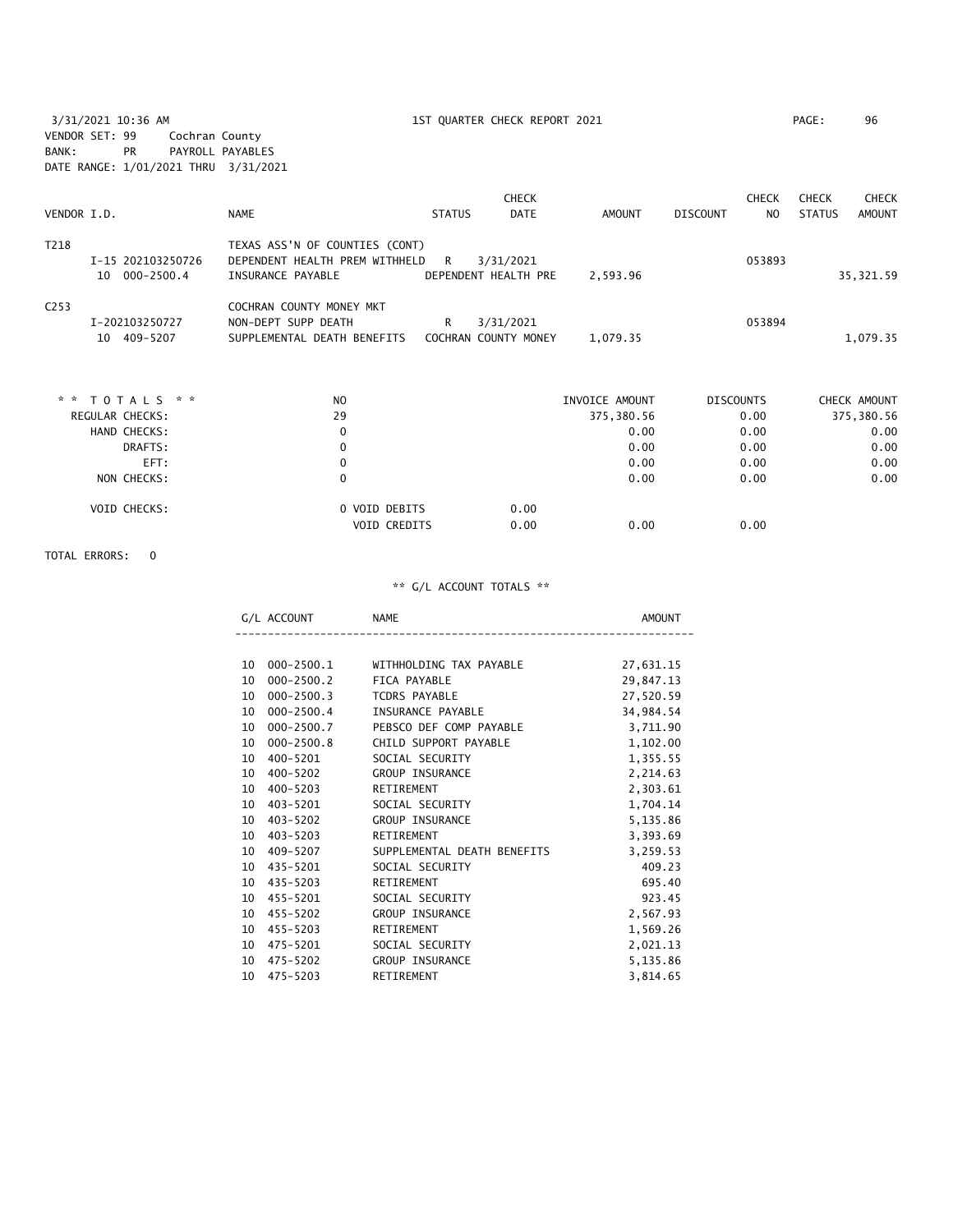3/31/2021 10:36 AM 1ST QUARTER CHECK REPORT 2021 PAGE: 96 VENDOR SET: 99 Cochran County BANK: PR PAYROLL PAYABLES DATE RANGE: 1/01/2021 THRU 3/31/2021

|                  |                                    |                                                                                       |               | <b>CHECK</b>                      |          |                 | <b>CHECK</b>   | <b>CHECK</b>  | <b>CHECK</b> |
|------------------|------------------------------------|---------------------------------------------------------------------------------------|---------------|-----------------------------------|----------|-----------------|----------------|---------------|--------------|
| VENDOR I.D.      |                                    | <b>NAME</b>                                                                           | <b>STATUS</b> | <b>DATE</b>                       | AMOUNT   | <b>DISCOUNT</b> | N <sub>O</sub> | <b>STATUS</b> | AMOUNT       |
| T218             | I-15 202103250726<br>10 000-2500.4 | TEXAS ASS'N OF COUNTIES (CONT)<br>DEPENDENT HEALTH PREM WITHHELD<br>INSURANCE PAYABLE | R             | 3/31/2021<br>DEPENDENT HEALTH PRE | 2,593.96 |                 | 053893         |               | 35, 321.59   |
| C <sub>253</sub> | I-202103250727<br>10 409-5207      | COCHRAN COUNTY MONEY MKT<br>NON-DEPT SUPP DEATH<br>SUPPLEMENTAL DEATH BENEFITS        | R             | 3/31/2021<br>COCHRAN COUNTY MONEY | 1,079.35 |                 | 053894         |               | 1,079.35     |

| * * TOTALS * *  | N <sub>0</sub>      | INVOICE AMOUNT | <b>DISCOUNTS</b> | CHECK AMOUNT |
|-----------------|---------------------|----------------|------------------|--------------|
| REGULAR CHECKS: | 29                  | 375,380.56     | 0.00             | 375,380.56   |
| HAND CHECKS:    | 0                   | 0.00           | 0.00             | 0.00         |
| DRAFTS:         | 0                   | 0.00           | 0.00             | 0.00         |
| EFT:            | 0                   | 0.00           | 0.00             | 0.00         |
| NON CHECKS:     | 0                   | 0.00           | 0.00             | 0.00         |
| VOID CHECKS:    | 0 VOID DEBITS       | 0.00           |                  |              |
|                 | <b>VOID CREDITS</b> | 0.00<br>0.00   | 0.00             |              |
|                 |                     |                |                  |              |

## TOTAL ERRORS: 0

| л 1 | NAML | אוונ |
|-----|------|------|
|     |      |      |

| 10 | 000-2500.1 | WITHHOLDING TAX PAYABLE     | 27,631.15 |
|----|------------|-----------------------------|-----------|
| 10 | 000-2500.2 | FICA PAYABLE                | 29,847.13 |
| 10 | 000-2500.3 | <b>TCDRS PAYABLE</b>        | 27,520.59 |
| 10 | 000-2500.4 | INSURANCE PAYABLE           | 34,984.54 |
| 10 | 000-2500.7 | PEBSCO DEF COMP PAYABLE     | 3,711.90  |
| 10 | 000-2500.8 | CHILD SUPPORT PAYABLE       | 1,102.00  |
| 10 | 400-5201   | SOCIAL SECURITY             | 1,355.55  |
| 10 | 400-5202   | GROUP INSURANCE             | 2,214.63  |
| 10 | 400-5203   | RETIREMENT                  | 2,303.61  |
| 10 | 403-5201   | SOCIAL SECURITY             | 1,704.14  |
| 10 | 403-5202   | <b>GROUP INSURANCE</b>      | 5,135.86  |
| 10 | 403-5203   | RETIREMENT                  | 3,393.69  |
| 10 | 409-5207   | SUPPLEMENTAL DEATH BENEFITS | 3,259.53  |
| 10 | 435-5201   | SOCIAL SECURITY             | 409.23    |
| 10 | 435-5203   | RETIREMENT                  | 695.40    |
| 10 | 455-5201   | SOCIAL SECURITY             | 923.45    |
| 10 | 455-5202   | <b>GROUP INSURANCE</b>      | 2,567.93  |
| 10 | 455-5203   | RETIREMENT                  | 1,569.26  |
| 10 | 475-5201   | SOCIAL SECURITY             | 2,021.13  |
| 10 | 475-5202   | GROUP INSURANCE             | 5,135.86  |
| 10 | 475-5203   | RETIREMENT                  | 3,814.65  |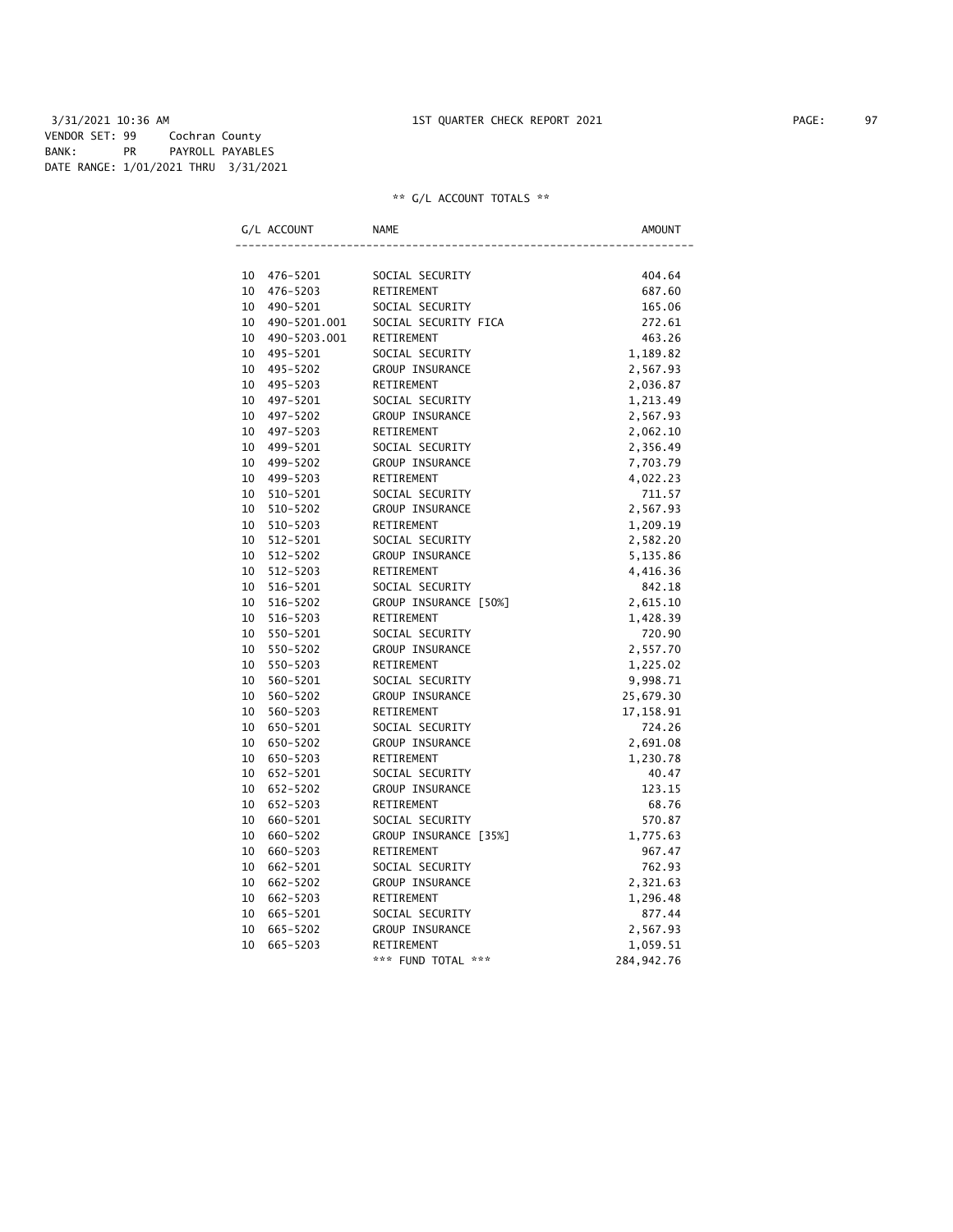3/31/2021 10:36 AM 1ST QUARTER CHECK REPORT 2021 PAGE: 97 VENDOR SET: 99 Cochran County BANK: PR PAYROLL PAYABLES DATE RANGE: 1/01/2021 THRU 3/31/2021

| G/L ACCOUNT |              | NAME                  | AMOUNT       |
|-------------|--------------|-----------------------|--------------|
|             |              |                       |              |
| 10          | 476-5201     | SOCIAL SECURITY       | 404.64       |
| 10          | 476-5203     | RETIREMENT            | 687.60       |
| 10          | 490-5201     | SOCIAL SECURITY       | 165.06       |
| 10          | 490-5201.001 | SOCIAL SECURITY FICA  | 272.61       |
| 10          | 490-5203.001 | RETIREMENT            | 463.26       |
| 10          | 495-5201     | SOCIAL SECURITY       | 1,189.82     |
| 10          | 495-5202     | GROUP INSURANCE       | 2,567.93     |
| 10          | 495-5203     | RETIREMENT            | 2,036.87     |
| 10          | 497-5201     | SOCIAL SECURITY       | 1,213.49     |
| 10          | 497-5202     | GROUP INSURANCE       | 2,567.93     |
| 10          | 497-5203     | RETIREMENT            | 2,062.10     |
| 10          | 499-5201     | SOCIAL SECURITY       | 2,356.49     |
| 10          | 499-5202     | GROUP INSURANCE       | 7,703.79     |
| 10          | 499-5203     | RETIREMENT            | 4,022.23     |
| 10          | 510-5201     | SOCIAL SECURITY       | 711.57       |
| 10          | 510-5202     | GROUP INSURANCE       | 2,567.93     |
| 10          | 510-5203     | RETIREMENT            | 1,209.19     |
| 10          | 512-5201     | SOCIAL SECURITY       | 2,582.20     |
| 10          | 512-5202     | GROUP INSURANCE       | 5,135.86     |
| 10          | $512 - 5203$ | RETIREMENT            | 4,416.36     |
| 10          | 516-5201     | SOCIAL SECURITY       | 842.18       |
| 10          | 516-5202     | GROUP INSURANCE [50%] | 2,615.10     |
| 10          | 516-5203     | RETIREMENT            | 1,428.39     |
| 10          | 550-5201     | SOCIAL SECURITY       | 720.90       |
| 10          | 550-5202     | GROUP INSURANCE       | 2,557.70     |
| 10          | 550-5203     | RETIREMENT            | 1,225.02     |
| 10          | 560-5201     | SOCIAL SECURITY       | 9,998.71     |
| 10          | 560-5202     | GROUP INSURANCE       | 25,679.30    |
| 10          | 560-5203     | RETIREMENT            | 17,158.91    |
| 10          | 650-5201     | SOCIAL SECURITY       | 724.26       |
| 10          | 650-5202     | GROUP INSURANCE       | 2,691.08     |
| 10          | 650-5203     | RETIREMENT            | 1,230.78     |
| 10          | 652-5201     | SOCIAL SECURITY       | 40.47        |
| 10          | 652-5202     | GROUP INSURANCE       | 123.15       |
| 10          | 652-5203     | RETIREMENT            | 68.76        |
| 10          | 660-5201     | SOCIAL SECURITY       | 570.87       |
| 10          | 660-5202     | GROUP INSURANCE [35%] | 1,775.63     |
| 10          | 660-5203     | RETIREMENT            | 967.47       |
| 10          | 662-5201     | SOCIAL SECURITY       | 762.93       |
| 10          | 662-5202     | GROUP INSURANCE       | 2,321.63     |
| 10          | 662-5203     | RETIREMENT            | 1,296.48     |
| 10          | 665-5201     | SOCIAL SECURITY       | 877.44       |
| 10          | 665-5202     | GROUP INSURANCE       | 2,567.93     |
| 10          | 665-5203     | RETIREMENT            | 1,059.51     |
|             |              | *** FUND TOTAL ***    | 284, 942. 76 |
|             |              |                       |              |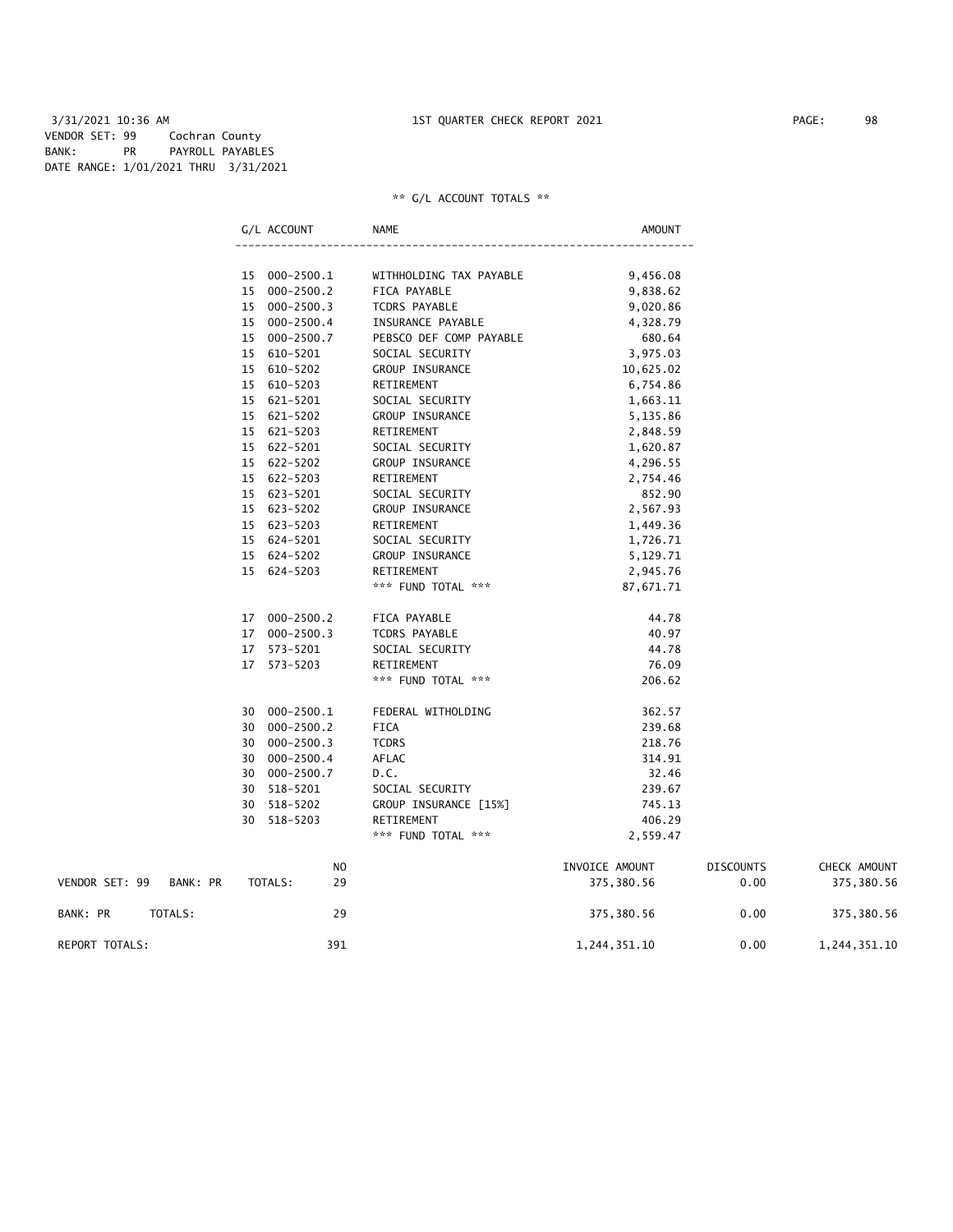3/31/2021 10:36 AM 1ST QUARTER CHECK REPORT 2021 PAGE: 98 VENDOR SET: 99 Cochran County BANK: PR PAYROLL PAYABLES DATE RANGE: 1/01/2021 THRU 3/31/2021

## \*\* G/L ACCOUNT TOTALS \*\*

|                |          |    | G/L ACCOUNT                    | NAME                                    | <b>AMOUNT</b>         |                  |              |
|----------------|----------|----|--------------------------------|-----------------------------------------|-----------------------|------------------|--------------|
|                |          |    |                                |                                         |                       |                  |              |
|                |          |    | 15 000-2500.1<br>15 000-2500.2 | WITHHOLDING TAX PAYABLE<br>FICA PAYABLE | 9,456.08<br>9,838.62  |                  |              |
|                |          |    | 15 000-2500.3                  | TCDRS PAYABLE                           | 9,020.86              |                  |              |
|                |          |    | 15 000-2500.4                  | INSURANCE PAYABLE                       | 4,328.79              |                  |              |
|                |          |    | 15 000-2500.7                  | PEBSCO DEF COMP PAYABLE                 | 680.64                |                  |              |
|                |          |    | 15 610-5201                    | SOCIAL SECURITY                         | 3,975.03              |                  |              |
|                |          |    | 15 610-5202                    | GROUP INSURANCE                         |                       |                  |              |
|                |          |    | 15 610-5203                    | RETIREMENT                              | 10,625.02<br>6,754.86 |                  |              |
|                |          |    | 15 621-5201                    |                                         |                       |                  |              |
|                |          |    |                                | SOCIAL SECURITY                         | 1,663.11              |                  |              |
|                |          |    | 15 621-5202<br>15 621-5203     | GROUP INSURANCE                         | 5,135.86              |                  |              |
|                |          |    | 15 622-5201                    | RETIREMENT                              | 2,848.59              |                  |              |
|                |          |    |                                | SOCIAL SECURITY                         | 1,620.87              |                  |              |
|                |          |    | 15 622-5202                    | GROUP INSURANCE                         | 4,296.55              |                  |              |
|                |          |    | 15 622-5203                    | RETIREMENT                              | 2,754.46              |                  |              |
|                |          |    | 15 623-5201                    | SOCIAL SECURITY                         | 852.90                |                  |              |
|                |          |    | 15 623-5202                    | GROUP INSURANCE                         | 2,567.93              |                  |              |
|                |          |    | 15 623-5203                    | RETIREMENT                              | 1,449.36              |                  |              |
|                |          |    | 15 624-5201                    | SOCIAL SECURITY                         | 1,726.71              |                  |              |
|                |          |    | 15 624-5202                    | GROUP INSURANCE                         | 5,129.71              |                  |              |
|                |          |    | 15 624-5203                    | RETIREMENT                              | 2,945.76              |                  |              |
|                |          |    |                                | *** FUND TOTAL ***                      | 87,671.71             |                  |              |
|                |          |    | 17 000-2500.2                  | FICA PAYABLE                            | 44.78                 |                  |              |
|                |          |    | 17 000-2500.3                  | TCDRS PAYABLE                           | 40.97                 |                  |              |
|                |          |    | 17 573-5201                    | SOCIAL SECURITY                         | 44.78                 |                  |              |
|                |          |    | 17 573-5203                    | <b>RETIREMENT</b>                       | 76.09                 |                  |              |
|                |          |    |                                | *** FUND TOTAL ***                      | 206.62                |                  |              |
|                |          |    | 30 000-2500.1                  | FEDERAL WITHOLDING                      | 362.57                |                  |              |
|                |          |    | 30 000-2500.2                  | <b>FICA</b>                             | 239.68                |                  |              |
|                |          | 30 | $000 - 2500.3$                 | <b>TCDRS</b>                            | 218.76                |                  |              |
|                |          |    | 30 000-2500.4                  | AFLAC                                   | 314.91                |                  |              |
|                |          |    | 30 000-2500.7                  | D.C.                                    | 32.46                 |                  |              |
|                |          |    | 30 518-5201                    | SOCIAL SECURITY                         | 239.67                |                  |              |
|                |          | 30 | 518-5202                       | GROUP INSURANCE [15%]                   | 745.13                |                  |              |
|                |          |    | 30 518-5203                    | RETIREMENT                              | 406.29                |                  |              |
|                |          |    |                                | *** FUND TOTAL ***                      | 2,559.47              |                  |              |
|                |          |    | NO.                            |                                         | INVOICE AMOUNT        | <b>DISCOUNTS</b> | CHECK AMOUNT |
| VENDOR SET: 99 | BANK: PR |    | TOTALS:<br>29                  |                                         | 375,380.56            | 0.00             | 375,380.56   |
|                |          |    |                                |                                         |                       |                  |              |

REPORT TOTALS: 391 1,244,351.10 0.00 1,244,351.10

BANK: PR TOTALS: 29 29 375,380.56 0.00 375,380.56